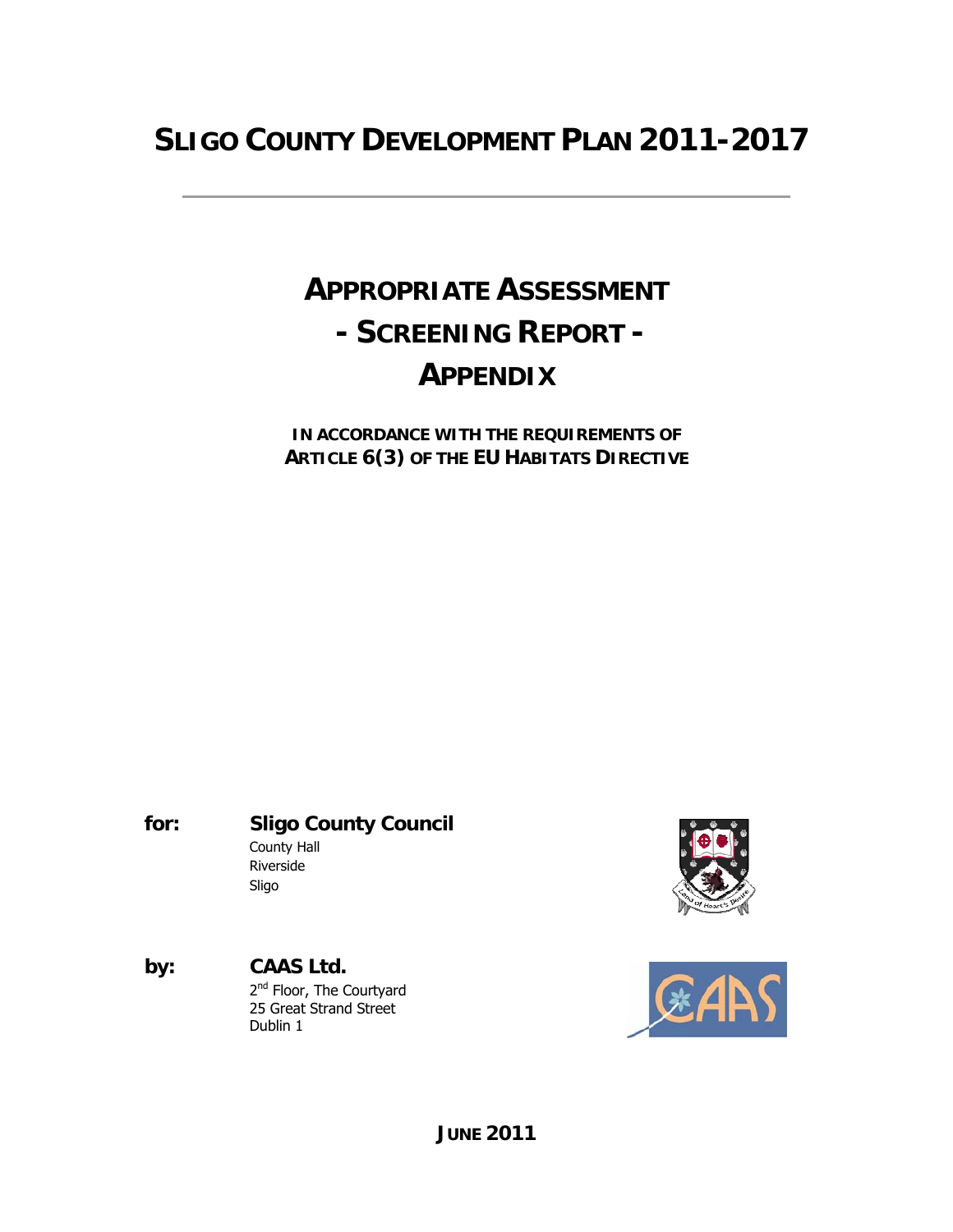# **SLIGO COUNTY DEVELOPMENT PLAN 2011-2017**

# **APPROPRIATE ASSESSMENT - SCREENING REPORT - APPENDIX**

**IN ACCORDANCE WITH THE REQUIREMENTS OF ARTICLE 6(3) OF THE EU HABITATS DIRECTIVE** 

**for: Sligo County Council** County Hall Riverside Sligo

**by: CAAS Ltd.** 2<sup>nd</sup> Floor, The Courtyard 25 Great Strand Street Dublin 1



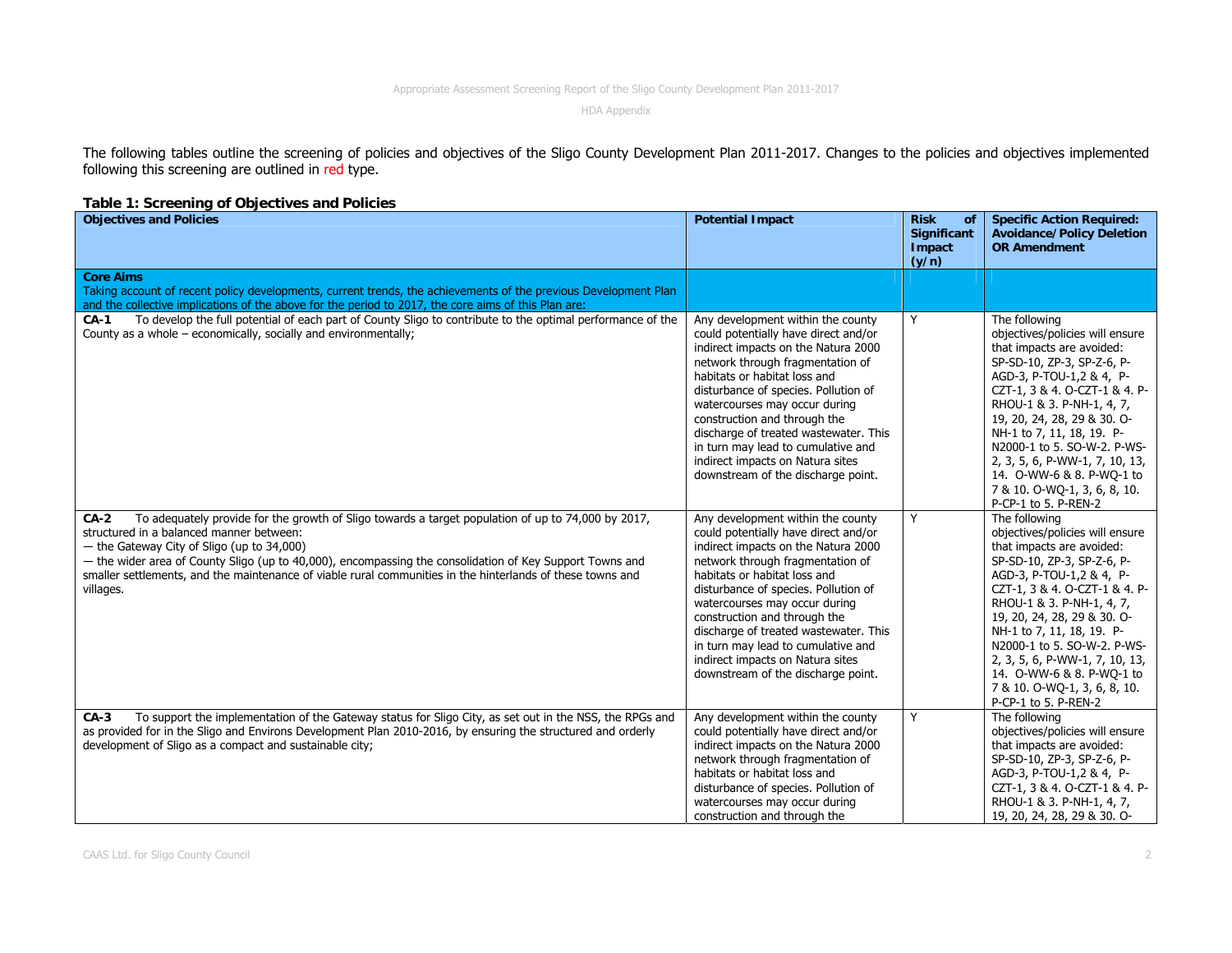HDA Appendix

The following tables outline the screening of policies and objectives of the Sligo County Development Plan 2011-2017. Changes to the policies and objectives implemented following this screening are outlined in red type.

## **Table 1: Screening of Objectives and Policies**

| <b>Objectives and Policies</b>                                                                                                                                                                                                                                                                                                                                                                                                                | <b>Potential Impact</b>                                                                                                                                                                                                                                                                                                                                                                                                                                | <b>Risk</b><br><b>of</b><br><b>Significant</b><br>Impact<br>(y/n) | <b>Specific Action Required:</b><br><b>Avoidance/Policy Deletion</b><br><b>OR Amendment</b>                                                                                                                                                                                                                                                                                                                             |
|-----------------------------------------------------------------------------------------------------------------------------------------------------------------------------------------------------------------------------------------------------------------------------------------------------------------------------------------------------------------------------------------------------------------------------------------------|--------------------------------------------------------------------------------------------------------------------------------------------------------------------------------------------------------------------------------------------------------------------------------------------------------------------------------------------------------------------------------------------------------------------------------------------------------|-------------------------------------------------------------------|-------------------------------------------------------------------------------------------------------------------------------------------------------------------------------------------------------------------------------------------------------------------------------------------------------------------------------------------------------------------------------------------------------------------------|
| <b>Core Aims</b><br>Taking account of recent policy developments, current trends, the achievements of the previous Development Plan<br>and the collective implications of the above for the period to 2017, the core aims of this Plan are:                                                                                                                                                                                                   |                                                                                                                                                                                                                                                                                                                                                                                                                                                        |                                                                   |                                                                                                                                                                                                                                                                                                                                                                                                                         |
| To develop the full potential of each part of County Sligo to contribute to the optimal performance of the<br>$CA-1$<br>County as a whole – economically, socially and environmentally;                                                                                                                                                                                                                                                       | Any development within the county<br>could potentially have direct and/or<br>indirect impacts on the Natura 2000<br>network through fragmentation of<br>habitats or habitat loss and<br>disturbance of species. Pollution of<br>watercourses may occur during<br>construction and through the<br>discharge of treated wastewater. This<br>in turn may lead to cumulative and<br>indirect impacts on Natura sites<br>downstream of the discharge point. | Y                                                                 | The following<br>objectives/policies will ensure<br>that impacts are avoided:<br>SP-SD-10, ZP-3, SP-Z-6, P-<br>AGD-3, P-TOU-1,2 & 4, P-<br>CZT-1, 3 & 4. O-CZT-1 & 4. P-<br>RHOU-1 & 3. P-NH-1, 4, 7,<br>19, 20, 24, 28, 29 & 30. O-<br>NH-1 to 7, 11, 18, 19. P-<br>N2000-1 to 5, SO-W-2, P-WS-<br>2, 3, 5, 6, P-WW-1, 7, 10, 13,<br>14. O-WW-6 & 8. P-WO-1 to<br>7 & 10. O-WQ-1, 3, 6, 8, 10.<br>P-CP-1 to 5. P-REN-2 |
| To adequately provide for the growth of Sligo towards a target population of up to 74,000 by 2017,<br>$CA-2$<br>structured in a balanced manner between:<br>- the Gateway City of Sligo (up to 34,000)<br>- the wider area of County Sligo (up to 40,000), encompassing the consolidation of Key Support Towns and<br>smaller settlements, and the maintenance of viable rural communities in the hinterlands of these towns and<br>villages. | Any development within the county<br>could potentially have direct and/or<br>indirect impacts on the Natura 2000<br>network through fragmentation of<br>habitats or habitat loss and<br>disturbance of species. Pollution of<br>watercourses may occur during<br>construction and through the<br>discharge of treated wastewater. This<br>in turn may lead to cumulative and<br>indirect impacts on Natura sites<br>downstream of the discharge point. | Y                                                                 | The following<br>objectives/policies will ensure<br>that impacts are avoided:<br>SP-SD-10, ZP-3, SP-Z-6, P-<br>AGD-3, P-TOU-1,2 & 4, P-<br>CZT-1, 3 & 4. O-CZT-1 & 4. P-<br>RHOU-1 & 3. P-NH-1, 4, 7,<br>19, 20, 24, 28, 29 & 30. O-<br>NH-1 to 7, 11, 18, 19. P-<br>N2000-1 to 5. SO-W-2. P-WS-<br>2, 3, 5, 6, P-WW-1, 7, 10, 13,<br>14. O-WW-6 & 8. P-WQ-1 to<br>7 & 10. O-WQ-1, 3, 6, 8, 10.<br>P-CP-1 to 5. P-REN-2 |
| To support the implementation of the Gateway status for Sligo City, as set out in the NSS, the RPGs and<br>$CA-3$<br>as provided for in the Sligo and Environs Development Plan 2010-2016, by ensuring the structured and orderly<br>development of Sligo as a compact and sustainable city;                                                                                                                                                  | Any development within the county<br>could potentially have direct and/or<br>indirect impacts on the Natura 2000<br>network through fragmentation of<br>habitats or habitat loss and<br>disturbance of species. Pollution of<br>watercourses may occur during<br>construction and through the                                                                                                                                                          | Y                                                                 | The following<br>objectives/policies will ensure<br>that impacts are avoided:<br>SP-SD-10, ZP-3, SP-Z-6, P-<br>AGD-3, P-TOU-1,2 & 4, P-<br>CZT-1, 3 & 4. O-CZT-1 & 4. P-<br>RHOU-1 & 3. P-NH-1, 4, 7,<br>19, 20, 24, 28, 29 & 30. O-                                                                                                                                                                                    |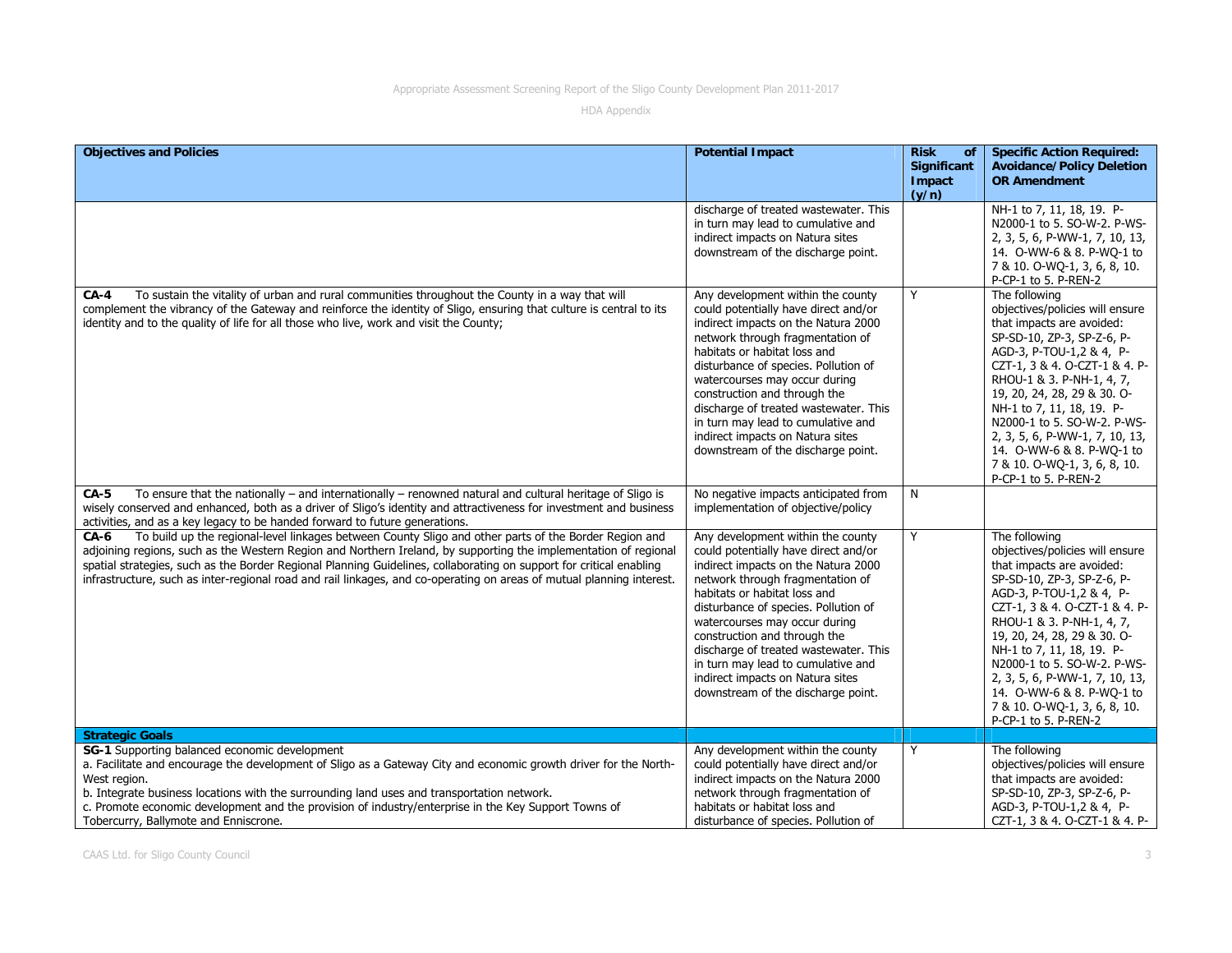| <b>Objectives and Policies</b>                                                                                                                                                                                                                                                                                                                                                                                                                                                    | <b>Potential Impact</b>                                                                                                                                                                                                                                                                                                                                                                                                                                | <b>Risk</b><br>of              | <b>Specific Action Required:</b>                                                                                                                                                                                                                                                                                                                                                                                        |
|-----------------------------------------------------------------------------------------------------------------------------------------------------------------------------------------------------------------------------------------------------------------------------------------------------------------------------------------------------------------------------------------------------------------------------------------------------------------------------------|--------------------------------------------------------------------------------------------------------------------------------------------------------------------------------------------------------------------------------------------------------------------------------------------------------------------------------------------------------------------------------------------------------------------------------------------------------|--------------------------------|-------------------------------------------------------------------------------------------------------------------------------------------------------------------------------------------------------------------------------------------------------------------------------------------------------------------------------------------------------------------------------------------------------------------------|
|                                                                                                                                                                                                                                                                                                                                                                                                                                                                                   |                                                                                                                                                                                                                                                                                                                                                                                                                                                        | Significant<br>Impact<br>(y/n) | <b>Avoidance/Policy Deletion</b><br><b>OR Amendment</b>                                                                                                                                                                                                                                                                                                                                                                 |
|                                                                                                                                                                                                                                                                                                                                                                                                                                                                                   | discharge of treated wastewater. This<br>in turn may lead to cumulative and<br>indirect impacts on Natura sites<br>downstream of the discharge point.                                                                                                                                                                                                                                                                                                  |                                | NH-1 to 7, 11, 18, 19. P-<br>N2000-1 to 5. SO-W-2. P-WS-<br>2, 3, 5, 6, P-WW-1, 7, 10, 13,<br>14. O-WW-6 & 8. P-WQ-1 to<br>7 & 10. O-WQ-1, 3, 6, 8, 10.<br>P-CP-1 to 5. P-REN-2                                                                                                                                                                                                                                         |
| To sustain the vitality of urban and rural communities throughout the County in a way that will<br><b>CA-4</b><br>complement the vibrancy of the Gateway and reinforce the identity of Sligo, ensuring that culture is central to its<br>identity and to the quality of life for all those who live, work and visit the County;                                                                                                                                                   | Any development within the county<br>could potentially have direct and/or<br>indirect impacts on the Natura 2000<br>network through fragmentation of<br>habitats or habitat loss and<br>disturbance of species. Pollution of<br>watercourses may occur during<br>construction and through the<br>discharge of treated wastewater. This<br>in turn may lead to cumulative and<br>indirect impacts on Natura sites<br>downstream of the discharge point. | Y                              | The following<br>objectives/policies will ensure<br>that impacts are avoided:<br>SP-SD-10, ZP-3, SP-Z-6, P-<br>AGD-3, P-TOU-1,2 & 4, P-<br>CZT-1, 3 & 4. O-CZT-1 & 4. P-<br>RHOU-1 & 3. P-NH-1, 4, 7,<br>19, 20, 24, 28, 29 & 30. O-<br>NH-1 to 7, 11, 18, 19. P-<br>N2000-1 to 5. SO-W-2. P-WS-<br>2, 3, 5, 6, P-WW-1, 7, 10, 13,<br>14. O-WW-6 & 8. P-WQ-1 to<br>7 & 10. O-WQ-1, 3, 6, 8, 10.<br>P-CP-1 to 5. P-REN-2 |
| To ensure that the nationally $-$ and internationally $-$ renowned natural and cultural heritage of Sligo is<br><b>CA-5</b><br>wisely conserved and enhanced, both as a driver of Sligo's identity and attractiveness for investment and business<br>activities, and as a key legacy to be handed forward to future generations.                                                                                                                                                  | No negative impacts anticipated from<br>implementation of objective/policy                                                                                                                                                                                                                                                                                                                                                                             | N                              |                                                                                                                                                                                                                                                                                                                                                                                                                         |
| To build up the regional-level linkages between County Sligo and other parts of the Border Region and<br>CA-6<br>adjoining regions, such as the Western Region and Northern Ireland, by supporting the implementation of regional<br>spatial strategies, such as the Border Regional Planning Guidelines, collaborating on support for critical enabling<br>infrastructure, such as inter-regional road and rail linkages, and co-operating on areas of mutual planning interest. | Any development within the county<br>could potentially have direct and/or<br>indirect impacts on the Natura 2000<br>network through fragmentation of<br>habitats or habitat loss and<br>disturbance of species. Pollution of<br>watercourses may occur during<br>construction and through the<br>discharge of treated wastewater. This<br>in turn may lead to cumulative and<br>indirect impacts on Natura sites<br>downstream of the discharge point. | Y                              | The following<br>objectives/policies will ensure<br>that impacts are avoided:<br>SP-SD-10, ZP-3, SP-Z-6, P-<br>AGD-3, P-TOU-1,2 & 4, P-<br>CZT-1, 3 & 4. O-CZT-1 & 4. P-<br>RHOU-1 & 3. P-NH-1, 4, 7,<br>19, 20, 24, 28, 29 & 30. O-<br>NH-1 to 7, 11, 18, 19. P-<br>N2000-1 to 5. SO-W-2. P-WS-<br>2, 3, 5, 6, P-WW-1, 7, 10, 13,<br>14. 0-WW-6 & 8. P-WQ-1 to<br>7 & 10. O-WQ-1, 3, 6, 8, 10.<br>P-CP-1 to 5. P-REN-2 |
| <b>Strategic Goals</b>                                                                                                                                                                                                                                                                                                                                                                                                                                                            |                                                                                                                                                                                                                                                                                                                                                                                                                                                        |                                |                                                                                                                                                                                                                                                                                                                                                                                                                         |
| SG-1 Supporting balanced economic development<br>a. Facilitate and encourage the development of Sligo as a Gateway City and economic growth driver for the North-<br>West region.<br>b. Integrate business locations with the surrounding land uses and transportation network.<br>c. Promote economic development and the provision of industry/enterprise in the Key Support Towns of<br>Tobercurry, Ballymote and Enniscrone.                                                  | Any development within the county<br>could potentially have direct and/or<br>indirect impacts on the Natura 2000<br>network through fragmentation of<br>habitats or habitat loss and<br>disturbance of species. Pollution of                                                                                                                                                                                                                           | Y                              | The following<br>objectives/policies will ensure<br>that impacts are avoided:<br>SP-SD-10, ZP-3, SP-Z-6, P-<br>AGD-3, P-TOU-1,2 & 4, P-<br>CZT-1, 3 & 4. O-CZT-1 & 4. P-                                                                                                                                                                                                                                                |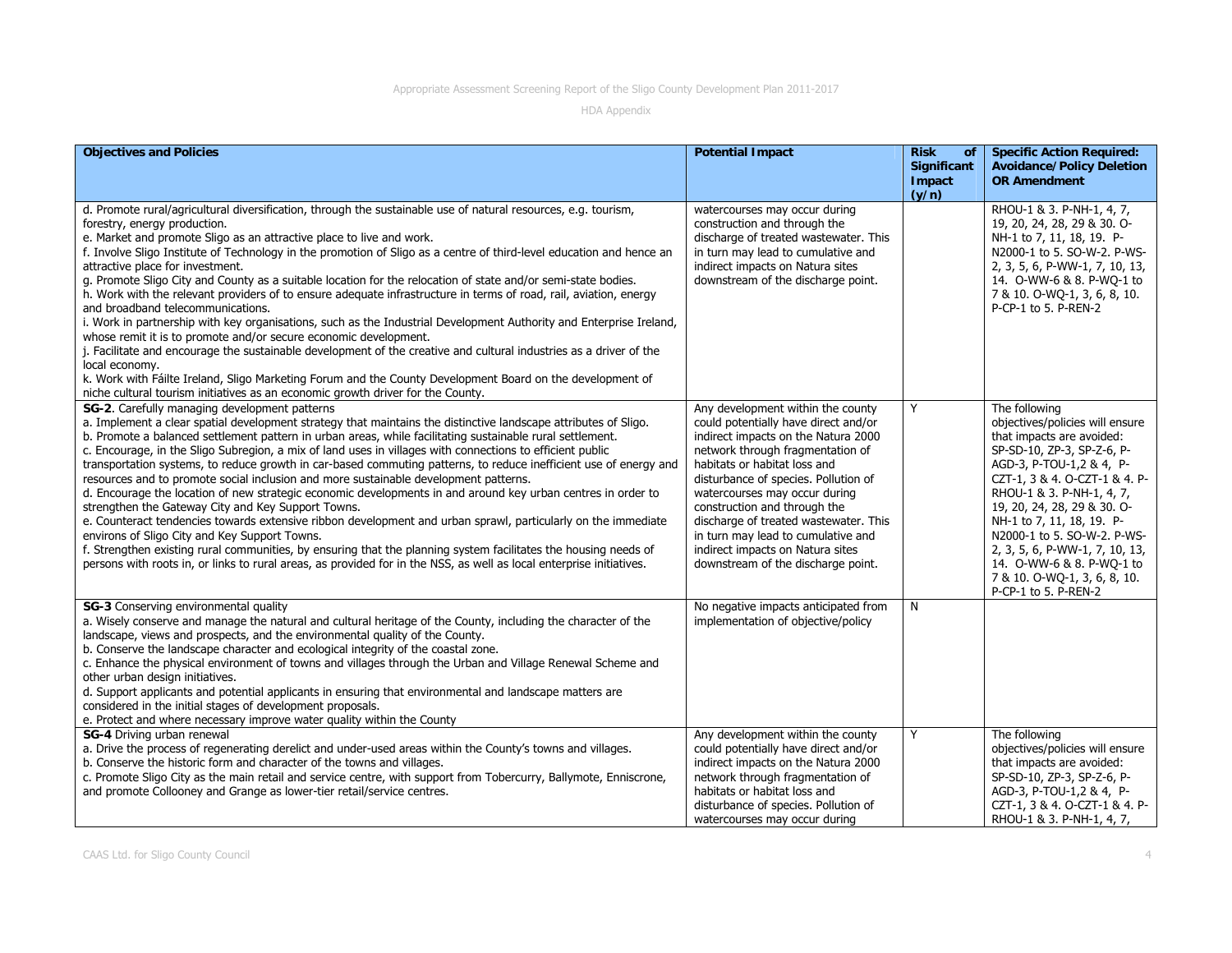| <b>Objectives and Policies</b>                                                                                                                                                                                                                                                                                                                                                                                                                                                                                                                                                                                                                                                                                                                                                                                                                                                                                                                                                                                                                                                                                                                                                                   | <b>Potential Impact</b>                                                                                                                                                                                                                                                                                                                                                                                                                                | <b>Risk</b><br><b>of</b>              | <b>Specific Action Required:</b>                                                                                                                                                                                                                                                                                                                                                                                        |
|--------------------------------------------------------------------------------------------------------------------------------------------------------------------------------------------------------------------------------------------------------------------------------------------------------------------------------------------------------------------------------------------------------------------------------------------------------------------------------------------------------------------------------------------------------------------------------------------------------------------------------------------------------------------------------------------------------------------------------------------------------------------------------------------------------------------------------------------------------------------------------------------------------------------------------------------------------------------------------------------------------------------------------------------------------------------------------------------------------------------------------------------------------------------------------------------------|--------------------------------------------------------------------------------------------------------------------------------------------------------------------------------------------------------------------------------------------------------------------------------------------------------------------------------------------------------------------------------------------------------------------------------------------------------|---------------------------------------|-------------------------------------------------------------------------------------------------------------------------------------------------------------------------------------------------------------------------------------------------------------------------------------------------------------------------------------------------------------------------------------------------------------------------|
|                                                                                                                                                                                                                                                                                                                                                                                                                                                                                                                                                                                                                                                                                                                                                                                                                                                                                                                                                                                                                                                                                                                                                                                                  |                                                                                                                                                                                                                                                                                                                                                                                                                                                        | <b>Significant</b><br>Impact<br>(y/n) | <b>Avoidance/Policy Deletion</b><br><b>OR Amendment</b>                                                                                                                                                                                                                                                                                                                                                                 |
| d. Promote rural/agricultural diversification, through the sustainable use of natural resources, e.g. tourism,<br>forestry, energy production.<br>e. Market and promote Sligo as an attractive place to live and work.<br>f. Involve Sligo Institute of Technology in the promotion of Sligo as a centre of third-level education and hence an<br>attractive place for investment.<br>g. Promote Sligo City and County as a suitable location for the relocation of state and/or semi-state bodies.<br>h. Work with the relevant providers of to ensure adequate infrastructure in terms of road, rail, aviation, energy<br>and broadband telecommunications.<br>i. Work in partnership with key organisations, such as the Industrial Development Authority and Enterprise Ireland,<br>whose remit it is to promote and/or secure economic development.<br>j. Facilitate and encourage the sustainable development of the creative and cultural industries as a driver of the<br>local economy.<br>k. Work with Fáilte Ireland, Sligo Marketing Forum and the County Development Board on the development of<br>niche cultural tourism initiatives as an economic growth driver for the County. | watercourses may occur during<br>construction and through the<br>discharge of treated wastewater. This<br>in turn may lead to cumulative and<br>indirect impacts on Natura sites<br>downstream of the discharge point.                                                                                                                                                                                                                                 |                                       | RHOU-1 & 3. P-NH-1, 4, 7,<br>19, 20, 24, 28, 29 & 30. O-<br>NH-1 to 7, 11, 18, 19. P-<br>N2000-1 to 5. SO-W-2. P-WS-<br>2, 3, 5, 6, P-WW-1, 7, 10, 13,<br>14. O-WW-6 & 8. P-WQ-1 to<br>7 & 10. O-WQ-1, 3, 6, 8, 10.<br>P-CP-1 to 5. P-REN-2                                                                                                                                                                             |
| SG-2. Carefully managing development patterns<br>a. Implement a clear spatial development strategy that maintains the distinctive landscape attributes of Sligo.<br>b. Promote a balanced settlement pattern in urban areas, while facilitating sustainable rural settlement.<br>c. Encourage, in the Sligo Subregion, a mix of land uses in villages with connections to efficient public<br>transportation systems, to reduce growth in car-based commuting patterns, to reduce inefficient use of energy and<br>resources and to promote social inclusion and more sustainable development patterns.<br>d. Encourage the location of new strategic economic developments in and around key urban centres in order to<br>strengthen the Gateway City and Key Support Towns.<br>e. Counteract tendencies towards extensive ribbon development and urban sprawl, particularly on the immediate<br>environs of Sligo City and Key Support Towns.<br>f. Strengthen existing rural communities, by ensuring that the planning system facilitates the housing needs of<br>persons with roots in, or links to rural areas, as provided for in the NSS, as well as local enterprise initiatives.       | Any development within the county<br>could potentially have direct and/or<br>indirect impacts on the Natura 2000<br>network through fragmentation of<br>habitats or habitat loss and<br>disturbance of species. Pollution of<br>watercourses may occur during<br>construction and through the<br>discharge of treated wastewater. This<br>in turn may lead to cumulative and<br>indirect impacts on Natura sites<br>downstream of the discharge point. | Y                                     | The following<br>objectives/policies will ensure<br>that impacts are avoided:<br>SP-SD-10, ZP-3, SP-Z-6, P-<br>AGD-3, P-TOU-1,2 & 4, P-<br>CZT-1, 3 & 4. O-CZT-1 & 4. P-<br>RHOU-1 & 3. P-NH-1, 4, 7,<br>19, 20, 24, 28, 29 & 30. O-<br>NH-1 to 7, 11, 18, 19. P-<br>N2000-1 to 5. SO-W-2. P-WS-<br>2, 3, 5, 6, P-WW-1, 7, 10, 13,<br>14. O-WW-6 & 8. P-WO-1 to<br>7 & 10. O-WQ-1, 3, 6, 8, 10.<br>P-CP-1 to 5. P-REN-2 |
| SG-3 Conserving environmental quality<br>a. Wisely conserve and manage the natural and cultural heritage of the County, including the character of the<br>landscape, views and prospects, and the environmental quality of the County.<br>b. Conserve the landscape character and ecological integrity of the coastal zone.<br>c. Enhance the physical environment of towns and villages through the Urban and Village Renewal Scheme and<br>other urban design initiatives.<br>d. Support applicants and potential applicants in ensuring that environmental and landscape matters are<br>considered in the initial stages of development proposals.<br>e. Protect and where necessary improve water quality within the County                                                                                                                                                                                                                                                                                                                                                                                                                                                                  | No negative impacts anticipated from<br>implementation of objective/policy                                                                                                                                                                                                                                                                                                                                                                             | N                                     |                                                                                                                                                                                                                                                                                                                                                                                                                         |
| SG-4 Driving urban renewal<br>a. Drive the process of regenerating derelict and under-used areas within the County's towns and villages.<br>b. Conserve the historic form and character of the towns and villages.<br>c. Promote Sligo City as the main retail and service centre, with support from Tobercurry, Ballymote, Enniscrone,<br>and promote Collooney and Grange as lower-tier retail/service centres.                                                                                                                                                                                                                                                                                                                                                                                                                                                                                                                                                                                                                                                                                                                                                                                | Any development within the county<br>could potentially have direct and/or<br>indirect impacts on the Natura 2000<br>network through fragmentation of<br>habitats or habitat loss and<br>disturbance of species. Pollution of<br>watercourses may occur during                                                                                                                                                                                          | Y                                     | The following<br>objectives/policies will ensure<br>that impacts are avoided:<br>SP-SD-10, ZP-3, SP-Z-6, P-<br>AGD-3, P-TOU-1,2 & 4, P-<br>CZT-1, 3 & 4. O-CZT-1 & 4. P-<br>RHOU-1 & 3. P-NH-1, 4, 7,                                                                                                                                                                                                                   |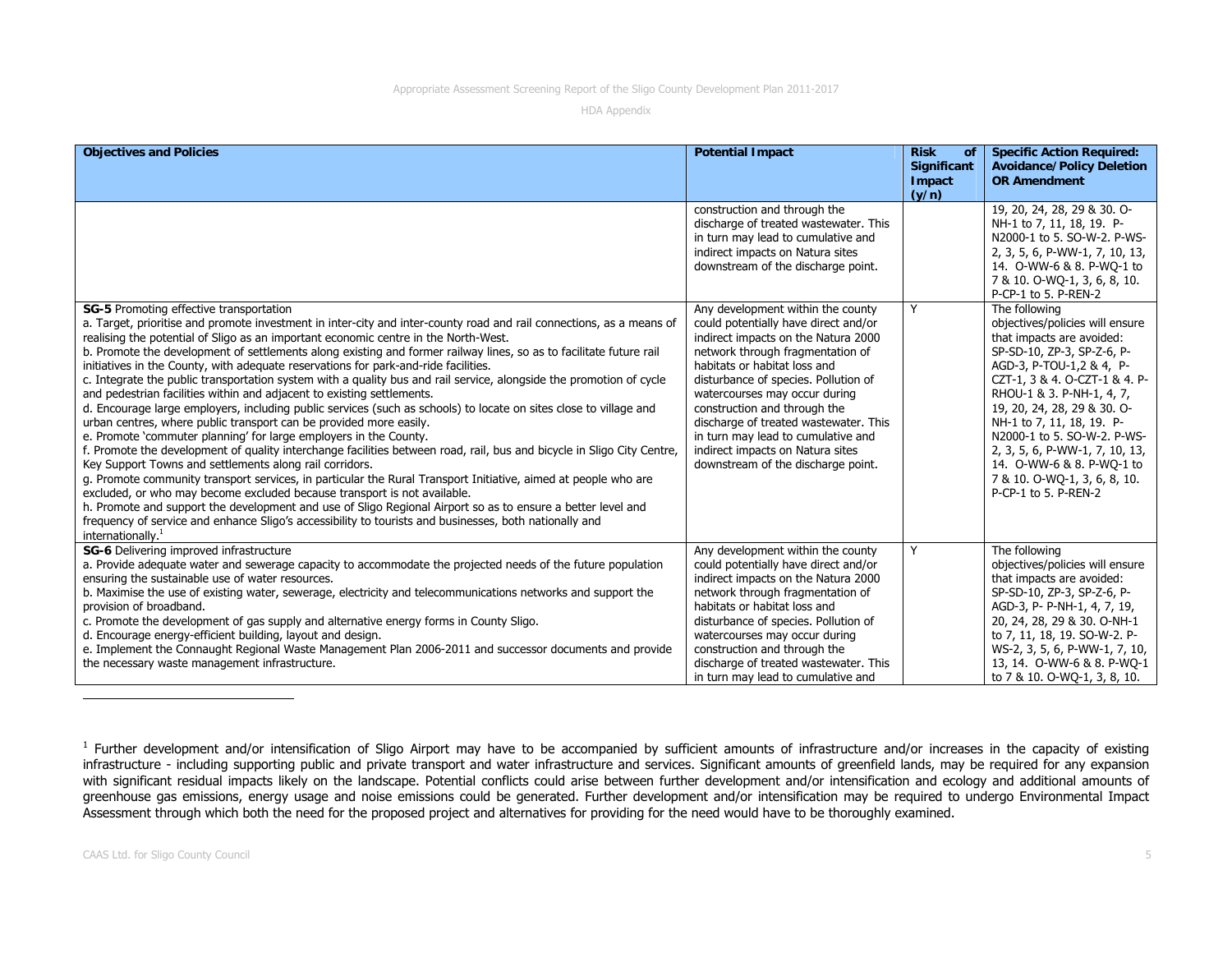HDA Appendix

| <b>Objectives and Policies</b>                                                                                                                                                                                                                                                                                                                                                                                                                                                                                                                                                                                                                                                                                                                                                                                                                                                                                                                                                                                                                                                                                                                                                                                                                                                                                                                                                                                                                                                                                                                                           | <b>Potential Impact</b>                                                                                                                                                                                                                                                                                                                                                                                                                                | <b>Risk</b><br>οf<br><b>Significant</b><br>Impact | <b>Specific Action Required:</b><br><b>Avoidance/Policy Deletion</b><br><b>OR Amendment</b>                                                                                                                                                                                                                                                                                                                             |
|--------------------------------------------------------------------------------------------------------------------------------------------------------------------------------------------------------------------------------------------------------------------------------------------------------------------------------------------------------------------------------------------------------------------------------------------------------------------------------------------------------------------------------------------------------------------------------------------------------------------------------------------------------------------------------------------------------------------------------------------------------------------------------------------------------------------------------------------------------------------------------------------------------------------------------------------------------------------------------------------------------------------------------------------------------------------------------------------------------------------------------------------------------------------------------------------------------------------------------------------------------------------------------------------------------------------------------------------------------------------------------------------------------------------------------------------------------------------------------------------------------------------------------------------------------------------------|--------------------------------------------------------------------------------------------------------------------------------------------------------------------------------------------------------------------------------------------------------------------------------------------------------------------------------------------------------------------------------------------------------------------------------------------------------|---------------------------------------------------|-------------------------------------------------------------------------------------------------------------------------------------------------------------------------------------------------------------------------------------------------------------------------------------------------------------------------------------------------------------------------------------------------------------------------|
|                                                                                                                                                                                                                                                                                                                                                                                                                                                                                                                                                                                                                                                                                                                                                                                                                                                                                                                                                                                                                                                                                                                                                                                                                                                                                                                                                                                                                                                                                                                                                                          | construction and through the<br>discharge of treated wastewater. This<br>in turn may lead to cumulative and<br>indirect impacts on Natura sites<br>downstream of the discharge point.                                                                                                                                                                                                                                                                  | (y/n)                                             | 19, 20, 24, 28, 29 & 30. O-<br>NH-1 to 7, 11, 18, 19. P-<br>N2000-1 to 5, SO-W-2, P-WS-<br>2, 3, 5, 6, P-WW-1, 7, 10, 13,<br>14. O-WW-6 & 8. P-WO-1 to<br>7 & 10. O-WQ-1, 3, 6, 8, 10.<br>P-CP-1 to 5. P-REN-2                                                                                                                                                                                                          |
| SG-5 Promoting effective transportation<br>a. Target, prioritise and promote investment in inter-city and inter-county road and rail connections, as a means of<br>realising the potential of Sligo as an important economic centre in the North-West.<br>b. Promote the development of settlements along existing and former railway lines, so as to facilitate future rail<br>initiatives in the County, with adequate reservations for park-and-ride facilities.<br>c. Integrate the public transportation system with a quality bus and rail service, alongside the promotion of cycle<br>and pedestrian facilities within and adjacent to existing settlements.<br>d. Encourage large employers, including public services (such as schools) to locate on sites close to village and<br>urban centres, where public transport can be provided more easily.<br>e. Promote 'commuter planning' for large employers in the County.<br>f. Promote the development of quality interchange facilities between road, rail, bus and bicycle in Sligo City Centre,<br>Key Support Towns and settlements along rail corridors.<br>g. Promote community transport services, in particular the Rural Transport Initiative, aimed at people who are<br>excluded, or who may become excluded because transport is not available.<br>h. Promote and support the development and use of Sligo Regional Airport so as to ensure a better level and<br>frequency of service and enhance Sligo's accessibility to tourists and businesses, both nationally and<br>internationally. $1$ | Any development within the county<br>could potentially have direct and/or<br>indirect impacts on the Natura 2000<br>network through fragmentation of<br>habitats or habitat loss and<br>disturbance of species. Pollution of<br>watercourses may occur during<br>construction and through the<br>discharge of treated wastewater. This<br>in turn may lead to cumulative and<br>indirect impacts on Natura sites<br>downstream of the discharge point. | Y                                                 | The following<br>objectives/policies will ensure<br>that impacts are avoided:<br>SP-SD-10, ZP-3, SP-Z-6, P-<br>AGD-3, P-TOU-1,2 & 4, P-<br>CZT-1, 3 & 4. O-CZT-1 & 4. P-<br>RHOU-1 & 3. P-NH-1, 4, 7,<br>19, 20, 24, 28, 29 & 30. O-<br>NH-1 to 7, 11, 18, 19. P-<br>N2000-1 to 5. SO-W-2. P-WS-<br>2, 3, 5, 6, P-WW-1, 7, 10, 13,<br>14. O-WW-6 & 8. P-WO-1 to<br>7 & 10. O-WQ-1, 3, 6, 8, 10.<br>P-CP-1 to 5. P-REN-2 |
| SG-6 Delivering improved infrastructure<br>a. Provide adequate water and sewerage capacity to accommodate the projected needs of the future population<br>ensuring the sustainable use of water resources.<br>b. Maximise the use of existing water, sewerage, electricity and telecommunications networks and support the<br>provision of broadband.<br>c. Promote the development of gas supply and alternative energy forms in County Sligo.<br>d. Encourage energy-efficient building, layout and design.<br>e. Implement the Connaught Regional Waste Management Plan 2006-2011 and successor documents and provide<br>the necessary waste management infrastructure.                                                                                                                                                                                                                                                                                                                                                                                                                                                                                                                                                                                                                                                                                                                                                                                                                                                                                               | Any development within the county<br>could potentially have direct and/or<br>indirect impacts on the Natura 2000<br>network through fragmentation of<br>habitats or habitat loss and<br>disturbance of species. Pollution of<br>watercourses may occur during<br>construction and through the<br>discharge of treated wastewater. This<br>in turn may lead to cumulative and                                                                           | Y                                                 | The following<br>objectives/policies will ensure<br>that impacts are avoided:<br>SP-SD-10, ZP-3, SP-Z-6, P-<br>AGD-3, P- P-NH-1, 4, 7, 19,<br>20, 24, 28, 29 & 30. O-NH-1<br>to 7, 11, 18, 19. SO-W-2. P-<br>WS-2, 3, 5, 6, P-WW-1, 7, 10,<br>13, 14. O-WW-6 & 8. P-WQ-1<br>to 7 & 10. O-WQ-1, 3, 8, 10.                                                                                                                |

<sup>1</sup> Further development and/or intensification of Sligo Airport may have to be accompanied by sufficient amounts of infrastructure and/or increases in the capacity of existing infrastructure - including supporting public and private transport and water infrastructure and services. Significant amounts of greenfield lands, may be required for any expansion with significant residual impacts likely on the landscape. Potential conflicts could arise between further development and/or intensification and ecology and additional amounts of greenhouse gas emissions, energy usage and noise emissions could be generated. Further development and/or intensification may be required to undergo Environmental Impact Assessment through which both the need for the proposed project and alternatives for providing for the need would have to be thoroughly examined.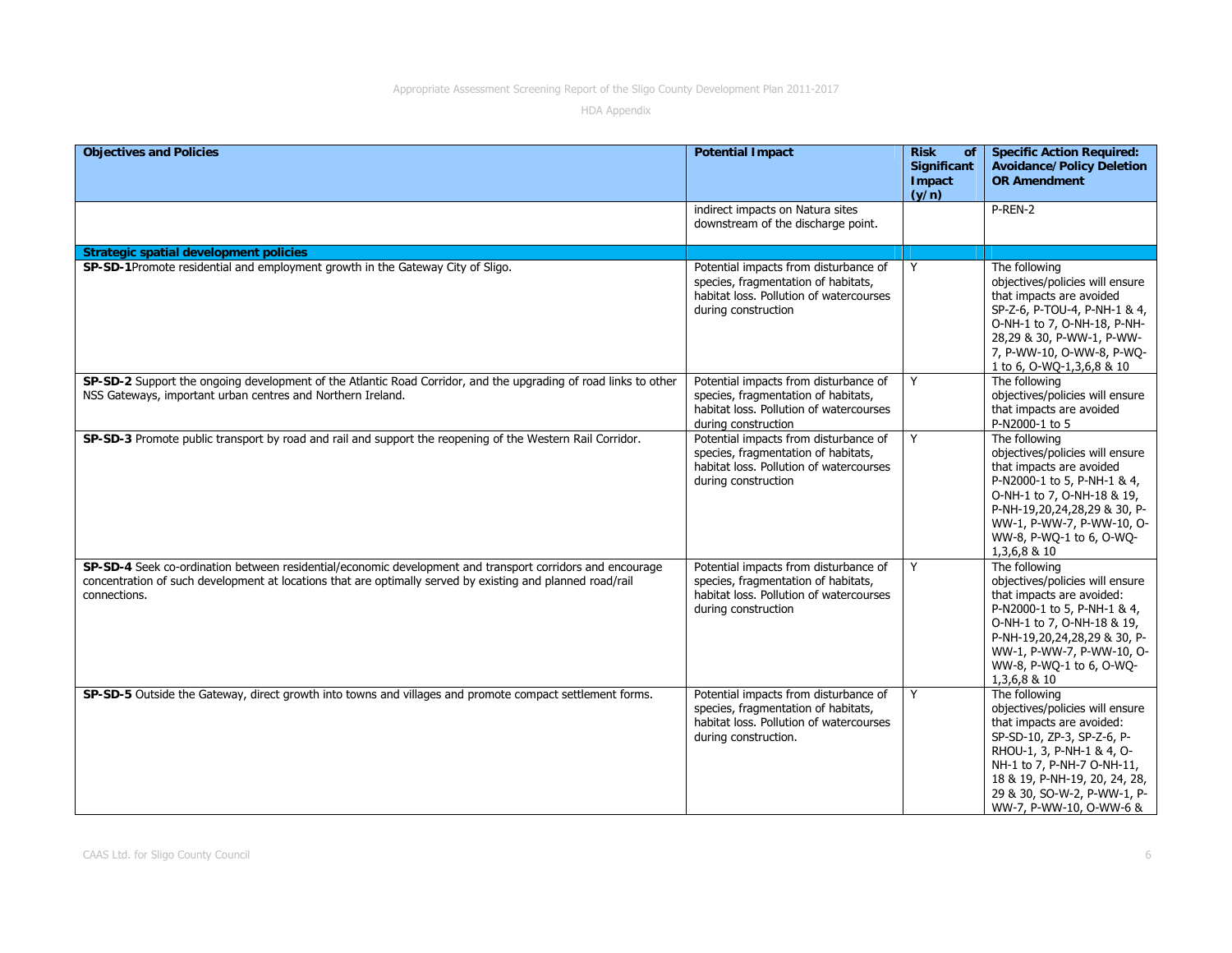| <b>Objectives and Policies</b>                                                                                                                                                                                                          | <b>Potential Impact</b>                                                                                                                         | <b>Risk</b><br>of<br><b>Significant</b><br>Impact<br>(y/n) | <b>Specific Action Required:</b><br><b>Avoidance/Policy Deletion</b><br><b>OR Amendment</b>                                                                                                                                                                       |
|-----------------------------------------------------------------------------------------------------------------------------------------------------------------------------------------------------------------------------------------|-------------------------------------------------------------------------------------------------------------------------------------------------|------------------------------------------------------------|-------------------------------------------------------------------------------------------------------------------------------------------------------------------------------------------------------------------------------------------------------------------|
|                                                                                                                                                                                                                                         | indirect impacts on Natura sites<br>downstream of the discharge point.                                                                          |                                                            | P-REN-2                                                                                                                                                                                                                                                           |
| <b>Strategic spatial development policies</b>                                                                                                                                                                                           |                                                                                                                                                 |                                                            |                                                                                                                                                                                                                                                                   |
| SP-SD-1Promote residential and employment growth in the Gateway City of Sligo.                                                                                                                                                          | Potential impacts from disturbance of<br>species, fragmentation of habitats,<br>habitat loss. Pollution of watercourses<br>during construction  | Y                                                          | The following<br>objectives/policies will ensure<br>that impacts are avoided<br>SP-Z-6, P-TOU-4, P-NH-1 & 4,<br>O-NH-1 to 7, O-NH-18, P-NH-<br>28,29 & 30, P-WW-1, P-WW-<br>7, P-WW-10, O-WW-8, P-WO-<br>1 to 6, 0-WQ-1,3,6,8 & 10                                |
| SP-SD-2 Support the ongoing development of the Atlantic Road Corridor, and the upgrading of road links to other<br>NSS Gateways, important urban centres and Northern Ireland.                                                          | Potential impacts from disturbance of<br>species, fragmentation of habitats,<br>habitat loss. Pollution of watercourses<br>during construction  | Y                                                          | The following<br>objectives/policies will ensure<br>that impacts are avoided<br>P-N2000-1 to 5                                                                                                                                                                    |
| SP-SD-3 Promote public transport by road and rail and support the reopening of the Western Rail Corridor.                                                                                                                               | Potential impacts from disturbance of<br>species, fragmentation of habitats,<br>habitat loss. Pollution of watercourses<br>during construction  | Y                                                          | The following<br>objectives/policies will ensure<br>that impacts are avoided<br>P-N2000-1 to 5, P-NH-1 & 4,<br>O-NH-1 to 7, O-NH-18 & 19,<br>P-NH-19,20,24,28,29 & 30, P-<br>WW-1, P-WW-7, P-WW-10, O-<br>WW-8, P-WQ-1 to 6, O-WQ-<br>1,3,6,8 & 10                |
| SP-SD-4 Seek co-ordination between residential/economic development and transport corridors and encourage<br>concentration of such development at locations that are optimally served by existing and planned road/rail<br>connections. | Potential impacts from disturbance of<br>species, fragmentation of habitats,<br>habitat loss. Pollution of watercourses<br>during construction  | Y                                                          | The following<br>objectives/policies will ensure<br>that impacts are avoided:<br>P-N2000-1 to 5, P-NH-1 & 4,<br>O-NH-1 to 7, O-NH-18 & 19,<br>P-NH-19,20,24,28,29 & 30, P-<br>WW-1, P-WW-7, P-WW-10, O-<br>WW-8, P-WQ-1 to 6, O-WQ-<br>1,3,6,8 & 10               |
| SP-SD-5 Outside the Gateway, direct growth into towns and villages and promote compact settlement forms.                                                                                                                                | Potential impacts from disturbance of<br>species, fragmentation of habitats,<br>habitat loss. Pollution of watercourses<br>during construction. | Y                                                          | The following<br>objectives/policies will ensure<br>that impacts are avoided:<br>SP-SD-10, ZP-3, SP-Z-6, P-<br>RHOU-1, 3, P-NH-1 & 4, O-<br>NH-1 to 7, P-NH-7 O-NH-11,<br>18 & 19, P-NH-19, 20, 24, 28,<br>29 & 30, SO-W-2, P-WW-1, P-<br>WW-7, P-WW-10, O-WW-6 & |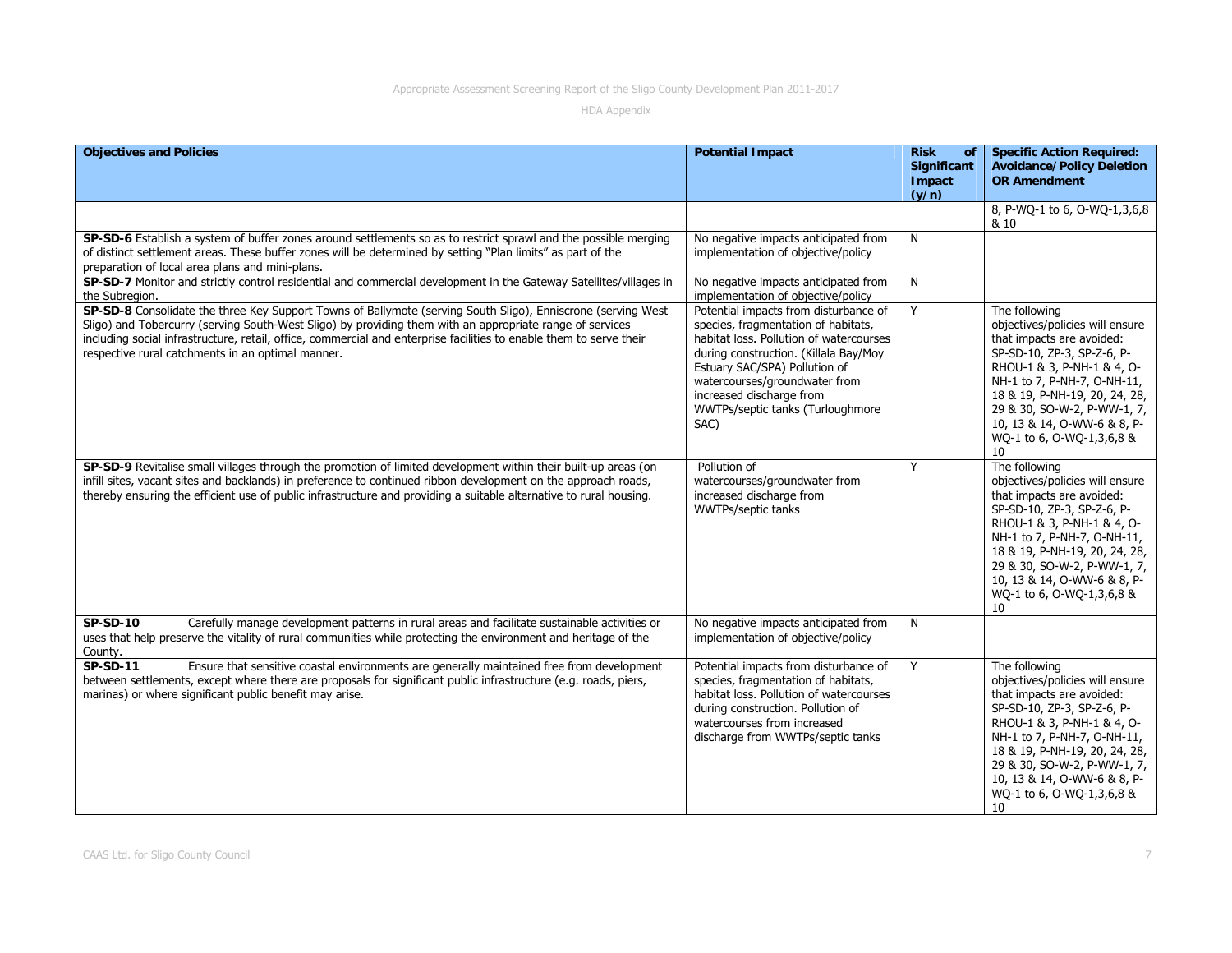| <b>Objectives and Policies</b>                                                                                                                                                                                                                                                                                                                                                                       | <b>Potential Impact</b>                                                                                                                                                                                                                                                                                    | <b>Risk</b><br><b>of</b><br>Significant<br>Impact<br>(y/n) | <b>Specific Action Required:</b><br><b>Avoidance/Policy Deletion</b><br><b>OR Amendment</b>                                                                                                                                                                                                                |
|------------------------------------------------------------------------------------------------------------------------------------------------------------------------------------------------------------------------------------------------------------------------------------------------------------------------------------------------------------------------------------------------------|------------------------------------------------------------------------------------------------------------------------------------------------------------------------------------------------------------------------------------------------------------------------------------------------------------|------------------------------------------------------------|------------------------------------------------------------------------------------------------------------------------------------------------------------------------------------------------------------------------------------------------------------------------------------------------------------|
|                                                                                                                                                                                                                                                                                                                                                                                                      |                                                                                                                                                                                                                                                                                                            |                                                            | 8, P-WQ-1 to 6, O-WQ-1,3,6,8<br>& 10                                                                                                                                                                                                                                                                       |
| SP-SD-6 Establish a system of buffer zones around settlements so as to restrict sprawl and the possible merging<br>of distinct settlement areas. These buffer zones will be determined by setting "Plan limits" as part of the<br>preparation of local area plans and mini-plans.                                                                                                                    | No negative impacts anticipated from<br>implementation of objective/policy                                                                                                                                                                                                                                 | N                                                          |                                                                                                                                                                                                                                                                                                            |
| SP-SD-7 Monitor and strictly control residential and commercial development in the Gateway Satellites/villages in<br>the Subregion.                                                                                                                                                                                                                                                                  | No negative impacts anticipated from<br>implementation of objective/policy                                                                                                                                                                                                                                 | N                                                          |                                                                                                                                                                                                                                                                                                            |
| SP-SD-8 Consolidate the three Key Support Towns of Ballymote (serving South Sligo), Enniscrone (serving West<br>Sligo) and Tobercurry (serving South-West Sligo) by providing them with an appropriate range of services<br>including social infrastructure, retail, office, commercial and enterprise facilities to enable them to serve their<br>respective rural catchments in an optimal manner. | Potential impacts from disturbance of<br>species, fragmentation of habitats,<br>habitat loss. Pollution of watercourses<br>during construction. (Killala Bay/Moy<br>Estuary SAC/SPA) Pollution of<br>watercourses/groundwater from<br>increased discharge from<br>WWTPs/septic tanks (Turloughmore<br>SAC) | Y                                                          | The following<br>objectives/policies will ensure<br>that impacts are avoided:<br>SP-SD-10, ZP-3, SP-Z-6, P-<br>RHOU-1 & 3, P-NH-1 & 4, O-<br>NH-1 to 7, P-NH-7, O-NH-11,<br>18 & 19, P-NH-19, 20, 24, 28,<br>29 & 30, SO-W-2, P-WW-1, 7,<br>10, 13 & 14, O-WW-6 & 8, P-<br>WQ-1 to 6, O-WQ-1,3,6,8 &<br>10 |
| SP-SD-9 Revitalise small villages through the promotion of limited development within their built-up areas (on<br>infill sites, vacant sites and backlands) in preference to continued ribbon development on the approach roads,<br>thereby ensuring the efficient use of public infrastructure and providing a suitable alternative to rural housing.                                               | Pollution of<br>watercourses/groundwater from<br>increased discharge from<br>WWTPs/septic tanks                                                                                                                                                                                                            | Y                                                          | The following<br>objectives/policies will ensure<br>that impacts are avoided:<br>SP-SD-10, ZP-3, SP-Z-6, P-<br>RHOU-1 & 3, P-NH-1 & 4, O-<br>NH-1 to 7, P-NH-7, O-NH-11,<br>18 & 19, P-NH-19, 20, 24, 28,<br>29 & 30, SO-W-2, P-WW-1, 7,<br>10, 13 & 14, O-WW-6 & 8, P-<br>WQ-1 to 6, O-WQ-1,3,6,8 &<br>10 |
| Carefully manage development patterns in rural areas and facilitate sustainable activities or<br><b>SP-SD-10</b><br>uses that help preserve the vitality of rural communities while protecting the environment and heritage of the<br>County.                                                                                                                                                        | No negative impacts anticipated from<br>implementation of objective/policy                                                                                                                                                                                                                                 | N                                                          |                                                                                                                                                                                                                                                                                                            |
| $SP-SD-11$<br>Ensure that sensitive coastal environments are generally maintained free from development<br>between settlements, except where there are proposals for significant public infrastructure (e.g. roads, piers,<br>marinas) or where significant public benefit may arise.                                                                                                                | Potential impacts from disturbance of<br>species, fragmentation of habitats,<br>habitat loss. Pollution of watercourses<br>during construction. Pollution of<br>watercourses from increased<br>discharge from WWTPs/septic tanks                                                                           | Y                                                          | The following<br>objectives/policies will ensure<br>that impacts are avoided:<br>SP-SD-10, ZP-3, SP-Z-6, P-<br>RHOU-1 & 3, P-NH-1 & 4, O-<br>NH-1 to 7, P-NH-7, O-NH-11,<br>18 & 19, P-NH-19, 20, 24, 28,<br>29 & 30, SO-W-2, P-WW-1, 7,<br>10, 13 & 14, O-WW-6 & 8, P-<br>WQ-1 to 6, O-WQ-1,3,6,8 &<br>10 |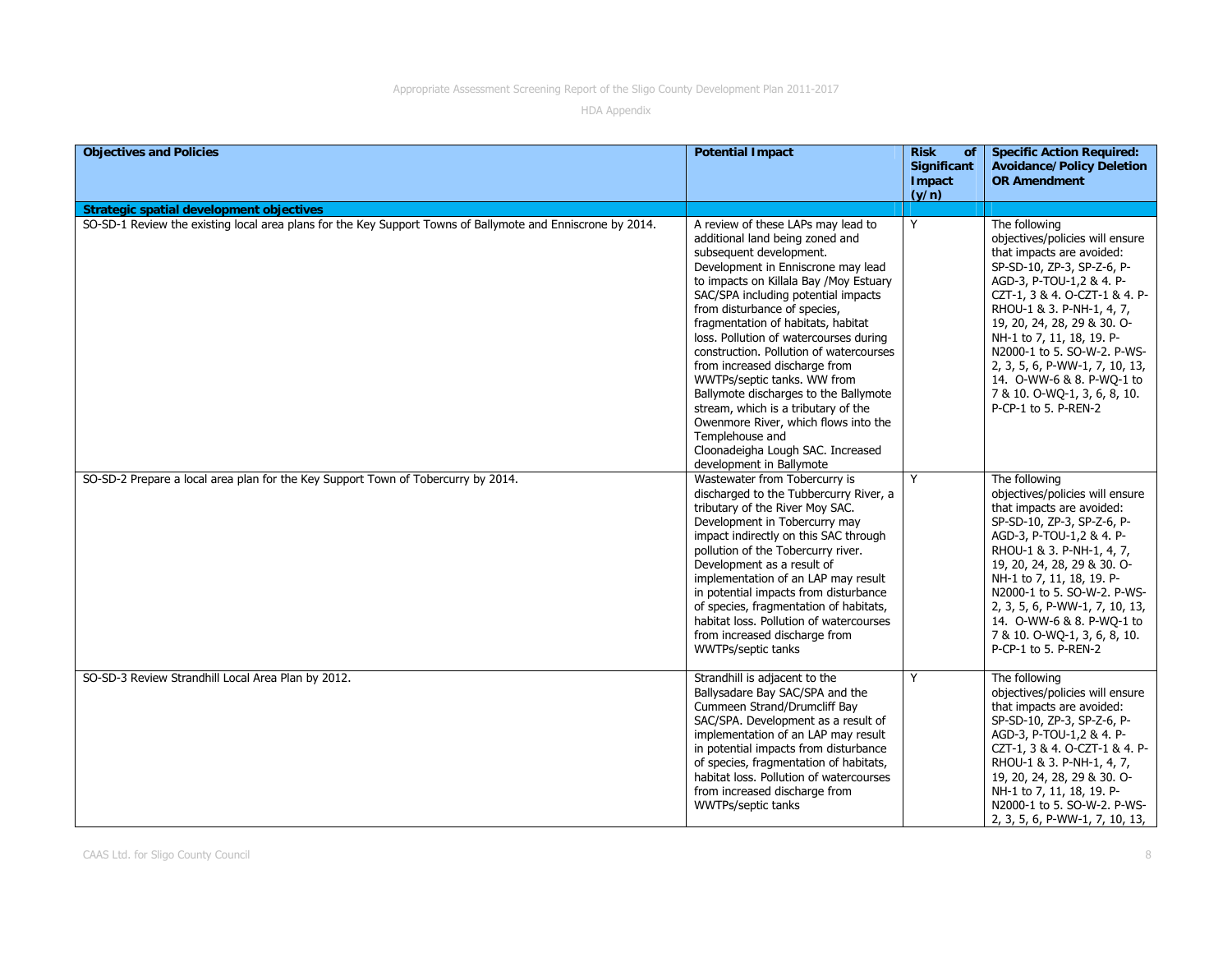| <b>Objectives and Policies</b>                                                                              | <b>Potential Impact</b>                                                                                                                                                                                                                                                                                                                                                                                                                                                                                                                                                                                                            | <b>Risk</b><br><b>of</b><br><b>Significant</b><br>Impact<br>(y/n) | <b>Specific Action Required:</b><br><b>Avoidance/Policy Deletion</b><br><b>OR Amendment</b>                                                                                                                                                                                                                                                                                                                             |
|-------------------------------------------------------------------------------------------------------------|------------------------------------------------------------------------------------------------------------------------------------------------------------------------------------------------------------------------------------------------------------------------------------------------------------------------------------------------------------------------------------------------------------------------------------------------------------------------------------------------------------------------------------------------------------------------------------------------------------------------------------|-------------------------------------------------------------------|-------------------------------------------------------------------------------------------------------------------------------------------------------------------------------------------------------------------------------------------------------------------------------------------------------------------------------------------------------------------------------------------------------------------------|
| <b>Strategic spatial development objectives</b>                                                             |                                                                                                                                                                                                                                                                                                                                                                                                                                                                                                                                                                                                                                    |                                                                   |                                                                                                                                                                                                                                                                                                                                                                                                                         |
| SO-SD-1 Review the existing local area plans for the Key Support Towns of Ballymote and Enniscrone by 2014. | A review of these LAPs may lead to<br>additional land being zoned and<br>subsequent development.<br>Development in Enniscrone may lead<br>to impacts on Killala Bay /Moy Estuary<br>SAC/SPA including potential impacts<br>from disturbance of species,<br>fragmentation of habitats, habitat<br>loss. Pollution of watercourses during<br>construction. Pollution of watercourses<br>from increased discharge from<br>WWTPs/septic tanks. WW from<br>Ballymote discharges to the Ballymote<br>stream, which is a tributary of the<br>Owenmore River, which flows into the<br>Templehouse and<br>Cloonadeigha Lough SAC. Increased | Y                                                                 | The following<br>objectives/policies will ensure<br>that impacts are avoided:<br>SP-SD-10, ZP-3, SP-Z-6, P-<br>AGD-3, P-TOU-1,2 & 4. P-<br>CZT-1, 3 & 4. O-CZT-1 & 4. P-<br>RHOU-1 & 3. P-NH-1, 4, 7,<br>19, 20, 24, 28, 29 & 30. O-<br>NH-1 to 7, 11, 18, 19. P-<br>N2000-1 to 5. SO-W-2. P-WS-<br>2, 3, 5, 6, P-WW-1, 7, 10, 13,<br>14. O-WW-6 & 8. P-WQ-1 to<br>7 & 10. O-WQ-1, 3, 6, 8, 10.<br>P-CP-1 to 5. P-REN-2 |
| SO-SD-2 Prepare a local area plan for the Key Support Town of Tobercurry by 2014.                           | development in Ballymote<br>Wastewater from Tobercurry is<br>discharged to the Tubbercurry River, a<br>tributary of the River Moy SAC.<br>Development in Tobercurry may<br>impact indirectly on this SAC through<br>pollution of the Tobercurry river.<br>Development as a result of<br>implementation of an LAP may result<br>in potential impacts from disturbance<br>of species, fragmentation of habitats,<br>habitat loss. Pollution of watercourses<br>from increased discharge from<br>WWTPs/septic tanks                                                                                                                   | Y                                                                 | The following<br>objectives/policies will ensure<br>that impacts are avoided:<br>SP-SD-10, ZP-3, SP-Z-6, P-<br>AGD-3, P-TOU-1,2 & 4. P-<br>RHOU-1 & 3. P-NH-1, 4, 7,<br>19, 20, 24, 28, 29 & 30. O-<br>NH-1 to 7, 11, 18, 19. P-<br>N2000-1 to 5. SO-W-2. P-WS-<br>2, 3, 5, 6, P-WW-1, 7, 10, 13,<br>14. O-WW-6 & 8. P-WQ-1 to<br>7 & 10. O-WQ-1, 3, 6, 8, 10.<br>P-CP-1 to 5. P-REN-2                                  |
| SO-SD-3 Review Strandhill Local Area Plan by 2012.                                                          | Strandhill is adjacent to the<br>Ballysadare Bay SAC/SPA and the<br>Cummeen Strand/Drumcliff Bay<br>SAC/SPA. Development as a result of<br>implementation of an LAP may result<br>in potential impacts from disturbance<br>of species, fragmentation of habitats,<br>habitat loss. Pollution of watercourses<br>from increased discharge from<br>WWTPs/septic tanks                                                                                                                                                                                                                                                                | Y                                                                 | The following<br>objectives/policies will ensure<br>that impacts are avoided:<br>SP-SD-10, ZP-3, SP-Z-6, P-<br>AGD-3, P-TOU-1,2 & 4. P-<br>CZT-1, 3 & 4. O-CZT-1 & 4. P-<br>RHOU-1 & 3. P-NH-1, 4, 7,<br>19, 20, 24, 28, 29 & 30. O-<br>NH-1 to 7, 11, 18, 19. P-<br>N2000-1 to 5. SO-W-2. P-WS-<br>2, 3, 5, 6, P-WW-1, 7, 10, 13,                                                                                      |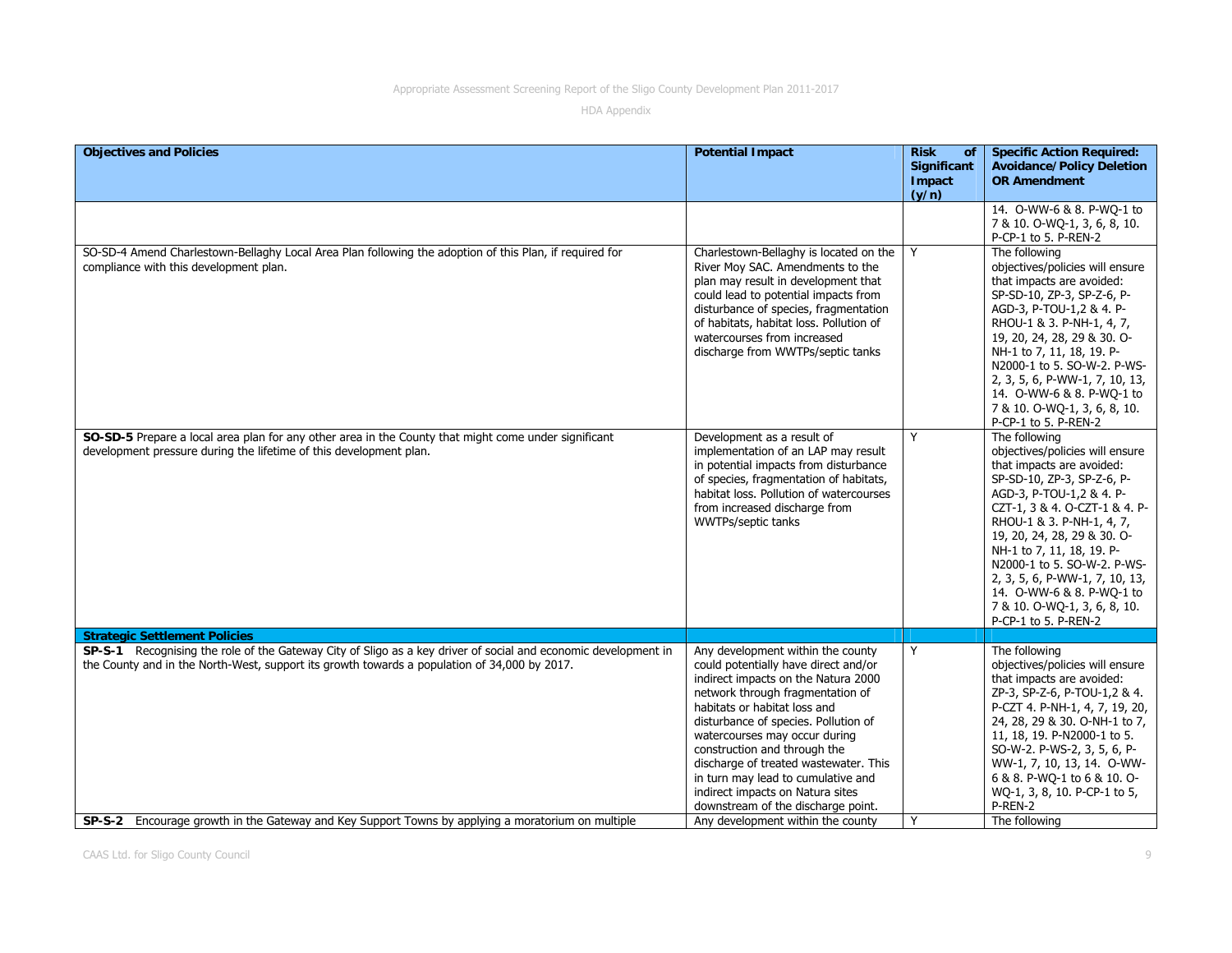| <b>Objectives and Policies</b>                                                                                                                                                                                 | <b>Potential Impact</b>                                                                                                                                                                                                                                                                                                                                                                                                                                | <b>Risk</b><br><b>of</b><br>Significant<br>Impact<br>(y/n) | <b>Specific Action Required:</b><br><b>Avoidance/Policy Deletion</b><br><b>OR Amendment</b><br>14. O-WW-6 & 8. P-WO-1 to                                                                                                                                                                                                                                                                                                |
|----------------------------------------------------------------------------------------------------------------------------------------------------------------------------------------------------------------|--------------------------------------------------------------------------------------------------------------------------------------------------------------------------------------------------------------------------------------------------------------------------------------------------------------------------------------------------------------------------------------------------------------------------------------------------------|------------------------------------------------------------|-------------------------------------------------------------------------------------------------------------------------------------------------------------------------------------------------------------------------------------------------------------------------------------------------------------------------------------------------------------------------------------------------------------------------|
|                                                                                                                                                                                                                |                                                                                                                                                                                                                                                                                                                                                                                                                                                        |                                                            | 7 & 10. O-WQ-1, 3, 6, 8, 10.<br>P-CP-1 to 5. P-REN-2                                                                                                                                                                                                                                                                                                                                                                    |
| SO-SD-4 Amend Charlestown-Bellaghy Local Area Plan following the adoption of this Plan, if required for<br>compliance with this development plan.                                                              | Charlestown-Bellaghy is located on the<br>River Moy SAC. Amendments to the<br>plan may result in development that<br>could lead to potential impacts from<br>disturbance of species, fragmentation<br>of habitats, habitat loss. Pollution of<br>watercourses from increased<br>discharge from WWTPs/septic tanks                                                                                                                                      | Y                                                          | The following<br>objectives/policies will ensure<br>that impacts are avoided:<br>SP-SD-10, ZP-3, SP-Z-6, P-<br>AGD-3, P-TOU-1,2 & 4. P-<br>RHOU-1 & 3. P-NH-1, 4, 7,<br>19, 20, 24, 28, 29 & 30. O-<br>NH-1 to 7, 11, 18, 19. P-<br>N2000-1 to 5. SO-W-2. P-WS-<br>2, 3, 5, 6, P-WW-1, 7, 10, 13,<br>14. O-WW-6 & 8. P-WO-1 to<br>7 & 10. O-WQ-1, 3, 6, 8, 10.<br>P-CP-1 to 5. P-REN-2                                  |
| SO-SD-5 Prepare a local area plan for any other area in the County that might come under significant<br>development pressure during the lifetime of this development plan.                                     | Development as a result of<br>implementation of an LAP may result<br>in potential impacts from disturbance<br>of species, fragmentation of habitats,<br>habitat loss. Pollution of watercourses<br>from increased discharge from<br>WWTPs/septic tanks                                                                                                                                                                                                 | Y                                                          | The following<br>objectives/policies will ensure<br>that impacts are avoided:<br>SP-SD-10, ZP-3, SP-Z-6, P-<br>AGD-3, P-TOU-1,2 & 4. P-<br>CZT-1, 3 & 4. O-CZT-1 & 4. P-<br>RHOU-1 & 3. P-NH-1, 4, 7,<br>19, 20, 24, 28, 29 & 30. O-<br>NH-1 to 7, 11, 18, 19. P-<br>N2000-1 to 5. SO-W-2. P-WS-<br>2, 3, 5, 6, P-WW-1, 7, 10, 13,<br>14. O-WW-6 & 8. P-WQ-1 to<br>7 & 10. O-WQ-1, 3, 6, 8, 10.<br>P-CP-1 to 5. P-REN-2 |
| <b>Strategic Settlement Policies</b>                                                                                                                                                                           |                                                                                                                                                                                                                                                                                                                                                                                                                                                        |                                                            |                                                                                                                                                                                                                                                                                                                                                                                                                         |
| SP-S-1 Recognising the role of the Gateway City of Sligo as a key driver of social and economic development in<br>the County and in the North-West, support its growth towards a population of 34,000 by 2017. | Any development within the county<br>could potentially have direct and/or<br>indirect impacts on the Natura 2000<br>network through fragmentation of<br>habitats or habitat loss and<br>disturbance of species. Pollution of<br>watercourses may occur during<br>construction and through the<br>discharge of treated wastewater. This<br>in turn may lead to cumulative and<br>indirect impacts on Natura sites<br>downstream of the discharge point. | Y                                                          | The following<br>objectives/policies will ensure<br>that impacts are avoided:<br>ZP-3, SP-Z-6, P-TOU-1,2 & 4.<br>P-CZT 4. P-NH-1, 4, 7, 19, 20,<br>24, 28, 29 & 30. O-NH-1 to 7,<br>11, 18, 19. P-N2000-1 to 5.<br>SO-W-2. P-WS-2, 3, 5, 6, P-<br>WW-1, 7, 10, 13, 14. O-WW-<br>6 & 8. P-WQ-1 to 6 & 10. O-<br>WQ-1, 3, 8, 10. P-CP-1 to 5,<br>P-REN-2                                                                  |
| SP-S-2 Encourage growth in the Gateway and Key Support Towns by applying a moratorium on multiple                                                                                                              | Any development within the county                                                                                                                                                                                                                                                                                                                                                                                                                      | Y                                                          | The following                                                                                                                                                                                                                                                                                                                                                                                                           |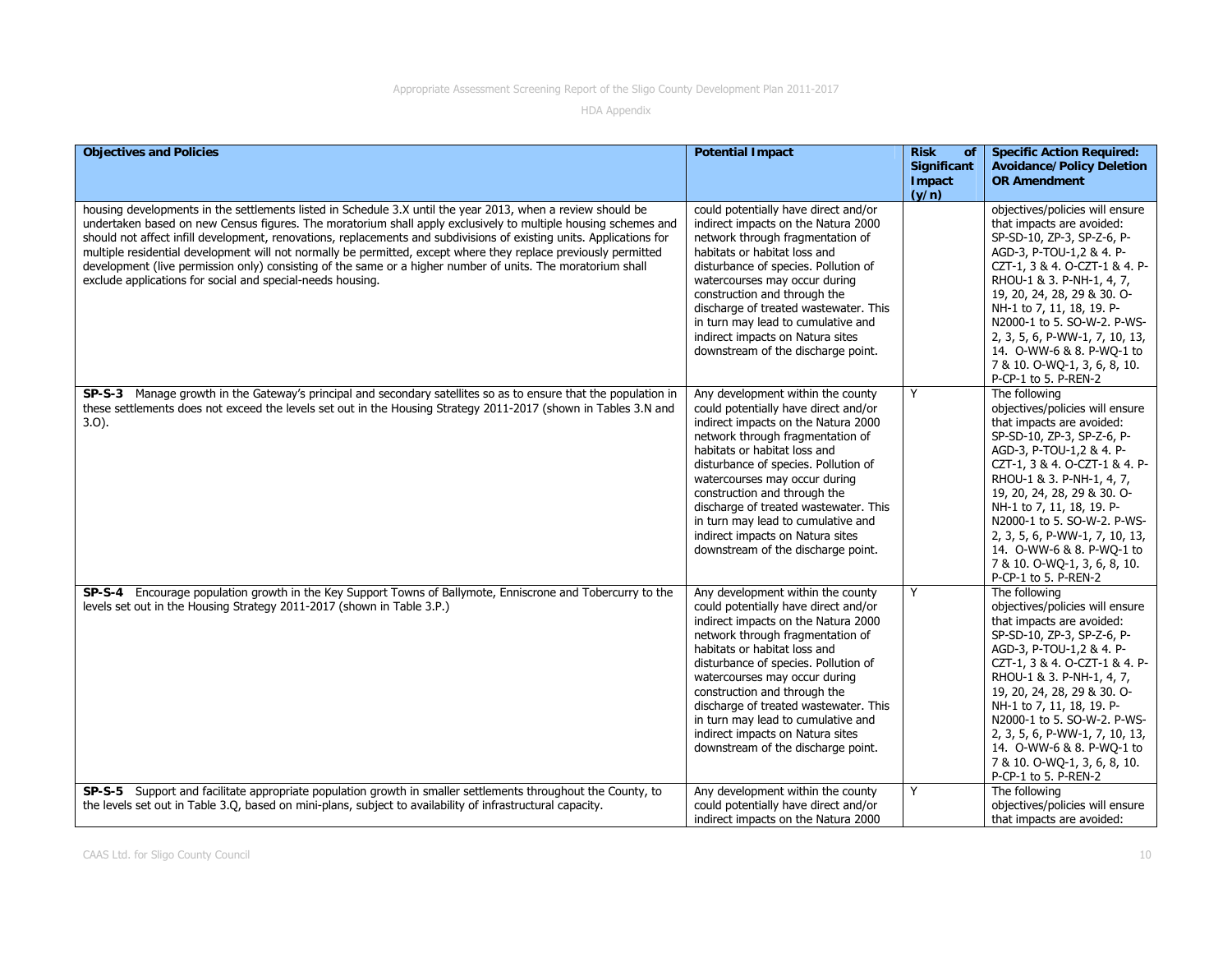| <b>Objectives and Policies</b>                                                                                                                                                                                                                                                                                                                                                                                                                                                                                                                                                                                                                        | <b>Potential Impact</b>                                                                                                                                                                                                                                                                                                                                                                                                                                | <b>Risk</b><br><b>of</b><br><b>Significant</b><br>Impact<br>(y/n) | <b>Specific Action Required:</b><br><b>Avoidance/Policy Deletion</b><br><b>OR Amendment</b>                                                                                                                                                                                                                                                                                                                             |
|-------------------------------------------------------------------------------------------------------------------------------------------------------------------------------------------------------------------------------------------------------------------------------------------------------------------------------------------------------------------------------------------------------------------------------------------------------------------------------------------------------------------------------------------------------------------------------------------------------------------------------------------------------|--------------------------------------------------------------------------------------------------------------------------------------------------------------------------------------------------------------------------------------------------------------------------------------------------------------------------------------------------------------------------------------------------------------------------------------------------------|-------------------------------------------------------------------|-------------------------------------------------------------------------------------------------------------------------------------------------------------------------------------------------------------------------------------------------------------------------------------------------------------------------------------------------------------------------------------------------------------------------|
| housing developments in the settlements listed in Schedule 3.X until the year 2013, when a review should be<br>undertaken based on new Census figures. The moratorium shall apply exclusively to multiple housing schemes and<br>should not affect infill development, renovations, replacements and subdivisions of existing units. Applications for<br>multiple residential development will not normally be permitted, except where they replace previously permitted<br>development (live permission only) consisting of the same or a higher number of units. The moratorium shall<br>exclude applications for social and special-needs housing. | could potentially have direct and/or<br>indirect impacts on the Natura 2000<br>network through fragmentation of<br>habitats or habitat loss and<br>disturbance of species. Pollution of<br>watercourses may occur during<br>construction and through the<br>discharge of treated wastewater. This<br>in turn may lead to cumulative and<br>indirect impacts on Natura sites<br>downstream of the discharge point.                                      |                                                                   | objectives/policies will ensure<br>that impacts are avoided:<br>SP-SD-10, ZP-3, SP-Z-6, P-<br>AGD-3, P-TOU-1,2 & 4. P-<br>CZT-1, 3 & 4. O-CZT-1 & 4. P-<br>RHOU-1 & 3. P-NH-1, 4, 7,<br>19, 20, 24, 28, 29 & 30. O-<br>NH-1 to 7, 11, 18, 19. P-<br>N2000-1 to 5. SO-W-2. P-WS-<br>2, 3, 5, 6, P-WW-1, 7, 10, 13,<br>14. 0-WW-6 & 8. P-WQ-1 to<br>7 & 10. O-WQ-1, 3, 6, 8, 10.<br>P-CP-1 to 5. P-REN-2                  |
| SP-S-3 Manage growth in the Gateway's principal and secondary satellites so as to ensure that the population in<br>these settlements does not exceed the levels set out in the Housing Strategy 2011-2017 (shown in Tables 3.N and<br>$3.0$ ).                                                                                                                                                                                                                                                                                                                                                                                                        | Any development within the county<br>could potentially have direct and/or<br>indirect impacts on the Natura 2000<br>network through fragmentation of<br>habitats or habitat loss and<br>disturbance of species. Pollution of<br>watercourses may occur during<br>construction and through the<br>discharge of treated wastewater. This<br>in turn may lead to cumulative and<br>indirect impacts on Natura sites<br>downstream of the discharge point. | Y                                                                 | The following<br>objectives/policies will ensure<br>that impacts are avoided:<br>SP-SD-10, ZP-3, SP-Z-6, P-<br>AGD-3, P-TOU-1,2 & 4. P-<br>CZT-1, 3 & 4. O-CZT-1 & 4. P-<br>RHOU-1 & 3. P-NH-1, 4, 7,<br>19, 20, 24, 28, 29 & 30. O-<br>NH-1 to 7, 11, 18, 19. P-<br>N2000-1 to 5. SO-W-2. P-WS-<br>2, 3, 5, 6, P-WW-1, 7, 10, 13,<br>14. O-WW-6 & 8. P-WQ-1 to<br>7 & 10. O-WQ-1, 3, 6, 8, 10.<br>P-CP-1 to 5. P-REN-2 |
| SP-S-4 Encourage population growth in the Key Support Towns of Ballymote, Enniscrone and Tobercurry to the<br>levels set out in the Housing Strategy 2011-2017 (shown in Table 3.P.)                                                                                                                                                                                                                                                                                                                                                                                                                                                                  | Any development within the county<br>could potentially have direct and/or<br>indirect impacts on the Natura 2000<br>network through fragmentation of<br>habitats or habitat loss and<br>disturbance of species. Pollution of<br>watercourses may occur during<br>construction and through the<br>discharge of treated wastewater. This<br>in turn may lead to cumulative and<br>indirect impacts on Natura sites<br>downstream of the discharge point. | Y                                                                 | The following<br>objectives/policies will ensure<br>that impacts are avoided:<br>SP-SD-10, ZP-3, SP-Z-6, P-<br>AGD-3, P-TOU-1,2 & 4. P-<br>CZT-1, 3 & 4. O-CZT-1 & 4. P-<br>RHOU-1 & 3. P-NH-1, 4, 7,<br>19, 20, 24, 28, 29 & 30. O-<br>NH-1 to 7, 11, 18, 19. P-<br>N2000-1 to 5. SO-W-2. P-WS-<br>2, 3, 5, 6, P-WW-1, 7, 10, 13,<br>14. O-WW-6 & 8. P-WQ-1 to<br>7 & 10. O-WQ-1, 3, 6, 8, 10.<br>P-CP-1 to 5. P-REN-2 |
| SP-S-5 Support and facilitate appropriate population growth in smaller settlements throughout the County, to<br>the levels set out in Table 3.Q, based on mini-plans, subject to availability of infrastructural capacity.                                                                                                                                                                                                                                                                                                                                                                                                                            | Any development within the county<br>could potentially have direct and/or<br>indirect impacts on the Natura 2000                                                                                                                                                                                                                                                                                                                                       | Y                                                                 | The following<br>objectives/policies will ensure<br>that impacts are avoided:                                                                                                                                                                                                                                                                                                                                           |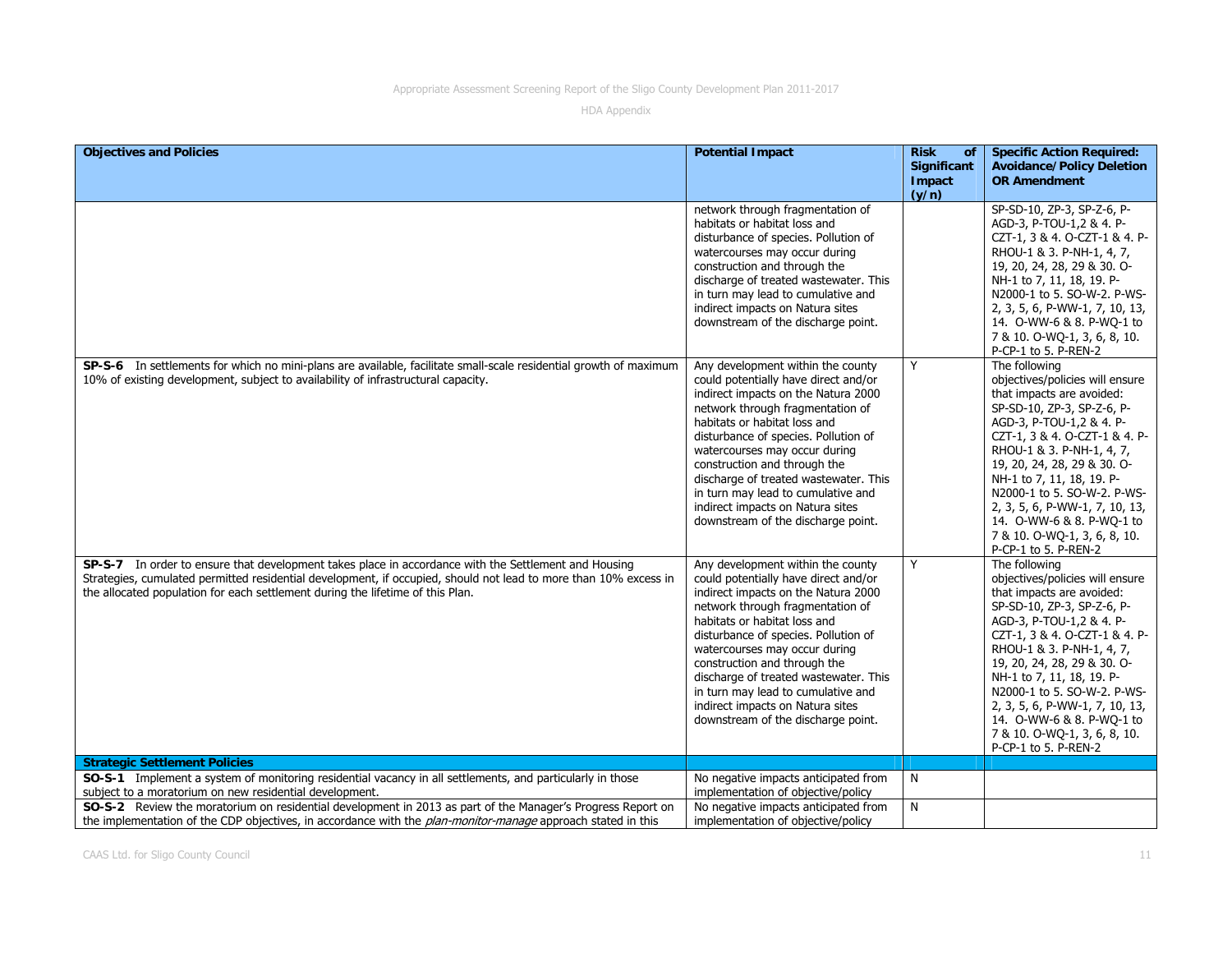| <b>Objectives and Policies</b>                                                                                                                                                                                                                                                                             | <b>Potential Impact</b>                                                                                                                                                                                                                                                                                                                                                                                                                                | <b>Risk</b><br><b>of</b>       | <b>Specific Action Required:</b>                                                                                                                                                                                                                                                                                                                                                                                        |
|------------------------------------------------------------------------------------------------------------------------------------------------------------------------------------------------------------------------------------------------------------------------------------------------------------|--------------------------------------------------------------------------------------------------------------------------------------------------------------------------------------------------------------------------------------------------------------------------------------------------------------------------------------------------------------------------------------------------------------------------------------------------------|--------------------------------|-------------------------------------------------------------------------------------------------------------------------------------------------------------------------------------------------------------------------------------------------------------------------------------------------------------------------------------------------------------------------------------------------------------------------|
|                                                                                                                                                                                                                                                                                                            |                                                                                                                                                                                                                                                                                                                                                                                                                                                        | Significant<br>Impact<br>(y/n) | <b>Avoidance/Policy Deletion</b><br><b>OR Amendment</b>                                                                                                                                                                                                                                                                                                                                                                 |
|                                                                                                                                                                                                                                                                                                            | network through fragmentation of<br>habitats or habitat loss and<br>disturbance of species. Pollution of<br>watercourses may occur during<br>construction and through the<br>discharge of treated wastewater. This<br>in turn may lead to cumulative and<br>indirect impacts on Natura sites<br>downstream of the discharge point.                                                                                                                     |                                | SP-SD-10, ZP-3, SP-Z-6, P-<br>AGD-3, P-TOU-1,2 & 4. P-<br>CZT-1, 3 & 4. O-CZT-1 & 4. P-<br>RHOU-1 & 3. P-NH-1, 4, 7,<br>19, 20, 24, 28, 29 & 30. O-<br>NH-1 to 7, 11, 18, 19. P-<br>N2000-1 to 5. SO-W-2. P-WS-<br>2, 3, 5, 6, P-WW-1, 7, 10, 13,<br>14. O-WW-6 & 8. P-WQ-1 to<br>7 & 10. O-WQ-1, 3, 6, 8, 10.<br>P-CP-1 to 5. P-REN-2                                                                                  |
| SP-S-6 In settlements for which no mini-plans are available, facilitate small-scale residential growth of maximum<br>10% of existing development, subject to availability of infrastructural capacity.                                                                                                     | Any development within the county<br>could potentially have direct and/or<br>indirect impacts on the Natura 2000<br>network through fragmentation of<br>habitats or habitat loss and<br>disturbance of species. Pollution of<br>watercourses may occur during<br>construction and through the<br>discharge of treated wastewater. This<br>in turn may lead to cumulative and<br>indirect impacts on Natura sites<br>downstream of the discharge point. | Y                              | The following<br>objectives/policies will ensure<br>that impacts are avoided:<br>SP-SD-10, ZP-3, SP-Z-6, P-<br>AGD-3, P-TOU-1,2 & 4. P-<br>CZT-1, 3 & 4. O-CZT-1 & 4. P-<br>RHOU-1 & 3. P-NH-1, 4, 7,<br>19, 20, 24, 28, 29 & 30. O-<br>NH-1 to 7, 11, 18, 19. P-<br>N2000-1 to 5. SO-W-2. P-WS-<br>2, 3, 5, 6, P-WW-1, 7, 10, 13,<br>14. O-WW-6 & 8. P-WQ-1 to<br>7 & 10. O-WQ-1, 3, 6, 8, 10.<br>P-CP-1 to 5. P-REN-2 |
| SP-S-7 In order to ensure that development takes place in accordance with the Settlement and Housing<br>Strategies, cumulated permitted residential development, if occupied, should not lead to more than 10% excess in<br>the allocated population for each settlement during the lifetime of this Plan. | Any development within the county<br>could potentially have direct and/or<br>indirect impacts on the Natura 2000<br>network through fragmentation of<br>habitats or habitat loss and<br>disturbance of species. Pollution of<br>watercourses may occur during<br>construction and through the<br>discharge of treated wastewater. This<br>in turn may lead to cumulative and<br>indirect impacts on Natura sites<br>downstream of the discharge point. | Y                              | The following<br>objectives/policies will ensure<br>that impacts are avoided:<br>SP-SD-10, ZP-3, SP-Z-6, P-<br>AGD-3, P-TOU-1,2 & 4. P-<br>CZT-1, 3 & 4. O-CZT-1 & 4. P-<br>RHOU-1 & 3. P-NH-1, 4, 7,<br>19, 20, 24, 28, 29 & 30. O-<br>NH-1 to 7, 11, 18, 19. P-<br>N2000-1 to 5. SO-W-2. P-WS-<br>2, 3, 5, 6, P-WW-1, 7, 10, 13,<br>14. O-WW-6 & 8. P-WQ-1 to<br>7 & 10. O-WQ-1, 3, 6, 8, 10.<br>P-CP-1 to 5. P-REN-2 |
| <b>Strategic Settlement Policies</b>                                                                                                                                                                                                                                                                       |                                                                                                                                                                                                                                                                                                                                                                                                                                                        |                                |                                                                                                                                                                                                                                                                                                                                                                                                                         |
| SO-S-1 Implement a system of monitoring residential vacancy in all settlements, and particularly in those<br>subject to a moratorium on new residential development.                                                                                                                                       | No negative impacts anticipated from<br>implementation of objective/policy                                                                                                                                                                                                                                                                                                                                                                             | N                              |                                                                                                                                                                                                                                                                                                                                                                                                                         |
| SO-S-2 Review the moratorium on residential development in 2013 as part of the Manager's Progress Report on<br>the implementation of the CDP objectives, in accordance with the plan-monitor-manage approach stated in this                                                                                | No negative impacts anticipated from<br>implementation of objective/policy                                                                                                                                                                                                                                                                                                                                                                             | N                              |                                                                                                                                                                                                                                                                                                                                                                                                                         |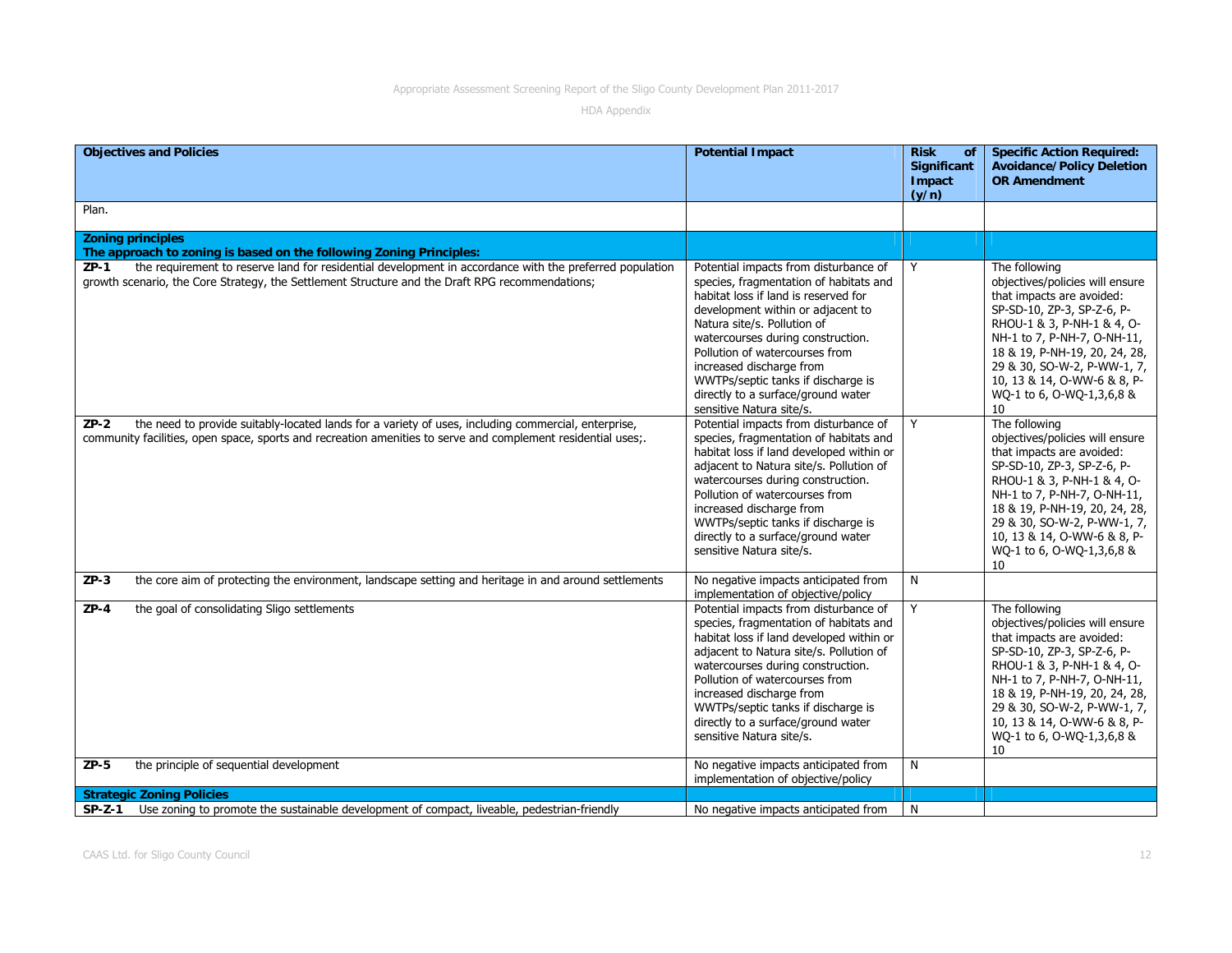| <b>Objectives and Policies</b>                                                                                                                                                                                                | <b>Potential Impact</b>                                                                                                                                                                                                                                                                                                                                                                                | <b>Risk</b><br>of<br>Significant<br>Impact<br>(y/n) | <b>Specific Action Required:</b><br><b>Avoidance/Policy Deletion</b><br><b>OR Amendment</b>                                                                                                                                                                                                                |
|-------------------------------------------------------------------------------------------------------------------------------------------------------------------------------------------------------------------------------|--------------------------------------------------------------------------------------------------------------------------------------------------------------------------------------------------------------------------------------------------------------------------------------------------------------------------------------------------------------------------------------------------------|-----------------------------------------------------|------------------------------------------------------------------------------------------------------------------------------------------------------------------------------------------------------------------------------------------------------------------------------------------------------------|
| Plan.                                                                                                                                                                                                                         |                                                                                                                                                                                                                                                                                                                                                                                                        |                                                     |                                                                                                                                                                                                                                                                                                            |
| <b>Zoning principles</b><br>The approach to zoning is based on the following Zoning Principles:                                                                                                                               |                                                                                                                                                                                                                                                                                                                                                                                                        |                                                     |                                                                                                                                                                                                                                                                                                            |
| the requirement to reserve land for residential development in accordance with the preferred population<br>$ZP-1$<br>growth scenario, the Core Strategy, the Settlement Structure and the Draft RPG recommendations;          | Potential impacts from disturbance of<br>species, fragmentation of habitats and<br>habitat loss if land is reserved for<br>development within or adjacent to<br>Natura site/s. Pollution of<br>watercourses during construction.<br>Pollution of watercourses from<br>increased discharge from<br>WWTPs/septic tanks if discharge is<br>directly to a surface/ground water<br>sensitive Natura site/s. | Y                                                   | The following<br>objectives/policies will ensure<br>that impacts are avoided:<br>SP-SD-10, ZP-3, SP-Z-6, P-<br>RHOU-1 & 3, P-NH-1 & 4, O-<br>NH-1 to 7, P-NH-7, O-NH-11,<br>18 & 19, P-NH-19, 20, 24, 28,<br>29 & 30, SO-W-2, P-WW-1, 7,<br>10, 13 & 14, O-WW-6 & 8, P-<br>WQ-1 to 6, O-WQ-1,3,6,8 &<br>10 |
| the need to provide suitably-located lands for a variety of uses, including commercial, enterprise,<br>$ZP-2$<br>community facilities, open space, sports and recreation amenities to serve and complement residential uses;. | Potential impacts from disturbance of<br>species, fragmentation of habitats and<br>habitat loss if land developed within or<br>adjacent to Natura site/s. Pollution of<br>watercourses during construction.<br>Pollution of watercourses from<br>increased discharge from<br>WWTPs/septic tanks if discharge is<br>directly to a surface/ground water<br>sensitive Natura site/s.                      | Y                                                   | The following<br>objectives/policies will ensure<br>that impacts are avoided:<br>SP-SD-10, ZP-3, SP-Z-6, P-<br>RHOU-1 & 3, P-NH-1 & 4, O-<br>NH-1 to 7, P-NH-7, O-NH-11,<br>18 & 19, P-NH-19, 20, 24, 28,<br>29 & 30, SO-W-2, P-WW-1, 7,<br>10, 13 & 14, O-WW-6 & 8, P-<br>WQ-1 to 6, O-WQ-1,3,6,8 &<br>10 |
| the core aim of protecting the environment, landscape setting and heritage in and around settlements<br>$ZP-3$                                                                                                                | No negative impacts anticipated from<br>implementation of objective/policy                                                                                                                                                                                                                                                                                                                             | N                                                   |                                                                                                                                                                                                                                                                                                            |
| the goal of consolidating Sligo settlements<br>$ZP-4$                                                                                                                                                                         | Potential impacts from disturbance of<br>species, fragmentation of habitats and<br>habitat loss if land developed within or<br>adjacent to Natura site/s. Pollution of<br>watercourses during construction.<br>Pollution of watercourses from<br>increased discharge from<br>WWTPs/septic tanks if discharge is<br>directly to a surface/ground water<br>sensitive Natura site/s.                      | Y                                                   | The following<br>objectives/policies will ensure<br>that impacts are avoided:<br>SP-SD-10, ZP-3, SP-Z-6, P-<br>RHOU-1 & 3, P-NH-1 & 4, O-<br>NH-1 to 7, P-NH-7, O-NH-11,<br>18 & 19, P-NH-19, 20, 24, 28,<br>29 & 30, SO-W-2, P-WW-1, 7,<br>10, 13 & 14, O-WW-6 & 8, P-<br>WQ-1 to 6, O-WQ-1,3,6,8 &<br>10 |
| the principle of sequential development<br>$ZP-5$                                                                                                                                                                             | No negative impacts anticipated from<br>implementation of objective/policy                                                                                                                                                                                                                                                                                                                             | N                                                   |                                                                                                                                                                                                                                                                                                            |
| <b>Strategic Zoning Policies</b>                                                                                                                                                                                              |                                                                                                                                                                                                                                                                                                                                                                                                        |                                                     |                                                                                                                                                                                                                                                                                                            |
| Use zoning to promote the sustainable development of compact, liveable, pedestrian-friendly<br>$SP-Z-1$                                                                                                                       | No negative impacts anticipated from                                                                                                                                                                                                                                                                                                                                                                   | N                                                   |                                                                                                                                                                                                                                                                                                            |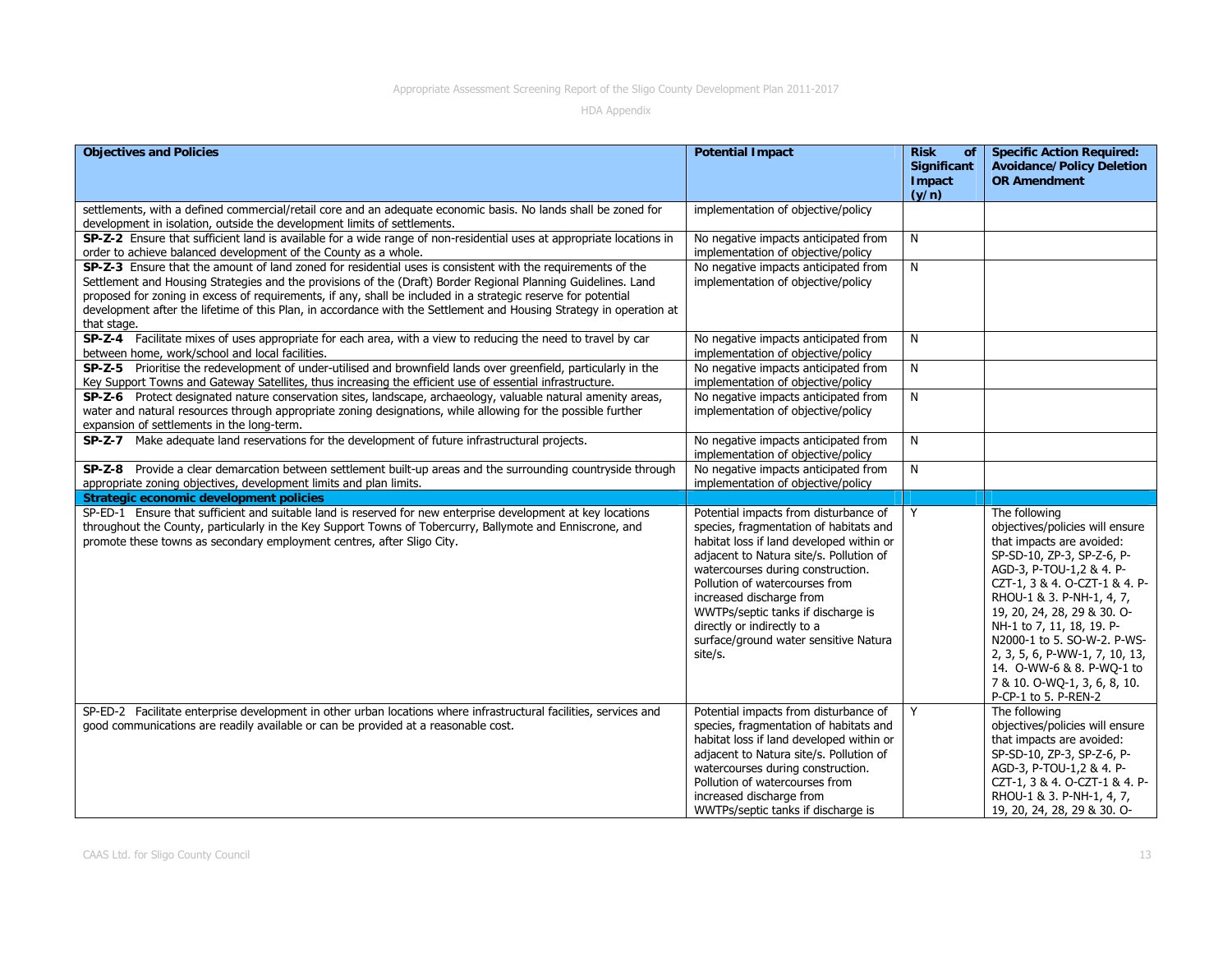| <b>Objectives and Policies</b>                                                                                                                                                                                                                                                                                                                                                                                                                                                      | <b>Potential Impact</b>                                                                                                                                                                                                                                                                                                                                                                            | <b>Risk</b><br>of<br>Significant<br>Impact<br>(y/n) | <b>Specific Action Required:</b><br><b>Avoidance/Policy Deletion</b><br><b>OR Amendment</b>                                                                                                                                                                                                                                                                                                                             |
|-------------------------------------------------------------------------------------------------------------------------------------------------------------------------------------------------------------------------------------------------------------------------------------------------------------------------------------------------------------------------------------------------------------------------------------------------------------------------------------|----------------------------------------------------------------------------------------------------------------------------------------------------------------------------------------------------------------------------------------------------------------------------------------------------------------------------------------------------------------------------------------------------|-----------------------------------------------------|-------------------------------------------------------------------------------------------------------------------------------------------------------------------------------------------------------------------------------------------------------------------------------------------------------------------------------------------------------------------------------------------------------------------------|
| settlements, with a defined commercial/retail core and an adequate economic basis. No lands shall be zoned for<br>development in isolation, outside the development limits of settlements.                                                                                                                                                                                                                                                                                          | implementation of objective/policy                                                                                                                                                                                                                                                                                                                                                                 |                                                     |                                                                                                                                                                                                                                                                                                                                                                                                                         |
| SP-Z-2 Ensure that sufficient land is available for a wide range of non-residential uses at appropriate locations in<br>order to achieve balanced development of the County as a whole.                                                                                                                                                                                                                                                                                             | No negative impacts anticipated from<br>implementation of objective/policy                                                                                                                                                                                                                                                                                                                         | N                                                   |                                                                                                                                                                                                                                                                                                                                                                                                                         |
| SP-Z-3 Ensure that the amount of land zoned for residential uses is consistent with the requirements of the<br>Settlement and Housing Strategies and the provisions of the (Draft) Border Regional Planning Guidelines. Land<br>proposed for zoning in excess of requirements, if any, shall be included in a strategic reserve for potential<br>development after the lifetime of this Plan, in accordance with the Settlement and Housing Strategy in operation at<br>that stage. | No negative impacts anticipated from<br>implementation of objective/policy                                                                                                                                                                                                                                                                                                                         | N                                                   |                                                                                                                                                                                                                                                                                                                                                                                                                         |
| SP-Z-4 Facilitate mixes of uses appropriate for each area, with a view to reducing the need to travel by car<br>between home, work/school and local facilities.                                                                                                                                                                                                                                                                                                                     | No negative impacts anticipated from<br>implementation of objective/policy                                                                                                                                                                                                                                                                                                                         | N                                                   |                                                                                                                                                                                                                                                                                                                                                                                                                         |
| SP-Z-5 Prioritise the redevelopment of under-utilised and brownfield lands over greenfield, particularly in the<br>Key Support Towns and Gateway Satellites, thus increasing the efficient use of essential infrastructure.                                                                                                                                                                                                                                                         | No negative impacts anticipated from<br>implementation of objective/policy                                                                                                                                                                                                                                                                                                                         | N                                                   |                                                                                                                                                                                                                                                                                                                                                                                                                         |
| SP-Z-6 Protect designated nature conservation sites, landscape, archaeology, valuable natural amenity areas,<br>water and natural resources through appropriate zoning designations, while allowing for the possible further<br>expansion of settlements in the long-term.                                                                                                                                                                                                          | No negative impacts anticipated from<br>implementation of objective/policy                                                                                                                                                                                                                                                                                                                         | N                                                   |                                                                                                                                                                                                                                                                                                                                                                                                                         |
| SP-Z-7 Make adequate land reservations for the development of future infrastructural projects.                                                                                                                                                                                                                                                                                                                                                                                      | No negative impacts anticipated from<br>implementation of objective/policy                                                                                                                                                                                                                                                                                                                         | N                                                   |                                                                                                                                                                                                                                                                                                                                                                                                                         |
| SP-Z-8 Provide a clear demarcation between settlement built-up areas and the surrounding countryside through<br>appropriate zoning objectives, development limits and plan limits.                                                                                                                                                                                                                                                                                                  | No negative impacts anticipated from<br>implementation of objective/policy                                                                                                                                                                                                                                                                                                                         | N                                                   |                                                                                                                                                                                                                                                                                                                                                                                                                         |
| Strategic economic development policies                                                                                                                                                                                                                                                                                                                                                                                                                                             |                                                                                                                                                                                                                                                                                                                                                                                                    |                                                     |                                                                                                                                                                                                                                                                                                                                                                                                                         |
| SP-ED-1 Ensure that sufficient and suitable land is reserved for new enterprise development at key locations<br>throughout the County, particularly in the Key Support Towns of Tobercurry, Ballymote and Enniscrone, and<br>promote these towns as secondary employment centres, after Sligo City.                                                                                                                                                                                 | Potential impacts from disturbance of<br>species, fragmentation of habitats and<br>habitat loss if land developed within or<br>adjacent to Natura site/s. Pollution of<br>watercourses during construction.<br>Pollution of watercourses from<br>increased discharge from<br>WWTPs/septic tanks if discharge is<br>directly or indirectly to a<br>surface/ground water sensitive Natura<br>site/s. | Y                                                   | The following<br>objectives/policies will ensure<br>that impacts are avoided:<br>SP-SD-10, ZP-3, SP-Z-6, P-<br>AGD-3, P-TOU-1,2 & 4. P-<br>CZT-1, 3 & 4. O-CZT-1 & 4. P-<br>RHOU-1 & 3. P-NH-1, 4, 7,<br>19, 20, 24, 28, 29 & 30. O-<br>NH-1 to 7, 11, 18, 19. P-<br>N2000-1 to 5. SO-W-2. P-WS-<br>2, 3, 5, 6, P-WW-1, 7, 10, 13,<br>14. O-WW-6 & 8. P-WO-1 to<br>7 & 10. O-WQ-1, 3, 6, 8, 10.<br>P-CP-1 to 5. P-REN-2 |
| SP-ED-2 Facilitate enterprise development in other urban locations where infrastructural facilities, services and<br>good communications are readily available or can be provided at a reasonable cost.                                                                                                                                                                                                                                                                             | Potential impacts from disturbance of<br>species, fragmentation of habitats and<br>habitat loss if land developed within or<br>adjacent to Natura site/s. Pollution of<br>watercourses during construction.<br>Pollution of watercourses from<br>increased discharge from<br>WWTPs/septic tanks if discharge is                                                                                    | Y                                                   | The following<br>objectives/policies will ensure<br>that impacts are avoided:<br>SP-SD-10, ZP-3, SP-Z-6, P-<br>AGD-3, P-TOU-1,2 & 4. P-<br>CZT-1, 3 & 4. O-CZT-1 & 4. P-<br>RHOU-1 & 3. P-NH-1, 4, 7,<br>19, 20, 24, 28, 29 & 30. O-                                                                                                                                                                                    |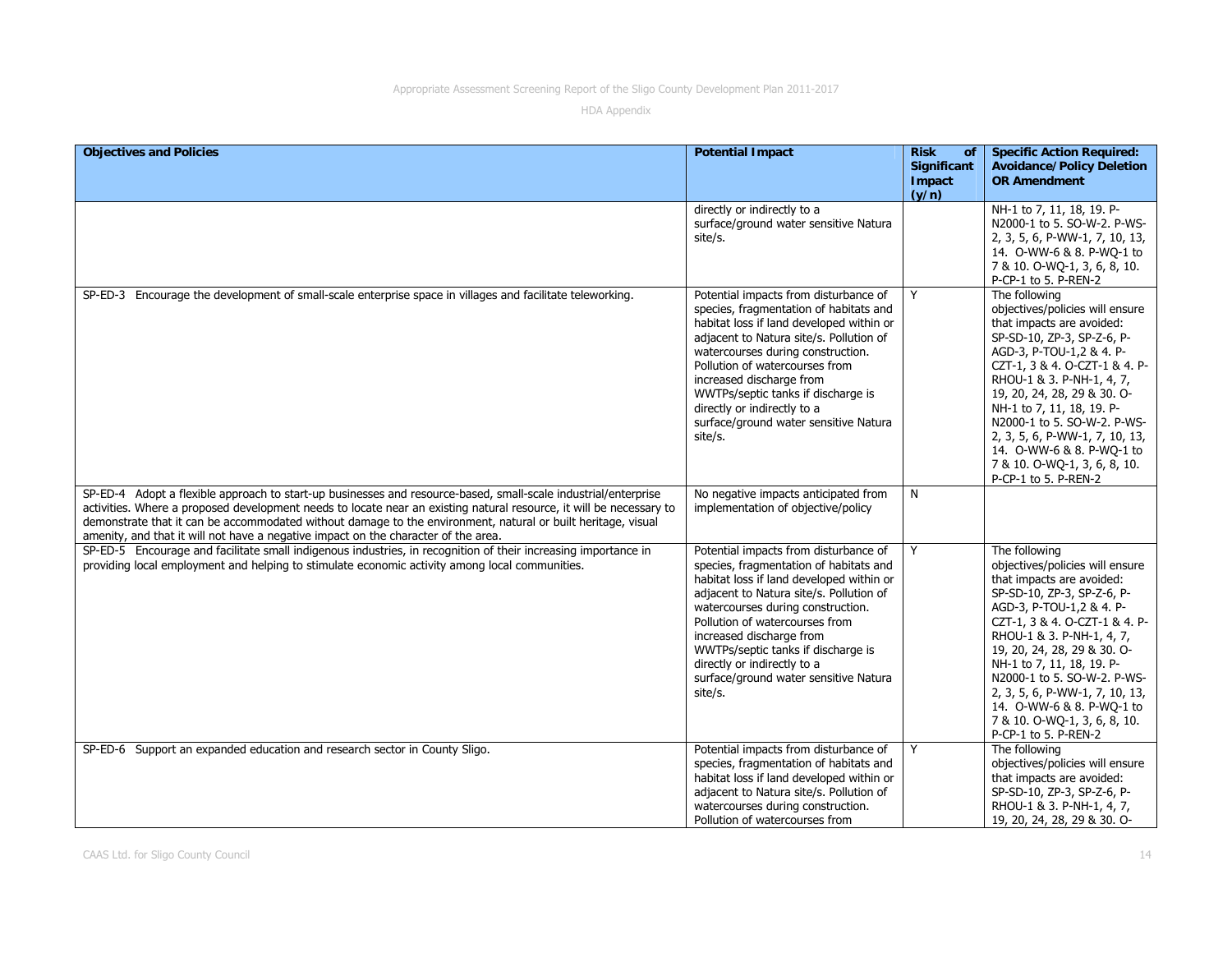| <b>Objectives and Policies</b>                                                                                                                                                                                                                                                                                                                                                                                                              | <b>Potential Impact</b>                                                                                                                                                                                                                                                                                                                                                                            | <b>Risk</b><br><b>of</b><br><b>Significant</b><br>Impact | <b>Specific Action Required:</b><br><b>Avoidance/Policy Deletion</b><br><b>OR Amendment</b>                                                                                                                                                                                                                                                                                                                             |
|---------------------------------------------------------------------------------------------------------------------------------------------------------------------------------------------------------------------------------------------------------------------------------------------------------------------------------------------------------------------------------------------------------------------------------------------|----------------------------------------------------------------------------------------------------------------------------------------------------------------------------------------------------------------------------------------------------------------------------------------------------------------------------------------------------------------------------------------------------|----------------------------------------------------------|-------------------------------------------------------------------------------------------------------------------------------------------------------------------------------------------------------------------------------------------------------------------------------------------------------------------------------------------------------------------------------------------------------------------------|
|                                                                                                                                                                                                                                                                                                                                                                                                                                             | directly or indirectly to a<br>surface/ground water sensitive Natura<br>site/s.                                                                                                                                                                                                                                                                                                                    | (y/n)                                                    | NH-1 to 7, 11, 18, 19. P-<br>N2000-1 to 5. SO-W-2. P-WS-<br>2, 3, 5, 6, P-WW-1, 7, 10, 13,<br>14. O-WW-6 & 8. P-WO-1 to<br>7 & 10. O-WQ-1, 3, 6, 8, 10.<br>P-CP-1 to 5. P-REN-2                                                                                                                                                                                                                                         |
| SP-ED-3 Encourage the development of small-scale enterprise space in villages and facilitate teleworking.                                                                                                                                                                                                                                                                                                                                   | Potential impacts from disturbance of<br>species, fragmentation of habitats and<br>habitat loss if land developed within or<br>adjacent to Natura site/s. Pollution of<br>watercourses during construction.<br>Pollution of watercourses from<br>increased discharge from<br>WWTPs/septic tanks if discharge is<br>directly or indirectly to a<br>surface/ground water sensitive Natura<br>site/s. | Y                                                        | The following<br>objectives/policies will ensure<br>that impacts are avoided:<br>SP-SD-10, ZP-3, SP-Z-6, P-<br>AGD-3, P-TOU-1,2 & 4. P-<br>CZT-1, 3 & 4. O-CZT-1 & 4. P-<br>RHOU-1 & 3. P-NH-1, 4, 7,<br>19, 20, 24, 28, 29 & 30. O-<br>NH-1 to 7, 11, 18, 19. P-<br>N2000-1 to 5. SO-W-2. P-WS-<br>2, 3, 5, 6, P-WW-1, 7, 10, 13,<br>14. O-WW-6 & 8. P-WO-1 to<br>7 & 10. O-WQ-1, 3, 6, 8, 10.<br>P-CP-1 to 5. P-REN-2 |
| SP-ED-4 Adopt a flexible approach to start-up businesses and resource-based, small-scale industrial/enterprise<br>activities. Where a proposed development needs to locate near an existing natural resource, it will be necessary to<br>demonstrate that it can be accommodated without damage to the environment, natural or built heritage, visual<br>amenity, and that it will not have a negative impact on the character of the area. | No negative impacts anticipated from<br>implementation of objective/policy                                                                                                                                                                                                                                                                                                                         | N                                                        |                                                                                                                                                                                                                                                                                                                                                                                                                         |
| SP-ED-5 Encourage and facilitate small indigenous industries, in recognition of their increasing importance in<br>providing local employment and helping to stimulate economic activity among local communities.                                                                                                                                                                                                                            | Potential impacts from disturbance of<br>species, fragmentation of habitats and<br>habitat loss if land developed within or<br>adjacent to Natura site/s. Pollution of<br>watercourses during construction.<br>Pollution of watercourses from<br>increased discharge from<br>WWTPs/septic tanks if discharge is<br>directly or indirectly to a<br>surface/ground water sensitive Natura<br>site/s. | Y                                                        | The following<br>objectives/policies will ensure<br>that impacts are avoided:<br>SP-SD-10, ZP-3, SP-Z-6, P-<br>AGD-3, P-TOU-1,2 & 4. P-<br>CZT-1, 3 & 4. O-CZT-1 & 4. P-<br>RHOU-1 & 3. P-NH-1, 4, 7,<br>19, 20, 24, 28, 29 & 30. O-<br>NH-1 to 7, 11, 18, 19. P-<br>N2000-1 to 5. SO-W-2. P-WS-<br>2, 3, 5, 6, P-WW-1, 7, 10, 13,<br>14. O-WW-6 & 8. P-WQ-1 to<br>7 & 10. O-WQ-1, 3, 6, 8, 10.<br>P-CP-1 to 5. P-REN-2 |
| SP-ED-6 Support an expanded education and research sector in County Sligo.                                                                                                                                                                                                                                                                                                                                                                  | Potential impacts from disturbance of<br>species, fragmentation of habitats and<br>habitat loss if land developed within or<br>adjacent to Natura site/s. Pollution of<br>watercourses during construction.<br>Pollution of watercourses from                                                                                                                                                      | Y                                                        | The following<br>objectives/policies will ensure<br>that impacts are avoided:<br>SP-SD-10, ZP-3, SP-Z-6, P-<br>RHOU-1 & 3. P-NH-1, 4, 7,<br>19, 20, 24, 28, 29 & 30. O-                                                                                                                                                                                                                                                 |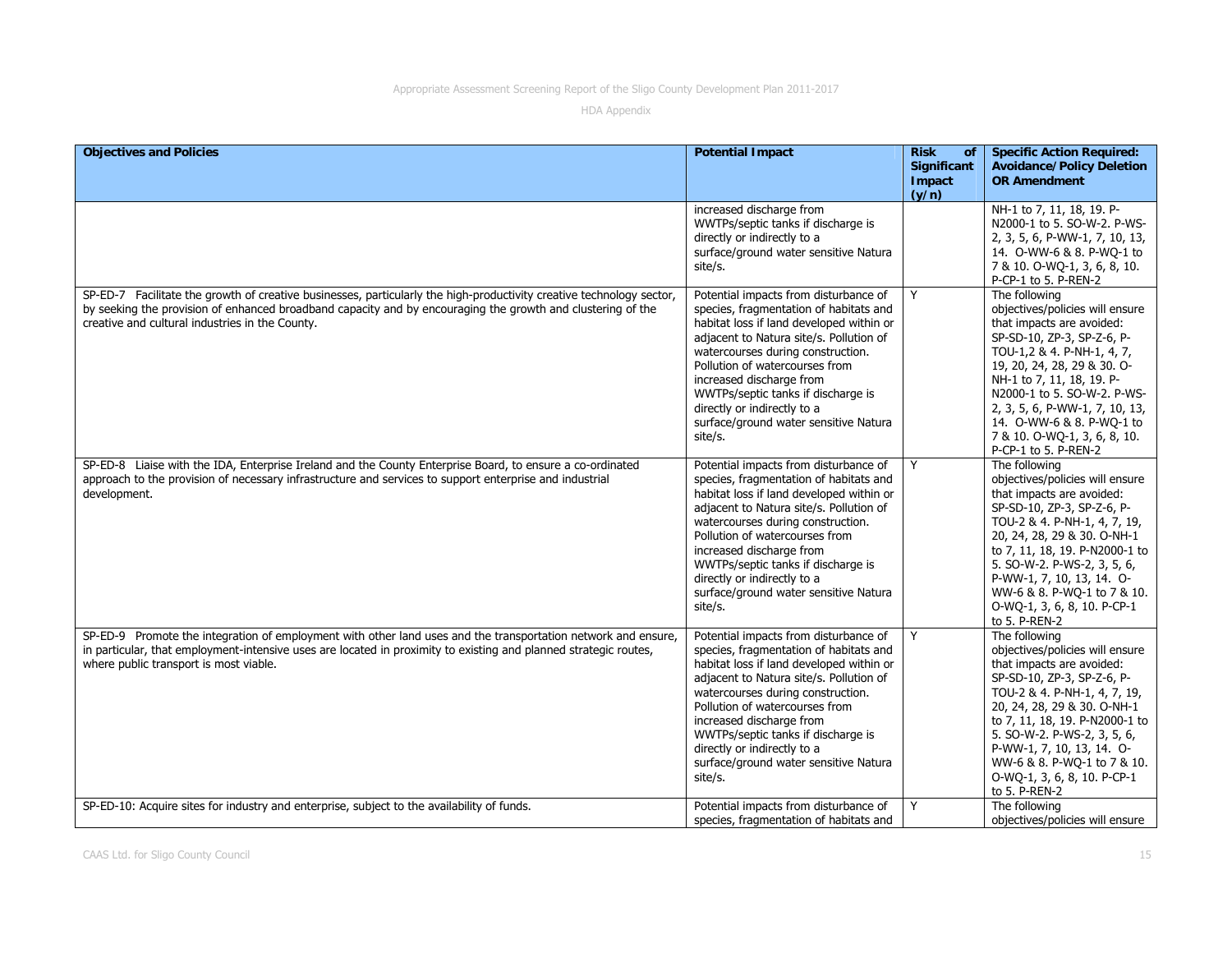| <b>Objectives and Policies</b>                                                                                                                                                                                                                                                         | <b>Potential Impact</b>                                                                                                                                                                                                                                                                                                                                                                            | <b>Risk</b><br>of<br><b>Significant</b><br>Impact<br>(y/n) | <b>Specific Action Required:</b><br><b>Avoidance/Policy Deletion</b><br><b>OR Amendment</b>                                                                                                                                                                                                                                                                 |
|----------------------------------------------------------------------------------------------------------------------------------------------------------------------------------------------------------------------------------------------------------------------------------------|----------------------------------------------------------------------------------------------------------------------------------------------------------------------------------------------------------------------------------------------------------------------------------------------------------------------------------------------------------------------------------------------------|------------------------------------------------------------|-------------------------------------------------------------------------------------------------------------------------------------------------------------------------------------------------------------------------------------------------------------------------------------------------------------------------------------------------------------|
|                                                                                                                                                                                                                                                                                        | increased discharge from<br>WWTPs/septic tanks if discharge is<br>directly or indirectly to a<br>surface/ground water sensitive Natura<br>site/s.                                                                                                                                                                                                                                                  |                                                            | NH-1 to 7, 11, 18, 19. P-<br>N2000-1 to 5. SO-W-2. P-WS-<br>2, 3, 5, 6, P-WW-1, 7, 10, 13,<br>14. O-WW-6 & 8. P-WQ-1 to<br>7 & 10. O-WQ-1, 3, 6, 8, 10.<br>P-CP-1 to 5. P-REN-2                                                                                                                                                                             |
| SP-ED-7 Facilitate the growth of creative businesses, particularly the high-productivity creative technology sector,<br>by seeking the provision of enhanced broadband capacity and by encouraging the growth and clustering of the<br>creative and cultural industries in the County. | Potential impacts from disturbance of<br>species, fragmentation of habitats and<br>habitat loss if land developed within or<br>adjacent to Natura site/s. Pollution of<br>watercourses during construction.<br>Pollution of watercourses from<br>increased discharge from<br>WWTPs/septic tanks if discharge is<br>directly or indirectly to a<br>surface/ground water sensitive Natura<br>site/s. | Y                                                          | The following<br>objectives/policies will ensure<br>that impacts are avoided:<br>SP-SD-10, ZP-3, SP-Z-6, P-<br>TOU-1,2 & 4. P-NH-1, 4, 7,<br>19, 20, 24, 28, 29 & 30. O-<br>NH-1 to 7, 11, 18, 19. P-<br>N2000-1 to 5. SO-W-2. P-WS-<br>2, 3, 5, 6, P-WW-1, 7, 10, 13,<br>14. 0-WW-6 & 8. P-WQ-1 to<br>7 & 10. O-WQ-1, 3, 6, 8, 10.<br>P-CP-1 to 5. P-REN-2 |
| SP-ED-8 Liaise with the IDA, Enterprise Ireland and the County Enterprise Board, to ensure a co-ordinated<br>approach to the provision of necessary infrastructure and services to support enterprise and industrial<br>development.                                                   | Potential impacts from disturbance of<br>species, fragmentation of habitats and<br>habitat loss if land developed within or<br>adjacent to Natura site/s. Pollution of<br>watercourses during construction.<br>Pollution of watercourses from<br>increased discharge from<br>WWTPs/septic tanks if discharge is<br>directly or indirectly to a<br>surface/ground water sensitive Natura<br>site/s. | Y                                                          | The following<br>objectives/policies will ensure<br>that impacts are avoided:<br>SP-SD-10, ZP-3, SP-Z-6, P-<br>TOU-2 & 4. P-NH-1, 4, 7, 19,<br>20, 24, 28, 29 & 30. O-NH-1<br>to 7, 11, 18, 19. P-N2000-1 to<br>5. SO-W-2. P-WS-2, 3, 5, 6,<br>P-WW-1, 7, 10, 13, 14. O-<br>WW-6 & 8. P-WQ-1 to 7 & 10.<br>O-WQ-1, 3, 6, 8, 10. P-CP-1<br>to 5. P-REN-2     |
| SP-ED-9 Promote the integration of employment with other land uses and the transportation network and ensure,<br>in particular, that employment-intensive uses are located in proximity to existing and planned strategic routes,<br>where public transport is most viable.            | Potential impacts from disturbance of<br>species, fragmentation of habitats and<br>habitat loss if land developed within or<br>adjacent to Natura site/s. Pollution of<br>watercourses during construction.<br>Pollution of watercourses from<br>increased discharge from<br>WWTPs/septic tanks if discharge is<br>directly or indirectly to a<br>surface/ground water sensitive Natura<br>site/s. | Y                                                          | The following<br>objectives/policies will ensure<br>that impacts are avoided:<br>SP-SD-10, ZP-3, SP-Z-6, P-<br>TOU-2 & 4. P-NH-1, 4, 7, 19,<br>20, 24, 28, 29 & 30. O-NH-1<br>to 7, 11, 18, 19. P-N2000-1 to<br>5. SO-W-2. P-WS-2, 3, 5, 6,<br>P-WW-1, 7, 10, 13, 14. O-<br>WW-6 & 8. P-WQ-1 to 7 & 10.<br>O-WQ-1, 3, 6, 8, 10. P-CP-1<br>to 5. P-REN-2     |
| SP-ED-10: Acquire sites for industry and enterprise, subject to the availability of funds.                                                                                                                                                                                             | Potential impacts from disturbance of<br>species, fragmentation of habitats and                                                                                                                                                                                                                                                                                                                    | Y                                                          | The following<br>objectives/policies will ensure                                                                                                                                                                                                                                                                                                            |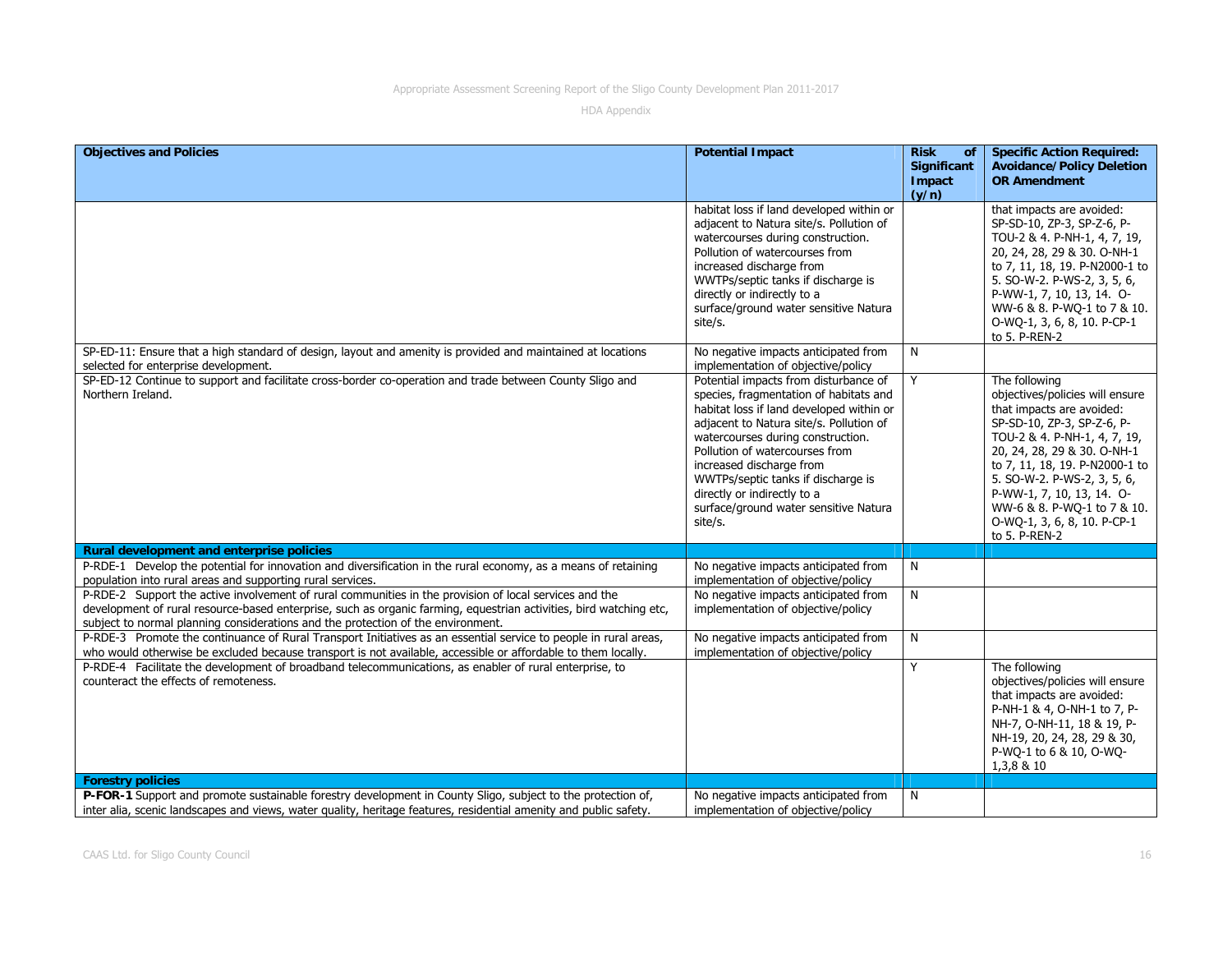| <b>Objectives and Policies</b>                                                                                                                                                                                                                                                                                   | <b>Potential Impact</b>                                                                                                                                                                                                                                                                                                                                                                            | <b>Risk</b><br>of<br>Significant | <b>Specific Action Required:</b><br><b>Avoidance/Policy Deletion</b>                                                                                                                                                                                                                                                                                    |
|------------------------------------------------------------------------------------------------------------------------------------------------------------------------------------------------------------------------------------------------------------------------------------------------------------------|----------------------------------------------------------------------------------------------------------------------------------------------------------------------------------------------------------------------------------------------------------------------------------------------------------------------------------------------------------------------------------------------------|----------------------------------|---------------------------------------------------------------------------------------------------------------------------------------------------------------------------------------------------------------------------------------------------------------------------------------------------------------------------------------------------------|
|                                                                                                                                                                                                                                                                                                                  |                                                                                                                                                                                                                                                                                                                                                                                                    | Impact<br>(y/n)                  | <b>OR Amendment</b>                                                                                                                                                                                                                                                                                                                                     |
|                                                                                                                                                                                                                                                                                                                  | habitat loss if land developed within or<br>adjacent to Natura site/s. Pollution of<br>watercourses during construction.<br>Pollution of watercourses from<br>increased discharge from<br>WWTPs/septic tanks if discharge is<br>directly or indirectly to a<br>surface/ground water sensitive Natura<br>site/s.                                                                                    |                                  | that impacts are avoided:<br>SP-SD-10, ZP-3, SP-Z-6, P-<br>TOU-2 & 4. P-NH-1, 4, 7, 19,<br>20, 24, 28, 29 & 30. O-NH-1<br>to 7, 11, 18, 19. P-N2000-1 to<br>5. SO-W-2. P-WS-2, 3, 5, 6,<br>P-WW-1, 7, 10, 13, 14. O-<br>WW-6 & 8. P-WQ-1 to 7 & 10.<br>O-WQ-1, 3, 6, 8, 10. P-CP-1<br>to 5. P-REN-2                                                     |
| SP-ED-11: Ensure that a high standard of design, layout and amenity is provided and maintained at locations<br>selected for enterprise development.                                                                                                                                                              | No negative impacts anticipated from<br>implementation of objective/policy                                                                                                                                                                                                                                                                                                                         | N                                |                                                                                                                                                                                                                                                                                                                                                         |
| SP-ED-12 Continue to support and facilitate cross-border co-operation and trade between County Sligo and<br>Northern Ireland.                                                                                                                                                                                    | Potential impacts from disturbance of<br>species, fragmentation of habitats and<br>habitat loss if land developed within or<br>adjacent to Natura site/s. Pollution of<br>watercourses during construction.<br>Pollution of watercourses from<br>increased discharge from<br>WWTPs/septic tanks if discharge is<br>directly or indirectly to a<br>surface/ground water sensitive Natura<br>site/s. | Y                                | The following<br>objectives/policies will ensure<br>that impacts are avoided:<br>SP-SD-10, ZP-3, SP-Z-6, P-<br>TOU-2 & 4. P-NH-1, 4, 7, 19,<br>20, 24, 28, 29 & 30. O-NH-1<br>to 7, 11, 18, 19. P-N2000-1 to<br>5. SO-W-2. P-WS-2, 3, 5, 6,<br>P-WW-1, 7, 10, 13, 14. O-<br>WW-6 & 8. P-WQ-1 to 7 & 10.<br>O-WQ-1, 3, 6, 8, 10. P-CP-1<br>to 5. P-REN-2 |
| Rural development and enterprise policies                                                                                                                                                                                                                                                                        |                                                                                                                                                                                                                                                                                                                                                                                                    |                                  |                                                                                                                                                                                                                                                                                                                                                         |
| P-RDE-1 Develop the potential for innovation and diversification in the rural economy, as a means of retaining<br>population into rural areas and supporting rural services.                                                                                                                                     | No negative impacts anticipated from<br>implementation of objective/policy                                                                                                                                                                                                                                                                                                                         | N                                |                                                                                                                                                                                                                                                                                                                                                         |
| P-RDE-2 Support the active involvement of rural communities in the provision of local services and the<br>development of rural resource-based enterprise, such as organic farming, equestrian activities, bird watching etc,<br>subject to normal planning considerations and the protection of the environment. | No negative impacts anticipated from<br>implementation of objective/policy                                                                                                                                                                                                                                                                                                                         | N                                |                                                                                                                                                                                                                                                                                                                                                         |
| P-RDE-3 Promote the continuance of Rural Transport Initiatives as an essential service to people in rural areas,<br>who would otherwise be excluded because transport is not available, accessible or affordable to them locally.                                                                                | No negative impacts anticipated from<br>implementation of objective/policy                                                                                                                                                                                                                                                                                                                         | N                                |                                                                                                                                                                                                                                                                                                                                                         |
| P-RDE-4 Facilitate the development of broadband telecommunications, as enabler of rural enterprise, to<br>counteract the effects of remoteness.                                                                                                                                                                  |                                                                                                                                                                                                                                                                                                                                                                                                    | Y                                | The following<br>objectives/policies will ensure<br>that impacts are avoided:<br>P-NH-1 & 4, O-NH-1 to 7, P-<br>NH-7, O-NH-11, 18 & 19, P-<br>NH-19, 20, 24, 28, 29 & 30,<br>P-WQ-1 to 6 & 10, O-WQ-<br>1,3,8 & 10                                                                                                                                      |
| <b>Forestry policies</b>                                                                                                                                                                                                                                                                                         |                                                                                                                                                                                                                                                                                                                                                                                                    |                                  |                                                                                                                                                                                                                                                                                                                                                         |
| P-FOR-1 Support and promote sustainable forestry development in County Sligo, subject to the protection of,<br>inter alia, scenic landscapes and views, water quality, heritage features, residential amenity and public safety.                                                                                 | No negative impacts anticipated from<br>implementation of objective/policy                                                                                                                                                                                                                                                                                                                         | N                                |                                                                                                                                                                                                                                                                                                                                                         |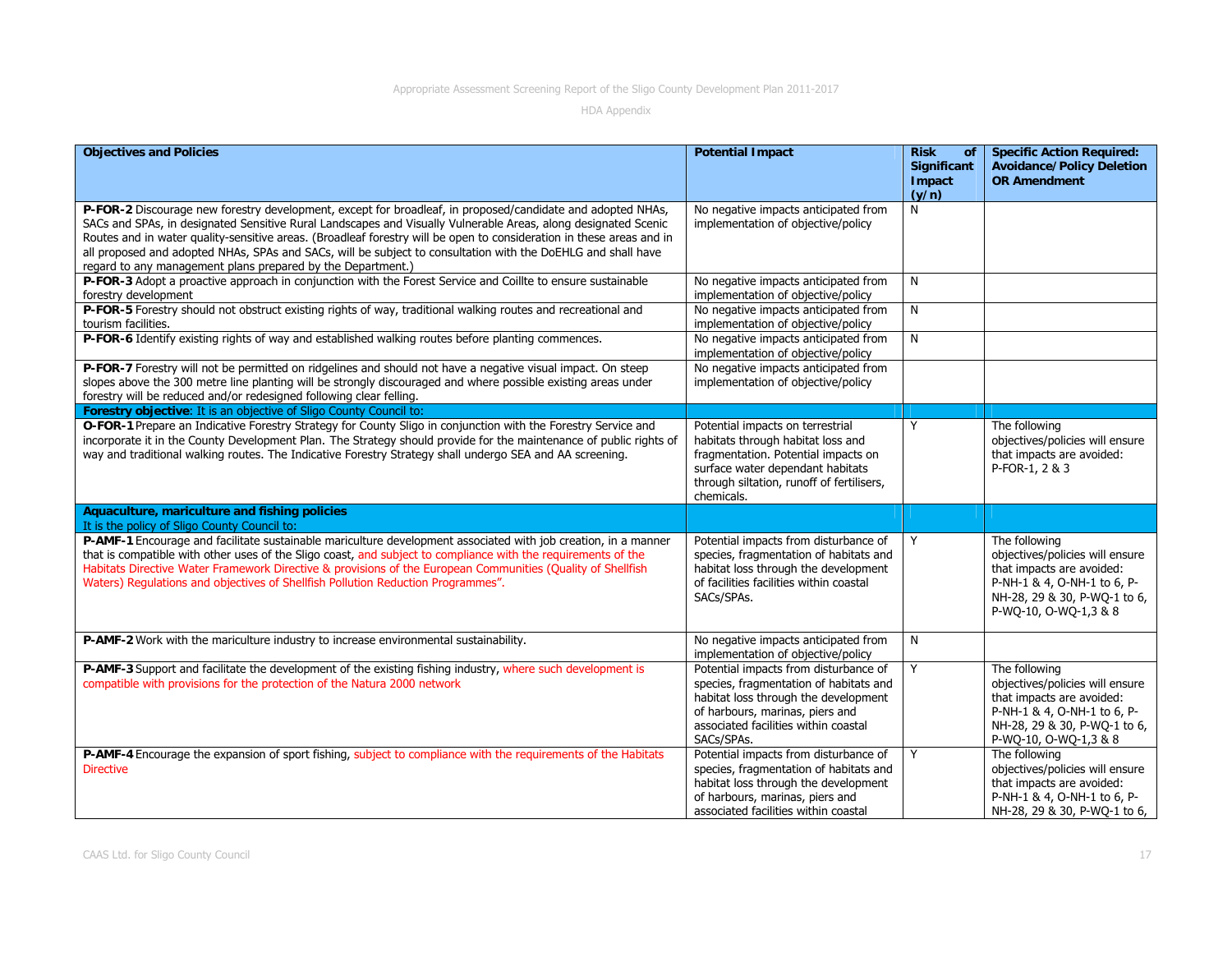| <b>Objectives and Policies</b>                                                                                                                                                                                                                                                                                                                                                                                                                                                                                                      | <b>Potential Impact</b>                                                                                                                                                                                          | <b>Risk</b><br>of<br>Significant<br><b>Impact</b><br>(y/n) | <b>Specific Action Required:</b><br><b>Avoidance/Policy Deletion</b><br><b>OR Amendment</b>                                                                           |
|-------------------------------------------------------------------------------------------------------------------------------------------------------------------------------------------------------------------------------------------------------------------------------------------------------------------------------------------------------------------------------------------------------------------------------------------------------------------------------------------------------------------------------------|------------------------------------------------------------------------------------------------------------------------------------------------------------------------------------------------------------------|------------------------------------------------------------|-----------------------------------------------------------------------------------------------------------------------------------------------------------------------|
| P-FOR-2 Discourage new forestry development, except for broadleaf, in proposed/candidate and adopted NHAs,<br>SACs and SPAs, in designated Sensitive Rural Landscapes and Visually Vulnerable Areas, along designated Scenic<br>Routes and in water quality-sensitive areas. (Broadleaf forestry will be open to consideration in these areas and in<br>all proposed and adopted NHAs, SPAs and SACs, will be subject to consultation with the DoEHLG and shall have<br>regard to any management plans prepared by the Department.) | No negative impacts anticipated from<br>implementation of objective/policy                                                                                                                                       | N                                                          |                                                                                                                                                                       |
| P-FOR-3 Adopt a proactive approach in conjunction with the Forest Service and Coillte to ensure sustainable<br>forestry development                                                                                                                                                                                                                                                                                                                                                                                                 | No negative impacts anticipated from<br>implementation of objective/policy                                                                                                                                       | N                                                          |                                                                                                                                                                       |
| P-FOR-5 Forestry should not obstruct existing rights of way, traditional walking routes and recreational and<br>tourism facilities.                                                                                                                                                                                                                                                                                                                                                                                                 | No negative impacts anticipated from<br>implementation of objective/policy                                                                                                                                       | N                                                          |                                                                                                                                                                       |
| P-FOR-6 Identify existing rights of way and established walking routes before planting commences.                                                                                                                                                                                                                                                                                                                                                                                                                                   | No negative impacts anticipated from<br>implementation of objective/policy                                                                                                                                       | N                                                          |                                                                                                                                                                       |
| P-FOR-7 Forestry will not be permitted on ridgelines and should not have a negative visual impact. On steep<br>slopes above the 300 metre line planting will be strongly discouraged and where possible existing areas under<br>forestry will be reduced and/or redesigned following clear felling.                                                                                                                                                                                                                                 | No negative impacts anticipated from<br>implementation of objective/policy                                                                                                                                       |                                                            |                                                                                                                                                                       |
| Forestry objective: It is an objective of Sligo County Council to:                                                                                                                                                                                                                                                                                                                                                                                                                                                                  |                                                                                                                                                                                                                  |                                                            |                                                                                                                                                                       |
| O-FOR-1 Prepare an Indicative Forestry Strategy for County Sligo in conjunction with the Forestry Service and<br>incorporate it in the County Development Plan. The Strategy should provide for the maintenance of public rights of<br>way and traditional walking routes. The Indicative Forestry Strategy shall undergo SEA and AA screening.                                                                                                                                                                                     | Potential impacts on terrestrial<br>habitats through habitat loss and<br>fragmentation. Potential impacts on<br>surface water dependant habitats<br>through siltation, runoff of fertilisers,<br>chemicals.      | Υ                                                          | The following<br>objectives/policies will ensure<br>that impacts are avoided:<br>P-FOR-1, 2 & 3                                                                       |
| Aquaculture, mariculture and fishing policies<br>It is the policy of Sligo County Council to:                                                                                                                                                                                                                                                                                                                                                                                                                                       |                                                                                                                                                                                                                  |                                                            |                                                                                                                                                                       |
| P-AMF-1 Encourage and facilitate sustainable mariculture development associated with job creation, in a manner<br>that is compatible with other uses of the Sligo coast, and subject to compliance with the requirements of the<br>Habitats Directive Water Framework Directive & provisions of the European Communities (Quality of Shellfish<br>Waters) Regulations and objectives of Shellfish Pollution Reduction Programmes".                                                                                                  | Potential impacts from disturbance of<br>species, fragmentation of habitats and<br>habitat loss through the development<br>of facilities facilities within coastal<br>SACs/SPAs.                                 | Y                                                          | The following<br>objectives/policies will ensure<br>that impacts are avoided:<br>P-NH-1 & 4, O-NH-1 to 6, P-<br>NH-28, 29 & 30, P-WQ-1 to 6,<br>P-WQ-10, O-WQ-1,3 & 8 |
| P-AMF-2 Work with the mariculture industry to increase environmental sustainability.                                                                                                                                                                                                                                                                                                                                                                                                                                                | No negative impacts anticipated from<br>implementation of objective/policy                                                                                                                                       | N                                                          |                                                                                                                                                                       |
| P-AMF-3 Support and facilitate the development of the existing fishing industry, where such development is<br>compatible with provisions for the protection of the Natura 2000 network                                                                                                                                                                                                                                                                                                                                              | Potential impacts from disturbance of<br>species, fragmentation of habitats and<br>habitat loss through the development<br>of harbours, marinas, piers and<br>associated facilities within coastal<br>SACs/SPAs. | Y                                                          | The following<br>objectives/policies will ensure<br>that impacts are avoided:<br>P-NH-1 & 4, O-NH-1 to 6, P-<br>NH-28, 29 & 30, P-WQ-1 to 6,<br>P-WQ-10, O-WQ-1,3 & 8 |
| P-AMF-4 Encourage the expansion of sport fishing, subject to compliance with the requirements of the Habitats<br><b>Directive</b>                                                                                                                                                                                                                                                                                                                                                                                                   | Potential impacts from disturbance of<br>species, fragmentation of habitats and<br>habitat loss through the development<br>of harbours, marinas, piers and<br>associated facilities within coastal               | Y                                                          | The following<br>objectives/policies will ensure<br>that impacts are avoided:<br>P-NH-1 & 4, O-NH-1 to 6, P-<br>NH-28, 29 & 30, P-WQ-1 to 6,                          |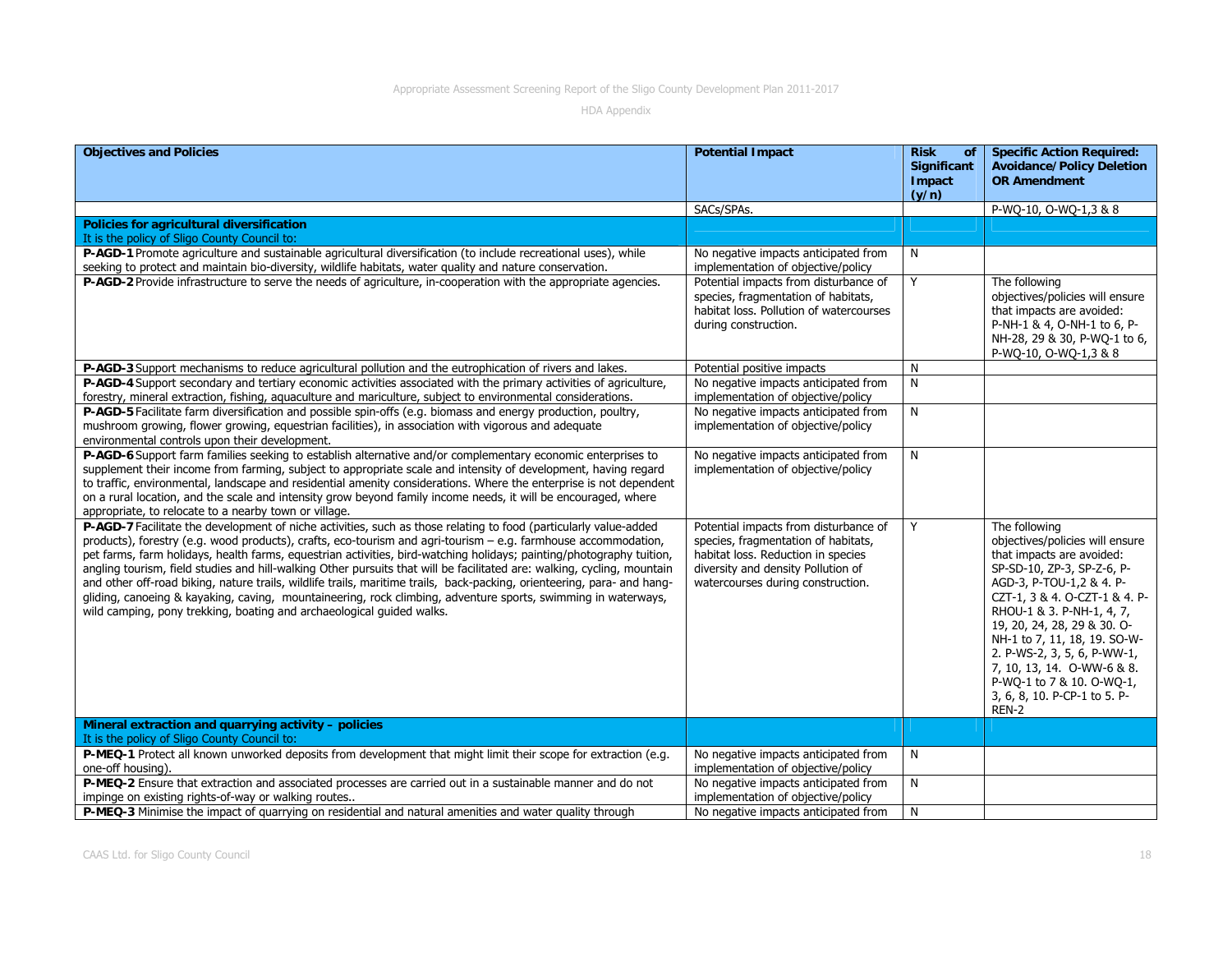| <b>Objectives and Policies</b>                                                                                                                                                                                                                                                                                                                                                                                                                                                                                                                                                                                                                                                                                                                                                                               | <b>Potential Impact</b>                                                                                                                                                                       | <b>Risk</b><br>of<br>Significant<br>Impact<br>(y/n) | <b>Specific Action Required:</b><br><b>Avoidance/Policy Deletion</b><br><b>OR Amendment</b>                                                                                                                                                                                                                                                                                                             |
|--------------------------------------------------------------------------------------------------------------------------------------------------------------------------------------------------------------------------------------------------------------------------------------------------------------------------------------------------------------------------------------------------------------------------------------------------------------------------------------------------------------------------------------------------------------------------------------------------------------------------------------------------------------------------------------------------------------------------------------------------------------------------------------------------------------|-----------------------------------------------------------------------------------------------------------------------------------------------------------------------------------------------|-----------------------------------------------------|---------------------------------------------------------------------------------------------------------------------------------------------------------------------------------------------------------------------------------------------------------------------------------------------------------------------------------------------------------------------------------------------------------|
|                                                                                                                                                                                                                                                                                                                                                                                                                                                                                                                                                                                                                                                                                                                                                                                                              | SACs/SPAs.                                                                                                                                                                                    |                                                     | P-WO-10, O-WO-1,3 & 8                                                                                                                                                                                                                                                                                                                                                                                   |
| Policies for agricultural diversification<br>It is the policy of Sligo County Council to:                                                                                                                                                                                                                                                                                                                                                                                                                                                                                                                                                                                                                                                                                                                    |                                                                                                                                                                                               |                                                     |                                                                                                                                                                                                                                                                                                                                                                                                         |
| P-AGD-1 Promote agriculture and sustainable agricultural diversification (to include recreational uses), while<br>seeking to protect and maintain bio-diversity, wildlife habitats, water quality and nature conservation.                                                                                                                                                                                                                                                                                                                                                                                                                                                                                                                                                                                   | No negative impacts anticipated from<br>implementation of objective/policy                                                                                                                    | N                                                   |                                                                                                                                                                                                                                                                                                                                                                                                         |
| P-AGD-2 Provide infrastructure to serve the needs of agriculture, in-cooperation with the appropriate agencies.                                                                                                                                                                                                                                                                                                                                                                                                                                                                                                                                                                                                                                                                                              | Potential impacts from disturbance of<br>species, fragmentation of habitats,<br>habitat loss. Pollution of watercourses<br>during construction.                                               | Y                                                   | The following<br>objectives/policies will ensure<br>that impacts are avoided:<br>P-NH-1 & 4, O-NH-1 to 6, P-<br>NH-28, 29 & 30, P-WQ-1 to 6,<br>P-WQ-10, O-WQ-1,3 & 8                                                                                                                                                                                                                                   |
| P-AGD-3 Support mechanisms to reduce agricultural pollution and the eutrophication of rivers and lakes.                                                                                                                                                                                                                                                                                                                                                                                                                                                                                                                                                                                                                                                                                                      | Potential positive impacts                                                                                                                                                                    | N                                                   |                                                                                                                                                                                                                                                                                                                                                                                                         |
| P-AGD-4 Support secondary and tertiary economic activities associated with the primary activities of agriculture,<br>forestry, mineral extraction, fishing, aquaculture and mariculture, subject to environmental considerations.                                                                                                                                                                                                                                                                                                                                                                                                                                                                                                                                                                            | No negative impacts anticipated from<br>implementation of objective/policy                                                                                                                    | N                                                   |                                                                                                                                                                                                                                                                                                                                                                                                         |
| P-AGD-5 Facilitate farm diversification and possible spin-offs (e.g. biomass and energy production, poultry,<br>mushroom growing, flower growing, equestrian facilities), in association with vigorous and adequate<br>environmental controls upon their development.                                                                                                                                                                                                                                                                                                                                                                                                                                                                                                                                        | No negative impacts anticipated from<br>implementation of objective/policy                                                                                                                    | N                                                   |                                                                                                                                                                                                                                                                                                                                                                                                         |
| P-AGD-6 Support farm families seeking to establish alternative and/or complementary economic enterprises to<br>supplement their income from farming, subject to appropriate scale and intensity of development, having regard<br>to traffic, environmental, landscape and residential amenity considerations. Where the enterprise is not dependent<br>on a rural location, and the scale and intensity grow beyond family income needs, it will be encouraged, where<br>appropriate, to relocate to a nearby town or village.                                                                                                                                                                                                                                                                               | No negative impacts anticipated from<br>implementation of objective/policy                                                                                                                    | N                                                   |                                                                                                                                                                                                                                                                                                                                                                                                         |
| P-AGD-7 Facilitate the development of niche activities, such as those relating to food (particularly value-added<br>products), forestry (e.g. wood products), crafts, eco-tourism and agri-tourism $-$ e.g. farmhouse accommodation,<br>pet farms, farm holidays, health farms, equestrian activities, bird-watching holidays; painting/photography tuition,<br>angling tourism, field studies and hill-walking Other pursuits that will be facilitated are: walking, cycling, mountain<br>and other off-road biking, nature trails, wildlife trails, maritime trails, back-packing, orienteering, para- and hang-<br>gliding, canoeing & kayaking, caving, mountaineering, rock climbing, adventure sports, swimming in waterways,<br>wild camping, pony trekking, boating and archaeological guided walks. | Potential impacts from disturbance of<br>species, fragmentation of habitats,<br>habitat loss. Reduction in species<br>diversity and density Pollution of<br>watercourses during construction. | Y                                                   | The following<br>objectives/policies will ensure<br>that impacts are avoided:<br>SP-SD-10, ZP-3, SP-Z-6, P-<br>AGD-3, P-TOU-1,2 & 4. P-<br>CZT-1, 3 & 4. O-CZT-1 & 4. P-<br>RHOU-1 & 3. P-NH-1, 4, 7,<br>19, 20, 24, 28, 29 & 30. O-<br>NH-1 to 7, 11, 18, 19. SO-W-<br>2. P-WS-2, 3, 5, 6, P-WW-1,<br>7, 10, 13, 14. O-WW-6 & 8.<br>P-WQ-1 to 7 & 10. O-WQ-1,<br>3, 6, 8, 10. P-CP-1 to 5. P-<br>REN-2 |
| Mineral extraction and quarrying activity - policies<br>It is the policy of Sligo County Council to:                                                                                                                                                                                                                                                                                                                                                                                                                                                                                                                                                                                                                                                                                                         |                                                                                                                                                                                               |                                                     |                                                                                                                                                                                                                                                                                                                                                                                                         |
| P-MEQ-1 Protect all known unworked deposits from development that might limit their scope for extraction (e.g.<br>one-off housing).                                                                                                                                                                                                                                                                                                                                                                                                                                                                                                                                                                                                                                                                          | No negative impacts anticipated from<br>implementation of objective/policy                                                                                                                    | N                                                   |                                                                                                                                                                                                                                                                                                                                                                                                         |
| P-MEQ-2 Ensure that extraction and associated processes are carried out in a sustainable manner and do not<br>impinge on existing rights-of-way or walking routes                                                                                                                                                                                                                                                                                                                                                                                                                                                                                                                                                                                                                                            | No negative impacts anticipated from<br>implementation of objective/policy                                                                                                                    | N                                                   |                                                                                                                                                                                                                                                                                                                                                                                                         |
| P-MEQ-3 Minimise the impact of quarrying on residential and natural amenities and water quality through                                                                                                                                                                                                                                                                                                                                                                                                                                                                                                                                                                                                                                                                                                      | No negative impacts anticipated from                                                                                                                                                          | N                                                   |                                                                                                                                                                                                                                                                                                                                                                                                         |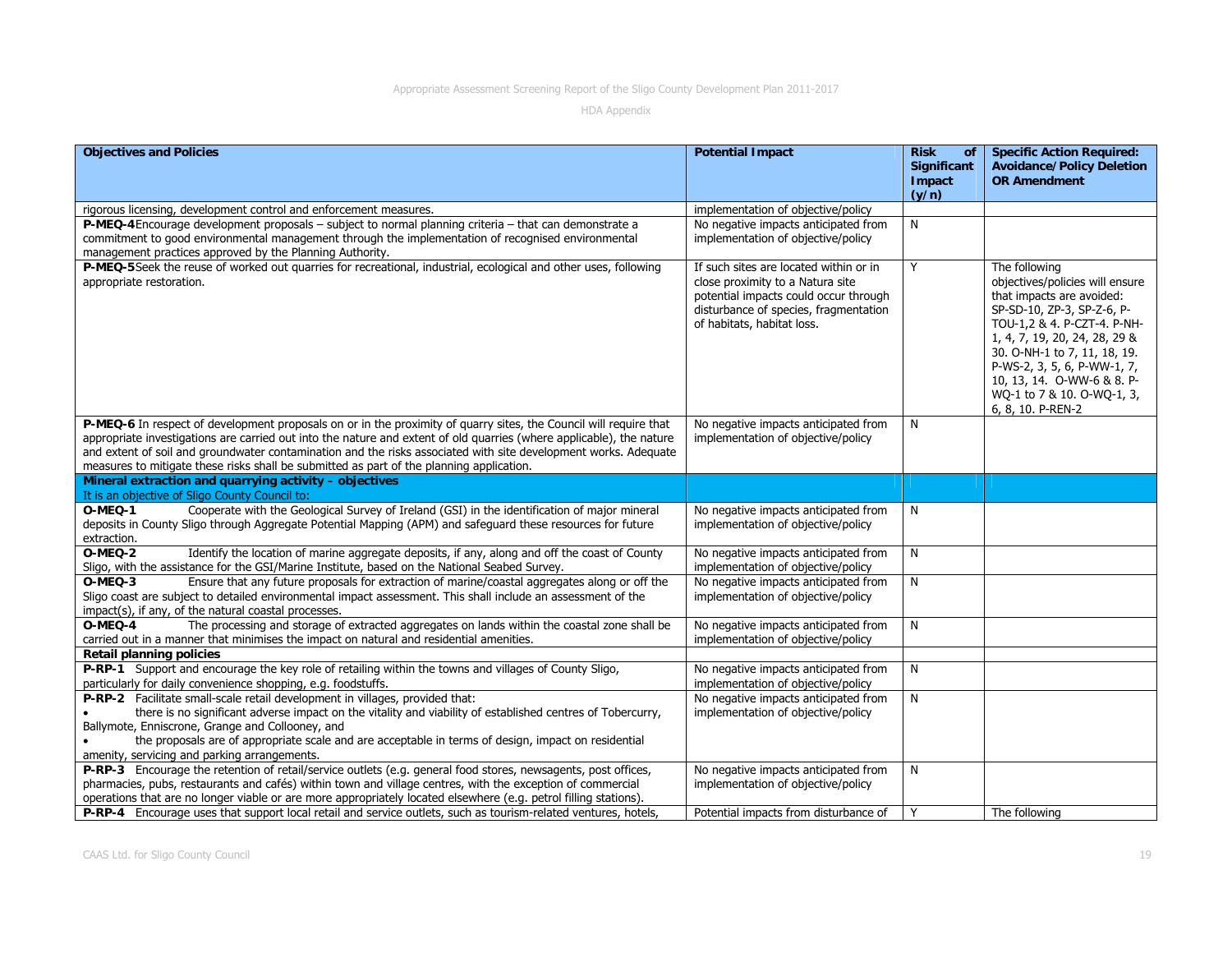| <b>Objectives and Policies</b>                                                                                                                                                                                                                                                                                                                                                                                                                           | <b>Potential Impact</b>                                                                                                                                                                    | <b>Risk</b><br>of<br>Significant<br>Impact | <b>Specific Action Required:</b><br><b>Avoidance/Policy Deletion</b><br><b>OR Amendment</b>                                                                                                                                                                                                                                 |
|----------------------------------------------------------------------------------------------------------------------------------------------------------------------------------------------------------------------------------------------------------------------------------------------------------------------------------------------------------------------------------------------------------------------------------------------------------|--------------------------------------------------------------------------------------------------------------------------------------------------------------------------------------------|--------------------------------------------|-----------------------------------------------------------------------------------------------------------------------------------------------------------------------------------------------------------------------------------------------------------------------------------------------------------------------------|
|                                                                                                                                                                                                                                                                                                                                                                                                                                                          |                                                                                                                                                                                            | (y/n)                                      |                                                                                                                                                                                                                                                                                                                             |
| rigorous licensing, development control and enforcement measures.                                                                                                                                                                                                                                                                                                                                                                                        | implementation of objective/policy                                                                                                                                                         |                                            |                                                                                                                                                                                                                                                                                                                             |
| P-MEQ-4 Encourage development proposals - subject to normal planning criteria - that can demonstrate a<br>commitment to good environmental management through the implementation of recognised environmental<br>management practices approved by the Planning Authority.                                                                                                                                                                                 | No negative impacts anticipated from<br>implementation of objective/policy                                                                                                                 | N                                          |                                                                                                                                                                                                                                                                                                                             |
| P-MEQ-5 Seek the reuse of worked out quarries for recreational, industrial, ecological and other uses, following<br>appropriate restoration.                                                                                                                                                                                                                                                                                                             | If such sites are located within or in<br>close proximity to a Natura site<br>potential impacts could occur through<br>disturbance of species, fragmentation<br>of habitats, habitat loss. | Y                                          | The following<br>objectives/policies will ensure<br>that impacts are avoided:<br>SP-SD-10, ZP-3, SP-Z-6, P-<br>TOU-1,2 & 4. P-CZT-4. P-NH-<br>1, 4, 7, 19, 20, 24, 28, 29 &<br>30. O-NH-1 to 7, 11, 18, 19.<br>P-WS-2, 3, 5, 6, P-WW-1, 7,<br>10, 13, 14. O-WW-6 & 8. P-<br>WQ-1 to 7 & 10. O-WQ-1, 3,<br>6, 8, 10. P-REN-2 |
| P-MEQ-6 In respect of development proposals on or in the proximity of quarry sites, the Council will require that<br>appropriate investigations are carried out into the nature and extent of old quarries (where applicable), the nature<br>and extent of soil and groundwater contamination and the risks associated with site development works. Adequate<br>measures to mitigate these risks shall be submitted as part of the planning application. | No negative impacts anticipated from<br>implementation of objective/policy                                                                                                                 | N                                          |                                                                                                                                                                                                                                                                                                                             |
| Mineral extraction and quarrying activity - objectives                                                                                                                                                                                                                                                                                                                                                                                                   |                                                                                                                                                                                            |                                            |                                                                                                                                                                                                                                                                                                                             |
| It is an objective of Sligo County Council to:<br>Cooperate with the Geological Survey of Ireland (GSI) in the identification of major mineral<br>O-MEQ-1<br>deposits in County Sligo through Aggregate Potential Mapping (APM) and safeguard these resources for future<br>extraction.                                                                                                                                                                  | No negative impacts anticipated from<br>implementation of objective/policy                                                                                                                 | N                                          |                                                                                                                                                                                                                                                                                                                             |
| $O-MEO-2$<br>Identify the location of marine aggregate deposits, if any, along and off the coast of County<br>Sligo, with the assistance for the GSI/Marine Institute, based on the National Seabed Survey.                                                                                                                                                                                                                                              | No negative impacts anticipated from<br>implementation of objective/policy                                                                                                                 | N                                          |                                                                                                                                                                                                                                                                                                                             |
| Ensure that any future proposals for extraction of marine/coastal aggregates along or off the<br>$O-MEO-3$<br>Sligo coast are subject to detailed environmental impact assessment. This shall include an assessment of the<br>impact(s), if any, of the natural coastal processes.                                                                                                                                                                       | No negative impacts anticipated from<br>implementation of objective/policy                                                                                                                 | N                                          |                                                                                                                                                                                                                                                                                                                             |
| The processing and storage of extracted aggregates on lands within the coastal zone shall be<br>O-MEQ-4<br>carried out in a manner that minimises the impact on natural and residential amenities.<br><b>Retail planning policies</b>                                                                                                                                                                                                                    | No negative impacts anticipated from<br>implementation of objective/policy                                                                                                                 | N                                          |                                                                                                                                                                                                                                                                                                                             |
| P-RP-1 Support and encourage the key role of retailing within the towns and villages of County Sligo,<br>particularly for daily convenience shopping, e.g. foodstuffs.                                                                                                                                                                                                                                                                                   | No negative impacts anticipated from<br>implementation of objective/policy                                                                                                                 | N                                          |                                                                                                                                                                                                                                                                                                                             |
| P-RP-2 Facilitate small-scale retail development in villages, provided that:<br>there is no significant adverse impact on the vitality and viability of established centres of Tobercurry,<br>Ballymote, Enniscrone, Grange and Collooney, and<br>the proposals are of appropriate scale and are acceptable in terms of design, impact on residential<br>amenity, servicing and parking arrangements.                                                    | No negative impacts anticipated from<br>implementation of objective/policy                                                                                                                 | N                                          |                                                                                                                                                                                                                                                                                                                             |
| P-RP-3 Encourage the retention of retail/service outlets (e.g. general food stores, newsagents, post offices,<br>pharmacies, pubs, restaurants and cafés) within town and village centres, with the exception of commercial<br>operations that are no longer viable or are more appropriately located elsewhere (e.g. petrol filling stations).                                                                                                          | No negative impacts anticipated from<br>implementation of objective/policy                                                                                                                 | N                                          |                                                                                                                                                                                                                                                                                                                             |
| P-RP-4 Encourage uses that support local retail and service outlets, such as tourism-related ventures, hotels,                                                                                                                                                                                                                                                                                                                                           | Potential impacts from disturbance of                                                                                                                                                      | Y                                          | The following                                                                                                                                                                                                                                                                                                               |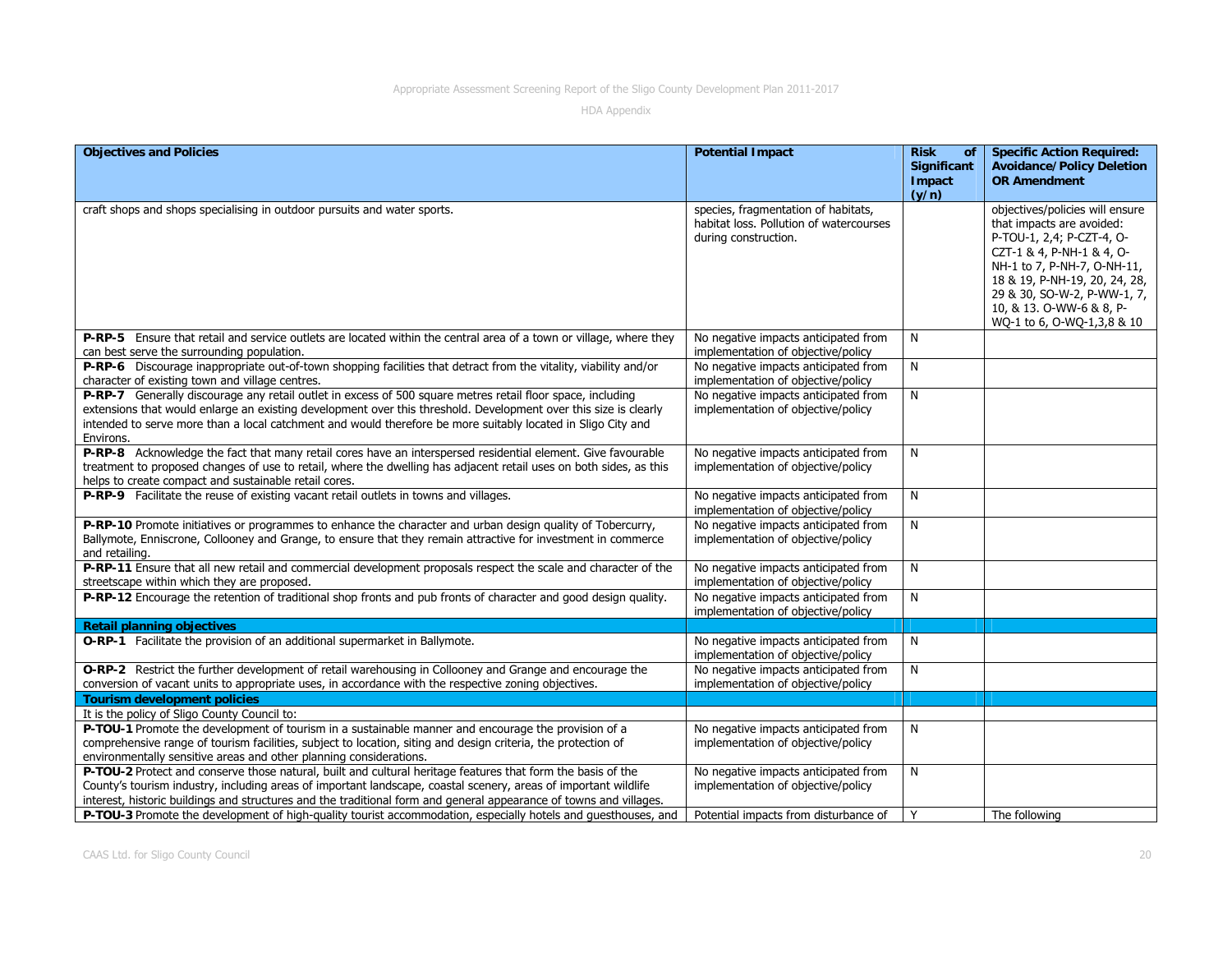| <b>Objectives and Policies</b>                                                                                                                                                                                                                                                                                                                              | <b>Potential Impact</b>                                                                                | <b>Risk</b><br><b>of</b>       | <b>Specific Action Required:</b>                                                                                                                                                                                                                                                |
|-------------------------------------------------------------------------------------------------------------------------------------------------------------------------------------------------------------------------------------------------------------------------------------------------------------------------------------------------------------|--------------------------------------------------------------------------------------------------------|--------------------------------|---------------------------------------------------------------------------------------------------------------------------------------------------------------------------------------------------------------------------------------------------------------------------------|
|                                                                                                                                                                                                                                                                                                                                                             |                                                                                                        | Significant<br>Impact<br>(y/n) | <b>Avoidance/Policy Deletion</b><br><b>OR Amendment</b>                                                                                                                                                                                                                         |
| craft shops and shops specialising in outdoor pursuits and water sports.                                                                                                                                                                                                                                                                                    | species, fragmentation of habitats,<br>habitat loss. Pollution of watercourses<br>during construction. |                                | objectives/policies will ensure<br>that impacts are avoided:<br>P-TOU-1, 2,4; P-CZT-4, O-<br>CZT-1 & 4, P-NH-1 & 4, O-<br>NH-1 to 7, P-NH-7, O-NH-11,<br>18 & 19, P-NH-19, 20, 24, 28,<br>29 & 30, SO-W-2, P-WW-1, 7,<br>10, & 13. O-WW-6 & 8, P-<br>WQ-1 to 6, O-WQ-1,3,8 & 10 |
| P-RP-5 Ensure that retail and service outlets are located within the central area of a town or village, where they<br>can best serve the surrounding population.                                                                                                                                                                                            | No negative impacts anticipated from<br>implementation of objective/policy                             | N                              |                                                                                                                                                                                                                                                                                 |
| P-RP-6 Discourage inappropriate out-of-town shopping facilities that detract from the vitality, viability and/or<br>character of existing town and village centres.                                                                                                                                                                                         | No negative impacts anticipated from<br>implementation of objective/policy                             | N                              |                                                                                                                                                                                                                                                                                 |
| P-RP-7 Generally discourage any retail outlet in excess of 500 square metres retail floor space, including<br>extensions that would enlarge an existing development over this threshold. Development over this size is clearly<br>intended to serve more than a local catchment and would therefore be more suitably located in Sligo City and<br>Environs. | No negative impacts anticipated from<br>implementation of objective/policy                             | N                              |                                                                                                                                                                                                                                                                                 |
| P-RP-8 Acknowledge the fact that many retail cores have an interspersed residential element. Give favourable<br>treatment to proposed changes of use to retail, where the dwelling has adjacent retail uses on both sides, as this<br>helps to create compact and sustainable retail cores.                                                                 | No negative impacts anticipated from<br>implementation of objective/policy                             | N                              |                                                                                                                                                                                                                                                                                 |
| P-RP-9 Facilitate the reuse of existing vacant retail outlets in towns and villages.                                                                                                                                                                                                                                                                        | No negative impacts anticipated from<br>implementation of objective/policy                             | N                              |                                                                                                                                                                                                                                                                                 |
| P-RP-10 Promote initiatives or programmes to enhance the character and urban design quality of Tobercurry,<br>Ballymote, Enniscrone, Collooney and Grange, to ensure that they remain attractive for investment in commerce<br>and retailing.                                                                                                               | No negative impacts anticipated from<br>implementation of objective/policy                             | N                              |                                                                                                                                                                                                                                                                                 |
| P-RP-11 Ensure that all new retail and commercial development proposals respect the scale and character of the<br>streetscape within which they are proposed.                                                                                                                                                                                               | No negative impacts anticipated from<br>implementation of objective/policy                             | N                              |                                                                                                                                                                                                                                                                                 |
| P-RP-12 Encourage the retention of traditional shop fronts and pub fronts of character and good design quality.                                                                                                                                                                                                                                             | No negative impacts anticipated from<br>implementation of objective/policy                             | N                              |                                                                                                                                                                                                                                                                                 |
| <b>Retail planning objectives</b>                                                                                                                                                                                                                                                                                                                           |                                                                                                        |                                |                                                                                                                                                                                                                                                                                 |
| O-RP-1 Facilitate the provision of an additional supermarket in Ballymote.                                                                                                                                                                                                                                                                                  | No negative impacts anticipated from<br>implementation of objective/policy                             | N                              |                                                                                                                                                                                                                                                                                 |
| O-RP-2 Restrict the further development of retail warehousing in Collooney and Grange and encourage the<br>conversion of vacant units to appropriate uses, in accordance with the respective zoning objectives.                                                                                                                                             | No negative impacts anticipated from<br>implementation of objective/policy                             | N                              |                                                                                                                                                                                                                                                                                 |
| <b>Tourism development policies</b>                                                                                                                                                                                                                                                                                                                         |                                                                                                        |                                |                                                                                                                                                                                                                                                                                 |
| It is the policy of Sligo County Council to:                                                                                                                                                                                                                                                                                                                |                                                                                                        |                                |                                                                                                                                                                                                                                                                                 |
| P-TOU-1 Promote the development of tourism in a sustainable manner and encourage the provision of a<br>comprehensive range of tourism facilities, subject to location, siting and design criteria, the protection of<br>environmentally sensitive areas and other planning considerations.                                                                  | No negative impacts anticipated from<br>implementation of objective/policy                             | N                              |                                                                                                                                                                                                                                                                                 |
| P-TOU-2 Protect and conserve those natural, built and cultural heritage features that form the basis of the<br>County's tourism industry, including areas of important landscape, coastal scenery, areas of important wildlife<br>interest, historic buildings and structures and the traditional form and general appearance of towns and villages.        | No negative impacts anticipated from<br>implementation of objective/policy                             | N                              |                                                                                                                                                                                                                                                                                 |
| P-TOU-3 Promote the development of high-quality tourist accommodation, especially hotels and guesthouses, and                                                                                                                                                                                                                                               | Potential impacts from disturbance of                                                                  | Y                              | The following                                                                                                                                                                                                                                                                   |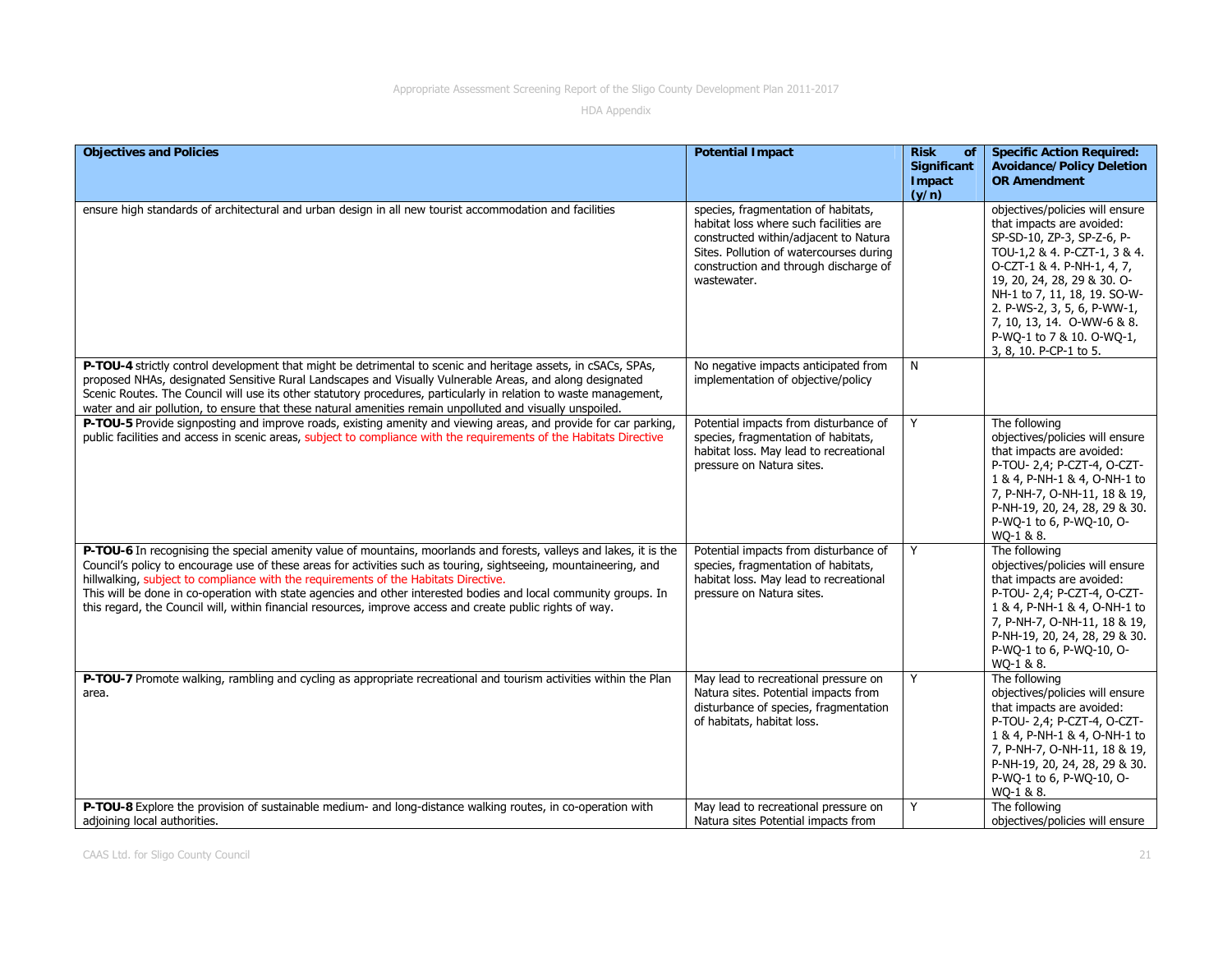| <b>Objectives and Policies</b>                                                                                                                                                                                                                                                                                                                                                                                                                                                                                                                                   | <b>Potential Impact</b>                                                                                                                                                                                                   | <b>Risk</b><br><b>of</b><br>Significant<br>Impact<br>(y/n) | <b>Specific Action Required:</b><br><b>Avoidance/Policy Deletion</b><br><b>OR Amendment</b>                                                                                                                                                                                                                                                 |
|------------------------------------------------------------------------------------------------------------------------------------------------------------------------------------------------------------------------------------------------------------------------------------------------------------------------------------------------------------------------------------------------------------------------------------------------------------------------------------------------------------------------------------------------------------------|---------------------------------------------------------------------------------------------------------------------------------------------------------------------------------------------------------------------------|------------------------------------------------------------|---------------------------------------------------------------------------------------------------------------------------------------------------------------------------------------------------------------------------------------------------------------------------------------------------------------------------------------------|
| ensure high standards of architectural and urban design in all new tourist accommodation and facilities                                                                                                                                                                                                                                                                                                                                                                                                                                                          | species, fragmentation of habitats,<br>habitat loss where such facilities are<br>constructed within/adjacent to Natura<br>Sites. Pollution of watercourses during<br>construction and through discharge of<br>wastewater. |                                                            | objectives/policies will ensure<br>that impacts are avoided:<br>SP-SD-10, ZP-3, SP-Z-6, P-<br>TOU-1,2 & 4. P-CZT-1, 3 & 4.<br>O-CZT-1 & 4. P-NH-1, 4, 7,<br>19, 20, 24, 28, 29 & 30. O-<br>NH-1 to 7, 11, 18, 19. SO-W-<br>2. P-WS-2, 3, 5, 6, P-WW-1,<br>7, 10, 13, 14. O-WW-6 & 8.<br>P-WQ-1 to 7 & 10. O-WQ-1,<br>3, 8, 10. P-CP-1 to 5. |
| P-TOU-4 strictly control development that might be detrimental to scenic and heritage assets, in cSACs, SPAs,<br>proposed NHAs, designated Sensitive Rural Landscapes and Visually Vulnerable Areas, and along designated<br>Scenic Routes. The Council will use its other statutory procedures, particularly in relation to waste management,<br>water and air pollution, to ensure that these natural amenities remain unpolluted and visually unspoiled.                                                                                                      | No negative impacts anticipated from<br>implementation of objective/policy                                                                                                                                                | N                                                          |                                                                                                                                                                                                                                                                                                                                             |
| P-TOU-5 Provide signposting and improve roads, existing amenity and viewing areas, and provide for car parking,<br>public facilities and access in scenic areas, subject to compliance with the requirements of the Habitats Directive                                                                                                                                                                                                                                                                                                                           | Potential impacts from disturbance of<br>species, fragmentation of habitats,<br>habitat loss. May lead to recreational<br>pressure on Natura sites.                                                                       | Y                                                          | The following<br>objectives/policies will ensure<br>that impacts are avoided:<br>P-TOU- 2,4; P-CZT-4, O-CZT-<br>1 & 4, P-NH-1 & 4, O-NH-1 to<br>7, P-NH-7, O-NH-11, 18 & 19,<br>P-NH-19, 20, 24, 28, 29 & 30.<br>P-WQ-1 to 6, P-WQ-10, O-<br>WQ-1 & 8.                                                                                      |
| P-TOU-6 In recognising the special amenity value of mountains, moorlands and forests, valleys and lakes, it is the<br>Council's policy to encourage use of these areas for activities such as touring, sightseeing, mountaineering, and<br>hillwalking, subject to compliance with the requirements of the Habitats Directive.<br>This will be done in co-operation with state agencies and other interested bodies and local community groups. In<br>this regard, the Council will, within financial resources, improve access and create public rights of way. | Potential impacts from disturbance of<br>species, fragmentation of habitats,<br>habitat loss. May lead to recreational<br>pressure on Natura sites.                                                                       | Y                                                          | The following<br>objectives/policies will ensure<br>that impacts are avoided:<br>P-TOU- 2,4; P-CZT-4, O-CZT-<br>1 & 4, P-NH-1 & 4, O-NH-1 to<br>7, P-NH-7, O-NH-11, 18 & 19,<br>P-NH-19, 20, 24, 28, 29 & 30.<br>P-WQ-1 to 6, P-WQ-10, O-<br>WQ-1 & 8.                                                                                      |
| P-TOU-7 Promote walking, rambling and cycling as appropriate recreational and tourism activities within the Plan<br>area.                                                                                                                                                                                                                                                                                                                                                                                                                                        | May lead to recreational pressure on<br>Natura sites. Potential impacts from<br>disturbance of species, fragmentation<br>of habitats, habitat loss.                                                                       | Y                                                          | The following<br>objectives/policies will ensure<br>that impacts are avoided:<br>P-TOU- 2,4; P-CZT-4, O-CZT-<br>1 & 4, P-NH-1 & 4, O-NH-1 to<br>7, P-NH-7, O-NH-11, 18 & 19,<br>P-NH-19, 20, 24, 28, 29 & 30.<br>P-WQ-1 to 6, P-WQ-10, O-<br>WQ-1 & 8.                                                                                      |
| P-TOU-8 Explore the provision of sustainable medium- and long-distance walking routes, in co-operation with<br>adjoining local authorities.                                                                                                                                                                                                                                                                                                                                                                                                                      | May lead to recreational pressure on<br>Natura sites Potential impacts from                                                                                                                                               | Y                                                          | The following<br>objectives/policies will ensure                                                                                                                                                                                                                                                                                            |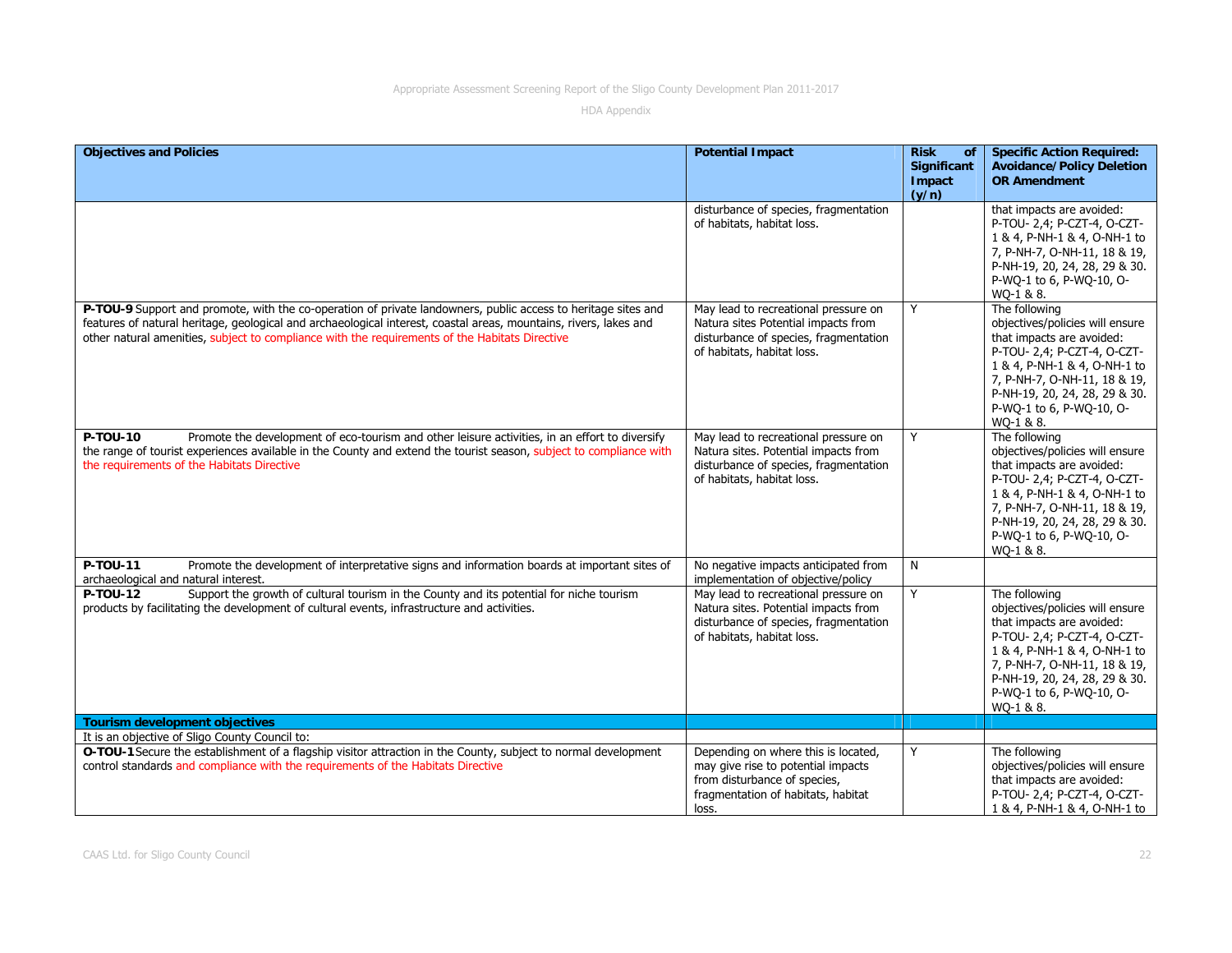| <b>Objectives and Policies</b>                                                                                                                                                                                                                                                                                                       | <b>Potential Impact</b>                                                                                                                                  | <b>Risk</b><br><b>of</b><br><b>Significant</b><br>Impact<br>(y/n) | <b>Specific Action Required:</b><br><b>Avoidance/Policy Deletion</b><br><b>OR Amendment</b>                                                                                                                                                            |
|--------------------------------------------------------------------------------------------------------------------------------------------------------------------------------------------------------------------------------------------------------------------------------------------------------------------------------------|----------------------------------------------------------------------------------------------------------------------------------------------------------|-------------------------------------------------------------------|--------------------------------------------------------------------------------------------------------------------------------------------------------------------------------------------------------------------------------------------------------|
|                                                                                                                                                                                                                                                                                                                                      | disturbance of species, fragmentation<br>of habitats, habitat loss.                                                                                      |                                                                   | that impacts are avoided:<br>P-TOU- 2,4; P-CZT-4, O-CZT-<br>1 & 4, P-NH-1 & 4, O-NH-1 to<br>7, P-NH-7, O-NH-11, 18 & 19,<br>P-NH-19, 20, 24, 28, 29 & 30.<br>P-WO-1 to 6, P-WO-10, O-<br>WQ-1 & 8.                                                     |
| P-TOU-9 Support and promote, with the co-operation of private landowners, public access to heritage sites and<br>features of natural heritage, geological and archaeological interest, coastal areas, mountains, rivers, lakes and<br>other natural amenities, subject to compliance with the requirements of the Habitats Directive | May lead to recreational pressure on<br>Natura sites Potential impacts from<br>disturbance of species, fragmentation<br>of habitats, habitat loss.       | Y                                                                 | The following<br>objectives/policies will ensure<br>that impacts are avoided:<br>P-TOU- 2,4; P-CZT-4, O-CZT-<br>1 & 4, P-NH-1 & 4, O-NH-1 to<br>7, P-NH-7, O-NH-11, 18 & 19,<br>P-NH-19, 20, 24, 28, 29 & 30.<br>P-WQ-1 to 6, P-WQ-10, O-<br>WQ-1 & 8. |
| P-TOU-10<br>Promote the development of eco-tourism and other leisure activities, in an effort to diversify<br>the range of tourist experiences available in the County and extend the tourist season, subject to compliance with<br>the requirements of the Habitats Directive                                                       | May lead to recreational pressure on<br>Natura sites. Potential impacts from<br>disturbance of species, fragmentation<br>of habitats, habitat loss.      | Y                                                                 | The following<br>objectives/policies will ensure<br>that impacts are avoided:<br>P-TOU- 2,4; P-CZT-4, O-CZT-<br>1 & 4, P-NH-1 & 4, O-NH-1 to<br>7, P-NH-7, O-NH-11, 18 & 19,<br>P-NH-19, 20, 24, 28, 29 & 30.<br>P-WQ-1 to 6, P-WQ-10, O-<br>WO-1 & 8. |
| P-TOU-11<br>Promote the development of interpretative signs and information boards at important sites of<br>archaeological and natural interest.                                                                                                                                                                                     | No negative impacts anticipated from<br>implementation of objective/policy                                                                               | N                                                                 |                                                                                                                                                                                                                                                        |
| Support the growth of cultural tourism in the County and its potential for niche tourism<br>P-TOU-12<br>products by facilitating the development of cultural events, infrastructure and activities.                                                                                                                                  | May lead to recreational pressure on<br>Natura sites. Potential impacts from<br>disturbance of species, fragmentation<br>of habitats, habitat loss.      | Y                                                                 | The following<br>objectives/policies will ensure<br>that impacts are avoided:<br>P-TOU- 2,4; P-CZT-4, O-CZT-<br>1 & 4, P-NH-1 & 4, O-NH-1 to<br>7, P-NH-7, O-NH-11, 18 & 19,<br>P-NH-19, 20, 24, 28, 29 & 30.<br>P-WQ-1 to 6, P-WQ-10, O-<br>WO-1 & 8. |
| <b>Tourism development objectives</b><br>It is an objective of Sligo County Council to:                                                                                                                                                                                                                                              |                                                                                                                                                          |                                                                   |                                                                                                                                                                                                                                                        |
| O-TOU-1 Secure the establishment of a flagship visitor attraction in the County, subject to normal development<br>control standards and compliance with the requirements of the Habitats Directive                                                                                                                                   | Depending on where this is located,<br>may give rise to potential impacts<br>from disturbance of species,<br>fragmentation of habitats, habitat<br>loss. | Y                                                                 | The following<br>objectives/policies will ensure<br>that impacts are avoided:<br>P-TOU- 2,4; P-CZT-4, O-CZT-<br>1 & 4, P-NH-1 & 4, O-NH-1 to                                                                                                           |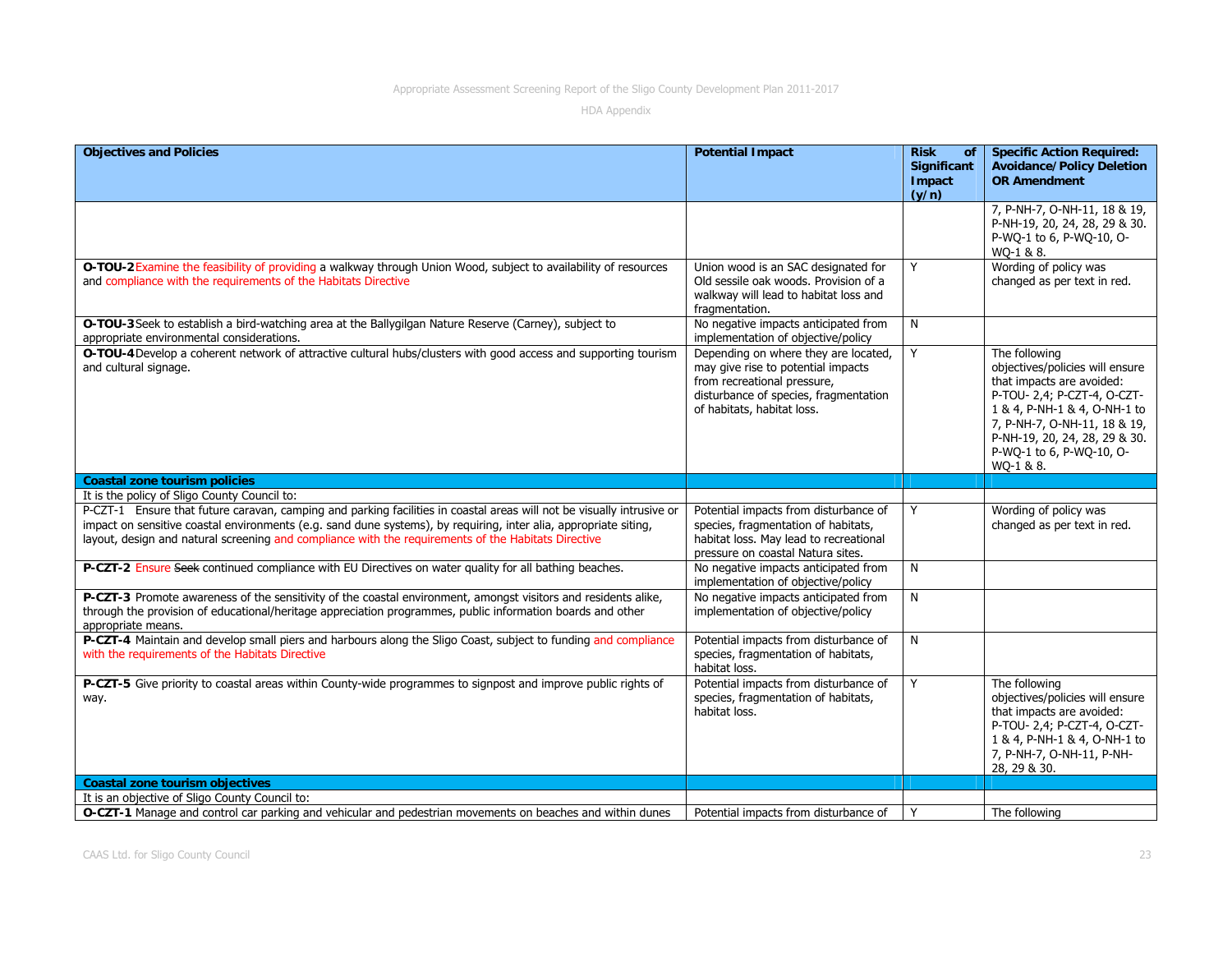| <b>Objectives and Policies</b>                                                                                                                                                                                                                                                                                                                   | <b>Potential Impact</b>                                                                                                                                                          | <b>Risk</b><br>of                     | <b>Specific Action Required:</b>                                                                                                                                                                                                                       |
|--------------------------------------------------------------------------------------------------------------------------------------------------------------------------------------------------------------------------------------------------------------------------------------------------------------------------------------------------|----------------------------------------------------------------------------------------------------------------------------------------------------------------------------------|---------------------------------------|--------------------------------------------------------------------------------------------------------------------------------------------------------------------------------------------------------------------------------------------------------|
|                                                                                                                                                                                                                                                                                                                                                  |                                                                                                                                                                                  | <b>Significant</b><br>Impact<br>(y/n) | <b>Avoidance/Policy Deletion</b><br><b>OR Amendment</b>                                                                                                                                                                                                |
|                                                                                                                                                                                                                                                                                                                                                  |                                                                                                                                                                                  |                                       | 7, P-NH-7, O-NH-11, 18 & 19,<br>P-NH-19, 20, 24, 28, 29 & 30.<br>P-WQ-1 to 6, P-WQ-10, O-<br>WQ-1 & 8.                                                                                                                                                 |
| O-TOU-2 Examine the feasibility of providing a walkway through Union Wood, subject to availability of resources<br>and compliance with the requirements of the Habitats Directive                                                                                                                                                                | Union wood is an SAC designated for<br>Old sessile oak woods. Provision of a<br>walkway will lead to habitat loss and<br>fragmentation.                                          | Y                                     | Wording of policy was<br>changed as per text in red.                                                                                                                                                                                                   |
| O-TOU-3 Seek to establish a bird-watching area at the Ballygilgan Nature Reserve (Carney), subject to<br>appropriate environmental considerations.                                                                                                                                                                                               | No negative impacts anticipated from<br>implementation of objective/policy                                                                                                       | N                                     |                                                                                                                                                                                                                                                        |
| O-TOU-4 Develop a coherent network of attractive cultural hubs/clusters with good access and supporting tourism<br>and cultural signage.                                                                                                                                                                                                         | Depending on where they are located,<br>may give rise to potential impacts<br>from recreational pressure,<br>disturbance of species, fragmentation<br>of habitats, habitat loss. | Y                                     | The following<br>objectives/policies will ensure<br>that impacts are avoided:<br>P-TOU- 2,4; P-CZT-4, O-CZT-<br>1 & 4, P-NH-1 & 4, O-NH-1 to<br>7, P-NH-7, O-NH-11, 18 & 19,<br>P-NH-19, 20, 24, 28, 29 & 30.<br>P-WQ-1 to 6, P-WQ-10, O-<br>WQ-1 & 8. |
| <b>Coastal zone tourism policies</b>                                                                                                                                                                                                                                                                                                             |                                                                                                                                                                                  |                                       |                                                                                                                                                                                                                                                        |
|                                                                                                                                                                                                                                                                                                                                                  |                                                                                                                                                                                  |                                       |                                                                                                                                                                                                                                                        |
| It is the policy of Sligo County Council to:                                                                                                                                                                                                                                                                                                     |                                                                                                                                                                                  |                                       |                                                                                                                                                                                                                                                        |
| P-CZT-1 Ensure that future caravan, camping and parking facilities in coastal areas will not be visually intrusive or<br>impact on sensitive coastal environments (e.g. sand dune systems), by requiring, inter alia, appropriate siting,<br>layout, design and natural screening and compliance with the requirements of the Habitats Directive | Potential impacts from disturbance of<br>species, fragmentation of habitats,<br>habitat loss. May lead to recreational<br>pressure on coastal Natura sites.                      | Y                                     | Wording of policy was<br>changed as per text in red.                                                                                                                                                                                                   |
| P-CZT-2 Ensure Seek continued compliance with EU Directives on water quality for all bathing beaches.                                                                                                                                                                                                                                            | No negative impacts anticipated from<br>implementation of objective/policy                                                                                                       | N                                     |                                                                                                                                                                                                                                                        |
| P-CZT-3 Promote awareness of the sensitivity of the coastal environment, amongst visitors and residents alike,<br>through the provision of educational/heritage appreciation programmes, public information boards and other<br>appropriate means.                                                                                               | No negative impacts anticipated from<br>implementation of objective/policy                                                                                                       | N                                     |                                                                                                                                                                                                                                                        |
| P-CZT-4 Maintain and develop small piers and harbours along the Sligo Coast, subject to funding and compliance<br>with the requirements of the Habitats Directive                                                                                                                                                                                | Potential impacts from disturbance of<br>species, fragmentation of habitats,<br>habitat loss.                                                                                    | N                                     |                                                                                                                                                                                                                                                        |
| P-CZT-5 Give priority to coastal areas within County-wide programmes to signpost and improve public rights of<br>way.                                                                                                                                                                                                                            | Potential impacts from disturbance of<br>species, fragmentation of habitats,<br>habitat loss.                                                                                    | Y                                     | The following<br>objectives/policies will ensure<br>that impacts are avoided:<br>P-TOU- 2,4; P-CZT-4, O-CZT-<br>1 & 4, P-NH-1 & 4, O-NH-1 to<br>7, P-NH-7, O-NH-11, P-NH-<br>28, 29 & 30.                                                              |
| <b>Coastal zone tourism objectives</b>                                                                                                                                                                                                                                                                                                           |                                                                                                                                                                                  |                                       |                                                                                                                                                                                                                                                        |
| It is an objective of Sligo County Council to:<br>O-CZT-1 Manage and control car parking and vehicular and pedestrian movements on beaches and within dunes                                                                                                                                                                                      | Potential impacts from disturbance of                                                                                                                                            | Y                                     | The following                                                                                                                                                                                                                                          |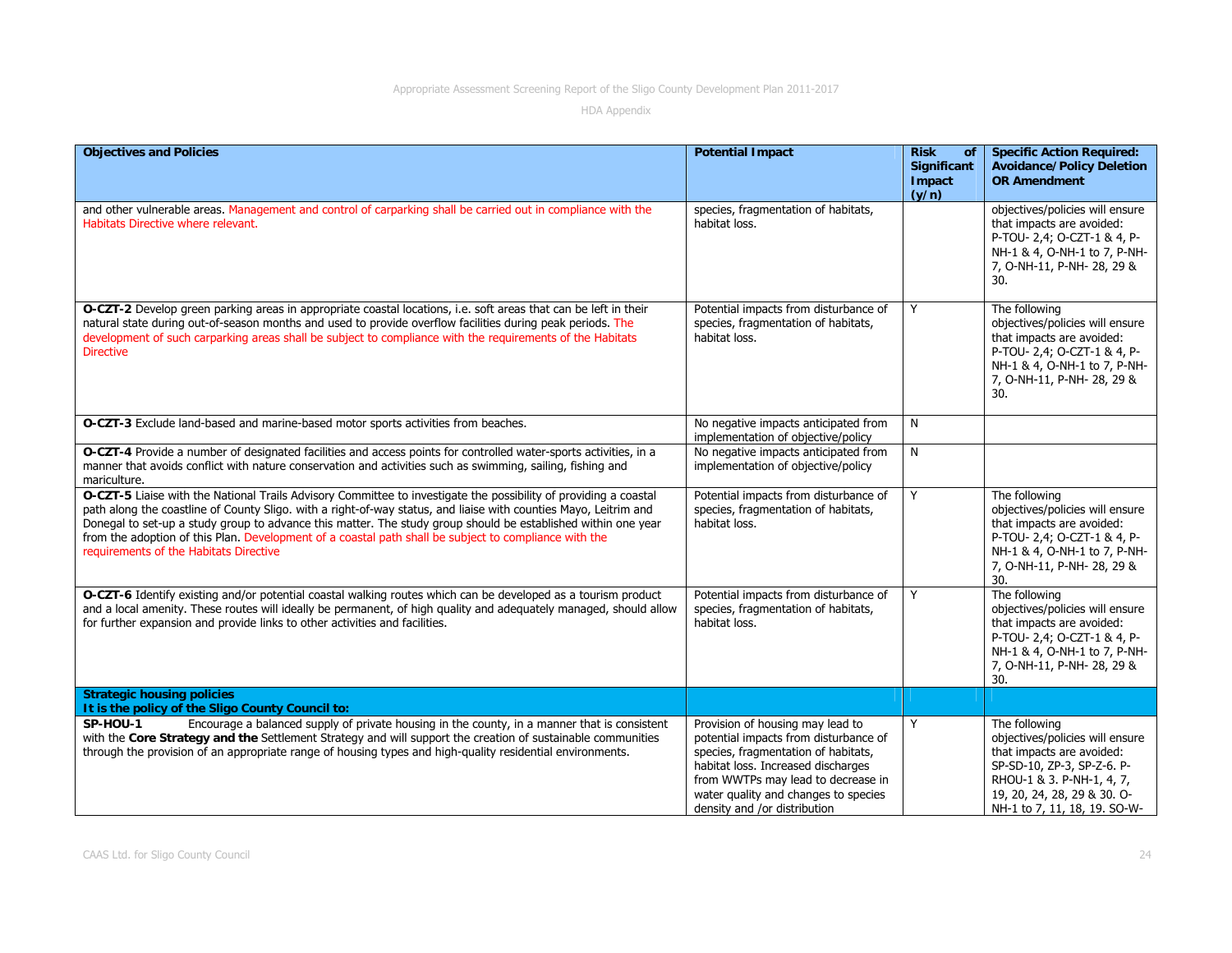| <b>Objectives and Policies</b>                                                                                                                                                                                                                                                                                                                                                                                                                                                                           | <b>Potential Impact</b>                                                                                                                                                                                                                                              | <b>Risk</b><br>of<br><b>Significant</b><br>Impact<br>(y/n) | <b>Specific Action Required:</b><br><b>Avoidance/Policy Deletion</b><br><b>OR Amendment</b>                                                                                                             |
|----------------------------------------------------------------------------------------------------------------------------------------------------------------------------------------------------------------------------------------------------------------------------------------------------------------------------------------------------------------------------------------------------------------------------------------------------------------------------------------------------------|----------------------------------------------------------------------------------------------------------------------------------------------------------------------------------------------------------------------------------------------------------------------|------------------------------------------------------------|---------------------------------------------------------------------------------------------------------------------------------------------------------------------------------------------------------|
| and other vulnerable areas. Management and control of carparking shall be carried out in compliance with the<br>Habitats Directive where relevant.                                                                                                                                                                                                                                                                                                                                                       | species, fragmentation of habitats,<br>habitat loss.                                                                                                                                                                                                                 |                                                            | objectives/policies will ensure<br>that impacts are avoided:<br>P-TOU- 2,4; O-CZT-1 & 4, P-<br>NH-1 & 4, O-NH-1 to 7, P-NH-<br>7, O-NH-11, P-NH-28, 29 &<br>30.                                         |
| O-CZT-2 Develop green parking areas in appropriate coastal locations, i.e. soft areas that can be left in their<br>natural state during out-of-season months and used to provide overflow facilities during peak periods. The<br>development of such carparking areas shall be subject to compliance with the requirements of the Habitats<br><b>Directive</b>                                                                                                                                           | Potential impacts from disturbance of<br>species, fragmentation of habitats,<br>habitat loss.                                                                                                                                                                        | Y                                                          | The following<br>objectives/policies will ensure<br>that impacts are avoided:<br>P-TOU- 2,4; O-CZT-1 & 4, P-<br>NH-1 & 4, O-NH-1 to 7, P-NH-<br>7, O-NH-11, P-NH- 28, 29 &<br>30.                       |
| O-CZT-3 Exclude land-based and marine-based motor sports activities from beaches.                                                                                                                                                                                                                                                                                                                                                                                                                        | No negative impacts anticipated from<br>implementation of objective/policy                                                                                                                                                                                           | N                                                          |                                                                                                                                                                                                         |
| O-CZT-4 Provide a number of designated facilities and access points for controlled water-sports activities, in a<br>manner that avoids conflict with nature conservation and activities such as swimming, sailing, fishing and<br>mariculture.                                                                                                                                                                                                                                                           | No negative impacts anticipated from<br>implementation of objective/policy                                                                                                                                                                                           | $\overline{\mathsf{N}}$                                    |                                                                                                                                                                                                         |
| O-CZT-5 Liaise with the National Trails Advisory Committee to investigate the possibility of providing a coastal<br>path along the coastline of County Sligo. with a right-of-way status, and liaise with counties Mayo, Leitrim and<br>Donegal to set-up a study group to advance this matter. The study group should be established within one year<br>from the adoption of this Plan. Development of a coastal path shall be subject to compliance with the<br>requirements of the Habitats Directive | Potential impacts from disturbance of<br>species, fragmentation of habitats,<br>habitat loss.                                                                                                                                                                        | Y                                                          | The following<br>objectives/policies will ensure<br>that impacts are avoided:<br>P-TOU- 2,4; O-CZT-1 & 4, P-<br>NH-1 & 4, O-NH-1 to 7, P-NH-<br>7, O-NH-11, P-NH-28, 29 &<br>30.                        |
| O-CZT-6 Identify existing and/or potential coastal walking routes which can be developed as a tourism product<br>and a local amenity. These routes will ideally be permanent, of high quality and adequately managed, should allow<br>for further expansion and provide links to other activities and facilities.                                                                                                                                                                                        | Potential impacts from disturbance of<br>species, fragmentation of habitats,<br>habitat loss.                                                                                                                                                                        | Y                                                          | The following<br>objectives/policies will ensure<br>that impacts are avoided:<br>P-TOU- 2,4; O-CZT-1 & 4, P-<br>NH-1 & 4, O-NH-1 to 7, P-NH-<br>7, O-NH-11, P-NH-28, 29 &<br>30.                        |
| <b>Strategic housing policies</b><br>It is the policy of the Sligo County Council to:                                                                                                                                                                                                                                                                                                                                                                                                                    |                                                                                                                                                                                                                                                                      |                                                            |                                                                                                                                                                                                         |
| Encourage a balanced supply of private housing in the county, in a manner that is consistent<br>SP-HOU-1<br>with the Core Strategy and the Settlement Strategy and will support the creation of sustainable communities<br>through the provision of an appropriate range of housing types and high-quality residential environments.                                                                                                                                                                     | Provision of housing may lead to<br>potential impacts from disturbance of<br>species, fragmentation of habitats,<br>habitat loss. Increased discharges<br>from WWTPs may lead to decrease in<br>water quality and changes to species<br>density and /or distribution | Y                                                          | The following<br>objectives/policies will ensure<br>that impacts are avoided:<br>SP-SD-10, ZP-3, SP-Z-6. P-<br>RHOU-1 & 3. P-NH-1, 4, 7,<br>19, 20, 24, 28, 29 & 30. O-<br>NH-1 to 7, 11, 18, 19. SO-W- |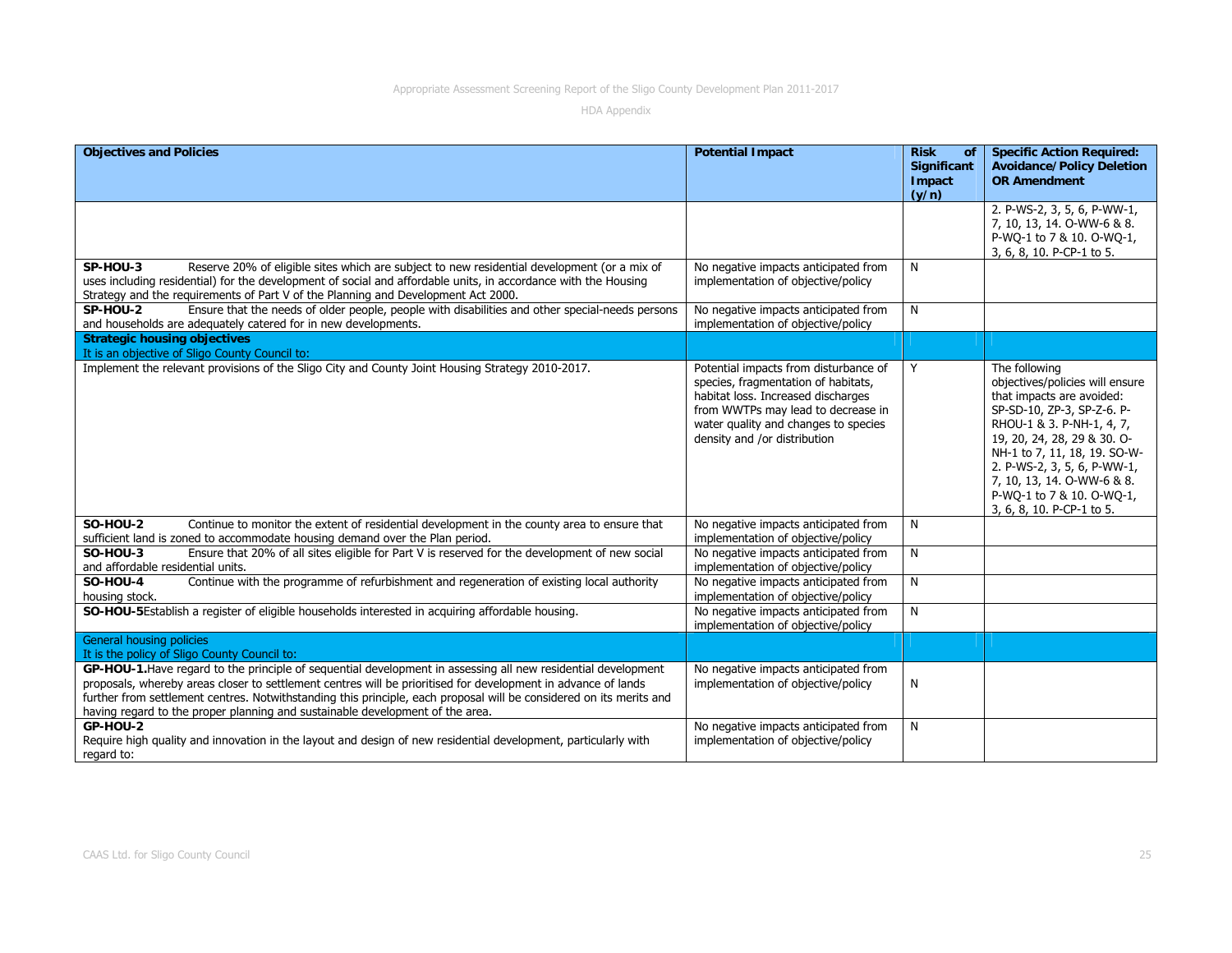| <b>Objectives and Policies</b>                                                                                                                                                                                                                                                                                                                                                                                                         | <b>Potential Impact</b>                                                                                                                                                                                                          | <b>Risk</b><br><b>of</b>              | <b>Specific Action Required:</b>                                                                                                                                                                                                                                                                                               |
|----------------------------------------------------------------------------------------------------------------------------------------------------------------------------------------------------------------------------------------------------------------------------------------------------------------------------------------------------------------------------------------------------------------------------------------|----------------------------------------------------------------------------------------------------------------------------------------------------------------------------------------------------------------------------------|---------------------------------------|--------------------------------------------------------------------------------------------------------------------------------------------------------------------------------------------------------------------------------------------------------------------------------------------------------------------------------|
|                                                                                                                                                                                                                                                                                                                                                                                                                                        |                                                                                                                                                                                                                                  | <b>Significant</b><br>Impact<br>(y/n) | <b>Avoidance/Policy Deletion</b><br><b>OR Amendment</b>                                                                                                                                                                                                                                                                        |
|                                                                                                                                                                                                                                                                                                                                                                                                                                        |                                                                                                                                                                                                                                  |                                       | 2. P-WS-2, 3, 5, 6, P-WW-1,<br>7, 10, 13, 14. O-WW-6 & 8.<br>P-WQ-1 to 7 & 10. O-WQ-1,<br>3, 6, 8, 10. P-CP-1 to 5.                                                                                                                                                                                                            |
| SP-HOU-3<br>Reserve 20% of eligible sites which are subject to new residential development (or a mix of<br>uses including residential) for the development of social and affordable units, in accordance with the Housing<br>Strategy and the requirements of Part V of the Planning and Development Act 2000.                                                                                                                         | No negative impacts anticipated from<br>implementation of objective/policy                                                                                                                                                       | N                                     |                                                                                                                                                                                                                                                                                                                                |
| Ensure that the needs of older people, people with disabilities and other special-needs persons<br>SP-HOU-2<br>and households are adequately catered for in new developments.                                                                                                                                                                                                                                                          | No negative impacts anticipated from<br>implementation of objective/policy                                                                                                                                                       | N                                     |                                                                                                                                                                                                                                                                                                                                |
| <b>Strategic housing objectives</b><br>It is an objective of Sligo County Council to:                                                                                                                                                                                                                                                                                                                                                  |                                                                                                                                                                                                                                  |                                       |                                                                                                                                                                                                                                                                                                                                |
| Implement the relevant provisions of the Sligo City and County Joint Housing Strategy 2010-2017.                                                                                                                                                                                                                                                                                                                                       | Potential impacts from disturbance of<br>species, fragmentation of habitats,<br>habitat loss. Increased discharges<br>from WWTPs may lead to decrease in<br>water quality and changes to species<br>density and /or distribution | Y                                     | The following<br>objectives/policies will ensure<br>that impacts are avoided:<br>SP-SD-10, ZP-3, SP-Z-6. P-<br>RHOU-1 & 3. P-NH-1, 4, 7,<br>19, 20, 24, 28, 29 & 30. O-<br>NH-1 to 7, 11, 18, 19. SO-W-<br>2. P-WS-2, 3, 5, 6, P-WW-1,<br>7, 10, 13, 14. O-WW-6 & 8.<br>P-WQ-1 to 7 & 10. O-WQ-1,<br>3, 6, 8, 10. P-CP-1 to 5. |
| <b>SO-HOU-2</b><br>Continue to monitor the extent of residential development in the county area to ensure that<br>sufficient land is zoned to accommodate housing demand over the Plan period.                                                                                                                                                                                                                                         | No negative impacts anticipated from<br>implementation of objective/policy                                                                                                                                                       | N                                     |                                                                                                                                                                                                                                                                                                                                |
| Ensure that 20% of all sites eligible for Part V is reserved for the development of new social<br><b>SO-HOU-3</b><br>and affordable residential units.                                                                                                                                                                                                                                                                                 | No negative impacts anticipated from<br>implementation of objective/policy                                                                                                                                                       | N                                     |                                                                                                                                                                                                                                                                                                                                |
| Continue with the programme of refurbishment and regeneration of existing local authority<br><b>SO-HOU-4</b><br>housing stock.                                                                                                                                                                                                                                                                                                         | No negative impacts anticipated from<br>implementation of objective/policy                                                                                                                                                       | N                                     |                                                                                                                                                                                                                                                                                                                                |
| SO-HOU-5Establish a register of eligible households interested in acquiring affordable housing.                                                                                                                                                                                                                                                                                                                                        | No negative impacts anticipated from<br>implementation of objective/policy                                                                                                                                                       | N                                     |                                                                                                                                                                                                                                                                                                                                |
| General housing policies<br>It is the policy of Sligo County Council to:                                                                                                                                                                                                                                                                                                                                                               |                                                                                                                                                                                                                                  |                                       |                                                                                                                                                                                                                                                                                                                                |
| GP-HOU-1. Have regard to the principle of sequential development in assessing all new residential development<br>proposals, whereby areas closer to settlement centres will be prioritised for development in advance of lands<br>further from settlement centres. Notwithstanding this principle, each proposal will be considered on its merits and<br>having regard to the proper planning and sustainable development of the area. | No negative impacts anticipated from<br>implementation of objective/policy                                                                                                                                                       | N                                     |                                                                                                                                                                                                                                                                                                                                |
| GP-HOU-2<br>Require high quality and innovation in the layout and design of new residential development, particularly with<br>regard to:                                                                                                                                                                                                                                                                                               | No negative impacts anticipated from<br>implementation of objective/policy                                                                                                                                                       | N                                     |                                                                                                                                                                                                                                                                                                                                |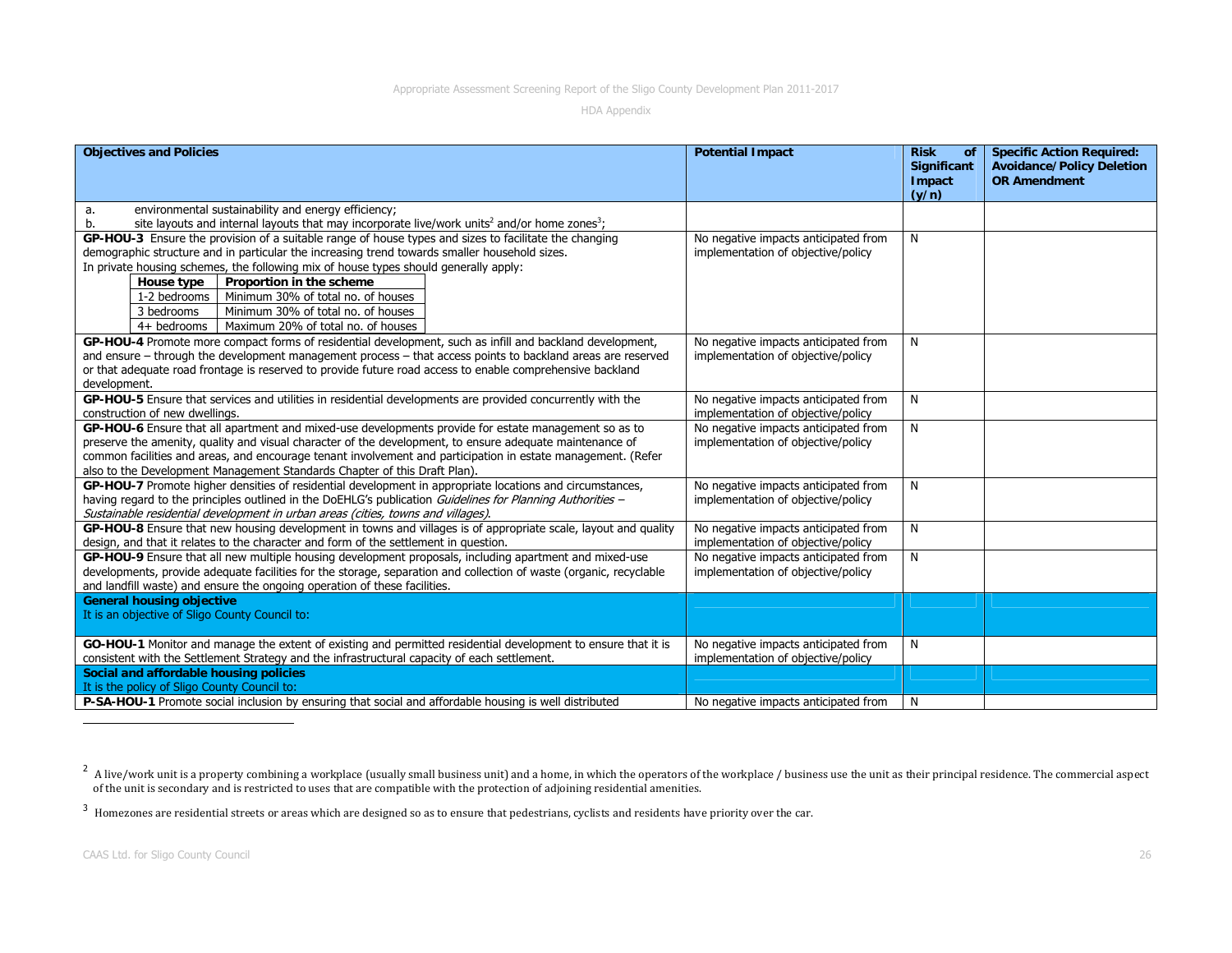| <b>Objectives and Policies</b>                                                                                                                                                                     | <b>Potential Impact</b>              | <b>Risk</b><br>.of                  | <b>Specific Action Required:</b>                        |
|----------------------------------------------------------------------------------------------------------------------------------------------------------------------------------------------------|--------------------------------------|-------------------------------------|---------------------------------------------------------|
|                                                                                                                                                                                                    |                                      | <b>Significant</b><br><b>Impact</b> | <b>Avoidance/Policy Deletion</b><br><b>OR Amendment</b> |
|                                                                                                                                                                                                    |                                      | (y/n)                               |                                                         |
| environmental sustainability and energy efficiency;<br>a.                                                                                                                                          |                                      |                                     |                                                         |
| site layouts and internal layouts that may incorporate live/work units <sup>2</sup> and/or home zones <sup>3</sup> ;<br>b.                                                                         |                                      |                                     |                                                         |
| GP-HOU-3 Ensure the provision of a suitable range of house types and sizes to facilitate the changing                                                                                              | No negative impacts anticipated from | N                                   |                                                         |
| demographic structure and in particular the increasing trend towards smaller household sizes.                                                                                                      | implementation of objective/policy   |                                     |                                                         |
| In private housing schemes, the following mix of house types should generally apply:                                                                                                               |                                      |                                     |                                                         |
| Proportion in the scheme<br>House type                                                                                                                                                             |                                      |                                     |                                                         |
| Minimum 30% of total no. of houses<br>1-2 bedrooms                                                                                                                                                 |                                      |                                     |                                                         |
| Minimum 30% of total no. of houses<br>3 bedrooms                                                                                                                                                   |                                      |                                     |                                                         |
| Maximum 20% of total no. of houses<br>4+ bedrooms                                                                                                                                                  |                                      |                                     |                                                         |
| GP-HOU-4 Promote more compact forms of residential development, such as infill and backland development,                                                                                           | No negative impacts anticipated from | N                                   |                                                         |
| and ensure – through the development management process – that access points to backland areas are reserved                                                                                        | implementation of objective/policy   |                                     |                                                         |
| or that adequate road frontage is reserved to provide future road access to enable comprehensive backland                                                                                          |                                      |                                     |                                                         |
| development.                                                                                                                                                                                       |                                      |                                     |                                                         |
| GP-HOU-5 Ensure that services and utilities in residential developments are provided concurrently with the                                                                                         | No negative impacts anticipated from | N                                   |                                                         |
| construction of new dwellings.                                                                                                                                                                     | implementation of objective/policy   |                                     |                                                         |
| GP-HOU-6 Ensure that all apartment and mixed-use developments provide for estate management so as to                                                                                               | No negative impacts anticipated from | N                                   |                                                         |
| preserve the amenity, quality and visual character of the development, to ensure adequate maintenance of                                                                                           | implementation of objective/policy   |                                     |                                                         |
| common facilities and areas, and encourage tenant involvement and participation in estate management. (Refer                                                                                       |                                      |                                     |                                                         |
| also to the Development Management Standards Chapter of this Draft Plan).                                                                                                                          |                                      |                                     |                                                         |
| GP-HOU-7 Promote higher densities of residential development in appropriate locations and circumstances,                                                                                           | No negative impacts anticipated from | N                                   |                                                         |
| having regard to the principles outlined in the DoEHLG's publication Guidelines for Planning Authorities -                                                                                         | implementation of objective/policy   |                                     |                                                         |
| Sustainable residential development in urban areas (cities, towns and villages).<br>GP-HOU-8 Ensure that new housing development in towns and villages is of appropriate scale, layout and quality | No negative impacts anticipated from | N                                   |                                                         |
| design, and that it relates to the character and form of the settlement in question.                                                                                                               | implementation of objective/policy   |                                     |                                                         |
| GP-HOU-9 Ensure that all new multiple housing development proposals, including apartment and mixed-use                                                                                             | No negative impacts anticipated from | N                                   |                                                         |
| developments, provide adequate facilities for the storage, separation and collection of waste (organic, recyclable                                                                                 | implementation of objective/policy   |                                     |                                                         |
| and landfill waste) and ensure the ongoing operation of these facilities.                                                                                                                          |                                      |                                     |                                                         |
| <b>General housing objective</b>                                                                                                                                                                   |                                      |                                     |                                                         |
| It is an objective of Sligo County Council to:                                                                                                                                                     |                                      |                                     |                                                         |
|                                                                                                                                                                                                    |                                      |                                     |                                                         |
| GO-HOU-1 Monitor and manage the extent of existing and permitted residential development to ensure that it is                                                                                      | No negative impacts anticipated from | N                                   |                                                         |
| consistent with the Settlement Strategy and the infrastructural capacity of each settlement.                                                                                                       | implementation of objective/policy   |                                     |                                                         |
| Social and affordable housing policies                                                                                                                                                             |                                      |                                     |                                                         |
| It is the policy of Sligo County Council to:                                                                                                                                                       |                                      |                                     |                                                         |
| <b>P-SA-HOU-1</b> Promote social inclusion by ensuring that social and affordable housing is well distributed                                                                                      | No negative impacts anticipated from | N                                   |                                                         |

 $^2$  A live/work unit is a property combining a workplace (usually small business unit) and a home, in which the operators of the workplace / business use the unit as their principal residence. The commercial aspect of the unit is secondary and is restricted to uses that are compatible with the protection of adjoining residential amenities.

 $^3$  Homezones are residential streets or areas which are designed so as to ensure that pedestrians, cyclists and residents have priority over the car.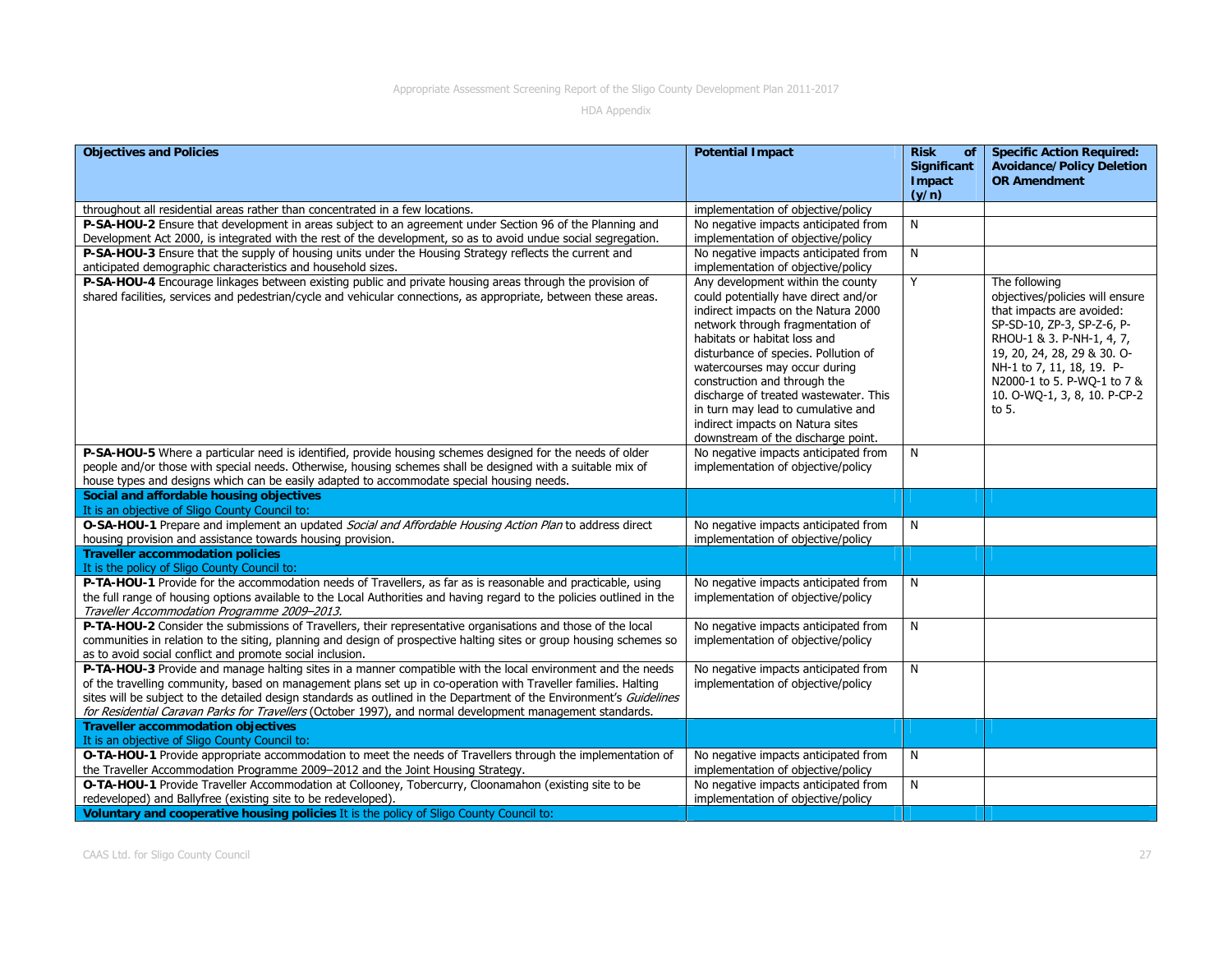| <b>Objectives and Policies</b>                                                                                                                                                                                                                                                         | <b>Potential Impact</b>                                                                                                                                                                                                                                                                                                                                                                                                                                | <b>Risk</b><br>of<br>Significant<br>Impact<br>(y/n) | <b>Specific Action Required:</b><br><b>Avoidance/Policy Deletion</b><br><b>OR Amendment</b>                                                                                                                                                                                  |
|----------------------------------------------------------------------------------------------------------------------------------------------------------------------------------------------------------------------------------------------------------------------------------------|--------------------------------------------------------------------------------------------------------------------------------------------------------------------------------------------------------------------------------------------------------------------------------------------------------------------------------------------------------------------------------------------------------------------------------------------------------|-----------------------------------------------------|------------------------------------------------------------------------------------------------------------------------------------------------------------------------------------------------------------------------------------------------------------------------------|
| throughout all residential areas rather than concentrated in a few locations.                                                                                                                                                                                                          | implementation of objective/policy                                                                                                                                                                                                                                                                                                                                                                                                                     |                                                     |                                                                                                                                                                                                                                                                              |
| P-SA-HOU-2 Ensure that development in areas subject to an agreement under Section 96 of the Planning and                                                                                                                                                                               | No negative impacts anticipated from                                                                                                                                                                                                                                                                                                                                                                                                                   | N                                                   |                                                                                                                                                                                                                                                                              |
| Development Act 2000, is integrated with the rest of the development, so as to avoid undue social segregation.                                                                                                                                                                         | implementation of objective/policy                                                                                                                                                                                                                                                                                                                                                                                                                     |                                                     |                                                                                                                                                                                                                                                                              |
| P-SA-HOU-3 Ensure that the supply of housing units under the Housing Strategy reflects the current and                                                                                                                                                                                 | No negative impacts anticipated from                                                                                                                                                                                                                                                                                                                                                                                                                   | N                                                   |                                                                                                                                                                                                                                                                              |
| anticipated demographic characteristics and household sizes.                                                                                                                                                                                                                           | implementation of objective/policy                                                                                                                                                                                                                                                                                                                                                                                                                     |                                                     |                                                                                                                                                                                                                                                                              |
| P-SA-HOU-4 Encourage linkages between existing public and private housing areas through the provision of<br>shared facilities, services and pedestrian/cycle and vehicular connections, as appropriate, between these areas.                                                           | Any development within the county<br>could potentially have direct and/or<br>indirect impacts on the Natura 2000<br>network through fragmentation of<br>habitats or habitat loss and<br>disturbance of species. Pollution of<br>watercourses may occur during<br>construction and through the<br>discharge of treated wastewater. This<br>in turn may lead to cumulative and<br>indirect impacts on Natura sites<br>downstream of the discharge point. | Y                                                   | The following<br>objectives/policies will ensure<br>that impacts are avoided:<br>SP-SD-10, ZP-3, SP-Z-6, P-<br>RHOU-1 & 3. P-NH-1, 4, 7,<br>19, 20, 24, 28, 29 & 30. O-<br>NH-1 to 7, 11, 18, 19. P-<br>N2000-1 to 5. P-WQ-1 to 7 &<br>10. O-WQ-1, 3, 8, 10. P-CP-2<br>to 5. |
| P-SA-HOU-5 Where a particular need is identified, provide housing schemes designed for the needs of older                                                                                                                                                                              | No negative impacts anticipated from                                                                                                                                                                                                                                                                                                                                                                                                                   | N                                                   |                                                                                                                                                                                                                                                                              |
| people and/or those with special needs. Otherwise, housing schemes shall be designed with a suitable mix of                                                                                                                                                                            | implementation of objective/policy                                                                                                                                                                                                                                                                                                                                                                                                                     |                                                     |                                                                                                                                                                                                                                                                              |
| house types and designs which can be easily adapted to accommodate special housing needs.                                                                                                                                                                                              |                                                                                                                                                                                                                                                                                                                                                                                                                                                        |                                                     |                                                                                                                                                                                                                                                                              |
| Social and affordable housing objectives                                                                                                                                                                                                                                               |                                                                                                                                                                                                                                                                                                                                                                                                                                                        |                                                     |                                                                                                                                                                                                                                                                              |
| It is an objective of Sligo County Council to:                                                                                                                                                                                                                                         |                                                                                                                                                                                                                                                                                                                                                                                                                                                        |                                                     |                                                                                                                                                                                                                                                                              |
| O-SA-HOU-1 Prepare and implement an updated Social and Affordable Housing Action Plan to address direct                                                                                                                                                                                | No negative impacts anticipated from                                                                                                                                                                                                                                                                                                                                                                                                                   | N                                                   |                                                                                                                                                                                                                                                                              |
| housing provision and assistance towards housing provision.                                                                                                                                                                                                                            | implementation of objective/policy                                                                                                                                                                                                                                                                                                                                                                                                                     |                                                     |                                                                                                                                                                                                                                                                              |
| <b>Traveller accommodation policies</b>                                                                                                                                                                                                                                                |                                                                                                                                                                                                                                                                                                                                                                                                                                                        |                                                     |                                                                                                                                                                                                                                                                              |
| It is the policy of Sligo County Council to:                                                                                                                                                                                                                                           |                                                                                                                                                                                                                                                                                                                                                                                                                                                        |                                                     |                                                                                                                                                                                                                                                                              |
| P-TA-HOU-1 Provide for the accommodation needs of Travellers, as far as is reasonable and practicable, using<br>the full range of housing options available to the Local Authorities and having regard to the policies outlined in the<br>Traveller Accommodation Programme 2009-2013. | No negative impacts anticipated from<br>implementation of objective/policy                                                                                                                                                                                                                                                                                                                                                                             | N                                                   |                                                                                                                                                                                                                                                                              |
| P-TA-HOU-2 Consider the submissions of Travellers, their representative organisations and those of the local                                                                                                                                                                           | No negative impacts anticipated from                                                                                                                                                                                                                                                                                                                                                                                                                   | N                                                   |                                                                                                                                                                                                                                                                              |
| communities in relation to the siting, planning and design of prospective halting sites or group housing schemes so<br>as to avoid social conflict and promote social inclusion.                                                                                                       | implementation of objective/policy                                                                                                                                                                                                                                                                                                                                                                                                                     |                                                     |                                                                                                                                                                                                                                                                              |
| P-TA-HOU-3 Provide and manage halting sites in a manner compatible with the local environment and the needs                                                                                                                                                                            | No negative impacts anticipated from                                                                                                                                                                                                                                                                                                                                                                                                                   | N                                                   |                                                                                                                                                                                                                                                                              |
| of the travelling community, based on management plans set up in co-operation with Traveller families. Halting                                                                                                                                                                         | implementation of objective/policy                                                                                                                                                                                                                                                                                                                                                                                                                     |                                                     |                                                                                                                                                                                                                                                                              |
| sites will be subject to the detailed design standards as outlined in the Department of the Environment's Guidelines                                                                                                                                                                   |                                                                                                                                                                                                                                                                                                                                                                                                                                                        |                                                     |                                                                                                                                                                                                                                                                              |
| for Residential Caravan Parks for Travellers (October 1997), and normal development management standards.                                                                                                                                                                              |                                                                                                                                                                                                                                                                                                                                                                                                                                                        |                                                     |                                                                                                                                                                                                                                                                              |
| <b>Traveller accommodation objectives</b>                                                                                                                                                                                                                                              |                                                                                                                                                                                                                                                                                                                                                                                                                                                        |                                                     |                                                                                                                                                                                                                                                                              |
| It is an objective of Sligo County Council to:                                                                                                                                                                                                                                         |                                                                                                                                                                                                                                                                                                                                                                                                                                                        |                                                     |                                                                                                                                                                                                                                                                              |
| O-TA-HOU-1 Provide appropriate accommodation to meet the needs of Travellers through the implementation of                                                                                                                                                                             | No negative impacts anticipated from                                                                                                                                                                                                                                                                                                                                                                                                                   | N                                                   |                                                                                                                                                                                                                                                                              |
| the Traveller Accommodation Programme 2009-2012 and the Joint Housing Strategy.                                                                                                                                                                                                        | implementation of objective/policy                                                                                                                                                                                                                                                                                                                                                                                                                     |                                                     |                                                                                                                                                                                                                                                                              |
| O-TA-HOU-1 Provide Traveller Accommodation at Collooney, Tobercurry, Cloonamahon (existing site to be                                                                                                                                                                                  | No negative impacts anticipated from                                                                                                                                                                                                                                                                                                                                                                                                                   | N                                                   |                                                                                                                                                                                                                                                                              |
| redeveloped) and Ballyfree (existing site to be redeveloped).                                                                                                                                                                                                                          | implementation of objective/policy                                                                                                                                                                                                                                                                                                                                                                                                                     |                                                     |                                                                                                                                                                                                                                                                              |
| Voluntary and cooperative housing policies It is the policy of Sligo County Council to:                                                                                                                                                                                                |                                                                                                                                                                                                                                                                                                                                                                                                                                                        |                                                     |                                                                                                                                                                                                                                                                              |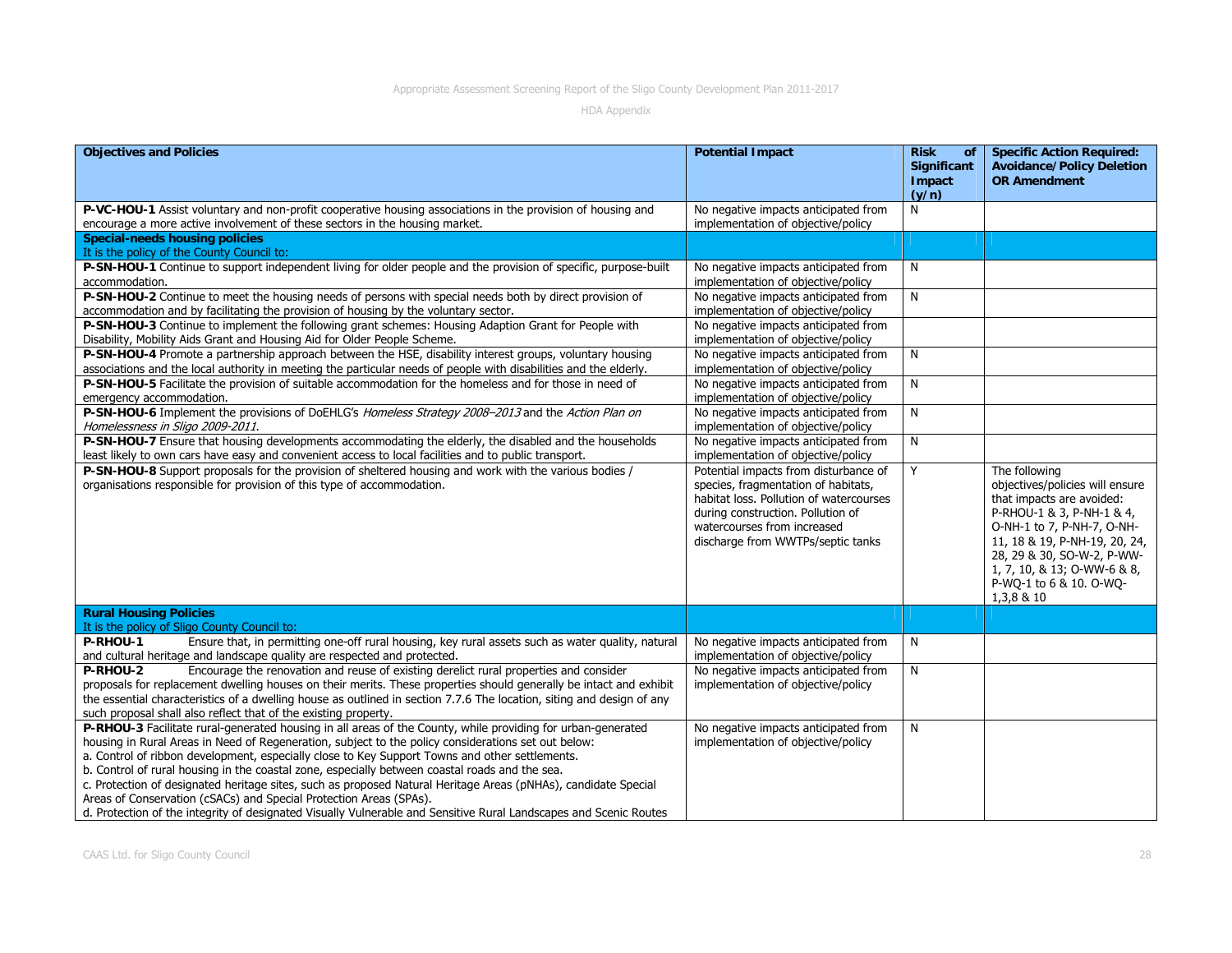| <b>Objectives and Policies</b>                                                                                                                                                                                                                                                                                                                                                                                                                                                                                                                                                                                                                                                                                                      | <b>Potential Impact</b>                                                                                                                                                                                                          | <b>Risk</b><br>of<br>Significant<br>Impact<br>(y/n) | <b>Specific Action Required:</b><br><b>Avoidance/Policy Deletion</b><br><b>OR Amendment</b>                                                                                                                                                                                     |
|-------------------------------------------------------------------------------------------------------------------------------------------------------------------------------------------------------------------------------------------------------------------------------------------------------------------------------------------------------------------------------------------------------------------------------------------------------------------------------------------------------------------------------------------------------------------------------------------------------------------------------------------------------------------------------------------------------------------------------------|----------------------------------------------------------------------------------------------------------------------------------------------------------------------------------------------------------------------------------|-----------------------------------------------------|---------------------------------------------------------------------------------------------------------------------------------------------------------------------------------------------------------------------------------------------------------------------------------|
| P-VC-HOU-1 Assist voluntary and non-profit cooperative housing associations in the provision of housing and<br>encourage a more active involvement of these sectors in the housing market.                                                                                                                                                                                                                                                                                                                                                                                                                                                                                                                                          | No negative impacts anticipated from<br>implementation of objective/policy                                                                                                                                                       | N                                                   |                                                                                                                                                                                                                                                                                 |
| <b>Special-needs housing policies</b><br>It is the policy of the County Council to:                                                                                                                                                                                                                                                                                                                                                                                                                                                                                                                                                                                                                                                 |                                                                                                                                                                                                                                  |                                                     |                                                                                                                                                                                                                                                                                 |
| P-SN-HOU-1 Continue to support independent living for older people and the provision of specific, purpose-built<br>accommodation.                                                                                                                                                                                                                                                                                                                                                                                                                                                                                                                                                                                                   | No negative impacts anticipated from<br>implementation of objective/policy                                                                                                                                                       | N                                                   |                                                                                                                                                                                                                                                                                 |
| P-SN-HOU-2 Continue to meet the housing needs of persons with special needs both by direct provision of<br>accommodation and by facilitating the provision of housing by the voluntary sector.                                                                                                                                                                                                                                                                                                                                                                                                                                                                                                                                      | No negative impacts anticipated from<br>implementation of objective/policy                                                                                                                                                       | N                                                   |                                                                                                                                                                                                                                                                                 |
| P-SN-HOU-3 Continue to implement the following grant schemes: Housing Adaption Grant for People with<br>Disability, Mobility Aids Grant and Housing Aid for Older People Scheme.                                                                                                                                                                                                                                                                                                                                                                                                                                                                                                                                                    | No negative impacts anticipated from<br>implementation of objective/policy                                                                                                                                                       |                                                     |                                                                                                                                                                                                                                                                                 |
| P-SN-HOU-4 Promote a partnership approach between the HSE, disability interest groups, voluntary housing<br>associations and the local authority in meeting the particular needs of people with disabilities and the elderly.                                                                                                                                                                                                                                                                                                                                                                                                                                                                                                       | No negative impacts anticipated from<br>implementation of objective/policy                                                                                                                                                       | N                                                   |                                                                                                                                                                                                                                                                                 |
| P-SN-HOU-5 Facilitate the provision of suitable accommodation for the homeless and for those in need of<br>emergency accommodation.                                                                                                                                                                                                                                                                                                                                                                                                                                                                                                                                                                                                 | No negative impacts anticipated from<br>implementation of objective/policy                                                                                                                                                       | N                                                   |                                                                                                                                                                                                                                                                                 |
| P-SN-HOU-6 Implement the provisions of DoEHLG's Homeless Strategy 2008-2013 and the Action Plan on<br>Homelessness in Sligo 2009-2011.                                                                                                                                                                                                                                                                                                                                                                                                                                                                                                                                                                                              | No negative impacts anticipated from<br>implementation of objective/policy                                                                                                                                                       | N                                                   |                                                                                                                                                                                                                                                                                 |
| P-SN-HOU-7 Ensure that housing developments accommodating the elderly, the disabled and the households<br>least likely to own cars have easy and convenient access to local facilities and to public transport.                                                                                                                                                                                                                                                                                                                                                                                                                                                                                                                     | No negative impacts anticipated from<br>implementation of objective/policy                                                                                                                                                       | N                                                   |                                                                                                                                                                                                                                                                                 |
| P-SN-HOU-8 Support proposals for the provision of sheltered housing and work with the various bodies /<br>organisations responsible for provision of this type of accommodation.                                                                                                                                                                                                                                                                                                                                                                                                                                                                                                                                                    | Potential impacts from disturbance of<br>species, fragmentation of habitats,<br>habitat loss. Pollution of watercourses<br>during construction. Pollution of<br>watercourses from increased<br>discharge from WWTPs/septic tanks | Y                                                   | The following<br>objectives/policies will ensure<br>that impacts are avoided:<br>P-RHOU-1 & 3, P-NH-1 & 4,<br>O-NH-1 to 7, P-NH-7, O-NH-<br>11, 18 & 19, P-NH-19, 20, 24,<br>28, 29 & 30, SO-W-2, P-WW-<br>1, 7, 10, & 13; O-WW-6 & 8,<br>P-WQ-1 to 6 & 10. O-WQ-<br>1,3,8 & 10 |
| <b>Rural Housing Policies</b><br>It is the policy of Sligo County Council to:                                                                                                                                                                                                                                                                                                                                                                                                                                                                                                                                                                                                                                                       |                                                                                                                                                                                                                                  |                                                     |                                                                                                                                                                                                                                                                                 |
| Ensure that, in permitting one-off rural housing, key rural assets such as water quality, natural<br>P-RHOU-1<br>and cultural heritage and landscape quality are respected and protected.                                                                                                                                                                                                                                                                                                                                                                                                                                                                                                                                           | No negative impacts anticipated from<br>implementation of objective/policy                                                                                                                                                       | N                                                   |                                                                                                                                                                                                                                                                                 |
| P-RHOU-2<br>Encourage the renovation and reuse of existing derelict rural properties and consider<br>proposals for replacement dwelling houses on their merits. These properties should generally be intact and exhibit<br>the essential characteristics of a dwelling house as outlined in section 7.7.6 The location, siting and design of any<br>such proposal shall also reflect that of the existing property.                                                                                                                                                                                                                                                                                                                 | No negative impacts anticipated from<br>implementation of objective/policy                                                                                                                                                       | $\mathsf{N}$                                        |                                                                                                                                                                                                                                                                                 |
| P-RHOU-3 Facilitate rural-generated housing in all areas of the County, while providing for urban-generated<br>housing in Rural Areas in Need of Regeneration, subject to the policy considerations set out below:<br>a. Control of ribbon development, especially close to Key Support Towns and other settlements.<br>b. Control of rural housing in the coastal zone, especially between coastal roads and the sea.<br>c. Protection of designated heritage sites, such as proposed Natural Heritage Areas (pNHAs), candidate Special<br>Areas of Conservation (cSACs) and Special Protection Areas (SPAs).<br>d. Protection of the integrity of designated Visually Vulnerable and Sensitive Rural Landscapes and Scenic Routes | No negative impacts anticipated from<br>implementation of objective/policy                                                                                                                                                       | N                                                   |                                                                                                                                                                                                                                                                                 |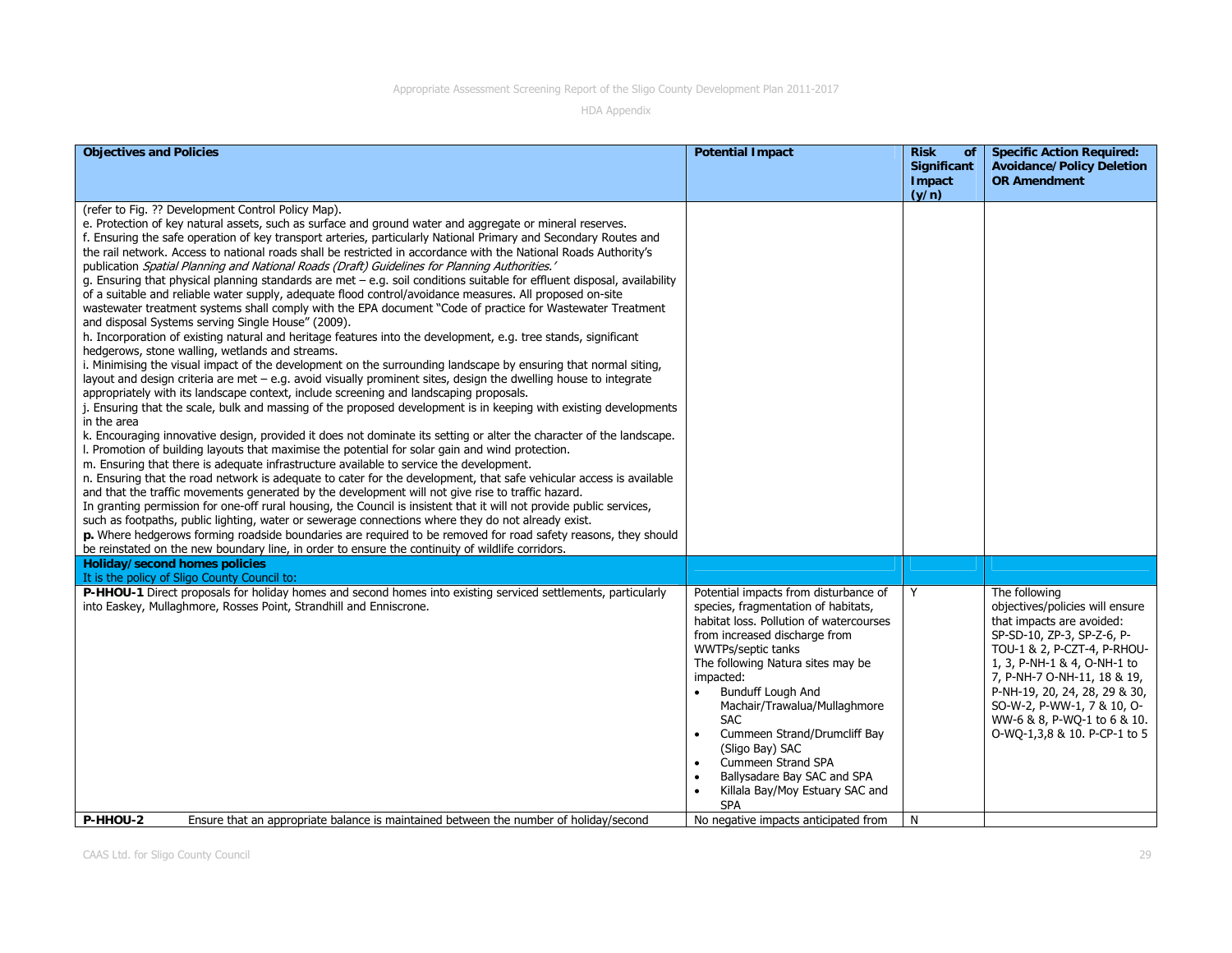| <b>Objectives and Policies</b>                                                                                                                                                                                                                                                                                                                                                                                                                                                                                                                                                                                                                                                                                                                                                                                                                                                                                                                                                                                                                                                                                                                                                                                                                                                                                                                                                                                                                                                                                                                                                                                                                                                                                                                                                                                                                                                                                                                                                                                                                                                                                                                                                                                                                                                                                                                                                                                                                                                                                                                                         | <b>Potential Impact</b>                                                                                                                                                                                                                                                                                                                                                                                                                                      | <b>Risk</b><br><b>of</b><br><b>Significant</b> | <b>Specific Action Required:</b><br><b>Avoidance/Policy Deletion</b>                                                                                                                                                                                                                                                                   |
|------------------------------------------------------------------------------------------------------------------------------------------------------------------------------------------------------------------------------------------------------------------------------------------------------------------------------------------------------------------------------------------------------------------------------------------------------------------------------------------------------------------------------------------------------------------------------------------------------------------------------------------------------------------------------------------------------------------------------------------------------------------------------------------------------------------------------------------------------------------------------------------------------------------------------------------------------------------------------------------------------------------------------------------------------------------------------------------------------------------------------------------------------------------------------------------------------------------------------------------------------------------------------------------------------------------------------------------------------------------------------------------------------------------------------------------------------------------------------------------------------------------------------------------------------------------------------------------------------------------------------------------------------------------------------------------------------------------------------------------------------------------------------------------------------------------------------------------------------------------------------------------------------------------------------------------------------------------------------------------------------------------------------------------------------------------------------------------------------------------------------------------------------------------------------------------------------------------------------------------------------------------------------------------------------------------------------------------------------------------------------------------------------------------------------------------------------------------------------------------------------------------------------------------------------------------------|--------------------------------------------------------------------------------------------------------------------------------------------------------------------------------------------------------------------------------------------------------------------------------------------------------------------------------------------------------------------------------------------------------------------------------------------------------------|------------------------------------------------|----------------------------------------------------------------------------------------------------------------------------------------------------------------------------------------------------------------------------------------------------------------------------------------------------------------------------------------|
|                                                                                                                                                                                                                                                                                                                                                                                                                                                                                                                                                                                                                                                                                                                                                                                                                                                                                                                                                                                                                                                                                                                                                                                                                                                                                                                                                                                                                                                                                                                                                                                                                                                                                                                                                                                                                                                                                                                                                                                                                                                                                                                                                                                                                                                                                                                                                                                                                                                                                                                                                                        |                                                                                                                                                                                                                                                                                                                                                                                                                                                              | Impact<br>(y/n)                                | <b>OR Amendment</b>                                                                                                                                                                                                                                                                                                                    |
| (refer to Fig. ?? Development Control Policy Map).<br>e. Protection of key natural assets, such as surface and ground water and aggregate or mineral reserves.<br>f. Ensuring the safe operation of key transport arteries, particularly National Primary and Secondary Routes and<br>the rail network. Access to national roads shall be restricted in accordance with the National Roads Authority's<br>publication Spatial Planning and National Roads (Draft) Guidelines for Planning Authorities.'<br>g. Ensuring that physical planning standards are met $-$ e.g. soil conditions suitable for effluent disposal, availability<br>of a suitable and reliable water supply, adequate flood control/avoidance measures. All proposed on-site<br>wastewater treatment systems shall comply with the EPA document "Code of practice for Wastewater Treatment<br>and disposal Systems serving Single House" (2009).<br>h. Incorporation of existing natural and heritage features into the development, e.g. tree stands, significant<br>hedgerows, stone walling, wetlands and streams.<br>i. Minimising the visual impact of the development on the surrounding landscape by ensuring that normal siting,<br>layout and design criteria are met - e.g. avoid visually prominent sites, design the dwelling house to integrate<br>appropriately with its landscape context, include screening and landscaping proposals.<br>j. Ensuring that the scale, bulk and massing of the proposed development is in keeping with existing developments<br>in the area<br>k. Encouraging innovative design, provided it does not dominate its setting or alter the character of the landscape.<br>I. Promotion of building layouts that maximise the potential for solar gain and wind protection.<br>m. Ensuring that there is adequate infrastructure available to service the development.<br>n. Ensuring that the road network is adequate to cater for the development, that safe vehicular access is available<br>and that the traffic movements generated by the development will not give rise to traffic hazard.<br>In granting permission for one-off rural housing, the Council is insistent that it will not provide public services,<br>such as footpaths, public lighting, water or sewerage connections where they do not already exist.<br>p. Where hedgerows forming roadside boundaries are required to be removed for road safety reasons, they should<br>be reinstated on the new boundary line, in order to ensure the continuity of wildlife corridors. |                                                                                                                                                                                                                                                                                                                                                                                                                                                              |                                                |                                                                                                                                                                                                                                                                                                                                        |
| <b>Holiday/second homes policies</b><br>It is the policy of Sligo County Council to:                                                                                                                                                                                                                                                                                                                                                                                                                                                                                                                                                                                                                                                                                                                                                                                                                                                                                                                                                                                                                                                                                                                                                                                                                                                                                                                                                                                                                                                                                                                                                                                                                                                                                                                                                                                                                                                                                                                                                                                                                                                                                                                                                                                                                                                                                                                                                                                                                                                                                   |                                                                                                                                                                                                                                                                                                                                                                                                                                                              |                                                |                                                                                                                                                                                                                                                                                                                                        |
| P-HHOU-1 Direct proposals for holiday homes and second homes into existing serviced settlements, particularly<br>into Easkey, Mullaghmore, Rosses Point, Strandhill and Enniscrone.                                                                                                                                                                                                                                                                                                                                                                                                                                                                                                                                                                                                                                                                                                                                                                                                                                                                                                                                                                                                                                                                                                                                                                                                                                                                                                                                                                                                                                                                                                                                                                                                                                                                                                                                                                                                                                                                                                                                                                                                                                                                                                                                                                                                                                                                                                                                                                                    | Potential impacts from disturbance of<br>species, fragmentation of habitats,<br>habitat loss. Pollution of watercourses<br>from increased discharge from<br>WWTPs/septic tanks<br>The following Natura sites may be<br>impacted:<br>Bunduff Lough And<br>Machair/Trawalua/Mullaghmore<br><b>SAC</b><br>Cummeen Strand/Drumcliff Bay<br>(Sligo Bay) SAC<br>Cummeen Strand SPA<br>Ballysadare Bay SAC and SPA<br>Killala Bay/Moy Estuary SAC and<br><b>SPA</b> | Y                                              | The following<br>objectives/policies will ensure<br>that impacts are avoided:<br>SP-SD-10, ZP-3, SP-Z-6, P-<br>TOU-1 & 2, P-CZT-4, P-RHOU-<br>1, 3, P-NH-1 & 4, O-NH-1 to<br>7, P-NH-7 O-NH-11, 18 & 19,<br>P-NH-19, 20, 24, 28, 29 & 30,<br>SO-W-2, P-WW-1, 7 & 10, O-<br>WW-6 & 8, P-WQ-1 to 6 & 10.<br>O-WO-1,3,8 & 10. P-CP-1 to 5 |
| P-HHOU-2<br>Ensure that an appropriate balance is maintained between the number of holiday/second                                                                                                                                                                                                                                                                                                                                                                                                                                                                                                                                                                                                                                                                                                                                                                                                                                                                                                                                                                                                                                                                                                                                                                                                                                                                                                                                                                                                                                                                                                                                                                                                                                                                                                                                                                                                                                                                                                                                                                                                                                                                                                                                                                                                                                                                                                                                                                                                                                                                      | No negative impacts anticipated from                                                                                                                                                                                                                                                                                                                                                                                                                         | N                                              |                                                                                                                                                                                                                                                                                                                                        |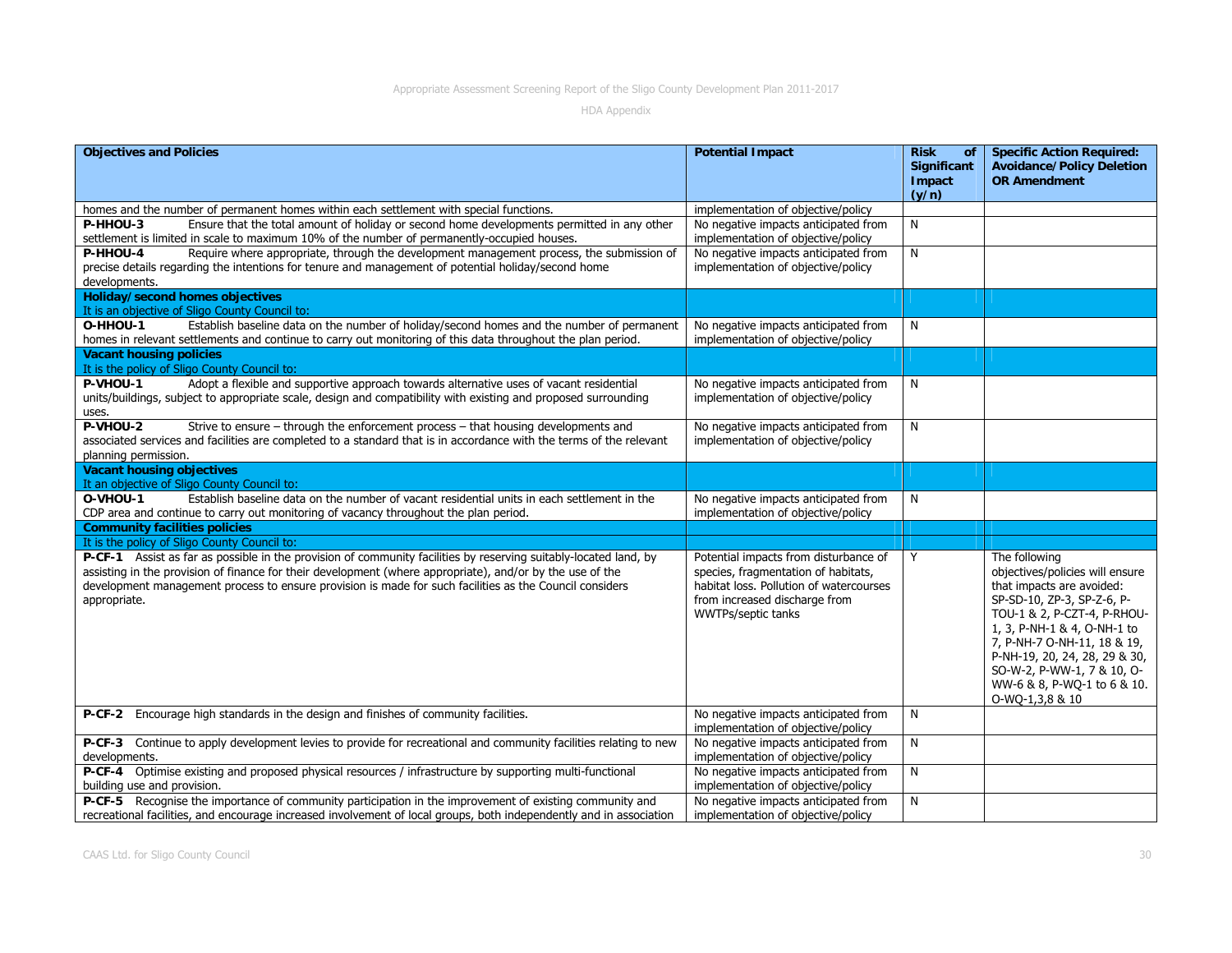| <b>Objectives and Policies</b>                                                                                                                                                                                                                                                                                                                           | <b>Potential Impact</b>                                                                                                                                                        | <b>Risk</b><br>of<br><b>Significant</b><br><b>Impact</b><br>(y/n) | <b>Specific Action Required:</b><br><b>Avoidance/Policy Deletion</b><br><b>OR Amendment</b>                                                                                                                                                                                                                               |
|----------------------------------------------------------------------------------------------------------------------------------------------------------------------------------------------------------------------------------------------------------------------------------------------------------------------------------------------------------|--------------------------------------------------------------------------------------------------------------------------------------------------------------------------------|-------------------------------------------------------------------|---------------------------------------------------------------------------------------------------------------------------------------------------------------------------------------------------------------------------------------------------------------------------------------------------------------------------|
| homes and the number of permanent homes within each settlement with special functions.                                                                                                                                                                                                                                                                   | implementation of objective/policy                                                                                                                                             |                                                                   |                                                                                                                                                                                                                                                                                                                           |
| P-HHOU-3<br>Ensure that the total amount of holiday or second home developments permitted in any other<br>settlement is limited in scale to maximum 10% of the number of permanently-occupied houses.                                                                                                                                                    | No negative impacts anticipated from<br>implementation of objective/policy                                                                                                     | N                                                                 |                                                                                                                                                                                                                                                                                                                           |
| Require where appropriate, through the development management process, the submission of<br><b>P-HHOU-4</b><br>precise details regarding the intentions for tenure and management of potential holiday/second home<br>developments.                                                                                                                      | No negative impacts anticipated from<br>implementation of objective/policy                                                                                                     | N                                                                 |                                                                                                                                                                                                                                                                                                                           |
| <b>Holiday/second homes objectives</b><br>It is an objective of Sligo County Council to:                                                                                                                                                                                                                                                                 |                                                                                                                                                                                |                                                                   |                                                                                                                                                                                                                                                                                                                           |
| Establish baseline data on the number of holiday/second homes and the number of permanent<br>O-HHOU-1<br>homes in relevant settlements and continue to carry out monitoring of this data throughout the plan period.                                                                                                                                     | No negative impacts anticipated from<br>implementation of objective/policy                                                                                                     | N                                                                 |                                                                                                                                                                                                                                                                                                                           |
| <b>Vacant housing policies</b><br>It is the policy of Sligo County Council to:                                                                                                                                                                                                                                                                           |                                                                                                                                                                                |                                                                   |                                                                                                                                                                                                                                                                                                                           |
| Adopt a flexible and supportive approach towards alternative uses of vacant residential<br>P-VHOU-1<br>units/buildings, subject to appropriate scale, design and compatibility with existing and proposed surrounding<br>uses.                                                                                                                           | No negative impacts anticipated from<br>implementation of objective/policy                                                                                                     | N                                                                 |                                                                                                                                                                                                                                                                                                                           |
| P-VHOU-2<br>Strive to ensure - through the enforcement process - that housing developments and<br>associated services and facilities are completed to a standard that is in accordance with the terms of the relevant<br>planning permission.                                                                                                            | No negative impacts anticipated from<br>implementation of objective/policy                                                                                                     | N                                                                 |                                                                                                                                                                                                                                                                                                                           |
| <b>Vacant housing objectives</b><br>It an objective of Sligo County Council to:                                                                                                                                                                                                                                                                          |                                                                                                                                                                                |                                                                   |                                                                                                                                                                                                                                                                                                                           |
| Establish baseline data on the number of vacant residential units in each settlement in the<br>O-VHOU-1<br>CDP area and continue to carry out monitoring of vacancy throughout the plan period.                                                                                                                                                          | No negative impacts anticipated from<br>implementation of objective/policy                                                                                                     | N                                                                 |                                                                                                                                                                                                                                                                                                                           |
| <b>Community facilities policies</b>                                                                                                                                                                                                                                                                                                                     |                                                                                                                                                                                |                                                                   |                                                                                                                                                                                                                                                                                                                           |
| It is the policy of Sligo County Council to:                                                                                                                                                                                                                                                                                                             |                                                                                                                                                                                |                                                                   |                                                                                                                                                                                                                                                                                                                           |
| P-CF-1 Assist as far as possible in the provision of community facilities by reserving suitably-located land, by<br>assisting in the provision of finance for their development (where appropriate), and/or by the use of the<br>development management process to ensure provision is made for such facilities as the Council considers<br>appropriate. | Potential impacts from disturbance of<br>species, fragmentation of habitats,<br>habitat loss. Pollution of watercourses<br>from increased discharge from<br>WWTPs/septic tanks | Y                                                                 | The following<br>objectives/policies will ensure<br>that impacts are avoided:<br>SP-SD-10, ZP-3, SP-Z-6, P-<br>TOU-1 & 2, P-CZT-4, P-RHOU-<br>1, 3, P-NH-1 & 4, O-NH-1 to<br>7, P-NH-7 O-NH-11, 18 & 19,<br>P-NH-19, 20, 24, 28, 29 & 30,<br>SO-W-2, P-WW-1, 7 & 10, O-<br>WW-6 & 8, P-WQ-1 to 6 & 10.<br>O-WQ-1,3,8 & 10 |
| P-CF-2 Encourage high standards in the design and finishes of community facilities.                                                                                                                                                                                                                                                                      | No negative impacts anticipated from<br>implementation of objective/policy                                                                                                     | N                                                                 |                                                                                                                                                                                                                                                                                                                           |
| P-CF-3 Continue to apply development levies to provide for recreational and community facilities relating to new<br>developments.                                                                                                                                                                                                                        | No negative impacts anticipated from<br>implementation of objective/policy                                                                                                     | N                                                                 |                                                                                                                                                                                                                                                                                                                           |
| P-CF-4 Optimise existing and proposed physical resources / infrastructure by supporting multi-functional<br>building use and provision.                                                                                                                                                                                                                  | No negative impacts anticipated from<br>implementation of objective/policy                                                                                                     | N                                                                 |                                                                                                                                                                                                                                                                                                                           |
| P-CF-5 Recognise the importance of community participation in the improvement of existing community and<br>recreational facilities, and encourage increased involvement of local groups, both independently and in association                                                                                                                           | No negative impacts anticipated from<br>implementation of objective/policy                                                                                                     | N                                                                 |                                                                                                                                                                                                                                                                                                                           |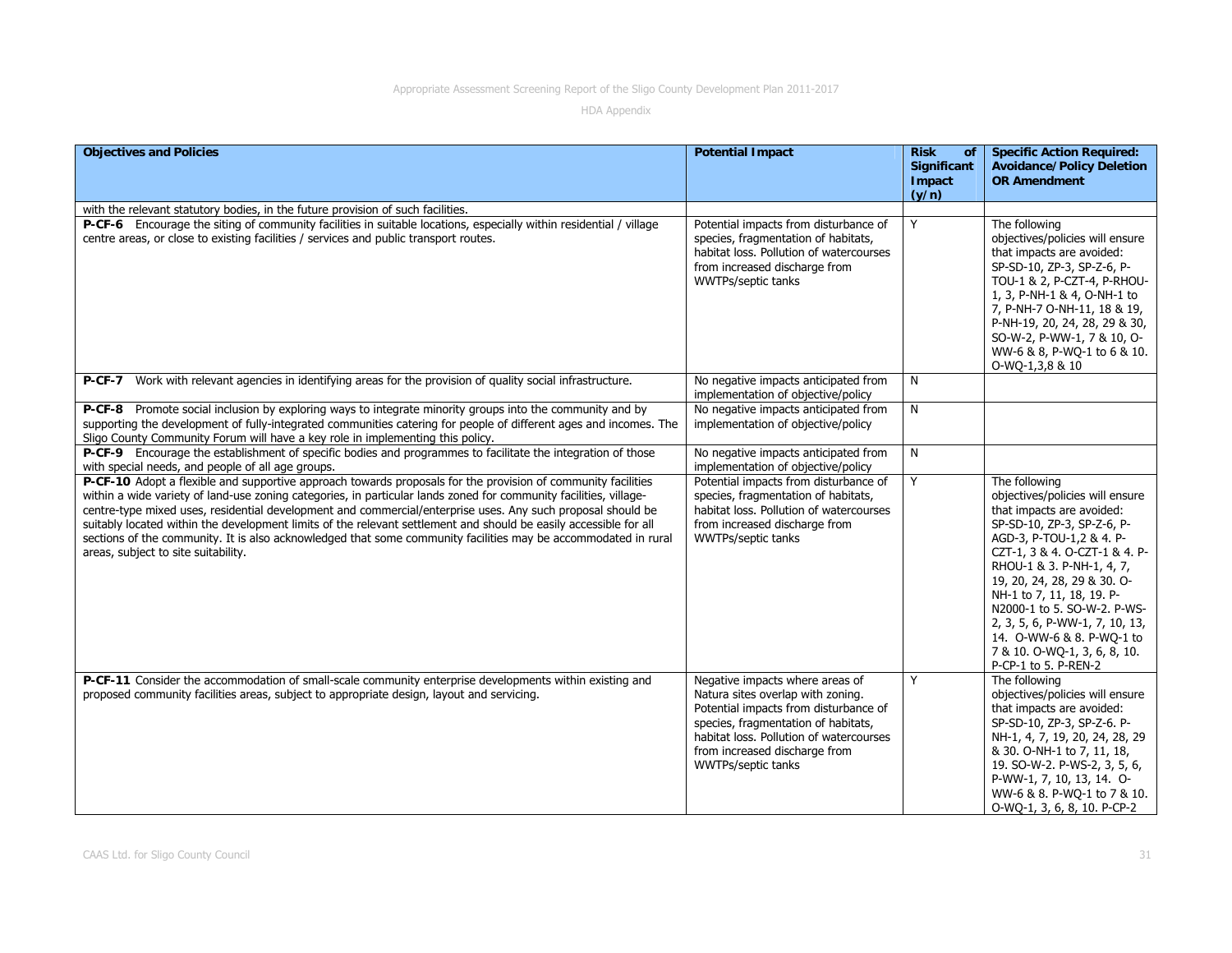| <b>Objectives and Policies</b>                                                                                                                                                                                                                                                                                                                                                                                                                                                                                                                                                                                                 | <b>Potential Impact</b>                                                                                                                                                                                                                                       | <b>Risk</b><br>of<br><b>Significant</b><br>Impact<br>(y/n) | <b>Specific Action Required:</b><br><b>Avoidance/Policy Deletion</b><br><b>OR Amendment</b>                                                                                                                                                                                                                                                                                                                             |
|--------------------------------------------------------------------------------------------------------------------------------------------------------------------------------------------------------------------------------------------------------------------------------------------------------------------------------------------------------------------------------------------------------------------------------------------------------------------------------------------------------------------------------------------------------------------------------------------------------------------------------|---------------------------------------------------------------------------------------------------------------------------------------------------------------------------------------------------------------------------------------------------------------|------------------------------------------------------------|-------------------------------------------------------------------------------------------------------------------------------------------------------------------------------------------------------------------------------------------------------------------------------------------------------------------------------------------------------------------------------------------------------------------------|
| with the relevant statutory bodies, in the future provision of such facilities.                                                                                                                                                                                                                                                                                                                                                                                                                                                                                                                                                |                                                                                                                                                                                                                                                               |                                                            |                                                                                                                                                                                                                                                                                                                                                                                                                         |
| P-CF-6 Encourage the siting of community facilities in suitable locations, especially within residential / village<br>centre areas, or close to existing facilities / services and public transport routes.                                                                                                                                                                                                                                                                                                                                                                                                                    | Potential impacts from disturbance of<br>species, fragmentation of habitats,<br>habitat loss. Pollution of watercourses<br>from increased discharge from<br><b>WWTPs/septic tanks</b>                                                                         | Y                                                          | The following<br>objectives/policies will ensure<br>that impacts are avoided:<br>SP-SD-10, ZP-3, SP-Z-6, P-<br>TOU-1 & 2, P-CZT-4, P-RHOU-<br>1, 3, P-NH-1 & 4, O-NH-1 to<br>7, P-NH-7 O-NH-11, 18 & 19,<br>P-NH-19, 20, 24, 28, 29 & 30,<br>SO-W-2, P-WW-1, 7 & 10, O-<br>WW-6 & 8, P-WQ-1 to 6 & 10.<br>O-WQ-1,3,8 & 10                                                                                               |
| Work with relevant agencies in identifying areas for the provision of quality social infrastructure.<br>$P-CF-7$                                                                                                                                                                                                                                                                                                                                                                                                                                                                                                               | No negative impacts anticipated from<br>implementation of objective/policy                                                                                                                                                                                    | N                                                          |                                                                                                                                                                                                                                                                                                                                                                                                                         |
| P-CF-8 Promote social inclusion by exploring ways to integrate minority groups into the community and by<br>supporting the development of fully-integrated communities catering for people of different ages and incomes. The<br>Sligo County Community Forum will have a key role in implementing this policy.                                                                                                                                                                                                                                                                                                                | No negative impacts anticipated from<br>implementation of objective/policy                                                                                                                                                                                    | N                                                          |                                                                                                                                                                                                                                                                                                                                                                                                                         |
| P-CF-9 Encourage the establishment of specific bodies and programmes to facilitate the integration of those<br>with special needs, and people of all age groups.                                                                                                                                                                                                                                                                                                                                                                                                                                                               | No negative impacts anticipated from<br>implementation of objective/policy                                                                                                                                                                                    | N                                                          |                                                                                                                                                                                                                                                                                                                                                                                                                         |
| P-CF-10 Adopt a flexible and supportive approach towards proposals for the provision of community facilities<br>within a wide variety of land-use zoning categories, in particular lands zoned for community facilities, village-<br>centre-type mixed uses, residential development and commercial/enterprise uses. Any such proposal should be<br>suitably located within the development limits of the relevant settlement and should be easily accessible for all<br>sections of the community. It is also acknowledged that some community facilities may be accommodated in rural<br>areas, subject to site suitability. | Potential impacts from disturbance of<br>species, fragmentation of habitats,<br>habitat loss. Pollution of watercourses<br>from increased discharge from<br>WWTPs/septic tanks                                                                                | Y                                                          | The following<br>objectives/policies will ensure<br>that impacts are avoided:<br>SP-SD-10, ZP-3, SP-Z-6, P-<br>AGD-3, P-TOU-1,2 & 4. P-<br>CZT-1, 3 & 4. O-CZT-1 & 4. P-<br>RHOU-1 & 3. P-NH-1, 4, 7,<br>19, 20, 24, 28, 29 & 30. O-<br>NH-1 to 7, 11, 18, 19. P-<br>N2000-1 to 5. SO-W-2. P-WS-<br>2, 3, 5, 6, P-WW-1, 7, 10, 13,<br>14. O-WW-6 & 8. P-WO-1 to<br>7 & 10. O-WQ-1, 3, 6, 8, 10.<br>P-CP-1 to 5. P-REN-2 |
| P-CF-11 Consider the accommodation of small-scale community enterprise developments within existing and<br>proposed community facilities areas, subject to appropriate design, layout and servicing.                                                                                                                                                                                                                                                                                                                                                                                                                           | Negative impacts where areas of<br>Natura sites overlap with zoning.<br>Potential impacts from disturbance of<br>species, fragmentation of habitats,<br>habitat loss. Pollution of watercourses<br>from increased discharge from<br><b>WWTPs/septic tanks</b> | Y                                                          | The following<br>objectives/policies will ensure<br>that impacts are avoided:<br>SP-SD-10, ZP-3, SP-Z-6. P-<br>NH-1, 4, 7, 19, 20, 24, 28, 29<br>& 30. O-NH-1 to 7, 11, 18,<br>19. SO-W-2. P-WS-2, 3, 5, 6,<br>P-WW-1, 7, 10, 13, 14. O-<br>WW-6 & 8. P-WQ-1 to 7 & 10.<br>O-WQ-1, 3, 6, 8, 10. P-CP-2                                                                                                                  |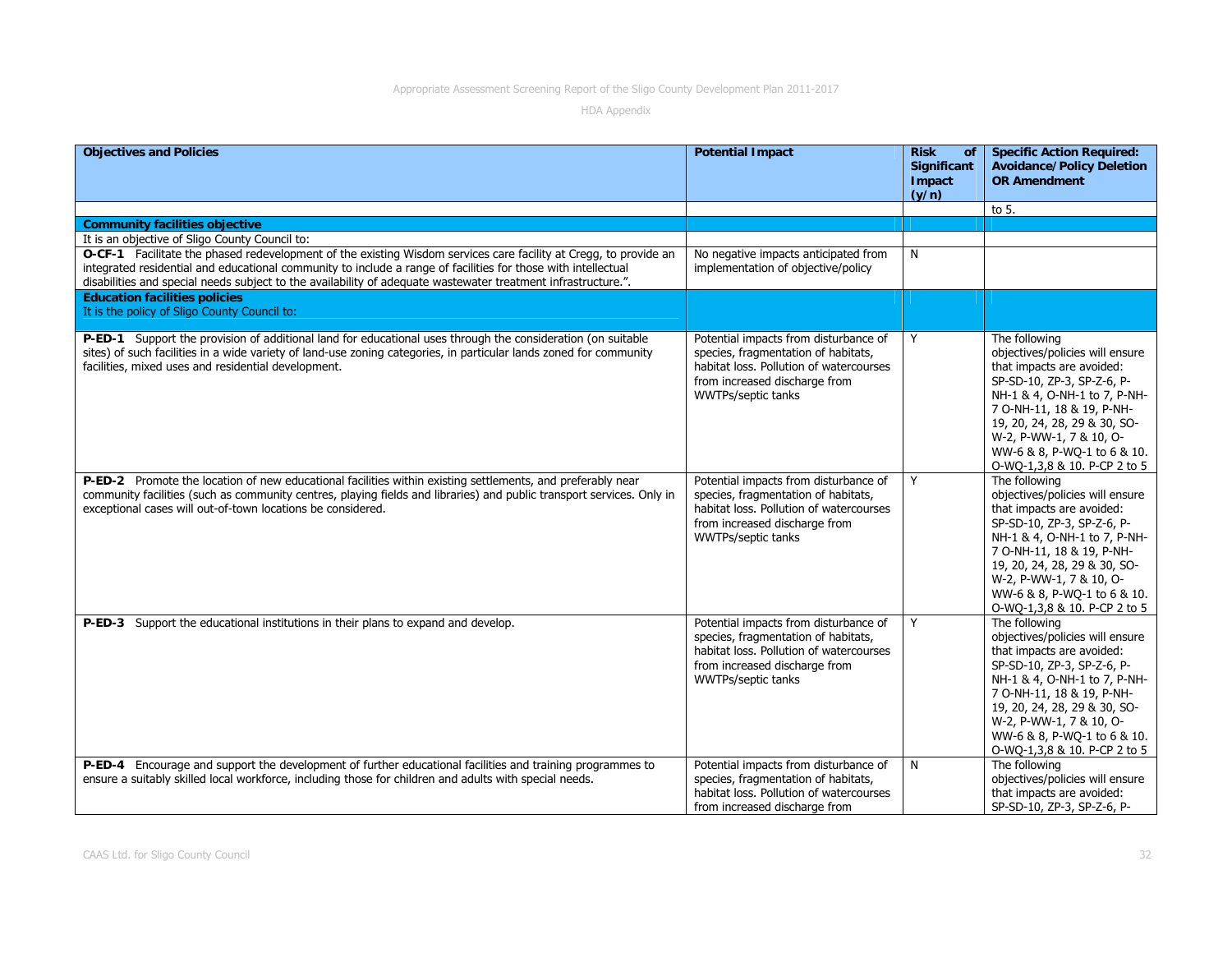| <b>Objectives and Policies</b>                                                                                                                                                                                                                                                                                                                     | <b>Potential Impact</b>                                                                                                                                                               | <b>Risk</b><br>οf<br><b>Significant</b><br>Impact<br>(y/n) | <b>Specific Action Required:</b><br><b>Avoidance/Policy Deletion</b><br><b>OR Amendment</b>                                                                                                                                                                                                        |
|----------------------------------------------------------------------------------------------------------------------------------------------------------------------------------------------------------------------------------------------------------------------------------------------------------------------------------------------------|---------------------------------------------------------------------------------------------------------------------------------------------------------------------------------------|------------------------------------------------------------|----------------------------------------------------------------------------------------------------------------------------------------------------------------------------------------------------------------------------------------------------------------------------------------------------|
|                                                                                                                                                                                                                                                                                                                                                    |                                                                                                                                                                                       |                                                            | to 5.                                                                                                                                                                                                                                                                                              |
| <b>Community facilities objective</b>                                                                                                                                                                                                                                                                                                              |                                                                                                                                                                                       |                                                            |                                                                                                                                                                                                                                                                                                    |
| It is an objective of Sligo County Council to:                                                                                                                                                                                                                                                                                                     |                                                                                                                                                                                       |                                                            |                                                                                                                                                                                                                                                                                                    |
| O-CF-1 Facilitate the phased redevelopment of the existing Wisdom services care facility at Cregg, to provide an<br>integrated residential and educational community to include a range of facilities for those with intellectual<br>disabilities and special needs subject to the availability of adequate wastewater treatment infrastructure.". | No negative impacts anticipated from<br>implementation of objective/policy                                                                                                            | N                                                          |                                                                                                                                                                                                                                                                                                    |
| <b>Education facilities policies</b><br>It is the policy of Sligo County Council to:                                                                                                                                                                                                                                                               |                                                                                                                                                                                       |                                                            |                                                                                                                                                                                                                                                                                                    |
| P-ED-1 Support the provision of additional land for educational uses through the consideration (on suitable<br>sites) of such facilities in a wide variety of land-use zoning categories, in particular lands zoned for community<br>facilities, mixed uses and residential development.                                                           | Potential impacts from disturbance of<br>species, fragmentation of habitats,<br>habitat loss. Pollution of watercourses<br>from increased discharge from<br>WWTPs/septic tanks        | Y                                                          | The following<br>objectives/policies will ensure<br>that impacts are avoided:<br>SP-SD-10, ZP-3, SP-Z-6, P-<br>NH-1 & 4, O-NH-1 to 7, P-NH-<br>7 O-NH-11, 18 & 19, P-NH-<br>19, 20, 24, 28, 29 & 30, SO-<br>W-2, P-WW-1, 7 & 10, O-<br>WW-6 & 8, P-WQ-1 to 6 & 10.<br>O-WQ-1,3,8 & 10. P-CP 2 to 5 |
| P-ED-2 Promote the location of new educational facilities within existing settlements, and preferably near<br>community facilities (such as community centres, playing fields and libraries) and public transport services. Only in<br>exceptional cases will out-of-town locations be considered.                                                 | Potential impacts from disturbance of<br>species, fragmentation of habitats,<br>habitat loss. Pollution of watercourses<br>from increased discharge from<br>WWTPs/septic tanks        | Y                                                          | The following<br>objectives/policies will ensure<br>that impacts are avoided:<br>SP-SD-10, ZP-3, SP-Z-6, P-<br>NH-1 & 4, O-NH-1 to 7, P-NH-<br>7 O-NH-11, 18 & 19, P-NH-<br>19, 20, 24, 28, 29 & 30, SO-<br>W-2, P-WW-1, 7 & 10, O-<br>WW-6 & 8, P-WQ-1 to 6 & 10.<br>O-WQ-1,3,8 & 10. P-CP 2 to 5 |
| P-ED-3 Support the educational institutions in their plans to expand and develop.                                                                                                                                                                                                                                                                  | Potential impacts from disturbance of<br>species, fragmentation of habitats,<br>habitat loss. Pollution of watercourses<br>from increased discharge from<br><b>WWTPs/septic tanks</b> | Y                                                          | The following<br>objectives/policies will ensure<br>that impacts are avoided:<br>SP-SD-10, ZP-3, SP-Z-6, P-<br>NH-1 & 4, O-NH-1 to 7, P-NH-<br>7 O-NH-11, 18 & 19, P-NH-<br>19, 20, 24, 28, 29 & 30, SO-<br>W-2, P-WW-1, 7 & 10, O-<br>WW-6 & 8, P-WQ-1 to 6 & 10.<br>O-WQ-1,3,8 & 10. P-CP 2 to 5 |
| P-ED-4 Encourage and support the development of further educational facilities and training programmes to<br>ensure a suitably skilled local workforce, including those for children and adults with special needs.                                                                                                                                | Potential impacts from disturbance of<br>species, fragmentation of habitats,<br>habitat loss. Pollution of watercourses<br>from increased discharge from                              | N                                                          | The following<br>objectives/policies will ensure<br>that impacts are avoided:<br>SP-SD-10, ZP-3, SP-Z-6, P-                                                                                                                                                                                        |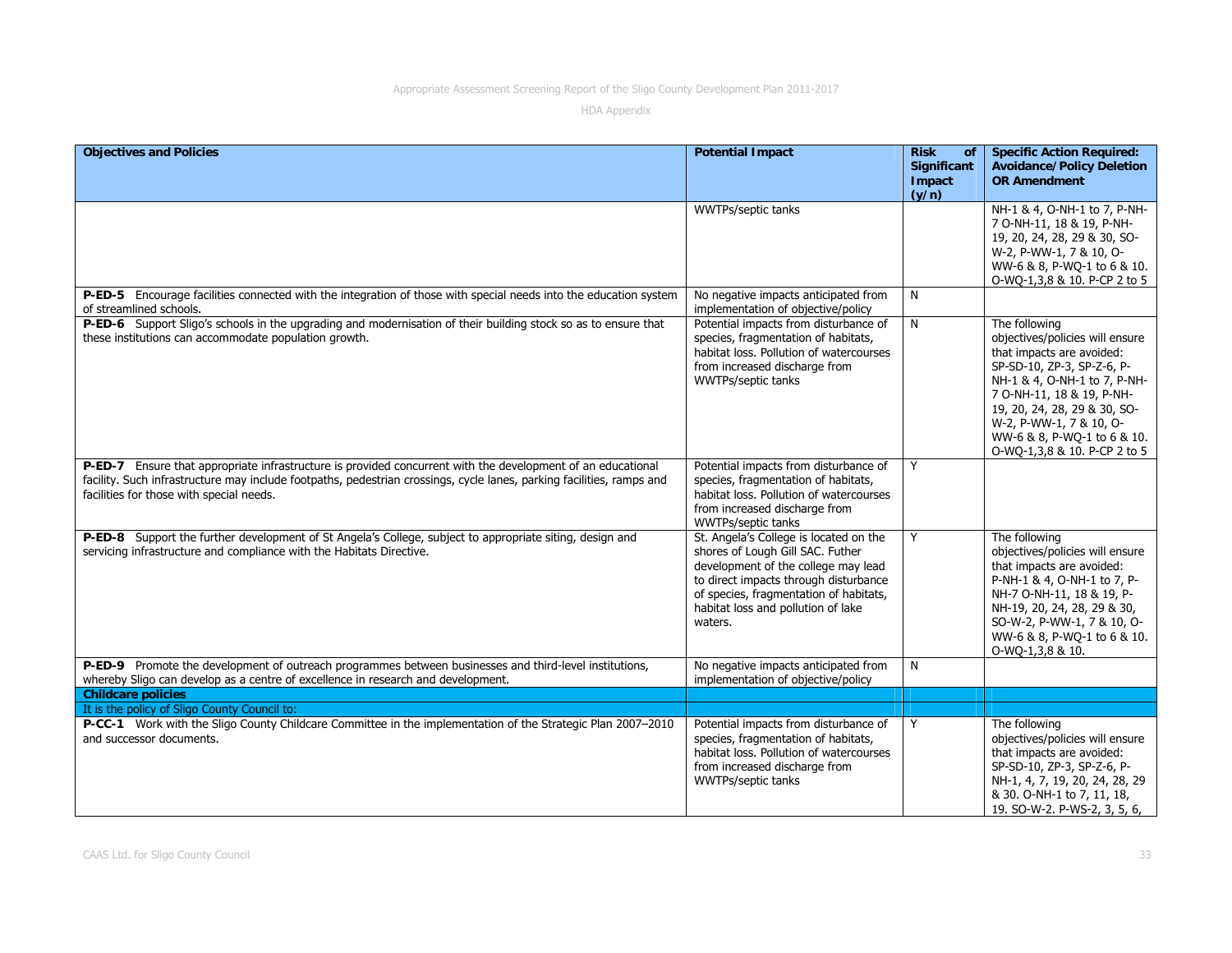| <b>Objectives and Policies</b>                                                                                                                                                                                                                                                   | <b>Potential Impact</b>                                                                                                                                                                                                                               | <b>Risk</b><br>of<br>Significant<br>Impact<br>(y/n) | <b>Specific Action Required:</b><br><b>Avoidance/Policy Deletion</b><br><b>OR Amendment</b>                                                                                                                                                                                                        |
|----------------------------------------------------------------------------------------------------------------------------------------------------------------------------------------------------------------------------------------------------------------------------------|-------------------------------------------------------------------------------------------------------------------------------------------------------------------------------------------------------------------------------------------------------|-----------------------------------------------------|----------------------------------------------------------------------------------------------------------------------------------------------------------------------------------------------------------------------------------------------------------------------------------------------------|
|                                                                                                                                                                                                                                                                                  | WWTPs/septic tanks                                                                                                                                                                                                                                    |                                                     | NH-1 & 4, O-NH-1 to 7, P-NH-<br>7 O-NH-11, 18 & 19, P-NH-<br>19, 20, 24, 28, 29 & 30, SO-<br>W-2, P-WW-1, 7 & 10, O-<br>WW-6 & 8, P-WQ-1 to 6 & 10.<br>O-WQ-1,3,8 & 10. P-CP 2 to 5                                                                                                                |
| P-ED-5 Encourage facilities connected with the integration of those with special needs into the education system<br>of streamlined schools.                                                                                                                                      | No negative impacts anticipated from<br>implementation of objective/policy                                                                                                                                                                            | N                                                   |                                                                                                                                                                                                                                                                                                    |
| P-ED-6 Support Sligo's schools in the upgrading and modernisation of their building stock so as to ensure that<br>these institutions can accommodate population growth.                                                                                                          | Potential impacts from disturbance of<br>species, fragmentation of habitats,<br>habitat loss. Pollution of watercourses<br>from increased discharge from<br>WWTPs/septic tanks                                                                        | N                                                   | The following<br>objectives/policies will ensure<br>that impacts are avoided:<br>SP-SD-10, ZP-3, SP-Z-6, P-<br>NH-1 & 4, O-NH-1 to 7, P-NH-<br>7 O-NH-11, 18 & 19, P-NH-<br>19, 20, 24, 28, 29 & 30, SO-<br>W-2, P-WW-1, 7 & 10, O-<br>WW-6 & 8, P-WQ-1 to 6 & 10.<br>O-WQ-1,3,8 & 10. P-CP 2 to 5 |
| P-ED-7 Ensure that appropriate infrastructure is provided concurrent with the development of an educational<br>facility. Such infrastructure may include footpaths, pedestrian crossings, cycle lanes, parking facilities, ramps and<br>facilities for those with special needs. | Potential impacts from disturbance of<br>species, fragmentation of habitats,<br>habitat loss. Pollution of watercourses<br>from increased discharge from<br>WWTPs/septic tanks                                                                        | Y                                                   |                                                                                                                                                                                                                                                                                                    |
| P-ED-8 Support the further development of St Angela's College, subject to appropriate siting, design and<br>servicing infrastructure and compliance with the Habitats Directive.                                                                                                 | St. Angela's College is located on the<br>shores of Lough Gill SAC. Futher<br>development of the college may lead<br>to direct impacts through disturbance<br>of species, fragmentation of habitats,<br>habitat loss and pollution of lake<br>waters. | Y                                                   | The following<br>objectives/policies will ensure<br>that impacts are avoided:<br>P-NH-1 & 4, O-NH-1 to 7, P-<br>NH-7 O-NH-11, 18 & 19, P-<br>NH-19, 20, 24, 28, 29 & 30,<br>SO-W-2, P-WW-1, 7 & 10, O-<br>WW-6 & 8, P-WQ-1 to 6 & 10.<br>O-WO-1,3,8 & 10.                                          |
| P-ED-9 Promote the development of outreach programmes between businesses and third-level institutions,<br>whereby Sligo can develop as a centre of excellence in research and development.                                                                                       | No negative impacts anticipated from<br>implementation of objective/policy                                                                                                                                                                            | N                                                   |                                                                                                                                                                                                                                                                                                    |
| <b>Childcare policies</b>                                                                                                                                                                                                                                                        |                                                                                                                                                                                                                                                       |                                                     |                                                                                                                                                                                                                                                                                                    |
| It is the policy of Sligo County Council to:                                                                                                                                                                                                                                     |                                                                                                                                                                                                                                                       |                                                     |                                                                                                                                                                                                                                                                                                    |
| P-CC-1 Work with the Sligo County Childcare Committee in the implementation of the Strategic Plan 2007-2010<br>and successor documents.                                                                                                                                          | Potential impacts from disturbance of<br>species, fragmentation of habitats,<br>habitat loss. Pollution of watercourses<br>from increased discharge from<br>WWTPs/septic tanks                                                                        | Y                                                   | The following<br>objectives/policies will ensure<br>that impacts are avoided:<br>SP-SD-10, ZP-3, SP-Z-6, P-<br>NH-1, 4, 7, 19, 20, 24, 28, 29<br>& 30. O-NH-1 to 7, 11, 18,<br>19. SO-W-2. P-WS-2, 3, 5, 6,                                                                                        |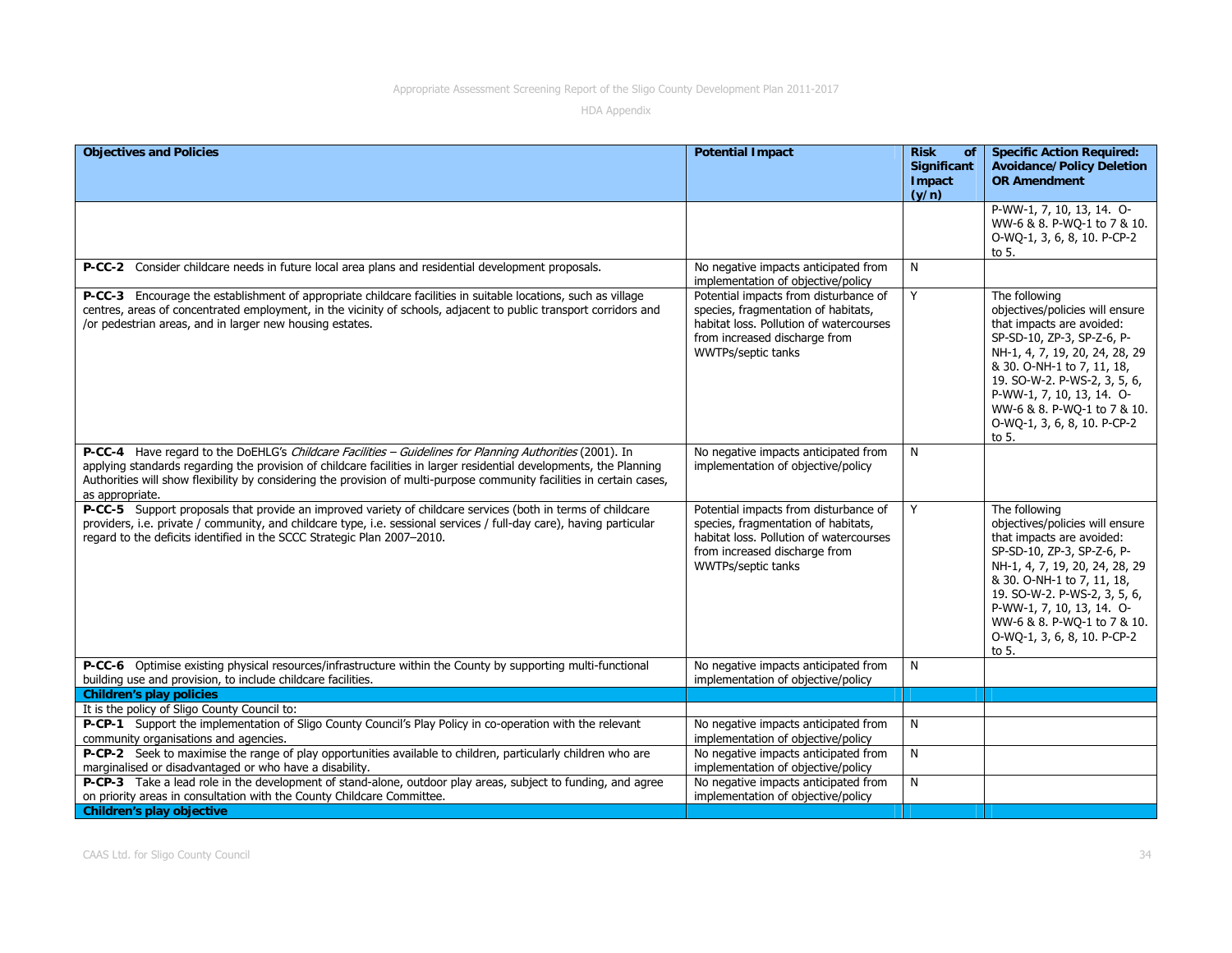| <b>Objectives and Policies</b>                                                                                                                                                                                                                                                                                                                                               | <b>Potential Impact</b>                                                                                                                                                        | <b>Risk</b><br>of<br>Significant<br>Impact<br>(y/n) | <b>Specific Action Required:</b><br><b>Avoidance/Policy Deletion</b><br><b>OR Amendment</b>                                                                                                                                                                                                                     |
|------------------------------------------------------------------------------------------------------------------------------------------------------------------------------------------------------------------------------------------------------------------------------------------------------------------------------------------------------------------------------|--------------------------------------------------------------------------------------------------------------------------------------------------------------------------------|-----------------------------------------------------|-----------------------------------------------------------------------------------------------------------------------------------------------------------------------------------------------------------------------------------------------------------------------------------------------------------------|
|                                                                                                                                                                                                                                                                                                                                                                              |                                                                                                                                                                                |                                                     | P-WW-1, 7, 10, 13, 14. O-<br>WW-6 & 8. P-WQ-1 to 7 & 10.<br>O-WQ-1, 3, 6, 8, 10. P-CP-2<br>to 5.                                                                                                                                                                                                                |
| P-CC-2 Consider childcare needs in future local area plans and residential development proposals.                                                                                                                                                                                                                                                                            | No negative impacts anticipated from<br>implementation of objective/policy                                                                                                     | N                                                   |                                                                                                                                                                                                                                                                                                                 |
| P-CC-3 Encourage the establishment of appropriate childcare facilities in suitable locations, such as village<br>centres, areas of concentrated employment, in the vicinity of schools, adjacent to public transport corridors and<br>/or pedestrian areas, and in larger new housing estates.                                                                               | Potential impacts from disturbance of<br>species, fragmentation of habitats,<br>habitat loss. Pollution of watercourses<br>from increased discharge from<br>WWTPs/septic tanks | Y                                                   | The following<br>objectives/policies will ensure<br>that impacts are avoided:<br>SP-SD-10, ZP-3, SP-Z-6, P-<br>NH-1, 4, 7, 19, 20, 24, 28, 29<br>& 30. O-NH-1 to 7, 11, 18,<br>19. SO-W-2. P-WS-2, 3, 5, 6,<br>P-WW-1, 7, 10, 13, 14. O-<br>WW-6 & 8. P-WQ-1 to 7 & 10.<br>O-WQ-1, 3, 6, 8, 10. P-CP-2<br>to 5. |
| P-CC-4 Have regard to the DoEHLG's Childcare Facilities - Guidelines for Planning Authorities (2001). In<br>applying standards regarding the provision of childcare facilities in larger residential developments, the Planning<br>Authorities will show flexibility by considering the provision of multi-purpose community facilities in certain cases,<br>as appropriate. | No negative impacts anticipated from<br>implementation of objective/policy                                                                                                     | N                                                   |                                                                                                                                                                                                                                                                                                                 |
| P-CC-5 Support proposals that provide an improved variety of childcare services (both in terms of childcare<br>providers, i.e. private / community, and childcare type, i.e. sessional services / full-day care), having particular<br>regard to the deficits identified in the SCCC Strategic Plan 2007-2010.                                                               | Potential impacts from disturbance of<br>species, fragmentation of habitats,<br>habitat loss. Pollution of watercourses<br>from increased discharge from<br>WWTPs/septic tanks | Y                                                   | The following<br>objectives/policies will ensure<br>that impacts are avoided:<br>SP-SD-10, ZP-3, SP-Z-6, P-<br>NH-1, 4, 7, 19, 20, 24, 28, 29<br>& 30. O-NH-1 to 7, 11, 18,<br>19. SO-W-2. P-WS-2, 3, 5, 6,<br>P-WW-1, 7, 10, 13, 14. O-<br>WW-6 & 8. P-WQ-1 to 7 & 10.<br>O-WQ-1, 3, 6, 8, 10. P-CP-2<br>to 5. |
| P-CC-6 Optimise existing physical resources/infrastructure within the County by supporting multi-functional<br>building use and provision, to include childcare facilities.                                                                                                                                                                                                  | No negative impacts anticipated from<br>implementation of objective/policy                                                                                                     | N                                                   |                                                                                                                                                                                                                                                                                                                 |
| <b>Children's play policies</b>                                                                                                                                                                                                                                                                                                                                              |                                                                                                                                                                                |                                                     |                                                                                                                                                                                                                                                                                                                 |
| It is the policy of Sligo County Council to:                                                                                                                                                                                                                                                                                                                                 |                                                                                                                                                                                |                                                     |                                                                                                                                                                                                                                                                                                                 |
| P-CP-1 Support the implementation of Sligo County Council's Play Policy in co-operation with the relevant<br>community organisations and agencies.                                                                                                                                                                                                                           | No negative impacts anticipated from<br>implementation of objective/policy                                                                                                     | N                                                   |                                                                                                                                                                                                                                                                                                                 |
| P-CP-2 Seek to maximise the range of play opportunities available to children, particularly children who are<br>marginalised or disadvantaged or who have a disability.                                                                                                                                                                                                      | No negative impacts anticipated from<br>implementation of objective/policy                                                                                                     | $\overline{N}$                                      |                                                                                                                                                                                                                                                                                                                 |
| P-CP-3 Take a lead role in the development of stand-alone, outdoor play areas, subject to funding, and agree<br>on priority areas in consultation with the County Childcare Committee.                                                                                                                                                                                       | No negative impacts anticipated from<br>implementation of objective/policy                                                                                                     | N                                                   |                                                                                                                                                                                                                                                                                                                 |
| <b>Children's play objective</b>                                                                                                                                                                                                                                                                                                                                             |                                                                                                                                                                                |                                                     |                                                                                                                                                                                                                                                                                                                 |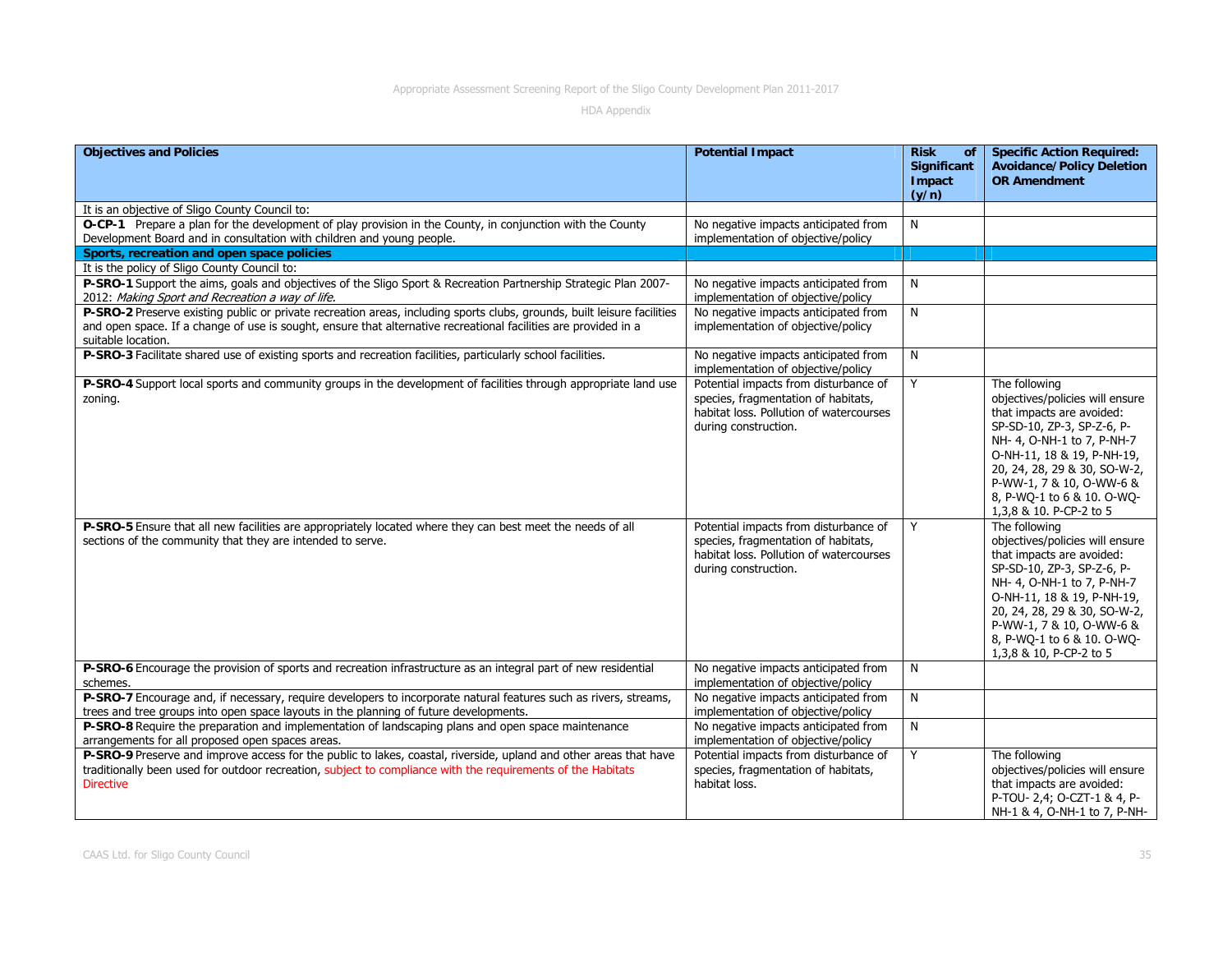| <b>Objectives and Policies</b>                                                                                                                                                                                                                                   | <b>Potential Impact</b>                                                                                                                         | <b>Risk</b><br>of<br><b>Significant</b><br><b>Impact</b><br>(y/n) | <b>Specific Action Required:</b><br><b>Avoidance/Policy Deletion</b><br><b>OR Amendment</b>                                                                                                                                                                                                  |
|------------------------------------------------------------------------------------------------------------------------------------------------------------------------------------------------------------------------------------------------------------------|-------------------------------------------------------------------------------------------------------------------------------------------------|-------------------------------------------------------------------|----------------------------------------------------------------------------------------------------------------------------------------------------------------------------------------------------------------------------------------------------------------------------------------------|
| It is an objective of Sligo County Council to:<br>O-CP-1 Prepare a plan for the development of play provision in the County, in conjunction with the County<br>Development Board and in consultation with children and young people.                             | No negative impacts anticipated from<br>implementation of objective/policy                                                                      | N                                                                 |                                                                                                                                                                                                                                                                                              |
| Sports, recreation and open space policies                                                                                                                                                                                                                       |                                                                                                                                                 |                                                                   |                                                                                                                                                                                                                                                                                              |
| It is the policy of Sligo County Council to:                                                                                                                                                                                                                     |                                                                                                                                                 |                                                                   |                                                                                                                                                                                                                                                                                              |
| P-SRO-1 Support the aims, goals and objectives of the Sligo Sport & Recreation Partnership Strategic Plan 2007-<br>2012: Making Sport and Recreation a way of life.                                                                                              | No negative impacts anticipated from<br>implementation of objective/policy                                                                      | N                                                                 |                                                                                                                                                                                                                                                                                              |
| P-SRO-2 Preserve existing public or private recreation areas, including sports clubs, grounds, built leisure facilities<br>and open space. If a change of use is sought, ensure that alternative recreational facilities are provided in a<br>suitable location. | No negative impacts anticipated from<br>implementation of objective/policy                                                                      | N                                                                 |                                                                                                                                                                                                                                                                                              |
| P-SRO-3 Facilitate shared use of existing sports and recreation facilities, particularly school facilities.                                                                                                                                                      | No negative impacts anticipated from<br>implementation of objective/policy                                                                      | N                                                                 |                                                                                                                                                                                                                                                                                              |
| P-SRO-4 Support local sports and community groups in the development of facilities through appropriate land use<br>zoning.                                                                                                                                       | Potential impacts from disturbance of<br>species, fragmentation of habitats,<br>habitat loss. Pollution of watercourses<br>during construction. | Y                                                                 | The following<br>objectives/policies will ensure<br>that impacts are avoided:<br>SP-SD-10, ZP-3, SP-Z-6, P-<br>NH- 4, O-NH-1 to 7, P-NH-7<br>O-NH-11, 18 & 19, P-NH-19,<br>20, 24, 28, 29 & 30, SO-W-2,<br>P-WW-1, 7 & 10, O-WW-6 &<br>8, P-WQ-1 to 6 & 10. O-WQ-<br>1,3,8 & 10. P-CP-2 to 5 |
| P-SRO-5 Ensure that all new facilities are appropriately located where they can best meet the needs of all<br>sections of the community that they are intended to serve.                                                                                         | Potential impacts from disturbance of<br>species, fragmentation of habitats,<br>habitat loss. Pollution of watercourses<br>during construction. | Y                                                                 | The following<br>objectives/policies will ensure<br>that impacts are avoided:<br>SP-SD-10, ZP-3, SP-Z-6, P-<br>NH- 4, O-NH-1 to 7, P-NH-7<br>O-NH-11, 18 & 19, P-NH-19,<br>20, 24, 28, 29 & 30, SO-W-2,<br>P-WW-1, 7 & 10, O-WW-6 &<br>8, P-WQ-1 to 6 & 10. O-WQ-<br>1,3,8 & 10, P-CP-2 to 5 |
| P-SRO-6 Encourage the provision of sports and recreation infrastructure as an integral part of new residential<br>schemes.                                                                                                                                       | No negative impacts anticipated from<br>implementation of objective/policy                                                                      | N                                                                 |                                                                                                                                                                                                                                                                                              |
| P-SRO-7 Encourage and, if necessary, require developers to incorporate natural features such as rivers, streams,<br>trees and tree groups into open space layouts in the planning of future developments.                                                        | No negative impacts anticipated from<br>implementation of objective/policy                                                                      | N                                                                 |                                                                                                                                                                                                                                                                                              |
| P-SRO-8 Require the preparation and implementation of landscaping plans and open space maintenance<br>arrangements for all proposed open spaces areas.                                                                                                           | No negative impacts anticipated from<br>implementation of objective/policy                                                                      | N                                                                 |                                                                                                                                                                                                                                                                                              |
| P-SRO-9 Preserve and improve access for the public to lakes, coastal, riverside, upland and other areas that have<br>traditionally been used for outdoor recreation, subject to compliance with the requirements of the Habitats<br><b>Directive</b>             | Potential impacts from disturbance of<br>species, fragmentation of habitats,<br>habitat loss.                                                   | Y                                                                 | The following<br>objectives/policies will ensure<br>that impacts are avoided:<br>P-TOU- 2,4; O-CZT-1 & 4, P-<br>NH-1 & 4, O-NH-1 to 7, P-NH-                                                                                                                                                 |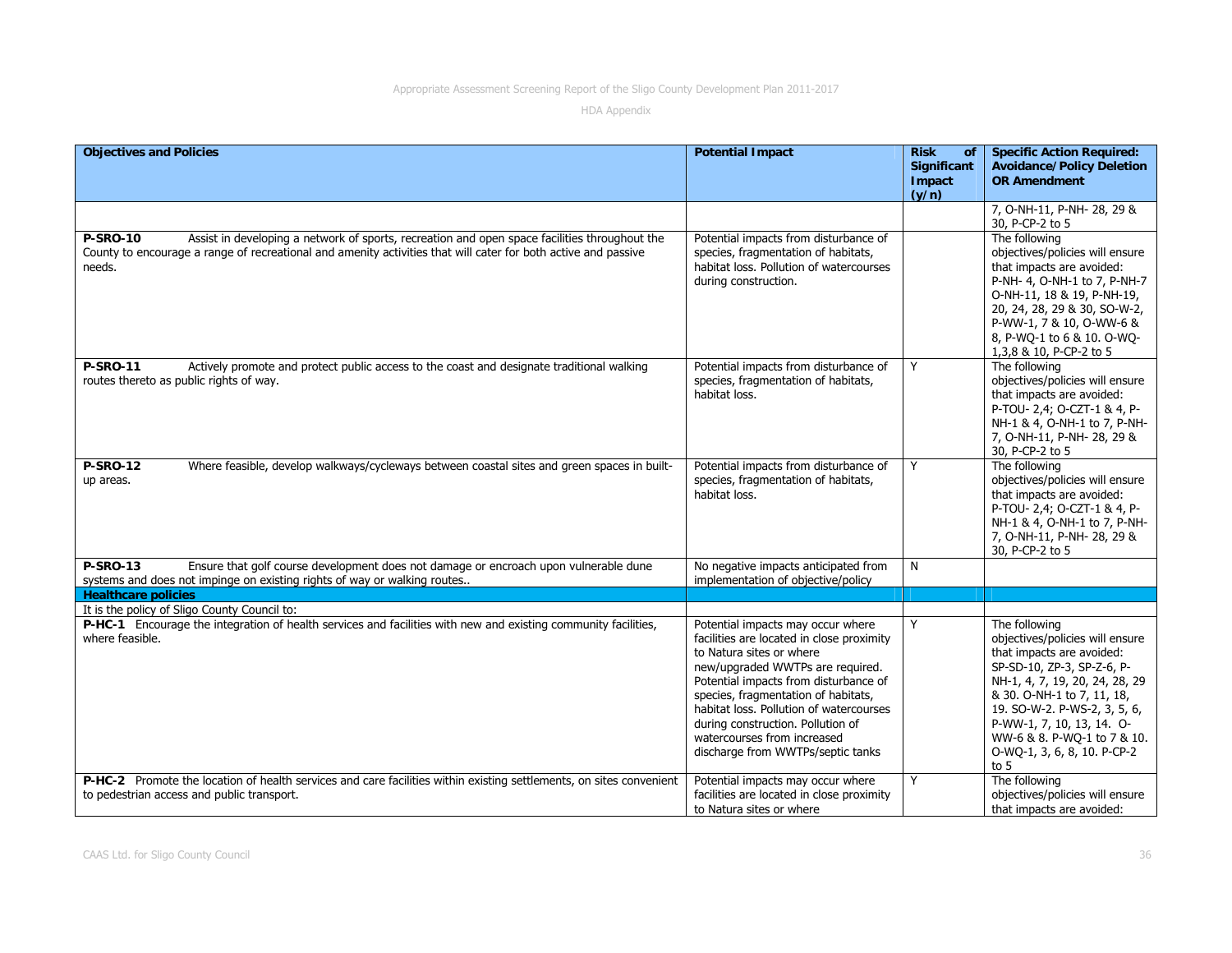| <b>Objectives and Policies</b>                                                                                      | <b>Potential Impact</b>                              | <b>Risk</b><br>of | <b>Specific Action Required:</b>                         |
|---------------------------------------------------------------------------------------------------------------------|------------------------------------------------------|-------------------|----------------------------------------------------------|
|                                                                                                                     |                                                      | Significant       | <b>Avoidance/Policy Deletion</b>                         |
|                                                                                                                     |                                                      | Impact            | <b>OR Amendment</b>                                      |
|                                                                                                                     |                                                      | (y/n)             |                                                          |
|                                                                                                                     |                                                      |                   | 7, O-NH-11, P-NH-28, 29 &                                |
|                                                                                                                     |                                                      |                   | 30, P-CP-2 to 5                                          |
| Assist in developing a network of sports, recreation and open space facilities throughout the<br><b>P-SRO-10</b>    | Potential impacts from disturbance of                |                   | The following                                            |
| County to encourage a range of recreational and amenity activities that will cater for both active and passive      | species, fragmentation of habitats,                  |                   | objectives/policies will ensure                          |
| needs.                                                                                                              | habitat loss. Pollution of watercourses              |                   | that impacts are avoided:                                |
|                                                                                                                     | during construction.                                 |                   | P-NH- 4, O-NH-1 to 7, P-NH-7                             |
|                                                                                                                     |                                                      |                   | O-NH-11, 18 & 19, P-NH-19,                               |
|                                                                                                                     |                                                      |                   | 20, 24, 28, 29 & 30, SO-W-2,                             |
|                                                                                                                     |                                                      |                   | P-WW-1, 7 & 10, O-WW-6 &                                 |
|                                                                                                                     |                                                      |                   | 8, P-WQ-1 to 6 & 10. O-WQ-                               |
|                                                                                                                     |                                                      |                   | 1,3,8 & 10, P-CP-2 to 5                                  |
| <b>P-SRO-11</b><br>Actively promote and protect public access to the coast and designate traditional walking        | Potential impacts from disturbance of                | Y                 | The following                                            |
| routes thereto as public rights of way.                                                                             | species, fragmentation of habitats,                  |                   | objectives/policies will ensure                          |
|                                                                                                                     | habitat loss.                                        |                   | that impacts are avoided:                                |
|                                                                                                                     |                                                      |                   | P-TOU- 2,4; O-CZT-1 & 4, P-                              |
|                                                                                                                     |                                                      |                   | NH-1 & 4, O-NH-1 to 7, P-NH-                             |
|                                                                                                                     |                                                      |                   | 7, O-NH-11, P-NH-28, 29 &                                |
|                                                                                                                     |                                                      |                   | 30, P-CP-2 to 5                                          |
| Where feasible, develop walkways/cycleways between coastal sites and green spaces in built-<br><b>P-SRO-12</b>      | Potential impacts from disturbance of                | Y                 | The following                                            |
| up areas.                                                                                                           | species, fragmentation of habitats,<br>habitat loss. |                   | objectives/policies will ensure                          |
|                                                                                                                     |                                                      |                   | that impacts are avoided:<br>P-TOU- 2,4; O-CZT-1 & 4, P- |
|                                                                                                                     |                                                      |                   | NH-1 & 4, O-NH-1 to 7, P-NH-                             |
|                                                                                                                     |                                                      |                   | 7, O-NH-11, P-NH-28, 29 &                                |
|                                                                                                                     |                                                      |                   | 30, P-CP-2 to 5                                          |
| <b>P-SRO-13</b><br>Ensure that golf course development does not damage or encroach upon vulnerable dune             | No negative impacts anticipated from                 | N                 |                                                          |
| systems and does not impinge on existing rights of way or walking routes                                            | implementation of objective/policy                   |                   |                                                          |
| <b>Healthcare policies</b>                                                                                          |                                                      |                   |                                                          |
| It is the policy of Sligo County Council to:                                                                        |                                                      |                   |                                                          |
| P-HC-1 Encourage the integration of health services and facilities with new and existing community facilities,      | Potential impacts may occur where                    | Y                 | The following                                            |
| where feasible.                                                                                                     | facilities are located in close proximity            |                   | objectives/policies will ensure                          |
|                                                                                                                     | to Natura sites or where                             |                   | that impacts are avoided:                                |
|                                                                                                                     | new/upgraded WWTPs are required.                     |                   | SP-SD-10, ZP-3, SP-Z-6, P-                               |
|                                                                                                                     | Potential impacts from disturbance of                |                   | NH-1, 4, 7, 19, 20, 24, 28, 29                           |
|                                                                                                                     | species, fragmentation of habitats,                  |                   | & 30. O-NH-1 to 7, 11, 18,                               |
|                                                                                                                     | habitat loss. Pollution of watercourses              |                   | 19. SO-W-2. P-WS-2, 3, 5, 6,                             |
|                                                                                                                     | during construction. Pollution of                    |                   | P-WW-1, 7, 10, 13, 14. O-                                |
|                                                                                                                     | watercourses from increased                          |                   | WW-6 & 8. P-WQ-1 to 7 & 10.                              |
|                                                                                                                     | discharge from WWTPs/septic tanks                    |                   | O-WQ-1, 3, 6, 8, 10. P-CP-2                              |
|                                                                                                                     |                                                      |                   | to $5$                                                   |
| P-HC-2 Promote the location of health services and care facilities within existing settlements, on sites convenient | Potential impacts may occur where                    | Y                 | The following                                            |
| to pedestrian access and public transport.                                                                          | facilities are located in close proximity            |                   | objectives/policies will ensure                          |
|                                                                                                                     | to Natura sites or where                             |                   | that impacts are avoided:                                |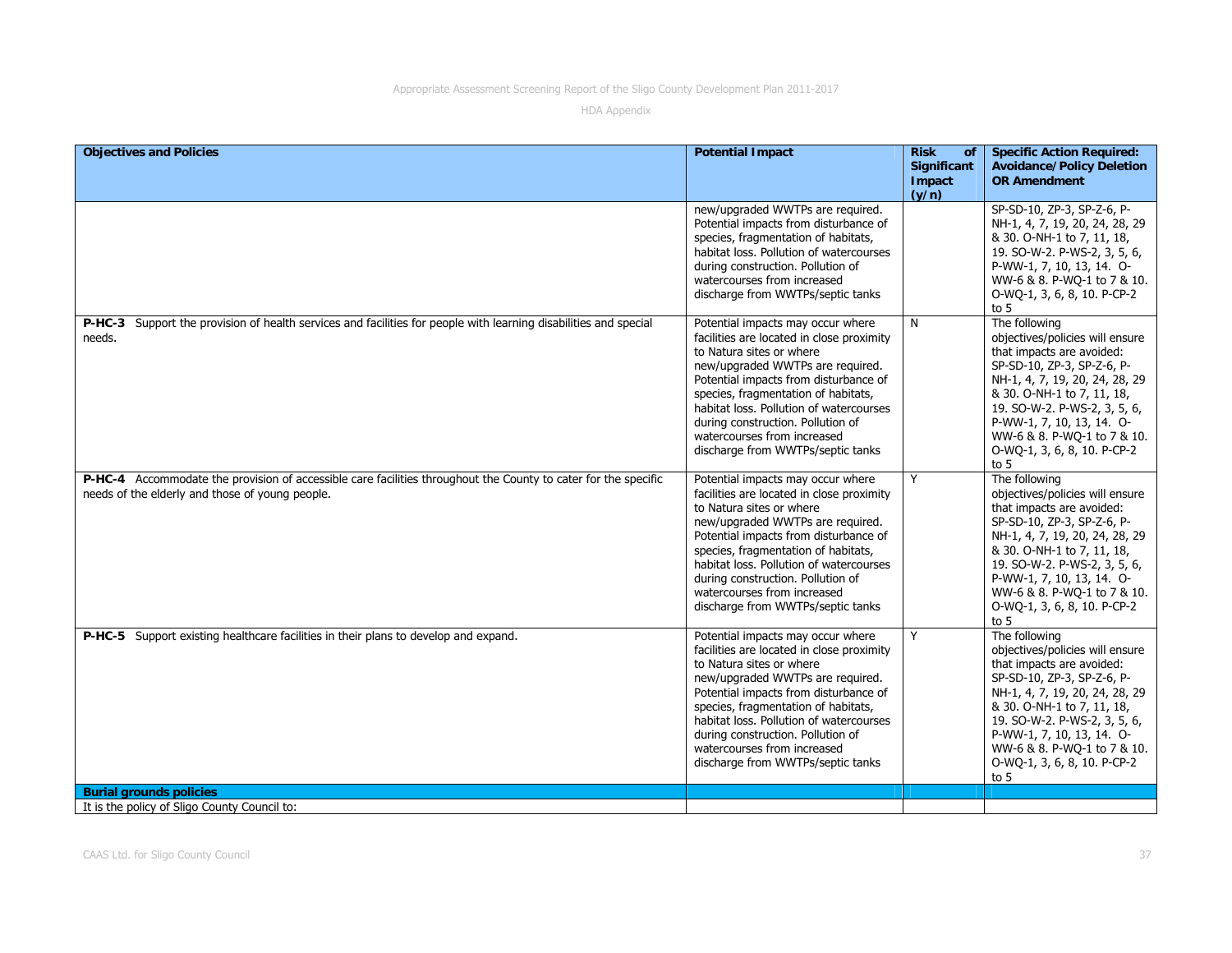| <b>Objectives and Policies</b>                                                                                                                                    | <b>Potential Impact</b>                                                                                                                                                                                                                                                                                                                                                            | <b>Risk</b><br>of<br><b>Significant</b><br>Impact<br>(y/n) | <b>Specific Action Required:</b><br><b>Avoidance/Policy Deletion</b><br><b>OR Amendment</b>                                                                                                                                                                                                                      |
|-------------------------------------------------------------------------------------------------------------------------------------------------------------------|------------------------------------------------------------------------------------------------------------------------------------------------------------------------------------------------------------------------------------------------------------------------------------------------------------------------------------------------------------------------------------|------------------------------------------------------------|------------------------------------------------------------------------------------------------------------------------------------------------------------------------------------------------------------------------------------------------------------------------------------------------------------------|
|                                                                                                                                                                   | new/upgraded WWTPs are required.<br>Potential impacts from disturbance of<br>species, fragmentation of habitats,<br>habitat loss. Pollution of watercourses<br>during construction. Pollution of<br>watercourses from increased<br>discharge from WWTPs/septic tanks                                                                                                               |                                                            | SP-SD-10, ZP-3, SP-Z-6, P-<br>NH-1, 4, 7, 19, 20, 24, 28, 29<br>& 30. O-NH-1 to 7, 11, 18,<br>19. SO-W-2. P-WS-2, 3, 5, 6,<br>P-WW-1, 7, 10, 13, 14. O-<br>WW-6 & 8. P-WQ-1 to 7 & 10.<br>O-WQ-1, 3, 6, 8, 10. P-CP-2<br>to $5$                                                                                  |
| P-HC-3 Support the provision of health services and facilities for people with learning disabilities and special<br>needs.                                        | Potential impacts may occur where<br>facilities are located in close proximity<br>to Natura sites or where<br>new/upgraded WWTPs are required.<br>Potential impacts from disturbance of<br>species, fragmentation of habitats,<br>habitat loss. Pollution of watercourses<br>during construction. Pollution of<br>watercourses from increased<br>discharge from WWTPs/septic tanks | N                                                          | The following<br>objectives/policies will ensure<br>that impacts are avoided:<br>SP-SD-10, ZP-3, SP-Z-6, P-<br>NH-1, 4, 7, 19, 20, 24, 28, 29<br>& 30. O-NH-1 to 7, 11, 18,<br>19. SO-W-2. P-WS-2, 3, 5, 6,<br>P-WW-1, 7, 10, 13, 14. O-<br>WW-6 & 8. P-WQ-1 to 7 & 10.<br>O-WQ-1, 3, 6, 8, 10. P-CP-2<br>to $5$ |
| P-HC-4 Accommodate the provision of accessible care facilities throughout the County to cater for the specific<br>needs of the elderly and those of young people. | Potential impacts may occur where<br>facilities are located in close proximity<br>to Natura sites or where<br>new/upgraded WWTPs are required.<br>Potential impacts from disturbance of<br>species, fragmentation of habitats,<br>habitat loss. Pollution of watercourses<br>during construction. Pollution of<br>watercourses from increased<br>discharge from WWTPs/septic tanks | Y                                                          | The following<br>objectives/policies will ensure<br>that impacts are avoided:<br>SP-SD-10, ZP-3, SP-Z-6, P-<br>NH-1, 4, 7, 19, 20, 24, 28, 29<br>& 30. O-NH-1 to 7, 11, 18,<br>19. SO-W-2. P-WS-2, 3, 5, 6,<br>P-WW-1, 7, 10, 13, 14. O-<br>WW-6 & 8. P-WQ-1 to 7 & 10.<br>O-WQ-1, 3, 6, 8, 10. P-CP-2<br>to $5$ |
| P-HC-5 Support existing healthcare facilities in their plans to develop and expand.                                                                               | Potential impacts may occur where<br>facilities are located in close proximity<br>to Natura sites or where<br>new/upgraded WWTPs are required.<br>Potential impacts from disturbance of<br>species, fragmentation of habitats,<br>habitat loss. Pollution of watercourses<br>during construction. Pollution of<br>watercourses from increased<br>discharge from WWTPs/septic tanks | Y                                                          | The following<br>objectives/policies will ensure<br>that impacts are avoided:<br>SP-SD-10, ZP-3, SP-Z-6, P-<br>NH-1, 4, 7, 19, 20, 24, 28, 29<br>& 30. O-NH-1 to 7, 11, 18,<br>19. SO-W-2. P-WS-2, 3, 5, 6,<br>P-WW-1, 7, 10, 13, 14. O-<br>WW-6 & 8. P-WQ-1 to 7 & 10.<br>O-WO-1, 3, 6, 8, 10. P-CP-2<br>to $5$ |
| <b>Burial grounds policies</b><br>It is the policy of Sligo County Council to:                                                                                    |                                                                                                                                                                                                                                                                                                                                                                                    |                                                            |                                                                                                                                                                                                                                                                                                                  |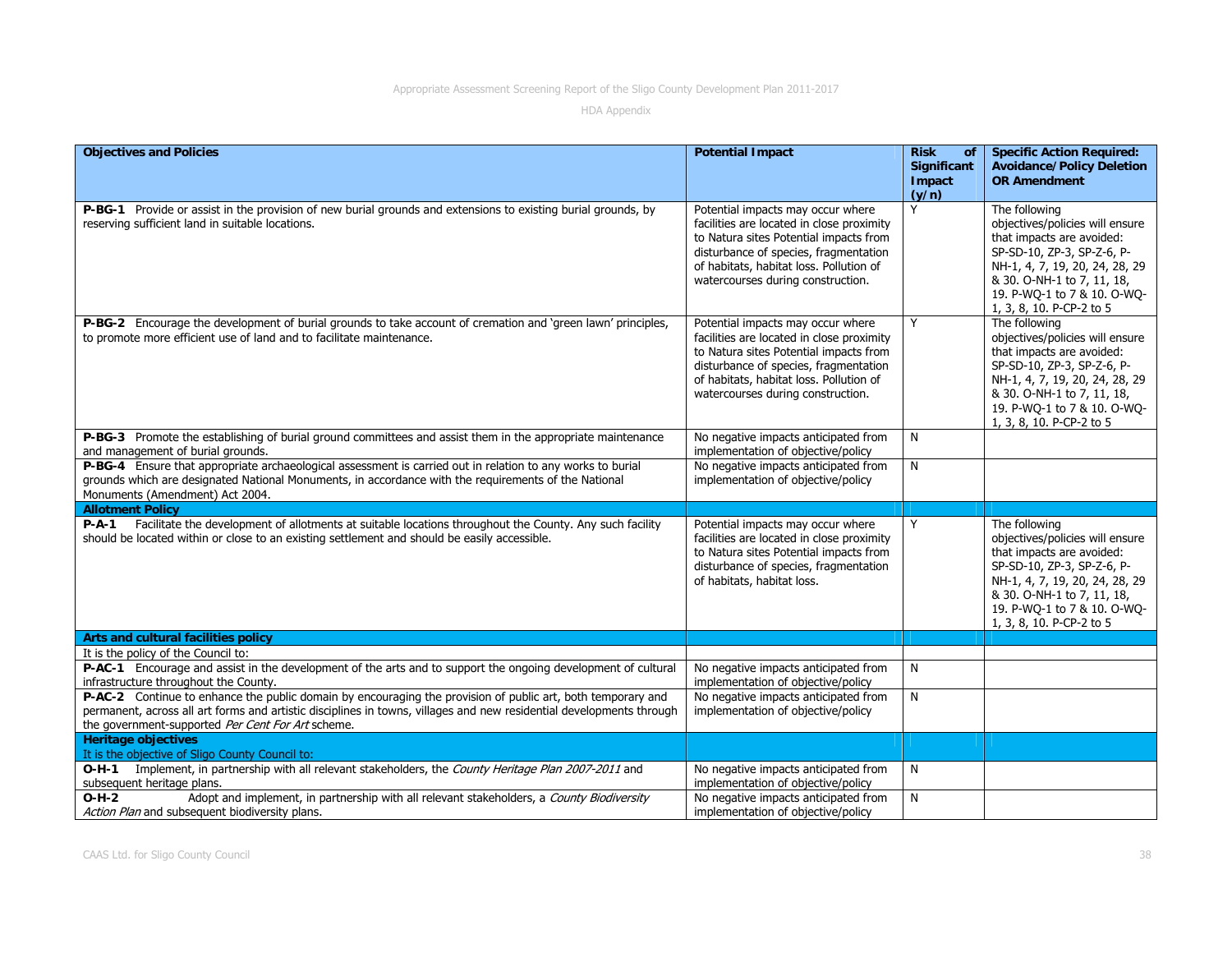| <b>Objectives and Policies</b>                                                                                                                                                                                                                                                           | <b>Potential Impact</b>                                                                                                                                                                                                                           | <b>Risk</b><br>of<br><b>Significant</b> | <b>Specific Action Required:</b><br><b>Avoidance/Policy Deletion</b>                                                                                                                                                                   |
|------------------------------------------------------------------------------------------------------------------------------------------------------------------------------------------------------------------------------------------------------------------------------------------|---------------------------------------------------------------------------------------------------------------------------------------------------------------------------------------------------------------------------------------------------|-----------------------------------------|----------------------------------------------------------------------------------------------------------------------------------------------------------------------------------------------------------------------------------------|
|                                                                                                                                                                                                                                                                                          |                                                                                                                                                                                                                                                   | Impact<br>(y/n)                         | <b>OR Amendment</b>                                                                                                                                                                                                                    |
| P-BG-1 Provide or assist in the provision of new burial grounds and extensions to existing burial grounds, by<br>reserving sufficient land in suitable locations.                                                                                                                        | Potential impacts may occur where<br>facilities are located in close proximity<br>to Natura sites Potential impacts from<br>disturbance of species, fragmentation<br>of habitats, habitat loss. Pollution of<br>watercourses during construction. | Y                                       | The following<br>objectives/policies will ensure<br>that impacts are avoided:<br>SP-SD-10, ZP-3, SP-Z-6, P-<br>NH-1, 4, 7, 19, 20, 24, 28, 29<br>& 30. O-NH-1 to 7, 11, 18,<br>19. P-WQ-1 to 7 & 10. O-WQ-<br>1, 3, 8, 10. P-CP-2 to 5 |
| P-BG-2 Encourage the development of burial grounds to take account of cremation and 'green lawn' principles,<br>to promote more efficient use of land and to facilitate maintenance.                                                                                                     | Potential impacts may occur where<br>facilities are located in close proximity<br>to Natura sites Potential impacts from<br>disturbance of species, fragmentation<br>of habitats, habitat loss. Pollution of<br>watercourses during construction. | Y                                       | The following<br>objectives/policies will ensure<br>that impacts are avoided:<br>SP-SD-10, ZP-3, SP-Z-6, P-<br>NH-1, 4, 7, 19, 20, 24, 28, 29<br>& 30. O-NH-1 to 7, 11, 18,<br>19. P-WQ-1 to 7 & 10. O-WQ-<br>1, 3, 8, 10. P-CP-2 to 5 |
| P-BG-3 Promote the establishing of burial ground committees and assist them in the appropriate maintenance<br>and management of burial grounds.                                                                                                                                          | No negative impacts anticipated from<br>implementation of objective/policy                                                                                                                                                                        | N                                       |                                                                                                                                                                                                                                        |
| P-BG-4 Ensure that appropriate archaeological assessment is carried out in relation to any works to burial<br>grounds which are designated National Monuments, in accordance with the requirements of the National<br>Monuments (Amendment) Act 2004.                                    | No negative impacts anticipated from<br>implementation of objective/policy                                                                                                                                                                        | $\overline{N}$                          |                                                                                                                                                                                                                                        |
| <b>Allotment Policy</b>                                                                                                                                                                                                                                                                  |                                                                                                                                                                                                                                                   |                                         |                                                                                                                                                                                                                                        |
| Facilitate the development of allotments at suitable locations throughout the County. Any such facility<br>$P-A-1$<br>should be located within or close to an existing settlement and should be easily accessible.                                                                       | Potential impacts may occur where<br>facilities are located in close proximity<br>to Natura sites Potential impacts from<br>disturbance of species, fragmentation<br>of habitats, habitat loss.                                                   | Y                                       | The following<br>objectives/policies will ensure<br>that impacts are avoided:<br>SP-SD-10, ZP-3, SP-Z-6, P-<br>NH-1, 4, 7, 19, 20, 24, 28, 29<br>& 30. O-NH-1 to 7, 11, 18,<br>19. P-WQ-1 to 7 & 10. O-WQ-<br>1, 3, 8, 10. P-CP-2 to 5 |
| Arts and cultural facilities policy                                                                                                                                                                                                                                                      |                                                                                                                                                                                                                                                   |                                         |                                                                                                                                                                                                                                        |
| It is the policy of the Council to:<br>P-AC-1 Encourage and assist in the development of the arts and to support the ongoing development of cultural<br>infrastructure throughout the County.                                                                                            | No negative impacts anticipated from<br>implementation of objective/policy                                                                                                                                                                        | N                                       |                                                                                                                                                                                                                                        |
| P-AC-2 Continue to enhance the public domain by encouraging the provision of public art, both temporary and<br>permanent, across all art forms and artistic disciplines in towns, villages and new residential developments through<br>the government-supported Per Cent For Art scheme. | No negative impacts anticipated from<br>implementation of objective/policy                                                                                                                                                                        | N                                       |                                                                                                                                                                                                                                        |
| <b>Heritage objectives</b><br>It is the objective of Sligo County Council to:                                                                                                                                                                                                            |                                                                                                                                                                                                                                                   |                                         |                                                                                                                                                                                                                                        |
| O-H-1 Implement, in partnership with all relevant stakeholders, the County Heritage Plan 2007-2011 and<br>subsequent heritage plans.                                                                                                                                                     | No negative impacts anticipated from<br>implementation of objective/policy                                                                                                                                                                        | N                                       |                                                                                                                                                                                                                                        |
| Adopt and implement, in partnership with all relevant stakeholders, a County Biodiversity<br>$O-H-2$<br>Action Plan and subsequent biodiversity plans.                                                                                                                                   | No negative impacts anticipated from<br>implementation of objective/policy                                                                                                                                                                        | N                                       |                                                                                                                                                                                                                                        |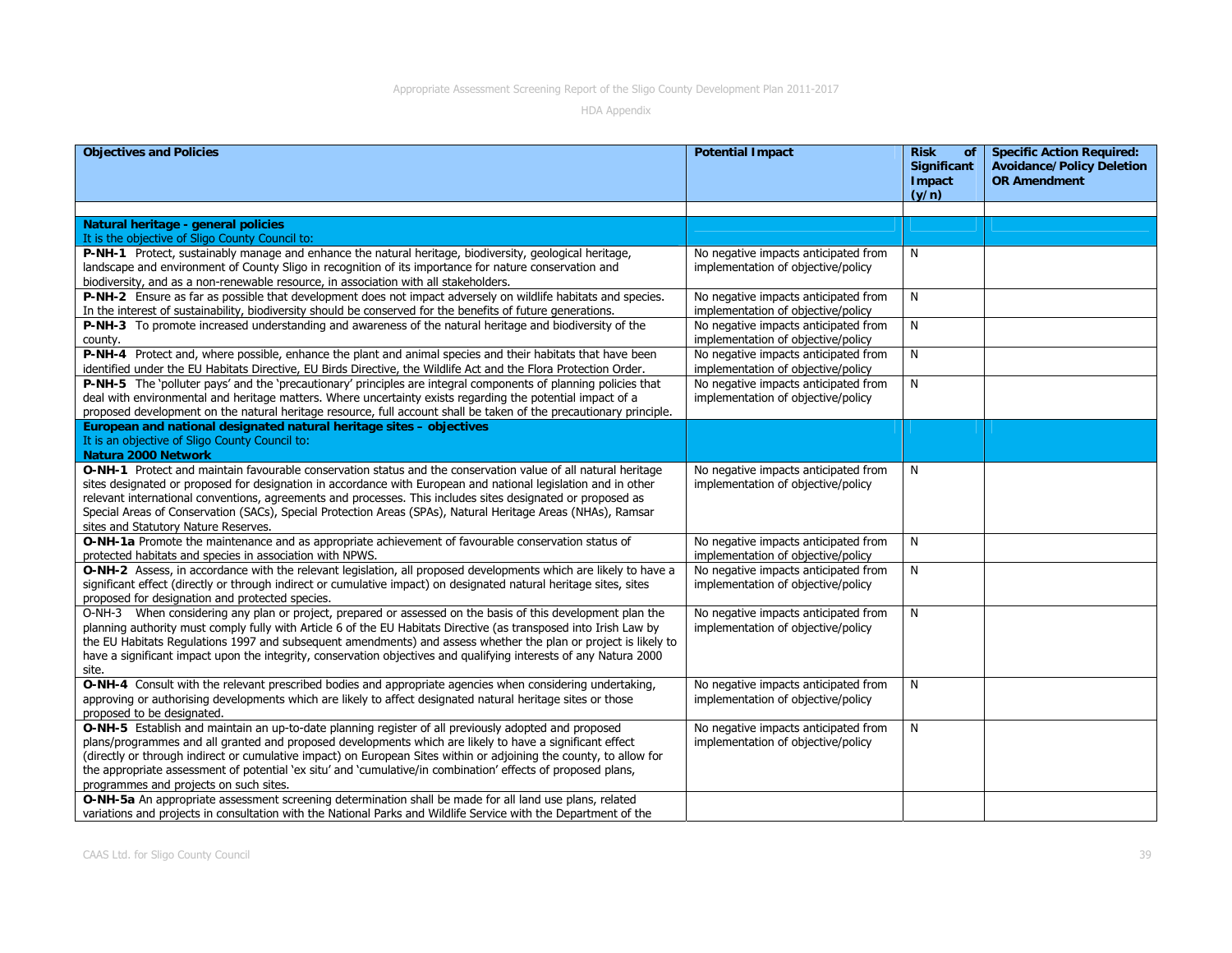| <b>Objectives and Policies</b>                                                                                                                                        | <b>Potential Impact</b>              | <b>Risk</b><br>of<br><b>Significant</b> | <b>Specific Action Required:</b><br><b>Avoidance/Policy Deletion</b> |
|-----------------------------------------------------------------------------------------------------------------------------------------------------------------------|--------------------------------------|-----------------------------------------|----------------------------------------------------------------------|
|                                                                                                                                                                       |                                      | Impact<br>(y/n)                         | <b>OR Amendment</b>                                                  |
|                                                                                                                                                                       |                                      |                                         |                                                                      |
| Natural heritage - general policies                                                                                                                                   |                                      |                                         |                                                                      |
| It is the objective of Sligo County Council to:                                                                                                                       |                                      |                                         |                                                                      |
| P-NH-1 Protect, sustainably manage and enhance the natural heritage, biodiversity, geological heritage,                                                               | No negative impacts anticipated from | N                                       |                                                                      |
| landscape and environment of County Sligo in recognition of its importance for nature conservation and                                                                | implementation of objective/policy   |                                         |                                                                      |
| biodiversity, and as a non-renewable resource, in association with all stakeholders.                                                                                  |                                      |                                         |                                                                      |
| P-NH-2 Ensure as far as possible that development does not impact adversely on wildlife habitats and species.                                                         | No negative impacts anticipated from | N                                       |                                                                      |
| In the interest of sustainability, biodiversity should be conserved for the benefits of future generations.                                                           | implementation of objective/policy   |                                         |                                                                      |
| P-NH-3 To promote increased understanding and awareness of the natural heritage and biodiversity of the                                                               | No negative impacts anticipated from | N                                       |                                                                      |
| county.                                                                                                                                                               | implementation of objective/policy   |                                         |                                                                      |
| P-NH-4 Protect and, where possible, enhance the plant and animal species and their habitats that have been                                                            | No negative impacts anticipated from | N                                       |                                                                      |
| identified under the EU Habitats Directive, EU Birds Directive, the Wildlife Act and the Flora Protection Order.                                                      | implementation of objective/policy   |                                         |                                                                      |
| P-NH-5 The 'polluter pays' and the 'precautionary' principles are integral components of planning policies that                                                       | No negative impacts anticipated from | N                                       |                                                                      |
| deal with environmental and heritage matters. Where uncertainty exists regarding the potential impact of a                                                            | implementation of objective/policy   |                                         |                                                                      |
| proposed development on the natural heritage resource, full account shall be taken of the precautionary principle.                                                    |                                      |                                         |                                                                      |
| European and national designated natural heritage sites - objectives                                                                                                  |                                      |                                         |                                                                      |
| It is an objective of Sligo County Council to:                                                                                                                        |                                      |                                         |                                                                      |
| Natura 2000 Network                                                                                                                                                   |                                      |                                         |                                                                      |
| O-NH-1 Protect and maintain favourable conservation status and the conservation value of all natural heritage                                                         | No negative impacts anticipated from | N                                       |                                                                      |
| sites designated or proposed for designation in accordance with European and national legislation and in other                                                        | implementation of objective/policy   |                                         |                                                                      |
| relevant international conventions, agreements and processes. This includes sites designated or proposed as                                                           |                                      |                                         |                                                                      |
| Special Areas of Conservation (SACs), Special Protection Areas (SPAs), Natural Heritage Areas (NHAs), Ramsar                                                          |                                      |                                         |                                                                      |
| sites and Statutory Nature Reserves.                                                                                                                                  |                                      |                                         |                                                                      |
| O-NH-1a Promote the maintenance and as appropriate achievement of favourable conservation status of                                                                   | No negative impacts anticipated from | N                                       |                                                                      |
| protected habitats and species in association with NPWS.                                                                                                              | implementation of objective/policy   |                                         |                                                                      |
| O-NH-2 Assess, in accordance with the relevant legislation, all proposed developments which are likely to have a                                                      | No negative impacts anticipated from | N                                       |                                                                      |
| significant effect (directly or through indirect or cumulative impact) on designated natural heritage sites, sites<br>proposed for designation and protected species. | implementation of objective/policy   |                                         |                                                                      |
| O-NH-3 When considering any plan or project, prepared or assessed on the basis of this development plan the                                                           | No negative impacts anticipated from | N                                       |                                                                      |
| planning authority must comply fully with Article 6 of the EU Habitats Directive (as transposed into Irish Law by                                                     | implementation of objective/policy   |                                         |                                                                      |
| the EU Habitats Regulations 1997 and subsequent amendments) and assess whether the plan or project is likely to                                                       |                                      |                                         |                                                                      |
| have a significant impact upon the integrity, conservation objectives and qualifying interests of any Natura 2000                                                     |                                      |                                         |                                                                      |
| site.                                                                                                                                                                 |                                      |                                         |                                                                      |
| O-NH-4 Consult with the relevant prescribed bodies and appropriate agencies when considering undertaking,                                                             | No negative impacts anticipated from | N                                       |                                                                      |
| approving or authorising developments which are likely to affect designated natural heritage sites or those                                                           | implementation of objective/policy   |                                         |                                                                      |
| proposed to be designated.                                                                                                                                            |                                      |                                         |                                                                      |
| O-NH-5 Establish and maintain an up-to-date planning register of all previously adopted and proposed                                                                  | No negative impacts anticipated from | N                                       |                                                                      |
| plans/programmes and all granted and proposed developments which are likely to have a significant effect                                                              | implementation of objective/policy   |                                         |                                                                      |
| (directly or through indirect or cumulative impact) on European Sites within or adjoining the county, to allow for                                                    |                                      |                                         |                                                                      |
| the appropriate assessment of potential 'ex situ' and 'cumulative/in combination' effects of proposed plans,                                                          |                                      |                                         |                                                                      |
| programmes and projects on such sites.                                                                                                                                |                                      |                                         |                                                                      |
| O-NH-5a An appropriate assessment screening determination shall be made for all land use plans, related                                                               |                                      |                                         |                                                                      |
| variations and projects in consultation with the National Parks and Wildlife Service with the Department of the                                                       |                                      |                                         |                                                                      |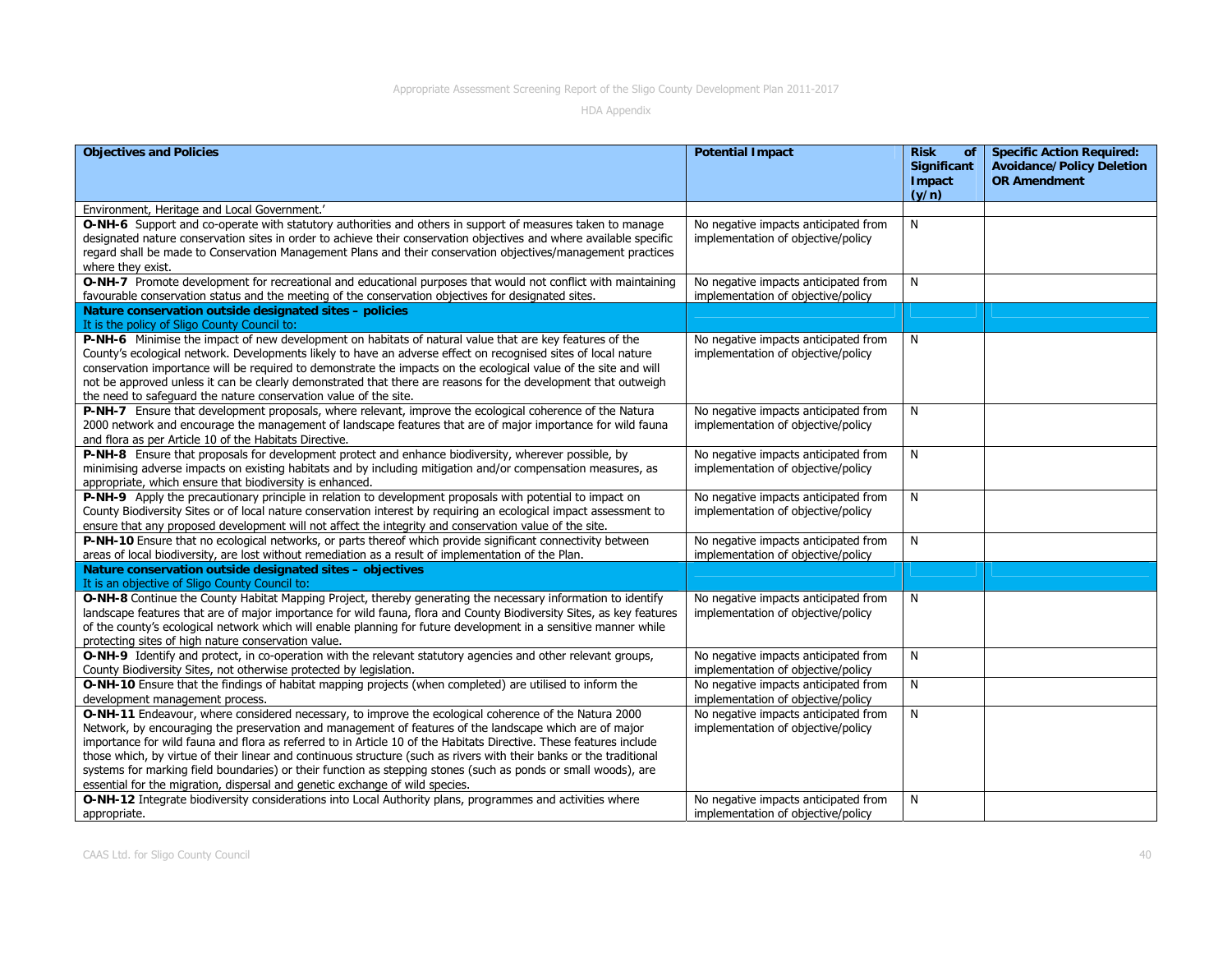| <b>Objectives and Policies</b>                                                                                                                                                                                                                                                                                                                                                                                                                                                                                                                                                                                                                                  | <b>Potential Impact</b>                                                    | <b>Risk</b><br>of<br>Significant<br>Impact | <b>Specific Action Required:</b><br><b>Avoidance/Policy Deletion</b><br><b>OR Amendment</b> |
|-----------------------------------------------------------------------------------------------------------------------------------------------------------------------------------------------------------------------------------------------------------------------------------------------------------------------------------------------------------------------------------------------------------------------------------------------------------------------------------------------------------------------------------------------------------------------------------------------------------------------------------------------------------------|----------------------------------------------------------------------------|--------------------------------------------|---------------------------------------------------------------------------------------------|
|                                                                                                                                                                                                                                                                                                                                                                                                                                                                                                                                                                                                                                                                 |                                                                            | (y/n)                                      |                                                                                             |
| Environment, Heritage and Local Government.'                                                                                                                                                                                                                                                                                                                                                                                                                                                                                                                                                                                                                    |                                                                            |                                            |                                                                                             |
| O-NH-6 Support and co-operate with statutory authorities and others in support of measures taken to manage<br>designated nature conservation sites in order to achieve their conservation objectives and where available specific<br>regard shall be made to Conservation Management Plans and their conservation objectives/management practices<br>where they exist.                                                                                                                                                                                                                                                                                          | No negative impacts anticipated from<br>implementation of objective/policy | N                                          |                                                                                             |
| O-NH-7 Promote development for recreational and educational purposes that would not conflict with maintaining<br>favourable conservation status and the meeting of the conservation objectives for designated sites.                                                                                                                                                                                                                                                                                                                                                                                                                                            | No negative impacts anticipated from<br>implementation of objective/policy | N                                          |                                                                                             |
| Nature conservation outside designated sites - policies<br>It is the policy of Sligo County Council to:                                                                                                                                                                                                                                                                                                                                                                                                                                                                                                                                                         |                                                                            |                                            |                                                                                             |
| P-NH-6 Minimise the impact of new development on habitats of natural value that are key features of the<br>County's ecological network. Developments likely to have an adverse effect on recognised sites of local nature<br>conservation importance will be required to demonstrate the impacts on the ecological value of the site and will<br>not be approved unless it can be clearly demonstrated that there are reasons for the development that outweigh<br>the need to safeguard the nature conservation value of the site.                                                                                                                             | No negative impacts anticipated from<br>implementation of objective/policy | N                                          |                                                                                             |
| P-NH-7 Ensure that development proposals, where relevant, improve the ecological coherence of the Natura<br>2000 network and encourage the management of landscape features that are of major importance for wild fauna<br>and flora as per Article 10 of the Habitats Directive.                                                                                                                                                                                                                                                                                                                                                                               | No negative impacts anticipated from<br>implementation of objective/policy | N                                          |                                                                                             |
| P-NH-8 Ensure that proposals for development protect and enhance biodiversity, wherever possible, by<br>minimising adverse impacts on existing habitats and by including mitigation and/or compensation measures, as<br>appropriate, which ensure that biodiversity is enhanced.                                                                                                                                                                                                                                                                                                                                                                                | No negative impacts anticipated from<br>implementation of objective/policy | N                                          |                                                                                             |
| P-NH-9 Apply the precautionary principle in relation to development proposals with potential to impact on<br>County Biodiversity Sites or of local nature conservation interest by requiring an ecological impact assessment to<br>ensure that any proposed development will not affect the integrity and conservation value of the site.                                                                                                                                                                                                                                                                                                                       | No negative impacts anticipated from<br>implementation of objective/policy | N                                          |                                                                                             |
| P-NH-10 Ensure that no ecological networks, or parts thereof which provide significant connectivity between<br>areas of local biodiversity, are lost without remediation as a result of implementation of the Plan.                                                                                                                                                                                                                                                                                                                                                                                                                                             | No negative impacts anticipated from<br>implementation of objective/policy | N                                          |                                                                                             |
| Nature conservation outside designated sites - objectives<br>It is an objective of Sligo County Council to:                                                                                                                                                                                                                                                                                                                                                                                                                                                                                                                                                     |                                                                            |                                            |                                                                                             |
| O-NH-8 Continue the County Habitat Mapping Project, thereby generating the necessary information to identify<br>landscape features that are of major importance for wild fauna, flora and County Biodiversity Sites, as key features<br>of the county's ecological network which will enable planning for future development in a sensitive manner while<br>protecting sites of high nature conservation value.                                                                                                                                                                                                                                                 | No negative impacts anticipated from<br>implementation of objective/policy | N                                          |                                                                                             |
| O-NH-9 Identify and protect, in co-operation with the relevant statutory agencies and other relevant groups,<br>County Biodiversity Sites, not otherwise protected by legislation.                                                                                                                                                                                                                                                                                                                                                                                                                                                                              | No negative impacts anticipated from<br>implementation of objective/policy | N                                          |                                                                                             |
| O-NH-10 Ensure that the findings of habitat mapping projects (when completed) are utilised to inform the<br>development management process.                                                                                                                                                                                                                                                                                                                                                                                                                                                                                                                     | No negative impacts anticipated from<br>implementation of objective/policy | N                                          |                                                                                             |
| O-NH-11 Endeavour, where considered necessary, to improve the ecological coherence of the Natura 2000<br>Network, by encouraging the preservation and management of features of the landscape which are of major<br>importance for wild fauna and flora as referred to in Article 10 of the Habitats Directive. These features include<br>those which, by virtue of their linear and continuous structure (such as rivers with their banks or the traditional<br>systems for marking field boundaries) or their function as stepping stones (such as ponds or small woods), are<br>essential for the migration, dispersal and genetic exchange of wild species. | No negative impacts anticipated from<br>implementation of objective/policy | N                                          |                                                                                             |
| O-NH-12 Integrate biodiversity considerations into Local Authority plans, programmes and activities where<br>appropriate.                                                                                                                                                                                                                                                                                                                                                                                                                                                                                                                                       | No negative impacts anticipated from<br>implementation of objective/policy | N                                          |                                                                                             |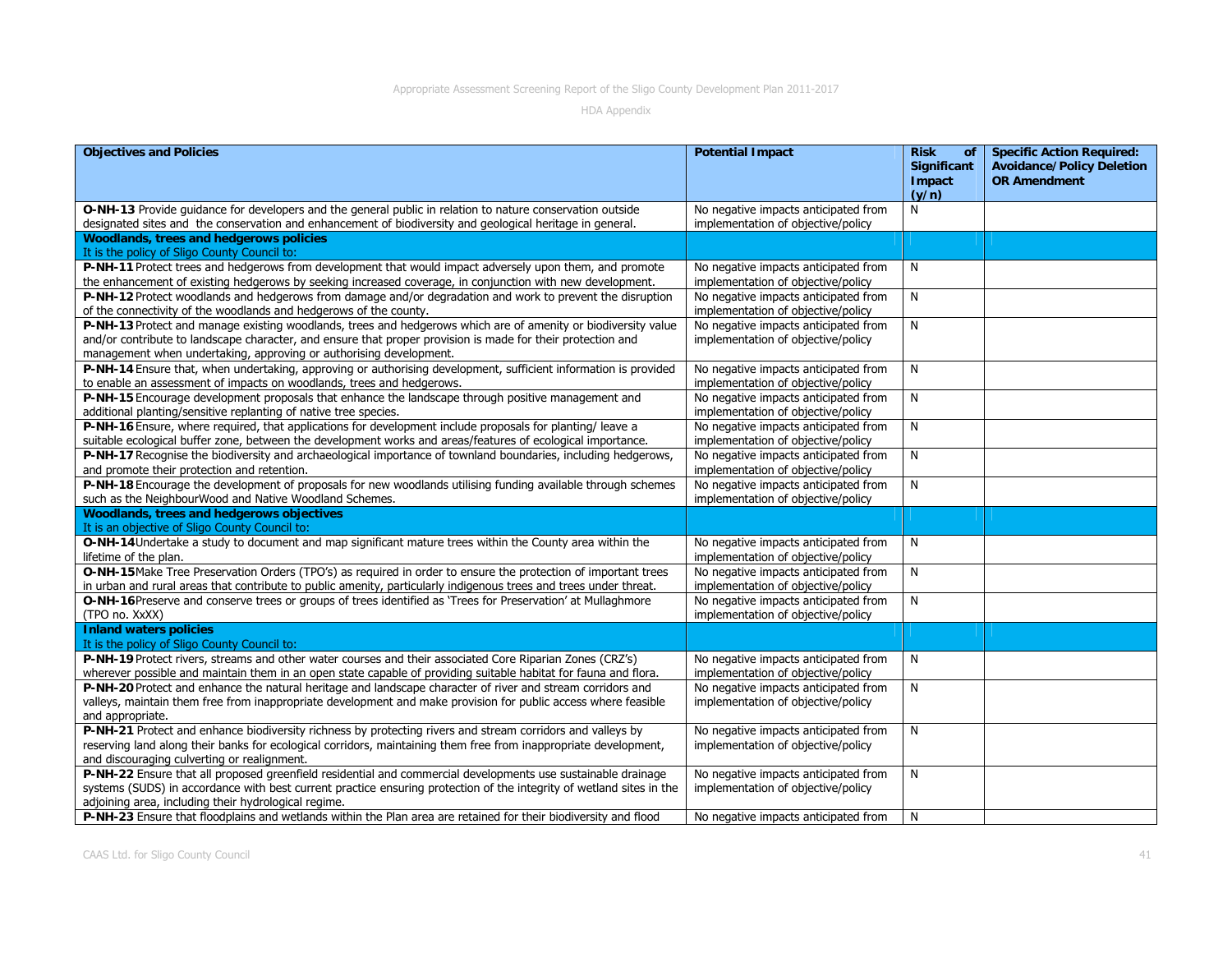| <b>Objectives and Policies</b>                                                                                                                                                                                                                                                                     | <b>Potential Impact</b>                                                    | <b>Risk</b><br>of<br><b>Significant</b><br>Impact | <b>Specific Action Required:</b><br><b>Avoidance/Policy Deletion</b><br><b>OR Amendment</b> |
|----------------------------------------------------------------------------------------------------------------------------------------------------------------------------------------------------------------------------------------------------------------------------------------------------|----------------------------------------------------------------------------|---------------------------------------------------|---------------------------------------------------------------------------------------------|
|                                                                                                                                                                                                                                                                                                    |                                                                            | (y/n)                                             |                                                                                             |
| O-NH-13 Provide guidance for developers and the general public in relation to nature conservation outside<br>designated sites and the conservation and enhancement of biodiversity and geological heritage in general.                                                                             | No negative impacts anticipated from<br>implementation of objective/policy | N                                                 |                                                                                             |
| Woodlands, trees and hedgerows policies<br>It is the policy of Sligo County Council to:                                                                                                                                                                                                            |                                                                            |                                                   |                                                                                             |
| P-NH-11 Protect trees and hedgerows from development that would impact adversely upon them, and promote<br>the enhancement of existing hedgerows by seeking increased coverage, in conjunction with new development.                                                                               | No negative impacts anticipated from<br>implementation of objective/policy | N                                                 |                                                                                             |
| P-NH-12 Protect woodlands and hedgerows from damage and/or degradation and work to prevent the disruption<br>of the connectivity of the woodlands and hedgerows of the county.                                                                                                                     | No negative impacts anticipated from<br>implementation of objective/policy | N                                                 |                                                                                             |
| P-NH-13 Protect and manage existing woodlands, trees and hedgerows which are of amenity or biodiversity value<br>and/or contribute to landscape character, and ensure that proper provision is made for their protection and<br>management when undertaking, approving or authorising development. | No negative impacts anticipated from<br>implementation of objective/policy | N                                                 |                                                                                             |
| P-NH-14 Ensure that, when undertaking, approving or authorising development, sufficient information is provided<br>to enable an assessment of impacts on woodlands, trees and hedgerows.                                                                                                           | No negative impacts anticipated from<br>implementation of objective/policy | N                                                 |                                                                                             |
| P-NH-15 Encourage development proposals that enhance the landscape through positive management and<br>additional planting/sensitive replanting of native tree species.                                                                                                                             | No negative impacts anticipated from<br>implementation of objective/policy | N                                                 |                                                                                             |
| P-NH-16 Ensure, where required, that applications for development include proposals for planting/ leave a<br>suitable ecological buffer zone, between the development works and areas/features of ecological importance.                                                                           | No negative impacts anticipated from<br>implementation of objective/policy | N                                                 |                                                                                             |
| P-NH-17 Recognise the biodiversity and archaeological importance of townland boundaries, including hedgerows,<br>and promote their protection and retention.                                                                                                                                       | No negative impacts anticipated from<br>implementation of objective/policy | N                                                 |                                                                                             |
| P-NH-18 Encourage the development of proposals for new woodlands utilising funding available through schemes<br>such as the NeighbourWood and Native Woodland Schemes.                                                                                                                             | No negative impacts anticipated from<br>implementation of objective/policy | N                                                 |                                                                                             |
| Woodlands, trees and hedgerows objectives<br>It is an objective of Sligo County Council to:                                                                                                                                                                                                        |                                                                            |                                                   |                                                                                             |
| O-NH-14 Undertake a study to document and map significant mature trees within the County area within the<br>lifetime of the plan.                                                                                                                                                                  | No negative impacts anticipated from<br>implementation of objective/policy | N                                                 |                                                                                             |
| O-NH-15 Make Tree Preservation Orders (TPO's) as required in order to ensure the protection of important trees<br>in urban and rural areas that contribute to public amenity, particularly indigenous trees and trees under threat.                                                                | No negative impacts anticipated from<br>implementation of objective/policy | N                                                 |                                                                                             |
| O-NH-16 Preserve and conserve trees or groups of trees identified as 'Trees for Preservation' at Mullaghmore<br>(TPO no. XxXX)                                                                                                                                                                     | No negative impacts anticipated from<br>implementation of objective/policy | N                                                 |                                                                                             |
| <b>Inland waters policies</b><br>It is the policy of Sligo County Council to:                                                                                                                                                                                                                      |                                                                            |                                                   |                                                                                             |
| P-NH-19 Protect rivers, streams and other water courses and their associated Core Riparian Zones (CRZ's)<br>wherever possible and maintain them in an open state capable of providing suitable habitat for fauna and flora.                                                                        | No negative impacts anticipated from<br>implementation of objective/policy | N                                                 |                                                                                             |
| P-NH-20 Protect and enhance the natural heritage and landscape character of river and stream corridors and<br>valleys, maintain them free from inappropriate development and make provision for public access where feasible<br>and appropriate.                                                   | No negative impacts anticipated from<br>implementation of objective/policy | N                                                 |                                                                                             |
| P-NH-21 Protect and enhance biodiversity richness by protecting rivers and stream corridors and valleys by<br>reserving land along their banks for ecological corridors, maintaining them free from inappropriate development,<br>and discouraging culverting or realignment.                      | No negative impacts anticipated from<br>implementation of objective/policy | N                                                 |                                                                                             |
| P-NH-22 Ensure that all proposed greenfield residential and commercial developments use sustainable drainage<br>systems (SUDS) in accordance with best current practice ensuring protection of the integrity of wetland sites in the<br>adjoining area, including their hydrological regime.       | No negative impacts anticipated from<br>implementation of objective/policy | N                                                 |                                                                                             |
| P-NH-23 Ensure that floodplains and wetlands within the Plan area are retained for their biodiversity and flood                                                                                                                                                                                    | No negative impacts anticipated from                                       | N                                                 |                                                                                             |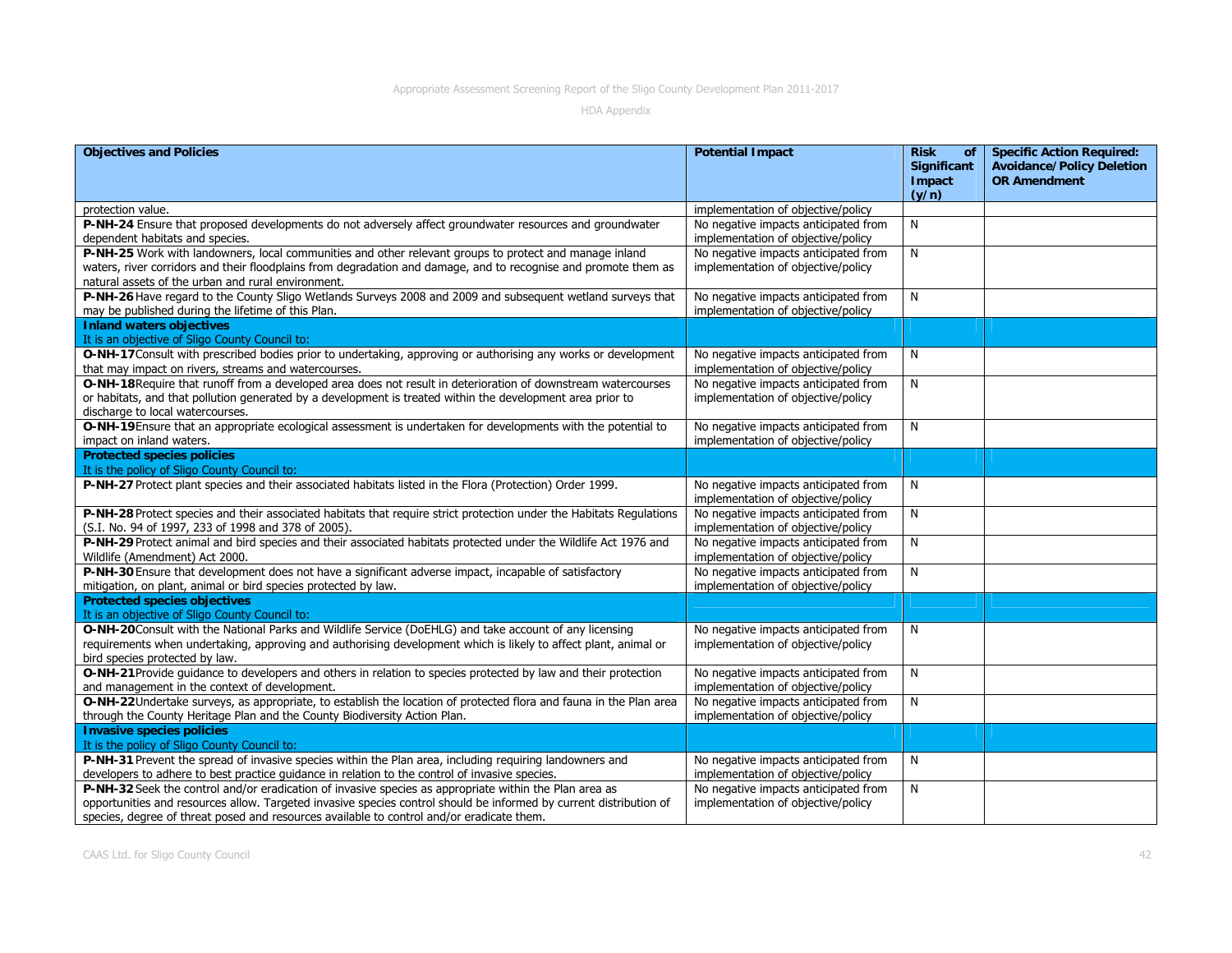| <b>Objectives and Policies</b>                                                                                                                                                                                                                                                                                            | <b>Potential Impact</b>                                                    | <b>Risk</b><br>of<br><b>Significant</b><br>Impact<br>(y/n) | <b>Specific Action Required:</b><br><b>Avoidance/Policy Deletion</b><br><b>OR Amendment</b> |
|---------------------------------------------------------------------------------------------------------------------------------------------------------------------------------------------------------------------------------------------------------------------------------------------------------------------------|----------------------------------------------------------------------------|------------------------------------------------------------|---------------------------------------------------------------------------------------------|
| protection value.                                                                                                                                                                                                                                                                                                         | implementation of objective/policy                                         |                                                            |                                                                                             |
| P-NH-24 Ensure that proposed developments do not adversely affect groundwater resources and groundwater<br>dependent habitats and species.                                                                                                                                                                                | No negative impacts anticipated from<br>implementation of objective/policy | N                                                          |                                                                                             |
| P-NH-25 Work with landowners, local communities and other relevant groups to protect and manage inland<br>waters, river corridors and their floodplains from degradation and damage, and to recognise and promote them as<br>natural assets of the urban and rural environment.                                           | No negative impacts anticipated from<br>implementation of objective/policy | N                                                          |                                                                                             |
| P-NH-26 Have regard to the County Sligo Wetlands Surveys 2008 and 2009 and subsequent wetland surveys that<br>may be published during the lifetime of this Plan.                                                                                                                                                          | No negative impacts anticipated from<br>implementation of objective/policy | N                                                          |                                                                                             |
| <b>Inland waters objectives</b><br>It is an objective of Sligo County Council to:                                                                                                                                                                                                                                         |                                                                            |                                                            |                                                                                             |
| O-NH-17 Consult with prescribed bodies prior to undertaking, approving or authorising any works or development<br>that may impact on rivers, streams and watercourses.                                                                                                                                                    | No negative impacts anticipated from<br>implementation of objective/policy | N                                                          |                                                                                             |
| O-NH-18 Require that runoff from a developed area does not result in deterioration of downstream watercourses<br>or habitats, and that pollution generated by a development is treated within the development area prior to<br>discharge to local watercourses.                                                           | No negative impacts anticipated from<br>implementation of objective/policy | N                                                          |                                                                                             |
| O-NH-19 Ensure that an appropriate ecological assessment is undertaken for developments with the potential to<br>impact on inland waters.                                                                                                                                                                                 | No negative impacts anticipated from<br>implementation of objective/policy | N                                                          |                                                                                             |
| <b>Protected species policies</b>                                                                                                                                                                                                                                                                                         |                                                                            |                                                            |                                                                                             |
| It is the policy of Sligo County Council to:                                                                                                                                                                                                                                                                              |                                                                            |                                                            |                                                                                             |
| P-NH-27 Protect plant species and their associated habitats listed in the Flora (Protection) Order 1999.                                                                                                                                                                                                                  | No negative impacts anticipated from<br>implementation of objective/policy | N                                                          |                                                                                             |
| P-NH-28 Protect species and their associated habitats that require strict protection under the Habitats Regulations<br>(S.I. No. 94 of 1997, 233 of 1998 and 378 of 2005).                                                                                                                                                | No negative impacts anticipated from<br>implementation of objective/policy | N                                                          |                                                                                             |
| P-NH-29 Protect animal and bird species and their associated habitats protected under the Wildlife Act 1976 and<br>Wildlife (Amendment) Act 2000.                                                                                                                                                                         | No negative impacts anticipated from<br>implementation of objective/policy | N                                                          |                                                                                             |
| P-NH-30 Ensure that development does not have a significant adverse impact, incapable of satisfactory<br>mitigation, on plant, animal or bird species protected by law.                                                                                                                                                   | No negative impacts anticipated from<br>implementation of objective/policy | N                                                          |                                                                                             |
| <b>Protected species objectives</b><br>It is an objective of Sligo County Council to:                                                                                                                                                                                                                                     |                                                                            |                                                            |                                                                                             |
| O-NH-20 Consult with the National Parks and Wildlife Service (DoEHLG) and take account of any licensing<br>requirements when undertaking, approving and authorising development which is likely to affect plant, animal or<br>bird species protected by law.                                                              | No negative impacts anticipated from<br>implementation of objective/policy | N                                                          |                                                                                             |
| O-NH-21 Provide quidance to developers and others in relation to species protected by law and their protection<br>and management in the context of development.                                                                                                                                                           | No negative impacts anticipated from<br>implementation of objective/policy | N                                                          |                                                                                             |
| O-NH-22Undertake surveys, as appropriate, to establish the location of protected flora and fauna in the Plan area<br>through the County Heritage Plan and the County Biodiversity Action Plan.                                                                                                                            | No negative impacts anticipated from<br>implementation of objective/policy | N                                                          |                                                                                             |
| <b>Invasive species policies</b>                                                                                                                                                                                                                                                                                          |                                                                            |                                                            |                                                                                             |
| It is the policy of Sligo County Council to:                                                                                                                                                                                                                                                                              |                                                                            |                                                            |                                                                                             |
| P-NH-31 Prevent the spread of invasive species within the Plan area, including requiring landowners and<br>developers to adhere to best practice guidance in relation to the control of invasive species.                                                                                                                 | No negative impacts anticipated from<br>implementation of objective/policy | N                                                          |                                                                                             |
| P-NH-32 Seek the control and/or eradication of invasive species as appropriate within the Plan area as<br>opportunities and resources allow. Targeted invasive species control should be informed by current distribution of<br>species, degree of threat posed and resources available to control and/or eradicate them. | No negative impacts anticipated from<br>implementation of objective/policy | N                                                          |                                                                                             |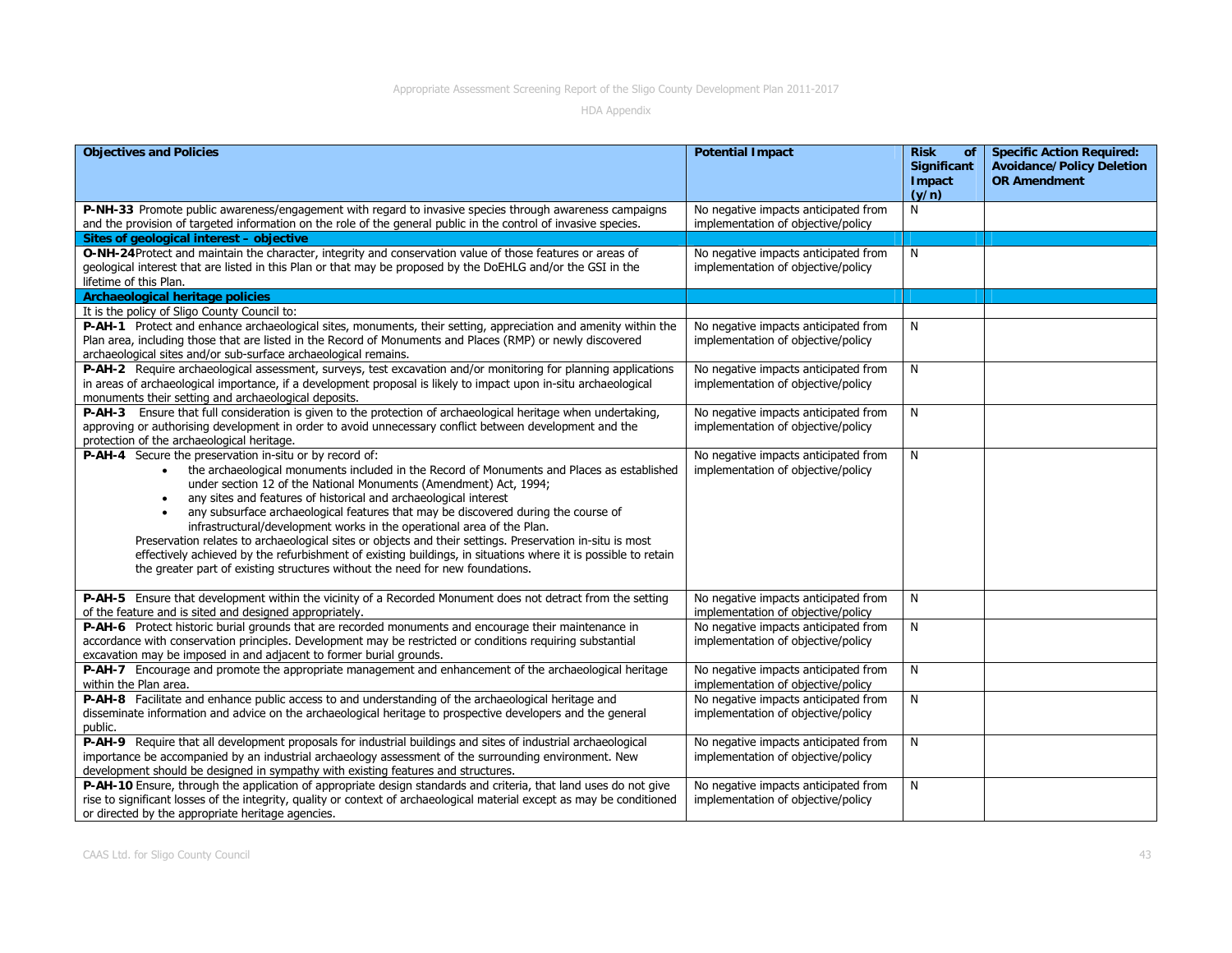| <b>Objectives and Policies</b>                                                                                                                                                                                                                                                                                                                                                                                                                                                                                                                                                                                                                                                                                                                                                            | <b>Potential Impact</b>                                                    | <b>Risk</b><br>of<br><b>Significant</b> | <b>Specific Action Required:</b><br><b>Avoidance/Policy Deletion</b> |
|-------------------------------------------------------------------------------------------------------------------------------------------------------------------------------------------------------------------------------------------------------------------------------------------------------------------------------------------------------------------------------------------------------------------------------------------------------------------------------------------------------------------------------------------------------------------------------------------------------------------------------------------------------------------------------------------------------------------------------------------------------------------------------------------|----------------------------------------------------------------------------|-----------------------------------------|----------------------------------------------------------------------|
|                                                                                                                                                                                                                                                                                                                                                                                                                                                                                                                                                                                                                                                                                                                                                                                           |                                                                            | Impact<br>(y/n)                         | <b>OR Amendment</b>                                                  |
| P-NH-33 Promote public awareness/engagement with regard to invasive species through awareness campaigns<br>and the provision of targeted information on the role of the general public in the control of invasive species.                                                                                                                                                                                                                                                                                                                                                                                                                                                                                                                                                                | No negative impacts anticipated from<br>implementation of objective/policy | N                                       |                                                                      |
| Sites of geological interest - objective                                                                                                                                                                                                                                                                                                                                                                                                                                                                                                                                                                                                                                                                                                                                                  |                                                                            |                                         |                                                                      |
| O-NH-24 Protect and maintain the character, integrity and conservation value of those features or areas of<br>geological interest that are listed in this Plan or that may be proposed by the DoEHLG and/or the GSI in the<br>lifetime of this Plan.                                                                                                                                                                                                                                                                                                                                                                                                                                                                                                                                      | No negative impacts anticipated from<br>implementation of objective/policy | N                                       |                                                                      |
| <b>Archaeological heritage policies</b>                                                                                                                                                                                                                                                                                                                                                                                                                                                                                                                                                                                                                                                                                                                                                   |                                                                            |                                         |                                                                      |
| It is the policy of Sligo County Council to:                                                                                                                                                                                                                                                                                                                                                                                                                                                                                                                                                                                                                                                                                                                                              |                                                                            |                                         |                                                                      |
| P-AH-1 Protect and enhance archaeological sites, monuments, their setting, appreciation and amenity within the<br>Plan area, including those that are listed in the Record of Monuments and Places (RMP) or newly discovered<br>archaeological sites and/or sub-surface archaeological remains.                                                                                                                                                                                                                                                                                                                                                                                                                                                                                           | No negative impacts anticipated from<br>implementation of objective/policy | N                                       |                                                                      |
| P-AH-2 Require archaeological assessment, surveys, test excavation and/or monitoring for planning applications<br>in areas of archaeological importance, if a development proposal is likely to impact upon in-situ archaeological<br>monuments their setting and archaeological deposits.                                                                                                                                                                                                                                                                                                                                                                                                                                                                                                | No negative impacts anticipated from<br>implementation of objective/policy | N                                       |                                                                      |
| P-AH-3 Ensure that full consideration is given to the protection of archaeological heritage when undertaking,<br>approving or authorising development in order to avoid unnecessary conflict between development and the<br>protection of the archaeological heritage.                                                                                                                                                                                                                                                                                                                                                                                                                                                                                                                    | No negative impacts anticipated from<br>implementation of objective/policy | N                                       |                                                                      |
| P-AH-4 Secure the preservation in-situ or by record of:<br>the archaeological monuments included in the Record of Monuments and Places as established<br>$\bullet$<br>under section 12 of the National Monuments (Amendment) Act, 1994;<br>any sites and features of historical and archaeological interest<br>any subsurface archaeological features that may be discovered during the course of<br>infrastructural/development works in the operational area of the Plan.<br>Preservation relates to archaeological sites or objects and their settings. Preservation in-situ is most<br>effectively achieved by the refurbishment of existing buildings, in situations where it is possible to retain<br>the greater part of existing structures without the need for new foundations. | No negative impacts anticipated from<br>implementation of objective/policy | N                                       |                                                                      |
| P-AH-5 Ensure that development within the vicinity of a Recorded Monument does not detract from the setting<br>of the feature and is sited and designed appropriately.                                                                                                                                                                                                                                                                                                                                                                                                                                                                                                                                                                                                                    | No negative impacts anticipated from<br>implementation of objective/policy | N                                       |                                                                      |
| P-AH-6 Protect historic burial grounds that are recorded monuments and encourage their maintenance in<br>accordance with conservation principles. Development may be restricted or conditions requiring substantial<br>excavation may be imposed in and adjacent to former burial grounds.                                                                                                                                                                                                                                                                                                                                                                                                                                                                                                | No negative impacts anticipated from<br>implementation of objective/policy | N                                       |                                                                      |
| P-AH-7 Encourage and promote the appropriate management and enhancement of the archaeological heritage<br>within the Plan area.                                                                                                                                                                                                                                                                                                                                                                                                                                                                                                                                                                                                                                                           | No negative impacts anticipated from<br>implementation of objective/policy | N                                       |                                                                      |
| P-AH-8 Facilitate and enhance public access to and understanding of the archaeological heritage and<br>disseminate information and advice on the archaeological heritage to prospective developers and the general<br>public.                                                                                                                                                                                                                                                                                                                                                                                                                                                                                                                                                             | No negative impacts anticipated from<br>implementation of objective/policy | ${\sf N}$                               |                                                                      |
| P-AH-9 Require that all development proposals for industrial buildings and sites of industrial archaeological<br>importance be accompanied by an industrial archaeology assessment of the surrounding environment. New<br>development should be designed in sympathy with existing features and structures.                                                                                                                                                                                                                                                                                                                                                                                                                                                                               | No negative impacts anticipated from<br>implementation of objective/policy | N                                       |                                                                      |
| P-AH-10 Ensure, through the application of appropriate design standards and criteria, that land uses do not give<br>rise to significant losses of the integrity, quality or context of archaeological material except as may be conditioned<br>or directed by the appropriate heritage agencies.                                                                                                                                                                                                                                                                                                                                                                                                                                                                                          | No negative impacts anticipated from<br>implementation of objective/policy | N                                       |                                                                      |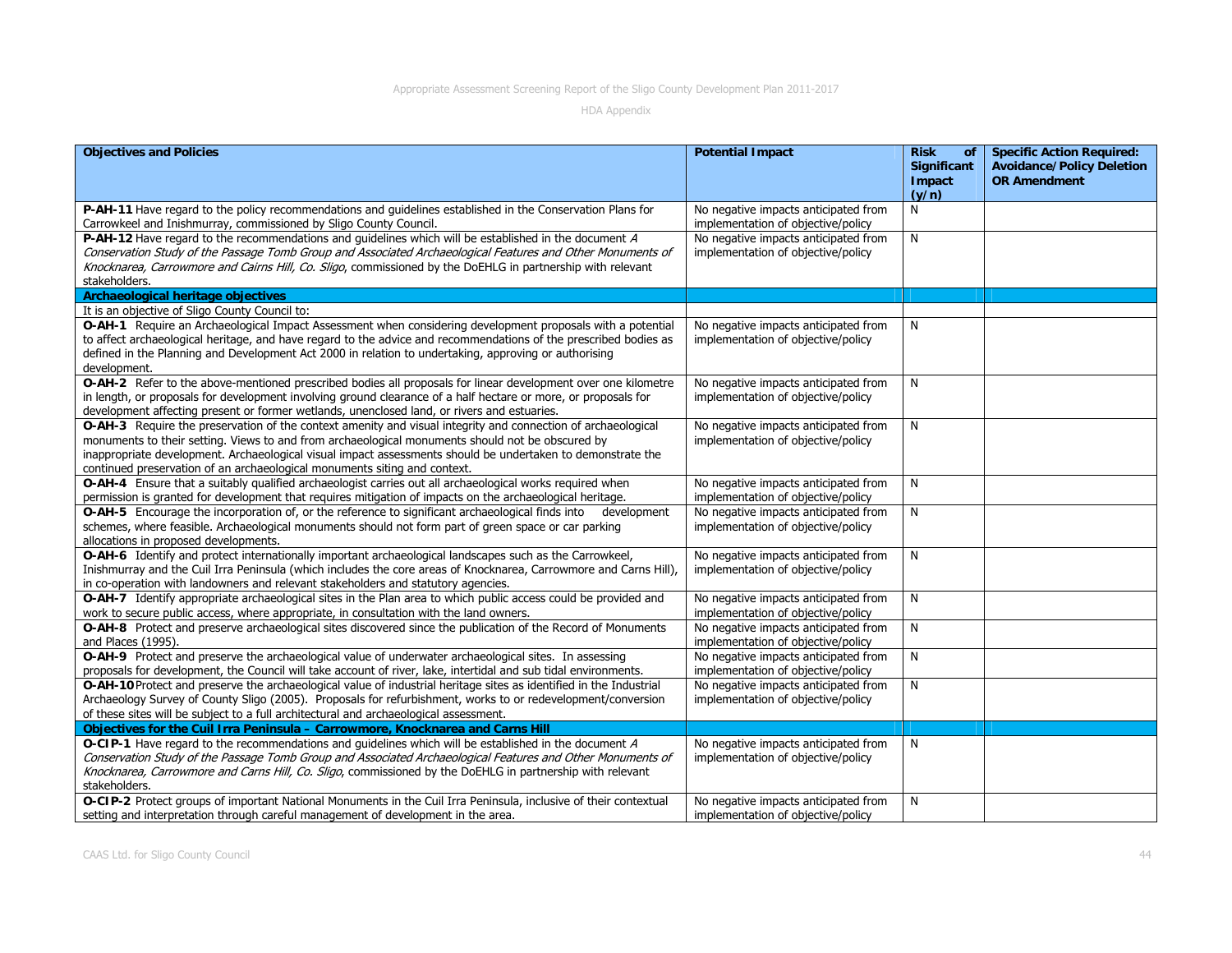| <b>Objectives and Policies</b>                                                                                                                                                                                                                                                                                                                                                                               | <b>Potential Impact</b>                                                    | <b>Risk</b><br>of<br><b>Significant</b><br>Impact<br>(y/n) | <b>Specific Action Required:</b><br><b>Avoidance/Policy Deletion</b><br><b>OR Amendment</b> |
|--------------------------------------------------------------------------------------------------------------------------------------------------------------------------------------------------------------------------------------------------------------------------------------------------------------------------------------------------------------------------------------------------------------|----------------------------------------------------------------------------|------------------------------------------------------------|---------------------------------------------------------------------------------------------|
| P-AH-11 Have regard to the policy recommendations and quidelines established in the Conservation Plans for<br>Carrowkeel and Inishmurray, commissioned by Sligo County Council.                                                                                                                                                                                                                              | No negative impacts anticipated from<br>implementation of objective/policy | N                                                          |                                                                                             |
| P-AH-12 Have regard to the recommendations and guidelines which will be established in the document A<br>Conservation Study of the Passage Tomb Group and Associated Archaeological Features and Other Monuments of<br>Knocknarea, Carrowmore and Cairns Hill, Co. Sligo, commissioned by the DoEHLG in partnership with relevant<br>stakeholders.                                                           | No negative impacts anticipated from<br>implementation of objective/policy | N                                                          |                                                                                             |
| Archaeological heritage objectives                                                                                                                                                                                                                                                                                                                                                                           |                                                                            |                                                            |                                                                                             |
| It is an objective of Sligo County Council to:                                                                                                                                                                                                                                                                                                                                                               |                                                                            |                                                            |                                                                                             |
| O-AH-1 Require an Archaeological Impact Assessment when considering development proposals with a potential<br>to affect archaeological heritage, and have regard to the advice and recommendations of the prescribed bodies as<br>defined in the Planning and Development Act 2000 in relation to undertaking, approving or authorising<br>development.                                                      | No negative impacts anticipated from<br>implementation of objective/policy | N                                                          |                                                                                             |
| O-AH-2 Refer to the above-mentioned prescribed bodies all proposals for linear development over one kilometre<br>in length, or proposals for development involving ground clearance of a half hectare or more, or proposals for<br>development affecting present or former wetlands, unenclosed land, or rivers and estuaries.                                                                               | No negative impacts anticipated from<br>implementation of objective/policy | N                                                          |                                                                                             |
| O-AH-3 Require the preservation of the context amenity and visual integrity and connection of archaeological<br>monuments to their setting. Views to and from archaeological monuments should not be obscured by<br>inappropriate development. Archaeological visual impact assessments should be undertaken to demonstrate the<br>continued preservation of an archaeological monuments siting and context. | No negative impacts anticipated from<br>implementation of objective/policy | N                                                          |                                                                                             |
| O-AH-4 Ensure that a suitably qualified archaeologist carries out all archaeological works required when<br>permission is granted for development that requires mitigation of impacts on the archaeological heritage.                                                                                                                                                                                        | No negative impacts anticipated from<br>implementation of objective/policy | N                                                          |                                                                                             |
| O-AH-5 Encourage the incorporation of, or the reference to significant archaeological finds into development<br>schemes, where feasible. Archaeological monuments should not form part of green space or car parking<br>allocations in proposed developments.                                                                                                                                                | No negative impacts anticipated from<br>implementation of objective/policy | N                                                          |                                                                                             |
| O-AH-6 Identify and protect internationally important archaeological landscapes such as the Carrowkeel,<br>Inishmurray and the Cuil Irra Peninsula (which includes the core areas of Knocknarea, Carrowmore and Carns Hill),<br>in co-operation with landowners and relevant stakeholders and statutory agencies.                                                                                            | No negative impacts anticipated from<br>implementation of objective/policy | N                                                          |                                                                                             |
| O-AH-7 Identify appropriate archaeological sites in the Plan area to which public access could be provided and<br>work to secure public access, where appropriate, in consultation with the land owners.                                                                                                                                                                                                     | No negative impacts anticipated from<br>implementation of objective/policy | N                                                          |                                                                                             |
| O-AH-8 Protect and preserve archaeological sites discovered since the publication of the Record of Monuments<br>and Places (1995).                                                                                                                                                                                                                                                                           | No negative impacts anticipated from<br>implementation of objective/policy | N                                                          |                                                                                             |
| O-AH-9 Protect and preserve the archaeological value of underwater archaeological sites. In assessing<br>proposals for development, the Council will take account of river, lake, intertidal and sub tidal environments.                                                                                                                                                                                     | No negative impacts anticipated from<br>implementation of objective/policy | N                                                          |                                                                                             |
| O-AH-10 Protect and preserve the archaeological value of industrial heritage sites as identified in the Industrial<br>Archaeology Survey of County Sligo (2005). Proposals for refurbishment, works to or redevelopment/conversion<br>of these sites will be subject to a full architectural and archaeological assessment.                                                                                  | No negative impacts anticipated from<br>implementation of objective/policy | N                                                          |                                                                                             |
| Objectives for the Cuil Irra Peninsula - Carrowmore, Knocknarea and Carns Hill                                                                                                                                                                                                                                                                                                                               |                                                                            |                                                            |                                                                                             |
| O-CIP-1 Have regard to the recommendations and guidelines which will be established in the document A<br>Conservation Study of the Passage Tomb Group and Associated Archaeological Features and Other Monuments of<br>Knocknarea, Carrowmore and Carns Hill, Co. Sligo, commissioned by the DoEHLG in partnership with relevant<br>stakeholders.                                                            | No negative impacts anticipated from<br>implementation of objective/policy | N                                                          |                                                                                             |
| O-CIP-2 Protect groups of important National Monuments in the Cuil Irra Peninsula, inclusive of their contextual<br>setting and interpretation through careful management of development in the area.                                                                                                                                                                                                        | No negative impacts anticipated from<br>implementation of objective/policy | N                                                          |                                                                                             |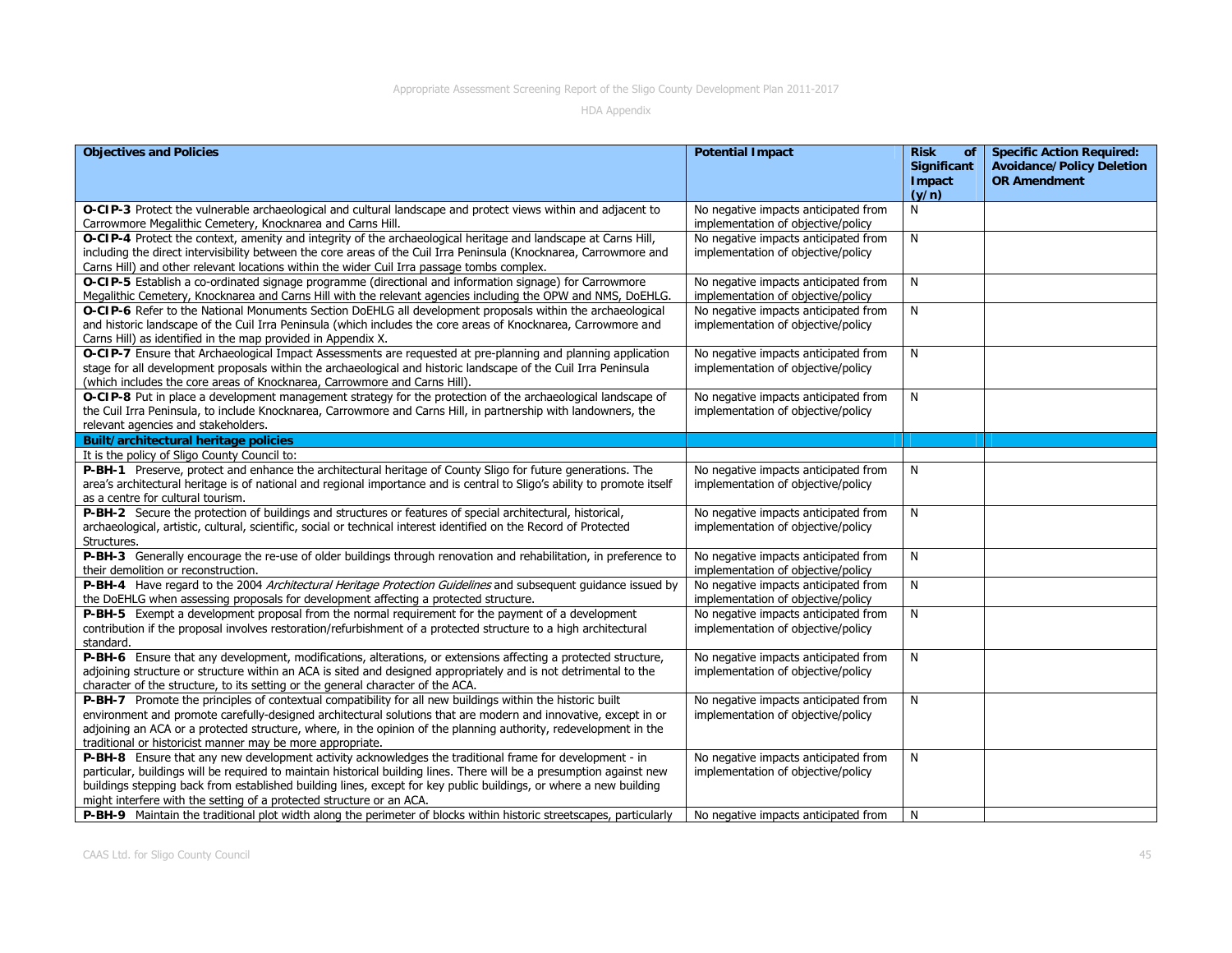| <b>Objectives and Policies</b>                                                                                                                       | <b>Potential Impact</b>                                                    | <b>Risk</b><br>of<br><b>Significant</b> | <b>Specific Action Required:</b><br><b>Avoidance/Policy Deletion</b> |
|------------------------------------------------------------------------------------------------------------------------------------------------------|----------------------------------------------------------------------------|-----------------------------------------|----------------------------------------------------------------------|
|                                                                                                                                                      |                                                                            | Impact<br>(y/n)                         | <b>OR Amendment</b>                                                  |
| O-CIP-3 Protect the vulnerable archaeological and cultural landscape and protect views within and adjacent to                                        | No negative impacts anticipated from                                       | N                                       |                                                                      |
| Carrowmore Megalithic Cemetery, Knocknarea and Carns Hill.                                                                                           | implementation of objective/policy                                         |                                         |                                                                      |
| O-CIP-4 Protect the context, amenity and integrity of the archaeological heritage and landscape at Carns Hill,                                       | No negative impacts anticipated from                                       | N                                       |                                                                      |
| including the direct intervisibility between the core areas of the Cuil Irra Peninsula (Knocknarea, Carrowmore and                                   | implementation of objective/policy                                         |                                         |                                                                      |
| Carns Hill) and other relevant locations within the wider Cuil Irra passage tombs complex.                                                           |                                                                            |                                         |                                                                      |
| O-CIP-5 Establish a co-ordinated signage programme (directional and information signage) for Carrowmore                                              | No negative impacts anticipated from                                       | N                                       |                                                                      |
| Megalithic Cemetery, Knocknarea and Carns Hill with the relevant agencies including the OPW and NMS, DoEHLG.                                         | implementation of objective/policy                                         |                                         |                                                                      |
| O-CIP-6 Refer to the National Monuments Section DoEHLG all development proposals within the archaeological                                           | No negative impacts anticipated from                                       | N                                       |                                                                      |
| and historic landscape of the Cuil Irra Peninsula (which includes the core areas of Knocknarea, Carrowmore and                                       | implementation of objective/policy                                         |                                         |                                                                      |
| Carns Hill) as identified in the map provided in Appendix X.                                                                                         |                                                                            |                                         |                                                                      |
| O-CIP-7 Ensure that Archaeological Impact Assessments are requested at pre-planning and planning application                                         | No negative impacts anticipated from                                       | N                                       |                                                                      |
| stage for all development proposals within the archaeological and historic landscape of the Cuil Irra Peninsula                                      | implementation of objective/policy                                         |                                         |                                                                      |
| (which includes the core areas of Knocknarea, Carrowmore and Carns Hill).                                                                            |                                                                            |                                         |                                                                      |
| O-CIP-8 Put in place a development management strategy for the protection of the archaeological landscape of                                         | No negative impacts anticipated from                                       | N                                       |                                                                      |
| the Cuil Irra Peninsula, to include Knocknarea, Carrowmore and Carns Hill, in partnership with landowners, the                                       | implementation of objective/policy                                         |                                         |                                                                      |
| relevant agencies and stakeholders.                                                                                                                  |                                                                            |                                         |                                                                      |
| Built/architectural heritage policies                                                                                                                |                                                                            |                                         |                                                                      |
| It is the policy of Sligo County Council to:                                                                                                         |                                                                            |                                         |                                                                      |
| P-BH-1 Preserve, protect and enhance the architectural heritage of County Sligo for future generations. The                                          | No negative impacts anticipated from                                       | N                                       |                                                                      |
| area's architectural heritage is of national and regional importance and is central to Sligo's ability to promote itself                             | implementation of objective/policy                                         |                                         |                                                                      |
| as a centre for cultural tourism.                                                                                                                    |                                                                            |                                         |                                                                      |
| P-BH-2 Secure the protection of buildings and structures or features of special architectural, historical,                                           | No negative impacts anticipated from                                       | N                                       |                                                                      |
| archaeological, artistic, cultural, scientific, social or technical interest identified on the Record of Protected                                   | implementation of objective/policy                                         |                                         |                                                                      |
| Structures.                                                                                                                                          |                                                                            |                                         |                                                                      |
| P-BH-3 Generally encourage the re-use of older buildings through renovation and rehabilitation, in preference to                                     | No negative impacts anticipated from                                       | N                                       |                                                                      |
| their demolition or reconstruction.<br>P-BH-4 Have regard to the 2004 Architectural Heritage Protection Guidelines and subsequent guidance issued by | implementation of objective/policy<br>No negative impacts anticipated from | N                                       |                                                                      |
| the DoEHLG when assessing proposals for development affecting a protected structure.                                                                 | implementation of objective/policy                                         |                                         |                                                                      |
| P-BH-5 Exempt a development proposal from the normal requirement for the payment of a development                                                    | No negative impacts anticipated from                                       | N                                       |                                                                      |
| contribution if the proposal involves restoration/refurbishment of a protected structure to a high architectural                                     | implementation of objective/policy                                         |                                         |                                                                      |
| standard.                                                                                                                                            |                                                                            |                                         |                                                                      |
| P-BH-6 Ensure that any development, modifications, alterations, or extensions affecting a protected structure,                                       | No negative impacts anticipated from                                       | N                                       |                                                                      |
| adjoining structure or structure within an ACA is sited and designed appropriately and is not detrimental to the                                     | implementation of objective/policy                                         |                                         |                                                                      |
| character of the structure, to its setting or the general character of the ACA.                                                                      |                                                                            |                                         |                                                                      |
| P-BH-7 Promote the principles of contextual compatibility for all new buildings within the historic built                                            | No negative impacts anticipated from                                       | N                                       |                                                                      |
| environment and promote carefully-designed architectural solutions that are modern and innovative, except in or                                      | implementation of objective/policy                                         |                                         |                                                                      |
| adjoining an ACA or a protected structure, where, in the opinion of the planning authority, redevelopment in the                                     |                                                                            |                                         |                                                                      |
| traditional or historicist manner may be more appropriate.                                                                                           |                                                                            |                                         |                                                                      |
| P-BH-8 Ensure that any new development activity acknowledges the traditional frame for development - in                                              | No negative impacts anticipated from                                       | N                                       |                                                                      |
| particular, buildings will be required to maintain historical building lines. There will be a presumption against new                                | implementation of objective/policy                                         |                                         |                                                                      |
| buildings stepping back from established building lines, except for key public buildings, or where a new building                                    |                                                                            |                                         |                                                                      |
| might interfere with the setting of a protected structure or an ACA.                                                                                 |                                                                            |                                         |                                                                      |
| P-BH-9 Maintain the traditional plot width along the perimeter of blocks within historic streetscapes, particularly                                  | No negative impacts anticipated from                                       | N                                       |                                                                      |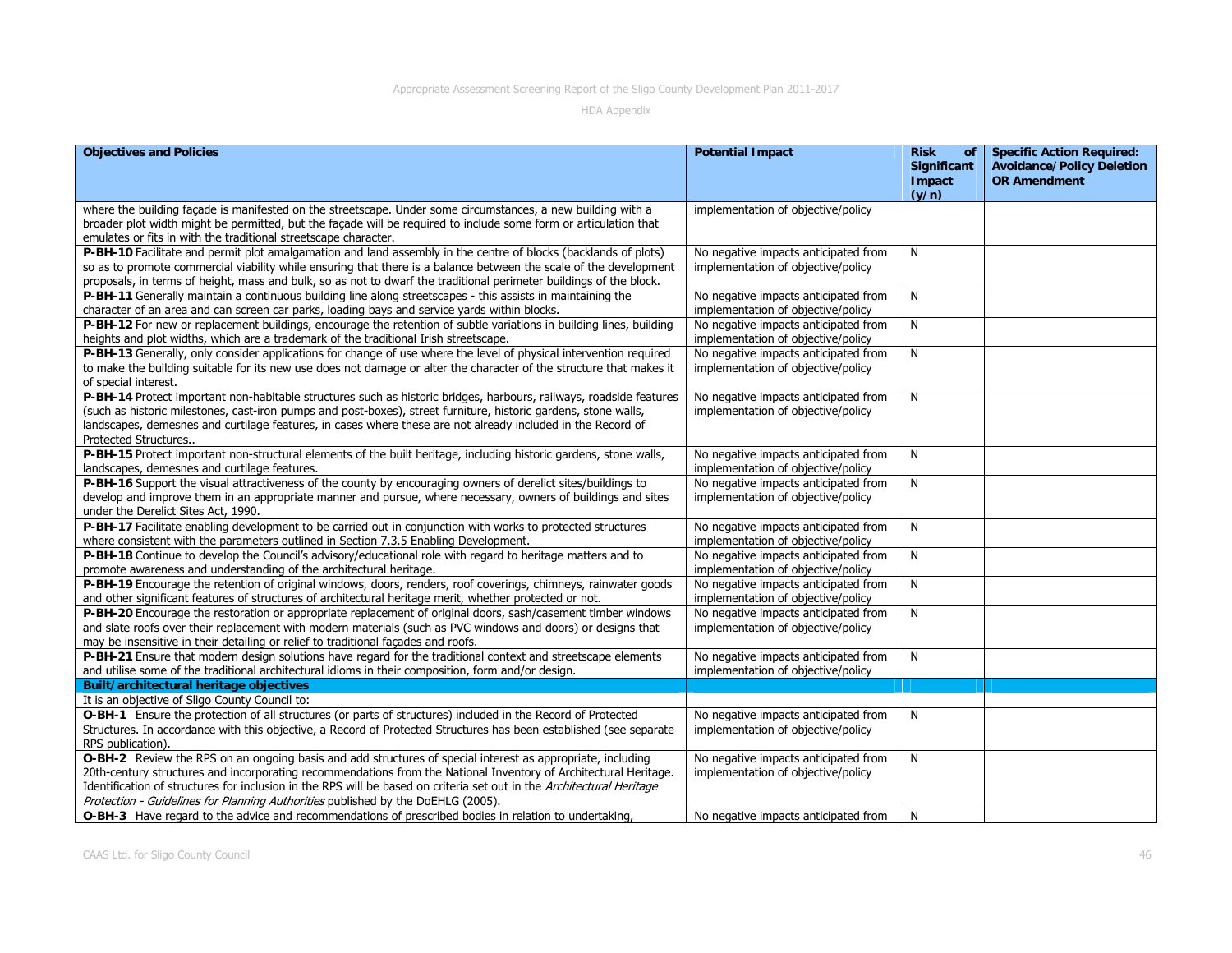| <b>Objectives and Policies</b>                                                                                                                                                                                                                                                                                                                                                                                                              | <b>Potential Impact</b>                                                    | <b>Risk</b><br>of<br><b>Significant</b><br>Impact | <b>Specific Action Required:</b><br><b>Avoidance/Policy Deletion</b><br><b>OR Amendment</b> |
|---------------------------------------------------------------------------------------------------------------------------------------------------------------------------------------------------------------------------------------------------------------------------------------------------------------------------------------------------------------------------------------------------------------------------------------------|----------------------------------------------------------------------------|---------------------------------------------------|---------------------------------------------------------------------------------------------|
|                                                                                                                                                                                                                                                                                                                                                                                                                                             |                                                                            | (y/n)                                             |                                                                                             |
| where the building façade is manifested on the streetscape. Under some circumstances, a new building with a<br>broader plot width might be permitted, but the façade will be required to include some form or articulation that<br>emulates or fits in with the traditional streetscape character.                                                                                                                                          | implementation of objective/policy                                         |                                                   |                                                                                             |
| P-BH-10 Facilitate and permit plot amalgamation and land assembly in the centre of blocks (backlands of plots)<br>so as to promote commercial viability while ensuring that there is a balance between the scale of the development<br>proposals, in terms of height, mass and bulk, so as not to dwarf the traditional perimeter buildings of the block.                                                                                   | No negative impacts anticipated from<br>implementation of objective/policy | N                                                 |                                                                                             |
| P-BH-11 Generally maintain a continuous building line along streetscapes - this assists in maintaining the<br>character of an area and can screen car parks, loading bays and service yards within blocks.                                                                                                                                                                                                                                  | No negative impacts anticipated from<br>implementation of objective/policy | N                                                 |                                                                                             |
| P-BH-12 For new or replacement buildings, encourage the retention of subtle variations in building lines, building<br>heights and plot widths, which are a trademark of the traditional Irish streetscape.                                                                                                                                                                                                                                  | No negative impacts anticipated from<br>implementation of objective/policy | N                                                 |                                                                                             |
| P-BH-13 Generally, only consider applications for change of use where the level of physical intervention required<br>to make the building suitable for its new use does not damage or alter the character of the structure that makes it<br>of special interest.                                                                                                                                                                            | No negative impacts anticipated from<br>implementation of objective/policy | N                                                 |                                                                                             |
| P-BH-14 Protect important non-habitable structures such as historic bridges, harbours, railways, roadside features<br>(such as historic milestones, cast-iron pumps and post-boxes), street furniture, historic gardens, stone walls,<br>landscapes, demesnes and curtilage features, in cases where these are not already included in the Record of<br>Protected Structures                                                                | No negative impacts anticipated from<br>implementation of objective/policy | N                                                 |                                                                                             |
| P-BH-15 Protect important non-structural elements of the built heritage, including historic gardens, stone walls,<br>landscapes, demesnes and curtilage features.                                                                                                                                                                                                                                                                           | No negative impacts anticipated from<br>implementation of objective/policy | N                                                 |                                                                                             |
| P-BH-16 Support the visual attractiveness of the county by encouraging owners of derelict sites/buildings to<br>develop and improve them in an appropriate manner and pursue, where necessary, owners of buildings and sites<br>under the Derelict Sites Act, 1990.                                                                                                                                                                         | No negative impacts anticipated from<br>implementation of objective/policy | N                                                 |                                                                                             |
| P-BH-17 Facilitate enabling development to be carried out in conjunction with works to protected structures<br>where consistent with the parameters outlined in Section 7.3.5 Enabling Development.                                                                                                                                                                                                                                         | No negative impacts anticipated from<br>implementation of objective/policy | N                                                 |                                                                                             |
| P-BH-18 Continue to develop the Council's advisory/educational role with regard to heritage matters and to<br>promote awareness and understanding of the architectural heritage.                                                                                                                                                                                                                                                            | No negative impacts anticipated from<br>implementation of objective/policy | N                                                 |                                                                                             |
| P-BH-19 Encourage the retention of original windows, doors, renders, roof coverings, chimneys, rainwater goods<br>and other significant features of structures of architectural heritage merit, whether protected or not.                                                                                                                                                                                                                   | No negative impacts anticipated from<br>implementation of objective/policy | N                                                 |                                                                                             |
| P-BH-20 Encourage the restoration or appropriate replacement of original doors, sash/casement timber windows<br>and slate roofs over their replacement with modern materials (such as PVC windows and doors) or designs that<br>may be insensitive in their detailing or relief to traditional façades and roofs.                                                                                                                           | No negative impacts anticipated from<br>implementation of objective/policy | N                                                 |                                                                                             |
| P-BH-21 Ensure that modern design solutions have regard for the traditional context and streetscape elements<br>and utilise some of the traditional architectural idioms in their composition, form and/or design.                                                                                                                                                                                                                          | No negative impacts anticipated from<br>implementation of objective/policy | N                                                 |                                                                                             |
| Built/architectural heritage objectives                                                                                                                                                                                                                                                                                                                                                                                                     |                                                                            |                                                   |                                                                                             |
| It is an objective of Sligo County Council to:                                                                                                                                                                                                                                                                                                                                                                                              |                                                                            |                                                   |                                                                                             |
| O-BH-1 Ensure the protection of all structures (or parts of structures) included in the Record of Protected<br>Structures. In accordance with this objective, a Record of Protected Structures has been established (see separate<br>RPS publication).                                                                                                                                                                                      | No negative impacts anticipated from<br>implementation of objective/policy | N                                                 |                                                                                             |
| O-BH-2 Review the RPS on an ongoing basis and add structures of special interest as appropriate, including<br>20th-century structures and incorporating recommendations from the National Inventory of Architectural Heritage.<br>Identification of structures for inclusion in the RPS will be based on criteria set out in the Architectural Heritage<br>Protection - Guidelines for Planning Authorities published by the DoEHLG (2005). | No negative impacts anticipated from<br>implementation of objective/policy | N                                                 |                                                                                             |
| O-BH-3 Have regard to the advice and recommendations of prescribed bodies in relation to undertaking,                                                                                                                                                                                                                                                                                                                                       | No negative impacts anticipated from                                       | N                                                 |                                                                                             |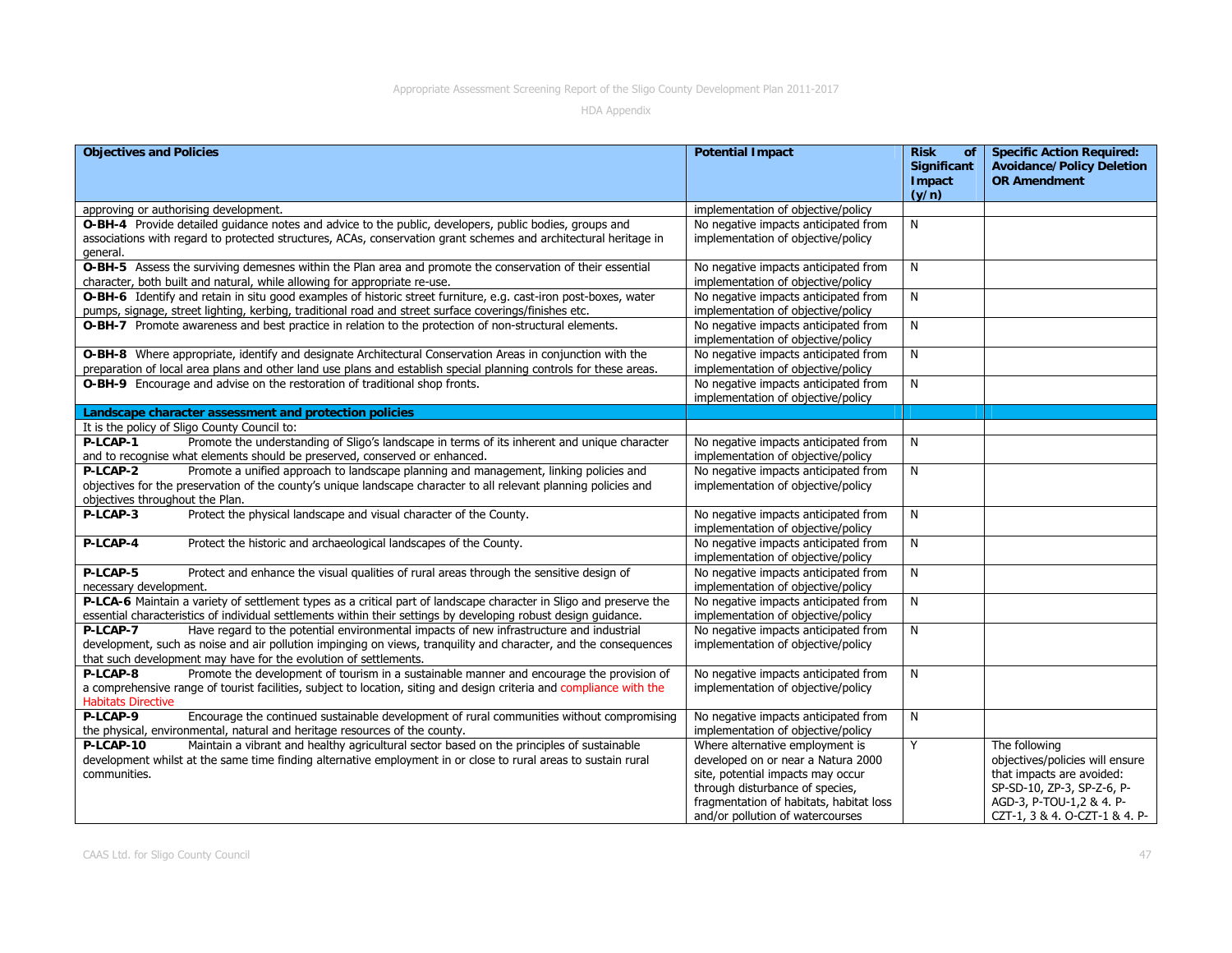| <b>Objectives and Policies</b>                                                                                       | <b>Potential Impact</b>                 | <b>Risk</b><br>of<br><b>Significant</b><br><b>Impact</b><br>(y/n) | <b>Specific Action Required:</b><br><b>Avoidance/Policy Deletion</b><br><b>OR Amendment</b> |
|----------------------------------------------------------------------------------------------------------------------|-----------------------------------------|-------------------------------------------------------------------|---------------------------------------------------------------------------------------------|
| approving or authorising development.                                                                                | implementation of objective/policy      |                                                                   |                                                                                             |
| O-BH-4 Provide detailed guidance notes and advice to the public, developers, public bodies, groups and               | No negative impacts anticipated from    | N                                                                 |                                                                                             |
| associations with regard to protected structures, ACAs, conservation grant schemes and architectural heritage in     | implementation of objective/policy      |                                                                   |                                                                                             |
| general.                                                                                                             |                                         |                                                                   |                                                                                             |
| O-BH-5 Assess the surviving demesnes within the Plan area and promote the conservation of their essential            | No negative impacts anticipated from    | N                                                                 |                                                                                             |
| character, both built and natural, while allowing for appropriate re-use.                                            | implementation of objective/policy      |                                                                   |                                                                                             |
| O-BH-6 Identify and retain in situ good examples of historic street furniture, e.g. cast-iron post-boxes, water      | No negative impacts anticipated from    | N                                                                 |                                                                                             |
| pumps, signage, street lighting, kerbing, traditional road and street surface coverings/finishes etc.                | implementation of objective/policy      |                                                                   |                                                                                             |
| O-BH-7 Promote awareness and best practice in relation to the protection of non-structural elements.                 | No negative impacts anticipated from    | N                                                                 |                                                                                             |
|                                                                                                                      | implementation of objective/policy      |                                                                   |                                                                                             |
| O-BH-8 Where appropriate, identify and designate Architectural Conservation Areas in conjunction with the            | No negative impacts anticipated from    | N                                                                 |                                                                                             |
| preparation of local area plans and other land use plans and establish special planning controls for these areas.    | implementation of objective/policy      |                                                                   |                                                                                             |
| O-BH-9 Encourage and advise on the restoration of traditional shop fronts.                                           | No negative impacts anticipated from    | N                                                                 |                                                                                             |
|                                                                                                                      | implementation of objective/policy      |                                                                   |                                                                                             |
| Landscape character assessment and protection policies                                                               |                                         |                                                                   |                                                                                             |
| It is the policy of Sligo County Council to:                                                                         |                                         |                                                                   |                                                                                             |
| Promote the understanding of Sligo's landscape in terms of its inherent and unique character<br>P-LCAP-1             | No negative impacts anticipated from    | N                                                                 |                                                                                             |
| and to recognise what elements should be preserved, conserved or enhanced.                                           | implementation of objective/policy      |                                                                   |                                                                                             |
| Promote a unified approach to landscape planning and management, linking policies and<br>P-LCAP-2                    | No negative impacts anticipated from    | N                                                                 |                                                                                             |
| objectives for the preservation of the county's unique landscape character to all relevant planning policies and     | implementation of objective/policy      |                                                                   |                                                                                             |
| objectives throughout the Plan.                                                                                      |                                         |                                                                   |                                                                                             |
| P-LCAP-3<br>Protect the physical landscape and visual character of the County.                                       | No negative impacts anticipated from    | N                                                                 |                                                                                             |
|                                                                                                                      | implementation of objective/policy      |                                                                   |                                                                                             |
| Protect the historic and archaeological landscapes of the County.<br>P-LCAP-4                                        | No negative impacts anticipated from    | N                                                                 |                                                                                             |
|                                                                                                                      | implementation of objective/policy      |                                                                   |                                                                                             |
| P-LCAP-5<br>Protect and enhance the visual qualities of rural areas through the sensitive design of                  | No negative impacts anticipated from    | N                                                                 |                                                                                             |
| necessary development.                                                                                               | implementation of objective/policy      |                                                                   |                                                                                             |
| P-LCA-6 Maintain a variety of settlement types as a critical part of landscape character in Sligo and preserve the   | No negative impacts anticipated from    | N                                                                 |                                                                                             |
| essential characteristics of individual settlements within their settings by developing robust design quidance.      | implementation of objective/policy      |                                                                   |                                                                                             |
| Have regard to the potential environmental impacts of new infrastructure and industrial<br>P-LCAP-7                  | No negative impacts anticipated from    | N                                                                 |                                                                                             |
| development, such as noise and air pollution impinging on views, tranquility and character, and the consequences     | implementation of objective/policy      |                                                                   |                                                                                             |
| that such development may have for the evolution of settlements.                                                     |                                         |                                                                   |                                                                                             |
| P-LCAP-8<br>Promote the development of tourism in a sustainable manner and encourage the provision of                | No negative impacts anticipated from    | N                                                                 |                                                                                             |
| a comprehensive range of tourist facilities, subject to location, siting and design criteria and compliance with the | implementation of objective/policy      |                                                                   |                                                                                             |
| <b>Habitats Directive</b>                                                                                            |                                         |                                                                   |                                                                                             |
| P-LCAP-9<br>Encourage the continued sustainable development of rural communities without compromising                | No negative impacts anticipated from    | N                                                                 |                                                                                             |
| the physical, environmental, natural and heritage resources of the county.                                           | implementation of objective/policy      |                                                                   |                                                                                             |
| Maintain a vibrant and healthy agricultural sector based on the principles of sustainable<br>P-LCAP-10               | Where alternative employment is         | Y                                                                 | The following                                                                               |
| development whilst at the same time finding alternative employment in or close to rural areas to sustain rural       | developed on or near a Natura 2000      |                                                                   | objectives/policies will ensure                                                             |
| communities.                                                                                                         | site, potential impacts may occur       |                                                                   | that impacts are avoided:                                                                   |
|                                                                                                                      | through disturbance of species,         |                                                                   | SP-SD-10, ZP-3, SP-Z-6, P-                                                                  |
|                                                                                                                      | fragmentation of habitats, habitat loss |                                                                   | AGD-3, P-TOU-1,2 & 4. P-                                                                    |
|                                                                                                                      | and/or pollution of watercourses        |                                                                   | CZT-1, 3 & 4. O-CZT-1 & 4. P-                                                               |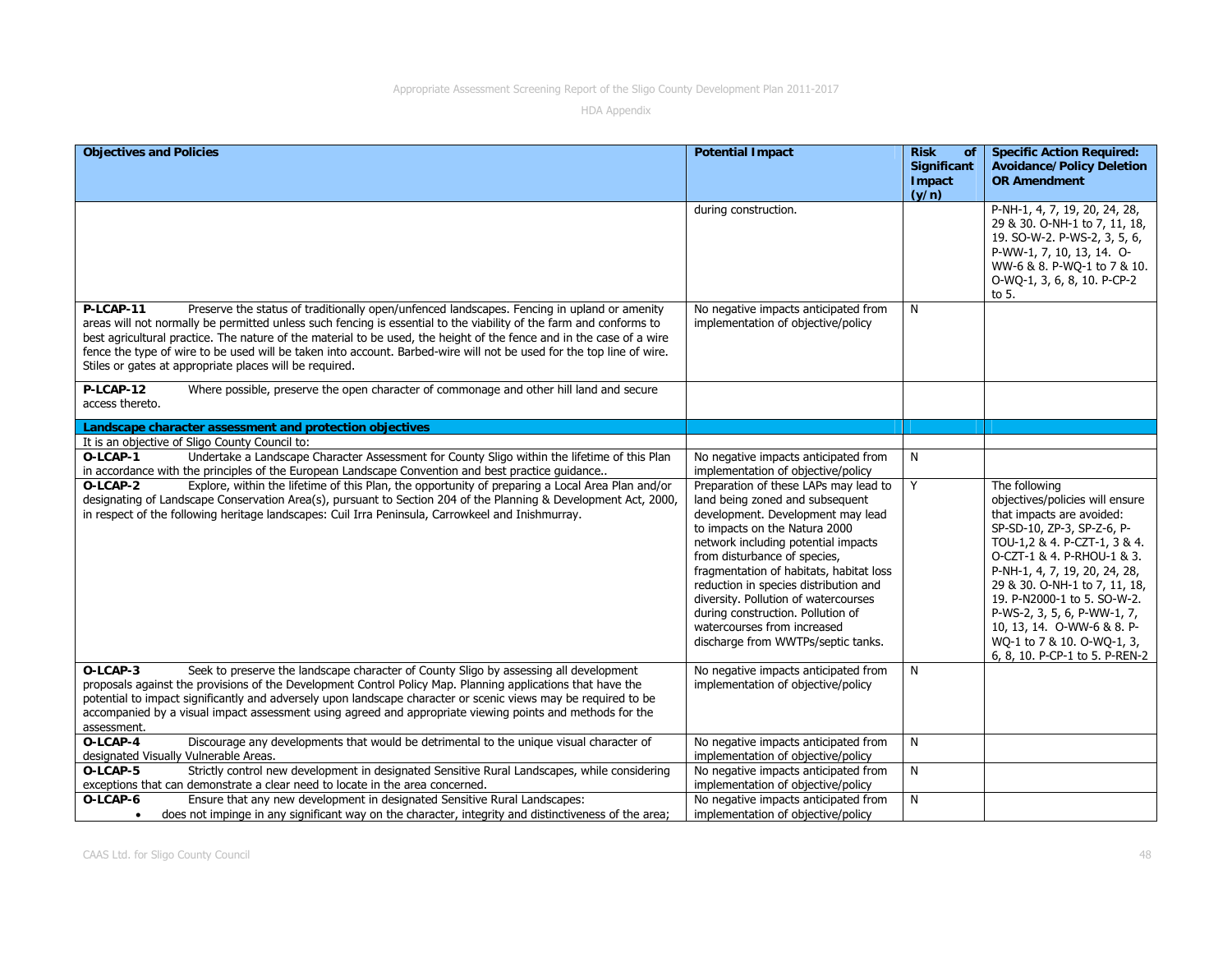| <b>Objectives and Policies</b>                                                                                                                                                                                                                                                                                                                                                                                                                                                                                                            | <b>Potential Impact</b>                                                                                                                                                                                                                                                                                                                                                                                                                                     | <b>Risk</b><br>of<br>Significant | <b>Specific Action Required:</b><br><b>Avoidance/Policy Deletion</b>                                                                                                                                                                                                                                                                                                                                    |
|-------------------------------------------------------------------------------------------------------------------------------------------------------------------------------------------------------------------------------------------------------------------------------------------------------------------------------------------------------------------------------------------------------------------------------------------------------------------------------------------------------------------------------------------|-------------------------------------------------------------------------------------------------------------------------------------------------------------------------------------------------------------------------------------------------------------------------------------------------------------------------------------------------------------------------------------------------------------------------------------------------------------|----------------------------------|---------------------------------------------------------------------------------------------------------------------------------------------------------------------------------------------------------------------------------------------------------------------------------------------------------------------------------------------------------------------------------------------------------|
|                                                                                                                                                                                                                                                                                                                                                                                                                                                                                                                                           |                                                                                                                                                                                                                                                                                                                                                                                                                                                             | Impact<br>(y/n)                  | <b>OR Amendment</b>                                                                                                                                                                                                                                                                                                                                                                                     |
|                                                                                                                                                                                                                                                                                                                                                                                                                                                                                                                                           | during construction.                                                                                                                                                                                                                                                                                                                                                                                                                                        |                                  | P-NH-1, 4, 7, 19, 20, 24, 28,<br>29 & 30. O-NH-1 to 7, 11, 18,<br>19. SO-W-2. P-WS-2, 3, 5, 6,<br>P-WW-1, 7, 10, 13, 14. O-<br>WW-6 & 8. P-WQ-1 to 7 & 10.<br>O-WQ-1, 3, 6, 8, 10. P-CP-2<br>to 5.                                                                                                                                                                                                      |
| P-LCAP-11<br>Preserve the status of traditionally open/unfenced landscapes. Fencing in upland or amenity<br>areas will not normally be permitted unless such fencing is essential to the viability of the farm and conforms to<br>best agricultural practice. The nature of the material to be used, the height of the fence and in the case of a wire<br>fence the type of wire to be used will be taken into account. Barbed-wire will not be used for the top line of wire.<br>Stiles or gates at appropriate places will be required. | No negative impacts anticipated from<br>implementation of objective/policy                                                                                                                                                                                                                                                                                                                                                                                  | N                                |                                                                                                                                                                                                                                                                                                                                                                                                         |
| P-LCAP-12<br>Where possible, preserve the open character of commonage and other hill land and secure<br>access thereto.                                                                                                                                                                                                                                                                                                                                                                                                                   |                                                                                                                                                                                                                                                                                                                                                                                                                                                             |                                  |                                                                                                                                                                                                                                                                                                                                                                                                         |
| Landscape character assessment and protection objectives                                                                                                                                                                                                                                                                                                                                                                                                                                                                                  |                                                                                                                                                                                                                                                                                                                                                                                                                                                             |                                  |                                                                                                                                                                                                                                                                                                                                                                                                         |
| It is an objective of Sligo County Council to:                                                                                                                                                                                                                                                                                                                                                                                                                                                                                            |                                                                                                                                                                                                                                                                                                                                                                                                                                                             |                                  |                                                                                                                                                                                                                                                                                                                                                                                                         |
| Undertake a Landscape Character Assessment for County Sligo within the lifetime of this Plan<br>O-LCAP-1<br>in accordance with the principles of the European Landscape Convention and best practice guidance                                                                                                                                                                                                                                                                                                                             | No negative impacts anticipated from<br>implementation of objective/policy                                                                                                                                                                                                                                                                                                                                                                                  | N                                |                                                                                                                                                                                                                                                                                                                                                                                                         |
| Explore, within the lifetime of this Plan, the opportunity of preparing a Local Area Plan and/or<br>O-LCAP-2<br>designating of Landscape Conservation Area(s), pursuant to Section 204 of the Planning & Development Act, 2000,<br>in respect of the following heritage landscapes: Cuil Irra Peninsula, Carrowkeel and Inishmurray.                                                                                                                                                                                                      | Preparation of these LAPs may lead to<br>land being zoned and subsequent<br>development. Development may lead<br>to impacts on the Natura 2000<br>network including potential impacts<br>from disturbance of species,<br>fragmentation of habitats, habitat loss<br>reduction in species distribution and<br>diversity. Pollution of watercourses<br>during construction. Pollution of<br>watercourses from increased<br>discharge from WWTPs/septic tanks. | Y                                | The following<br>objectives/policies will ensure<br>that impacts are avoided:<br>SP-SD-10, ZP-3, SP-Z-6, P-<br>TOU-1,2 & 4. P-CZT-1, 3 & 4.<br>O-CZT-1 & 4. P-RHOU-1 & 3.<br>P-NH-1, 4, 7, 19, 20, 24, 28,<br>29 & 30. O-NH-1 to 7, 11, 18,<br>19. P-N2000-1 to 5. SO-W-2.<br>P-WS-2, 3, 5, 6, P-WW-1, 7,<br>10, 13, 14. O-WW-6 & 8. P-<br>WQ-1 to 7 & 10. O-WQ-1, 3,<br>6, 8, 10. P-CP-1 to 5. P-REN-2 |
| O-LCAP-3<br>Seek to preserve the landscape character of County Sligo by assessing all development<br>proposals against the provisions of the Development Control Policy Map. Planning applications that have the<br>potential to impact significantly and adversely upon landscape character or scenic views may be required to be<br>accompanied by a visual impact assessment using agreed and appropriate viewing points and methods for the<br>assessment.                                                                            | No negative impacts anticipated from<br>implementation of objective/policy                                                                                                                                                                                                                                                                                                                                                                                  | N                                |                                                                                                                                                                                                                                                                                                                                                                                                         |
| Discourage any developments that would be detrimental to the unique visual character of<br>O-LCAP-4<br>designated Visually Vulnerable Areas.                                                                                                                                                                                                                                                                                                                                                                                              | No negative impacts anticipated from<br>implementation of objective/policy                                                                                                                                                                                                                                                                                                                                                                                  | N                                |                                                                                                                                                                                                                                                                                                                                                                                                         |
| Strictly control new development in designated Sensitive Rural Landscapes, while considering<br>O-LCAP-5<br>exceptions that can demonstrate a clear need to locate in the area concerned.                                                                                                                                                                                                                                                                                                                                                 | No negative impacts anticipated from<br>implementation of objective/policy                                                                                                                                                                                                                                                                                                                                                                                  | N                                |                                                                                                                                                                                                                                                                                                                                                                                                         |
| Ensure that any new development in designated Sensitive Rural Landscapes:<br>O-LCAP-6<br>does not impinge in any significant way on the character, integrity and distinctiveness of the area;                                                                                                                                                                                                                                                                                                                                             | No negative impacts anticipated from<br>implementation of objective/policy                                                                                                                                                                                                                                                                                                                                                                                  | N                                |                                                                                                                                                                                                                                                                                                                                                                                                         |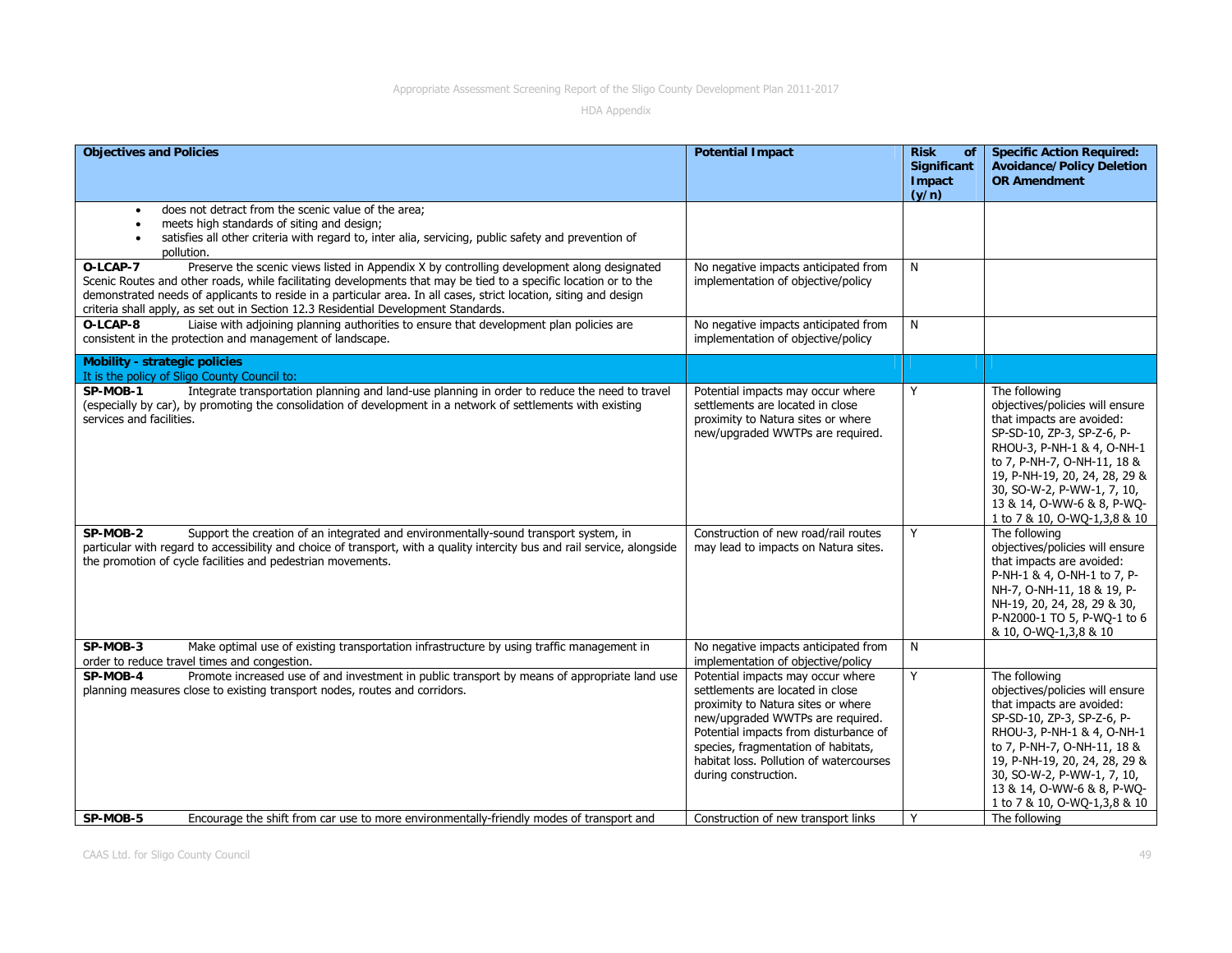| <b>Objectives and Policies</b>                                                                                                                                                                                                                                                                                                                                                                                                         | <b>Potential Impact</b>                                                                                                                                                                                                                                                                            | <b>Risk</b><br><b>of</b>              | <b>Specific Action Required:</b>                                                                                                                                                                                                                                                                                       |
|----------------------------------------------------------------------------------------------------------------------------------------------------------------------------------------------------------------------------------------------------------------------------------------------------------------------------------------------------------------------------------------------------------------------------------------|----------------------------------------------------------------------------------------------------------------------------------------------------------------------------------------------------------------------------------------------------------------------------------------------------|---------------------------------------|------------------------------------------------------------------------------------------------------------------------------------------------------------------------------------------------------------------------------------------------------------------------------------------------------------------------|
|                                                                                                                                                                                                                                                                                                                                                                                                                                        |                                                                                                                                                                                                                                                                                                    | <b>Significant</b><br>Impact<br>(y/n) | <b>Avoidance/Policy Deletion</b><br><b>OR Amendment</b>                                                                                                                                                                                                                                                                |
| does not detract from the scenic value of the area;<br>meets high standards of siting and design;<br>$\bullet$<br>satisfies all other criteria with regard to, inter alia, servicing, public safety and prevention of<br>pollution.                                                                                                                                                                                                    |                                                                                                                                                                                                                                                                                                    |                                       |                                                                                                                                                                                                                                                                                                                        |
| Preserve the scenic views listed in Appendix X by controlling development along designated<br>O-LCAP-7<br>Scenic Routes and other roads, while facilitating developments that may be tied to a specific location or to the<br>demonstrated needs of applicants to reside in a particular area. In all cases, strict location, siting and design<br>criteria shall apply, as set out in Section 12.3 Residential Development Standards. | No negative impacts anticipated from<br>implementation of objective/policy                                                                                                                                                                                                                         | N                                     |                                                                                                                                                                                                                                                                                                                        |
| Liaise with adjoining planning authorities to ensure that development plan policies are<br>O-LCAP-8<br>consistent in the protection and management of landscape.                                                                                                                                                                                                                                                                       | No negative impacts anticipated from<br>implementation of objective/policy                                                                                                                                                                                                                         | N                                     |                                                                                                                                                                                                                                                                                                                        |
| <b>Mobility - strategic policies</b><br>It is the policy of Sligo County Council to:                                                                                                                                                                                                                                                                                                                                                   |                                                                                                                                                                                                                                                                                                    |                                       |                                                                                                                                                                                                                                                                                                                        |
| SP-MOB-1<br>Integrate transportation planning and land-use planning in order to reduce the need to travel<br>(especially by car), by promoting the consolidation of development in a network of settlements with existing<br>services and facilities.<br>Support the creation of an integrated and environmentally-sound transport system, in<br>SP-MOB-2                                                                              | Potential impacts may occur where<br>settlements are located in close<br>proximity to Natura sites or where<br>new/upgraded WWTPs are required.<br>Construction of new road/rail routes                                                                                                            | Y<br>Y                                | The following<br>objectives/policies will ensure<br>that impacts are avoided:<br>SP-SD-10, ZP-3, SP-Z-6, P-<br>RHOU-3, P-NH-1 & 4, O-NH-1<br>to 7, P-NH-7, O-NH-11, 18 &<br>19, P-NH-19, 20, 24, 28, 29 &<br>30, SO-W-2, P-WW-1, 7, 10,<br>13 & 14, O-WW-6 & 8, P-WQ-<br>1 to 7 & 10, O-WO-1,3,8 & 10<br>The following |
| particular with regard to accessibility and choice of transport, with a quality intercity bus and rail service, alongside<br>the promotion of cycle facilities and pedestrian movements.                                                                                                                                                                                                                                               | may lead to impacts on Natura sites.                                                                                                                                                                                                                                                               |                                       | objectives/policies will ensure<br>that impacts are avoided:<br>P-NH-1 & 4, O-NH-1 to 7, P-<br>NH-7, O-NH-11, 18 & 19, P-<br>NH-19, 20, 24, 28, 29 & 30,<br>P-N2000-1 TO 5, P-WQ-1 to 6<br>& 10, O-WQ-1,3,8 & 10                                                                                                       |
| Make optimal use of existing transportation infrastructure by using traffic management in<br>SP-MOB-3<br>order to reduce travel times and congestion.                                                                                                                                                                                                                                                                                  | No negative impacts anticipated from<br>implementation of objective/policy                                                                                                                                                                                                                         | N                                     |                                                                                                                                                                                                                                                                                                                        |
| Promote increased use of and investment in public transport by means of appropriate land use<br>SP-MOB-4<br>planning measures close to existing transport nodes, routes and corridors.                                                                                                                                                                                                                                                 | Potential impacts may occur where<br>settlements are located in close<br>proximity to Natura sites or where<br>new/upgraded WWTPs are required.<br>Potential impacts from disturbance of<br>species, fragmentation of habitats,<br>habitat loss. Pollution of watercourses<br>during construction. | Y                                     | The following<br>objectives/policies will ensure<br>that impacts are avoided:<br>SP-SD-10, ZP-3, SP-Z-6, P-<br>RHOU-3, P-NH-1 & 4, O-NH-1<br>to 7, P-NH-7, O-NH-11, 18 &<br>19, P-NH-19, 20, 24, 28, 29 &<br>30, SO-W-2, P-WW-1, 7, 10,<br>13 & 14, O-WW-6 & 8, P-WO-<br>1 to 7 & 10, O-WQ-1,3,8 & 10                  |
| SP-MOB-5<br>Encourage the shift from car use to more environmentally-friendly modes of transport and                                                                                                                                                                                                                                                                                                                                   | Construction of new transport links                                                                                                                                                                                                                                                                | Y                                     | The following                                                                                                                                                                                                                                                                                                          |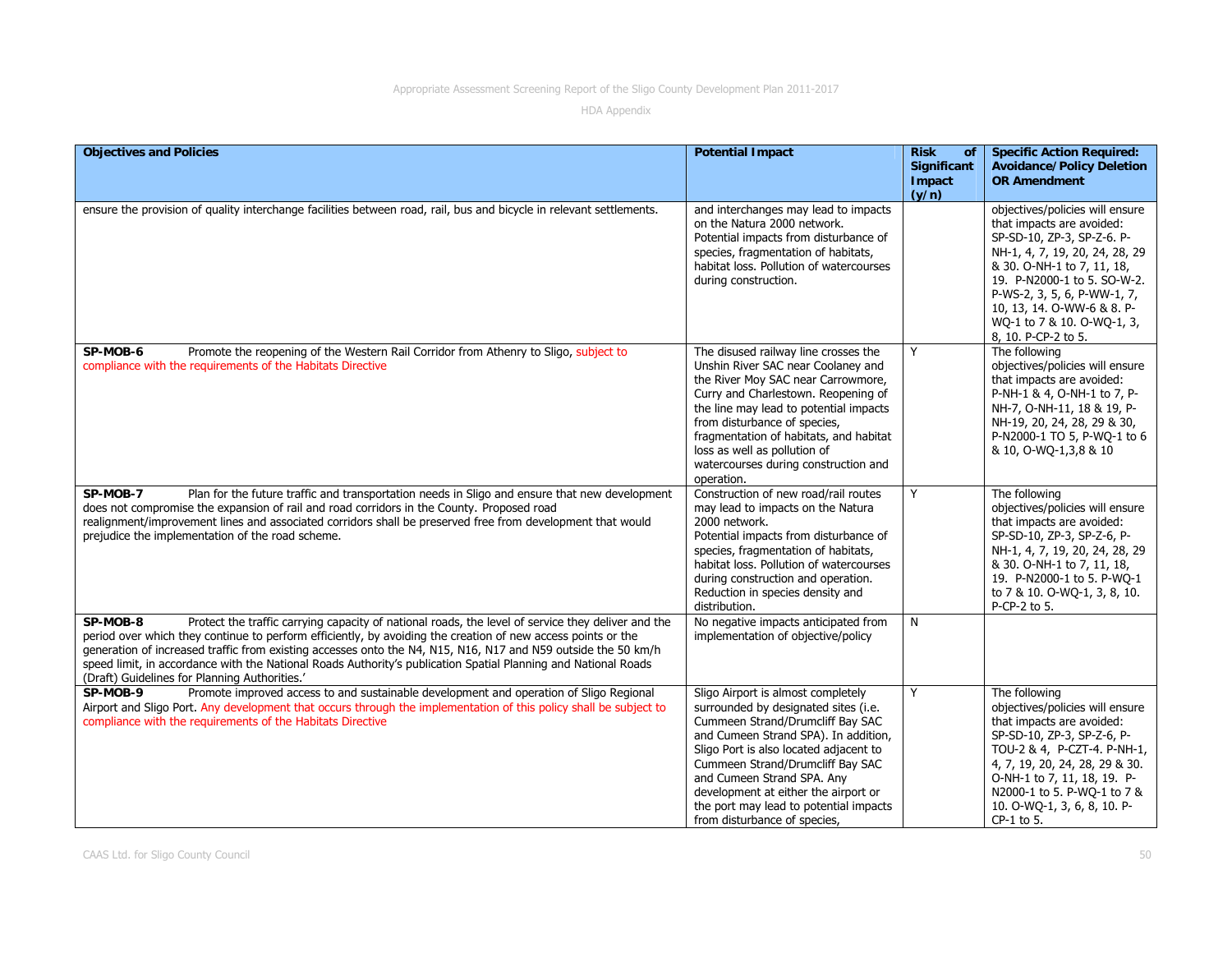| <b>Objectives and Policies</b>                                                                                                                                                                                                                                                                                                                                                                                                                                                                                     | <b>Potential Impact</b>                                                                                                                                                                                                                                                                                                                                                              | <b>Risk</b><br><b>of</b><br>Significant | <b>Specific Action Required:</b><br><b>Avoidance/Policy Deletion</b>                                                                                                                                                                                                                                        |
|--------------------------------------------------------------------------------------------------------------------------------------------------------------------------------------------------------------------------------------------------------------------------------------------------------------------------------------------------------------------------------------------------------------------------------------------------------------------------------------------------------------------|--------------------------------------------------------------------------------------------------------------------------------------------------------------------------------------------------------------------------------------------------------------------------------------------------------------------------------------------------------------------------------------|-----------------------------------------|-------------------------------------------------------------------------------------------------------------------------------------------------------------------------------------------------------------------------------------------------------------------------------------------------------------|
|                                                                                                                                                                                                                                                                                                                                                                                                                                                                                                                    |                                                                                                                                                                                                                                                                                                                                                                                      | Impact<br>(y/n)                         | <b>OR Amendment</b>                                                                                                                                                                                                                                                                                         |
| ensure the provision of quality interchange facilities between road, rail, bus and bicycle in relevant settlements.                                                                                                                                                                                                                                                                                                                                                                                                | and interchanges may lead to impacts<br>on the Natura 2000 network.<br>Potential impacts from disturbance of<br>species, fragmentation of habitats,<br>habitat loss. Pollution of watercourses<br>during construction.                                                                                                                                                               |                                         | objectives/policies will ensure<br>that impacts are avoided:<br>SP-SD-10, ZP-3, SP-Z-6. P-<br>NH-1, 4, 7, 19, 20, 24, 28, 29<br>& 30. O-NH-1 to 7, 11, 18,<br>19. P-N2000-1 to 5. SO-W-2.<br>P-WS-2, 3, 5, 6, P-WW-1, 7,<br>10, 13, 14. O-WW-6 & 8. P-<br>WQ-1 to 7 & 10. O-WQ-1, 3,<br>8, 10. P-CP-2 to 5. |
| SP-MOB-6<br>Promote the reopening of the Western Rail Corridor from Athenry to Sligo, subject to<br>compliance with the requirements of the Habitats Directive                                                                                                                                                                                                                                                                                                                                                     | The disused railway line crosses the<br>Unshin River SAC near Coolaney and<br>the River Moy SAC near Carrowmore,<br>Curry and Charlestown. Reopening of<br>the line may lead to potential impacts<br>from disturbance of species,<br>fragmentation of habitats, and habitat<br>loss as well as pollution of<br>watercourses during construction and<br>operation.                    | Y                                       | The following<br>objectives/policies will ensure<br>that impacts are avoided:<br>P-NH-1 & 4, O-NH-1 to 7, P-<br>NH-7, O-NH-11, 18 & 19, P-<br>NH-19, 20, 24, 28, 29 & 30,<br>P-N2000-1 TO 5, P-WQ-1 to 6<br>& 10, O-WO-1, 3, 8 & 10                                                                         |
| SP-MOB-7<br>Plan for the future traffic and transportation needs in Sligo and ensure that new development<br>does not compromise the expansion of rail and road corridors in the County. Proposed road<br>realignment/improvement lines and associated corridors shall be preserved free from development that would<br>prejudice the implementation of the road scheme.                                                                                                                                           | Construction of new road/rail routes<br>may lead to impacts on the Natura<br>2000 network.<br>Potential impacts from disturbance of<br>species, fragmentation of habitats,<br>habitat loss. Pollution of watercourses<br>during construction and operation.<br>Reduction in species density and<br>distribution.                                                                     | Y                                       | The following<br>objectives/policies will ensure<br>that impacts are avoided:<br>SP-SD-10, ZP-3, SP-Z-6, P-<br>NH-1, 4, 7, 19, 20, 24, 28, 29<br>& 30. O-NH-1 to 7, 11, 18,<br>19. P-N2000-1 to 5. P-WQ-1<br>to 7 & 10. O-WQ-1, 3, 8, 10.<br>P-CP-2 to 5.                                                   |
| Protect the traffic carrying capacity of national roads, the level of service they deliver and the<br>SP-MOB-8<br>period over which they continue to perform efficiently, by avoiding the creation of new access points or the<br>generation of increased traffic from existing accesses onto the N4, N15, N16, N17 and N59 outside the 50 km/h<br>speed limit, in accordance with the National Roads Authority's publication Spatial Planning and National Roads<br>(Draft) Guidelines for Planning Authorities.' | No negative impacts anticipated from<br>implementation of objective/policy                                                                                                                                                                                                                                                                                                           | N                                       |                                                                                                                                                                                                                                                                                                             |
| Promote improved access to and sustainable development and operation of Sligo Regional<br>SP-MOB-9<br>Airport and Sligo Port. Any development that occurs through the implementation of this policy shall be subject to<br>compliance with the requirements of the Habitats Directive                                                                                                                                                                                                                              | Sligo Airport is almost completely<br>surrounded by designated sites (i.e.<br>Cummeen Strand/Drumcliff Bay SAC<br>and Cumeen Strand SPA). In addition,<br>Sligo Port is also located adjacent to<br>Cummeen Strand/Drumcliff Bay SAC<br>and Cumeen Strand SPA. Any<br>development at either the airport or<br>the port may lead to potential impacts<br>from disturbance of species, | Y                                       | The following<br>objectives/policies will ensure<br>that impacts are avoided:<br>SP-SD-10, ZP-3, SP-Z-6, P-<br>TOU-2 & 4, P-CZT-4. P-NH-1,<br>4, 7, 19, 20, 24, 28, 29 & 30.<br>O-NH-1 to 7, 11, 18, 19. P-<br>N2000-1 to 5. P-WQ-1 to 7 &<br>10. O-WQ-1, 3, 6, 8, 10. P-<br>$CP-1$ to 5.                   |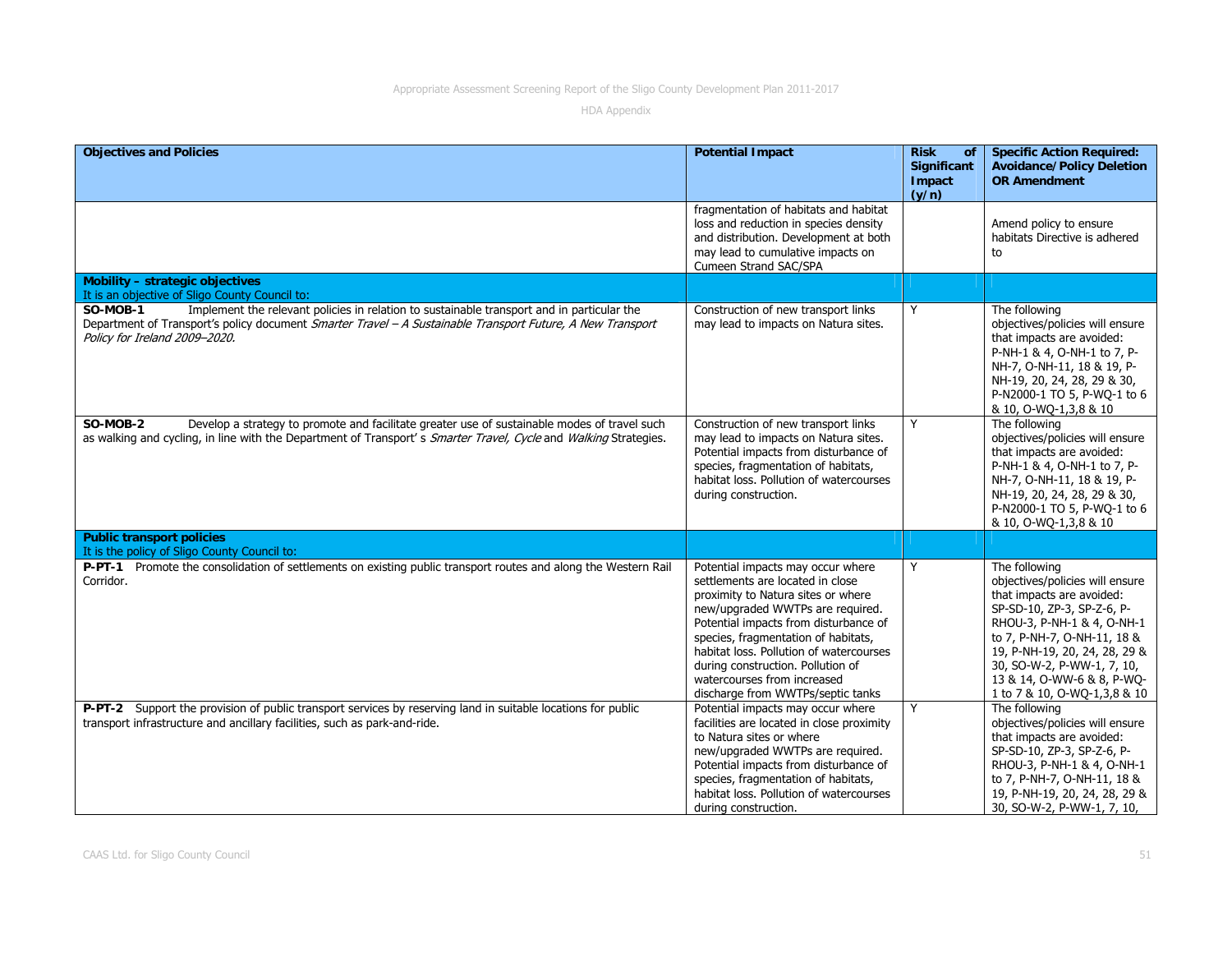| <b>Objectives and Policies</b>                                                                                                                                                                                                                        | <b>Potential Impact</b>                                                                                                                                                                                                                                                                                                                                                             | <b>Risk</b><br>of<br><b>Significant</b><br>Impact<br>(y/n) | <b>Specific Action Required:</b><br><b>Avoidance/Policy Deletion</b><br><b>OR Amendment</b>                                                                                                                                                                                                           |
|-------------------------------------------------------------------------------------------------------------------------------------------------------------------------------------------------------------------------------------------------------|-------------------------------------------------------------------------------------------------------------------------------------------------------------------------------------------------------------------------------------------------------------------------------------------------------------------------------------------------------------------------------------|------------------------------------------------------------|-------------------------------------------------------------------------------------------------------------------------------------------------------------------------------------------------------------------------------------------------------------------------------------------------------|
|                                                                                                                                                                                                                                                       | fragmentation of habitats and habitat<br>loss and reduction in species density<br>and distribution. Development at both<br>may lead to cumulative impacts on<br>Cumeen Strand SAC/SPA                                                                                                                                                                                               |                                                            | Amend policy to ensure<br>habitats Directive is adhered<br>to                                                                                                                                                                                                                                         |
| Mobility - strategic objectives<br>It is an objective of Sligo County Council to:                                                                                                                                                                     |                                                                                                                                                                                                                                                                                                                                                                                     |                                                            |                                                                                                                                                                                                                                                                                                       |
| Implement the relevant policies in relation to sustainable transport and in particular the<br>SO-MOB-1<br>Department of Transport's policy document Smarter Travel - A Sustainable Transport Future, A New Transport<br>Policy for Ireland 2009-2020. | Construction of new transport links<br>may lead to impacts on Natura sites.                                                                                                                                                                                                                                                                                                         | Y                                                          | The following<br>objectives/policies will ensure<br>that impacts are avoided:<br>P-NH-1 & 4, O-NH-1 to 7, P-<br>NH-7, O-NH-11, 18 & 19, P-<br>NH-19, 20, 24, 28, 29 & 30,<br>P-N2000-1 TO 5, P-WQ-1 to 6<br>& 10, O-WQ-1,3,8 & 10                                                                     |
| SO-MOB-2<br>Develop a strategy to promote and facilitate greater use of sustainable modes of travel such<br>as walking and cycling, in line with the Department of Transport's Smarter Travel, Cycle and Walking Strategies.                          | Construction of new transport links<br>may lead to impacts on Natura sites.<br>Potential impacts from disturbance of<br>species, fragmentation of habitats,<br>habitat loss. Pollution of watercourses<br>during construction.                                                                                                                                                      | Y                                                          | The following<br>objectives/policies will ensure<br>that impacts are avoided:<br>P-NH-1 & 4, O-NH-1 to 7, P-<br>NH-7, O-NH-11, 18 & 19, P-<br>NH-19, 20, 24, 28, 29 & 30,<br>P-N2000-1 TO 5, P-WQ-1 to 6<br>& 10, O-WQ-1,3,8 & 10                                                                     |
| <b>Public transport policies</b><br>It is the policy of Sligo County Council to:                                                                                                                                                                      |                                                                                                                                                                                                                                                                                                                                                                                     |                                                            |                                                                                                                                                                                                                                                                                                       |
| P-PT-1 Promote the consolidation of settlements on existing public transport routes and along the Western Rail<br>Corridor.                                                                                                                           | Potential impacts may occur where<br>settlements are located in close<br>proximity to Natura sites or where<br>new/upgraded WWTPs are required.<br>Potential impacts from disturbance of<br>species, fragmentation of habitats,<br>habitat loss. Pollution of watercourses<br>during construction. Pollution of<br>watercourses from increased<br>discharge from WWTPs/septic tanks | Y                                                          | The following<br>objectives/policies will ensure<br>that impacts are avoided:<br>SP-SD-10, ZP-3, SP-Z-6, P-<br>RHOU-3, P-NH-1 & 4, O-NH-1<br>to 7, P-NH-7, O-NH-11, 18 &<br>19, P-NH-19, 20, 24, 28, 29 &<br>30, SO-W-2, P-WW-1, 7, 10,<br>13 & 14, O-WW-6 & 8, P-WO-<br>1 to 7 & 10, O-WQ-1,3,8 & 10 |
| P-PT-2 Support the provision of public transport services by reserving land in suitable locations for public<br>transport infrastructure and ancillary facilities, such as park-and-ride.                                                             | Potential impacts may occur where<br>facilities are located in close proximity<br>to Natura sites or where<br>new/upgraded WWTPs are required.<br>Potential impacts from disturbance of<br>species, fragmentation of habitats,<br>habitat loss. Pollution of watercourses<br>during construction.                                                                                   | Y                                                          | The following<br>objectives/policies will ensure<br>that impacts are avoided:<br>SP-SD-10, ZP-3, SP-Z-6, P-<br>RHOU-3, P-NH-1 & 4, O-NH-1<br>to 7, P-NH-7, O-NH-11, 18 &<br>19, P-NH-19, 20, 24, 28, 29 &<br>30, SO-W-2, P-WW-1, 7, 10,                                                               |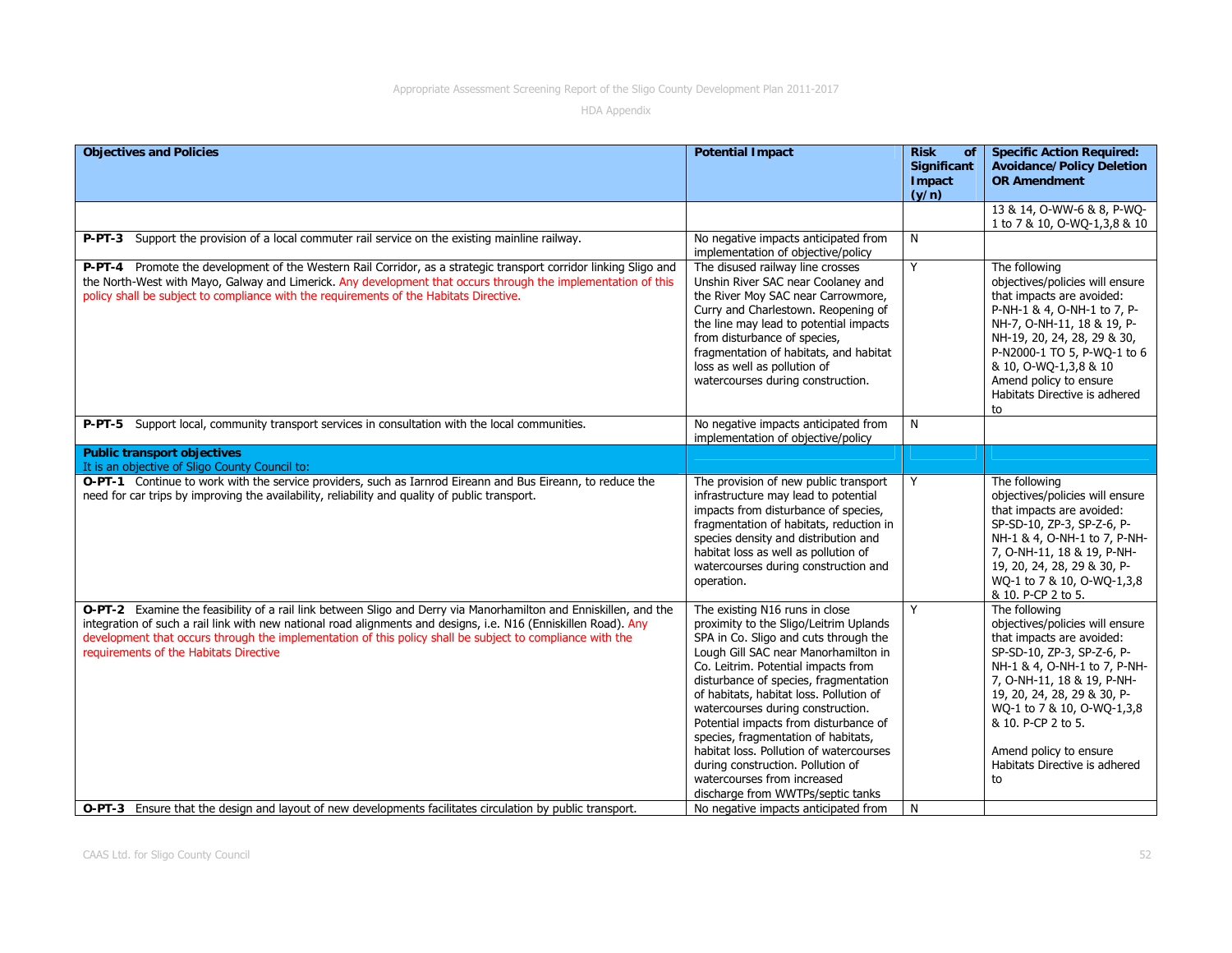| <b>Objectives and Policies</b>                                                                                                                                                                                                                                                                                                                                                             | <b>Potential Impact</b>                                                                                                                                                                                                                                                                                                                                                                                                                                                                                                                                       | <b>Risk</b><br><b>of</b><br><b>Significant</b><br>Impact | <b>Specific Action Required:</b><br><b>Avoidance/Policy Deletion</b><br><b>OR Amendment</b>                                                                                                                                                                                                                                   |
|--------------------------------------------------------------------------------------------------------------------------------------------------------------------------------------------------------------------------------------------------------------------------------------------------------------------------------------------------------------------------------------------|---------------------------------------------------------------------------------------------------------------------------------------------------------------------------------------------------------------------------------------------------------------------------------------------------------------------------------------------------------------------------------------------------------------------------------------------------------------------------------------------------------------------------------------------------------------|----------------------------------------------------------|-------------------------------------------------------------------------------------------------------------------------------------------------------------------------------------------------------------------------------------------------------------------------------------------------------------------------------|
|                                                                                                                                                                                                                                                                                                                                                                                            |                                                                                                                                                                                                                                                                                                                                                                                                                                                                                                                                                               | (y/n)                                                    |                                                                                                                                                                                                                                                                                                                               |
|                                                                                                                                                                                                                                                                                                                                                                                            |                                                                                                                                                                                                                                                                                                                                                                                                                                                                                                                                                               |                                                          | 13 & 14, O-WW-6 & 8, P-WQ-<br>1 to 7 & 10, O-WQ-1,3,8 & 10                                                                                                                                                                                                                                                                    |
| P-PT-3 Support the provision of a local commuter rail service on the existing mainline railway.                                                                                                                                                                                                                                                                                            | No negative impacts anticipated from<br>implementation of objective/policy                                                                                                                                                                                                                                                                                                                                                                                                                                                                                    | N                                                        |                                                                                                                                                                                                                                                                                                                               |
| P-PT-4 Promote the development of the Western Rail Corridor, as a strategic transport corridor linking Sligo and<br>the North-West with Mayo, Galway and Limerick. Any development that occurs through the implementation of this<br>policy shall be subject to compliance with the requirements of the Habitats Directive.                                                                | The disused railway line crosses<br>Unshin River SAC near Coolaney and<br>the River Moy SAC near Carrowmore,<br>Curry and Charlestown. Reopening of<br>the line may lead to potential impacts<br>from disturbance of species,<br>fragmentation of habitats, and habitat<br>loss as well as pollution of<br>watercourses during construction.                                                                                                                                                                                                                  | Y                                                        | The following<br>objectives/policies will ensure<br>that impacts are avoided:<br>P-NH-1 & 4, O-NH-1 to 7, P-<br>NH-7, O-NH-11, 18 & 19, P-<br>NH-19, 20, 24, 28, 29 & 30,<br>P-N2000-1 TO 5, P-WQ-1 to 6<br>& 10, O-WQ-1,3,8 & 10<br>Amend policy to ensure<br>Habitats Directive is adhered<br>to                            |
| P-PT-5 Support local, community transport services in consultation with the local communities.                                                                                                                                                                                                                                                                                             | No negative impacts anticipated from<br>implementation of objective/policy                                                                                                                                                                                                                                                                                                                                                                                                                                                                                    | N                                                        |                                                                                                                                                                                                                                                                                                                               |
| <b>Public transport objectives</b><br>It is an objective of Sligo County Council to:                                                                                                                                                                                                                                                                                                       |                                                                                                                                                                                                                                                                                                                                                                                                                                                                                                                                                               |                                                          |                                                                                                                                                                                                                                                                                                                               |
| O-PT-1 Continue to work with the service providers, such as Iarnrod Eireann and Bus Eireann, to reduce the<br>need for car trips by improving the availability, reliability and quality of public transport.                                                                                                                                                                               | The provision of new public transport<br>infrastructure may lead to potential<br>impacts from disturbance of species,<br>fragmentation of habitats, reduction in<br>species density and distribution and<br>habitat loss as well as pollution of<br>watercourses during construction and<br>operation.                                                                                                                                                                                                                                                        | Y                                                        | The following<br>objectives/policies will ensure<br>that impacts are avoided:<br>SP-SD-10, ZP-3, SP-Z-6, P-<br>NH-1 & 4, O-NH-1 to 7, P-NH-<br>7, O-NH-11, 18 & 19, P-NH-<br>19, 20, 24, 28, 29 & 30, P-<br>WQ-1 to 7 & 10, O-WQ-1,3,8<br>& 10. P-CP 2 to 5.                                                                  |
| O-PT-2 Examine the feasibility of a rail link between Sligo and Derry via Manorhamilton and Enniskillen, and the<br>integration of such a rail link with new national road alignments and designs, i.e. N16 (Enniskillen Road). Any<br>development that occurs through the implementation of this policy shall be subject to compliance with the<br>requirements of the Habitats Directive | The existing N16 runs in close<br>proximity to the Sligo/Leitrim Uplands<br>SPA in Co. Sligo and cuts through the<br>Lough Gill SAC near Manorhamilton in<br>Co. Leitrim. Potential impacts from<br>disturbance of species, fragmentation<br>of habitats, habitat loss. Pollution of<br>watercourses during construction.<br>Potential impacts from disturbance of<br>species, fragmentation of habitats,<br>habitat loss. Pollution of watercourses<br>during construction. Pollution of<br>watercourses from increased<br>discharge from WWTPs/septic tanks | Y                                                        | The following<br>objectives/policies will ensure<br>that impacts are avoided:<br>SP-SD-10, ZP-3, SP-Z-6, P-<br>NH-1 & 4, O-NH-1 to 7, P-NH-<br>7, O-NH-11, 18 & 19, P-NH-<br>19, 20, 24, 28, 29 & 30, P-<br>WQ-1 to 7 & 10, O-WQ-1,3,8<br>& 10. P-CP 2 to 5.<br>Amend policy to ensure<br>Habitats Directive is adhered<br>to |
| O-PT-3 Ensure that the design and layout of new developments facilitates circulation by public transport.                                                                                                                                                                                                                                                                                  | No negative impacts anticipated from                                                                                                                                                                                                                                                                                                                                                                                                                                                                                                                          | N                                                        |                                                                                                                                                                                                                                                                                                                               |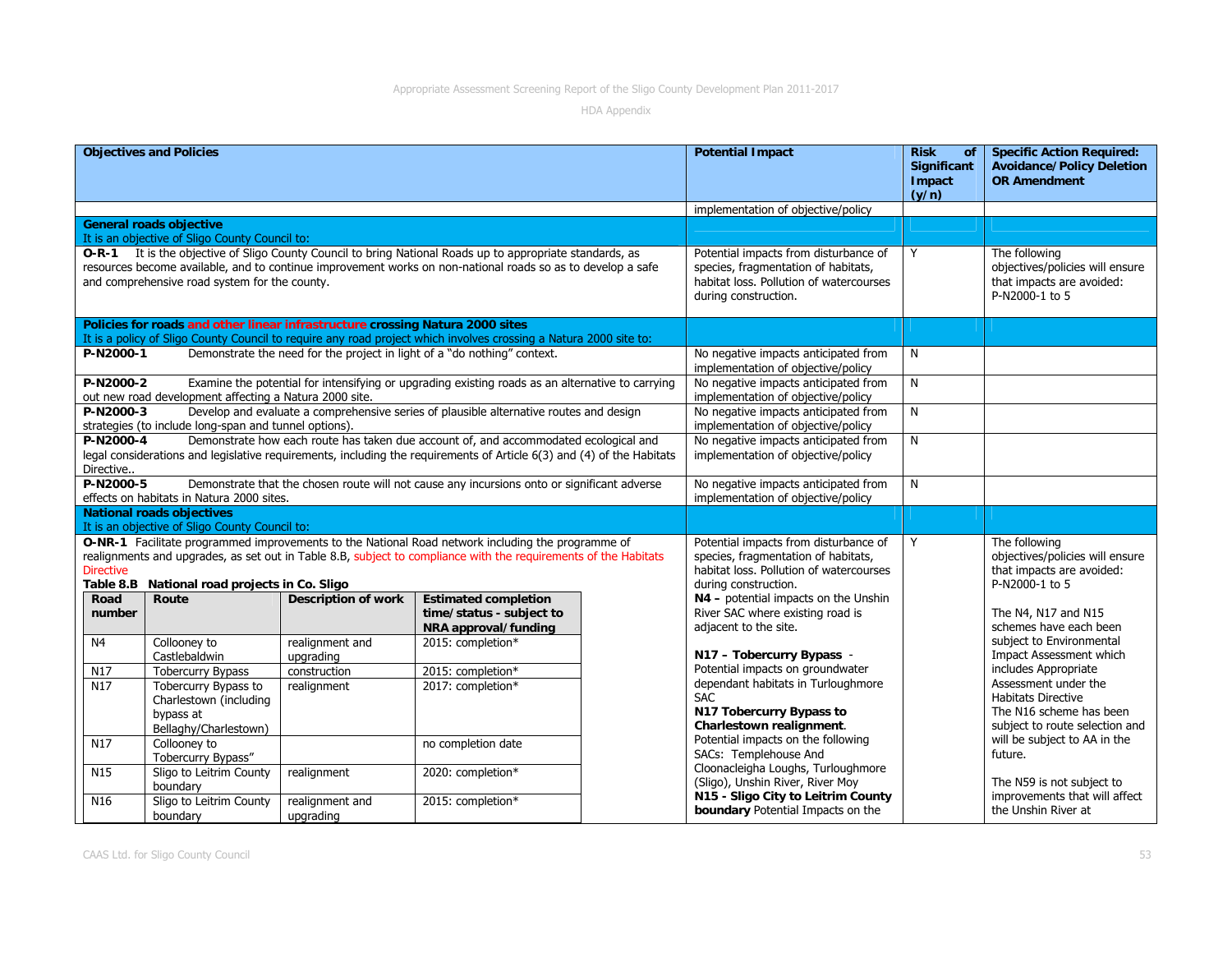|                        | <b>Objectives and Policies</b>                                                       |                              |                                                                                                                                                                                                                          | <b>Potential Impact</b>                                                                                                                         | <b>Risk</b><br><b>of</b><br><b>Significant</b><br>Impact<br>(y/n) | <b>Specific Action Required:</b><br><b>Avoidance/Policy Deletion</b><br><b>OR Amendment</b>                    |
|------------------------|--------------------------------------------------------------------------------------|------------------------------|--------------------------------------------------------------------------------------------------------------------------------------------------------------------------------------------------------------------------|-------------------------------------------------------------------------------------------------------------------------------------------------|-------------------------------------------------------------------|----------------------------------------------------------------------------------------------------------------|
|                        |                                                                                      |                              |                                                                                                                                                                                                                          | implementation of objective/policy                                                                                                              |                                                                   |                                                                                                                |
|                        | <b>General roads objective</b><br>It is an objective of Sligo County Council to:     |                              |                                                                                                                                                                                                                          |                                                                                                                                                 |                                                                   |                                                                                                                |
|                        | and comprehensive road system for the county.                                        |                              | O-R-1 It is the objective of Sligo County Council to bring National Roads up to appropriate standards, as<br>resources become available, and to continue improvement works on non-national roads so as to develop a safe | Potential impacts from disturbance of<br>species, fragmentation of habitats,<br>habitat loss. Pollution of watercourses<br>during construction. | Y                                                                 | The following<br>objectives/policies will ensure<br>that impacts are avoided:<br>P-N2000-1 to 5                |
|                        | Policies for roads and other linear infrastructure crossing Natura 2000 sites        |                              | It is a policy of Sligo County Council to require any road project which involves crossing a Natura 2000 site to:                                                                                                        |                                                                                                                                                 |                                                                   |                                                                                                                |
| P-N2000-1              |                                                                                      |                              | Demonstrate the need for the project in light of a "do nothing" context.                                                                                                                                                 | No negative impacts anticipated from<br>implementation of objective/policy                                                                      | N                                                                 |                                                                                                                |
| P-N2000-2              | out new road development affecting a Natura 2000 site.                               |                              | Examine the potential for intensifying or upgrading existing roads as an alternative to carrying                                                                                                                         | No negative impacts anticipated from<br>implementation of objective/policy                                                                      | N                                                                 |                                                                                                                |
| P-N2000-3              | strategies (to include long-span and tunnel options).                                |                              | Develop and evaluate a comprehensive series of plausible alternative routes and design                                                                                                                                   | No negative impacts anticipated from<br>implementation of objective/policy                                                                      | N                                                                 |                                                                                                                |
| P-N2000-4<br>Directive |                                                                                      |                              | Demonstrate how each route has taken due account of, and accommodated ecological and<br>legal considerations and legislative requirements, including the requirements of Article 6(3) and (4) of the Habitats            | No negative impacts anticipated from<br>implementation of objective/policy                                                                      | N                                                                 |                                                                                                                |
| P-N2000-5              | effects on habitats in Natura 2000 sites.                                            |                              | Demonstrate that the chosen route will not cause any incursions onto or significant adverse                                                                                                                              | No negative impacts anticipated from<br>implementation of objective/policy                                                                      | N                                                                 |                                                                                                                |
|                        | <b>National roads objectives</b><br>It is an objective of Sligo County Council to:   |                              |                                                                                                                                                                                                                          |                                                                                                                                                 |                                                                   |                                                                                                                |
| <b>Directive</b>       | Table 8.B National road projects in Co. Sligo                                        |                              | O-NR-1 Facilitate programmed improvements to the National Road network including the programme of<br>realignments and upgrades, as set out in Table 8.B, subject to compliance with the requirements of the Habitats     | Potential impacts from disturbance of<br>species, fragmentation of habitats,<br>habitat loss. Pollution of watercourses<br>during construction. | Y                                                                 | The following<br>objectives/policies will ensure<br>that impacts are avoided:<br>P-N2000-1 to 5                |
| Road<br>number         | Route                                                                                | <b>Description of work</b>   | <b>Estimated completion</b><br>time/status - subject to<br>NRA approval/funding                                                                                                                                          | N4 - potential impacts on the Unshin<br>River SAC where existing road is<br>adjacent to the site.                                               |                                                                   | The N4, N17 and N15<br>schemes have each been                                                                  |
| N <sub>4</sub>         | Collooney to<br>Castlebaldwin                                                        | realignment and<br>upgrading | 2015: completion*                                                                                                                                                                                                        | N17 - Tobercurry Bypass -                                                                                                                       |                                                                   | subject to Environmental<br>Impact Assessment which                                                            |
| N17                    | <b>Tobercurry Bypass</b>                                                             | construction                 | 2015: completion*                                                                                                                                                                                                        | Potential impacts on groundwater                                                                                                                |                                                                   | includes Appropriate                                                                                           |
| N17                    | Tobercurry Bypass to<br>Charlestown (including<br>bypass at<br>Bellaghy/Charlestown) | realignment                  | 2017: completion*                                                                                                                                                                                                        | dependant habitats in Turloughmore<br><b>SAC</b><br>N17 Tobercurry Bypass to<br>Charlestown realignment.                                        |                                                                   | Assessment under the<br><b>Habitats Directive</b><br>The N16 scheme has been<br>subject to route selection and |
| N <sub>17</sub>        | Collooney to<br>Tobercurry Bypass"                                                   |                              | no completion date                                                                                                                                                                                                       | Potential impacts on the following<br>SACs: Templehouse And                                                                                     |                                                                   | will be subject to AA in the<br>future.                                                                        |
| N15                    | Sligo to Leitrim County<br>boundary                                                  | realignment                  | 2020: completion*                                                                                                                                                                                                        | Cloonacleigha Loughs, Turloughmore<br>(Sligo), Unshin River, River Moy                                                                          |                                                                   | The N59 is not subject to                                                                                      |
| N <sub>16</sub>        | Sligo to Leitrim County<br>boundary                                                  | realignment and<br>upgrading | 2015: completion*                                                                                                                                                                                                        | N15 - Sligo City to Leitrim County<br>boundary Potential Impacts on the                                                                         |                                                                   | improvements that will affect<br>the Unshin River at                                                           |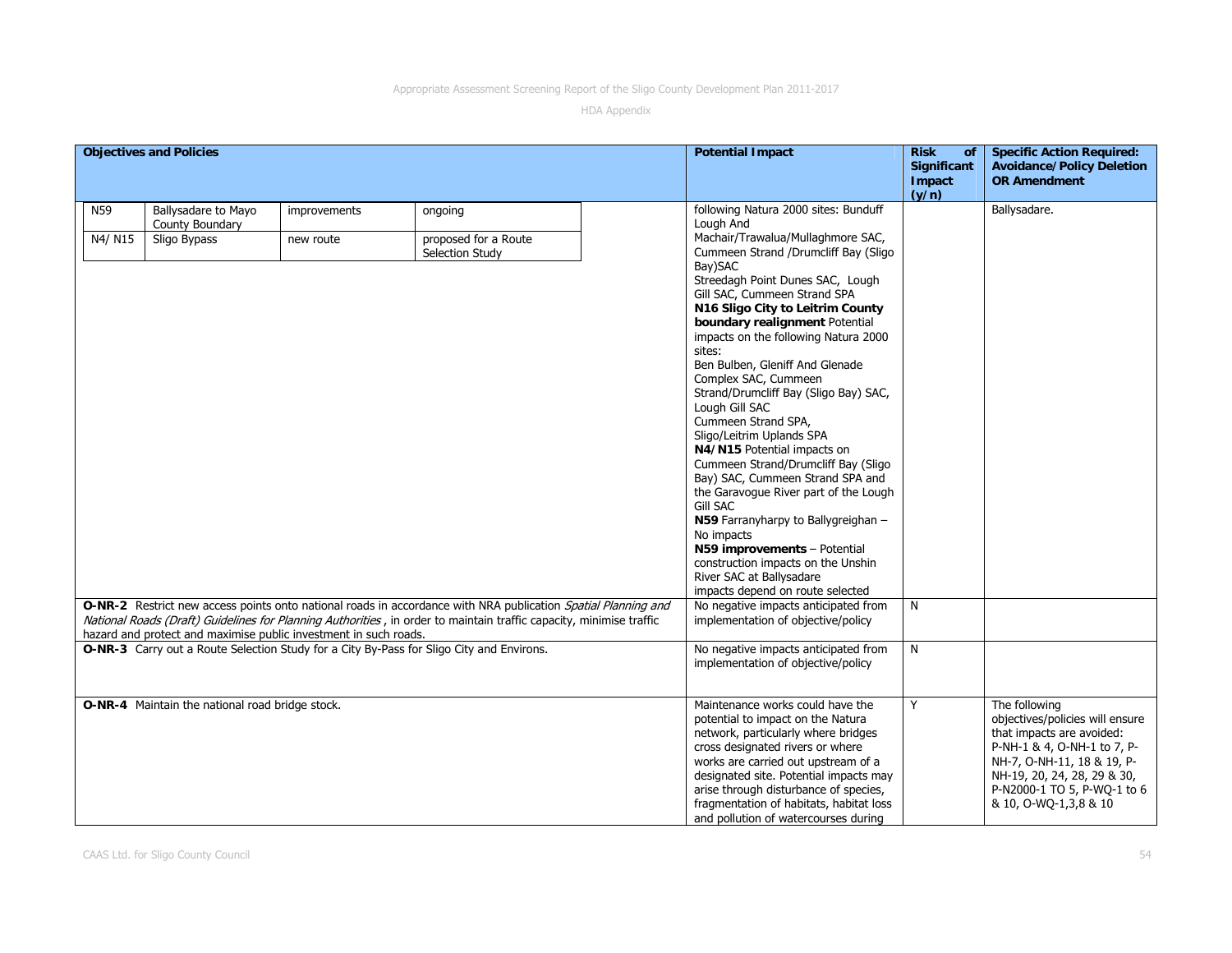|         | <b>Objectives and Policies</b>                                   |              |                                                                                                                                                                                                                                      |  | <b>Potential Impact</b>                                                                                                                                                                                                                                                                                                                                       | <b>Risk</b><br><b>of</b><br>Significant<br>Impact                                                                                                                                                                                                                                                                                                                                                                                                                                                                                                                                                                                                                                                   | <b>Specific Action Required:</b><br><b>Avoidance/Policy Deletion</b><br><b>OR Amendment</b>                                                                                                                                       |  |
|---------|------------------------------------------------------------------|--------------|--------------------------------------------------------------------------------------------------------------------------------------------------------------------------------------------------------------------------------------|--|---------------------------------------------------------------------------------------------------------------------------------------------------------------------------------------------------------------------------------------------------------------------------------------------------------------------------------------------------------------|-----------------------------------------------------------------------------------------------------------------------------------------------------------------------------------------------------------------------------------------------------------------------------------------------------------------------------------------------------------------------------------------------------------------------------------------------------------------------------------------------------------------------------------------------------------------------------------------------------------------------------------------------------------------------------------------------------|-----------------------------------------------------------------------------------------------------------------------------------------------------------------------------------------------------------------------------------|--|
|         |                                                                  |              |                                                                                                                                                                                                                                      |  |                                                                                                                                                                                                                                                                                                                                                               | (y/n)                                                                                                                                                                                                                                                                                                                                                                                                                                                                                                                                                                                                                                                                                               |                                                                                                                                                                                                                                   |  |
| N59     | Ballysadare to Mayo<br>County Boundary                           | improvements | ongoing                                                                                                                                                                                                                              |  | following Natura 2000 sites: Bunduff<br>Lough And                                                                                                                                                                                                                                                                                                             |                                                                                                                                                                                                                                                                                                                                                                                                                                                                                                                                                                                                                                                                                                     | Ballysadare.                                                                                                                                                                                                                      |  |
| N4/ N15 | Sligo Bypass                                                     | new route    | proposed for a Route<br>Selection Study                                                                                                                                                                                              |  | Machair/Trawalua/Mullaghmore SAC,<br>Cummeen Strand /Drumcliff Bay (Sligo                                                                                                                                                                                                                                                                                     |                                                                                                                                                                                                                                                                                                                                                                                                                                                                                                                                                                                                                                                                                                     |                                                                                                                                                                                                                                   |  |
|         |                                                                  |              |                                                                                                                                                                                                                                      |  |                                                                                                                                                                                                                                                                                                                                                               | Bay)SAC<br>Streedagh Point Dunes SAC, Lough<br>Gill SAC, Cummeen Strand SPA<br>N16 Sligo City to Leitrim County<br>boundary realignment Potential<br>impacts on the following Natura 2000<br>sites:<br>Ben Bulben, Gleniff And Glenade<br>Complex SAC, Cummeen<br>Strand/Drumcliff Bay (Sligo Bay) SAC,<br>Lough Gill SAC<br>Cummeen Strand SPA,<br>Sligo/Leitrim Uplands SPA<br>N4/N15 Potential impacts on<br>Cummeen Strand/Drumcliff Bay (Sligo<br>Bay) SAC, Cummeen Strand SPA and<br>the Garavoque River part of the Lough<br>Gill SAC<br>N59 Farranyharpy to Ballygreighan -<br>No impacts<br>N59 improvements - Potential<br>construction impacts on the Unshin<br>River SAC at Ballysadare |                                                                                                                                                                                                                                   |  |
|         |                                                                  |              |                                                                                                                                                                                                                                      |  | impacts depend on route selected                                                                                                                                                                                                                                                                                                                              |                                                                                                                                                                                                                                                                                                                                                                                                                                                                                                                                                                                                                                                                                                     |                                                                                                                                                                                                                                   |  |
|         | hazard and protect and maximise public investment in such roads. |              | O-NR-2 Restrict new access points onto national roads in accordance with NRA publication Spatial Planning and<br>National Roads (Draft) Guidelines for Planning Authorities, in order to maintain traffic capacity, minimise traffic |  | No negative impacts anticipated from<br>implementation of objective/policy                                                                                                                                                                                                                                                                                    | N                                                                                                                                                                                                                                                                                                                                                                                                                                                                                                                                                                                                                                                                                                   |                                                                                                                                                                                                                                   |  |
|         |                                                                  |              | O-NR-3 Carry out a Route Selection Study for a City By-Pass for Sligo City and Environs.                                                                                                                                             |  | No negative impacts anticipated from<br>implementation of objective/policy                                                                                                                                                                                                                                                                                    | N                                                                                                                                                                                                                                                                                                                                                                                                                                                                                                                                                                                                                                                                                                   |                                                                                                                                                                                                                                   |  |
|         | O-NR-4 Maintain the national road bridge stock.                  |              |                                                                                                                                                                                                                                      |  | Maintenance works could have the<br>potential to impact on the Natura<br>network, particularly where bridges<br>cross designated rivers or where<br>works are carried out upstream of a<br>designated site. Potential impacts may<br>arise through disturbance of species,<br>fragmentation of habitats, habitat loss<br>and pollution of watercourses during | Y                                                                                                                                                                                                                                                                                                                                                                                                                                                                                                                                                                                                                                                                                                   | The following<br>objectives/policies will ensure<br>that impacts are avoided:<br>P-NH-1 & 4, O-NH-1 to 7, P-<br>NH-7, O-NH-11, 18 & 19, P-<br>NH-19, 20, 24, 28, 29 & 30,<br>P-N2000-1 TO 5, P-WQ-1 to 6<br>& 10, O-WQ-1,3,8 & 10 |  |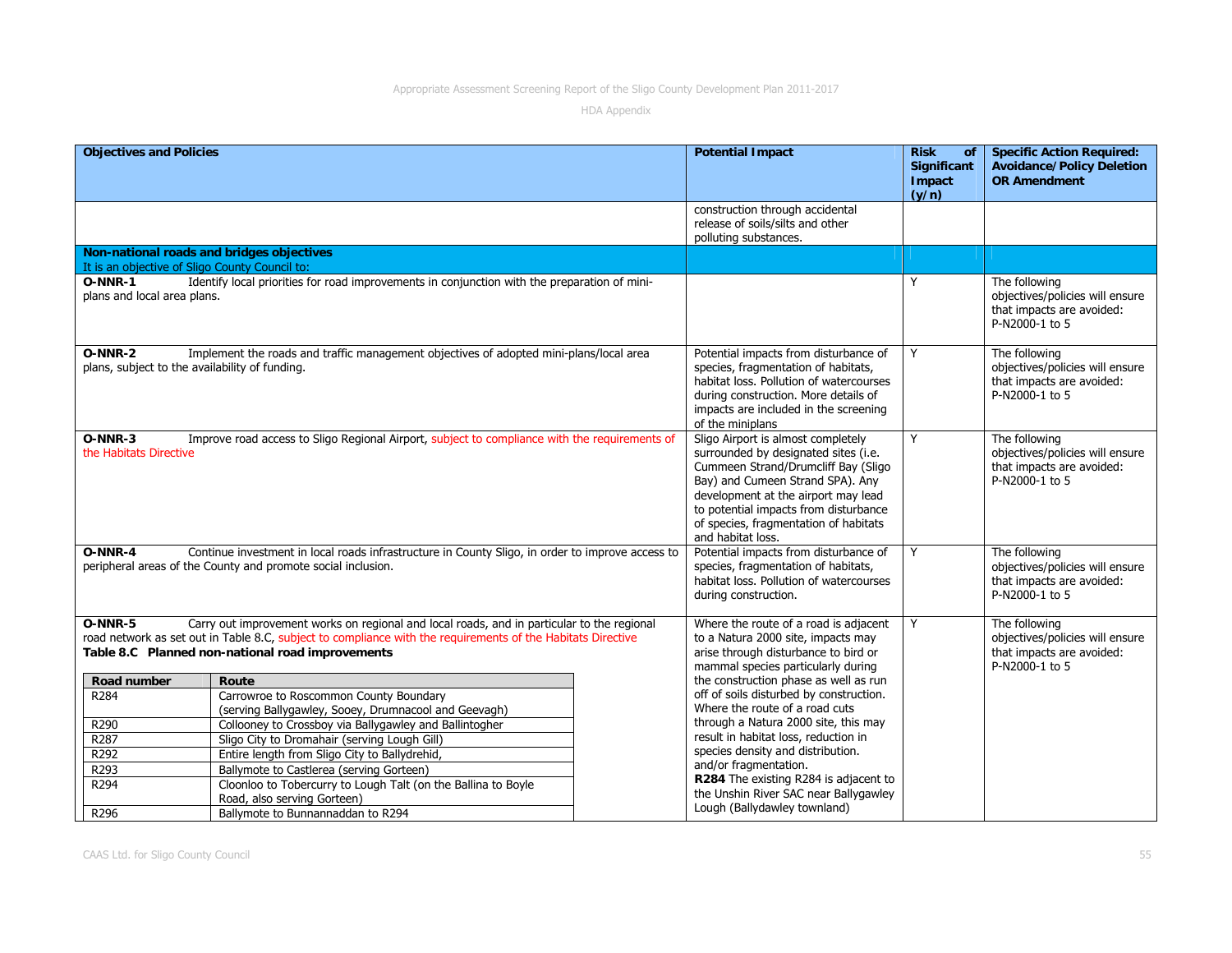| <b>Objectives and Policies</b>                                                                                                                                                |                                                                                                                                                                                                                                                               |                                                                                                                                                 | <b>Potential Impact</b>                                                                                                                                                                                                                                                                             | <b>Risk</b><br><b>of</b><br>Significant<br>Impact<br>(y/n)                                      | <b>Specific Action Required:</b><br><b>Avoidance/Policy Deletion</b><br><b>OR Amendment</b>     |
|-------------------------------------------------------------------------------------------------------------------------------------------------------------------------------|---------------------------------------------------------------------------------------------------------------------------------------------------------------------------------------------------------------------------------------------------------------|-------------------------------------------------------------------------------------------------------------------------------------------------|-----------------------------------------------------------------------------------------------------------------------------------------------------------------------------------------------------------------------------------------------------------------------------------------------------|-------------------------------------------------------------------------------------------------|-------------------------------------------------------------------------------------------------|
|                                                                                                                                                                               |                                                                                                                                                                                                                                                               |                                                                                                                                                 | construction through accidental<br>release of soils/silts and other<br>polluting substances.                                                                                                                                                                                                        |                                                                                                 |                                                                                                 |
| It is an objective of Sligo County Council to:                                                                                                                                | Non-national roads and bridges objectives                                                                                                                                                                                                                     |                                                                                                                                                 |                                                                                                                                                                                                                                                                                                     |                                                                                                 |                                                                                                 |
| Identify local priorities for road improvements in conjunction with the preparation of mini-<br><b>O-NNR-1</b><br>plans and local area plans.                                 |                                                                                                                                                                                                                                                               |                                                                                                                                                 |                                                                                                                                                                                                                                                                                                     | Y                                                                                               | The following<br>objectives/policies will ensure<br>that impacts are avoided:<br>P-N2000-1 to 5 |
| O-NNR-2<br>plans, subject to the availability of funding.                                                                                                                     | Implement the roads and traffic management objectives of adopted mini-plans/local area                                                                                                                                                                        |                                                                                                                                                 | Potential impacts from disturbance of<br>species, fragmentation of habitats,<br>habitat loss. Pollution of watercourses<br>during construction. More details of<br>impacts are included in the screening<br>of the miniplans                                                                        | Y                                                                                               | The following<br>objectives/policies will ensure<br>that impacts are avoided:<br>P-N2000-1 to 5 |
| O-NNR-3<br>the Habitats Directive                                                                                                                                             | Improve road access to Sligo Regional Airport, subject to compliance with the requirements of                                                                                                                                                                 |                                                                                                                                                 | Sligo Airport is almost completely<br>surrounded by designated sites (i.e.<br>Cummeen Strand/Drumcliff Bay (Sligo<br>Bay) and Cumeen Strand SPA). Any<br>development at the airport may lead<br>to potential impacts from disturbance<br>of species, fragmentation of habitats<br>and habitat loss. | Y                                                                                               | The following<br>objectives/policies will ensure<br>that impacts are avoided:<br>P-N2000-1 to 5 |
| $O-NNR-4$<br>Continue investment in local roads infrastructure in County Sligo, in order to improve access to<br>peripheral areas of the County and promote social inclusion. |                                                                                                                                                                                                                                                               | Potential impacts from disturbance of<br>species, fragmentation of habitats,<br>habitat loss. Pollution of watercourses<br>during construction. | Y                                                                                                                                                                                                                                                                                                   | The following<br>objectives/policies will ensure<br>that impacts are avoided:<br>P-N2000-1 to 5 |                                                                                                 |
| $O-NNR-5$                                                                                                                                                                     | Carry out improvement works on regional and local roads, and in particular to the regional<br>road network as set out in Table 8.C, subject to compliance with the requirements of the Habitats Directive<br>Table 8.C Planned non-national road improvements |                                                                                                                                                 | Where the route of a road is adjacent<br>to a Natura 2000 site, impacts may<br>arise through disturbance to bird or<br>mammal species particularly during                                                                                                                                           | Y                                                                                               | The following<br>objectives/policies will ensure<br>that impacts are avoided:<br>P-N2000-1 to 5 |
| Road number                                                                                                                                                                   | Route                                                                                                                                                                                                                                                         |                                                                                                                                                 | the construction phase as well as run                                                                                                                                                                                                                                                               |                                                                                                 |                                                                                                 |
| R284                                                                                                                                                                          | Carrowroe to Roscommon County Boundary<br>(serving Ballygawley, Sooey, Drumnacool and Geevagh)                                                                                                                                                                |                                                                                                                                                 | off of soils disturbed by construction.<br>Where the route of a road cuts                                                                                                                                                                                                                           |                                                                                                 |                                                                                                 |
| R290                                                                                                                                                                          | Collooney to Crossboy via Ballygawley and Ballintogher                                                                                                                                                                                                        |                                                                                                                                                 | through a Natura 2000 site, this may                                                                                                                                                                                                                                                                |                                                                                                 |                                                                                                 |
| R <sub>287</sub>                                                                                                                                                              | Sligo City to Dromahair (serving Lough Gill)                                                                                                                                                                                                                  |                                                                                                                                                 | result in habitat loss, reduction in<br>species density and distribution.                                                                                                                                                                                                                           |                                                                                                 |                                                                                                 |
| R292<br>R <sub>293</sub>                                                                                                                                                      | Entire length from Sligo City to Ballydrehid,                                                                                                                                                                                                                 |                                                                                                                                                 | and/or fragmentation.                                                                                                                                                                                                                                                                               |                                                                                                 |                                                                                                 |
| R294                                                                                                                                                                          | Ballymote to Castlerea (serving Gorteen)<br>Cloonloo to Tobercurry to Lough Talt (on the Ballina to Boyle<br>Road, also serving Gorteen)                                                                                                                      |                                                                                                                                                 | R284 The existing R284 is adjacent to<br>the Unshin River SAC near Ballygawley                                                                                                                                                                                                                      |                                                                                                 |                                                                                                 |
| R296                                                                                                                                                                          | Ballymote to Bunnannaddan to R294                                                                                                                                                                                                                             |                                                                                                                                                 | Lough (Ballydawley townland)                                                                                                                                                                                                                                                                        |                                                                                                 |                                                                                                 |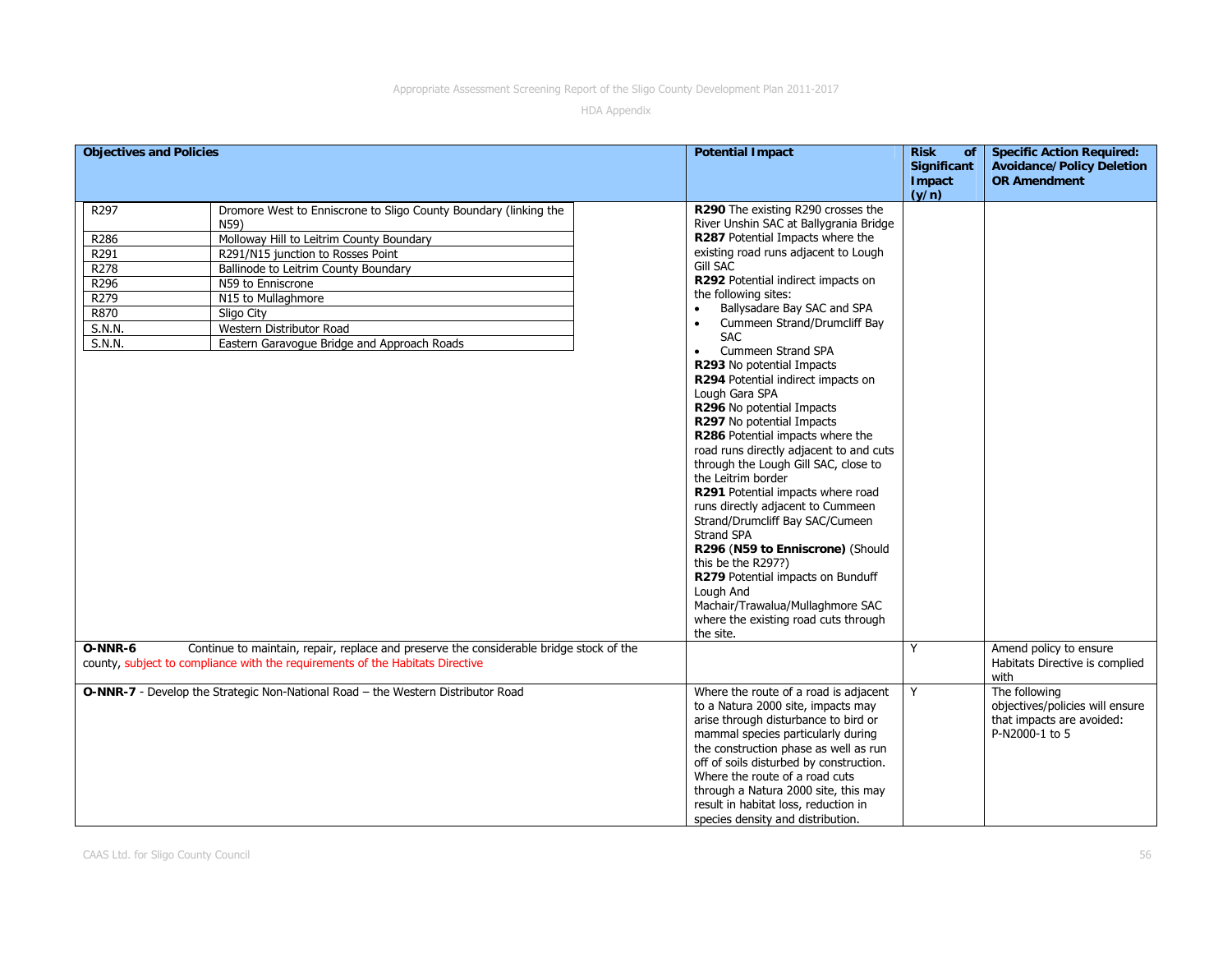| <b>Potential Impact</b><br><b>Objectives and Policies</b><br><b>Risk</b><br><b>of</b><br><b>Significant</b><br>Impact<br>(y/n)                                   | <b>Specific Action Required:</b><br><b>Avoidance/Policy Deletion</b><br><b>OR Amendment</b> |
|------------------------------------------------------------------------------------------------------------------------------------------------------------------|---------------------------------------------------------------------------------------------|
| R297<br>Dromore West to Enniscrone to Sligo County Boundary (linking the<br>R290 The existing R290 crosses the<br>River Unshin SAC at Ballygrania Bridge<br>N59) |                                                                                             |
| R287 Potential Impacts where the<br>Molloway Hill to Leitrim County Boundary<br>R286                                                                             |                                                                                             |
| existing road runs adjacent to Lough<br>R291<br>R291/N15 junction to Rosses Point                                                                                |                                                                                             |
| Gill SAC<br>R278<br>Ballinode to Leitrim County Boundary                                                                                                         |                                                                                             |
| R292 Potential indirect impacts on<br>R296<br>N59 to Enniscrone                                                                                                  |                                                                                             |
| the following sites:<br>R279<br>N15 to Mullaghmore                                                                                                               |                                                                                             |
| Ballysadare Bay SAC and SPA<br>R870<br>Sligo City                                                                                                                |                                                                                             |
| Cummeen Strand/Drumcliff Bay<br>S.N.N.<br>Western Distributor Road                                                                                               |                                                                                             |
| <b>SAC</b><br>S.N.N.<br>Eastern Garavoque Bridge and Approach Roads                                                                                              |                                                                                             |
| Cummeen Strand SPA<br>$\bullet$                                                                                                                                  |                                                                                             |
| R293 No potential Impacts                                                                                                                                        |                                                                                             |
| R294 Potential indirect impacts on<br>Lough Gara SPA                                                                                                             |                                                                                             |
| R296 No potential Impacts                                                                                                                                        |                                                                                             |
| R297 No potential Impacts                                                                                                                                        |                                                                                             |
| R286 Potential impacts where the                                                                                                                                 |                                                                                             |
| road runs directly adjacent to and cuts                                                                                                                          |                                                                                             |
| through the Lough Gill SAC, close to                                                                                                                             |                                                                                             |
| the Leitrim border                                                                                                                                               |                                                                                             |
| R291 Potential impacts where road                                                                                                                                |                                                                                             |
| runs directly adjacent to Cummeen                                                                                                                                |                                                                                             |
| Strand/Drumcliff Bay SAC/Cumeen                                                                                                                                  |                                                                                             |
| Strand SPA                                                                                                                                                       |                                                                                             |
| R296 (N59 to Enniscrone) (Should                                                                                                                                 |                                                                                             |
| this be the R297?)                                                                                                                                               |                                                                                             |
| R279 Potential impacts on Bunduff<br>Lough And                                                                                                                   |                                                                                             |
| Machair/Trawalua/Mullaghmore SAC                                                                                                                                 |                                                                                             |
| where the existing road cuts through                                                                                                                             |                                                                                             |
| the site.                                                                                                                                                        |                                                                                             |
| Y<br>Continue to maintain, repair, replace and preserve the considerable bridge stock of the<br>O-NNR-6                                                          | Amend policy to ensure                                                                      |
| county, subject to compliance with the requirements of the Habitats Directive                                                                                    | Habitats Directive is complied                                                              |
|                                                                                                                                                                  | with                                                                                        |
| Y<br>O-NNR-7 - Develop the Strategic Non-National Road - the Western Distributor Road<br>Where the route of a road is adjacent                                   | The following                                                                               |
| to a Natura 2000 site, impacts may                                                                                                                               | objectives/policies will ensure                                                             |
| arise through disturbance to bird or                                                                                                                             | that impacts are avoided:                                                                   |
| mammal species particularly during                                                                                                                               | P-N2000-1 to 5                                                                              |
| the construction phase as well as run                                                                                                                            |                                                                                             |
| off of soils disturbed by construction.                                                                                                                          |                                                                                             |
| Where the route of a road cuts                                                                                                                                   |                                                                                             |
| through a Natura 2000 site, this may                                                                                                                             |                                                                                             |
| result in habitat loss, reduction in<br>species density and distribution.                                                                                        |                                                                                             |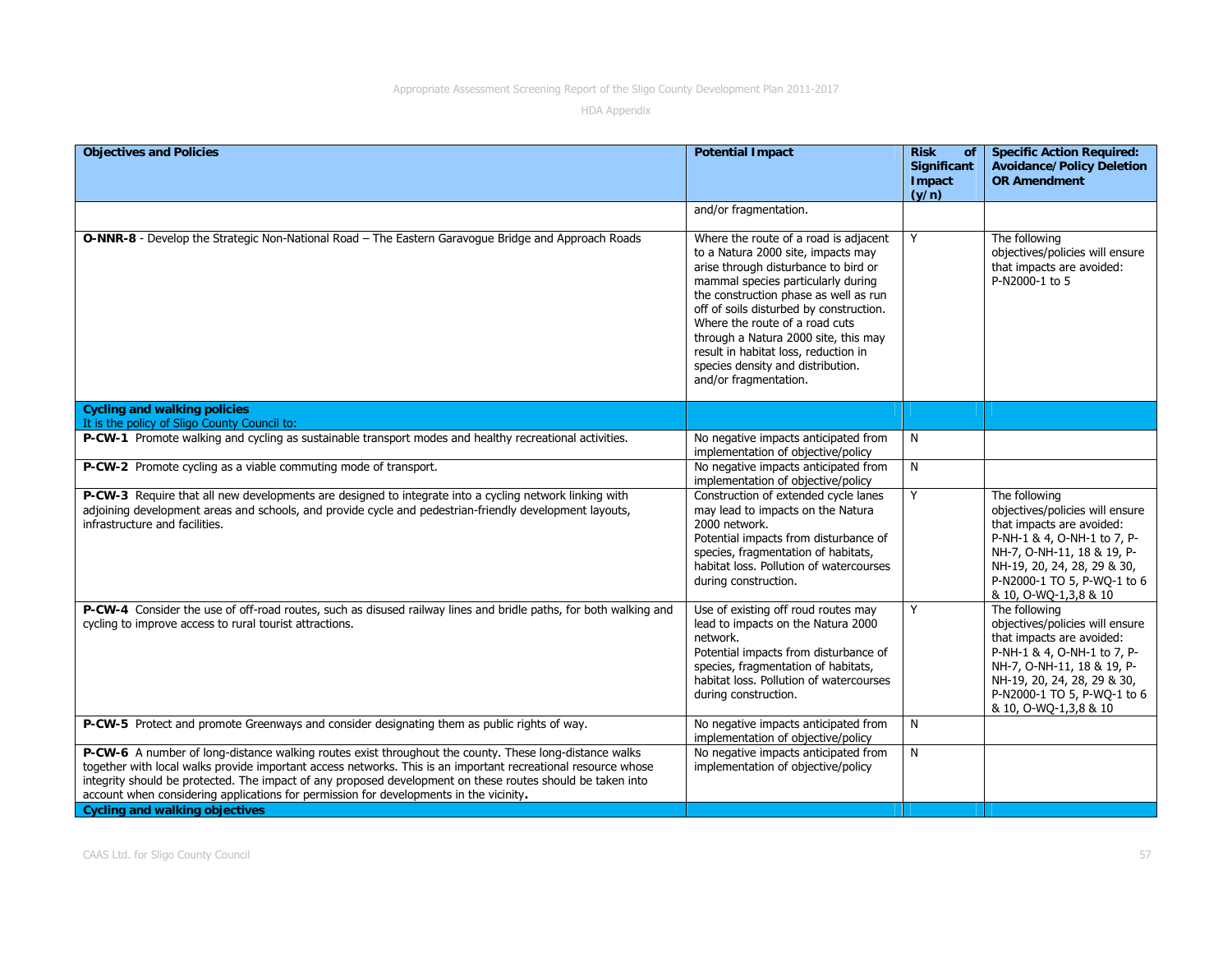| <b>Objectives and Policies</b>                                                                                                                                                                                                                                                                                                                                                                                                  | <b>Potential Impact</b>                                                                                                                                                                                                                                                                                                                                                                                                       | <b>Risk</b><br>of<br>Significant<br>Impact<br>(y/n) | <b>Specific Action Required:</b><br><b>Avoidance/Policy Deletion</b><br><b>OR Amendment</b>                                                                                                                                       |
|---------------------------------------------------------------------------------------------------------------------------------------------------------------------------------------------------------------------------------------------------------------------------------------------------------------------------------------------------------------------------------------------------------------------------------|-------------------------------------------------------------------------------------------------------------------------------------------------------------------------------------------------------------------------------------------------------------------------------------------------------------------------------------------------------------------------------------------------------------------------------|-----------------------------------------------------|-----------------------------------------------------------------------------------------------------------------------------------------------------------------------------------------------------------------------------------|
|                                                                                                                                                                                                                                                                                                                                                                                                                                 | and/or fragmentation.                                                                                                                                                                                                                                                                                                                                                                                                         |                                                     |                                                                                                                                                                                                                                   |
| O-NNR-8 - Develop the Strategic Non-National Road - The Eastern Garavogue Bridge and Approach Roads                                                                                                                                                                                                                                                                                                                             | Where the route of a road is adjacent<br>to a Natura 2000 site, impacts may<br>arise through disturbance to bird or<br>mammal species particularly during<br>the construction phase as well as run<br>off of soils disturbed by construction.<br>Where the route of a road cuts<br>through a Natura 2000 site, this may<br>result in habitat loss, reduction in<br>species density and distribution.<br>and/or fragmentation. | Y                                                   | The following<br>objectives/policies will ensure<br>that impacts are avoided:<br>P-N2000-1 to 5                                                                                                                                   |
| <b>Cycling and walking policies</b><br>It is the policy of Sligo County Council to:                                                                                                                                                                                                                                                                                                                                             |                                                                                                                                                                                                                                                                                                                                                                                                                               |                                                     |                                                                                                                                                                                                                                   |
| P-CW-1 Promote walking and cycling as sustainable transport modes and healthy recreational activities.                                                                                                                                                                                                                                                                                                                          | No negative impacts anticipated from<br>implementation of objective/policy                                                                                                                                                                                                                                                                                                                                                    | N                                                   |                                                                                                                                                                                                                                   |
| P-CW-2 Promote cycling as a viable commuting mode of transport.                                                                                                                                                                                                                                                                                                                                                                 | No negative impacts anticipated from<br>implementation of objective/policy                                                                                                                                                                                                                                                                                                                                                    | N                                                   |                                                                                                                                                                                                                                   |
| P-CW-3 Require that all new developments are designed to integrate into a cycling network linking with<br>adjoining development areas and schools, and provide cycle and pedestrian-friendly development layouts,<br>infrastructure and facilities.                                                                                                                                                                             | Construction of extended cycle lanes<br>may lead to impacts on the Natura<br>2000 network.<br>Potential impacts from disturbance of<br>species, fragmentation of habitats,<br>habitat loss. Pollution of watercourses<br>during construction.                                                                                                                                                                                 | Y                                                   | The following<br>objectives/policies will ensure<br>that impacts are avoided:<br>P-NH-1 & 4, O-NH-1 to 7, P-<br>NH-7, O-NH-11, 18 & 19, P-<br>NH-19, 20, 24, 28, 29 & 30,<br>P-N2000-1 TO 5, P-WO-1 to 6<br>& 10, O-WQ-1,3,8 & 10 |
| P-CW-4 Consider the use of off-road routes, such as disused railway lines and bridle paths, for both walking and<br>cycling to improve access to rural tourist attractions.                                                                                                                                                                                                                                                     | Use of existing off roud routes may<br>lead to impacts on the Natura 2000<br>network.<br>Potential impacts from disturbance of<br>species, fragmentation of habitats,<br>habitat loss. Pollution of watercourses<br>during construction.                                                                                                                                                                                      | Y                                                   | The following<br>objectives/policies will ensure<br>that impacts are avoided:<br>P-NH-1 & 4, O-NH-1 to 7, P-<br>NH-7, O-NH-11, 18 & 19, P-<br>NH-19, 20, 24, 28, 29 & 30,<br>P-N2000-1 TO 5, P-WQ-1 to 6<br>& 10, O-WQ-1,3,8 & 10 |
| P-CW-5 Protect and promote Greenways and consider designating them as public rights of way.                                                                                                                                                                                                                                                                                                                                     | No negative impacts anticipated from<br>implementation of objective/policy                                                                                                                                                                                                                                                                                                                                                    | N                                                   |                                                                                                                                                                                                                                   |
| P-CW-6 A number of long-distance walking routes exist throughout the county. These long-distance walks<br>together with local walks provide important access networks. This is an important recreational resource whose<br>integrity should be protected. The impact of any proposed development on these routes should be taken into<br>account when considering applications for permission for developments in the vicinity. | No negative impacts anticipated from<br>implementation of objective/policy                                                                                                                                                                                                                                                                                                                                                    | N                                                   |                                                                                                                                                                                                                                   |
| <b>Cycling and walking objectives</b>                                                                                                                                                                                                                                                                                                                                                                                           |                                                                                                                                                                                                                                                                                                                                                                                                                               |                                                     |                                                                                                                                                                                                                                   |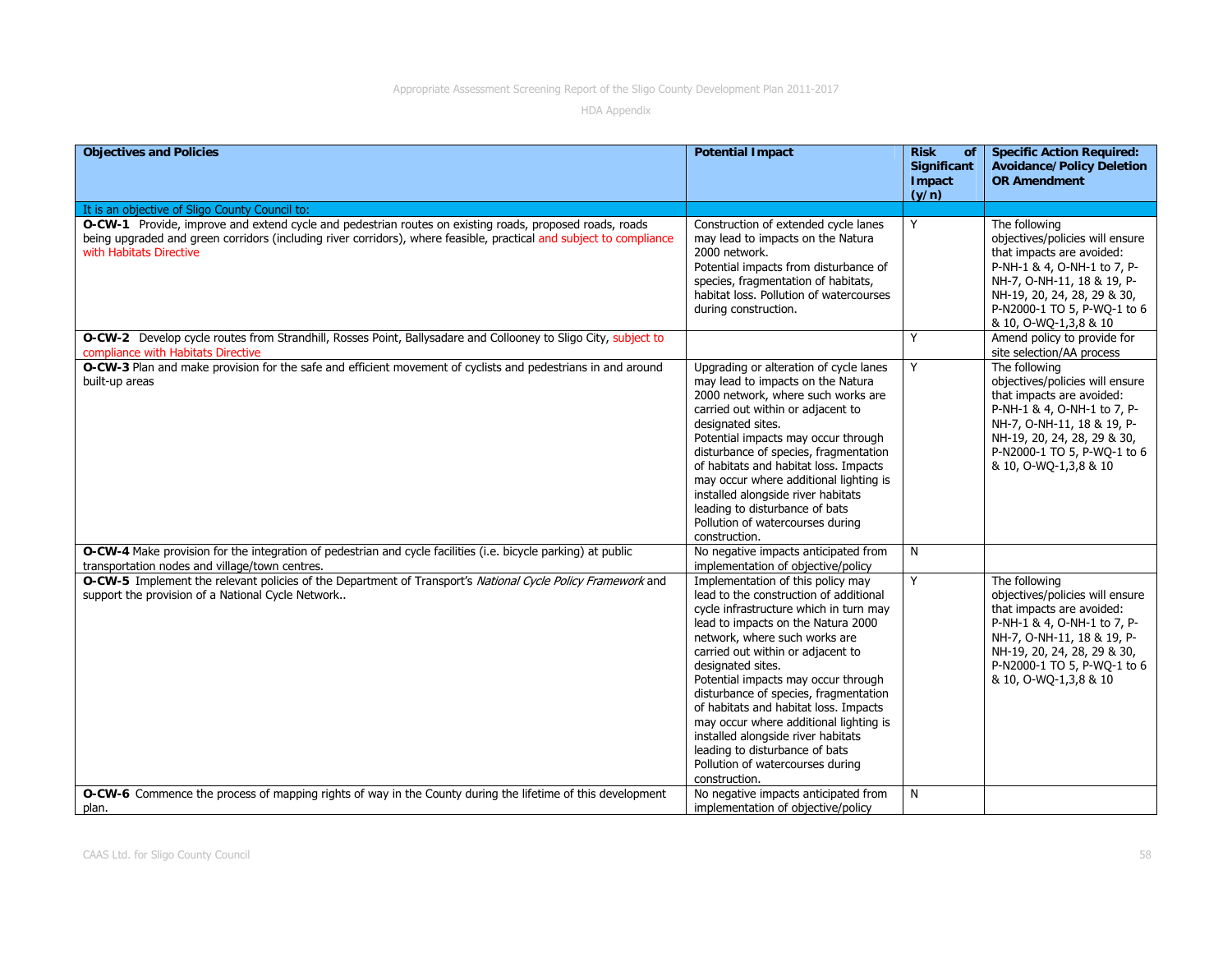| <b>Objectives and Policies</b>                                                                                                                                                                                                                            | <b>Potential Impact</b>                                                                                                                                                                                                                                                                                                                                                                                                                                                                                                                                | <b>Risk</b><br>of<br>Significant<br>Impact<br>(y/n) | <b>Specific Action Required:</b><br><b>Avoidance/Policy Deletion</b><br><b>OR Amendment</b>                                                                                                                                       |
|-----------------------------------------------------------------------------------------------------------------------------------------------------------------------------------------------------------------------------------------------------------|--------------------------------------------------------------------------------------------------------------------------------------------------------------------------------------------------------------------------------------------------------------------------------------------------------------------------------------------------------------------------------------------------------------------------------------------------------------------------------------------------------------------------------------------------------|-----------------------------------------------------|-----------------------------------------------------------------------------------------------------------------------------------------------------------------------------------------------------------------------------------|
| It is an objective of Sligo County Council to:                                                                                                                                                                                                            |                                                                                                                                                                                                                                                                                                                                                                                                                                                                                                                                                        |                                                     |                                                                                                                                                                                                                                   |
| O-CW-1 Provide, improve and extend cycle and pedestrian routes on existing roads, proposed roads, roads<br>being upgraded and green corridors (including river corridors), where feasible, practical and subject to compliance<br>with Habitats Directive | Construction of extended cycle lanes<br>may lead to impacts on the Natura<br>2000 network.<br>Potential impacts from disturbance of<br>species, fragmentation of habitats,<br>habitat loss. Pollution of watercourses<br>during construction.                                                                                                                                                                                                                                                                                                          | Y                                                   | The following<br>objectives/policies will ensure<br>that impacts are avoided:<br>P-NH-1 & 4, O-NH-1 to 7, P-<br>NH-7, O-NH-11, 18 & 19, P-<br>NH-19, 20, 24, 28, 29 & 30,<br>P-N2000-1 TO 5, P-WQ-1 to 6<br>& 10, O-WQ-1,3,8 & 10 |
| O-CW-2 Develop cycle routes from Strandhill, Rosses Point, Ballysadare and Collooney to Sligo City, subject to<br>compliance with Habitats Directive                                                                                                      |                                                                                                                                                                                                                                                                                                                                                                                                                                                                                                                                                        | Y                                                   | Amend policy to provide for<br>site selection/AA process                                                                                                                                                                          |
| O-CW-3 Plan and make provision for the safe and efficient movement of cyclists and pedestrians in and around<br>built-up areas                                                                                                                            | Upgrading or alteration of cycle lanes<br>may lead to impacts on the Natura<br>2000 network, where such works are<br>carried out within or adjacent to<br>designated sites.<br>Potential impacts may occur through<br>disturbance of species, fragmentation<br>of habitats and habitat loss. Impacts<br>may occur where additional lighting is<br>installed alongside river habitats<br>leading to disturbance of bats<br>Pollution of watercourses during<br>construction.                                                                            | Y                                                   | The following<br>objectives/policies will ensure<br>that impacts are avoided:<br>P-NH-1 & 4, O-NH-1 to 7, P-<br>NH-7, O-NH-11, 18 & 19, P-<br>NH-19, 20, 24, 28, 29 & 30,<br>P-N2000-1 TO 5, P-WO-1 to 6<br>& 10, O-WQ-1,3,8 & 10 |
| O-CW-4 Make provision for the integration of pedestrian and cycle facilities (i.e. bicycle parking) at public<br>transportation nodes and village/town centres.                                                                                           | No negative impacts anticipated from<br>implementation of objective/policy                                                                                                                                                                                                                                                                                                                                                                                                                                                                             | N                                                   |                                                                                                                                                                                                                                   |
| O-CW-5 Implement the relevant policies of the Department of Transport's National Cycle Policy Framework and<br>support the provision of a National Cycle Network                                                                                          | Implementation of this policy may<br>lead to the construction of additional<br>cycle infrastructure which in turn may<br>lead to impacts on the Natura 2000<br>network, where such works are<br>carried out within or adjacent to<br>designated sites.<br>Potential impacts may occur through<br>disturbance of species, fragmentation<br>of habitats and habitat loss. Impacts<br>may occur where additional lighting is<br>installed alongside river habitats<br>leading to disturbance of bats<br>Pollution of watercourses during<br>construction. | Y                                                   | The following<br>objectives/policies will ensure<br>that impacts are avoided:<br>P-NH-1 & 4, O-NH-1 to 7, P-<br>NH-7, O-NH-11, 18 & 19, P-<br>NH-19, 20, 24, 28, 29 & 30,<br>P-N2000-1 TO 5, P-WQ-1 to 6<br>& 10, O-WO-1,3,8 & 10 |
| O-CW-6 Commence the process of mapping rights of way in the County during the lifetime of this development<br>plan.                                                                                                                                       | No negative impacts anticipated from<br>implementation of objective/policy                                                                                                                                                                                                                                                                                                                                                                                                                                                                             | N                                                   |                                                                                                                                                                                                                                   |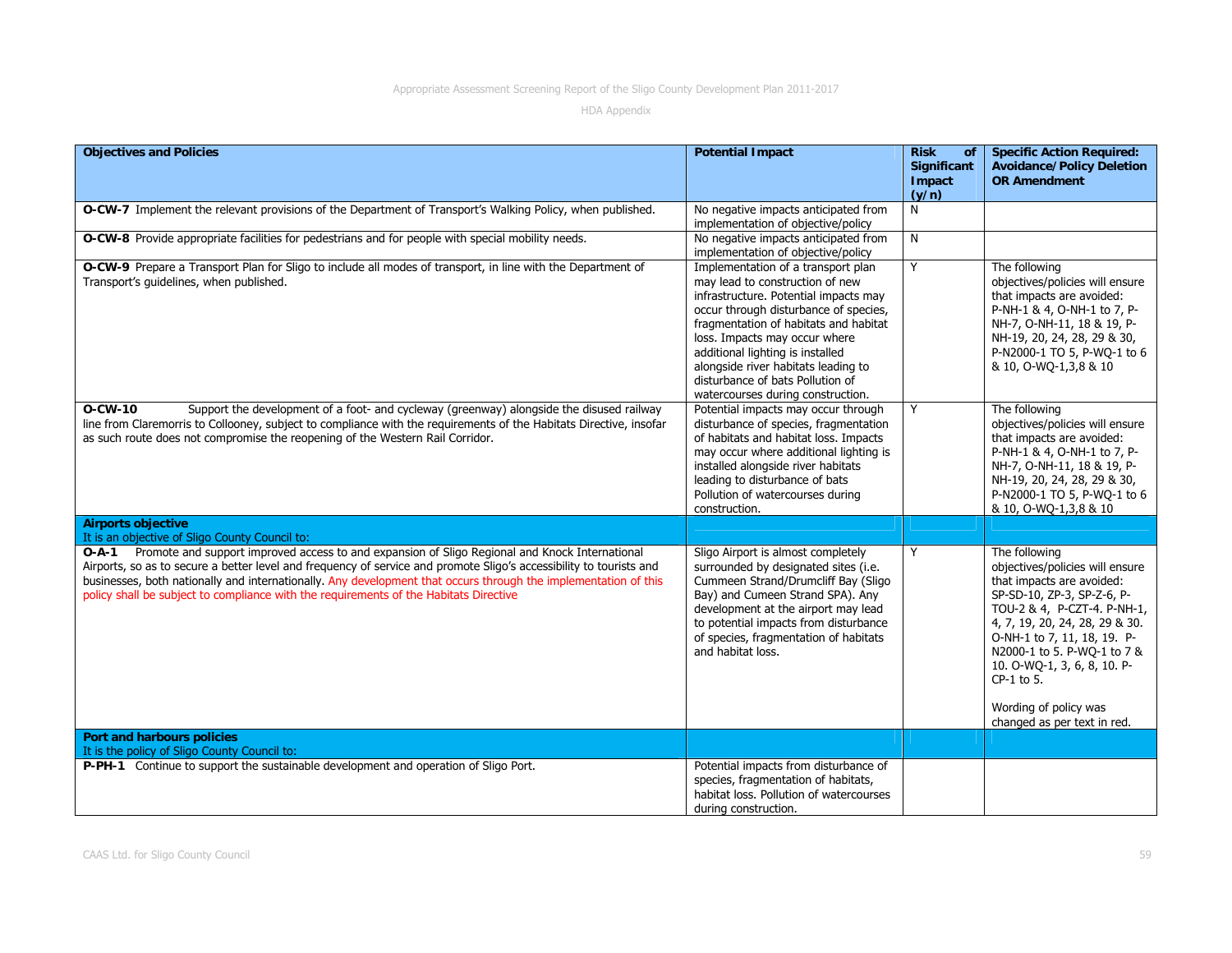| <b>Objectives and Policies</b>                                                                                                                                                                                                                                                                                                                                                                                                               | <b>Potential Impact</b>                                                                                                                                                                                                                                                                                                                                                               | <b>Risk</b><br>of<br><b>Significant</b><br>Impact<br>(y/n) | <b>Specific Action Required:</b><br><b>Avoidance/Policy Deletion</b><br><b>OR Amendment</b>                                                                                                                                                                                                                                                     |
|----------------------------------------------------------------------------------------------------------------------------------------------------------------------------------------------------------------------------------------------------------------------------------------------------------------------------------------------------------------------------------------------------------------------------------------------|---------------------------------------------------------------------------------------------------------------------------------------------------------------------------------------------------------------------------------------------------------------------------------------------------------------------------------------------------------------------------------------|------------------------------------------------------------|-------------------------------------------------------------------------------------------------------------------------------------------------------------------------------------------------------------------------------------------------------------------------------------------------------------------------------------------------|
| O-CW-7 Implement the relevant provisions of the Department of Transport's Walking Policy, when published.                                                                                                                                                                                                                                                                                                                                    | No negative impacts anticipated from<br>implementation of objective/policy                                                                                                                                                                                                                                                                                                            | N                                                          |                                                                                                                                                                                                                                                                                                                                                 |
| O-CW-8 Provide appropriate facilities for pedestrians and for people with special mobility needs.                                                                                                                                                                                                                                                                                                                                            | No negative impacts anticipated from<br>implementation of objective/policy                                                                                                                                                                                                                                                                                                            | N                                                          |                                                                                                                                                                                                                                                                                                                                                 |
| O-CW-9 Prepare a Transport Plan for Sligo to include all modes of transport, in line with the Department of<br>Transport's quidelines, when published.                                                                                                                                                                                                                                                                                       | Implementation of a transport plan<br>may lead to construction of new<br>infrastructure. Potential impacts may<br>occur through disturbance of species,<br>fragmentation of habitats and habitat<br>loss. Impacts may occur where<br>additional lighting is installed<br>alongside river habitats leading to<br>disturbance of bats Pollution of<br>watercourses during construction. | Y                                                          | The following<br>objectives/policies will ensure<br>that impacts are avoided:<br>P-NH-1 & 4, O-NH-1 to 7, P-<br>NH-7, O-NH-11, 18 & 19, P-<br>NH-19, 20, 24, 28, 29 & 30,<br>P-N2000-1 TO 5, P-WQ-1 to 6<br>& 10, O-WQ-1,3,8 & 10                                                                                                               |
| O-CW-10<br>Support the development of a foot- and cycleway (greenway) alongside the disused railway<br>line from Claremorris to Collooney, subject to compliance with the requirements of the Habitats Directive, insofar<br>as such route does not compromise the reopening of the Western Rail Corridor.                                                                                                                                   | Potential impacts may occur through<br>disturbance of species, fragmentation<br>of habitats and habitat loss. Impacts<br>may occur where additional lighting is<br>installed alongside river habitats<br>leading to disturbance of bats<br>Pollution of watercourses during<br>construction.                                                                                          | Y                                                          | The following<br>objectives/policies will ensure<br>that impacts are avoided:<br>P-NH-1 & 4, O-NH-1 to 7, P-<br>NH-7, O-NH-11, 18 & 19, P-<br>NH-19, 20, 24, 28, 29 & 30,<br>P-N2000-1 TO 5, P-WQ-1 to 6<br>& 10, O-WQ-1,3,8 & 10                                                                                                               |
| <b>Airports objective</b><br>It is an objective of Sligo County Council to:                                                                                                                                                                                                                                                                                                                                                                  |                                                                                                                                                                                                                                                                                                                                                                                       |                                                            |                                                                                                                                                                                                                                                                                                                                                 |
| Promote and support improved access to and expansion of Sligo Regional and Knock International<br>$O-A-1$<br>Airports, so as to secure a better level and frequency of service and promote Sligo's accessibility to tourists and<br>businesses, both nationally and internationally. Any development that occurs through the implementation of this<br>policy shall be subject to compliance with the requirements of the Habitats Directive | Sligo Airport is almost completely<br>surrounded by designated sites (i.e.<br>Cummeen Strand/Drumcliff Bay (Sligo<br>Bay) and Cumeen Strand SPA). Any<br>development at the airport may lead<br>to potential impacts from disturbance<br>of species, fragmentation of habitats<br>and habitat loss.                                                                                   | Y                                                          | The following<br>objectives/policies will ensure<br>that impacts are avoided:<br>SP-SD-10, ZP-3, SP-Z-6, P-<br>TOU-2 & 4, P-CZT-4. P-NH-1,<br>4, 7, 19, 20, 24, 28, 29 & 30.<br>O-NH-1 to 7, 11, 18, 19. P-<br>N2000-1 to 5. P-WQ-1 to 7 &<br>10. O-WQ-1, 3, 6, 8, 10. P-<br>CP-1 to 5.<br>Wording of policy was<br>changed as per text in red. |
| Port and harbours policies<br>It is the policy of Sligo County Council to:                                                                                                                                                                                                                                                                                                                                                                   |                                                                                                                                                                                                                                                                                                                                                                                       |                                                            |                                                                                                                                                                                                                                                                                                                                                 |
| P-PH-1 Continue to support the sustainable development and operation of Sligo Port.                                                                                                                                                                                                                                                                                                                                                          | Potential impacts from disturbance of<br>species, fragmentation of habitats,<br>habitat loss. Pollution of watercourses<br>during construction.                                                                                                                                                                                                                                       |                                                            |                                                                                                                                                                                                                                                                                                                                                 |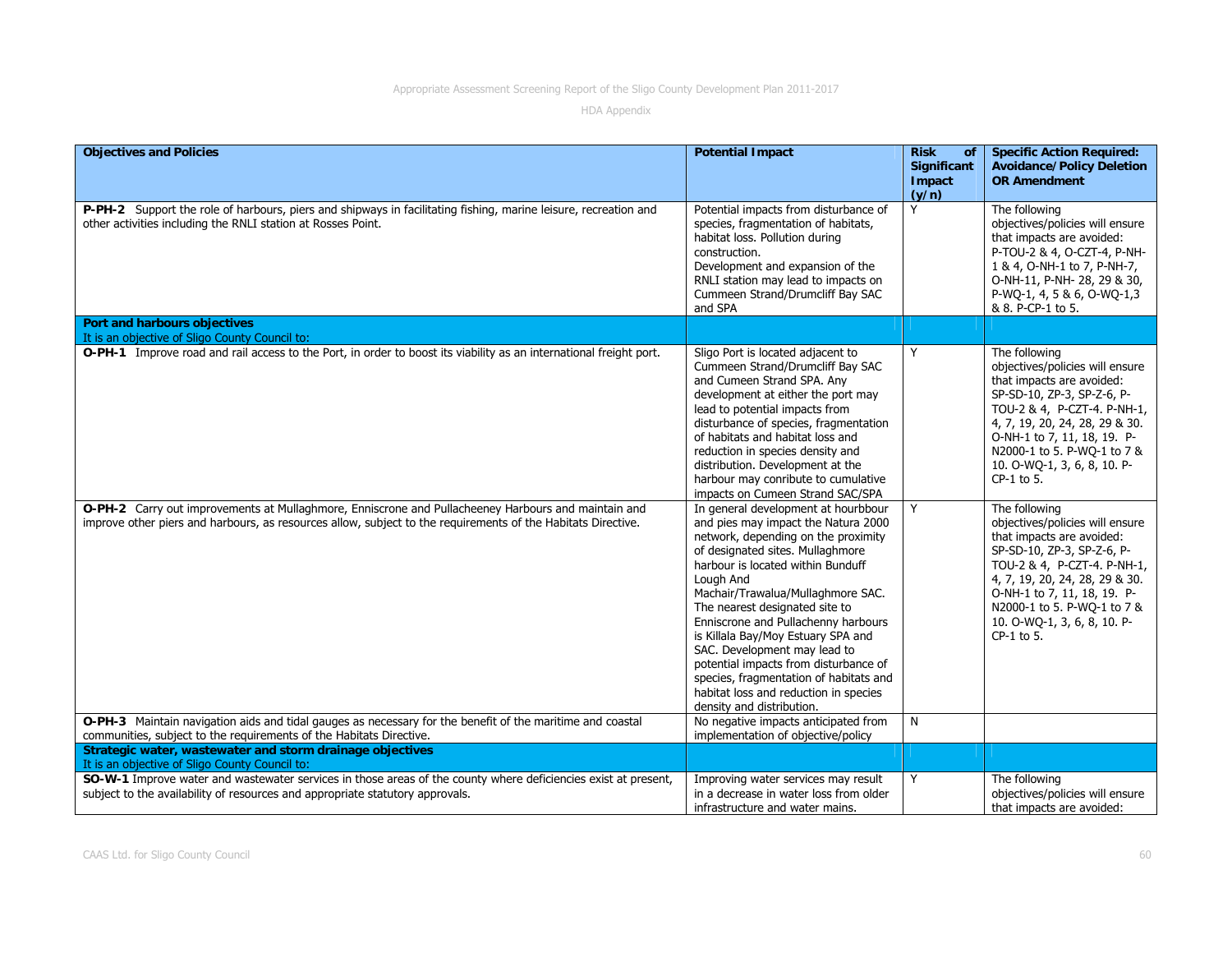| <b>Objectives and Policies</b>                                                                                                                                                                                      | <b>Potential Impact</b>                                                                                                                                                                                                                                                                                                                                                                                                                                                                                                                              | <b>Risk</b><br>of<br>Significant<br>Impact<br>(y/n) | <b>Specific Action Required:</b><br><b>Avoidance/Policy Deletion</b><br><b>OR Amendment</b>                                                                                                                                                                                             |
|---------------------------------------------------------------------------------------------------------------------------------------------------------------------------------------------------------------------|------------------------------------------------------------------------------------------------------------------------------------------------------------------------------------------------------------------------------------------------------------------------------------------------------------------------------------------------------------------------------------------------------------------------------------------------------------------------------------------------------------------------------------------------------|-----------------------------------------------------|-----------------------------------------------------------------------------------------------------------------------------------------------------------------------------------------------------------------------------------------------------------------------------------------|
| P-PH-2 Support the role of harbours, piers and shipways in facilitating fishing, marine leisure, recreation and<br>other activities including the RNLI station at Rosses Point.                                     | Potential impacts from disturbance of<br>species, fragmentation of habitats,<br>habitat loss. Pollution during<br>construction.<br>Development and expansion of the<br>RNLI station may lead to impacts on<br>Cummeen Strand/Drumcliff Bay SAC<br>and SPA                                                                                                                                                                                                                                                                                            | Y                                                   | The following<br>objectives/policies will ensure<br>that impacts are avoided:<br>P-TOU-2 & 4, O-CZT-4, P-NH-<br>1 & 4, O-NH-1 to 7, P-NH-7,<br>O-NH-11, P-NH-28, 29 & 30,<br>P-WQ-1, 4, 5 & 6, O-WQ-1,3<br>& 8. P-CP-1 to 5.                                                            |
| Port and harbours objectives<br>It is an objective of Sligo County Council to:                                                                                                                                      |                                                                                                                                                                                                                                                                                                                                                                                                                                                                                                                                                      |                                                     |                                                                                                                                                                                                                                                                                         |
| O-PH-1 Improve road and rail access to the Port, in order to boost its viability as an international freight port.                                                                                                  | Sligo Port is located adjacent to<br>Cummeen Strand/Drumcliff Bay SAC<br>and Cumeen Strand SPA. Any<br>development at either the port may<br>lead to potential impacts from<br>disturbance of species, fragmentation<br>of habitats and habitat loss and<br>reduction in species density and<br>distribution. Development at the<br>harbour may conribute to cumulative<br>impacts on Cumeen Strand SAC/SPA                                                                                                                                          | Y                                                   | The following<br>objectives/policies will ensure<br>that impacts are avoided:<br>SP-SD-10, ZP-3, SP-Z-6, P-<br>TOU-2 & 4, P-CZT-4. P-NH-1,<br>4, 7, 19, 20, 24, 28, 29 & 30.<br>O-NH-1 to 7, 11, 18, 19. P-<br>N2000-1 to 5. P-WQ-1 to 7 &<br>10. O-WQ-1, 3, 6, 8, 10. P-<br>CP-1 to 5. |
| O-PH-2 Carry out improvements at Mullaghmore, Enniscrone and Pullacheeney Harbours and maintain and<br>improve other piers and harbours, as resources allow, subject to the requirements of the Habitats Directive. | In general development at hourbbour<br>and pies may impact the Natura 2000<br>network, depending on the proximity<br>of designated sites. Mullaghmore<br>harbour is located within Bunduff<br>Lough And<br>Machair/Trawalua/Mullaghmore SAC.<br>The nearest designated site to<br>Enniscrone and Pullachenny harbours<br>is Killala Bay/Moy Estuary SPA and<br>SAC. Development may lead to<br>potential impacts from disturbance of<br>species, fragmentation of habitats and<br>habitat loss and reduction in species<br>density and distribution. | Y                                                   | The following<br>objectives/policies will ensure<br>that impacts are avoided:<br>SP-SD-10, ZP-3, SP-Z-6, P-<br>TOU-2 & 4, P-CZT-4. P-NH-1,<br>4, 7, 19, 20, 24, 28, 29 & 30.<br>O-NH-1 to 7, 11, 18, 19. P-<br>N2000-1 to 5. P-WQ-1 to 7 &<br>10. O-WQ-1, 3, 6, 8, 10. P-<br>CP-1 to 5. |
| O-PH-3 Maintain navigation aids and tidal gauges as necessary for the benefit of the maritime and coastal                                                                                                           | No negative impacts anticipated from                                                                                                                                                                                                                                                                                                                                                                                                                                                                                                                 | N                                                   |                                                                                                                                                                                                                                                                                         |
| communities, subject to the requirements of the Habitats Directive.<br>Strategic water, wastewater and storm drainage objectives                                                                                    | implementation of objective/policy                                                                                                                                                                                                                                                                                                                                                                                                                                                                                                                   |                                                     |                                                                                                                                                                                                                                                                                         |
| It is an objective of Sligo County Council to:                                                                                                                                                                      |                                                                                                                                                                                                                                                                                                                                                                                                                                                                                                                                                      |                                                     |                                                                                                                                                                                                                                                                                         |
| SO-W-1 Improve water and wastewater services in those areas of the county where deficiencies exist at present,<br>subject to the availability of resources and appropriate statutory approvals.                     | Improving water services may result<br>in a decrease in water loss from older<br>infrastructure and water mains.                                                                                                                                                                                                                                                                                                                                                                                                                                     | Y                                                   | The following<br>objectives/policies will ensure<br>that impacts are avoided:                                                                                                                                                                                                           |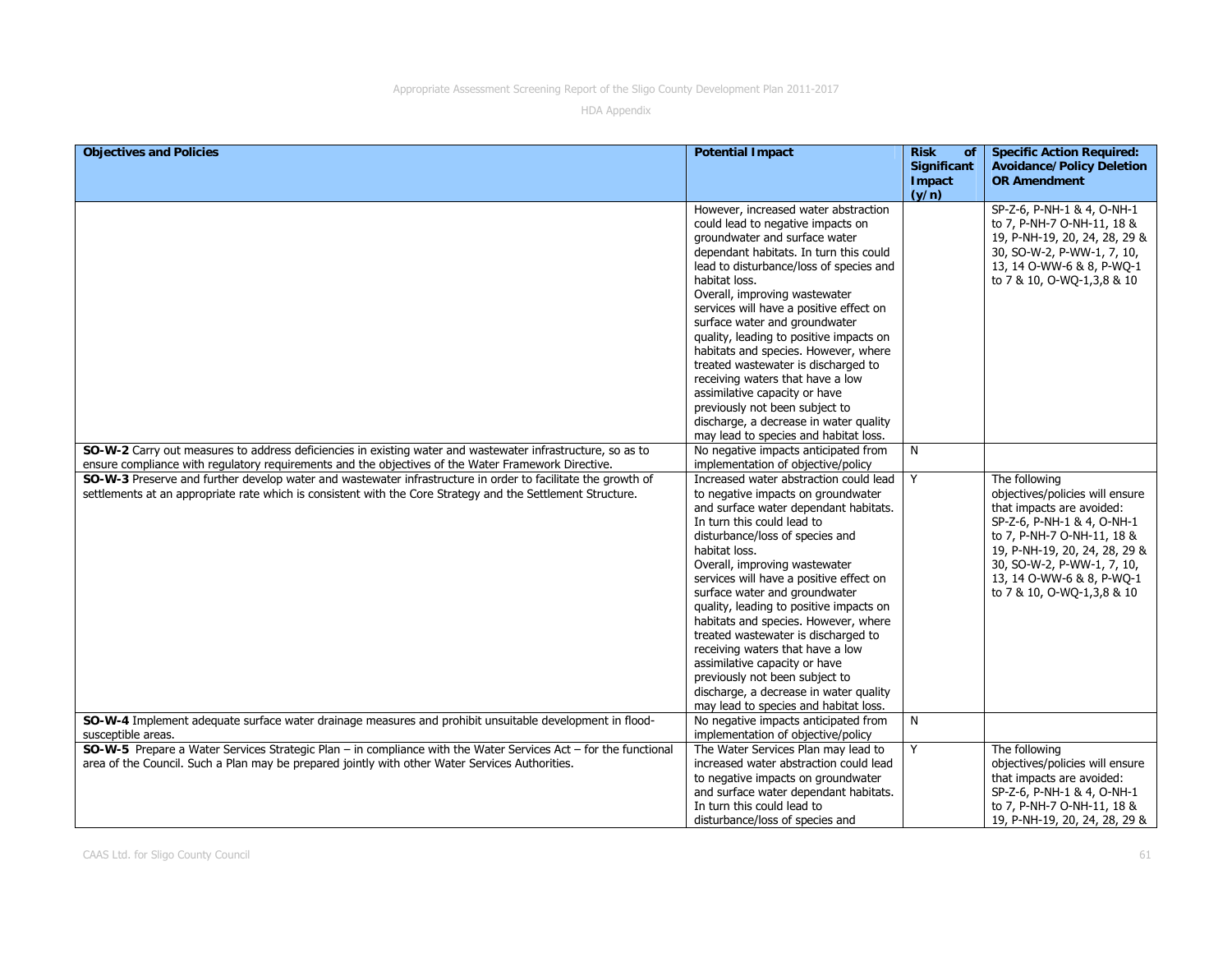| <b>Objectives and Policies</b>                                                                                  | <b>Potential Impact</b>                                                      | <b>Risk</b><br><b>of</b> | <b>Specific Action Required:</b>                         |
|-----------------------------------------------------------------------------------------------------------------|------------------------------------------------------------------------------|--------------------------|----------------------------------------------------------|
|                                                                                                                 |                                                                              | <b>Significant</b>       | <b>Avoidance/Policy Deletion</b>                         |
|                                                                                                                 |                                                                              | Impact                   | <b>OR Amendment</b>                                      |
|                                                                                                                 |                                                                              | (y/n)                    |                                                          |
|                                                                                                                 | However, increased water abstraction                                         |                          | SP-Z-6, P-NH-1 & 4, O-NH-1                               |
|                                                                                                                 | could lead to negative impacts on                                            |                          | to 7, P-NH-7 O-NH-11, 18 &                               |
|                                                                                                                 | groundwater and surface water                                                |                          | 19, P-NH-19, 20, 24, 28, 29 &                            |
|                                                                                                                 | dependant habitats. In turn this could                                       |                          | 30, SO-W-2, P-WW-1, 7, 10,                               |
|                                                                                                                 | lead to disturbance/loss of species and                                      |                          | 13, 14 O-WW-6 & 8, P-WQ-1                                |
|                                                                                                                 | habitat loss.                                                                |                          | to 7 & 10, O-WQ-1,3,8 & 10                               |
|                                                                                                                 | Overall, improving wastewater                                                |                          |                                                          |
|                                                                                                                 | services will have a positive effect on                                      |                          |                                                          |
|                                                                                                                 | surface water and groundwater                                                |                          |                                                          |
|                                                                                                                 | quality, leading to positive impacts on                                      |                          |                                                          |
|                                                                                                                 | habitats and species. However, where                                         |                          |                                                          |
|                                                                                                                 | treated wastewater is discharged to                                          |                          |                                                          |
|                                                                                                                 | receiving waters that have a low                                             |                          |                                                          |
|                                                                                                                 | assimilative capacity or have                                                |                          |                                                          |
|                                                                                                                 | previously not been subject to                                               |                          |                                                          |
|                                                                                                                 | discharge, a decrease in water quality                                       |                          |                                                          |
|                                                                                                                 | may lead to species and habitat loss.                                        |                          |                                                          |
| SO-W-2 Carry out measures to address deficiencies in existing water and wastewater infrastructure, so as to     | No negative impacts anticipated from                                         | N                        |                                                          |
| ensure compliance with regulatory requirements and the objectives of the Water Framework Directive.             | implementation of objective/policy<br>Increased water abstraction could lead |                          |                                                          |
| SO-W-3 Preserve and further develop water and wastewater infrastructure in order to facilitate the growth of    | to negative impacts on groundwater                                           | Y                        | The following<br>objectives/policies will ensure         |
| settlements at an appropriate rate which is consistent with the Core Strategy and the Settlement Structure.     | and surface water dependant habitats.                                        |                          | that impacts are avoided:                                |
|                                                                                                                 | In turn this could lead to                                                   |                          | SP-Z-6, P-NH-1 & 4, O-NH-1                               |
|                                                                                                                 | disturbance/loss of species and                                              |                          | to 7, P-NH-7 O-NH-11, 18 &                               |
|                                                                                                                 | habitat loss.                                                                |                          | 19, P-NH-19, 20, 24, 28, 29 &                            |
|                                                                                                                 | Overall, improving wastewater                                                |                          | 30, SO-W-2, P-WW-1, 7, 10,                               |
|                                                                                                                 | services will have a positive effect on                                      |                          | 13, 14 O-WW-6 & 8, P-WO-1                                |
|                                                                                                                 | surface water and groundwater                                                |                          | to 7 & 10, O-WQ-1,3,8 & 10                               |
|                                                                                                                 | quality, leading to positive impacts on                                      |                          |                                                          |
|                                                                                                                 | habitats and species. However, where                                         |                          |                                                          |
|                                                                                                                 | treated wastewater is discharged to                                          |                          |                                                          |
|                                                                                                                 | receiving waters that have a low                                             |                          |                                                          |
|                                                                                                                 | assimilative capacity or have                                                |                          |                                                          |
|                                                                                                                 | previously not been subject to                                               |                          |                                                          |
|                                                                                                                 | discharge, a decrease in water quality                                       |                          |                                                          |
|                                                                                                                 | may lead to species and habitat loss.                                        |                          |                                                          |
| SO-W-4 Implement adequate surface water drainage measures and prohibit unsuitable development in flood-         | No negative impacts anticipated from                                         | N                        |                                                          |
| susceptible areas.                                                                                              | implementation of objective/policy                                           |                          |                                                          |
| SO-W-5 Prepare a Water Services Strategic Plan - in compliance with the Water Services Act - for the functional | The Water Services Plan may lead to                                          | Y                        | The following                                            |
| area of the Council. Such a Plan may be prepared jointly with other Water Services Authorities.                 | increased water abstraction could lead                                       |                          | objectives/policies will ensure                          |
|                                                                                                                 | to negative impacts on groundwater                                           |                          | that impacts are avoided:                                |
|                                                                                                                 | and surface water dependant habitats.<br>In turn this could lead to          |                          | SP-Z-6, P-NH-1 & 4, O-NH-1<br>to 7, P-NH-7 O-NH-11, 18 & |
|                                                                                                                 | disturbance/loss of species and                                              |                          | 19, P-NH-19, 20, 24, 28, 29 &                            |
|                                                                                                                 |                                                                              |                          |                                                          |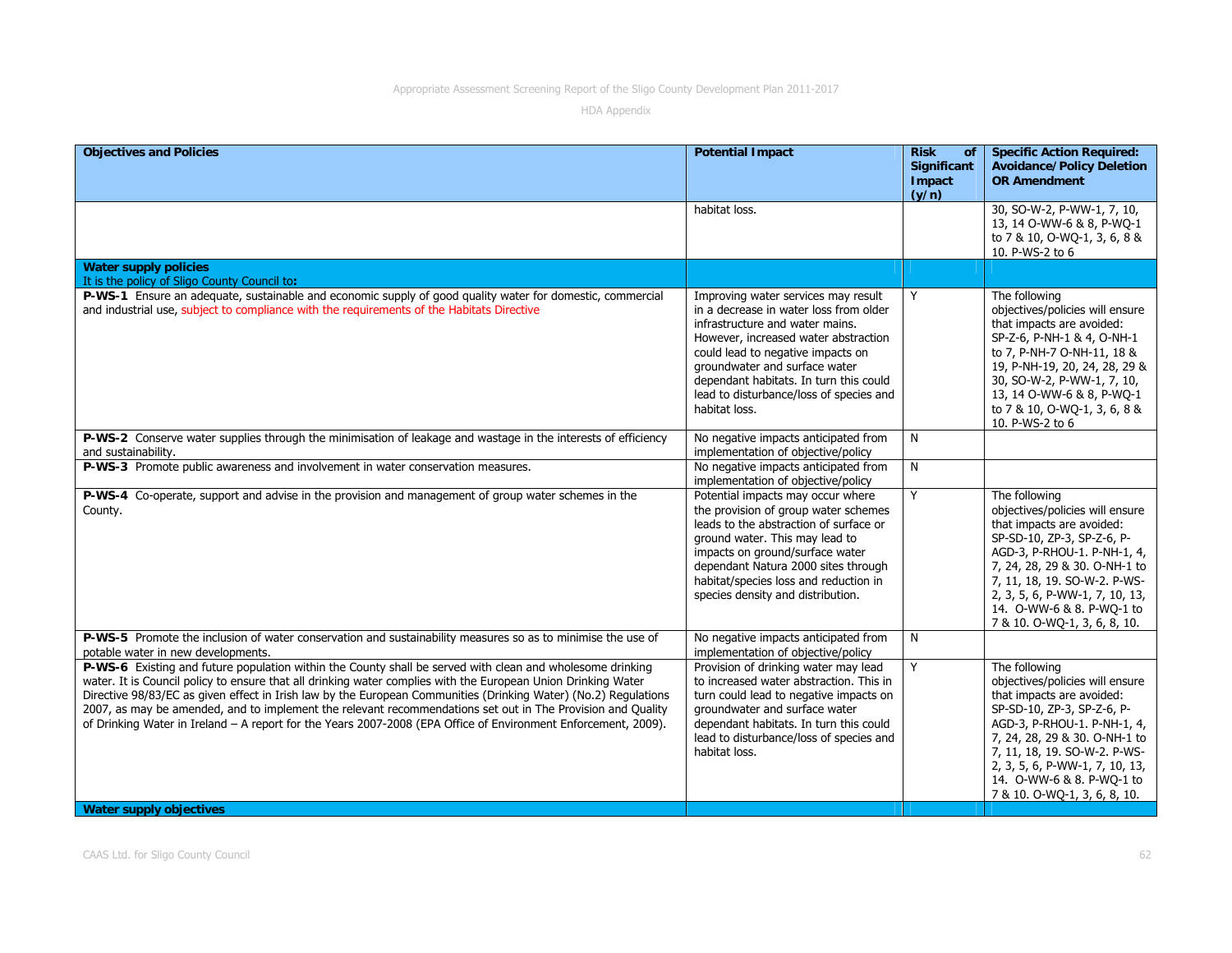| <b>Objectives and Policies</b>                                                                                                                                                                                                                                                                                                                                                                                                                                                                                                                                                 | <b>Potential Impact</b>                                                                                                                                                                                                                                                                                                              | <b>Risk</b><br>of              | <b>Specific Action Required:</b>                                                                                                                                                                                                                                                                           |
|--------------------------------------------------------------------------------------------------------------------------------------------------------------------------------------------------------------------------------------------------------------------------------------------------------------------------------------------------------------------------------------------------------------------------------------------------------------------------------------------------------------------------------------------------------------------------------|--------------------------------------------------------------------------------------------------------------------------------------------------------------------------------------------------------------------------------------------------------------------------------------------------------------------------------------|--------------------------------|------------------------------------------------------------------------------------------------------------------------------------------------------------------------------------------------------------------------------------------------------------------------------------------------------------|
|                                                                                                                                                                                                                                                                                                                                                                                                                                                                                                                                                                                |                                                                                                                                                                                                                                                                                                                                      | Significant<br>Impact<br>(y/n) | <b>Avoidance/Policy Deletion</b><br><b>OR Amendment</b>                                                                                                                                                                                                                                                    |
|                                                                                                                                                                                                                                                                                                                                                                                                                                                                                                                                                                                | habitat loss.                                                                                                                                                                                                                                                                                                                        |                                | 30, SO-W-2, P-WW-1, 7, 10,<br>13, 14 O-WW-6 & 8, P-WQ-1<br>to 7 & 10, O-WQ-1, 3, 6, 8 &<br>10. P-WS-2 to 6                                                                                                                                                                                                 |
| <b>Water supply policies</b><br>It is the policy of Sligo County Council to:                                                                                                                                                                                                                                                                                                                                                                                                                                                                                                   |                                                                                                                                                                                                                                                                                                                                      |                                |                                                                                                                                                                                                                                                                                                            |
| P-WS-1 Ensure an adequate, sustainable and economic supply of good quality water for domestic, commercial<br>and industrial use, subject to compliance with the requirements of the Habitats Directive                                                                                                                                                                                                                                                                                                                                                                         | Improving water services may result<br>in a decrease in water loss from older<br>infrastructure and water mains.<br>However, increased water abstraction<br>could lead to negative impacts on<br>groundwater and surface water<br>dependant habitats. In turn this could<br>lead to disturbance/loss of species and<br>habitat loss. | Y                              | The following<br>objectives/policies will ensure<br>that impacts are avoided:<br>SP-Z-6, P-NH-1 & 4, O-NH-1<br>to 7, P-NH-7 O-NH-11, 18 &<br>19, P-NH-19, 20, 24, 28, 29 &<br>30, SO-W-2, P-WW-1, 7, 10,<br>13, 14 O-WW-6 & 8, P-WQ-1<br>to 7 & 10, O-WQ-1, 3, 6, 8 &<br>10. P-WS-2 to 6                   |
| P-WS-2 Conserve water supplies through the minimisation of leakage and wastage in the interests of efficiency<br>and sustainability.                                                                                                                                                                                                                                                                                                                                                                                                                                           | No negative impacts anticipated from<br>implementation of objective/policy                                                                                                                                                                                                                                                           | N                              |                                                                                                                                                                                                                                                                                                            |
| P-WS-3 Promote public awareness and involvement in water conservation measures.                                                                                                                                                                                                                                                                                                                                                                                                                                                                                                | No negative impacts anticipated from<br>implementation of objective/policy                                                                                                                                                                                                                                                           | N                              |                                                                                                                                                                                                                                                                                                            |
| <b>P-WS-4</b> Co-operate, support and advise in the provision and management of group water schemes in the<br>County.                                                                                                                                                                                                                                                                                                                                                                                                                                                          | Potential impacts may occur where<br>the provision of group water schemes<br>leads to the abstraction of surface or<br>ground water. This may lead to<br>impacts on ground/surface water<br>dependant Natura 2000 sites through<br>habitat/species loss and reduction in<br>species density and distribution.                        | Y                              | The following<br>objectives/policies will ensure<br>that impacts are avoided:<br>SP-SD-10, ZP-3, SP-Z-6, P-<br>AGD-3, P-RHOU-1. P-NH-1, 4,<br>7, 24, 28, 29 & 30. O-NH-1 to<br>7, 11, 18, 19. SO-W-2. P-WS-<br>2, 3, 5, 6, P-WW-1, 7, 10, 13,<br>14. O-WW-6 & 8. P-WO-1 to<br>7 & 10. O-WQ-1, 3, 6, 8, 10. |
| P-WS-5 Promote the inclusion of water conservation and sustainability measures so as to minimise the use of<br>potable water in new developments.                                                                                                                                                                                                                                                                                                                                                                                                                              | No negative impacts anticipated from<br>implementation of objective/policy                                                                                                                                                                                                                                                           | N                              |                                                                                                                                                                                                                                                                                                            |
| P-WS-6 Existing and future population within the County shall be served with clean and wholesome drinking<br>water. It is Council policy to ensure that all drinking water complies with the European Union Drinking Water<br>Directive 98/83/EC as given effect in Irish law by the European Communities (Drinking Water) (No.2) Regulations<br>2007, as may be amended, and to implement the relevant recommendations set out in The Provision and Quality<br>of Drinking Water in Ireland - A report for the Years 2007-2008 (EPA Office of Environment Enforcement, 2009). | Provision of drinking water may lead<br>to increased water abstraction. This in<br>turn could lead to negative impacts on<br>groundwater and surface water<br>dependant habitats. In turn this could<br>lead to disturbance/loss of species and<br>habitat loss.                                                                     | Y                              | The following<br>objectives/policies will ensure<br>that impacts are avoided:<br>SP-SD-10, ZP-3, SP-Z-6, P-<br>AGD-3, P-RHOU-1. P-NH-1, 4,<br>7, 24, 28, 29 & 30. O-NH-1 to<br>7, 11, 18, 19. SO-W-2. P-WS-<br>2, 3, 5, 6, P-WW-1, 7, 10, 13,<br>14. O-WW-6 & 8. P-WO-1 to<br>7 & 10. O-WQ-1, 3, 6, 8, 10. |
| <b>Water supply objectives</b>                                                                                                                                                                                                                                                                                                                                                                                                                                                                                                                                                 |                                                                                                                                                                                                                                                                                                                                      |                                |                                                                                                                                                                                                                                                                                                            |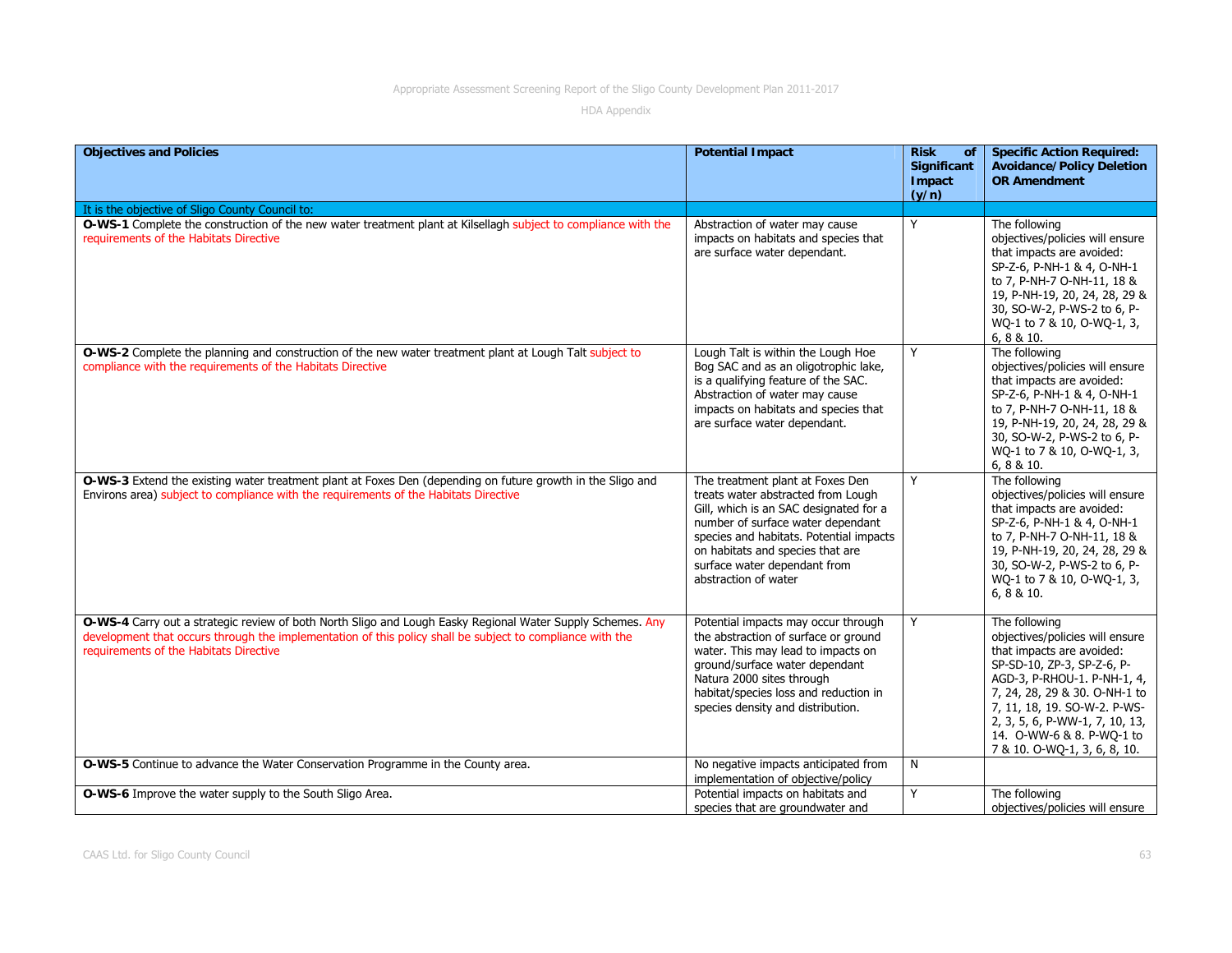| <b>Objectives and Policies</b>                                                                                                                                                                                                                                    | <b>Potential Impact</b>                                                                                                                                                                                                                                                                      | <b>Risk</b><br>of<br><b>Significant</b><br>Impact<br>(y/n) | <b>Specific Action Required:</b><br><b>Avoidance/Policy Deletion</b><br><b>OR Amendment</b>                                                                                                                                                                                                                |
|-------------------------------------------------------------------------------------------------------------------------------------------------------------------------------------------------------------------------------------------------------------------|----------------------------------------------------------------------------------------------------------------------------------------------------------------------------------------------------------------------------------------------------------------------------------------------|------------------------------------------------------------|------------------------------------------------------------------------------------------------------------------------------------------------------------------------------------------------------------------------------------------------------------------------------------------------------------|
| It is the objective of Sligo County Council to:                                                                                                                                                                                                                   |                                                                                                                                                                                                                                                                                              |                                                            |                                                                                                                                                                                                                                                                                                            |
| O-WS-1 Complete the construction of the new water treatment plant at Kilsellagh subject to compliance with the<br>requirements of the Habitats Directive                                                                                                          | Abstraction of water may cause<br>impacts on habitats and species that<br>are surface water dependant.                                                                                                                                                                                       | Y                                                          | The following<br>objectives/policies will ensure<br>that impacts are avoided:<br>SP-Z-6, P-NH-1 & 4, O-NH-1<br>to 7, P-NH-7 O-NH-11, 18 &<br>19, P-NH-19, 20, 24, 28, 29 &<br>30, SO-W-2, P-WS-2 to 6, P-<br>WQ-1 to 7 & 10, O-WQ-1, 3,<br>6, 8 & 10.                                                      |
| O-WS-2 Complete the planning and construction of the new water treatment plant at Lough Talt subject to<br>compliance with the requirements of the Habitats Directive                                                                                             | Lough Talt is within the Lough Hoe<br>Bog SAC and as an oligotrophic lake,<br>is a qualifying feature of the SAC.<br>Abstraction of water may cause<br>impacts on habitats and species that<br>are surface water dependant.                                                                  | Y                                                          | The following<br>objectives/policies will ensure<br>that impacts are avoided:<br>SP-Z-6, P-NH-1 & 4, O-NH-1<br>to 7, P-NH-7 O-NH-11, 18 &<br>19, P-NH-19, 20, 24, 28, 29 &<br>30, SO-W-2, P-WS-2 to 6, P-<br>WQ-1 to 7 & 10, O-WQ-1, 3,<br>6, 8 & 10.                                                      |
| O-WS-3 Extend the existing water treatment plant at Foxes Den (depending on future growth in the Sligo and<br>Environs area) subject to compliance with the requirements of the Habitats Directive                                                                | The treatment plant at Foxes Den<br>treats water abstracted from Lough<br>Gill, which is an SAC designated for a<br>number of surface water dependant<br>species and habitats. Potential impacts<br>on habitats and species that are<br>surface water dependant from<br>abstraction of water | Y                                                          | The following<br>objectives/policies will ensure<br>that impacts are avoided:<br>SP-Z-6, P-NH-1 & 4, O-NH-1<br>to 7, P-NH-7 O-NH-11, 18 &<br>19, P-NH-19, 20, 24, 28, 29 &<br>30, SO-W-2, P-WS-2 to 6, P-<br>WQ-1 to 7 & 10, O-WQ-1, 3,<br>6, 8 & 10.                                                      |
| O-WS-4 Carry out a strategic review of both North Sligo and Lough Easky Regional Water Supply Schemes. Any<br>development that occurs through the implementation of this policy shall be subject to compliance with the<br>requirements of the Habitats Directive | Potential impacts may occur through<br>the abstraction of surface or ground<br>water. This may lead to impacts on<br>ground/surface water dependant<br>Natura 2000 sites through<br>habitat/species loss and reduction in<br>species density and distribution.                               | Y                                                          | The following<br>objectives/policies will ensure<br>that impacts are avoided:<br>SP-SD-10, ZP-3, SP-Z-6, P-<br>AGD-3, P-RHOU-1. P-NH-1, 4,<br>7, 24, 28, 29 & 30. O-NH-1 to<br>7, 11, 18, 19. SO-W-2. P-WS-<br>2, 3, 5, 6, P-WW-1, 7, 10, 13,<br>14. O-WW-6 & 8. P-WQ-1 to<br>7 & 10. O-WQ-1, 3, 6, 8, 10. |
| O-WS-5 Continue to advance the Water Conservation Programme in the County area.                                                                                                                                                                                   | No negative impacts anticipated from<br>implementation of objective/policy                                                                                                                                                                                                                   | N                                                          |                                                                                                                                                                                                                                                                                                            |
| O-WS-6 Improve the water supply to the South Sligo Area.                                                                                                                                                                                                          | Potential impacts on habitats and<br>species that are groundwater and                                                                                                                                                                                                                        | Y                                                          | The following<br>objectives/policies will ensure                                                                                                                                                                                                                                                           |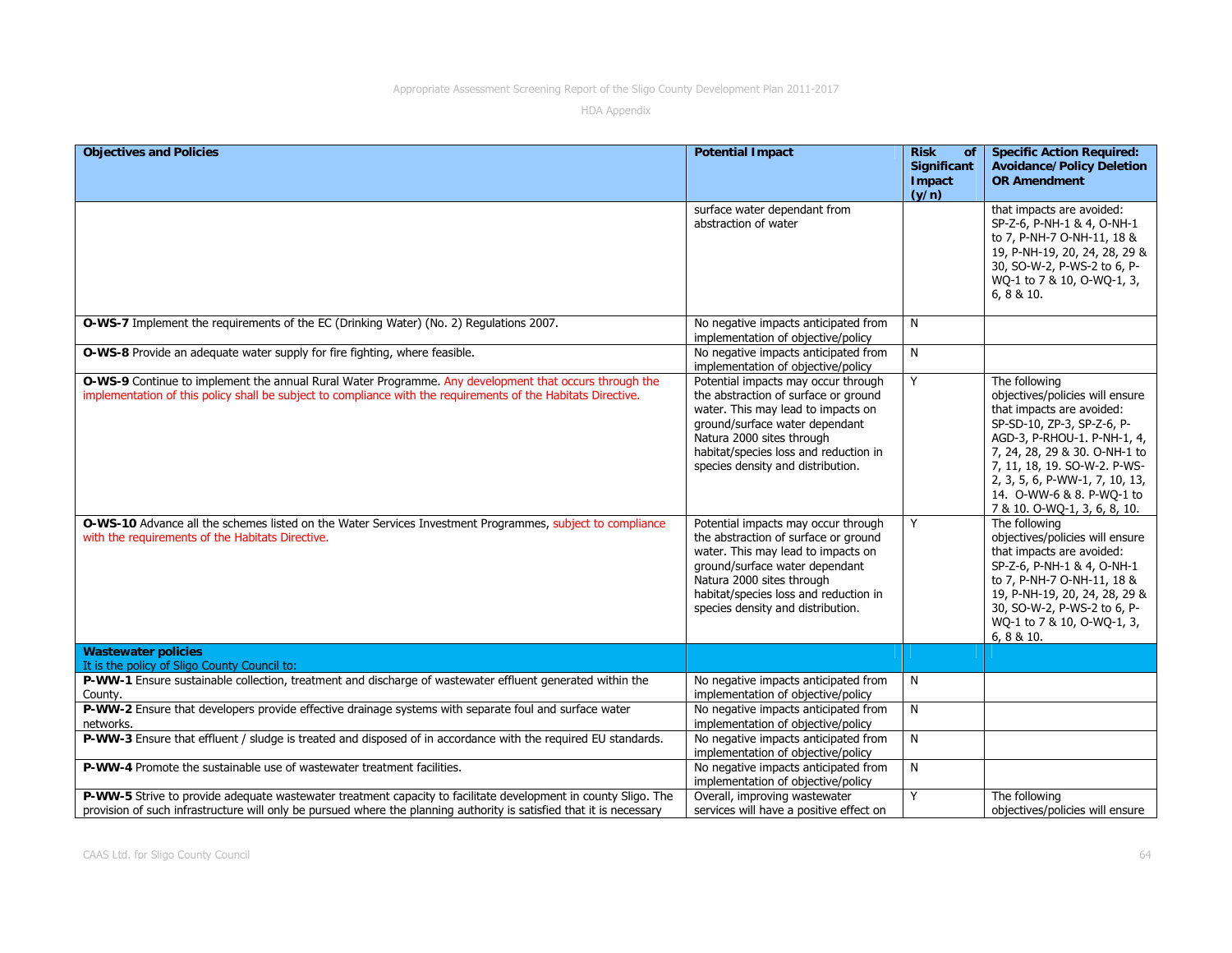| <b>Objectives and Policies</b>                                                                                                                                                                                                         | <b>Potential Impact</b>                                                                                                                                                                                                                                        | <b>Risk</b><br>of<br>Significant<br>Impact | <b>Specific Action Required:</b><br><b>Avoidance/Policy Deletion</b><br><b>OR Amendment</b>                                                                                                                                                                                                                |
|----------------------------------------------------------------------------------------------------------------------------------------------------------------------------------------------------------------------------------------|----------------------------------------------------------------------------------------------------------------------------------------------------------------------------------------------------------------------------------------------------------------|--------------------------------------------|------------------------------------------------------------------------------------------------------------------------------------------------------------------------------------------------------------------------------------------------------------------------------------------------------------|
|                                                                                                                                                                                                                                        |                                                                                                                                                                                                                                                                | (y/n)                                      |                                                                                                                                                                                                                                                                                                            |
|                                                                                                                                                                                                                                        | surface water dependant from<br>abstraction of water                                                                                                                                                                                                           |                                            | that impacts are avoided:<br>SP-Z-6, P-NH-1 & 4, O-NH-1<br>to 7, P-NH-7 O-NH-11, 18 &<br>19, P-NH-19, 20, 24, 28, 29 &<br>30, SO-W-2, P-WS-2 to 6, P-<br>WQ-1 to 7 & 10, O-WQ-1, 3,<br>6, 8 & 10.                                                                                                          |
| O-WS-7 Implement the requirements of the EC (Drinking Water) (No. 2) Regulations 2007.                                                                                                                                                 | No negative impacts anticipated from<br>implementation of objective/policy                                                                                                                                                                                     | N                                          |                                                                                                                                                                                                                                                                                                            |
| O-WS-8 Provide an adequate water supply for fire fighting, where feasible.                                                                                                                                                             | No negative impacts anticipated from<br>implementation of objective/policy                                                                                                                                                                                     | N                                          |                                                                                                                                                                                                                                                                                                            |
| O-WS-9 Continue to implement the annual Rural Water Programme. Any development that occurs through the<br>implementation of this policy shall be subject to compliance with the requirements of the Habitats Directive.                | Potential impacts may occur through<br>the abstraction of surface or ground<br>water. This may lead to impacts on<br>ground/surface water dependant<br>Natura 2000 sites through<br>habitat/species loss and reduction in<br>species density and distribution. | Y                                          | The following<br>objectives/policies will ensure<br>that impacts are avoided:<br>SP-SD-10, ZP-3, SP-Z-6, P-<br>AGD-3, P-RHOU-1. P-NH-1, 4,<br>7, 24, 28, 29 & 30. O-NH-1 to<br>7, 11, 18, 19. SO-W-2. P-WS-<br>2, 3, 5, 6, P-WW-1, 7, 10, 13,<br>14. O-WW-6 & 8. P-WO-1 to<br>7 & 10. O-WQ-1, 3, 6, 8, 10. |
| O-WS-10 Advance all the schemes listed on the Water Services Investment Programmes, subject to compliance<br>with the requirements of the Habitats Directive.                                                                          | Potential impacts may occur through<br>the abstraction of surface or ground<br>water. This may lead to impacts on<br>ground/surface water dependant<br>Natura 2000 sites through<br>habitat/species loss and reduction in<br>species density and distribution. | Y                                          | The following<br>objectives/policies will ensure<br>that impacts are avoided:<br>SP-Z-6, P-NH-1 & 4, O-NH-1<br>to 7, P-NH-7 O-NH-11, 18 &<br>19, P-NH-19, 20, 24, 28, 29 &<br>30, SO-W-2, P-WS-2 to 6, P-<br>WQ-1 to 7 & 10, O-WQ-1, 3,<br>6, 8 & 10.                                                      |
| <b>Wastewater policies</b><br>It is the policy of Sligo County Council to:                                                                                                                                                             |                                                                                                                                                                                                                                                                |                                            |                                                                                                                                                                                                                                                                                                            |
| P-WW-1 Ensure sustainable collection, treatment and discharge of wastewater effluent generated within the<br>County.                                                                                                                   | No negative impacts anticipated from<br>implementation of objective/policy                                                                                                                                                                                     | N                                          |                                                                                                                                                                                                                                                                                                            |
| P-WW-2 Ensure that developers provide effective drainage systems with separate foul and surface water<br>networks.                                                                                                                     | No negative impacts anticipated from<br>implementation of objective/policy                                                                                                                                                                                     | N                                          |                                                                                                                                                                                                                                                                                                            |
| P-WW-3 Ensure that effluent / sludge is treated and disposed of in accordance with the required EU standards.                                                                                                                          | No negative impacts anticipated from<br>implementation of objective/policy                                                                                                                                                                                     | N                                          |                                                                                                                                                                                                                                                                                                            |
| P-WW-4 Promote the sustainable use of wastewater treatment facilities.                                                                                                                                                                 | No negative impacts anticipated from<br>implementation of objective/policy                                                                                                                                                                                     | N                                          |                                                                                                                                                                                                                                                                                                            |
| P-WW-5 Strive to provide adequate wastewater treatment capacity to facilitate development in county Sligo. The<br>provision of such infrastructure will only be pursued where the planning authority is satisfied that it is necessary | Overall, improving wastewater<br>services will have a positive effect on                                                                                                                                                                                       | Y                                          | The following<br>objectives/policies will ensure                                                                                                                                                                                                                                                           |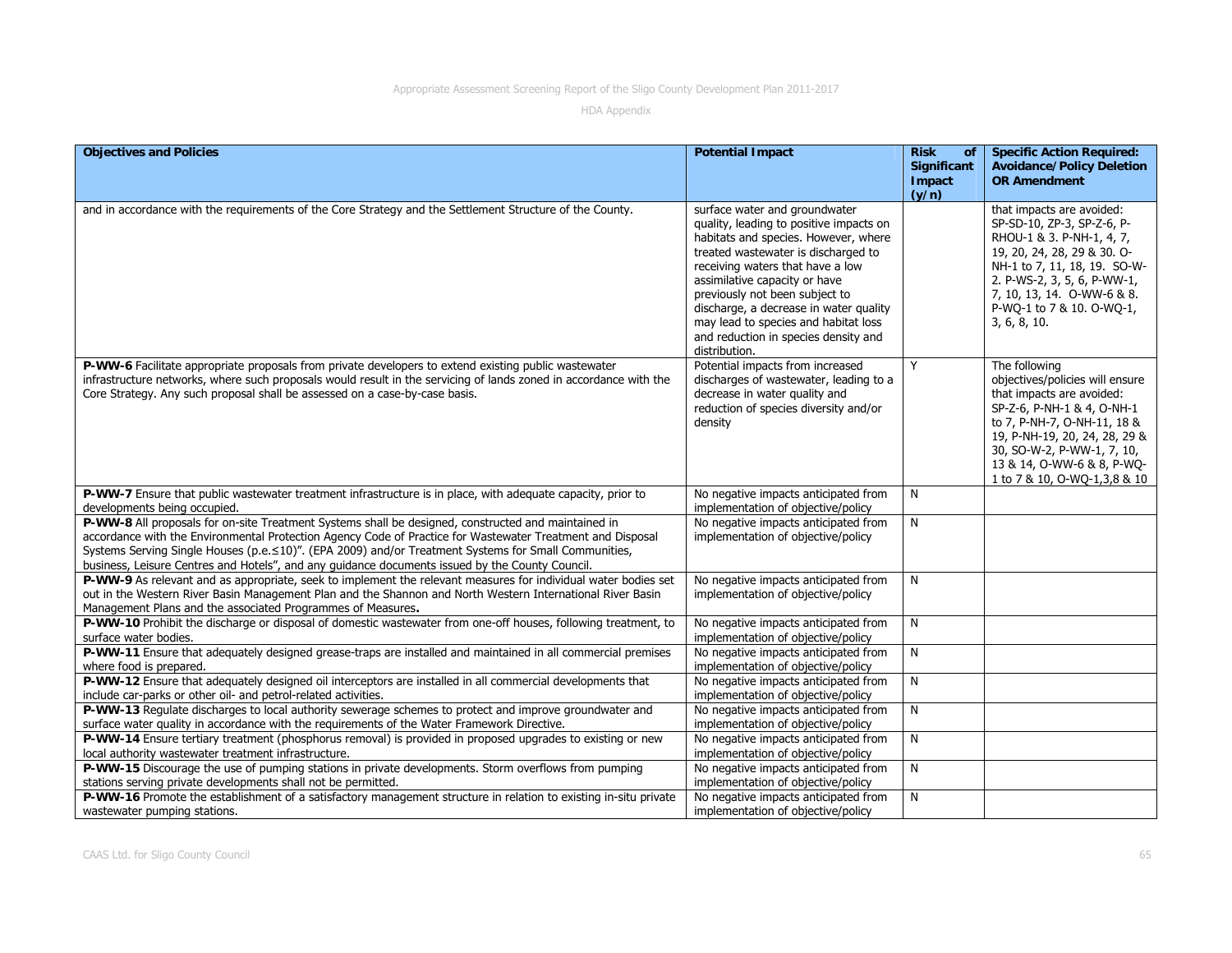| <b>Objectives and Policies</b>                                                                                                                                                                                                                                                                                                                                                                                                | <b>Potential Impact</b>                                                                                                                                                                                                                                                                                                                                                                                   | <b>Risk</b><br>of<br><b>Significant</b> | <b>Specific Action Required:</b><br><b>Avoidance/Policy Deletion</b>                                                                                                                                                                                                    |
|-------------------------------------------------------------------------------------------------------------------------------------------------------------------------------------------------------------------------------------------------------------------------------------------------------------------------------------------------------------------------------------------------------------------------------|-----------------------------------------------------------------------------------------------------------------------------------------------------------------------------------------------------------------------------------------------------------------------------------------------------------------------------------------------------------------------------------------------------------|-----------------------------------------|-------------------------------------------------------------------------------------------------------------------------------------------------------------------------------------------------------------------------------------------------------------------------|
|                                                                                                                                                                                                                                                                                                                                                                                                                               |                                                                                                                                                                                                                                                                                                                                                                                                           | Impact<br>(y/n)                         | <b>OR Amendment</b>                                                                                                                                                                                                                                                     |
| and in accordance with the requirements of the Core Strategy and the Settlement Structure of the County.                                                                                                                                                                                                                                                                                                                      | surface water and groundwater<br>quality, leading to positive impacts on<br>habitats and species. However, where<br>treated wastewater is discharged to<br>receiving waters that have a low<br>assimilative capacity or have<br>previously not been subject to<br>discharge, a decrease in water quality<br>may lead to species and habitat loss<br>and reduction in species density and<br>distribution. |                                         | that impacts are avoided:<br>SP-SD-10, ZP-3, SP-Z-6, P-<br>RHOU-1 & 3. P-NH-1, 4, 7,<br>19, 20, 24, 28, 29 & 30. O-<br>NH-1 to 7, 11, 18, 19. SO-W-<br>2. P-WS-2, 3, 5, 6, P-WW-1,<br>7, 10, 13, 14. O-WW-6 & 8.<br>P-WQ-1 to 7 & 10. O-WQ-1,<br>3, 6, 8, 10.           |
| P-WW-6 Facilitate appropriate proposals from private developers to extend existing public wastewater<br>infrastructure networks, where such proposals would result in the servicing of lands zoned in accordance with the<br>Core Strategy. Any such proposal shall be assessed on a case-by-case basis.                                                                                                                      | Potential impacts from increased<br>discharges of wastewater, leading to a<br>decrease in water quality and<br>reduction of species diversity and/or<br>density                                                                                                                                                                                                                                           | Y                                       | The following<br>objectives/policies will ensure<br>that impacts are avoided:<br>SP-Z-6, P-NH-1 & 4, O-NH-1<br>to 7, P-NH-7, O-NH-11, 18 &<br>19, P-NH-19, 20, 24, 28, 29 &<br>30, SO-W-2, P-WW-1, 7, 10,<br>13 & 14, O-WW-6 & 8, P-WQ-<br>1 to 7 & 10, O-WQ-1,3,8 & 10 |
| P-WW-7 Ensure that public wastewater treatment infrastructure is in place, with adequate capacity, prior to<br>developments being occupied.                                                                                                                                                                                                                                                                                   | No negative impacts anticipated from<br>implementation of objective/policy                                                                                                                                                                                                                                                                                                                                | N                                       |                                                                                                                                                                                                                                                                         |
| P-WW-8 All proposals for on-site Treatment Systems shall be designed, constructed and maintained in<br>accordance with the Environmental Protection Agency Code of Practice for Wastewater Treatment and Disposal<br>Systems Serving Single Houses (p.e. ≤10)". (EPA 2009) and/or Treatment Systems for Small Communities,<br>business, Leisure Centres and Hotels", and any guidance documents issued by the County Council. | No negative impacts anticipated from<br>implementation of objective/policy                                                                                                                                                                                                                                                                                                                                | N                                       |                                                                                                                                                                                                                                                                         |
| P-WW-9 As relevant and as appropriate, seek to implement the relevant measures for individual water bodies set<br>out in the Western River Basin Management Plan and the Shannon and North Western International River Basin<br>Management Plans and the associated Programmes of Measures.                                                                                                                                   | No negative impacts anticipated from<br>implementation of objective/policy                                                                                                                                                                                                                                                                                                                                | N                                       |                                                                                                                                                                                                                                                                         |
| P-WW-10 Prohibit the discharge or disposal of domestic wastewater from one-off houses, following treatment, to<br>surface water bodies.                                                                                                                                                                                                                                                                                       | No negative impacts anticipated from<br>implementation of objective/policy                                                                                                                                                                                                                                                                                                                                | N                                       |                                                                                                                                                                                                                                                                         |
| P-WW-11 Ensure that adequately designed grease-traps are installed and maintained in all commercial premises<br>where food is prepared.                                                                                                                                                                                                                                                                                       | No negative impacts anticipated from<br>implementation of objective/policy                                                                                                                                                                                                                                                                                                                                | N                                       |                                                                                                                                                                                                                                                                         |
| P-WW-12 Ensure that adequately designed oil interceptors are installed in all commercial developments that<br>include car-parks or other oil- and petrol-related activities.                                                                                                                                                                                                                                                  | No negative impacts anticipated from<br>implementation of objective/policy                                                                                                                                                                                                                                                                                                                                | N                                       |                                                                                                                                                                                                                                                                         |
| P-WW-13 Regulate discharges to local authority sewerage schemes to protect and improve groundwater and<br>surface water quality in accordance with the requirements of the Water Framework Directive.                                                                                                                                                                                                                         | No negative impacts anticipated from<br>implementation of objective/policy                                                                                                                                                                                                                                                                                                                                | N                                       |                                                                                                                                                                                                                                                                         |
| P-WW-14 Ensure tertiary treatment (phosphorus removal) is provided in proposed upgrades to existing or new<br>local authority wastewater treatment infrastructure.                                                                                                                                                                                                                                                            | No negative impacts anticipated from<br>implementation of objective/policy                                                                                                                                                                                                                                                                                                                                | N                                       |                                                                                                                                                                                                                                                                         |
| P-WW-15 Discourage the use of pumping stations in private developments. Storm overflows from pumping<br>stations serving private developments shall not be permitted.                                                                                                                                                                                                                                                         | No negative impacts anticipated from<br>implementation of objective/policy                                                                                                                                                                                                                                                                                                                                | N                                       |                                                                                                                                                                                                                                                                         |
| P-WW-16 Promote the establishment of a satisfactory management structure in relation to existing in-situ private<br>wastewater pumping stations.                                                                                                                                                                                                                                                                              | No negative impacts anticipated from<br>implementation of objective/policy                                                                                                                                                                                                                                                                                                                                | N                                       |                                                                                                                                                                                                                                                                         |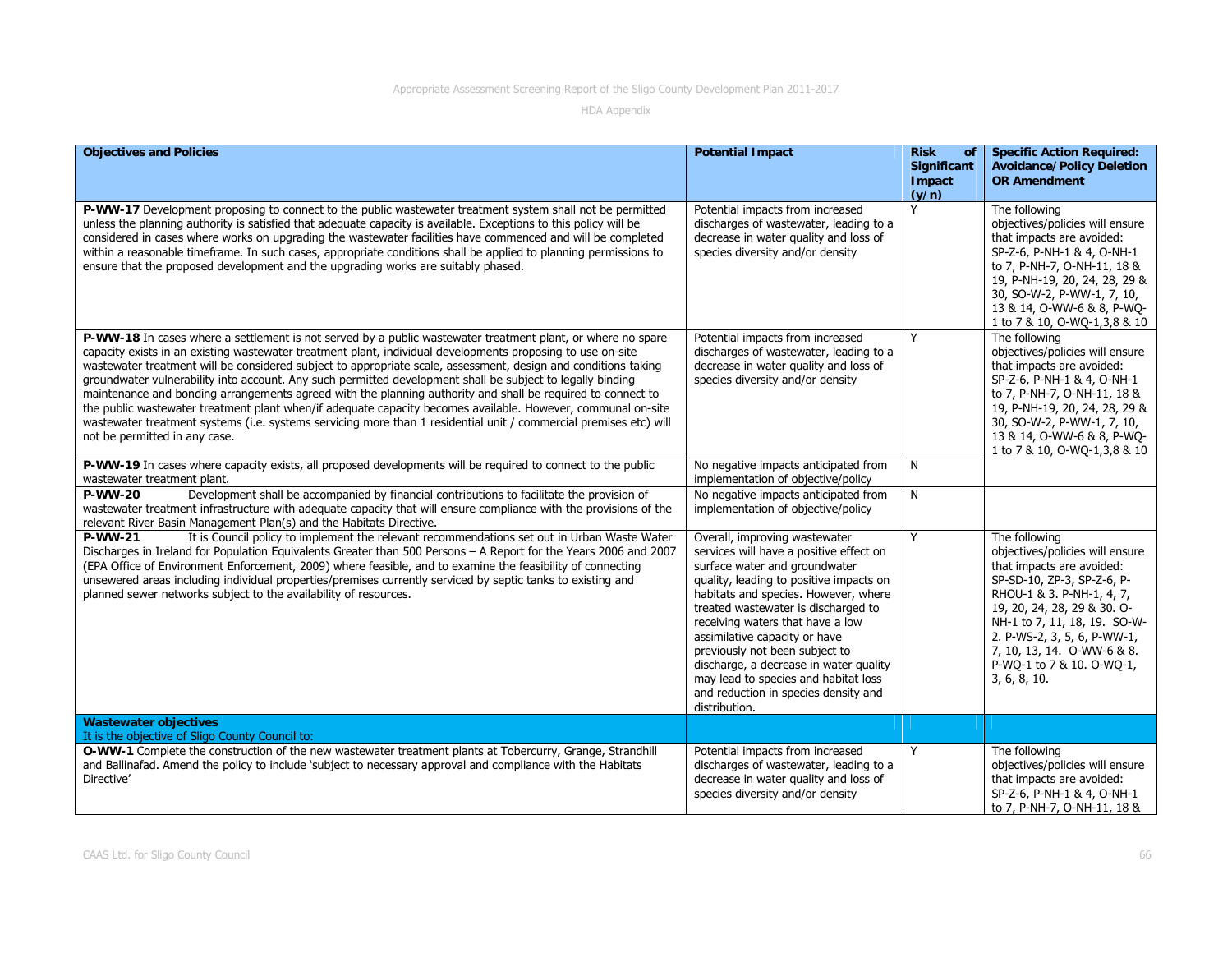| <b>Objectives and Policies</b>                                                                                                                                                                                                                                                                                                                                                                                                                                                                                                                                                                                                                                                                                                                                                                                                                  | <b>Potential Impact</b>                                                                                                                                                                                                                                                                                                                                                                                                                                                               | <b>Risk</b><br><b>of</b><br>Significant<br>Impact<br>(y/n) | <b>Specific Action Required:</b><br><b>Avoidance/Policy Deletion</b><br><b>OR Amendment</b>                                                                                                                                                                                                                       |
|-------------------------------------------------------------------------------------------------------------------------------------------------------------------------------------------------------------------------------------------------------------------------------------------------------------------------------------------------------------------------------------------------------------------------------------------------------------------------------------------------------------------------------------------------------------------------------------------------------------------------------------------------------------------------------------------------------------------------------------------------------------------------------------------------------------------------------------------------|---------------------------------------------------------------------------------------------------------------------------------------------------------------------------------------------------------------------------------------------------------------------------------------------------------------------------------------------------------------------------------------------------------------------------------------------------------------------------------------|------------------------------------------------------------|-------------------------------------------------------------------------------------------------------------------------------------------------------------------------------------------------------------------------------------------------------------------------------------------------------------------|
| P-WW-17 Development proposing to connect to the public wastewater treatment system shall not be permitted<br>unless the planning authority is satisfied that adequate capacity is available. Exceptions to this policy will be<br>considered in cases where works on upgrading the wastewater facilities have commenced and will be completed<br>within a reasonable timeframe. In such cases, appropriate conditions shall be applied to planning permissions to<br>ensure that the proposed development and the upgrading works are suitably phased.                                                                                                                                                                                                                                                                                          | Potential impacts from increased<br>discharges of wastewater, leading to a<br>decrease in water quality and loss of<br>species diversity and/or density                                                                                                                                                                                                                                                                                                                               | Y                                                          | The following<br>objectives/policies will ensure<br>that impacts are avoided:<br>SP-Z-6, P-NH-1 & 4, O-NH-1<br>to 7, P-NH-7, O-NH-11, 18 &<br>19, P-NH-19, 20, 24, 28, 29 &<br>30, SO-W-2, P-WW-1, 7, 10,<br>13 & 14, O-WW-6 & 8, P-WO-<br>1 to 7 & 10, O-WQ-1,3,8 & 10                                           |
| P-WW-18 In cases where a settlement is not served by a public wastewater treatment plant, or where no spare<br>capacity exists in an existing wastewater treatment plant, individual developments proposing to use on-site<br>wastewater treatment will be considered subject to appropriate scale, assessment, design and conditions taking<br>groundwater vulnerability into account. Any such permitted development shall be subject to legally binding<br>maintenance and bonding arrangements agreed with the planning authority and shall be required to connect to<br>the public wastewater treatment plant when/if adequate capacity becomes available. However, communal on-site<br>wastewater treatment systems (i.e. systems servicing more than 1 residential unit / commercial premises etc) will<br>not be permitted in any case. | Potential impacts from increased<br>discharges of wastewater, leading to a<br>decrease in water quality and loss of<br>species diversity and/or density                                                                                                                                                                                                                                                                                                                               | Y                                                          | The following<br>objectives/policies will ensure<br>that impacts are avoided:<br>SP-Z-6, P-NH-1 & 4, O-NH-1<br>to 7, P-NH-7, O-NH-11, 18 &<br>19, P-NH-19, 20, 24, 28, 29 &<br>30, SO-W-2, P-WW-1, 7, 10,<br>13 & 14, O-WW-6 & 8, P-WQ-<br>1 to 7 & 10, O-WQ-1,3,8 & 10                                           |
| P-WW-19 In cases where capacity exists, all proposed developments will be required to connect to the public<br>wastewater treatment plant.                                                                                                                                                                                                                                                                                                                                                                                                                                                                                                                                                                                                                                                                                                      | No negative impacts anticipated from<br>implementation of objective/policy                                                                                                                                                                                                                                                                                                                                                                                                            | N                                                          |                                                                                                                                                                                                                                                                                                                   |
| Development shall be accompanied by financial contributions to facilitate the provision of<br><b>P-WW-20</b><br>wastewater treatment infrastructure with adequate capacity that will ensure compliance with the provisions of the<br>relevant River Basin Management Plan(s) and the Habitats Directive.                                                                                                                                                                                                                                                                                                                                                                                                                                                                                                                                        | No negative impacts anticipated from<br>implementation of objective/policy                                                                                                                                                                                                                                                                                                                                                                                                            | N                                                          |                                                                                                                                                                                                                                                                                                                   |
| It is Council policy to implement the relevant recommendations set out in Urban Waste Water<br><b>P-WW-21</b><br>Discharges in Ireland for Population Equivalents Greater than 500 Persons - A Report for the Years 2006 and 2007<br>(EPA Office of Environment Enforcement, 2009) where feasible, and to examine the feasibility of connecting<br>unsewered areas including individual properties/premises currently serviced by septic tanks to existing and<br>planned sewer networks subject to the availability of resources.                                                                                                                                                                                                                                                                                                              | Overall, improving wastewater<br>services will have a positive effect on<br>surface water and groundwater<br>quality, leading to positive impacts on<br>habitats and species. However, where<br>treated wastewater is discharged to<br>receiving waters that have a low<br>assimilative capacity or have<br>previously not been subject to<br>discharge, a decrease in water quality<br>may lead to species and habitat loss<br>and reduction in species density and<br>distribution. | Y                                                          | The following<br>objectives/policies will ensure<br>that impacts are avoided:<br>SP-SD-10, ZP-3, SP-Z-6, P-<br>RHOU-1 & 3. P-NH-1, 4, 7,<br>19, 20, 24, 28, 29 & 30. O-<br>NH-1 to 7, 11, 18, 19. SO-W-<br>2. P-WS-2, 3, 5, 6, P-WW-1,<br>7, 10, 13, 14. O-WW-6 & 8.<br>P-WQ-1 to 7 & 10. O-WQ-1,<br>3, 6, 8, 10. |
| <b>Wastewater objectives</b><br>It is the objective of Sligo County Council to:                                                                                                                                                                                                                                                                                                                                                                                                                                                                                                                                                                                                                                                                                                                                                                 |                                                                                                                                                                                                                                                                                                                                                                                                                                                                                       |                                                            |                                                                                                                                                                                                                                                                                                                   |
| O-WW-1 Complete the construction of the new wastewater treatment plants at Tobercurry, Grange, Strandhill<br>and Ballinafad. Amend the policy to include 'subject to necessary approval and compliance with the Habitats<br>Directive'                                                                                                                                                                                                                                                                                                                                                                                                                                                                                                                                                                                                          | Potential impacts from increased<br>discharges of wastewater, leading to a<br>decrease in water quality and loss of<br>species diversity and/or density                                                                                                                                                                                                                                                                                                                               | Y                                                          | The following<br>objectives/policies will ensure<br>that impacts are avoided:<br>SP-Z-6, P-NH-1 & 4, O-NH-1<br>to 7, P-NH-7, O-NH-11, 18 &                                                                                                                                                                        |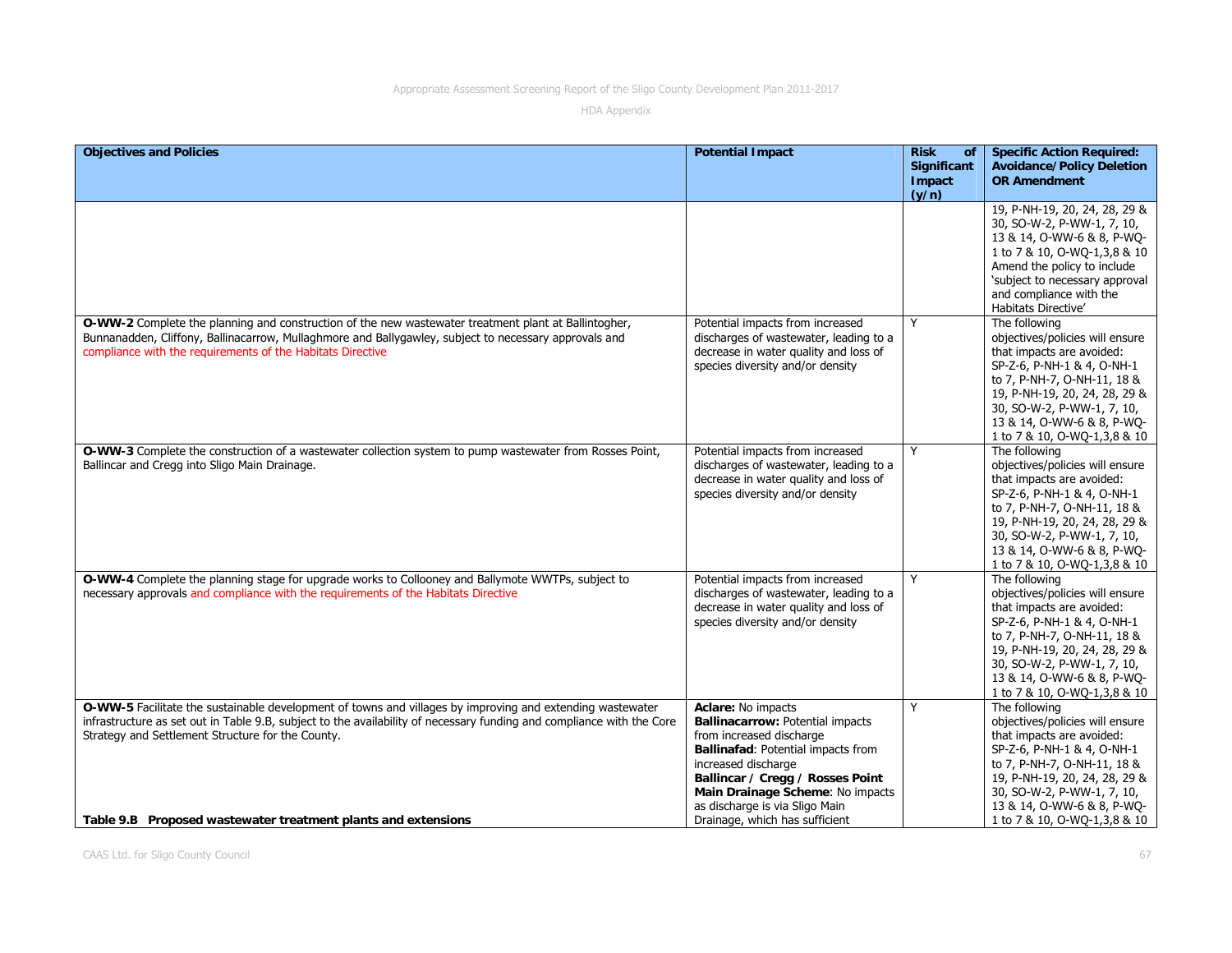| <b>Objectives and Policies</b>                                                                                                                                                                                                                                                                                                                           | <b>Potential Impact</b>                                                                                                                                                                                                                                                                     | <b>Risk</b><br>of<br><b>Significant</b> | <b>Specific Action Required:</b><br><b>Avoidance/Policy Deletion</b>                                                                                                                                                                                                    |
|----------------------------------------------------------------------------------------------------------------------------------------------------------------------------------------------------------------------------------------------------------------------------------------------------------------------------------------------------------|---------------------------------------------------------------------------------------------------------------------------------------------------------------------------------------------------------------------------------------------------------------------------------------------|-----------------------------------------|-------------------------------------------------------------------------------------------------------------------------------------------------------------------------------------------------------------------------------------------------------------------------|
|                                                                                                                                                                                                                                                                                                                                                          |                                                                                                                                                                                                                                                                                             | Impact<br>(y/n)                         | <b>OR Amendment</b>                                                                                                                                                                                                                                                     |
|                                                                                                                                                                                                                                                                                                                                                          |                                                                                                                                                                                                                                                                                             |                                         | 19, P-NH-19, 20, 24, 28, 29 &<br>30, SO-W-2, P-WW-1, 7, 10,<br>13 & 14, O-WW-6 & 8, P-WO-<br>1 to 7 & 10, O-WQ-1,3,8 & 10<br>Amend the policy to include<br>'subject to necessary approval<br>and compliance with the<br>Habitats Directive'                            |
| O-WW-2 Complete the planning and construction of the new wastewater treatment plant at Ballintogher,<br>Bunnanadden, Cliffony, Ballinacarrow, Mullaghmore and Ballygawley, subject to necessary approvals and<br>compliance with the requirements of the Habitats Directive                                                                              | Potential impacts from increased<br>discharges of wastewater, leading to a<br>decrease in water quality and loss of<br>species diversity and/or density                                                                                                                                     | Y                                       | The following<br>objectives/policies will ensure<br>that impacts are avoided:<br>SP-Z-6, P-NH-1 & 4, O-NH-1<br>to 7, P-NH-7, O-NH-11, 18 &<br>19, P-NH-19, 20, 24, 28, 29 &<br>30, SO-W-2, P-WW-1, 7, 10,<br>13 & 14, O-WW-6 & 8, P-WQ-<br>1 to 7 & 10, O-WQ-1,3,8 & 10 |
| O-WW-3 Complete the construction of a wastewater collection system to pump wastewater from Rosses Point,<br>Ballincar and Cregg into Sligo Main Drainage.                                                                                                                                                                                                | Potential impacts from increased<br>discharges of wastewater, leading to a<br>decrease in water quality and loss of<br>species diversity and/or density                                                                                                                                     | Y                                       | The following<br>objectives/policies will ensure<br>that impacts are avoided:<br>SP-Z-6, P-NH-1 & 4, O-NH-1<br>to 7, P-NH-7, O-NH-11, 18 &<br>19, P-NH-19, 20, 24, 28, 29 &<br>30, SO-W-2, P-WW-1, 7, 10,<br>13 & 14, O-WW-6 & 8, P-WO-<br>1 to 7 & 10, O-WQ-1,3,8 & 10 |
| O-WW-4 Complete the planning stage for upgrade works to Collooney and Ballymote WWTPs, subject to<br>necessary approvals and compliance with the requirements of the Habitats Directive                                                                                                                                                                  | Potential impacts from increased<br>discharges of wastewater, leading to a<br>decrease in water quality and loss of<br>species diversity and/or density                                                                                                                                     | Y                                       | The following<br>objectives/policies will ensure<br>that impacts are avoided:<br>SP-Z-6, P-NH-1 & 4, O-NH-1<br>to 7, P-NH-7, O-NH-11, 18 &<br>19, P-NH-19, 20, 24, 28, 29 &<br>30, SO-W-2, P-WW-1, 7, 10,<br>13 & 14, O-WW-6 & 8, P-WQ-<br>1 to 7 & 10, O-WQ-1,3,8 & 10 |
| O-WW-5 Facilitate the sustainable development of towns and villages by improving and extending wastewater<br>infrastructure as set out in Table 9.B, subject to the availability of necessary funding and compliance with the Core<br>Strategy and Settlement Structure for the County.<br>Table 9.B Proposed wastewater treatment plants and extensions | Aclare: No impacts<br>Ballinacarrow: Potential impacts<br>from increased discharge<br>Ballinafad: Potential impacts from<br>increased discharge<br>Ballincar / Cregg / Rosses Point<br>Main Drainage Scheme: No impacts<br>as discharge is via Sligo Main<br>Drainage, which has sufficient | Y                                       | The following<br>objectives/policies will ensure<br>that impacts are avoided:<br>SP-Z-6, P-NH-1 & 4, O-NH-1<br>to 7, P-NH-7, O-NH-11, 18 &<br>19, P-NH-19, 20, 24, 28, 29 &<br>30, SO-W-2, P-WW-1, 7, 10,<br>13 & 14, O-WW-6 & 8, P-WQ-<br>1 to 7 & 10, O-WQ-1,3,8 & 10 |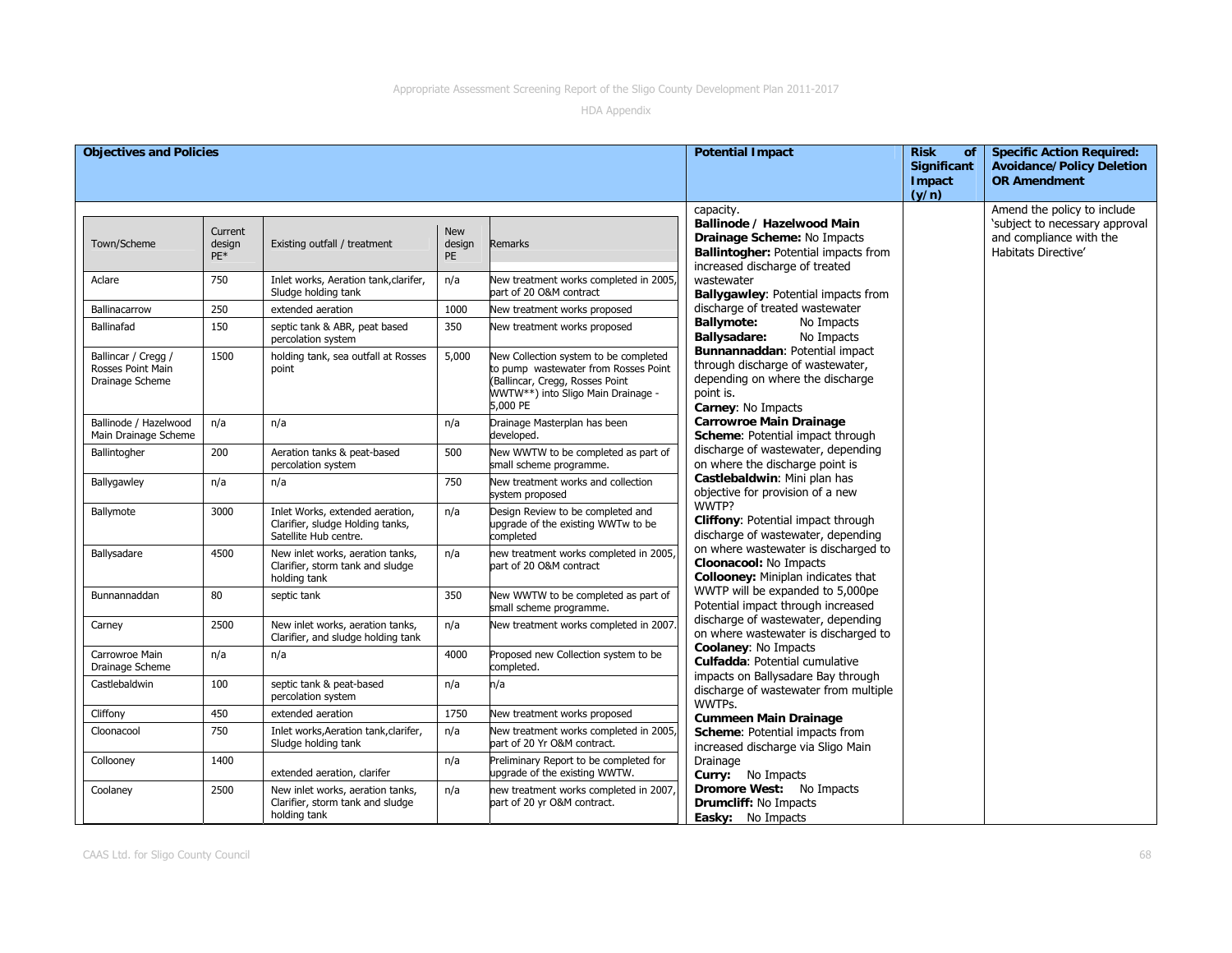| <b>Objectives and Policies</b>                              |                          |                                                                                              |                            |                                                                                                                                                                    | <b>Potential Impact</b>                                                                                                                          | <b>Risk</b><br><b>of</b><br><b>Significant</b><br><b>Impact</b><br>(y/n) | <b>Specific Action Required:</b><br><b>Avoidance/Policy Deletion</b><br><b>OR Amendment</b>                     |
|-------------------------------------------------------------|--------------------------|----------------------------------------------------------------------------------------------|----------------------------|--------------------------------------------------------------------------------------------------------------------------------------------------------------------|--------------------------------------------------------------------------------------------------------------------------------------------------|--------------------------------------------------------------------------|-----------------------------------------------------------------------------------------------------------------|
| Town/Scheme                                                 | Current<br>design<br>PE* | Existing outfall / treatment                                                                 | <b>New</b><br>design<br>PE | Remarks                                                                                                                                                            | capacity.<br>Ballinode / Hazelwood Main<br>Drainage Scheme: No Impacts<br>Ballintogher: Potential impacts from<br>increased discharge of treated |                                                                          | Amend the policy to include<br>'subject to necessary approval<br>and compliance with the<br>Habitats Directive' |
| Aclare                                                      | 750                      | Inlet works, Aeration tank, clarifer,<br>Sludge holding tank                                 | n/a                        | New treatment works completed in 2005,<br>part of 20 O&M contract                                                                                                  | wastewater<br>Ballygawley: Potential impacts from                                                                                                |                                                                          |                                                                                                                 |
| Ballinacarrow                                               | 250                      | extended aeration                                                                            | 1000                       | New treatment works proposed                                                                                                                                       | discharge of treated wastewater                                                                                                                  |                                                                          |                                                                                                                 |
| Ballinafad                                                  | 150                      | septic tank & ABR, peat based<br>percolation system                                          | 350                        | New treatment works proposed                                                                                                                                       | <b>Ballymote:</b><br>No Impacts<br><b>Ballysadare:</b><br>No Impacts                                                                             |                                                                          |                                                                                                                 |
| Ballincar / Cregg /<br>Rosses Point Main<br>Drainage Scheme | 1500                     | holding tank, sea outfall at Rosses<br>point                                                 | 5,000                      | New Collection system to be completed<br>to pump wastewater from Rosses Point<br>(Ballincar, Cregg, Rosses Point<br>WWTW**) into Sligo Main Drainage -<br>5,000 PE | Bunnannaddan: Potential impact<br>through discharge of wastewater,<br>depending on where the discharge<br>point is.<br>Carney: No Impacts        |                                                                          |                                                                                                                 |
| Ballinode / Hazelwood<br>Main Drainage Scheme               | n/a                      | n/a                                                                                          | n/a                        | Drainage Masterplan has been<br>developed.                                                                                                                         | <b>Carrowroe Main Drainage</b><br>Scheme: Potential impact through                                                                               |                                                                          |                                                                                                                 |
| Ballintogher                                                | 200                      | Aeration tanks & peat-based<br>percolation system                                            | 500                        | New WWTW to be completed as part of<br>small scheme programme.                                                                                                     | discharge of wastewater, depending<br>on where the discharge point is                                                                            |                                                                          |                                                                                                                 |
| Ballygawley                                                 | n/a                      | n/a                                                                                          | 750                        | New treatment works and collection<br>system proposed                                                                                                              | Castlebaldwin: Mini plan has<br>objective for provision of a new                                                                                 |                                                                          |                                                                                                                 |
| Ballymote                                                   | 3000                     | Inlet Works, extended aeration,<br>Clarifier, sludge Holding tanks,<br>Satellite Hub centre. | n/a                        | Design Review to be completed and<br>upgrade of the existing WWTw to be<br>completed                                                                               | WWTP?<br>Cliffony: Potential impact through<br>discharge of wastewater, depending                                                                |                                                                          |                                                                                                                 |
| Ballysadare                                                 | 4500                     | New inlet works, aeration tanks,<br>Clarifier, storm tank and sludge<br>holding tank         | n/a                        | new treatment works completed in 2005,<br>part of 20 O&M contract                                                                                                  | on where wastewater is discharged to<br>Cloonacool: No Impacts<br>Collooney: Miniplan indicates that                                             |                                                                          |                                                                                                                 |
| Bunnannaddan                                                | 80                       | septic tank                                                                                  | 350                        | New WWTW to be completed as part of<br>small scheme programme.                                                                                                     | WWTP will be expanded to 5,000pe<br>Potential impact through increased                                                                           |                                                                          |                                                                                                                 |
| Carney                                                      | 2500                     | New inlet works, aeration tanks,<br>Clarifier, and sludge holding tank                       | n/a                        | New treatment works completed in 2007.                                                                                                                             | discharge of wastewater, depending<br>on where wastewater is discharged to                                                                       |                                                                          |                                                                                                                 |
| Carrowroe Main<br>Drainage Scheme                           | n/a                      | n/a                                                                                          | 4000                       | Proposed new Collection system to be<br>completed.                                                                                                                 | Coolaney: No Impacts<br>Culfadda: Potential cumulative                                                                                           |                                                                          |                                                                                                                 |
| Castlebaldwin                                               | 100                      | septic tank & peat-based<br>percolation system                                               | n/a                        | n/a                                                                                                                                                                | impacts on Ballysadare Bay through<br>discharge of wastewater from multiple<br>WWTPs.                                                            |                                                                          |                                                                                                                 |
| Cliffony                                                    | 450                      | extended aeration                                                                            | 1750                       | New treatment works proposed                                                                                                                                       | <b>Cummeen Main Drainage</b>                                                                                                                     |                                                                          |                                                                                                                 |
| Cloonacool                                                  | 750                      | Inlet works, Aeration tank, clarifer,<br>Sludge holding tank                                 | n/a                        | New treatment works completed in 2005,<br>part of 20 Yr O&M contract.                                                                                              | Scheme: Potential impacts from<br>increased discharge via Sligo Main                                                                             |                                                                          |                                                                                                                 |
| Collooney                                                   | 1400                     | extended aeration, clarifer                                                                  | n/a                        | Preliminary Report to be completed for<br>upgrade of the existing WWTW.                                                                                            | Drainage<br>Curry: No Impacts                                                                                                                    |                                                                          |                                                                                                                 |
| Coolaney                                                    | 2500                     | New inlet works, aeration tanks,<br>Clarifier, storm tank and sludge<br>holding tank         | n/a                        | new treatment works completed in 2007,<br>part of 20 yr O&M contract.                                                                                              | Dromore West: No Impacts<br>Drumcliff: No Impacts<br>Easky: No Impacts                                                                           |                                                                          |                                                                                                                 |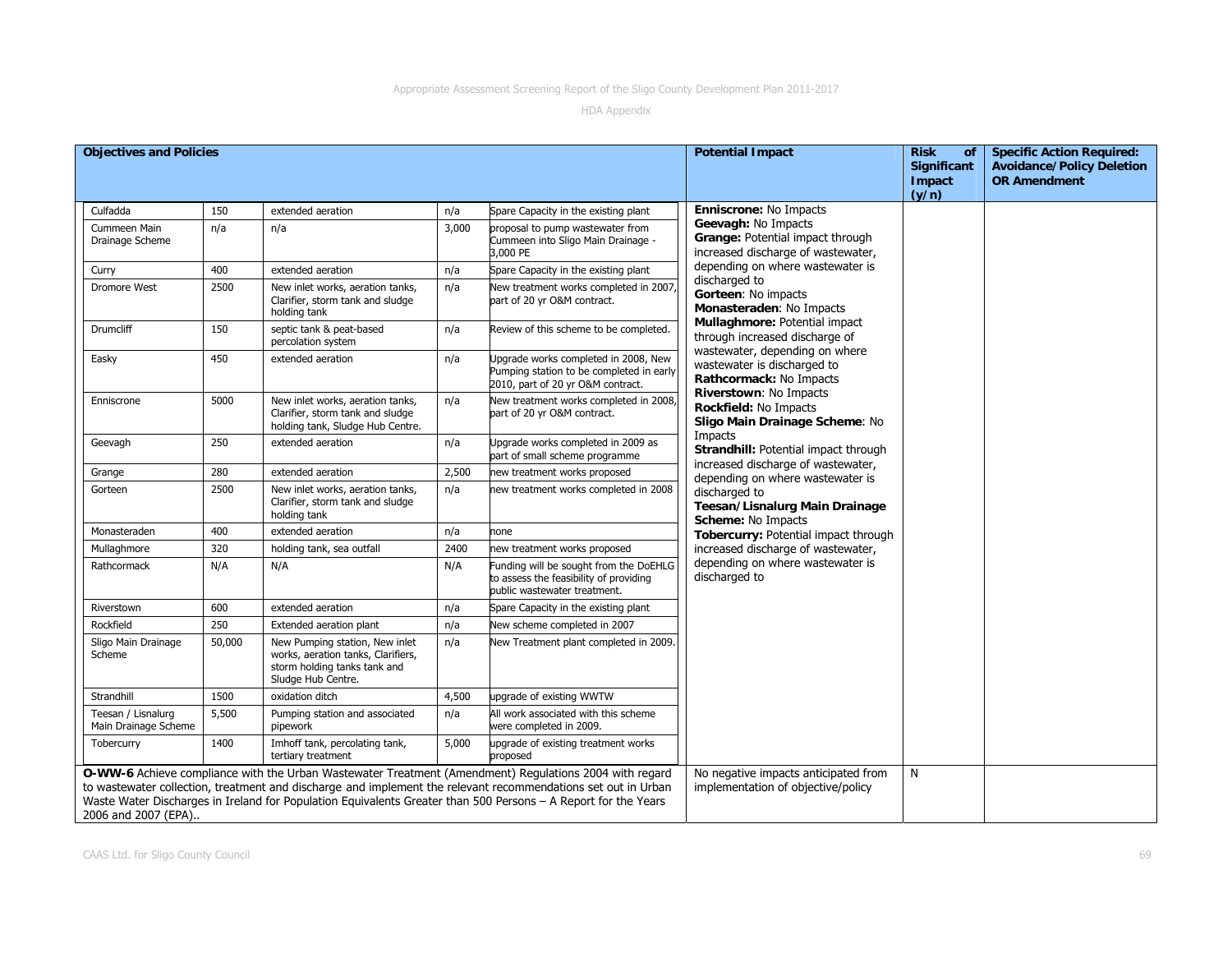| <b>Objectives and Policies</b>             |        |                                                                                                                            |       |                                                                                                                                                                                                                                 | <b>Potential Impact</b>                                                                       | <b>Risk</b><br>of                     | <b>Specific Action Required:</b>                        |
|--------------------------------------------|--------|----------------------------------------------------------------------------------------------------------------------------|-------|---------------------------------------------------------------------------------------------------------------------------------------------------------------------------------------------------------------------------------|-----------------------------------------------------------------------------------------------|---------------------------------------|---------------------------------------------------------|
|                                            |        |                                                                                                                            |       |                                                                                                                                                                                                                                 |                                                                                               | <b>Significant</b><br>Impact<br>(y/n) | <b>Avoidance/Policy Deletion</b><br><b>OR Amendment</b> |
| Culfadda                                   | 150    | extended aeration                                                                                                          | n/a   | Spare Capacity in the existing plant                                                                                                                                                                                            | <b>Enniscrone: No Impacts</b>                                                                 |                                       |                                                         |
| Cummeen Main<br>Drainage Scheme            | n/a    | n/a                                                                                                                        | 3,000 | proposal to pump wastewater from<br>Cummeen into Sligo Main Drainage -<br>3,000 PE                                                                                                                                              | Geevagh: No Impacts<br>Grange: Potential impact through<br>increased discharge of wastewater, |                                       |                                                         |
| Curry                                      | 400    | extended aeration                                                                                                          | n/a   | Spare Capacity in the existing plant                                                                                                                                                                                            | depending on where wastewater is                                                              |                                       |                                                         |
| Dromore West                               | 2500   | New inlet works, aeration tanks,<br>Clarifier, storm tank and sludge<br>holding tank                                       | n/a   | New treatment works completed in 2007<br>part of 20 yr O&M contract.                                                                                                                                                            | discharged to<br>Gorteen: No impacts<br>Monasteraden: No Impacts                              |                                       |                                                         |
| <b>Drumcliff</b>                           | 150    | septic tank & peat-based<br>percolation system                                                                             | n/a   | Review of this scheme to be completed.                                                                                                                                                                                          | Mullaghmore: Potential impact<br>through increased discharge of                               |                                       |                                                         |
| Easky                                      | 450    | extended aeration                                                                                                          | n/a   | Jpgrade works completed in 2008, New<br>Pumping station to be completed in early<br>2010, part of 20 yr O&M contract.                                                                                                           | wastewater, depending on where<br>wastewater is discharged to<br>Rathcormack: No Impacts      |                                       |                                                         |
| Enniscrone                                 | 5000   | New inlet works, aeration tanks,<br>Clarifier, storm tank and sludge<br>holding tank, Sludge Hub Centre.                   | n/a   | New treatment works completed in 2008<br>part of 20 yr O&M contract.                                                                                                                                                            | Riverstown: No Impacts<br>Rockfield: No Impacts<br>Sligo Main Drainage Scheme: No             |                                       |                                                         |
| Geevagh                                    | 250    | extended aeration                                                                                                          | n/a   | Upgrade works completed in 2009 as<br>part of small scheme programme                                                                                                                                                            | Impacts<br>Strandhill: Potential impact through<br>increased discharge of wastewater,         |                                       |                                                         |
| Grange                                     | 280    | extended aeration                                                                                                          | 2,500 | new treatment works proposed                                                                                                                                                                                                    | depending on where wastewater is                                                              |                                       |                                                         |
| Gorteen                                    | 2500   | New inlet works, aeration tanks,<br>Clarifier, storm tank and sludge<br>holding tank                                       | n/a   | new treatment works completed in 2008                                                                                                                                                                                           | discharged to<br>Teesan/Lisnalurg Main Drainage<br>Scheme: No Impacts                         |                                       |                                                         |
| Monasteraden                               | 400    | extended aeration                                                                                                          | n/a   | none                                                                                                                                                                                                                            | Tobercurry: Potential impact through                                                          |                                       |                                                         |
| Mullaghmore                                | 320    | holding tank, sea outfall                                                                                                  | 2400  | new treatment works proposed                                                                                                                                                                                                    | increased discharge of wastewater,                                                            |                                       |                                                         |
| Rathcormack                                | N/A    | N/A                                                                                                                        | N/A   | Funding will be sought from the DoEHLG<br>to assess the feasibility of providing<br>public wastewater treatment.                                                                                                                | depending on where wastewater is<br>discharged to                                             |                                       |                                                         |
| Riverstown                                 | 600    | extended aeration                                                                                                          | n/a   | Spare Capacity in the existing plant                                                                                                                                                                                            |                                                                                               |                                       |                                                         |
| Rockfield                                  | 250    | Extended aeration plant                                                                                                    | n/a   | New scheme completed in 2007                                                                                                                                                                                                    |                                                                                               |                                       |                                                         |
| Sligo Main Drainage<br>Scheme              | 50,000 | New Pumping station, New inlet<br>works, aeration tanks, Clarifiers,<br>storm holding tanks tank and<br>Sludge Hub Centre. | n/a   | New Treatment plant completed in 2009.                                                                                                                                                                                          |                                                                                               |                                       |                                                         |
| Strandhill                                 | 1500   | oxidation ditch                                                                                                            | 4,500 | upgrade of existing WWTW                                                                                                                                                                                                        |                                                                                               |                                       |                                                         |
| Teesan / Lisnalurg<br>Main Drainage Scheme | 5,500  | Pumping station and associated<br>pipework                                                                                 | n/a   | All work associated with this scheme<br>were completed in 2009.                                                                                                                                                                 |                                                                                               |                                       |                                                         |
| Tobercurry                                 | 1400   | Imhoff tank, percolating tank,<br>tertiary treatment                                                                       | 5,000 | upgrade of existing treatment works<br>proposed                                                                                                                                                                                 |                                                                                               |                                       |                                                         |
|                                            |        |                                                                                                                            |       | O-WW-6 Achieve compliance with the Urban Wastewater Treatment (Amendment) Regulations 2004 with regard                                                                                                                          | No negative impacts anticipated from                                                          | N                                     |                                                         |
|                                            |        |                                                                                                                            |       | to wastewater collection, treatment and discharge and implement the relevant recommendations set out in Urban<br>Waste Water Discharges in Ireland for Population Equivalents Greater than 500 Persons - A Report for the Years | implementation of objective/policy                                                            |                                       |                                                         |
| 2006 and 2007 (EPA)                        |        |                                                                                                                            |       |                                                                                                                                                                                                                                 |                                                                                               |                                       |                                                         |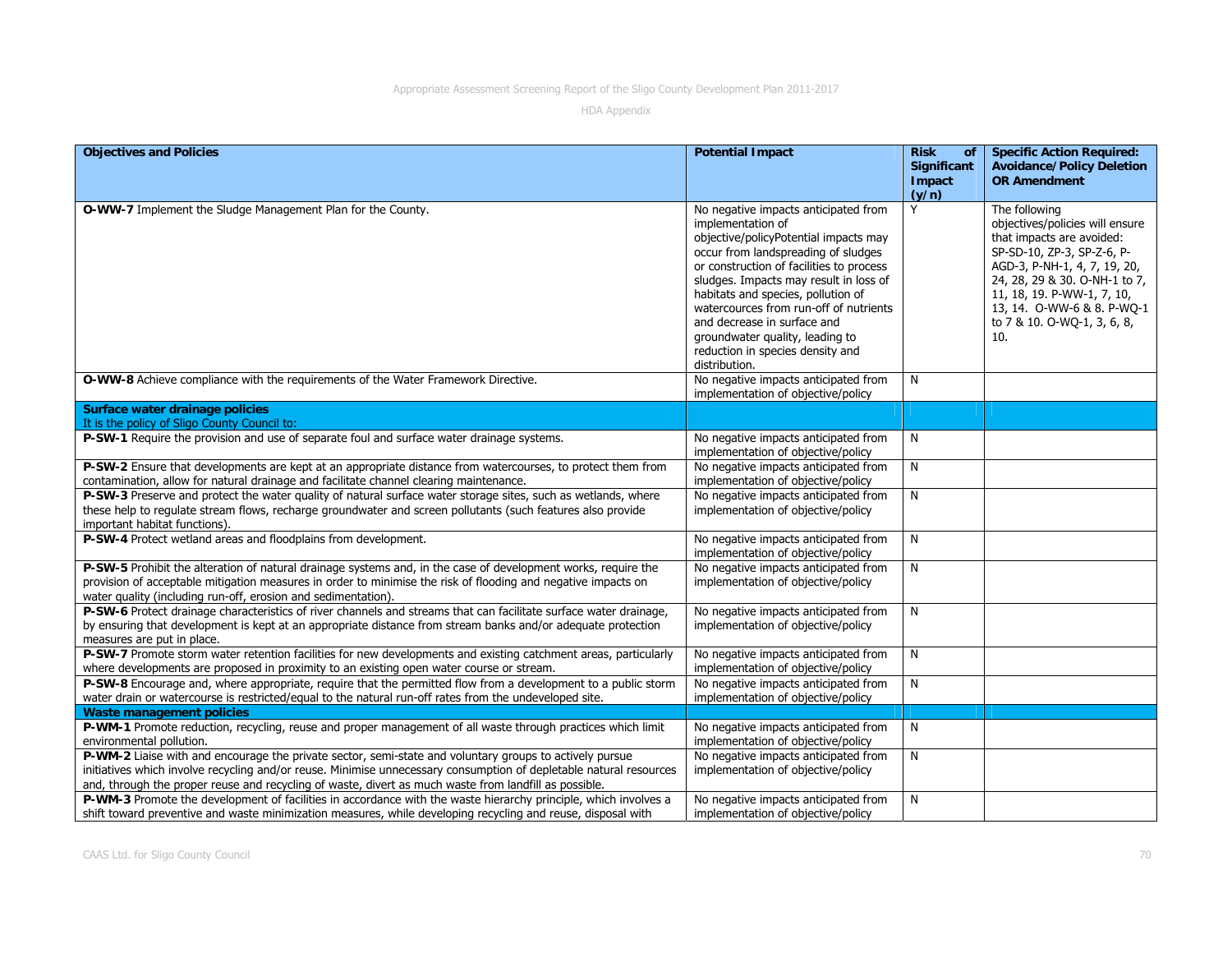| <b>Objectives and Policies</b>                                                                                                                                                 | <b>Potential Impact</b>                                                                                                                                                                                                                                                                                                                                                                                                                | <b>Risk</b><br>of<br>Significant | <b>Specific Action Required:</b><br><b>Avoidance/Policy Deletion</b><br><b>OR Amendment</b>                                                                                                                                                                                    |
|--------------------------------------------------------------------------------------------------------------------------------------------------------------------------------|----------------------------------------------------------------------------------------------------------------------------------------------------------------------------------------------------------------------------------------------------------------------------------------------------------------------------------------------------------------------------------------------------------------------------------------|----------------------------------|--------------------------------------------------------------------------------------------------------------------------------------------------------------------------------------------------------------------------------------------------------------------------------|
|                                                                                                                                                                                |                                                                                                                                                                                                                                                                                                                                                                                                                                        | Impact<br>(y/n)                  |                                                                                                                                                                                                                                                                                |
| O-WW-7 Implement the Sludge Management Plan for the County.                                                                                                                    | No negative impacts anticipated from<br>implementation of<br>objective/policyPotential impacts may<br>occur from landspreading of sludges<br>or construction of facilities to process<br>sludges. Impacts may result in loss of<br>habitats and species, pollution of<br>watercources from run-off of nutrients<br>and decrease in surface and<br>groundwater quality, leading to<br>reduction in species density and<br>distribution. | Y                                | The following<br>objectives/policies will ensure<br>that impacts are avoided:<br>SP-SD-10, ZP-3, SP-Z-6, P-<br>AGD-3, P-NH-1, 4, 7, 19, 20,<br>24, 28, 29 & 30. O-NH-1 to 7,<br>11, 18, 19. P-WW-1, 7, 10,<br>13, 14. O-WW-6 & 8. P-WO-1<br>to 7 & 10. O-WQ-1, 3, 6, 8,<br>10. |
| O-WW-8 Achieve compliance with the requirements of the Water Framework Directive.                                                                                              | No negative impacts anticipated from<br>implementation of objective/policy                                                                                                                                                                                                                                                                                                                                                             | N                                |                                                                                                                                                                                                                                                                                |
| Surface water drainage policies                                                                                                                                                |                                                                                                                                                                                                                                                                                                                                                                                                                                        |                                  |                                                                                                                                                                                                                                                                                |
| It is the policy of Sligo County Council to:                                                                                                                                   |                                                                                                                                                                                                                                                                                                                                                                                                                                        |                                  |                                                                                                                                                                                                                                                                                |
| P-SW-1 Require the provision and use of separate foul and surface water drainage systems.                                                                                      | No negative impacts anticipated from<br>implementation of objective/policy                                                                                                                                                                                                                                                                                                                                                             | N                                |                                                                                                                                                                                                                                                                                |
| P-SW-2 Ensure that developments are kept at an appropriate distance from watercourses, to protect them from                                                                    | No negative impacts anticipated from                                                                                                                                                                                                                                                                                                                                                                                                   | N                                |                                                                                                                                                                                                                                                                                |
| contamination, allow for natural drainage and facilitate channel clearing maintenance.                                                                                         | implementation of objective/policy                                                                                                                                                                                                                                                                                                                                                                                                     |                                  |                                                                                                                                                                                                                                                                                |
| P-SW-3 Preserve and protect the water quality of natural surface water storage sites, such as wetlands, where                                                                  | No negative impacts anticipated from                                                                                                                                                                                                                                                                                                                                                                                                   | N                                |                                                                                                                                                                                                                                                                                |
| these help to regulate stream flows, recharge groundwater and screen pollutants (such features also provide<br>important habitat functions).                                   | implementation of objective/policy                                                                                                                                                                                                                                                                                                                                                                                                     |                                  |                                                                                                                                                                                                                                                                                |
| P-SW-4 Protect wetland areas and floodplains from development.                                                                                                                 | No negative impacts anticipated from<br>implementation of objective/policy                                                                                                                                                                                                                                                                                                                                                             | N                                |                                                                                                                                                                                                                                                                                |
| P-SW-5 Prohibit the alteration of natural drainage systems and, in the case of development works, require the                                                                  | No negative impacts anticipated from                                                                                                                                                                                                                                                                                                                                                                                                   | N                                |                                                                                                                                                                                                                                                                                |
| provision of acceptable mitigation measures in order to minimise the risk of flooding and negative impacts on<br>water quality (including run-off, erosion and sedimentation). | implementation of objective/policy                                                                                                                                                                                                                                                                                                                                                                                                     |                                  |                                                                                                                                                                                                                                                                                |
| P-SW-6 Protect drainage characteristics of river channels and streams that can facilitate surface water drainage,                                                              | No negative impacts anticipated from                                                                                                                                                                                                                                                                                                                                                                                                   | N                                |                                                                                                                                                                                                                                                                                |
| by ensuring that development is kept at an appropriate distance from stream banks and/or adequate protection<br>measures are put in place.                                     | implementation of objective/policy                                                                                                                                                                                                                                                                                                                                                                                                     |                                  |                                                                                                                                                                                                                                                                                |
| P-SW-7 Promote storm water retention facilities for new developments and existing catchment areas, particularly                                                                | No negative impacts anticipated from                                                                                                                                                                                                                                                                                                                                                                                                   | N                                |                                                                                                                                                                                                                                                                                |
| where developments are proposed in proximity to an existing open water course or stream.                                                                                       | implementation of objective/policy                                                                                                                                                                                                                                                                                                                                                                                                     |                                  |                                                                                                                                                                                                                                                                                |
| P-SW-8 Encourage and, where appropriate, require that the permitted flow from a development to a public storm                                                                  | No negative impacts anticipated from                                                                                                                                                                                                                                                                                                                                                                                                   | N                                |                                                                                                                                                                                                                                                                                |
| water drain or watercourse is restricted/equal to the natural run-off rates from the undeveloped site.                                                                         | implementation of objective/policy                                                                                                                                                                                                                                                                                                                                                                                                     |                                  |                                                                                                                                                                                                                                                                                |
| <b>Waste management policies</b>                                                                                                                                               |                                                                                                                                                                                                                                                                                                                                                                                                                                        |                                  |                                                                                                                                                                                                                                                                                |
| P-WM-1 Promote reduction, recycling, reuse and proper management of all waste through practices which limit<br>environmental pollution.                                        | No negative impacts anticipated from<br>implementation of objective/policy                                                                                                                                                                                                                                                                                                                                                             | N                                |                                                                                                                                                                                                                                                                                |
| P-WM-2 Liaise with and encourage the private sector, semi-state and voluntary groups to actively pursue                                                                        | No negative impacts anticipated from                                                                                                                                                                                                                                                                                                                                                                                                   | N                                |                                                                                                                                                                                                                                                                                |
| initiatives which involve recycling and/or reuse. Minimise unnecessary consumption of depletable natural resources                                                             | implementation of objective/policy                                                                                                                                                                                                                                                                                                                                                                                                     |                                  |                                                                                                                                                                                                                                                                                |
| and, through the proper reuse and recycling of waste, divert as much waste from landfill as possible.                                                                          |                                                                                                                                                                                                                                                                                                                                                                                                                                        |                                  |                                                                                                                                                                                                                                                                                |
| P-WM-3 Promote the development of facilities in accordance with the waste hierarchy principle, which involves a                                                                | No negative impacts anticipated from                                                                                                                                                                                                                                                                                                                                                                                                   | N                                |                                                                                                                                                                                                                                                                                |
| shift toward preventive and waste minimization measures, while developing recycling and reuse, disposal with                                                                   | implementation of objective/policy                                                                                                                                                                                                                                                                                                                                                                                                     |                                  |                                                                                                                                                                                                                                                                                |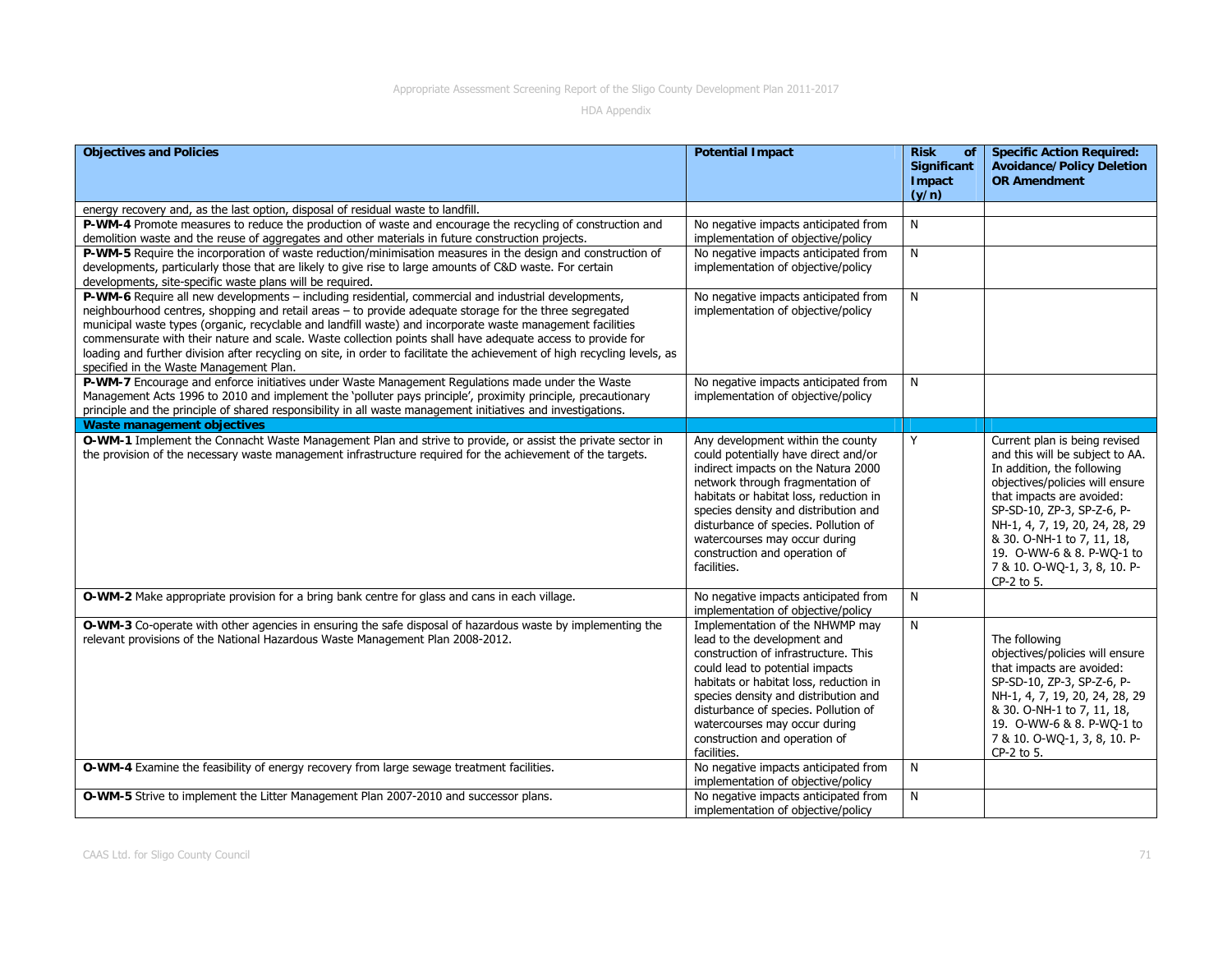| <b>Objectives and Policies</b>                                                                                                                                                                                                                                                                                                                                                                                                                                                                                                                                                                                       | <b>Potential Impact</b>                                                                                                                                                                                                                                                                                                                                         | <b>Risk</b><br>of<br>Significant<br>Impact<br>(y/n) | <b>Specific Action Required:</b><br><b>Avoidance/Policy Deletion</b><br><b>OR Amendment</b>                                                                                                                                                                                                                                             |
|----------------------------------------------------------------------------------------------------------------------------------------------------------------------------------------------------------------------------------------------------------------------------------------------------------------------------------------------------------------------------------------------------------------------------------------------------------------------------------------------------------------------------------------------------------------------------------------------------------------------|-----------------------------------------------------------------------------------------------------------------------------------------------------------------------------------------------------------------------------------------------------------------------------------------------------------------------------------------------------------------|-----------------------------------------------------|-----------------------------------------------------------------------------------------------------------------------------------------------------------------------------------------------------------------------------------------------------------------------------------------------------------------------------------------|
| energy recovery and, as the last option, disposal of residual waste to landfill.                                                                                                                                                                                                                                                                                                                                                                                                                                                                                                                                     |                                                                                                                                                                                                                                                                                                                                                                 |                                                     |                                                                                                                                                                                                                                                                                                                                         |
| P-WM-4 Promote measures to reduce the production of waste and encourage the recycling of construction and<br>demolition waste and the reuse of aggregates and other materials in future construction projects.                                                                                                                                                                                                                                                                                                                                                                                                       | No negative impacts anticipated from<br>implementation of objective/policy                                                                                                                                                                                                                                                                                      | N                                                   |                                                                                                                                                                                                                                                                                                                                         |
| P-WM-5 Require the incorporation of waste reduction/minimisation measures in the design and construction of<br>developments, particularly those that are likely to give rise to large amounts of C&D waste. For certain<br>developments, site-specific waste plans will be required.                                                                                                                                                                                                                                                                                                                                 | No negative impacts anticipated from<br>implementation of objective/policy                                                                                                                                                                                                                                                                                      | N                                                   |                                                                                                                                                                                                                                                                                                                                         |
| P-WM-6 Require all new developments - including residential, commercial and industrial developments,<br>neighbourhood centres, shopping and retail areas - to provide adequate storage for the three segregated<br>municipal waste types (organic, recyclable and landfill waste) and incorporate waste management facilities<br>commensurate with their nature and scale. Waste collection points shall have adequate access to provide for<br>loading and further division after recycling on site, in order to facilitate the achievement of high recycling levels, as<br>specified in the Waste Management Plan. | No negative impacts anticipated from<br>implementation of objective/policy                                                                                                                                                                                                                                                                                      | N                                                   |                                                                                                                                                                                                                                                                                                                                         |
| P-WM-7 Encourage and enforce initiatives under Waste Management Regulations made under the Waste<br>Management Acts 1996 to 2010 and implement the 'polluter pays principle', proximity principle, precautionary<br>principle and the principle of shared responsibility in all waste management initiatives and investigations.                                                                                                                                                                                                                                                                                     | No negative impacts anticipated from<br>implementation of objective/policy                                                                                                                                                                                                                                                                                      | N                                                   |                                                                                                                                                                                                                                                                                                                                         |
| <b>Waste management objectives</b>                                                                                                                                                                                                                                                                                                                                                                                                                                                                                                                                                                                   |                                                                                                                                                                                                                                                                                                                                                                 |                                                     |                                                                                                                                                                                                                                                                                                                                         |
| O-WM-1 Implement the Connacht Waste Management Plan and strive to provide, or assist the private sector in<br>the provision of the necessary waste management infrastructure required for the achievement of the targets.                                                                                                                                                                                                                                                                                                                                                                                            | Any development within the county<br>could potentially have direct and/or<br>indirect impacts on the Natura 2000<br>network through fragmentation of<br>habitats or habitat loss, reduction in<br>species density and distribution and<br>disturbance of species. Pollution of<br>watercourses may occur during<br>construction and operation of<br>facilities. | Y                                                   | Current plan is being revised<br>and this will be subject to AA.<br>In addition, the following<br>objectives/policies will ensure<br>that impacts are avoided:<br>SP-SD-10, ZP-3, SP-Z-6, P-<br>NH-1, 4, 7, 19, 20, 24, 28, 29<br>& 30. O-NH-1 to 7, 11, 18,<br>19. O-WW-6 & 8. P-WQ-1 to<br>7 & 10. O-WQ-1, 3, 8, 10. P-<br>CP-2 to 5. |
| O-WM-2 Make appropriate provision for a bring bank centre for glass and cans in each village.                                                                                                                                                                                                                                                                                                                                                                                                                                                                                                                        | No negative impacts anticipated from<br>implementation of objective/policy                                                                                                                                                                                                                                                                                      | N                                                   |                                                                                                                                                                                                                                                                                                                                         |
| O-WM-3 Co-operate with other agencies in ensuring the safe disposal of hazardous waste by implementing the<br>relevant provisions of the National Hazardous Waste Management Plan 2008-2012.                                                                                                                                                                                                                                                                                                                                                                                                                         | Implementation of the NHWMP may<br>lead to the development and<br>construction of infrastructure. This<br>could lead to potential impacts<br>habitats or habitat loss, reduction in<br>species density and distribution and<br>disturbance of species. Pollution of<br>watercourses may occur during<br>construction and operation of<br>facilities.            | $\overline{N}$                                      | The following<br>objectives/policies will ensure<br>that impacts are avoided:<br>SP-SD-10, ZP-3, SP-Z-6, P-<br>NH-1, 4, 7, 19, 20, 24, 28, 29<br>& 30. O-NH-1 to 7, 11, 18,<br>19. O-WW-6 & 8. P-WO-1 to<br>7 & 10. O-WQ-1, 3, 8, 10. P-<br>CP-2 to 5.                                                                                  |
| O-WM-4 Examine the feasibility of energy recovery from large sewage treatment facilities.                                                                                                                                                                                                                                                                                                                                                                                                                                                                                                                            | No negative impacts anticipated from<br>implementation of objective/policy                                                                                                                                                                                                                                                                                      | N                                                   |                                                                                                                                                                                                                                                                                                                                         |
| O-WM-5 Strive to implement the Litter Management Plan 2007-2010 and successor plans.                                                                                                                                                                                                                                                                                                                                                                                                                                                                                                                                 | No negative impacts anticipated from<br>implementation of objective/policy                                                                                                                                                                                                                                                                                      | N                                                   |                                                                                                                                                                                                                                                                                                                                         |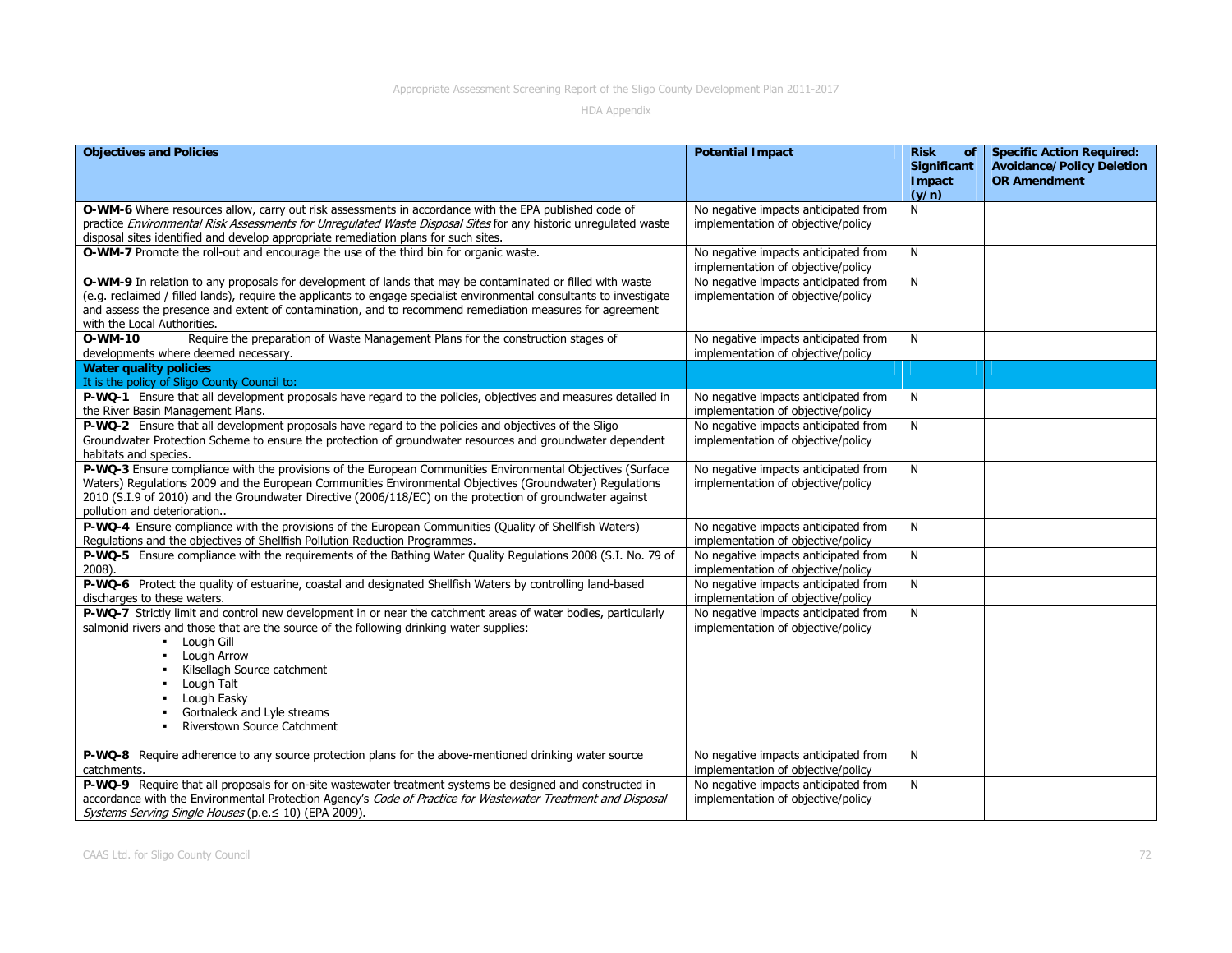| <b>Objectives and Policies</b>                                                                                                                                                                                                                                                                                                                                                 | <b>Potential Impact</b>                                                    | <b>Risk</b><br>of<br>Significant | <b>Specific Action Required:</b><br><b>Avoidance/Policy Deletion</b> |
|--------------------------------------------------------------------------------------------------------------------------------------------------------------------------------------------------------------------------------------------------------------------------------------------------------------------------------------------------------------------------------|----------------------------------------------------------------------------|----------------------------------|----------------------------------------------------------------------|
|                                                                                                                                                                                                                                                                                                                                                                                |                                                                            | Impact<br>(y/n)                  | <b>OR Amendment</b>                                                  |
| O-WM-6 Where resources allow, carry out risk assessments in accordance with the EPA published code of<br>practice Environmental Risk Assessments for Unregulated Waste Disposal Sites for any historic unregulated waste<br>disposal sites identified and develop appropriate remediation plans for such sites.                                                                | No negative impacts anticipated from<br>implementation of objective/policy | N                                |                                                                      |
| O-WM-7 Promote the roll-out and encourage the use of the third bin for organic waste.                                                                                                                                                                                                                                                                                          | No negative impacts anticipated from<br>implementation of objective/policy | N                                |                                                                      |
| O-WM-9 In relation to any proposals for development of lands that may be contaminated or filled with waste<br>(e.g. reclaimed / filled lands), require the applicants to engage specialist environmental consultants to investigate<br>and assess the presence and extent of contamination, and to recommend remediation measures for agreement<br>with the Local Authorities. | No negative impacts anticipated from<br>implementation of objective/policy | N                                |                                                                      |
| O-WM-10<br>Require the preparation of Waste Management Plans for the construction stages of<br>developments where deemed necessary.                                                                                                                                                                                                                                            | No negative impacts anticipated from<br>implementation of objective/policy | N                                |                                                                      |
| <b>Water quality policies</b><br>It is the policy of Sligo County Council to:                                                                                                                                                                                                                                                                                                  |                                                                            |                                  |                                                                      |
| P-WQ-1 Ensure that all development proposals have regard to the policies, objectives and measures detailed in<br>the River Basin Management Plans.                                                                                                                                                                                                                             | No negative impacts anticipated from<br>implementation of objective/policy | N                                |                                                                      |
| P-WQ-2 Ensure that all development proposals have regard to the policies and objectives of the Sligo<br>Groundwater Protection Scheme to ensure the protection of groundwater resources and groundwater dependent<br>habitats and species.                                                                                                                                     | No negative impacts anticipated from<br>implementation of objective/policy | N                                |                                                                      |
| P-WQ-3 Ensure compliance with the provisions of the European Communities Environmental Objectives (Surface<br>Waters) Regulations 2009 and the European Communities Environmental Objectives (Groundwater) Regulations<br>2010 (S.I.9 of 2010) and the Groundwater Directive (2006/118/EC) on the protection of groundwater against<br>pollution and deterioration             | No negative impacts anticipated from<br>implementation of objective/policy | N                                |                                                                      |
| P-WQ-4 Ensure compliance with the provisions of the European Communities (Quality of Shellfish Waters)<br>Regulations and the objectives of Shellfish Pollution Reduction Programmes.                                                                                                                                                                                          | No negative impacts anticipated from<br>implementation of objective/policy | N                                |                                                                      |
| P-WQ-5 Ensure compliance with the requirements of the Bathing Water Quality Regulations 2008 (S.I. No. 79 of<br>2008).                                                                                                                                                                                                                                                         | No negative impacts anticipated from<br>implementation of objective/policy | N                                |                                                                      |
| P-WQ-6 Protect the quality of estuarine, coastal and designated Shellfish Waters by controlling land-based<br>discharges to these waters.                                                                                                                                                                                                                                      | No negative impacts anticipated from<br>implementation of objective/policy | N                                |                                                                      |
| P-WQ-7 Strictly limit and control new development in or near the catchment areas of water bodies, particularly<br>salmonid rivers and those that are the source of the following drinking water supplies:<br>• Lough Gill<br>Lough Arrow<br>Kilsellagh Source catchment<br>Lough Talt<br>Lough Easky<br>Gortnaleck and Lyle streams<br>Riverstown Source Catchment             | No negative impacts anticipated from<br>implementation of objective/policy | N                                |                                                                      |
| P-WQ-8 Require adherence to any source protection plans for the above-mentioned drinking water source<br>catchments.                                                                                                                                                                                                                                                           | No negative impacts anticipated from<br>implementation of objective/policy | N                                |                                                                      |
| P-WQ-9 Require that all proposals for on-site wastewater treatment systems be designed and constructed in<br>accordance with the Environmental Protection Agency's Code of Practice for Wastewater Treatment and Disposal<br>Systems Serving Single Houses (p.e. ≤ 10) (EPA 2009).                                                                                             | No negative impacts anticipated from<br>implementation of objective/policy | N                                |                                                                      |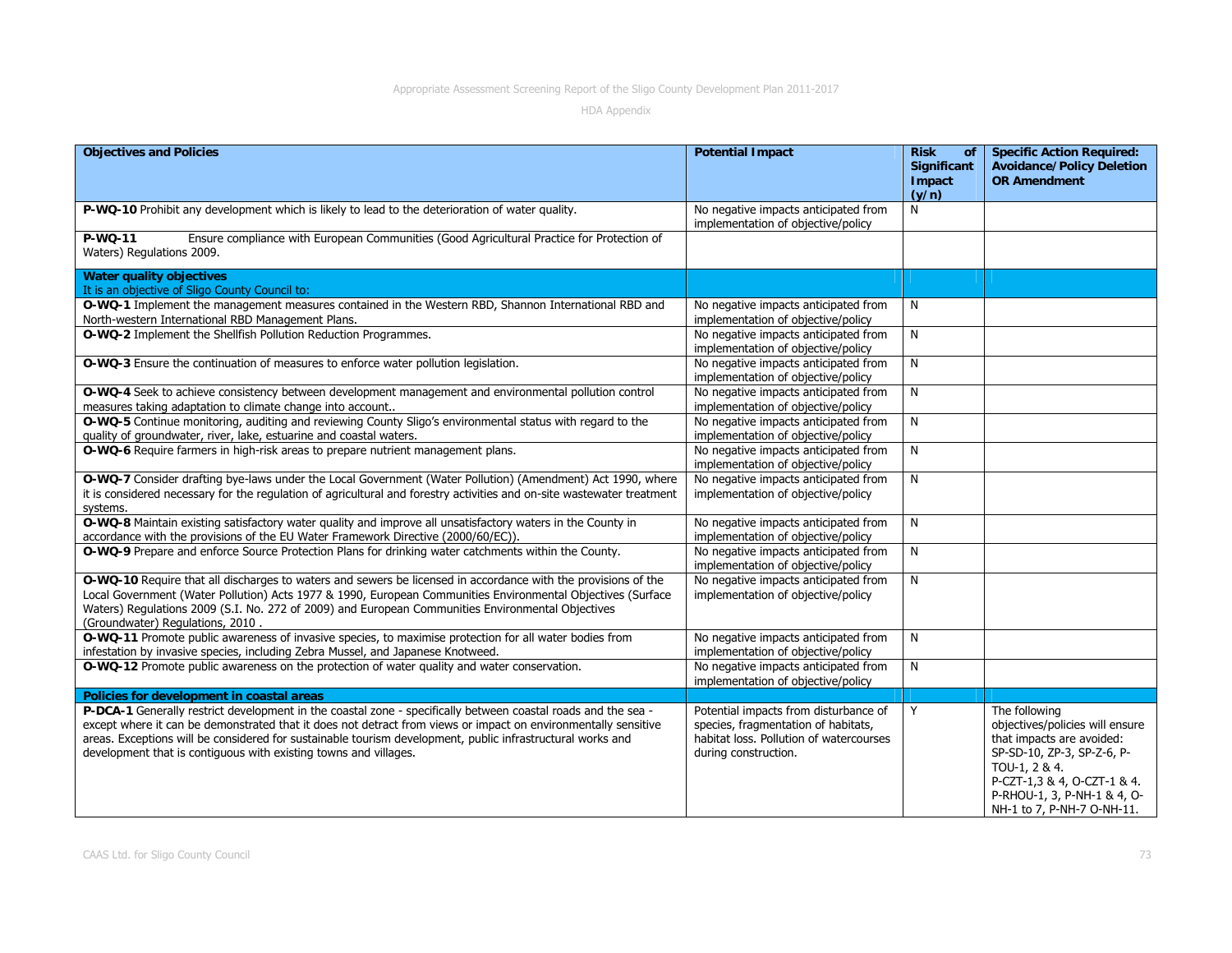| <b>Objectives and Policies</b>                                                                                                                                                                                                                                                                                                                                                                                    | <b>Potential Impact</b>                                                                                                                         | <b>Risk</b><br>of<br>Significant<br>Impact<br>(y/n) | <b>Specific Action Required:</b><br><b>Avoidance/Policy Deletion</b><br><b>OR Amendment</b>                                                                                                                              |
|-------------------------------------------------------------------------------------------------------------------------------------------------------------------------------------------------------------------------------------------------------------------------------------------------------------------------------------------------------------------------------------------------------------------|-------------------------------------------------------------------------------------------------------------------------------------------------|-----------------------------------------------------|--------------------------------------------------------------------------------------------------------------------------------------------------------------------------------------------------------------------------|
| P-WQ-10 Prohibit any development which is likely to lead to the deterioration of water quality.                                                                                                                                                                                                                                                                                                                   | No negative impacts anticipated from<br>implementation of objective/policy                                                                      | N                                                   |                                                                                                                                                                                                                          |
| Ensure compliance with European Communities (Good Agricultural Practice for Protection of<br>P-WQ-11<br>Waters) Regulations 2009.                                                                                                                                                                                                                                                                                 |                                                                                                                                                 |                                                     |                                                                                                                                                                                                                          |
| <b>Water quality objectives</b><br>It is an objective of Sligo County Council to:                                                                                                                                                                                                                                                                                                                                 |                                                                                                                                                 |                                                     |                                                                                                                                                                                                                          |
| O-WQ-1 Implement the management measures contained in the Western RBD, Shannon International RBD and<br>North-western International RBD Management Plans.                                                                                                                                                                                                                                                         | No negative impacts anticipated from<br>implementation of objective/policy                                                                      | N                                                   |                                                                                                                                                                                                                          |
| O-WQ-2 Implement the Shellfish Pollution Reduction Programmes.                                                                                                                                                                                                                                                                                                                                                    | No negative impacts anticipated from<br>implementation of objective/policy                                                                      | N                                                   |                                                                                                                                                                                                                          |
| O-WQ-3 Ensure the continuation of measures to enforce water pollution legislation.                                                                                                                                                                                                                                                                                                                                | No negative impacts anticipated from<br>implementation of objective/policy                                                                      | N                                                   |                                                                                                                                                                                                                          |
| O-WQ-4 Seek to achieve consistency between development management and environmental pollution control<br>measures taking adaptation to climate change into account                                                                                                                                                                                                                                                | No negative impacts anticipated from<br>implementation of objective/policy                                                                      | N                                                   |                                                                                                                                                                                                                          |
| O-WQ-5 Continue monitoring, auditing and reviewing County Sligo's environmental status with regard to the<br>quality of groundwater, river, lake, estuarine and coastal waters.                                                                                                                                                                                                                                   | No negative impacts anticipated from<br>implementation of objective/policy                                                                      | N                                                   |                                                                                                                                                                                                                          |
| O-WQ-6 Require farmers in high-risk areas to prepare nutrient management plans.                                                                                                                                                                                                                                                                                                                                   | No negative impacts anticipated from<br>implementation of objective/policy                                                                      | N                                                   |                                                                                                                                                                                                                          |
| O-WQ-7 Consider drafting bye-laws under the Local Government (Water Pollution) (Amendment) Act 1990, where<br>it is considered necessary for the regulation of agricultural and forestry activities and on-site wastewater treatment<br>systems.                                                                                                                                                                  | No negative impacts anticipated from<br>implementation of objective/policy                                                                      | N                                                   |                                                                                                                                                                                                                          |
| O-WQ-8 Maintain existing satisfactory water quality and improve all unsatisfactory waters in the County in<br>accordance with the provisions of the EU Water Framework Directive (2000/60/EC)).                                                                                                                                                                                                                   | No negative impacts anticipated from<br>implementation of objective/policy                                                                      | N                                                   |                                                                                                                                                                                                                          |
| O-WQ-9 Prepare and enforce Source Protection Plans for drinking water catchments within the County.                                                                                                                                                                                                                                                                                                               | No negative impacts anticipated from<br>implementation of objective/policy                                                                      | N                                                   |                                                                                                                                                                                                                          |
| O-WQ-10 Require that all discharges to waters and sewers be licensed in accordance with the provisions of the<br>Local Government (Water Pollution) Acts 1977 & 1990, European Communities Environmental Objectives (Surface<br>Waters) Regulations 2009 (S.I. No. 272 of 2009) and European Communities Environmental Objectives<br>(Groundwater) Regulations, 2010.                                             | No negative impacts anticipated from<br>implementation of objective/policy                                                                      | N                                                   |                                                                                                                                                                                                                          |
| O-WQ-11 Promote public awareness of invasive species, to maximise protection for all water bodies from<br>infestation by invasive species, including Zebra Mussel, and Japanese Knotweed.                                                                                                                                                                                                                         | No negative impacts anticipated from<br>implementation of objective/policy                                                                      | N                                                   |                                                                                                                                                                                                                          |
| O-WQ-12 Promote public awareness on the protection of water quality and water conservation.                                                                                                                                                                                                                                                                                                                       | No negative impacts anticipated from<br>implementation of objective/policy                                                                      | N                                                   |                                                                                                                                                                                                                          |
| Policies for development in coastal areas                                                                                                                                                                                                                                                                                                                                                                         |                                                                                                                                                 |                                                     |                                                                                                                                                                                                                          |
| P-DCA-1 Generally restrict development in the coastal zone - specifically between coastal roads and the sea -<br>except where it can be demonstrated that it does not detract from views or impact on environmentally sensitive<br>areas. Exceptions will be considered for sustainable tourism development, public infrastructural works and<br>development that is contiguous with existing towns and villages. | Potential impacts from disturbance of<br>species, fragmentation of habitats,<br>habitat loss. Pollution of watercourses<br>during construction. | Y                                                   | The following<br>objectives/policies will ensure<br>that impacts are avoided:<br>SP-SD-10, ZP-3, SP-Z-6, P-<br>TOU-1, 2 & 4.<br>P-CZT-1,3 & 4, O-CZT-1 & 4.<br>P-RHOU-1, 3, P-NH-1 & 4, O-<br>NH-1 to 7, P-NH-7 O-NH-11. |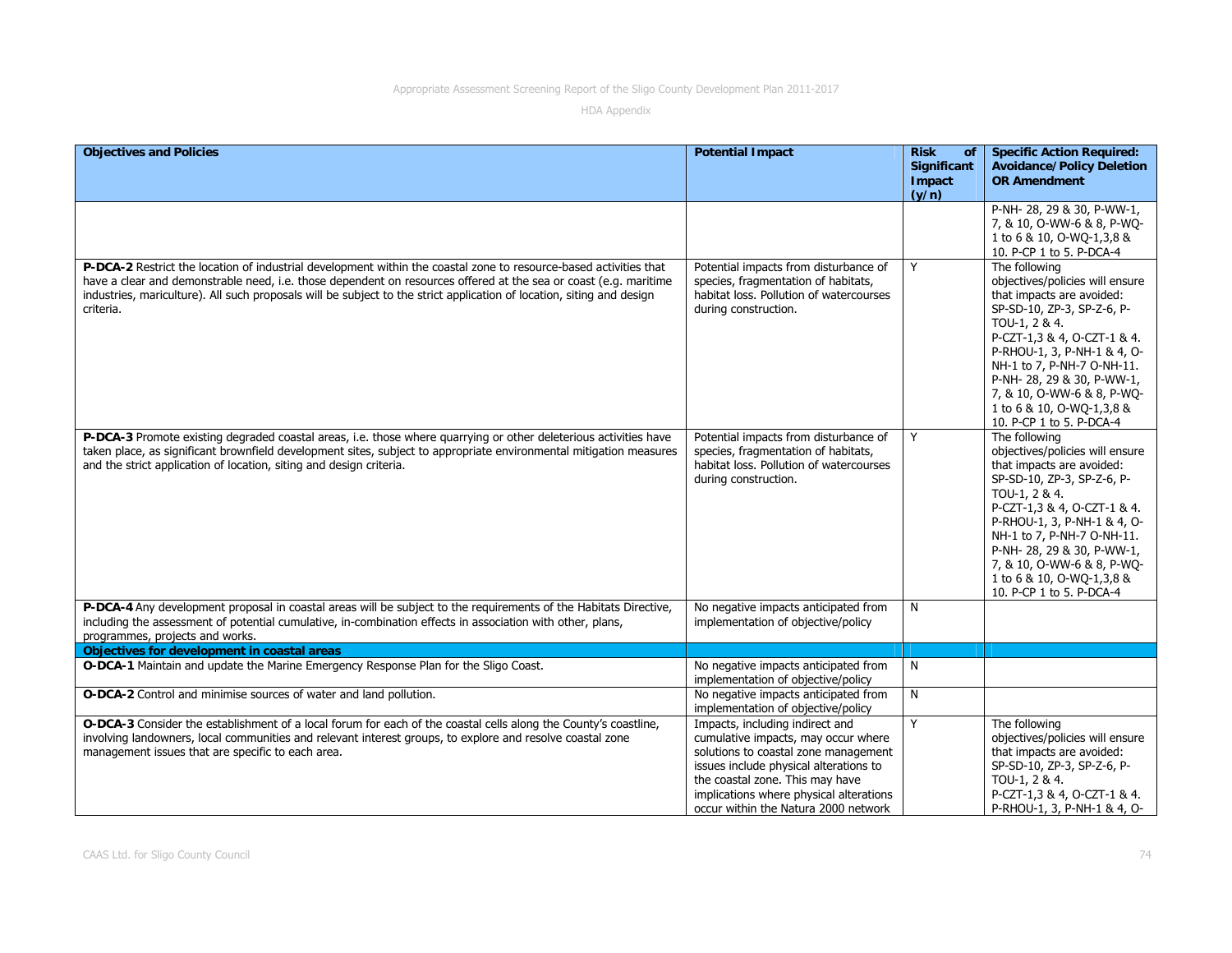| <b>Objectives and Policies</b>                                                                                                                                                                                                                                                                                                                                              | <b>Potential Impact</b>                                                                                                                                                                                                                                                        | <b>Risk</b><br>of<br><b>Significant</b><br>Impact<br>(y/n) | <b>Specific Action Required:</b><br><b>Avoidance/Policy Deletion</b><br><b>OR Amendment</b>                                                                                                                                                                                                                                                   |
|-----------------------------------------------------------------------------------------------------------------------------------------------------------------------------------------------------------------------------------------------------------------------------------------------------------------------------------------------------------------------------|--------------------------------------------------------------------------------------------------------------------------------------------------------------------------------------------------------------------------------------------------------------------------------|------------------------------------------------------------|-----------------------------------------------------------------------------------------------------------------------------------------------------------------------------------------------------------------------------------------------------------------------------------------------------------------------------------------------|
|                                                                                                                                                                                                                                                                                                                                                                             |                                                                                                                                                                                                                                                                                |                                                            | P-NH-28, 29 & 30, P-WW-1,<br>7, & 10, O-WW-6 & 8, P-WQ-<br>1 to 6 & 10, O-WQ-1,3,8 &<br>10. P-CP 1 to 5. P-DCA-4                                                                                                                                                                                                                              |
| P-DCA-2 Restrict the location of industrial development within the coastal zone to resource-based activities that<br>have a clear and demonstrable need, i.e. those dependent on resources offered at the sea or coast (e.g. maritime<br>industries, mariculture). All such proposals will be subject to the strict application of location, siting and design<br>criteria. | Potential impacts from disturbance of<br>species, fragmentation of habitats,<br>habitat loss. Pollution of watercourses<br>during construction.                                                                                                                                | Y                                                          | The following<br>objectives/policies will ensure<br>that impacts are avoided:<br>SP-SD-10, ZP-3, SP-Z-6, P-<br>TOU-1, 2 & 4.<br>P-CZT-1,3 & 4, O-CZT-1 & 4.<br>P-RHOU-1, 3, P-NH-1 & 4, O-<br>NH-1 to 7, P-NH-7 O-NH-11.<br>P-NH- 28, 29 & 30, P-WW-1,<br>7, & 10, O-WW-6 & 8, P-WQ-<br>1 to 6 & 10, O-WQ-1,3,8 &<br>10. P-CP 1 to 5. P-DCA-4 |
| P-DCA-3 Promote existing degraded coastal areas, i.e. those where quarrying or other deleterious activities have<br>taken place, as significant brownfield development sites, subject to appropriate environmental mitigation measures<br>and the strict application of location, siting and design criteria.                                                               | Potential impacts from disturbance of<br>species, fragmentation of habitats,<br>habitat loss. Pollution of watercourses<br>during construction.                                                                                                                                | Y                                                          | The following<br>objectives/policies will ensure<br>that impacts are avoided:<br>SP-SD-10, ZP-3, SP-Z-6, P-<br>TOU-1, 2 & 4.<br>P-CZT-1,3 & 4, O-CZT-1 & 4.<br>P-RHOU-1, 3, P-NH-1 & 4, O-<br>NH-1 to 7, P-NH-7 O-NH-11.<br>P-NH- 28, 29 & 30, P-WW-1,<br>7, & 10, O-WW-6 & 8, P-WQ-<br>1 to 6 & 10, O-WO-1,3,8 &<br>10. P-CP 1 to 5. P-DCA-4 |
| P-DCA-4 Any development proposal in coastal areas will be subject to the requirements of the Habitats Directive,<br>including the assessment of potential cumulative, in-combination effects in association with other, plans,<br>programmes, projects and works.                                                                                                           | No negative impacts anticipated from<br>implementation of objective/policy                                                                                                                                                                                                     | N                                                          |                                                                                                                                                                                                                                                                                                                                               |
| Objectives for development in coastal areas                                                                                                                                                                                                                                                                                                                                 |                                                                                                                                                                                                                                                                                |                                                            |                                                                                                                                                                                                                                                                                                                                               |
| O-DCA-1 Maintain and update the Marine Emergency Response Plan for the Sligo Coast.                                                                                                                                                                                                                                                                                         | No negative impacts anticipated from<br>implementation of objective/policy                                                                                                                                                                                                     | N                                                          |                                                                                                                                                                                                                                                                                                                                               |
| O-DCA-2 Control and minimise sources of water and land pollution.                                                                                                                                                                                                                                                                                                           | No negative impacts anticipated from<br>implementation of objective/policy                                                                                                                                                                                                     | N                                                          |                                                                                                                                                                                                                                                                                                                                               |
| O-DCA-3 Consider the establishment of a local forum for each of the coastal cells along the County's coastline,<br>involving landowners, local communities and relevant interest groups, to explore and resolve coastal zone<br>management issues that are specific to each area.                                                                                           | Impacts, including indirect and<br>cumulative impacts, may occur where<br>solutions to coastal zone management<br>issues include physical alterations to<br>the coastal zone. This may have<br>implications where physical alterations<br>occur within the Natura 2000 network | Y                                                          | The following<br>objectives/policies will ensure<br>that impacts are avoided:<br>SP-SD-10, ZP-3, SP-Z-6, P-<br>TOU-1, 2 & 4.<br>P-CZT-1,3 & 4, O-CZT-1 & 4.<br>P-RHOU-1, 3, P-NH-1 & 4, O-                                                                                                                                                    |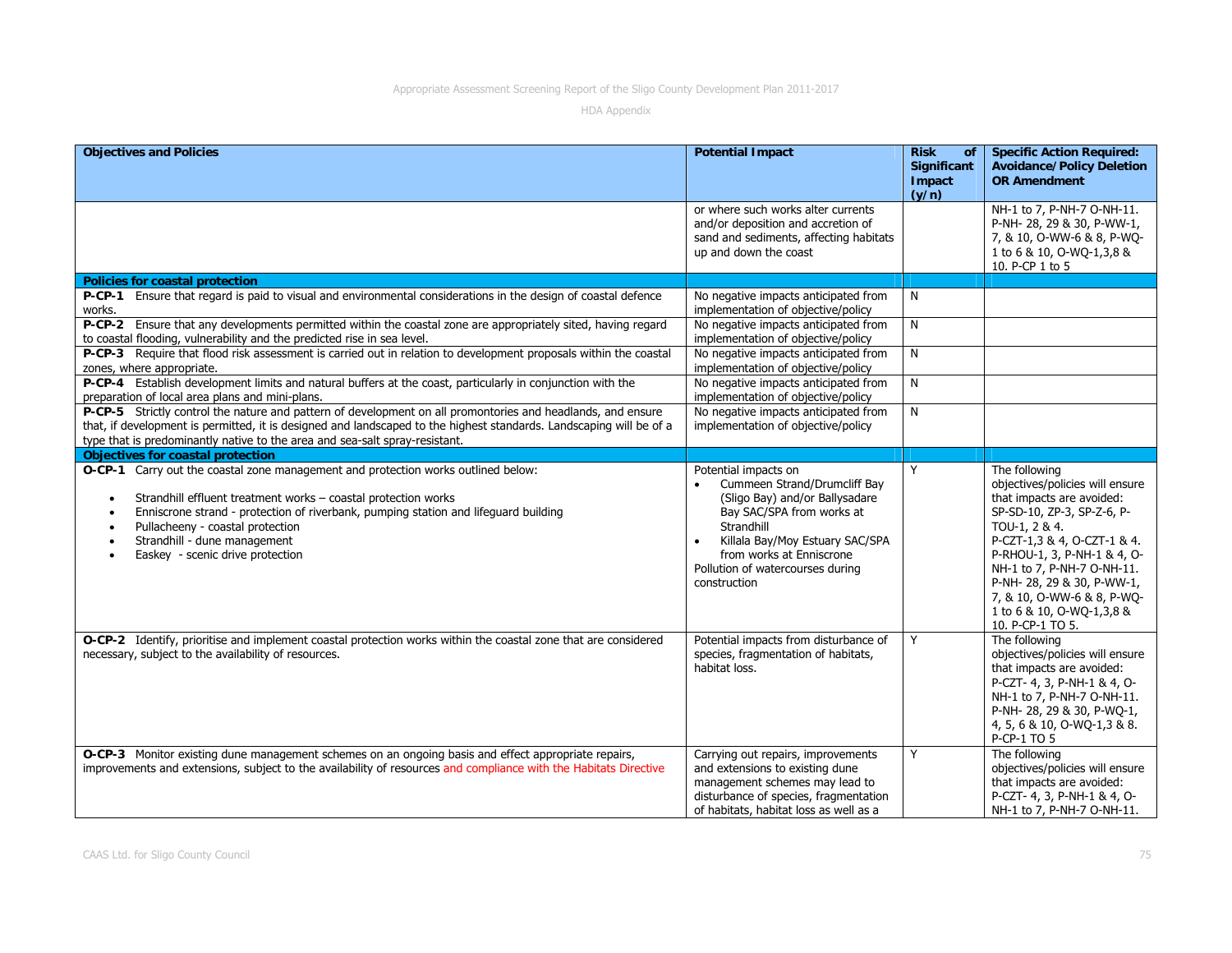| <b>Objectives and Policies</b>                                                                                                                                                                                                                                                                                                                                                                         | <b>Potential Impact</b>                                                                                                                                                                                                                                           | <b>Risk</b><br><b>of</b><br>Significant<br>Impact | <b>Specific Action Required:</b><br><b>Avoidance/Policy Deletion</b><br><b>OR Amendment</b>                                                                                                                                                                                                                                          |
|--------------------------------------------------------------------------------------------------------------------------------------------------------------------------------------------------------------------------------------------------------------------------------------------------------------------------------------------------------------------------------------------------------|-------------------------------------------------------------------------------------------------------------------------------------------------------------------------------------------------------------------------------------------------------------------|---------------------------------------------------|--------------------------------------------------------------------------------------------------------------------------------------------------------------------------------------------------------------------------------------------------------------------------------------------------------------------------------------|
|                                                                                                                                                                                                                                                                                                                                                                                                        |                                                                                                                                                                                                                                                                   | (y/n)                                             |                                                                                                                                                                                                                                                                                                                                      |
|                                                                                                                                                                                                                                                                                                                                                                                                        | or where such works alter currents<br>and/or deposition and accretion of<br>sand and sediments, affecting habitats<br>up and down the coast                                                                                                                       |                                                   | NH-1 to 7, P-NH-7 O-NH-11.<br>P-NH-28, 29 & 30, P-WW-1,<br>7, & 10, O-WW-6 & 8, P-WQ-<br>1 to 6 & 10, O-WQ-1,3,8 &<br>10. P-CP 1 to 5                                                                                                                                                                                                |
| <b>Policies for coastal protection</b>                                                                                                                                                                                                                                                                                                                                                                 |                                                                                                                                                                                                                                                                   |                                                   |                                                                                                                                                                                                                                                                                                                                      |
| P-CP-1 Ensure that regard is paid to visual and environmental considerations in the design of coastal defence<br>works.                                                                                                                                                                                                                                                                                | No negative impacts anticipated from<br>implementation of objective/policy                                                                                                                                                                                        | N                                                 |                                                                                                                                                                                                                                                                                                                                      |
| P-CP-2 Ensure that any developments permitted within the coastal zone are appropriately sited, having regard<br>to coastal flooding, vulnerability and the predicted rise in sea level.                                                                                                                                                                                                                | No negative impacts anticipated from<br>implementation of objective/policy                                                                                                                                                                                        | N                                                 |                                                                                                                                                                                                                                                                                                                                      |
| P-CP-3 Require that flood risk assessment is carried out in relation to development proposals within the coastal<br>zones, where appropriate.                                                                                                                                                                                                                                                          | No negative impacts anticipated from<br>implementation of objective/policy                                                                                                                                                                                        | N                                                 |                                                                                                                                                                                                                                                                                                                                      |
| P-CP-4 Establish development limits and natural buffers at the coast, particularly in conjunction with the<br>preparation of local area plans and mini-plans.                                                                                                                                                                                                                                          | No negative impacts anticipated from<br>implementation of objective/policy                                                                                                                                                                                        | N                                                 |                                                                                                                                                                                                                                                                                                                                      |
| P-CP-5 Strictly control the nature and pattern of development on all promontories and headlands, and ensure<br>that, if development is permitted, it is designed and landscaped to the highest standards. Landscaping will be of a<br>type that is predominantly native to the area and sea-salt spray-resistant.                                                                                      | No negative impacts anticipated from<br>implementation of objective/policy                                                                                                                                                                                        | N                                                 |                                                                                                                                                                                                                                                                                                                                      |
| <b>Objectives for coastal protection</b>                                                                                                                                                                                                                                                                                                                                                               |                                                                                                                                                                                                                                                                   |                                                   |                                                                                                                                                                                                                                                                                                                                      |
| O-CP-1 Carry out the coastal zone management and protection works outlined below:<br>Strandhill effluent treatment works - coastal protection works<br>$\bullet$<br>Enniscrone strand - protection of riverbank, pumping station and lifeguard building<br>$\bullet$<br>Pullacheeny - coastal protection<br>Strandhill - dune management<br>$\bullet$<br>Easkey - scenic drive protection<br>$\bullet$ | Potential impacts on<br>Cummeen Strand/Drumcliff Bay<br>(Sligo Bay) and/or Ballysadare<br>Bay SAC/SPA from works at<br>Strandhill<br>Killala Bay/Moy Estuary SAC/SPA<br>$\bullet$<br>from works at Enniscrone<br>Pollution of watercourses during<br>construction | Y                                                 | The following<br>objectives/policies will ensure<br>that impacts are avoided:<br>SP-SD-10, ZP-3, SP-Z-6, P-<br>TOU-1, 2 & 4.<br>P-CZT-1,3 & 4, O-CZT-1 & 4.<br>P-RHOU-1, 3, P-NH-1 & 4, O-<br>NH-1 to 7, P-NH-7 O-NH-11.<br>P-NH-28, 29 & 30, P-WW-1,<br>7, & 10, O-WW-6 & 8, P-WO-<br>1 to 6 & 10, O-WQ-1,3,8 &<br>10. P-CP-1 TO 5. |
| O-CP-2 Identify, prioritise and implement coastal protection works within the coastal zone that are considered<br>necessary, subject to the availability of resources.                                                                                                                                                                                                                                 | Potential impacts from disturbance of<br>species, fragmentation of habitats,<br>habitat loss.                                                                                                                                                                     | Y                                                 | The following<br>objectives/policies will ensure<br>that impacts are avoided:<br>P-CZT- 4, 3, P-NH-1 & 4, O-<br>NH-1 to 7, P-NH-7 O-NH-11.<br>P-NH-28, 29 & 30, P-WQ-1,<br>4, 5, 6 & 10, O-WQ-1, 3 & 8.<br>P-CP-1 TO 5                                                                                                               |
| O-CP-3 Monitor existing dune management schemes on an ongoing basis and effect appropriate repairs,<br>improvements and extensions, subject to the availability of resources and compliance with the Habitats Directive                                                                                                                                                                                | Carrying out repairs, improvements<br>and extensions to existing dune<br>management schemes may lead to<br>disturbance of species, fragmentation<br>of habitats, habitat loss as well as a                                                                        | Y                                                 | The following<br>objectives/policies will ensure<br>that impacts are avoided:<br>P-CZT- 4, 3, P-NH-1 & 4, O-<br>NH-1 to 7, P-NH-7 O-NH-11.                                                                                                                                                                                           |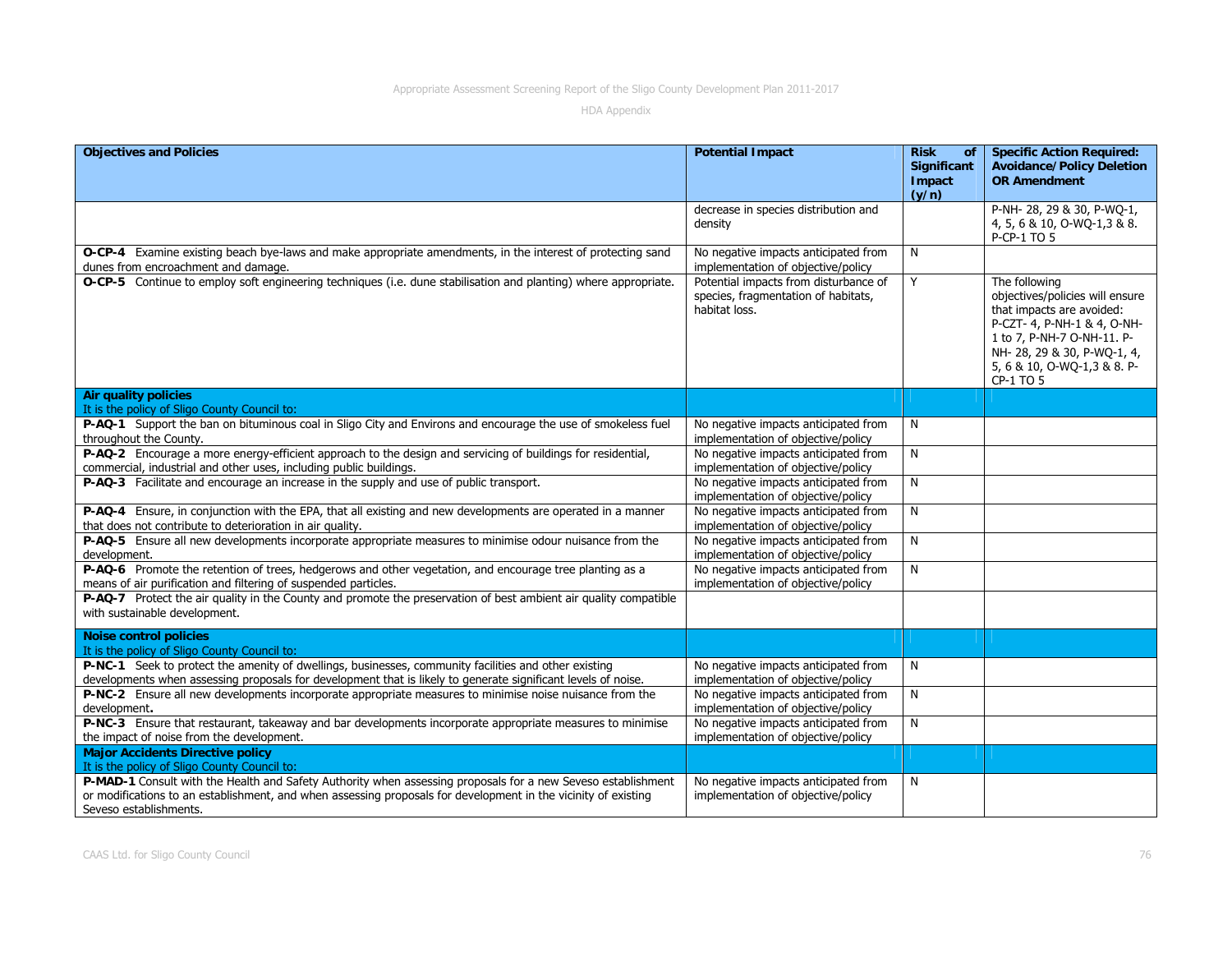| <b>Objectives and Policies</b>                                                                                                                                                                                                                           | <b>Potential Impact</b>                                                                       | <b>Risk</b><br>of<br>Significant<br>Impact | <b>Specific Action Required:</b><br><b>Avoidance/Policy Deletion</b><br><b>OR Amendment</b>                                                                                                                           |
|----------------------------------------------------------------------------------------------------------------------------------------------------------------------------------------------------------------------------------------------------------|-----------------------------------------------------------------------------------------------|--------------------------------------------|-----------------------------------------------------------------------------------------------------------------------------------------------------------------------------------------------------------------------|
|                                                                                                                                                                                                                                                          |                                                                                               | (y/n)                                      |                                                                                                                                                                                                                       |
|                                                                                                                                                                                                                                                          | decrease in species distribution and<br>density                                               |                                            | P-NH-28, 29 & 30, P-WO-1,<br>4, 5, 6 & 10, O-WQ-1, 3 & 8.<br>P-CP-1 TO 5                                                                                                                                              |
| <b>O-CP-4</b> Examine existing beach bye-laws and make appropriate amendments, in the interest of protecting sand<br>dunes from encroachment and damage.                                                                                                 | No negative impacts anticipated from<br>implementation of objective/policy                    | N                                          |                                                                                                                                                                                                                       |
| O-CP-5 Continue to employ soft engineering techniques (i.e. dune stabilisation and planting) where appropriate.                                                                                                                                          | Potential impacts from disturbance of<br>species, fragmentation of habitats,<br>habitat loss. | Y                                          | The following<br>objectives/policies will ensure<br>that impacts are avoided:<br>P-CZT- 4, P-NH-1 & 4, O-NH-<br>1 to 7, P-NH-7 O-NH-11. P-<br>NH-28, 29 & 30, P-WQ-1, 4,<br>5, 6 & 10, O-WQ-1, 3 & 8. P-<br>CP-1 TO 5 |
| <b>Air quality policies</b><br>It is the policy of Sligo County Council to:                                                                                                                                                                              |                                                                                               |                                            |                                                                                                                                                                                                                       |
| P-AQ-1 Support the ban on bituminous coal in Sligo City and Environs and encourage the use of smokeless fuel<br>throughout the County.                                                                                                                   | No negative impacts anticipated from<br>implementation of objective/policy                    | N                                          |                                                                                                                                                                                                                       |
| P-AQ-2 Encourage a more energy-efficient approach to the design and servicing of buildings for residential,<br>commercial, industrial and other uses, including public buildings.                                                                        | No negative impacts anticipated from<br>implementation of objective/policy                    | N                                          |                                                                                                                                                                                                                       |
| P-AQ-3 Facilitate and encourage an increase in the supply and use of public transport.                                                                                                                                                                   | No negative impacts anticipated from<br>implementation of objective/policy                    | N                                          |                                                                                                                                                                                                                       |
| P-AQ-4 Ensure, in conjunction with the EPA, that all existing and new developments are operated in a manner<br>that does not contribute to deterioration in air quality.                                                                                 | No negative impacts anticipated from<br>implementation of objective/policy                    | N                                          |                                                                                                                                                                                                                       |
| P-AQ-5 Ensure all new developments incorporate appropriate measures to minimise odour nuisance from the<br>development.                                                                                                                                  | No negative impacts anticipated from<br>implementation of objective/policy                    | N                                          |                                                                                                                                                                                                                       |
| P-AQ-6 Promote the retention of trees, hedgerows and other vegetation, and encourage tree planting as a<br>means of air purification and filtering of suspended particles.                                                                               | No negative impacts anticipated from<br>implementation of objective/policy                    | ${\sf N}$                                  |                                                                                                                                                                                                                       |
| P-AQ-7 Protect the air quality in the County and promote the preservation of best ambient air quality compatible<br>with sustainable development.                                                                                                        |                                                                                               |                                            |                                                                                                                                                                                                                       |
| <b>Noise control policies</b><br>It is the policy of Sligo County Council to:                                                                                                                                                                            |                                                                                               |                                            |                                                                                                                                                                                                                       |
| P-NC-1 Seek to protect the amenity of dwellings, businesses, community facilities and other existing<br>developments when assessing proposals for development that is likely to generate significant levels of noise.                                    | No negative impacts anticipated from<br>implementation of objective/policy                    | N                                          |                                                                                                                                                                                                                       |
| P-NC-2 Ensure all new developments incorporate appropriate measures to minimise noise nuisance from the<br>development.                                                                                                                                  | No negative impacts anticipated from<br>implementation of objective/policy                    | N                                          |                                                                                                                                                                                                                       |
| P-NC-3 Ensure that restaurant, takeaway and bar developments incorporate appropriate measures to minimise<br>the impact of noise from the development.                                                                                                   | No negative impacts anticipated from<br>implementation of objective/policy                    | ${\sf N}$                                  |                                                                                                                                                                                                                       |
| <b>Major Accidents Directive policy</b><br>It is the policy of Sligo County Council to:                                                                                                                                                                  |                                                                                               |                                            |                                                                                                                                                                                                                       |
| P-MAD-1 Consult with the Health and Safety Authority when assessing proposals for a new Seveso establishment<br>or modifications to an establishment, and when assessing proposals for development in the vicinity of existing<br>Seveso establishments. | No negative impacts anticipated from<br>implementation of objective/policy                    | N                                          |                                                                                                                                                                                                                       |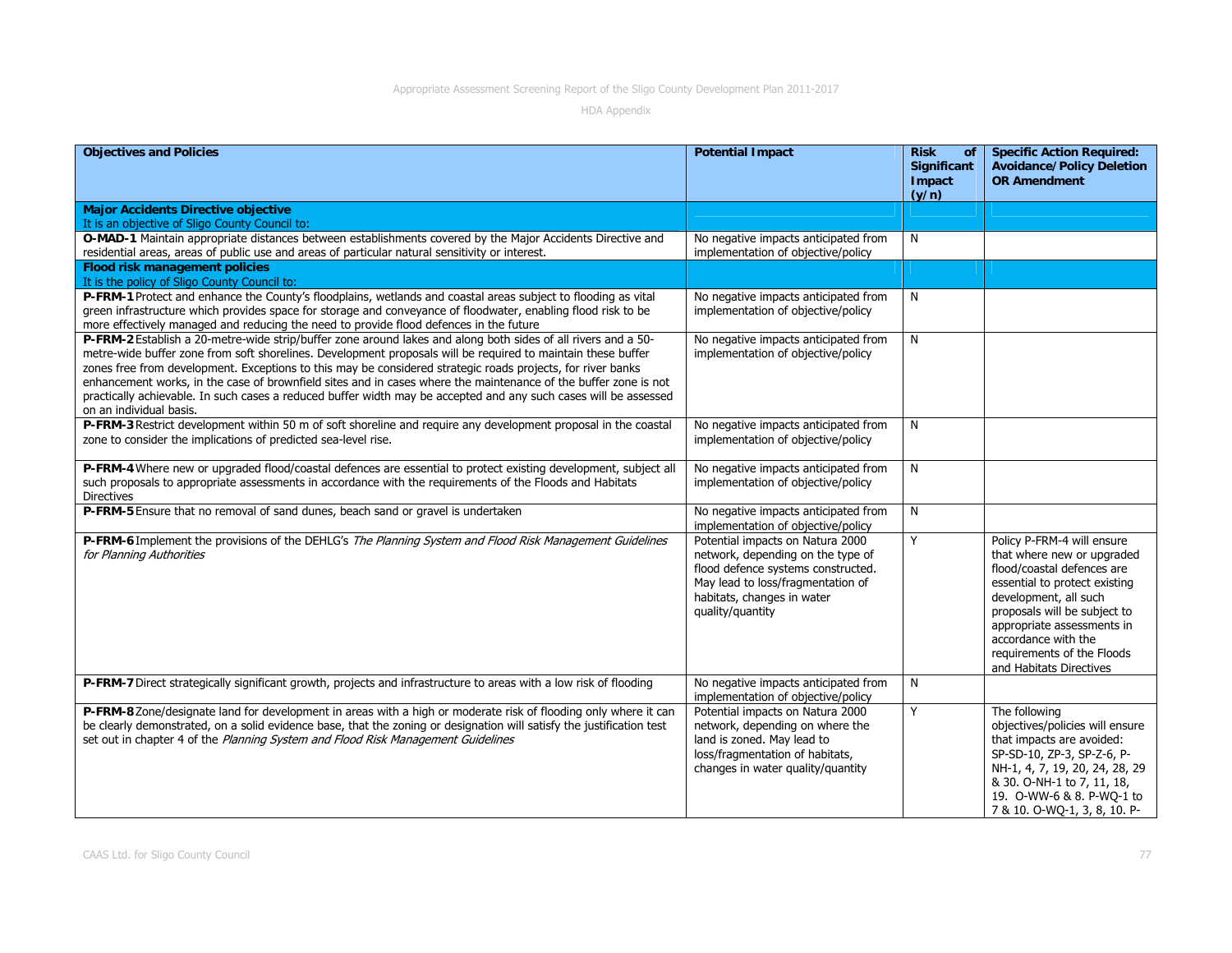| <b>Objectives and Policies</b>                                                                                                                                                                                                                                                                                                                                                                                                                                                                                                                                                                                 | <b>Potential Impact</b>                                                                                                                                                                            | <b>Risk</b><br><b>of</b><br>Significant<br>Impact<br>(y/n) | <b>Specific Action Required:</b><br><b>Avoidance/Policy Deletion</b><br><b>OR Amendment</b>                                                                                                                                                                                                    |
|----------------------------------------------------------------------------------------------------------------------------------------------------------------------------------------------------------------------------------------------------------------------------------------------------------------------------------------------------------------------------------------------------------------------------------------------------------------------------------------------------------------------------------------------------------------------------------------------------------------|----------------------------------------------------------------------------------------------------------------------------------------------------------------------------------------------------|------------------------------------------------------------|------------------------------------------------------------------------------------------------------------------------------------------------------------------------------------------------------------------------------------------------------------------------------------------------|
| <b>Major Accidents Directive objective</b><br>It is an objective of Sligo County Council to:                                                                                                                                                                                                                                                                                                                                                                                                                                                                                                                   |                                                                                                                                                                                                    |                                                            |                                                                                                                                                                                                                                                                                                |
| O-MAD-1 Maintain appropriate distances between establishments covered by the Major Accidents Directive and<br>residential areas, areas of public use and areas of particular natural sensitivity or interest.                                                                                                                                                                                                                                                                                                                                                                                                  | No negative impacts anticipated from<br>implementation of objective/policy                                                                                                                         | N                                                          |                                                                                                                                                                                                                                                                                                |
| <b>Flood risk management policies</b><br>It is the policy of Sligo County Council to:                                                                                                                                                                                                                                                                                                                                                                                                                                                                                                                          |                                                                                                                                                                                                    |                                                            |                                                                                                                                                                                                                                                                                                |
| P-FRM-1 Protect and enhance the County's floodplains, wetlands and coastal areas subject to flooding as vital<br>green infrastructure which provides space for storage and conveyance of floodwater, enabling flood risk to be<br>more effectively managed and reducing the need to provide flood defences in the future                                                                                                                                                                                                                                                                                       | No negative impacts anticipated from<br>implementation of objective/policy                                                                                                                         | N                                                          |                                                                                                                                                                                                                                                                                                |
| P-FRM-2 Establish a 20-metre-wide strip/buffer zone around lakes and along both sides of all rivers and a 50-<br>metre-wide buffer zone from soft shorelines. Development proposals will be required to maintain these buffer<br>zones free from development. Exceptions to this may be considered strategic roads projects, for river banks<br>enhancement works, in the case of brownfield sites and in cases where the maintenance of the buffer zone is not<br>practically achievable. In such cases a reduced buffer width may be accepted and any such cases will be assessed<br>on an individual basis. | No negative impacts anticipated from<br>implementation of objective/policy                                                                                                                         | N                                                          |                                                                                                                                                                                                                                                                                                |
| P-FRM-3 Restrict development within 50 m of soft shoreline and require any development proposal in the coastal<br>zone to consider the implications of predicted sea-level rise.                                                                                                                                                                                                                                                                                                                                                                                                                               | No negative impacts anticipated from<br>implementation of objective/policy                                                                                                                         | N                                                          |                                                                                                                                                                                                                                                                                                |
| P-FRM-4 Where new or upgraded flood/coastal defences are essential to protect existing development, subject all<br>such proposals to appropriate assessments in accordance with the requirements of the Floods and Habitats<br>Directives                                                                                                                                                                                                                                                                                                                                                                      | No negative impacts anticipated from<br>implementation of objective/policy                                                                                                                         | N                                                          |                                                                                                                                                                                                                                                                                                |
| P-FRM-5 Ensure that no removal of sand dunes, beach sand or gravel is undertaken                                                                                                                                                                                                                                                                                                                                                                                                                                                                                                                               | No negative impacts anticipated from<br>implementation of objective/policy                                                                                                                         | N                                                          |                                                                                                                                                                                                                                                                                                |
| P-FRM-6 Implement the provisions of the DEHLG's The Planning System and Flood Risk Management Guidelines<br>for Planning Authorities                                                                                                                                                                                                                                                                                                                                                                                                                                                                           | Potential impacts on Natura 2000<br>network, depending on the type of<br>flood defence systems constructed.<br>May lead to loss/fragmentation of<br>habitats, changes in water<br>quality/quantity | Y                                                          | Policy P-FRM-4 will ensure<br>that where new or upgraded<br>flood/coastal defences are<br>essential to protect existing<br>development, all such<br>proposals will be subject to<br>appropriate assessments in<br>accordance with the<br>requirements of the Floods<br>and Habitats Directives |
| P-FRM-7 Direct strategically significant growth, projects and infrastructure to areas with a low risk of flooding                                                                                                                                                                                                                                                                                                                                                                                                                                                                                              | No negative impacts anticipated from<br>implementation of objective/policy                                                                                                                         | N                                                          |                                                                                                                                                                                                                                                                                                |
| P-FRM-8 Zone/designate land for development in areas with a high or moderate risk of flooding only where it can<br>be clearly demonstrated, on a solid evidence base, that the zoning or designation will satisfy the justification test<br>set out in chapter 4 of the Planning System and Flood Risk Management Guidelines                                                                                                                                                                                                                                                                                   | Potential impacts on Natura 2000<br>network, depending on where the<br>land is zoned. May lead to<br>loss/fragmentation of habitats,<br>changes in water quality/quantity                          | Y                                                          | The following<br>objectives/policies will ensure<br>that impacts are avoided:<br>SP-SD-10, ZP-3, SP-Z-6, P-<br>NH-1, 4, 7, 19, 20, 24, 28, 29<br>& 30. O-NH-1 to 7, 11, 18,<br>19. O-WW-6 & 8. P-WQ-1 to<br>7 & 10. O-WQ-1, 3, 8, 10. P-                                                       |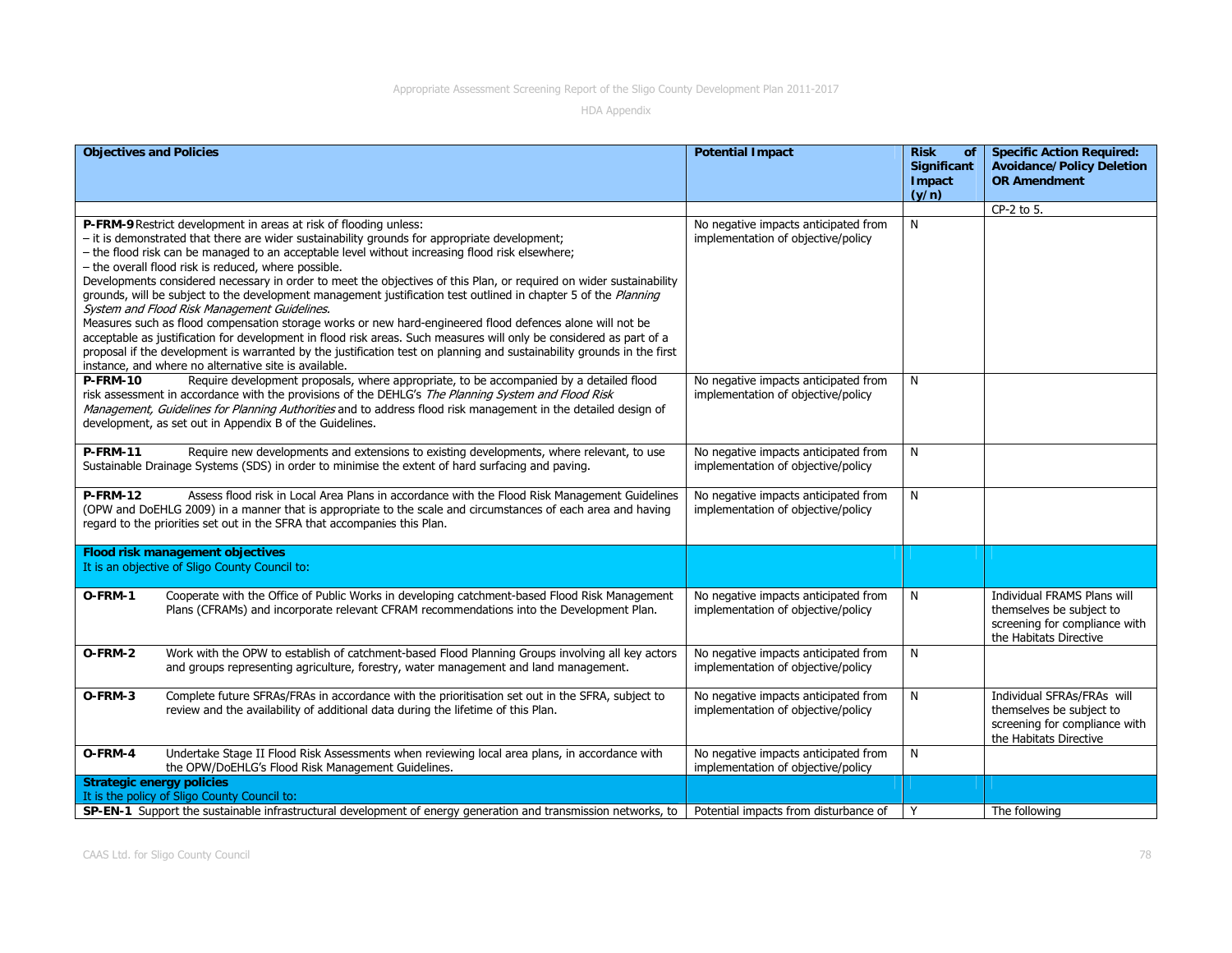| <b>Objectives and Policies</b>                                                                                                                                                                                                                                                                                                                                                                                                                                                                                                                                                                                                                                                                                                                                                                                                                                                                                                                                                                                                                 |                                                                                                                                                                                                                                                                                                                                                                              | <b>Potential Impact</b>                                                    | <b>Risk</b><br>of<br>Significant | <b>Specific Action Required:</b><br><b>Avoidance/Policy Deletion</b>                                               |  |
|------------------------------------------------------------------------------------------------------------------------------------------------------------------------------------------------------------------------------------------------------------------------------------------------------------------------------------------------------------------------------------------------------------------------------------------------------------------------------------------------------------------------------------------------------------------------------------------------------------------------------------------------------------------------------------------------------------------------------------------------------------------------------------------------------------------------------------------------------------------------------------------------------------------------------------------------------------------------------------------------------------------------------------------------|------------------------------------------------------------------------------------------------------------------------------------------------------------------------------------------------------------------------------------------------------------------------------------------------------------------------------------------------------------------------------|----------------------------------------------------------------------------|----------------------------------|--------------------------------------------------------------------------------------------------------------------|--|
|                                                                                                                                                                                                                                                                                                                                                                                                                                                                                                                                                                                                                                                                                                                                                                                                                                                                                                                                                                                                                                                |                                                                                                                                                                                                                                                                                                                                                                              |                                                                            | Impact<br>(y/n)                  | <b>OR Amendment</b>                                                                                                |  |
|                                                                                                                                                                                                                                                                                                                                                                                                                                                                                                                                                                                                                                                                                                                                                                                                                                                                                                                                                                                                                                                |                                                                                                                                                                                                                                                                                                                                                                              |                                                                            |                                  | CP-2 to 5.                                                                                                         |  |
| P-FRM-9 Restrict development in areas at risk of flooding unless:<br>- it is demonstrated that there are wider sustainability grounds for appropriate development;<br>- the flood risk can be managed to an acceptable level without increasing flood risk elsewhere;<br>- the overall flood risk is reduced, where possible.<br>Developments considered necessary in order to meet the objectives of this Plan, or required on wider sustainability<br>grounds, will be subject to the development management justification test outlined in chapter 5 of the Planning<br>System and Flood Risk Management Guidelines.<br>Measures such as flood compensation storage works or new hard-engineered flood defences alone will not be<br>acceptable as justification for development in flood risk areas. Such measures will only be considered as part of a<br>proposal if the development is warranted by the justification test on planning and sustainability grounds in the first<br>instance, and where no alternative site is available. |                                                                                                                                                                                                                                                                                                                                                                              | No negative impacts anticipated from<br>implementation of objective/policy | N                                |                                                                                                                    |  |
| <b>P-FRM-10</b>                                                                                                                                                                                                                                                                                                                                                                                                                                                                                                                                                                                                                                                                                                                                                                                                                                                                                                                                                                                                                                | Require development proposals, where appropriate, to be accompanied by a detailed flood<br>risk assessment in accordance with the provisions of the DEHLG's The Planning System and Flood Risk<br>Management, Guidelines for Planning Authorities and to address flood risk management in the detailed design of<br>development, as set out in Appendix B of the Guidelines. | No negative impacts anticipated from<br>implementation of objective/policy | N                                |                                                                                                                    |  |
| <b>P-FRM-11</b>                                                                                                                                                                                                                                                                                                                                                                                                                                                                                                                                                                                                                                                                                                                                                                                                                                                                                                                                                                                                                                | Require new developments and extensions to existing developments, where relevant, to use<br>Sustainable Drainage Systems (SDS) in order to minimise the extent of hard surfacing and paving.                                                                                                                                                                                 | No negative impacts anticipated from<br>implementation of objective/policy | N                                |                                                                                                                    |  |
| <b>P-FRM-12</b>                                                                                                                                                                                                                                                                                                                                                                                                                                                                                                                                                                                                                                                                                                                                                                                                                                                                                                                                                                                                                                | Assess flood risk in Local Area Plans in accordance with the Flood Risk Management Guidelines<br>(OPW and DoEHLG 2009) in a manner that is appropriate to the scale and circumstances of each area and having<br>regard to the priorities set out in the SFRA that accompanies this Plan.                                                                                    | No negative impacts anticipated from<br>implementation of objective/policy | N                                |                                                                                                                    |  |
|                                                                                                                                                                                                                                                                                                                                                                                                                                                                                                                                                                                                                                                                                                                                                                                                                                                                                                                                                                                                                                                | <b>Flood risk management objectives</b>                                                                                                                                                                                                                                                                                                                                      |                                                                            |                                  |                                                                                                                    |  |
|                                                                                                                                                                                                                                                                                                                                                                                                                                                                                                                                                                                                                                                                                                                                                                                                                                                                                                                                                                                                                                                | It is an objective of Sligo County Council to:                                                                                                                                                                                                                                                                                                                               |                                                                            |                                  |                                                                                                                    |  |
| O-FRM-1                                                                                                                                                                                                                                                                                                                                                                                                                                                                                                                                                                                                                                                                                                                                                                                                                                                                                                                                                                                                                                        | Cooperate with the Office of Public Works in developing catchment-based Flood Risk Management<br>Plans (CFRAMs) and incorporate relevant CFRAM recommendations into the Development Plan.                                                                                                                                                                                    | No negative impacts anticipated from<br>implementation of objective/policy | N                                | Individual FRAMS Plans will<br>themselves be subject to<br>screening for compliance with<br>the Habitats Directive |  |
| O-FRM-2                                                                                                                                                                                                                                                                                                                                                                                                                                                                                                                                                                                                                                                                                                                                                                                                                                                                                                                                                                                                                                        | Work with the OPW to establish of catchment-based Flood Planning Groups involving all key actors<br>and groups representing agriculture, forestry, water management and land management.                                                                                                                                                                                     | No negative impacts anticipated from<br>implementation of objective/policy | N                                |                                                                                                                    |  |
| O-FRM-3                                                                                                                                                                                                                                                                                                                                                                                                                                                                                                                                                                                                                                                                                                                                                                                                                                                                                                                                                                                                                                        | Complete future SFRAs/FRAs in accordance with the prioritisation set out in the SFRA, subject to<br>review and the availability of additional data during the lifetime of this Plan.                                                                                                                                                                                         | No negative impacts anticipated from<br>implementation of objective/policy | N                                | Individual SFRAs/FRAs will<br>themselves be subject to<br>screening for compliance with<br>the Habitats Directive  |  |
| O-FRM-4                                                                                                                                                                                                                                                                                                                                                                                                                                                                                                                                                                                                                                                                                                                                                                                                                                                                                                                                                                                                                                        | Undertake Stage II Flood Risk Assessments when reviewing local area plans, in accordance with<br>the OPW/DoEHLG's Flood Risk Management Guidelines.                                                                                                                                                                                                                          | No negative impacts anticipated from<br>implementation of objective/policy | N                                |                                                                                                                    |  |
|                                                                                                                                                                                                                                                                                                                                                                                                                                                                                                                                                                                                                                                                                                                                                                                                                                                                                                                                                                                                                                                | <b>Strategic energy policies</b>                                                                                                                                                                                                                                                                                                                                             |                                                                            |                                  |                                                                                                                    |  |
|                                                                                                                                                                                                                                                                                                                                                                                                                                                                                                                                                                                                                                                                                                                                                                                                                                                                                                                                                                                                                                                | It is the policy of Sligo County Council to:                                                                                                                                                                                                                                                                                                                                 |                                                                            |                                  |                                                                                                                    |  |
|                                                                                                                                                                                                                                                                                                                                                                                                                                                                                                                                                                                                                                                                                                                                                                                                                                                                                                                                                                                                                                                | SP-EN-1 Support the sustainable infrastructural development of energy generation and transmission networks, to                                                                                                                                                                                                                                                               | Potential impacts from disturbance of                                      | Y                                | The following                                                                                                      |  |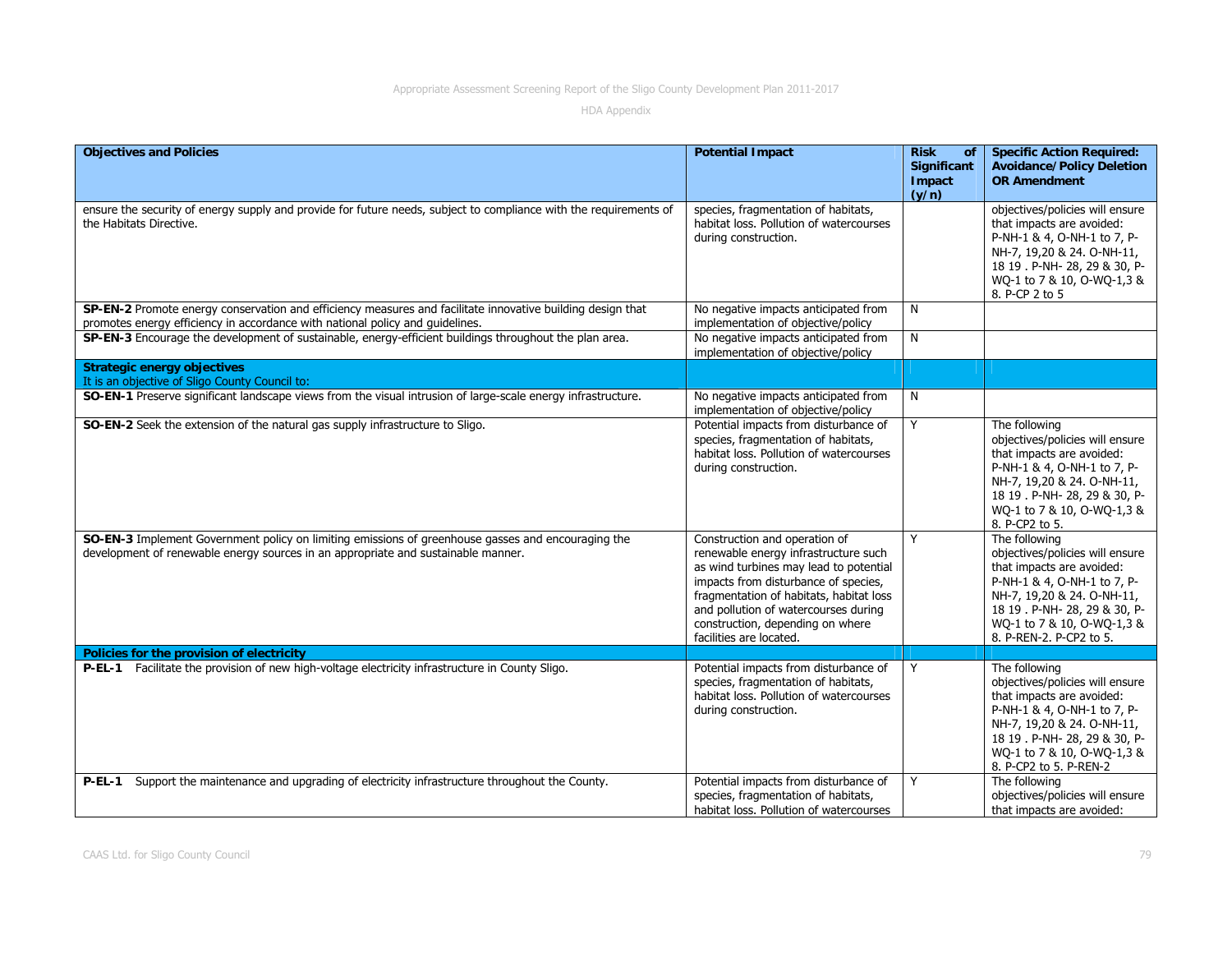| <b>Objectives and Policies</b>                                                                                                                                                              | <b>Potential Impact</b>                                                                                                                                                                                                                                                                                   | <b>Risk</b><br>of<br>Significant<br>Impact<br>(y/n) | <b>Specific Action Required:</b><br><b>Avoidance/Policy Deletion</b><br><b>OR Amendment</b>                                                                                                                                          |
|---------------------------------------------------------------------------------------------------------------------------------------------------------------------------------------------|-----------------------------------------------------------------------------------------------------------------------------------------------------------------------------------------------------------------------------------------------------------------------------------------------------------|-----------------------------------------------------|--------------------------------------------------------------------------------------------------------------------------------------------------------------------------------------------------------------------------------------|
| ensure the security of energy supply and provide for future needs, subject to compliance with the requirements of<br>the Habitats Directive.                                                | species, fragmentation of habitats,<br>habitat loss. Pollution of watercourses<br>during construction.                                                                                                                                                                                                    |                                                     | objectives/policies will ensure<br>that impacts are avoided:<br>P-NH-1 & 4, O-NH-1 to 7, P-<br>NH-7, 19,20 & 24. O-NH-11,<br>18 19 . P-NH- 28, 29 & 30, P-<br>WQ-1 to 7 & 10, O-WQ-1,3 &<br>8. P-CP 2 to 5                           |
| SP-EN-2 Promote energy conservation and efficiency measures and facilitate innovative building design that<br>promotes energy efficiency in accordance with national policy and quidelines. | No negative impacts anticipated from<br>implementation of objective/policy                                                                                                                                                                                                                                | N                                                   |                                                                                                                                                                                                                                      |
| SP-EN-3 Encourage the development of sustainable, energy-efficient buildings throughout the plan area.                                                                                      | No negative impacts anticipated from<br>implementation of objective/policy                                                                                                                                                                                                                                | N                                                   |                                                                                                                                                                                                                                      |
| <b>Strategic energy objectives</b>                                                                                                                                                          |                                                                                                                                                                                                                                                                                                           |                                                     |                                                                                                                                                                                                                                      |
| It is an objective of Sligo County Council to:<br>SO-EN-1 Preserve significant landscape views from the visual intrusion of large-scale energy infrastructure.                              | No negative impacts anticipated from<br>implementation of objective/policy                                                                                                                                                                                                                                | N                                                   |                                                                                                                                                                                                                                      |
| SO-EN-2 Seek the extension of the natural gas supply infrastructure to Sligo.                                                                                                               | Potential impacts from disturbance of<br>species, fragmentation of habitats,<br>habitat loss. Pollution of watercourses<br>during construction.                                                                                                                                                           | Y                                                   | The following<br>objectives/policies will ensure<br>that impacts are avoided:<br>P-NH-1 & 4, O-NH-1 to 7, P-<br>NH-7, 19,20 & 24. O-NH-11,<br>18 19 . P-NH- 28, 29 & 30, P-<br>WQ-1 to 7 & 10, O-WQ-1,3 &<br>8. P-CP2 to 5.          |
| SO-EN-3 Implement Government policy on limiting emissions of greenhouse gasses and encouraging the<br>development of renewable energy sources in an appropriate and sustainable manner.     | Construction and operation of<br>renewable energy infrastructure such<br>as wind turbines may lead to potential<br>impacts from disturbance of species,<br>fragmentation of habitats, habitat loss<br>and pollution of watercourses during<br>construction, depending on where<br>facilities are located. | Y                                                   | The following<br>objectives/policies will ensure<br>that impacts are avoided:<br>P-NH-1 & 4, O-NH-1 to 7, P-<br>NH-7, 19,20 & 24. O-NH-11,<br>18 19 . P-NH- 28, 29 & 30, P-<br>WQ-1 to 7 & 10, O-WQ-1,3 &<br>8. P-REN-2. P-CP2 to 5. |
| Policies for the provision of electricity                                                                                                                                                   |                                                                                                                                                                                                                                                                                                           |                                                     |                                                                                                                                                                                                                                      |
| P-EL-1 Facilitate the provision of new high-voltage electricity infrastructure in County Sligo.                                                                                             | Potential impacts from disturbance of<br>species, fragmentation of habitats,<br>habitat loss. Pollution of watercourses<br>during construction.                                                                                                                                                           | Y                                                   | The following<br>objectives/policies will ensure<br>that impacts are avoided:<br>P-NH-1 & 4, O-NH-1 to 7, P-<br>NH-7, 19,20 & 24. O-NH-11,<br>18 19 . P-NH- 28, 29 & 30, P-<br>WQ-1 to 7 & 10, O-WQ-1,3 &<br>8. P-CP2 to 5. P-REN-2  |
| P-EL-1 Support the maintenance and upgrading of electricity infrastructure throughout the County.                                                                                           | Potential impacts from disturbance of<br>species, fragmentation of habitats,<br>habitat loss. Pollution of watercourses                                                                                                                                                                                   | Y                                                   | The following<br>objectives/policies will ensure<br>that impacts are avoided:                                                                                                                                                        |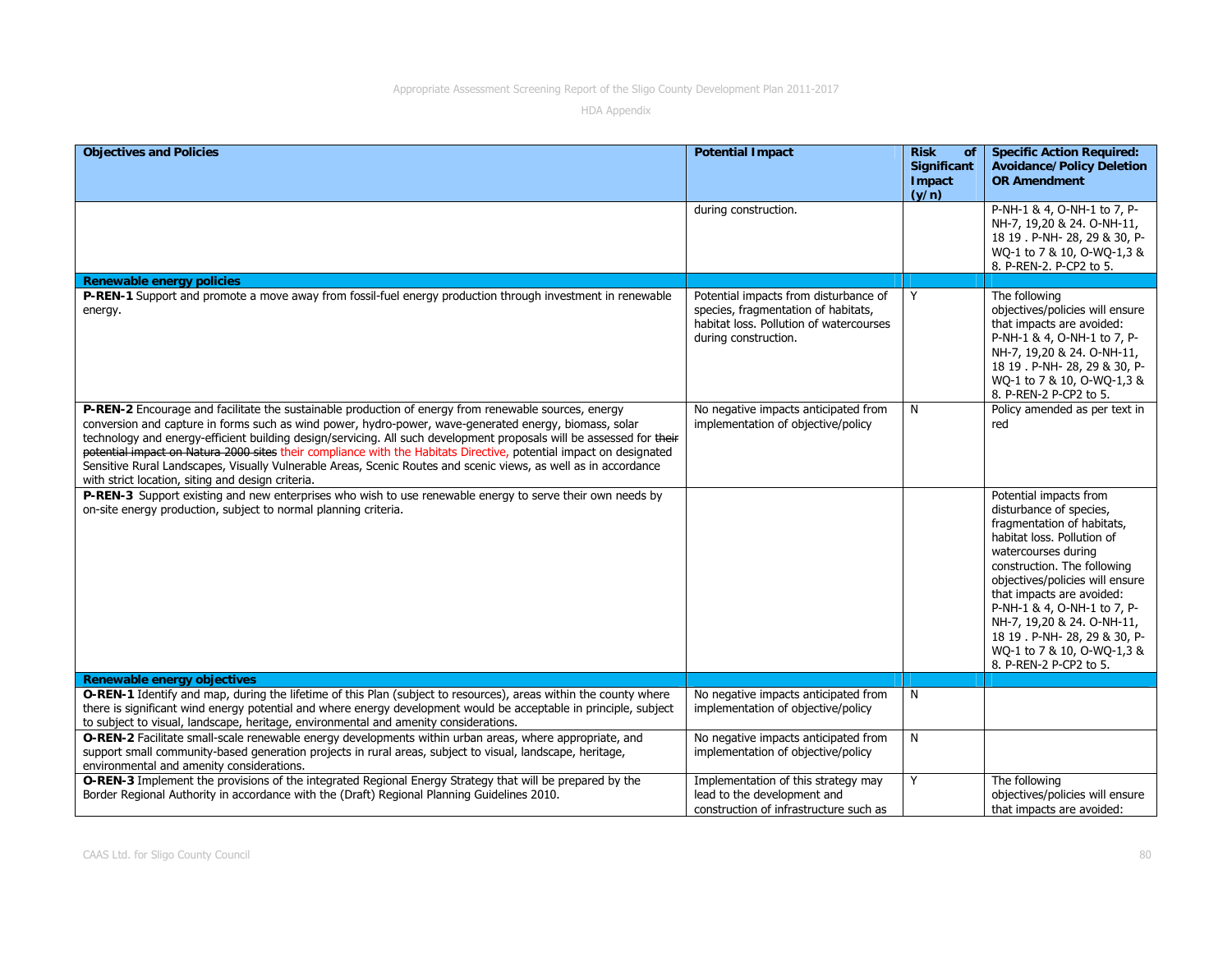| <b>Objectives and Policies</b>                                                                                                                                                                                                                                                                                                                                                                                                                                                                                                                                                                                                       | <b>Potential Impact</b>                                                                                                                         | <b>Risk</b><br><b>of</b><br>Significant<br>Impact<br>(y/n) | <b>Specific Action Required:</b><br><b>Avoidance/Policy Deletion</b><br><b>OR Amendment</b>                                                                                                                                                                                                                                                                                               |
|--------------------------------------------------------------------------------------------------------------------------------------------------------------------------------------------------------------------------------------------------------------------------------------------------------------------------------------------------------------------------------------------------------------------------------------------------------------------------------------------------------------------------------------------------------------------------------------------------------------------------------------|-------------------------------------------------------------------------------------------------------------------------------------------------|------------------------------------------------------------|-------------------------------------------------------------------------------------------------------------------------------------------------------------------------------------------------------------------------------------------------------------------------------------------------------------------------------------------------------------------------------------------|
|                                                                                                                                                                                                                                                                                                                                                                                                                                                                                                                                                                                                                                      | during construction.                                                                                                                            |                                                            | P-NH-1 & 4, O-NH-1 to 7, P-<br>NH-7, 19,20 & 24. O-NH-11,<br>18 19 . P-NH- 28, 29 & 30, P-<br>WQ-1 to 7 & 10, O-WQ-1,3 &<br>8. P-REN-2. P-CP2 to 5.                                                                                                                                                                                                                                       |
| <b>Renewable energy policies</b>                                                                                                                                                                                                                                                                                                                                                                                                                                                                                                                                                                                                     |                                                                                                                                                 |                                                            |                                                                                                                                                                                                                                                                                                                                                                                           |
| P-REN-1 Support and promote a move away from fossil-fuel energy production through investment in renewable<br>energy.                                                                                                                                                                                                                                                                                                                                                                                                                                                                                                                | Potential impacts from disturbance of<br>species, fragmentation of habitats,<br>habitat loss. Pollution of watercourses<br>during construction. | Y                                                          | The following<br>objectives/policies will ensure<br>that impacts are avoided:<br>P-NH-1 & 4, O-NH-1 to 7, P-<br>NH-7, 19,20 & 24. O-NH-11,<br>18 19 . P-NH- 28, 29 & 30, P-<br>WQ-1 to 7 & 10, O-WQ-1,3 &<br>8. P-REN-2 P-CP2 to 5.                                                                                                                                                       |
| P-REN-2 Encourage and facilitate the sustainable production of energy from renewable sources, energy<br>conversion and capture in forms such as wind power, hydro-power, wave-generated energy, biomass, solar<br>technology and energy-efficient building design/servicing. All such development proposals will be assessed for their<br>potential impact on Natura 2000 sites their compliance with the Habitats Directive, potential impact on designated<br>Sensitive Rural Landscapes, Visually Vulnerable Areas, Scenic Routes and scenic views, as well as in accordance<br>with strict location, siting and design criteria. | No negative impacts anticipated from<br>implementation of objective/policy                                                                      | N                                                          | Policy amended as per text in<br>red                                                                                                                                                                                                                                                                                                                                                      |
| P-REN-3 Support existing and new enterprises who wish to use renewable energy to serve their own needs by<br>on-site energy production, subject to normal planning criteria.                                                                                                                                                                                                                                                                                                                                                                                                                                                         |                                                                                                                                                 |                                                            | Potential impacts from<br>disturbance of species,<br>fragmentation of habitats,<br>habitat loss. Pollution of<br>watercourses during<br>construction. The following<br>objectives/policies will ensure<br>that impacts are avoided:<br>P-NH-1 & 4, O-NH-1 to 7, P-<br>NH-7, 19,20 & 24. O-NH-11,<br>18 19 . P-NH- 28, 29 & 30, P-<br>WQ-1 to 7 & 10, O-WQ-1,3 &<br>8. P-REN-2 P-CP2 to 5. |
| Renewable energy objectives                                                                                                                                                                                                                                                                                                                                                                                                                                                                                                                                                                                                          |                                                                                                                                                 |                                                            |                                                                                                                                                                                                                                                                                                                                                                                           |
| O-REN-1 Identify and map, during the lifetime of this Plan (subject to resources), areas within the county where<br>there is significant wind energy potential and where energy development would be acceptable in principle, subject<br>to subject to visual, landscape, heritage, environmental and amenity considerations.                                                                                                                                                                                                                                                                                                        | No negative impacts anticipated from<br>implementation of objective/policy                                                                      | N                                                          |                                                                                                                                                                                                                                                                                                                                                                                           |
| O-REN-2 Facilitate small-scale renewable energy developments within urban areas, where appropriate, and<br>support small community-based generation projects in rural areas, subject to visual, landscape, heritage,<br>environmental and amenity considerations.                                                                                                                                                                                                                                                                                                                                                                    | No negative impacts anticipated from<br>implementation of objective/policy                                                                      | N                                                          |                                                                                                                                                                                                                                                                                                                                                                                           |
| <b>O-REN-3</b> Implement the provisions of the integrated Regional Energy Strategy that will be prepared by the<br>Border Regional Authority in accordance with the (Draft) Regional Planning Guidelines 2010.                                                                                                                                                                                                                                                                                                                                                                                                                       | Implementation of this strategy may<br>lead to the development and<br>construction of infrastructure such as                                    | Y                                                          | The following<br>objectives/policies will ensure<br>that impacts are avoided:                                                                                                                                                                                                                                                                                                             |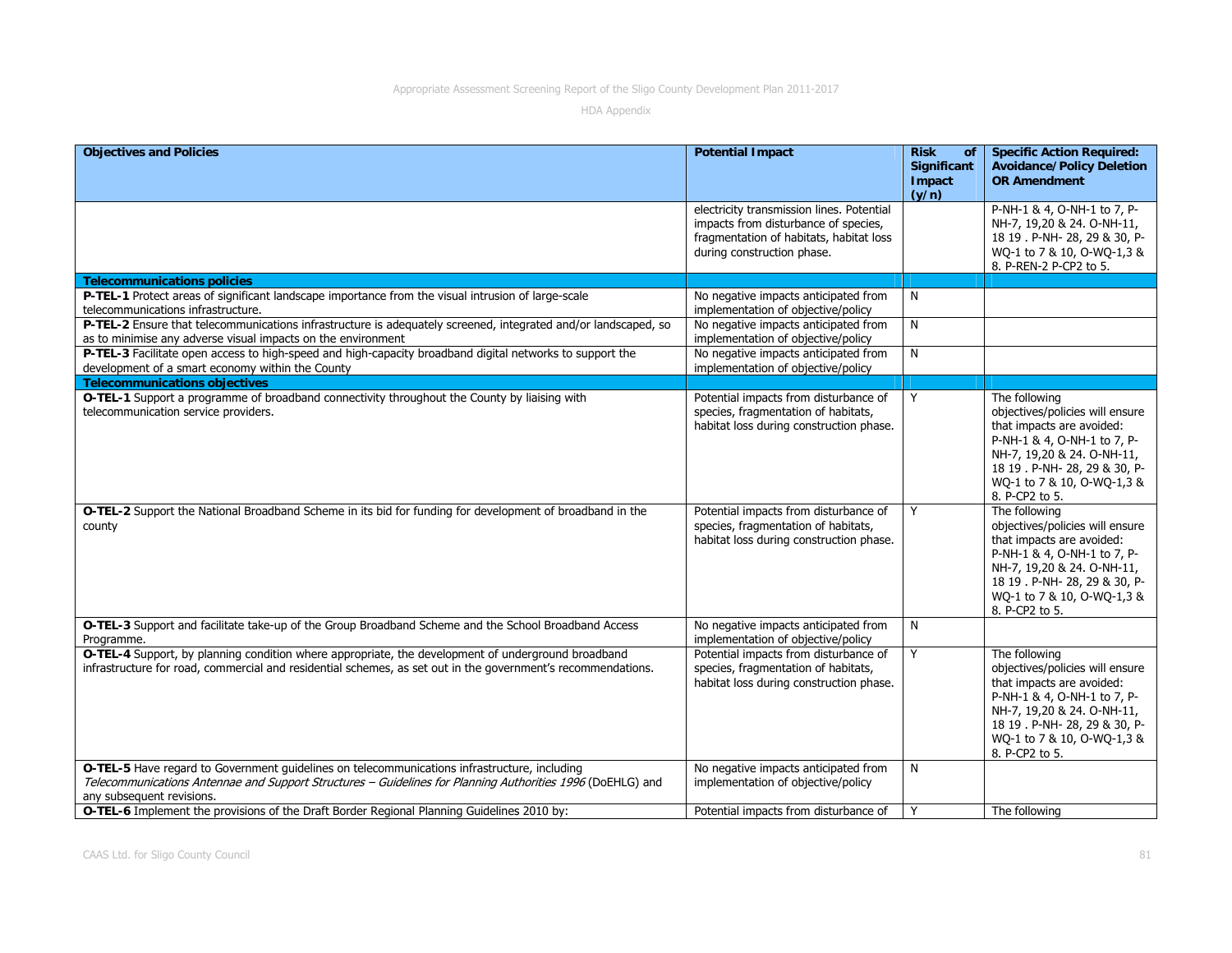| <b>Objectives and Policies</b>                                                                                                                                                                                                          | <b>Potential Impact</b>                                                                                                                                    | <b>Risk</b><br>of<br>Significant<br>Impact<br>(y/n) | <b>Specific Action Required:</b><br><b>Avoidance/Policy Deletion</b><br><b>OR Amendment</b>                                                                                                                                 |
|-----------------------------------------------------------------------------------------------------------------------------------------------------------------------------------------------------------------------------------------|------------------------------------------------------------------------------------------------------------------------------------------------------------|-----------------------------------------------------|-----------------------------------------------------------------------------------------------------------------------------------------------------------------------------------------------------------------------------|
|                                                                                                                                                                                                                                         | electricity transmission lines. Potential<br>impacts from disturbance of species,<br>fragmentation of habitats, habitat loss<br>during construction phase. |                                                     | P-NH-1 & 4, O-NH-1 to 7, P-<br>NH-7, 19,20 & 24. O-NH-11,<br>18 19 . P-NH- 28, 29 & 30, P-<br>WQ-1 to 7 & 10, O-WQ-1,3 &<br>8. P-REN-2 P-CP2 to 5.                                                                          |
| <b>Telecommunications policies</b>                                                                                                                                                                                                      |                                                                                                                                                            |                                                     |                                                                                                                                                                                                                             |
| P-TEL-1 Protect areas of significant landscape importance from the visual intrusion of large-scale<br>telecommunications infrastructure.                                                                                                | No negative impacts anticipated from<br>implementation of objective/policy                                                                                 | N                                                   |                                                                                                                                                                                                                             |
| P-TEL-2 Ensure that telecommunications infrastructure is adequately screened, integrated and/or landscaped, so<br>as to minimise any adverse visual impacts on the environment                                                          | No negative impacts anticipated from<br>implementation of objective/policy                                                                                 | N                                                   |                                                                                                                                                                                                                             |
| P-TEL-3 Facilitate open access to high-speed and high-capacity broadband digital networks to support the<br>development of a smart economy within the County                                                                            | No negative impacts anticipated from<br>implementation of objective/policy                                                                                 | N                                                   |                                                                                                                                                                                                                             |
| <b>Telecommunications objectives</b>                                                                                                                                                                                                    |                                                                                                                                                            |                                                     |                                                                                                                                                                                                                             |
| O-TEL-1 Support a programme of broadband connectivity throughout the County by liaising with<br>telecommunication service providers.                                                                                                    | Potential impacts from disturbance of<br>species, fragmentation of habitats,<br>habitat loss during construction phase.                                    | Y                                                   | The following<br>objectives/policies will ensure<br>that impacts are avoided:<br>P-NH-1 & 4, O-NH-1 to 7, P-<br>NH-7, 19,20 & 24. O-NH-11,<br>18 19 . P-NH- 28, 29 & 30, P-<br>WQ-1 to 7 & 10, O-WQ-1,3 &<br>8. P-CP2 to 5. |
| O-TEL-2 Support the National Broadband Scheme in its bid for funding for development of broadband in the<br>county                                                                                                                      | Potential impacts from disturbance of<br>species, fragmentation of habitats,<br>habitat loss during construction phase.                                    | Y                                                   | The following<br>objectives/policies will ensure<br>that impacts are avoided:<br>P-NH-1 & 4, O-NH-1 to 7, P-<br>NH-7, 19,20 & 24. O-NH-11,<br>18 19 . P-NH- 28, 29 & 30, P-<br>WQ-1 to 7 & 10, O-WQ-1,3 &<br>8. P-CP2 to 5. |
| O-TEL-3 Support and facilitate take-up of the Group Broadband Scheme and the School Broadband Access<br>Programme.                                                                                                                      | No negative impacts anticipated from<br>implementation of objective/policy                                                                                 | N                                                   |                                                                                                                                                                                                                             |
| O-TEL-4 Support, by planning condition where appropriate, the development of underground broadband<br>infrastructure for road, commercial and residential schemes, as set out in the government's recommendations.                      | Potential impacts from disturbance of<br>species, fragmentation of habitats,<br>habitat loss during construction phase.                                    | Y                                                   | The following<br>objectives/policies will ensure<br>that impacts are avoided:<br>P-NH-1 & 4, O-NH-1 to 7, P-<br>NH-7, 19,20 & 24. O-NH-11,<br>18 19 . P-NH- 28, 29 & 30, P-<br>WQ-1 to 7 & 10, O-WQ-1,3 &<br>8. P-CP2 to 5. |
| O-TEL-5 Have regard to Government guidelines on telecommunications infrastructure, including<br>Telecommunications Antennae and Support Structures - Guidelines for Planning Authorities 1996 (DoEHLG) and<br>any subsequent revisions. | No negative impacts anticipated from<br>implementation of objective/policy                                                                                 | N                                                   |                                                                                                                                                                                                                             |
| O-TEL-6 Implement the provisions of the Draft Border Regional Planning Guidelines 2010 by:                                                                                                                                              | Potential impacts from disturbance of                                                                                                                      | Y                                                   | The following                                                                                                                                                                                                               |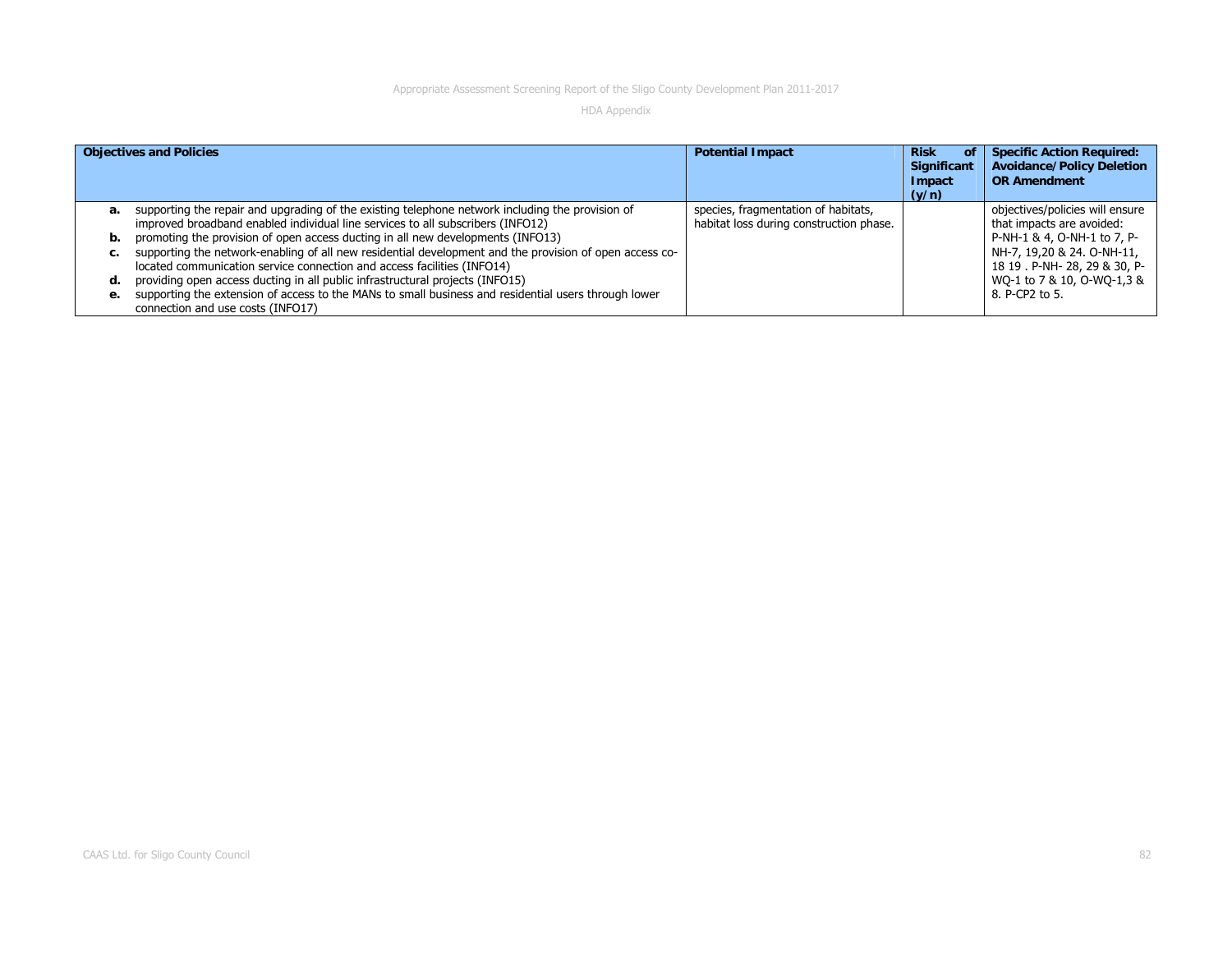|    | <b>Objectives and Policies</b>                                                                                                            | <b>Potential Impact</b>                 | <b>Risk</b><br>ΟĪ<br><b>Significant</b><br>Impact<br>(y/n) | <b>Specific Action Required:</b><br><b>Avoidance/Policy Deletion</b><br><b>OR Amendment</b> |
|----|-------------------------------------------------------------------------------------------------------------------------------------------|-----------------------------------------|------------------------------------------------------------|---------------------------------------------------------------------------------------------|
| а. | supporting the repair and upgrading of the existing telephone network including the provision of                                          | species, fragmentation of habitats,     |                                                            | objectives/policies will ensure                                                             |
|    | improved broadband enabled individual line services to all subscribers (INFO12)                                                           | habitat loss during construction phase. |                                                            | that impacts are avoided:                                                                   |
| b. | promoting the provision of open access ducting in all new developments (INFO13)                                                           |                                         |                                                            | P-NH-1 & 4, O-NH-1 to 7, P-                                                                 |
| с. | supporting the network-enabling of all new residential development and the provision of open access co-                                   |                                         |                                                            | NH-7, 19,20 & 24. O-NH-11,                                                                  |
|    | located communication service connection and access facilities (INFO14)                                                                   |                                         |                                                            | 18 19 . P-NH- 28, 29 & 30, P-                                                               |
| d. | providing open access ducting in all public infrastructural projects (INFO15)                                                             |                                         |                                                            | WO-1 to 7 & 10, O-WO-1,3 &                                                                  |
| e. | supporting the extension of access to the MANs to small business and residential users through lower<br>connection and use costs (INFO17) |                                         |                                                            | 8. P-CP2 to 5.                                                                              |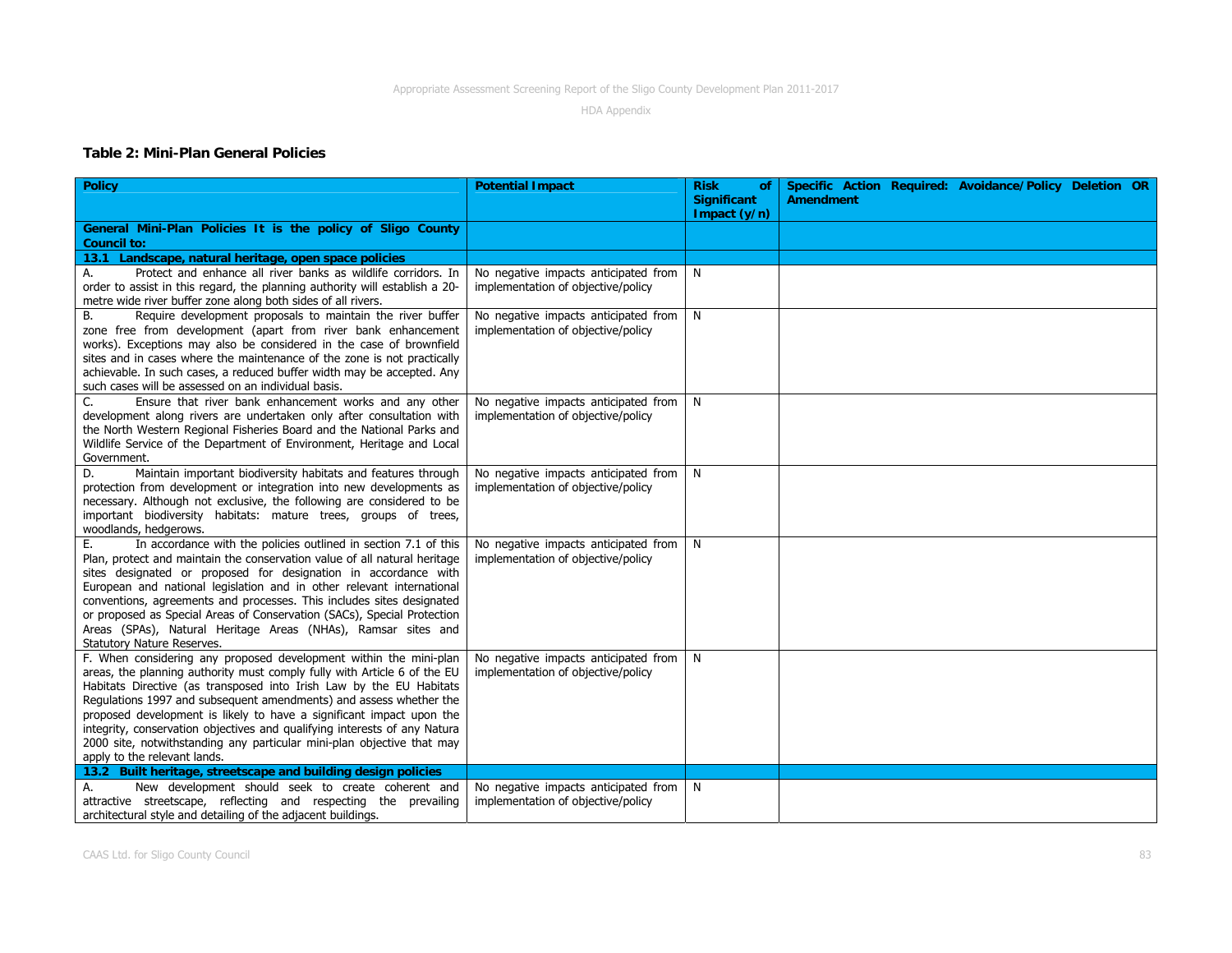HDA Appendix

#### **Table 2: Mini-Plan General Policies**

| <b>Policy</b>                                                                                                                        | <b>Potential Impact</b>                                                    | <b>Risk</b><br><b>of</b>             | Specific Action Required: Avoidance/Policy Deletion OR |
|--------------------------------------------------------------------------------------------------------------------------------------|----------------------------------------------------------------------------|--------------------------------------|--------------------------------------------------------|
|                                                                                                                                      |                                                                            | <b>Significant</b><br>Impact $(y/n)$ | <b>Amendment</b>                                       |
| General Mini-Plan Policies It is the policy of Sligo County                                                                          |                                                                            |                                      |                                                        |
| <b>Council to:</b>                                                                                                                   |                                                                            |                                      |                                                        |
| 13.1 Landscape, natural heritage, open space policies                                                                                |                                                                            |                                      |                                                        |
| Protect and enhance all river banks as wildlife corridors. In<br>А.                                                                  | No negative impacts anticipated from                                       | N                                    |                                                        |
| order to assist in this regard, the planning authority will establish a 20-                                                          | implementation of objective/policy                                         |                                      |                                                        |
| metre wide river buffer zone along both sides of all rivers.                                                                         |                                                                            |                                      |                                                        |
| Require development proposals to maintain the river buffer<br>В.                                                                     | No negative impacts anticipated from                                       | N                                    |                                                        |
| zone free from development (apart from river bank enhancement                                                                        | implementation of objective/policy                                         |                                      |                                                        |
| works). Exceptions may also be considered in the case of brownfield                                                                  |                                                                            |                                      |                                                        |
| sites and in cases where the maintenance of the zone is not practically                                                              |                                                                            |                                      |                                                        |
| achievable. In such cases, a reduced buffer width may be accepted. Any                                                               |                                                                            |                                      |                                                        |
| such cases will be assessed on an individual basis.                                                                                  |                                                                            |                                      |                                                        |
| Ensure that river bank enhancement works and any other<br>C.<br>development along rivers are undertaken only after consultation with | No negative impacts anticipated from<br>implementation of objective/policy | N.                                   |                                                        |
| the North Western Regional Fisheries Board and the National Parks and                                                                |                                                                            |                                      |                                                        |
| Wildlife Service of the Department of Environment, Heritage and Local                                                                |                                                                            |                                      |                                                        |
| Government.                                                                                                                          |                                                                            |                                      |                                                        |
| Maintain important biodiversity habitats and features through<br>D.                                                                  | No negative impacts anticipated from                                       | N.                                   |                                                        |
| protection from development or integration into new developments as                                                                  | implementation of objective/policy                                         |                                      |                                                        |
| necessary. Although not exclusive, the following are considered to be                                                                |                                                                            |                                      |                                                        |
| important biodiversity habitats: mature trees, groups of trees,                                                                      |                                                                            |                                      |                                                        |
| woodlands, hedgerows.                                                                                                                |                                                                            |                                      |                                                        |
| In accordance with the policies outlined in section 7.1 of this<br>E.                                                                | No negative impacts anticipated from                                       | $\mathsf{N}$                         |                                                        |
| Plan, protect and maintain the conservation value of all natural heritage                                                            | implementation of objective/policy                                         |                                      |                                                        |
| sites designated or proposed for designation in accordance with                                                                      |                                                                            |                                      |                                                        |
| European and national legislation and in other relevant international                                                                |                                                                            |                                      |                                                        |
| conventions, agreements and processes. This includes sites designated                                                                |                                                                            |                                      |                                                        |
| or proposed as Special Areas of Conservation (SACs), Special Protection                                                              |                                                                            |                                      |                                                        |
| Areas (SPAs), Natural Heritage Areas (NHAs), Ramsar sites and<br>Statutory Nature Reserves.                                          |                                                                            |                                      |                                                        |
| F. When considering any proposed development within the mini-plan                                                                    | No negative impacts anticipated from                                       | N.                                   |                                                        |
| areas, the planning authority must comply fully with Article 6 of the EU                                                             | implementation of objective/policy                                         |                                      |                                                        |
| Habitats Directive (as transposed into Irish Law by the EU Habitats                                                                  |                                                                            |                                      |                                                        |
| Regulations 1997 and subsequent amendments) and assess whether the                                                                   |                                                                            |                                      |                                                        |
| proposed development is likely to have a significant impact upon the                                                                 |                                                                            |                                      |                                                        |
| integrity, conservation objectives and qualifying interests of any Natura                                                            |                                                                            |                                      |                                                        |
| 2000 site, notwithstanding any particular mini-plan objective that may                                                               |                                                                            |                                      |                                                        |
| apply to the relevant lands.                                                                                                         |                                                                            |                                      |                                                        |
| 13.2 Built heritage, streetscape and building design policies                                                                        |                                                                            |                                      |                                                        |
| New development should seek to create coherent and<br>А.                                                                             | No negative impacts anticipated from                                       | N <sub>1</sub>                       |                                                        |
| attractive streetscape, reflecting and respecting the prevailing                                                                     | implementation of objective/policy                                         |                                      |                                                        |
| architectural style and detailing of the adjacent buildings.                                                                         |                                                                            |                                      |                                                        |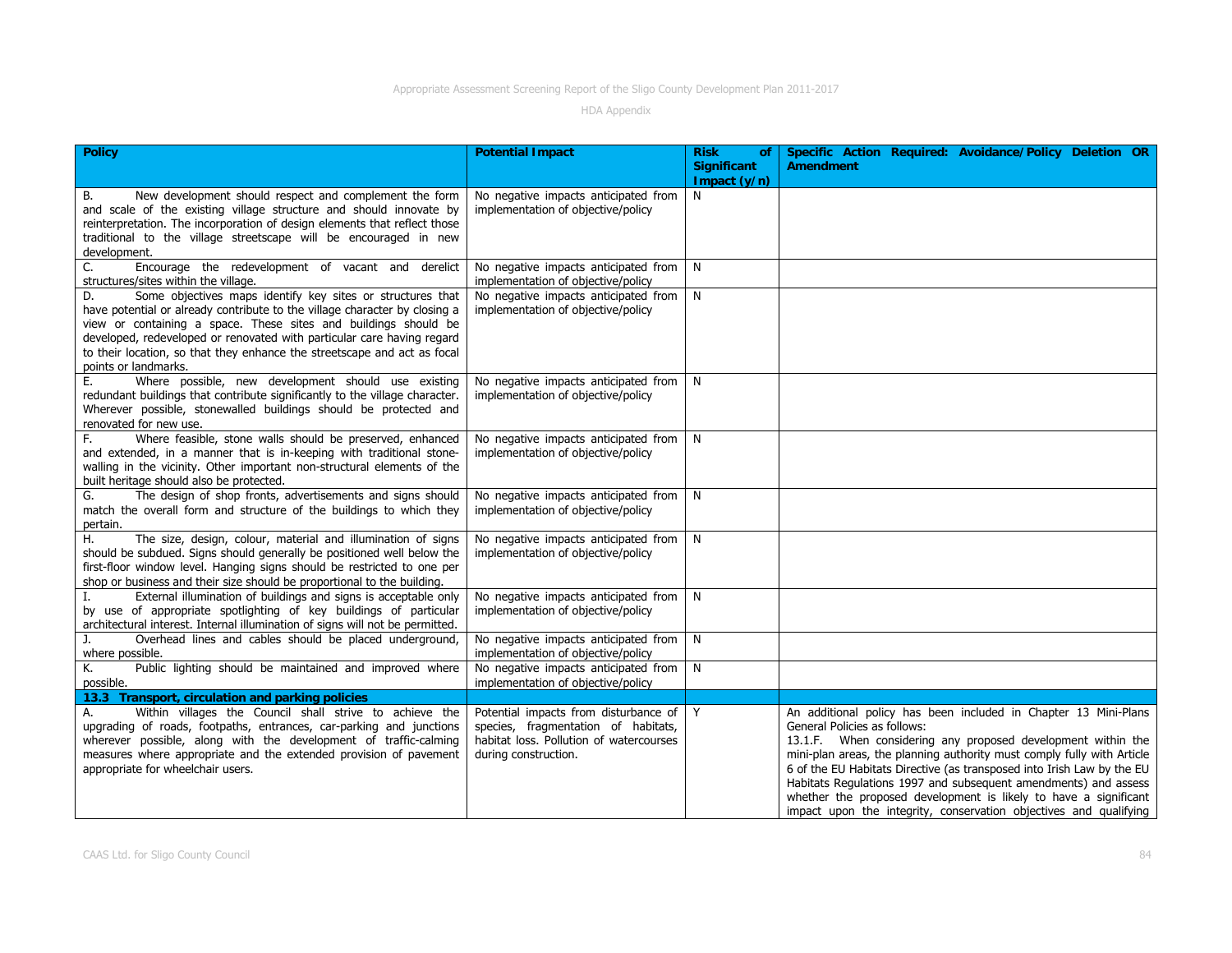| <b>Policy</b>                                                                                                                                                                                                                                                                                                                                                                                   | <b>Potential Impact</b>                                                                                                                           | <b>Risk</b><br>of<br><b>Significant</b><br>Impact $(y/n)$ | Specific Action Required: Avoidance/Policy Deletion OR<br><b>Amendment</b>                                                                                                                                                                                                                                                                                                                                                                                                                                                      |
|-------------------------------------------------------------------------------------------------------------------------------------------------------------------------------------------------------------------------------------------------------------------------------------------------------------------------------------------------------------------------------------------------|---------------------------------------------------------------------------------------------------------------------------------------------------|-----------------------------------------------------------|---------------------------------------------------------------------------------------------------------------------------------------------------------------------------------------------------------------------------------------------------------------------------------------------------------------------------------------------------------------------------------------------------------------------------------------------------------------------------------------------------------------------------------|
| New development should respect and complement the form<br>В.<br>and scale of the existing village structure and should innovate by<br>reinterpretation. The incorporation of design elements that reflect those<br>traditional to the village streetscape will be encouraged in new<br>development.                                                                                             | No negative impacts anticipated from<br>implementation of objective/policy                                                                        | N                                                         |                                                                                                                                                                                                                                                                                                                                                                                                                                                                                                                                 |
| Encourage the redevelopment of vacant and derelict<br>C.<br>structures/sites within the village.                                                                                                                                                                                                                                                                                                | No negative impacts anticipated from<br>implementation of objective/policy                                                                        | N                                                         |                                                                                                                                                                                                                                                                                                                                                                                                                                                                                                                                 |
| Some objectives maps identify key sites or structures that<br>D.<br>have potential or already contribute to the village character by closing a<br>view or containing a space. These sites and buildings should be<br>developed, redeveloped or renovated with particular care having regard<br>to their location, so that they enhance the streetscape and act as focal<br>points or landmarks. | No negative impacts anticipated from<br>implementation of objective/policy                                                                        | N                                                         |                                                                                                                                                                                                                                                                                                                                                                                                                                                                                                                                 |
| Where possible, new development should use existing<br>Е.<br>redundant buildings that contribute significantly to the village character.<br>Wherever possible, stonewalled buildings should be protected and<br>renovated for new use.                                                                                                                                                          | No negative impacts anticipated from<br>implementation of objective/policy                                                                        | N                                                         |                                                                                                                                                                                                                                                                                                                                                                                                                                                                                                                                 |
| Where feasible, stone walls should be preserved, enhanced<br>F.<br>and extended, in a manner that is in-keeping with traditional stone-<br>walling in the vicinity. Other important non-structural elements of the<br>built heritage should also be protected.                                                                                                                                  | No negative impacts anticipated from<br>implementation of objective/policy                                                                        | $\mathsf{N}$                                              |                                                                                                                                                                                                                                                                                                                                                                                                                                                                                                                                 |
| The design of shop fronts, advertisements and signs should<br>G.<br>match the overall form and structure of the buildings to which they<br>pertain.                                                                                                                                                                                                                                             | No negative impacts anticipated from<br>implementation of objective/policy                                                                        | N                                                         |                                                                                                                                                                                                                                                                                                                                                                                                                                                                                                                                 |
| The size, design, colour, material and illumination of signs<br>Η.<br>should be subdued. Signs should generally be positioned well below the<br>first-floor window level. Hanging signs should be restricted to one per<br>shop or business and their size should be proportional to the building.                                                                                              | No negative impacts anticipated from N<br>implementation of objective/policy                                                                      |                                                           |                                                                                                                                                                                                                                                                                                                                                                                                                                                                                                                                 |
| External illumination of buildings and signs is acceptable only<br>by use of appropriate spotlighting of key buildings of particular<br>architectural interest. Internal illumination of signs will not be permitted.                                                                                                                                                                           | No negative impacts anticipated from<br>implementation of objective/policy                                                                        | N                                                         |                                                                                                                                                                                                                                                                                                                                                                                                                                                                                                                                 |
| Overhead lines and cables should be placed underground,<br>J.<br>where possible.                                                                                                                                                                                                                                                                                                                | No negative impacts anticipated from<br>implementation of objective/policy                                                                        | N.                                                        |                                                                                                                                                                                                                                                                                                                                                                                                                                                                                                                                 |
| Public lighting should be maintained and improved where<br>Κ.<br>possible.                                                                                                                                                                                                                                                                                                                      | No negative impacts anticipated from<br>implementation of objective/policy                                                                        | N                                                         |                                                                                                                                                                                                                                                                                                                                                                                                                                                                                                                                 |
| 13.3 Transport, circulation and parking policies                                                                                                                                                                                                                                                                                                                                                |                                                                                                                                                   |                                                           |                                                                                                                                                                                                                                                                                                                                                                                                                                                                                                                                 |
| Within villages the Council shall strive to achieve the<br>А.<br>upgrading of roads, footpaths, entrances, car-parking and junctions<br>wherever possible, along with the development of traffic-calming<br>measures where appropriate and the extended provision of pavement<br>appropriate for wheelchair users.                                                                              | Potential impacts from disturbance of Y<br>species, fragmentation of habitats,<br>habitat loss. Pollution of watercourses<br>during construction. |                                                           | An additional policy has been included in Chapter 13 Mini-Plans<br>General Policies as follows:<br>13.1.F. When considering any proposed development within the<br>mini-plan areas, the planning authority must comply fully with Article<br>6 of the EU Habitats Directive (as transposed into Irish Law by the EU<br>Habitats Regulations 1997 and subsequent amendments) and assess<br>whether the proposed development is likely to have a significant<br>impact upon the integrity, conservation objectives and qualifying |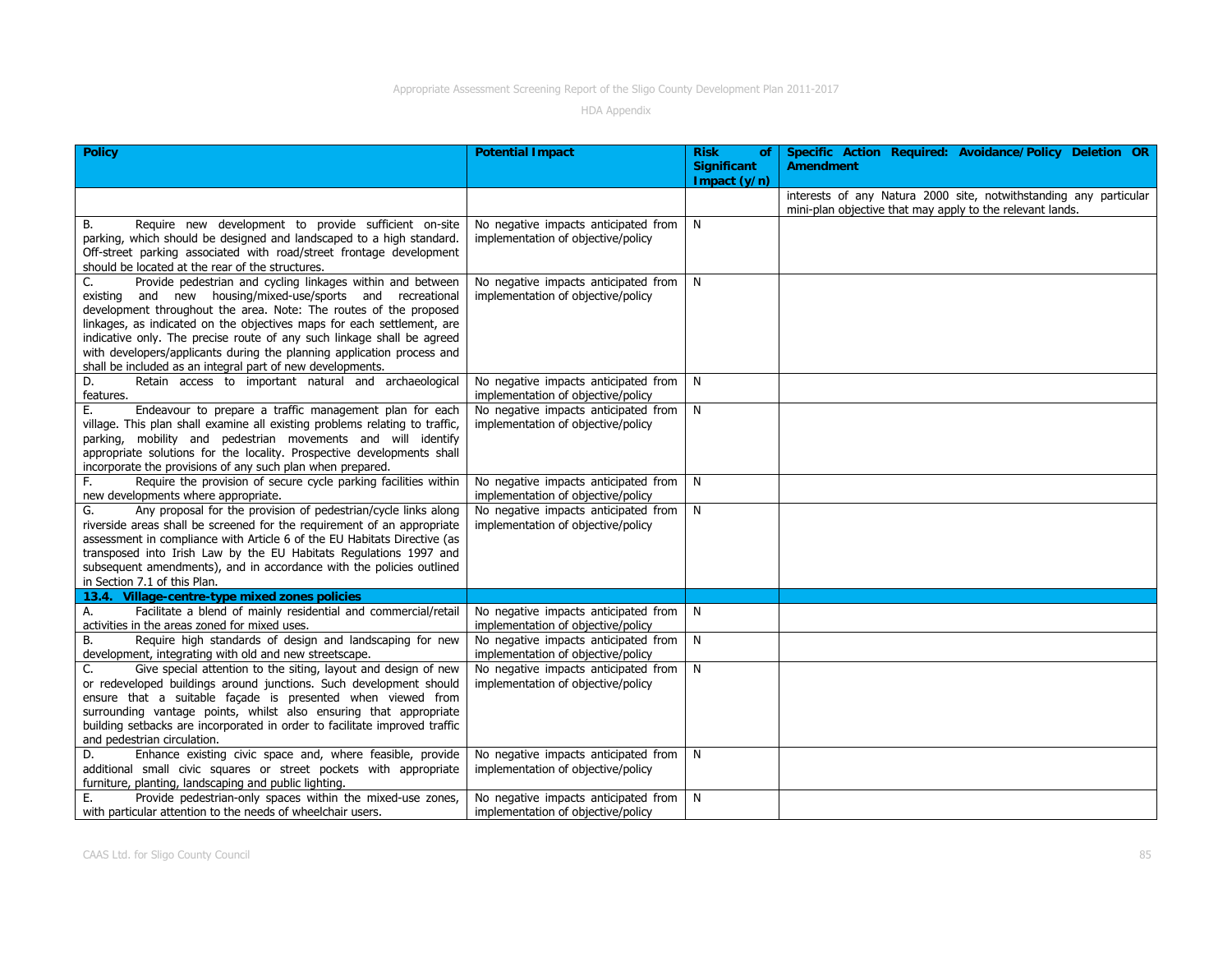| <b>Policy</b>                                                                                        | <b>Potential Impact</b>                                                    | <b>Risk</b><br>of             | Specific Action Required: Avoidance/Policy Deletion OR            |
|------------------------------------------------------------------------------------------------------|----------------------------------------------------------------------------|-------------------------------|-------------------------------------------------------------------|
|                                                                                                      |                                                                            | Significant<br>Impact $(y/n)$ | <b>Amendment</b>                                                  |
|                                                                                                      |                                                                            |                               | interests of any Natura 2000 site, notwithstanding any particular |
|                                                                                                      |                                                                            |                               | mini-plan objective that may apply to the relevant lands.         |
| Require new development to provide sufficient on-site<br>В.                                          | No negative impacts anticipated from                                       | N                             |                                                                   |
| parking, which should be designed and landscaped to a high standard.                                 | implementation of objective/policy                                         |                               |                                                                   |
| Off-street parking associated with road/street frontage development                                  |                                                                            |                               |                                                                   |
| should be located at the rear of the structures.                                                     |                                                                            |                               |                                                                   |
| Provide pedestrian and cycling linkages within and between<br>C.                                     | No negative impacts anticipated from                                       | $\mathsf{N}$                  |                                                                   |
| existing and new housing/mixed-use/sports and recreational                                           | implementation of objective/policy                                         |                               |                                                                   |
| development throughout the area. Note: The routes of the proposed                                    |                                                                            |                               |                                                                   |
| linkages, as indicated on the objectives maps for each settlement, are                               |                                                                            |                               |                                                                   |
| indicative only. The precise route of any such linkage shall be agreed                               |                                                                            |                               |                                                                   |
| with developers/applicants during the planning application process and                               |                                                                            |                               |                                                                   |
| shall be included as an integral part of new developments.                                           |                                                                            |                               |                                                                   |
| Retain access to important natural and archaeological<br>D.<br>features.                             | No negative impacts anticipated from<br>implementation of objective/policy | $\mathsf{N}$                  |                                                                   |
| Endeavour to prepare a traffic management plan for each<br>Е.                                        | No negative impacts anticipated from                                       | N                             |                                                                   |
| village. This plan shall examine all existing problems relating to traffic,                          | implementation of objective/policy                                         |                               |                                                                   |
| parking, mobility and pedestrian movements and will identify                                         |                                                                            |                               |                                                                   |
| appropriate solutions for the locality. Prospective developments shall                               |                                                                            |                               |                                                                   |
| incorporate the provisions of any such plan when prepared.                                           |                                                                            |                               |                                                                   |
| Require the provision of secure cycle parking facilities within<br>F.                                | No negative impacts anticipated from                                       | N                             |                                                                   |
| new developments where appropriate.                                                                  | implementation of objective/policy                                         |                               |                                                                   |
| Any proposal for the provision of pedestrian/cycle links along<br>G.                                 | No negative impacts anticipated from                                       | $\mathsf{N}$                  |                                                                   |
| riverside areas shall be screened for the requirement of an appropriate                              | implementation of objective/policy                                         |                               |                                                                   |
| assessment in compliance with Article 6 of the EU Habitats Directive (as                             |                                                                            |                               |                                                                   |
| transposed into Irish Law by the EU Habitats Regulations 1997 and                                    |                                                                            |                               |                                                                   |
| subsequent amendments), and in accordance with the policies outlined<br>in Section 7.1 of this Plan. |                                                                            |                               |                                                                   |
| 13.4. Village-centre-type mixed zones policies                                                       |                                                                            |                               |                                                                   |
| Facilitate a blend of mainly residential and commercial/retail<br>А.                                 | No negative impacts anticipated from                                       | N.                            |                                                                   |
| activities in the areas zoned for mixed uses.                                                        | implementation of objective/policy                                         |                               |                                                                   |
| Require high standards of design and landscaping for new<br>В.                                       | No negative impacts anticipated from                                       | $\mathsf{N}$                  |                                                                   |
| development, integrating with old and new streetscape.                                               | implementation of objective/policy                                         |                               |                                                                   |
| Give special attention to the siting, layout and design of new<br>C.                                 | No negative impacts anticipated from                                       | $\mathsf{N}$                  |                                                                   |
| or redeveloped buildings around junctions. Such development should                                   | implementation of objective/policy                                         |                               |                                                                   |
| ensure that a suitable facade is presented when viewed from                                          |                                                                            |                               |                                                                   |
| surrounding vantage points, whilst also ensuring that appropriate                                    |                                                                            |                               |                                                                   |
| building setbacks are incorporated in order to facilitate improved traffic                           |                                                                            |                               |                                                                   |
| and pedestrian circulation.                                                                          |                                                                            |                               |                                                                   |
| Enhance existing civic space and, where feasible, provide<br>D.                                      | No negative impacts anticipated from                                       | N                             |                                                                   |
| additional small civic squares or street pockets with appropriate                                    | implementation of objective/policy                                         |                               |                                                                   |
| furniture, planting, landscaping and public lighting.                                                |                                                                            |                               |                                                                   |
| Provide pedestrian-only spaces within the mixed-use zones,<br>Е.                                     | No negative impacts anticipated from                                       | N <sub>1</sub>                |                                                                   |
| with particular attention to the needs of wheelchair users.                                          | implementation of objective/policy                                         |                               |                                                                   |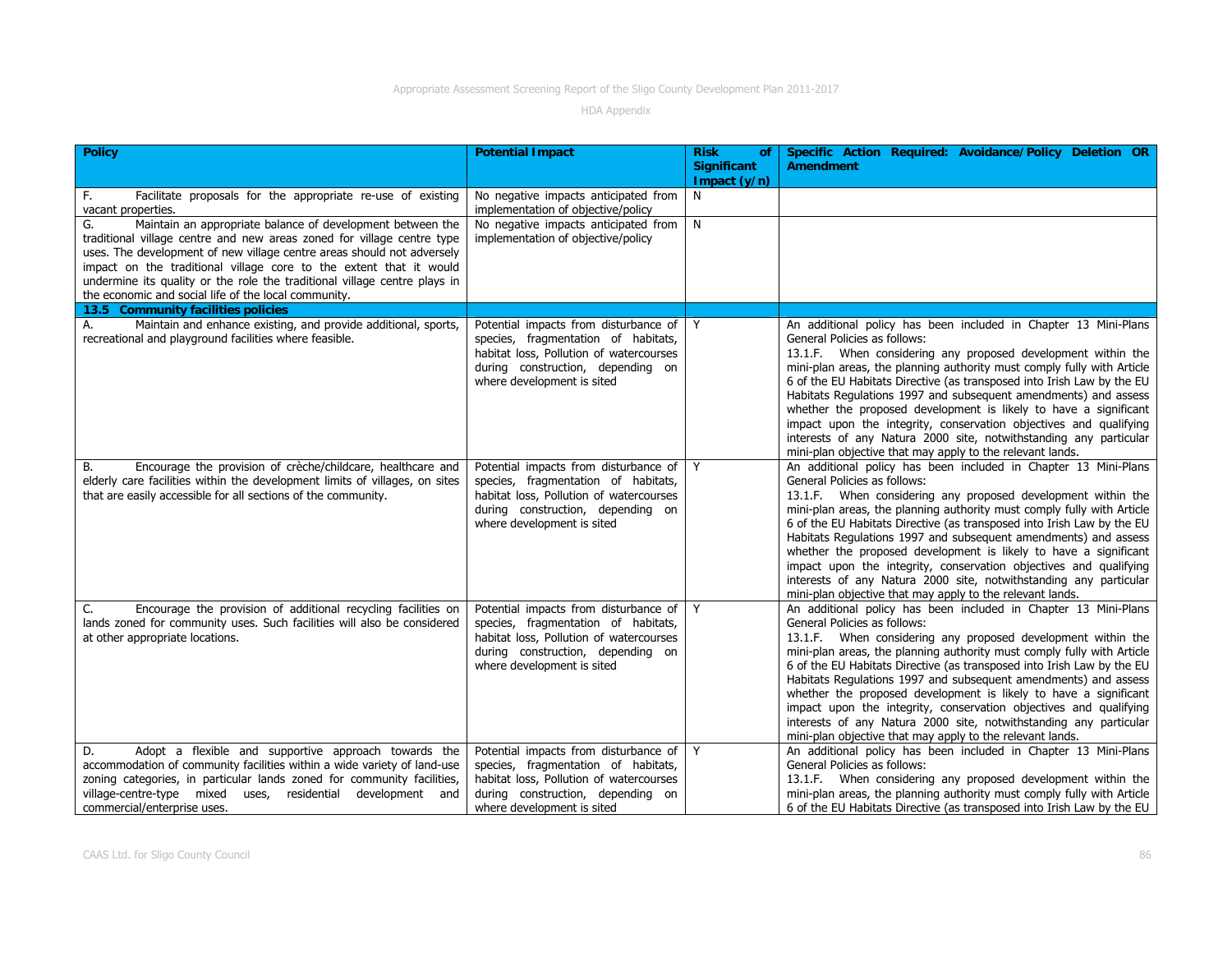| <b>Policy</b>                                                                                                                                                                                                                                                                                                                                                                                                                   | <b>Potential Impact</b>                                                                                                                                                                    | <b>Risk</b><br>0f<br><b>Significant</b> | Specific Action Required: Avoidance/Policy Deletion OR<br><b>Amendment</b>                                                                                                                                                                                                                                                                                                                                                                                                                                                                                                                                                                                        |
|---------------------------------------------------------------------------------------------------------------------------------------------------------------------------------------------------------------------------------------------------------------------------------------------------------------------------------------------------------------------------------------------------------------------------------|--------------------------------------------------------------------------------------------------------------------------------------------------------------------------------------------|-----------------------------------------|-------------------------------------------------------------------------------------------------------------------------------------------------------------------------------------------------------------------------------------------------------------------------------------------------------------------------------------------------------------------------------------------------------------------------------------------------------------------------------------------------------------------------------------------------------------------------------------------------------------------------------------------------------------------|
|                                                                                                                                                                                                                                                                                                                                                                                                                                 |                                                                                                                                                                                            | Impact $(y/n)$                          |                                                                                                                                                                                                                                                                                                                                                                                                                                                                                                                                                                                                                                                                   |
| Facilitate proposals for the appropriate re-use of existing<br>F.<br>vacant properties.                                                                                                                                                                                                                                                                                                                                         | No negative impacts anticipated from<br>implementation of objective/policy                                                                                                                 | N <sub>1</sub>                          |                                                                                                                                                                                                                                                                                                                                                                                                                                                                                                                                                                                                                                                                   |
| G.<br>Maintain an appropriate balance of development between the<br>traditional village centre and new areas zoned for village centre type<br>uses. The development of new village centre areas should not adversely<br>impact on the traditional village core to the extent that it would<br>undermine its quality or the role the traditional village centre plays in<br>the economic and social life of the local community. | No negative impacts anticipated from<br>implementation of objective/policy                                                                                                                 | N                                       |                                                                                                                                                                                                                                                                                                                                                                                                                                                                                                                                                                                                                                                                   |
| 13.5 Community facilities policies                                                                                                                                                                                                                                                                                                                                                                                              |                                                                                                                                                                                            |                                         |                                                                                                                                                                                                                                                                                                                                                                                                                                                                                                                                                                                                                                                                   |
| Maintain and enhance existing, and provide additional, sports,<br>А.<br>recreational and playground facilities where feasible.                                                                                                                                                                                                                                                                                                  | Potential impacts from disturbance of<br>species, fragmentation of habitats,<br>habitat loss, Pollution of watercourses<br>during construction, depending on<br>where development is sited | Y                                       | An additional policy has been included in Chapter 13 Mini-Plans<br>General Policies as follows:<br>13.1.F. When considering any proposed development within the<br>mini-plan areas, the planning authority must comply fully with Article<br>6 of the EU Habitats Directive (as transposed into Irish Law by the EU<br>Habitats Regulations 1997 and subsequent amendments) and assess<br>whether the proposed development is likely to have a significant<br>impact upon the integrity, conservation objectives and qualifying<br>interests of any Natura 2000 site, notwithstanding any particular<br>mini-plan objective that may apply to the relevant lands. |
| Encourage the provision of crèche/childcare, healthcare and<br>В.<br>elderly care facilities within the development limits of villages, on sites<br>that are easily accessible for all sections of the community.                                                                                                                                                                                                               | Potential impacts from disturbance of<br>species, fragmentation of habitats,<br>habitat loss, Pollution of watercourses<br>during construction, depending on<br>where development is sited | Y                                       | An additional policy has been included in Chapter 13 Mini-Plans<br>General Policies as follows:<br>13.1.F. When considering any proposed development within the<br>mini-plan areas, the planning authority must comply fully with Article<br>6 of the EU Habitats Directive (as transposed into Irish Law by the EU<br>Habitats Regulations 1997 and subsequent amendments) and assess<br>whether the proposed development is likely to have a significant<br>impact upon the integrity, conservation objectives and qualifying<br>interests of any Natura 2000 site, notwithstanding any particular<br>mini-plan objective that may apply to the relevant lands. |
| Encourage the provision of additional recycling facilities on<br>C.<br>lands zoned for community uses. Such facilities will also be considered<br>at other appropriate locations.                                                                                                                                                                                                                                               | Potential impacts from disturbance of<br>species, fragmentation of habitats,<br>habitat loss, Pollution of watercourses<br>during construction, depending on<br>where development is sited | Y                                       | An additional policy has been included in Chapter 13 Mini-Plans<br>General Policies as follows:<br>13.1.F. When considering any proposed development within the<br>mini-plan areas, the planning authority must comply fully with Article<br>6 of the EU Habitats Directive (as transposed into Irish Law by the EU<br>Habitats Regulations 1997 and subsequent amendments) and assess<br>whether the proposed development is likely to have a significant<br>impact upon the integrity, conservation objectives and qualifying<br>interests of any Natura 2000 site, notwithstanding any particular<br>mini-plan objective that may apply to the relevant lands. |
| Adopt a flexible and supportive approach towards the<br>D.<br>accommodation of community facilities within a wide variety of land-use<br>zoning categories, in particular lands zoned for community facilities,<br>development and<br>village-centre-type mixed uses, residential<br>commercial/enterprise uses.                                                                                                                | Potential impacts from disturbance of<br>species, fragmentation of habitats,<br>habitat loss, Pollution of watercourses<br>during construction, depending on<br>where development is sited | Y                                       | An additional policy has been included in Chapter 13 Mini-Plans<br>General Policies as follows:<br>13.1.F. When considering any proposed development within the<br>mini-plan areas, the planning authority must comply fully with Article<br>6 of the EU Habitats Directive (as transposed into Irish Law by the EU                                                                                                                                                                                                                                                                                                                                               |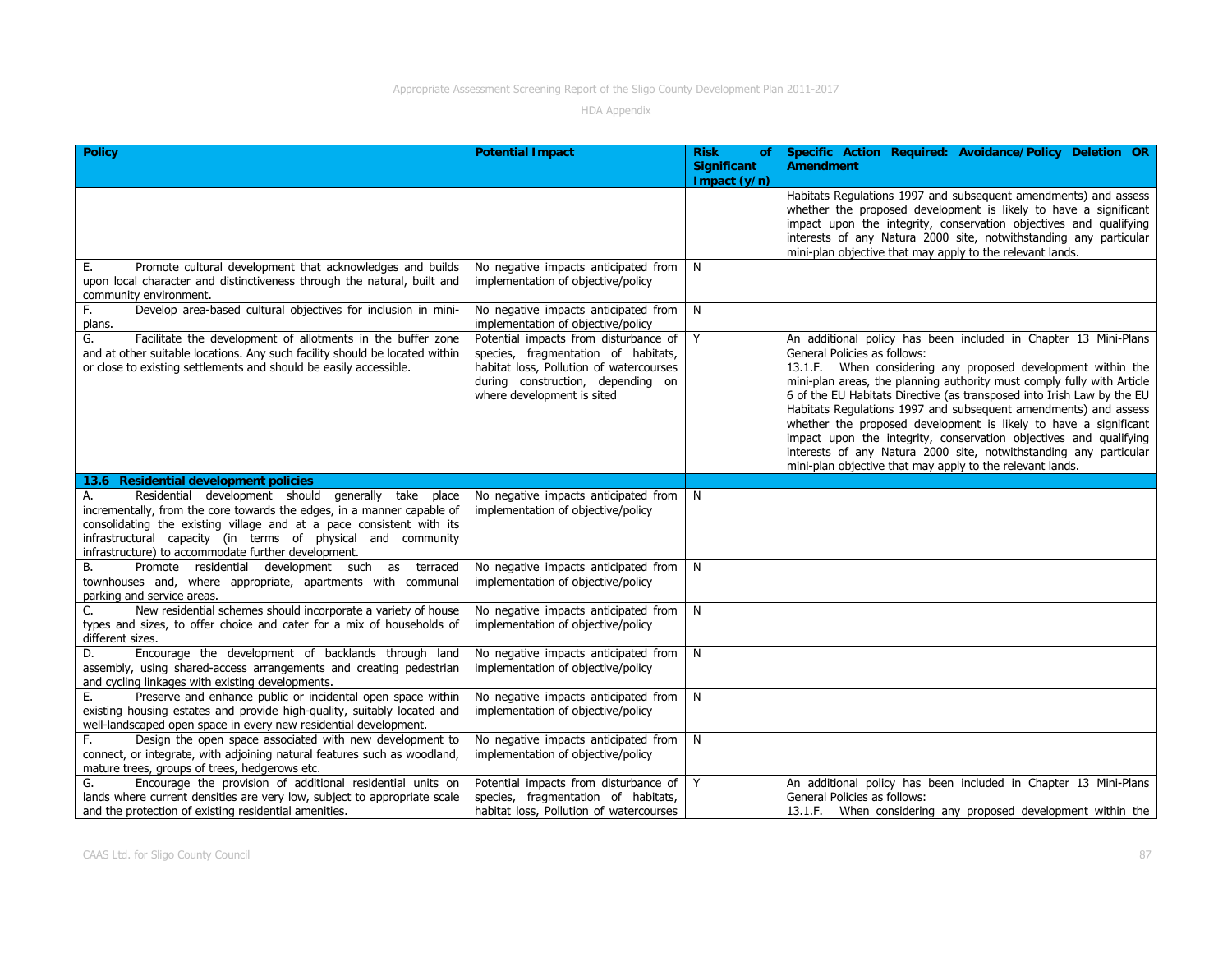| <b>Policy</b>                                                                                                                                                                                                                                                                                                                      | <b>Potential Impact</b>                                                                                                                                                                    | <b>Risk</b><br><b>of</b><br><b>Significant</b><br>Impact (y/n) | Specific Action Required: Avoidance/Policy Deletion OR<br><b>Amendment</b>                                                                                                                                                                                                                                                                                                                                                                                                                                                                                                                                                                                        |
|------------------------------------------------------------------------------------------------------------------------------------------------------------------------------------------------------------------------------------------------------------------------------------------------------------------------------------|--------------------------------------------------------------------------------------------------------------------------------------------------------------------------------------------|----------------------------------------------------------------|-------------------------------------------------------------------------------------------------------------------------------------------------------------------------------------------------------------------------------------------------------------------------------------------------------------------------------------------------------------------------------------------------------------------------------------------------------------------------------------------------------------------------------------------------------------------------------------------------------------------------------------------------------------------|
|                                                                                                                                                                                                                                                                                                                                    |                                                                                                                                                                                            |                                                                | Habitats Regulations 1997 and subsequent amendments) and assess<br>whether the proposed development is likely to have a significant<br>impact upon the integrity, conservation objectives and qualifying<br>interests of any Natura 2000 site, notwithstanding any particular<br>mini-plan objective that may apply to the relevant lands.                                                                                                                                                                                                                                                                                                                        |
| Promote cultural development that acknowledges and builds<br>Е.<br>upon local character and distinctiveness through the natural, built and<br>community environment.                                                                                                                                                               | No negative impacts anticipated from<br>implementation of objective/policy                                                                                                                 | N                                                              |                                                                                                                                                                                                                                                                                                                                                                                                                                                                                                                                                                                                                                                                   |
| Develop area-based cultural objectives for inclusion in mini-<br>F.<br>plans.                                                                                                                                                                                                                                                      | No negative impacts anticipated from<br>implementation of objective/policy                                                                                                                 | N                                                              |                                                                                                                                                                                                                                                                                                                                                                                                                                                                                                                                                                                                                                                                   |
| Facilitate the development of allotments in the buffer zone<br>G.<br>and at other suitable locations. Any such facility should be located within<br>or close to existing settlements and should be easily accessible.                                                                                                              | Potential impacts from disturbance of<br>species, fragmentation of habitats,<br>habitat loss, Pollution of watercourses<br>during construction, depending on<br>where development is sited | Y                                                              | An additional policy has been included in Chapter 13 Mini-Plans<br>General Policies as follows:<br>13.1.F. When considering any proposed development within the<br>mini-plan areas, the planning authority must comply fully with Article<br>6 of the EU Habitats Directive (as transposed into Irish Law by the EU<br>Habitats Regulations 1997 and subsequent amendments) and assess<br>whether the proposed development is likely to have a significant<br>impact upon the integrity, conservation objectives and qualifying<br>interests of any Natura 2000 site, notwithstanding any particular<br>mini-plan objective that may apply to the relevant lands. |
| 13.6 Residential development policies                                                                                                                                                                                                                                                                                              |                                                                                                                                                                                            |                                                                |                                                                                                                                                                                                                                                                                                                                                                                                                                                                                                                                                                                                                                                                   |
| Residential development should generally take place<br>А.<br>incrementally, from the core towards the edges, in a manner capable of<br>consolidating the existing village and at a pace consistent with its<br>infrastructural capacity (in terms of physical and community<br>infrastructure) to accommodate further development. | No negative impacts anticipated from<br>implementation of objective/policy                                                                                                                 | N                                                              |                                                                                                                                                                                                                                                                                                                                                                                                                                                                                                                                                                                                                                                                   |
| Promote residential development such as terraced<br>В.<br>townhouses and, where appropriate, apartments with communal<br>parking and service areas.                                                                                                                                                                                | No negative impacts anticipated from<br>implementation of objective/policy                                                                                                                 | N                                                              |                                                                                                                                                                                                                                                                                                                                                                                                                                                                                                                                                                                                                                                                   |
| New residential schemes should incorporate a variety of house<br>C.<br>types and sizes, to offer choice and cater for a mix of households of<br>different sizes.                                                                                                                                                                   | No negative impacts anticipated from<br>implementation of objective/policy                                                                                                                 | N                                                              |                                                                                                                                                                                                                                                                                                                                                                                                                                                                                                                                                                                                                                                                   |
| Encourage the development of backlands through land<br>D.<br>assembly, using shared-access arrangements and creating pedestrian<br>and cycling linkages with existing developments.                                                                                                                                                | No negative impacts anticipated from<br>implementation of objective/policy                                                                                                                 | N                                                              |                                                                                                                                                                                                                                                                                                                                                                                                                                                                                                                                                                                                                                                                   |
| E.<br>Preserve and enhance public or incidental open space within<br>existing housing estates and provide high-quality, suitably located and<br>well-landscaped open space in every new residential development.                                                                                                                   | No negative impacts anticipated from<br>implementation of objective/policy                                                                                                                 | N                                                              |                                                                                                                                                                                                                                                                                                                                                                                                                                                                                                                                                                                                                                                                   |
| Design the open space associated with new development to<br>F.<br>connect, or integrate, with adjoining natural features such as woodland,<br>mature trees, groups of trees, hedgerows etc.                                                                                                                                        | No negative impacts anticipated from<br>implementation of objective/policy                                                                                                                 | N                                                              |                                                                                                                                                                                                                                                                                                                                                                                                                                                                                                                                                                                                                                                                   |
| Encourage the provision of additional residential units on<br>G.<br>lands where current densities are very low, subject to appropriate scale<br>and the protection of existing residential amenities.                                                                                                                              | Potential impacts from disturbance of<br>species, fragmentation of habitats,<br>habitat loss, Pollution of watercourses                                                                    | Y                                                              | An additional policy has been included in Chapter 13 Mini-Plans<br>General Policies as follows:<br>13.1.F. When considering any proposed development within the                                                                                                                                                                                                                                                                                                                                                                                                                                                                                                   |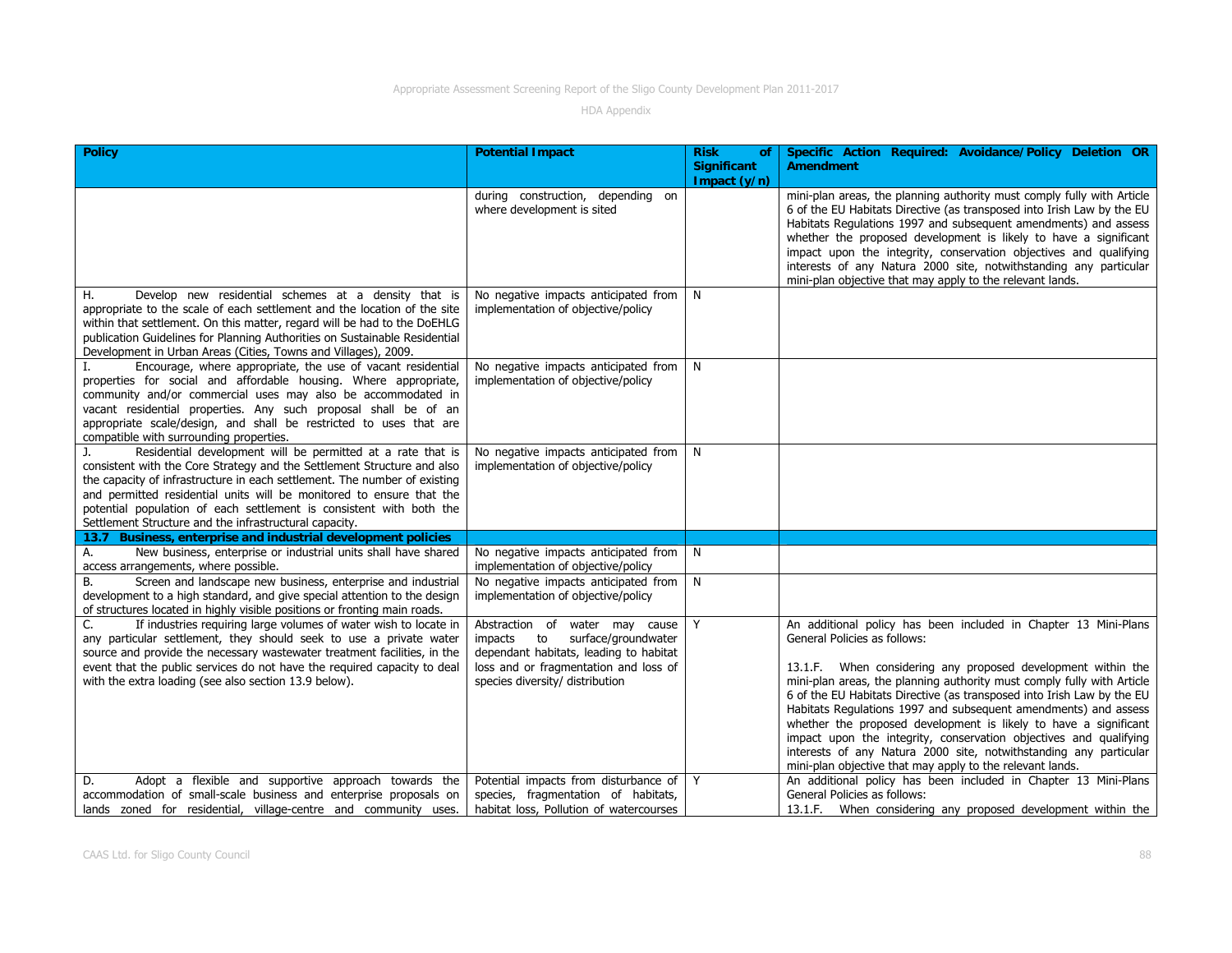| <b>Policy</b>                                                                                                                                                                                                                                                                                                                                                                                                                      | <b>Potential Impact</b>                                                                                                                                                                      | <b>Risk</b><br>of<br>Significant<br>Impact (y/n) | Specific Action Required: Avoidance/Policy Deletion OR<br><b>Amendment</b>                                                                                                                                                                                                                                                                                                                                                                                                                                                                                                                                                                                        |
|------------------------------------------------------------------------------------------------------------------------------------------------------------------------------------------------------------------------------------------------------------------------------------------------------------------------------------------------------------------------------------------------------------------------------------|----------------------------------------------------------------------------------------------------------------------------------------------------------------------------------------------|--------------------------------------------------|-------------------------------------------------------------------------------------------------------------------------------------------------------------------------------------------------------------------------------------------------------------------------------------------------------------------------------------------------------------------------------------------------------------------------------------------------------------------------------------------------------------------------------------------------------------------------------------------------------------------------------------------------------------------|
|                                                                                                                                                                                                                                                                                                                                                                                                                                    | during construction, depending on<br>where development is sited                                                                                                                              |                                                  | mini-plan areas, the planning authority must comply fully with Article<br>6 of the EU Habitats Directive (as transposed into Irish Law by the EU<br>Habitats Regulations 1997 and subsequent amendments) and assess<br>whether the proposed development is likely to have a significant<br>impact upon the integrity, conservation objectives and qualifying<br>interests of any Natura 2000 site, notwithstanding any particular<br>mini-plan objective that may apply to the relevant lands.                                                                                                                                                                    |
| Η.<br>Develop new residential schemes at a density that is<br>appropriate to the scale of each settlement and the location of the site<br>within that settlement. On this matter, regard will be had to the DoEHLG<br>publication Guidelines for Planning Authorities on Sustainable Residential<br>Development in Urban Areas (Cities, Towns and Villages), 2009.                                                                 | No negative impacts anticipated from<br>implementation of objective/policy                                                                                                                   | N <sub>1</sub>                                   |                                                                                                                                                                                                                                                                                                                                                                                                                                                                                                                                                                                                                                                                   |
| Encourage, where appropriate, the use of vacant residential<br>properties for social and affordable housing. Where appropriate,<br>community and/or commercial uses may also be accommodated in<br>vacant residential properties. Any such proposal shall be of an<br>appropriate scale/design, and shall be restricted to uses that are<br>compatible with surrounding properties.                                                | No negative impacts anticipated from<br>implementation of objective/policy                                                                                                                   | N                                                |                                                                                                                                                                                                                                                                                                                                                                                                                                                                                                                                                                                                                                                                   |
| Residential development will be permitted at a rate that is<br>J.<br>consistent with the Core Strategy and the Settlement Structure and also<br>the capacity of infrastructure in each settlement. The number of existing<br>and permitted residential units will be monitored to ensure that the<br>potential population of each settlement is consistent with both the<br>Settlement Structure and the infrastructural capacity. | No negative impacts anticipated from<br>implementation of objective/policy                                                                                                                   | N                                                |                                                                                                                                                                                                                                                                                                                                                                                                                                                                                                                                                                                                                                                                   |
| Business, enterprise and industrial development policies<br>13.7                                                                                                                                                                                                                                                                                                                                                                   |                                                                                                                                                                                              |                                                  |                                                                                                                                                                                                                                                                                                                                                                                                                                                                                                                                                                                                                                                                   |
| New business, enterprise or industrial units shall have shared<br>А.<br>access arrangements, where possible.                                                                                                                                                                                                                                                                                                                       | No negative impacts anticipated from<br>implementation of objective/policy                                                                                                                   | N.                                               |                                                                                                                                                                                                                                                                                                                                                                                                                                                                                                                                                                                                                                                                   |
| Screen and landscape new business, enterprise and industrial<br>В.<br>development to a high standard, and give special attention to the design<br>of structures located in highly visible positions or fronting main roads.                                                                                                                                                                                                        | No negative impacts anticipated from<br>implementation of objective/policy                                                                                                                   | N                                                |                                                                                                                                                                                                                                                                                                                                                                                                                                                                                                                                                                                                                                                                   |
| If industries requiring large volumes of water wish to locate in<br>C.<br>any particular settlement, they should seek to use a private water<br>source and provide the necessary wastewater treatment facilities, in the<br>event that the public services do not have the required capacity to deal<br>with the extra loading (see also section 13.9 below).                                                                      | Abstraction of water may cause<br>surface/groundwater<br>impacts<br>to<br>dependant habitats, leading to habitat<br>loss and or fragmentation and loss of<br>species diversity/ distribution | Y                                                | An additional policy has been included in Chapter 13 Mini-Plans<br>General Policies as follows:<br>13.1.F. When considering any proposed development within the<br>mini-plan areas, the planning authority must comply fully with Article<br>6 of the EU Habitats Directive (as transposed into Irish Law by the EU<br>Habitats Regulations 1997 and subsequent amendments) and assess<br>whether the proposed development is likely to have a significant<br>impact upon the integrity, conservation objectives and qualifying<br>interests of any Natura 2000 site, notwithstanding any particular<br>mini-plan objective that may apply to the relevant lands. |
| Adopt a flexible and supportive approach towards the<br>D.<br>accommodation of small-scale business and enterprise proposals on<br>lands zoned for residential, village-centre and community uses.                                                                                                                                                                                                                                 | Potential impacts from disturbance of<br>species, fragmentation of habitats,<br>habitat loss, Pollution of watercourses                                                                      | Y                                                | An additional policy has been included in Chapter 13 Mini-Plans<br>General Policies as follows:<br>13.1.F. When considering any proposed development within the                                                                                                                                                                                                                                                                                                                                                                                                                                                                                                   |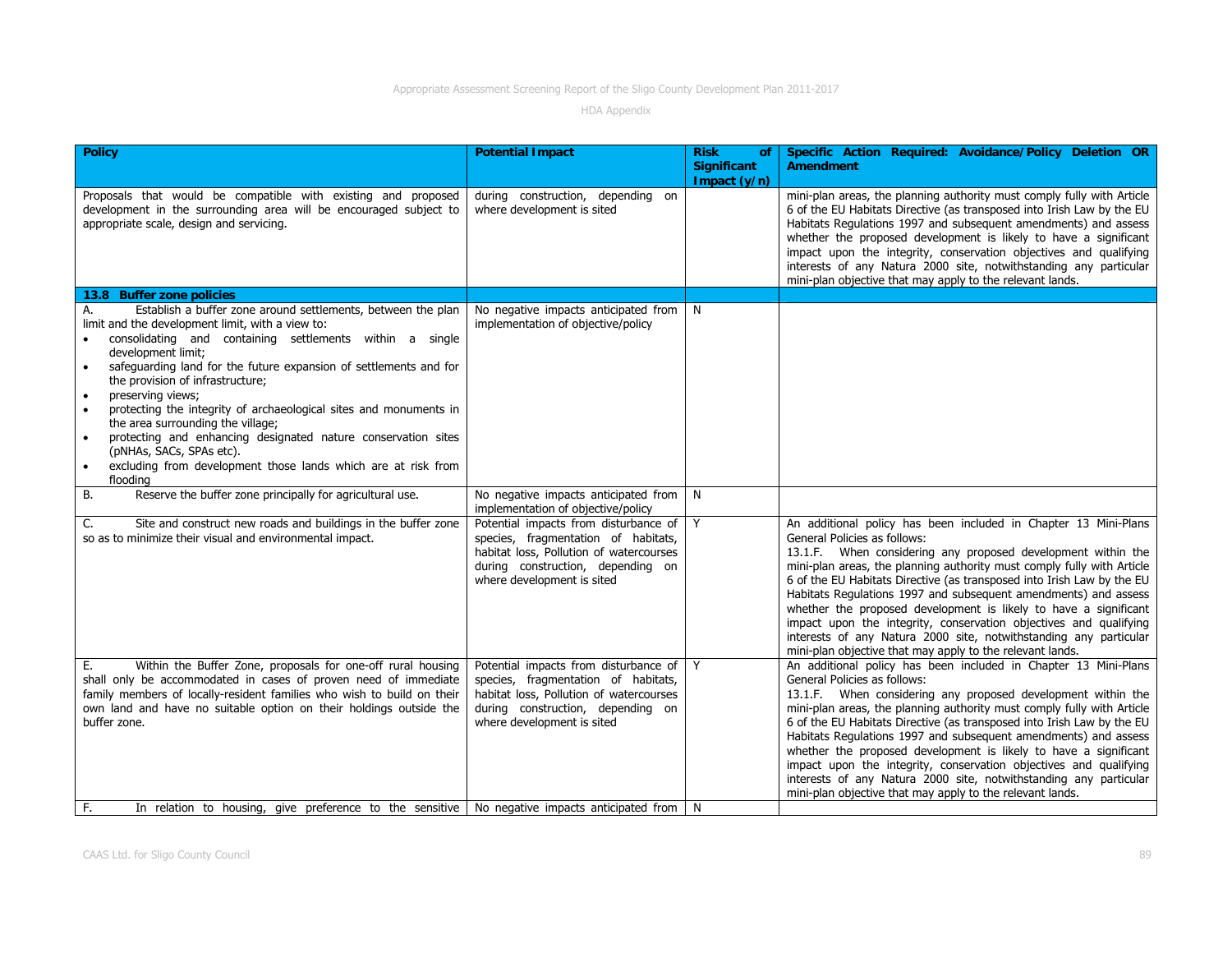| <b>Policy</b>                                                                                                                                                                                                                                                                                                                                                                                                                                                                                                                                                                                                                                         | <b>Potential Impact</b>                                                                                                                                                                    | <b>Risk</b><br>οf<br><b>Significant</b> | Specific Action Required: Avoidance/Policy Deletion OR<br><b>Amendment</b>                                                                                                                                                                                                                                                                                                                                                                                                                                                                                                                                                                                        |
|-------------------------------------------------------------------------------------------------------------------------------------------------------------------------------------------------------------------------------------------------------------------------------------------------------------------------------------------------------------------------------------------------------------------------------------------------------------------------------------------------------------------------------------------------------------------------------------------------------------------------------------------------------|--------------------------------------------------------------------------------------------------------------------------------------------------------------------------------------------|-----------------------------------------|-------------------------------------------------------------------------------------------------------------------------------------------------------------------------------------------------------------------------------------------------------------------------------------------------------------------------------------------------------------------------------------------------------------------------------------------------------------------------------------------------------------------------------------------------------------------------------------------------------------------------------------------------------------------|
|                                                                                                                                                                                                                                                                                                                                                                                                                                                                                                                                                                                                                                                       |                                                                                                                                                                                            | Impact (y/n)                            |                                                                                                                                                                                                                                                                                                                                                                                                                                                                                                                                                                                                                                                                   |
| Proposals that would be compatible with existing and proposed<br>development in the surrounding area will be encouraged subject to<br>appropriate scale, design and servicing.                                                                                                                                                                                                                                                                                                                                                                                                                                                                        | during construction, depending on<br>where development is sited                                                                                                                            |                                         | mini-plan areas, the planning authority must comply fully with Article<br>6 of the EU Habitats Directive (as transposed into Irish Law by the EU<br>Habitats Regulations 1997 and subsequent amendments) and assess<br>whether the proposed development is likely to have a significant<br>impact upon the integrity, conservation objectives and qualifying<br>interests of any Natura 2000 site, notwithstanding any particular<br>mini-plan objective that may apply to the relevant lands.                                                                                                                                                                    |
| 13.8 Buffer zone policies                                                                                                                                                                                                                                                                                                                                                                                                                                                                                                                                                                                                                             |                                                                                                                                                                                            |                                         |                                                                                                                                                                                                                                                                                                                                                                                                                                                                                                                                                                                                                                                                   |
| Establish a buffer zone around settlements, between the plan<br>А.<br>limit and the development limit, with a view to:<br>consolidating and containing settlements within a single<br>development limit;<br>safeguarding land for the future expansion of settlements and for<br>$\bullet$<br>the provision of infrastructure;<br>preserving views;<br>$\bullet$<br>protecting the integrity of archaeological sites and monuments in<br>the area surrounding the village;<br>protecting and enhancing designated nature conservation sites<br>$\bullet$<br>(pNHAs, SACs, SPAs etc).<br>excluding from development those lands which are at risk from | No negative impacts anticipated from<br>implementation of objective/policy                                                                                                                 | N                                       |                                                                                                                                                                                                                                                                                                                                                                                                                                                                                                                                                                                                                                                                   |
| flooding<br>В.<br>Reserve the buffer zone principally for agricultural use.                                                                                                                                                                                                                                                                                                                                                                                                                                                                                                                                                                           | No negative impacts anticipated from                                                                                                                                                       | N                                       |                                                                                                                                                                                                                                                                                                                                                                                                                                                                                                                                                                                                                                                                   |
|                                                                                                                                                                                                                                                                                                                                                                                                                                                                                                                                                                                                                                                       | implementation of objective/policy                                                                                                                                                         |                                         |                                                                                                                                                                                                                                                                                                                                                                                                                                                                                                                                                                                                                                                                   |
| Site and construct new roads and buildings in the buffer zone<br>C.<br>so as to minimize their visual and environmental impact.                                                                                                                                                                                                                                                                                                                                                                                                                                                                                                                       | Potential impacts from disturbance of<br>species, fragmentation of habitats,<br>habitat loss, Pollution of watercourses<br>during construction, depending on<br>where development is sited | Y                                       | An additional policy has been included in Chapter 13 Mini-Plans<br>General Policies as follows:<br>13.1.F. When considering any proposed development within the<br>mini-plan areas, the planning authority must comply fully with Article<br>6 of the EU Habitats Directive (as transposed into Irish Law by the EU<br>Habitats Regulations 1997 and subsequent amendments) and assess<br>whether the proposed development is likely to have a significant<br>impact upon the integrity, conservation objectives and qualifying<br>interests of any Natura 2000 site, notwithstanding any particular<br>mini-plan objective that may apply to the relevant lands. |
| Within the Buffer Zone, proposals for one-off rural housing<br>Е.<br>shall only be accommodated in cases of proven need of immediate<br>family members of locally-resident families who wish to build on their<br>own land and have no suitable option on their holdings outside the<br>buffer zone.                                                                                                                                                                                                                                                                                                                                                  | Potential impacts from disturbance of<br>species, fragmentation of habitats,<br>habitat loss, Pollution of watercourses<br>during construction, depending on<br>where development is sited | Y                                       | An additional policy has been included in Chapter 13 Mini-Plans<br>General Policies as follows:<br>13.1.F. When considering any proposed development within the<br>mini-plan areas, the planning authority must comply fully with Article<br>6 of the EU Habitats Directive (as transposed into Irish Law by the EU<br>Habitats Regulations 1997 and subsequent amendments) and assess<br>whether the proposed development is likely to have a significant<br>impact upon the integrity, conservation objectives and qualifying<br>interests of any Natura 2000 site, notwithstanding any particular<br>mini-plan objective that may apply to the relevant lands. |
| F.<br>In relation to housing, give preference to the sensitive $\vert$ No negative impacts anticipated from $\vert$ N                                                                                                                                                                                                                                                                                                                                                                                                                                                                                                                                 |                                                                                                                                                                                            |                                         |                                                                                                                                                                                                                                                                                                                                                                                                                                                                                                                                                                                                                                                                   |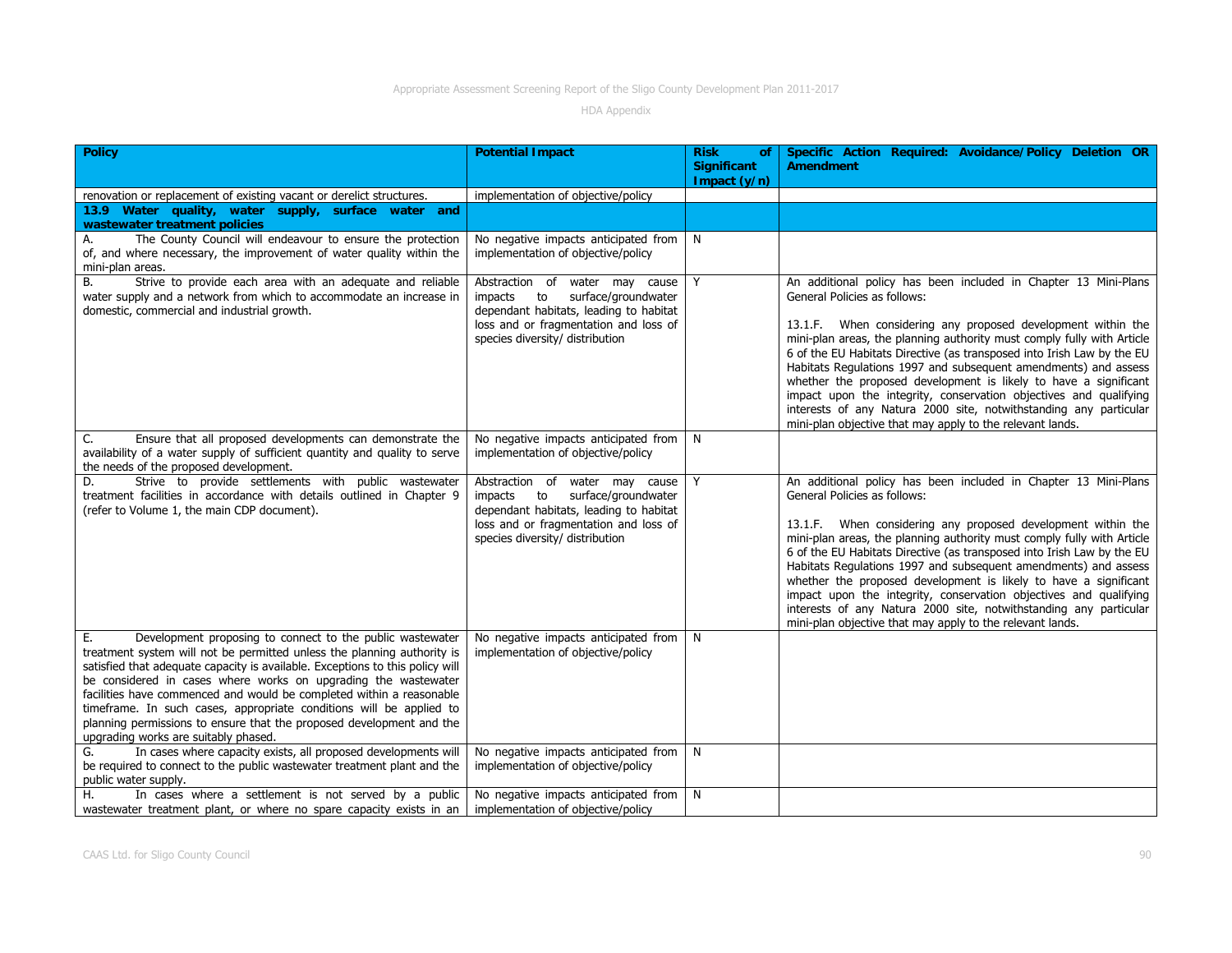| <b>Policy</b>                                                                                                                                                                                                                                                                                                                                                                                                                                                                                                                                                | <b>Potential Impact</b>                                                                                                                                                                      | <b>Risk</b><br>of<br><b>Significant</b><br>Impact $(y/n)$ | Specific Action Required: Avoidance/Policy Deletion OR<br><b>Amendment</b>                                                                                                                                                                                                                                                                                                                                                                                                                                                                                                                                                                                        |
|--------------------------------------------------------------------------------------------------------------------------------------------------------------------------------------------------------------------------------------------------------------------------------------------------------------------------------------------------------------------------------------------------------------------------------------------------------------------------------------------------------------------------------------------------------------|----------------------------------------------------------------------------------------------------------------------------------------------------------------------------------------------|-----------------------------------------------------------|-------------------------------------------------------------------------------------------------------------------------------------------------------------------------------------------------------------------------------------------------------------------------------------------------------------------------------------------------------------------------------------------------------------------------------------------------------------------------------------------------------------------------------------------------------------------------------------------------------------------------------------------------------------------|
| renovation or replacement of existing vacant or derelict structures.                                                                                                                                                                                                                                                                                                                                                                                                                                                                                         | implementation of objective/policy                                                                                                                                                           |                                                           |                                                                                                                                                                                                                                                                                                                                                                                                                                                                                                                                                                                                                                                                   |
| 13.9 Water quality, water supply, surface water and<br>wastewater treatment policies                                                                                                                                                                                                                                                                                                                                                                                                                                                                         |                                                                                                                                                                                              |                                                           |                                                                                                                                                                                                                                                                                                                                                                                                                                                                                                                                                                                                                                                                   |
| The County Council will endeavour to ensure the protection<br>А.<br>of, and where necessary, the improvement of water quality within the<br>mini-plan areas.                                                                                                                                                                                                                                                                                                                                                                                                 | No negative impacts anticipated from<br>implementation of objective/policy                                                                                                                   | N                                                         |                                                                                                                                                                                                                                                                                                                                                                                                                                                                                                                                                                                                                                                                   |
| Strive to provide each area with an adequate and reliable<br>В.<br>water supply and a network from which to accommodate an increase in<br>domestic, commercial and industrial growth.                                                                                                                                                                                                                                                                                                                                                                        | Abstraction of water may cause<br>surface/groundwater<br>impacts<br>to<br>dependant habitats, leading to habitat<br>loss and or fragmentation and loss of<br>species diversity/ distribution | Y                                                         | An additional policy has been included in Chapter 13 Mini-Plans<br>General Policies as follows:<br>13.1.F. When considering any proposed development within the<br>mini-plan areas, the planning authority must comply fully with Article<br>6 of the EU Habitats Directive (as transposed into Irish Law by the EU<br>Habitats Regulations 1997 and subsequent amendments) and assess<br>whether the proposed development is likely to have a significant<br>impact upon the integrity, conservation objectives and qualifying<br>interests of any Natura 2000 site, notwithstanding any particular<br>mini-plan objective that may apply to the relevant lands. |
| Ensure that all proposed developments can demonstrate the<br>C.<br>availability of a water supply of sufficient quantity and quality to serve<br>the needs of the proposed development.                                                                                                                                                                                                                                                                                                                                                                      | No negative impacts anticipated from<br>implementation of objective/policy                                                                                                                   | N                                                         |                                                                                                                                                                                                                                                                                                                                                                                                                                                                                                                                                                                                                                                                   |
| Strive to provide settlements with public wastewater<br>D.<br>treatment facilities in accordance with details outlined in Chapter 9<br>(refer to Volume 1, the main CDP document).                                                                                                                                                                                                                                                                                                                                                                           | Abstraction of water may cause<br>impacts to<br>surface/groundwater<br>dependant habitats, leading to habitat<br>loss and or fragmentation and loss of<br>species diversity/ distribution    | Y                                                         | An additional policy has been included in Chapter 13 Mini-Plans<br>General Policies as follows:<br>13.1.F. When considering any proposed development within the<br>mini-plan areas, the planning authority must comply fully with Article<br>6 of the EU Habitats Directive (as transposed into Irish Law by the EU<br>Habitats Regulations 1997 and subsequent amendments) and assess<br>whether the proposed development is likely to have a significant<br>impact upon the integrity, conservation objectives and qualifying<br>interests of any Natura 2000 site, notwithstanding any particular<br>mini-plan objective that may apply to the relevant lands. |
| Development proposing to connect to the public wastewater<br>Е.<br>treatment system will not be permitted unless the planning authority is<br>satisfied that adequate capacity is available. Exceptions to this policy will<br>be considered in cases where works on upgrading the wastewater<br>facilities have commenced and would be completed within a reasonable<br>timeframe. In such cases, appropriate conditions will be applied to<br>planning permissions to ensure that the proposed development and the<br>upgrading works are suitably phased. | No negative impacts anticipated from<br>implementation of objective/policy                                                                                                                   | N                                                         |                                                                                                                                                                                                                                                                                                                                                                                                                                                                                                                                                                                                                                                                   |
| In cases where capacity exists, all proposed developments will<br>G.<br>be required to connect to the public wastewater treatment plant and the<br>public water supply.                                                                                                                                                                                                                                                                                                                                                                                      | No negative impacts anticipated from<br>implementation of objective/policy                                                                                                                   | N                                                         |                                                                                                                                                                                                                                                                                                                                                                                                                                                                                                                                                                                                                                                                   |
| In cases where a settlement is not served by a public<br>Н.<br>wastewater treatment plant, or where no spare capacity exists in an                                                                                                                                                                                                                                                                                                                                                                                                                           | No negative impacts anticipated from<br>implementation of objective/policy                                                                                                                   | N                                                         |                                                                                                                                                                                                                                                                                                                                                                                                                                                                                                                                                                                                                                                                   |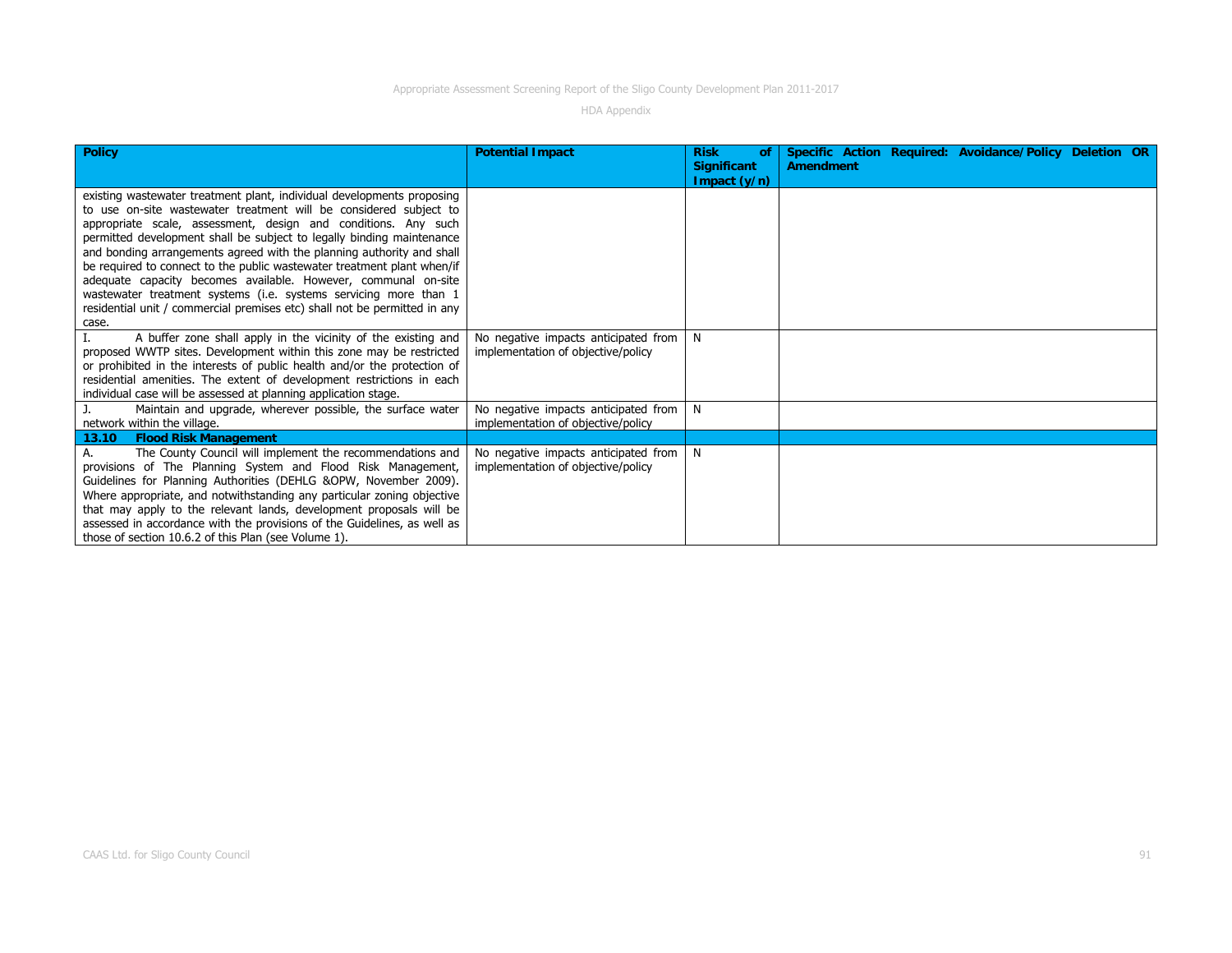| <b>Policy</b>                                                                                                                                   | <b>Potential Impact</b>              | <b>Risk</b><br>οf<br><b>Significant</b> | Specific Action Required: Avoidance/Policy Deletion OR<br><b>Amendment</b> |
|-------------------------------------------------------------------------------------------------------------------------------------------------|--------------------------------------|-----------------------------------------|----------------------------------------------------------------------------|
|                                                                                                                                                 |                                      | Impact $(y/n)$                          |                                                                            |
| existing wastewater treatment plant, individual developments proposing                                                                          |                                      |                                         |                                                                            |
| to use on-site wastewater treatment will be considered subject to                                                                               |                                      |                                         |                                                                            |
| appropriate scale, assessment, design and conditions. Any such                                                                                  |                                      |                                         |                                                                            |
| permitted development shall be subject to legally binding maintenance                                                                           |                                      |                                         |                                                                            |
| and bonding arrangements agreed with the planning authority and shall                                                                           |                                      |                                         |                                                                            |
| be required to connect to the public wastewater treatment plant when/if                                                                         |                                      |                                         |                                                                            |
| adequate capacity becomes available. However, communal on-site                                                                                  |                                      |                                         |                                                                            |
| wastewater treatment systems (i.e. systems servicing more than 1                                                                                |                                      |                                         |                                                                            |
| residential unit / commercial premises etc) shall not be permitted in any                                                                       |                                      |                                         |                                                                            |
| case.                                                                                                                                           |                                      |                                         |                                                                            |
| A buffer zone shall apply in the vicinity of the existing and                                                                                   | No negative impacts anticipated from | N                                       |                                                                            |
| proposed WWTP sites. Development within this zone may be restricted<br>or prohibited in the interests of public health and/or the protection of | implementation of objective/policy   |                                         |                                                                            |
| residential amenities. The extent of development restrictions in each                                                                           |                                      |                                         |                                                                            |
| individual case will be assessed at planning application stage.                                                                                 |                                      |                                         |                                                                            |
| Maintain and upgrade, wherever possible, the surface water                                                                                      | No negative impacts anticipated from | N.                                      |                                                                            |
| network within the village.                                                                                                                     | implementation of objective/policy   |                                         |                                                                            |
| 13.10<br><b>Flood Risk Management</b>                                                                                                           |                                      |                                         |                                                                            |
| The County Council will implement the recommendations and                                                                                       | No negative impacts anticipated from | N.                                      |                                                                            |
| provisions of The Planning System and Flood Risk Management,                                                                                    | implementation of objective/policy   |                                         |                                                                            |
| Guidelines for Planning Authorities (DEHLG &OPW, November 2009).                                                                                |                                      |                                         |                                                                            |
| Where appropriate, and notwithstanding any particular zoning objective                                                                          |                                      |                                         |                                                                            |
| that may apply to the relevant lands, development proposals will be                                                                             |                                      |                                         |                                                                            |
| assessed in accordance with the provisions of the Guidelines, as well as                                                                        |                                      |                                         |                                                                            |
| those of section 10.6.2 of this Plan (see Volume 1).                                                                                            |                                      |                                         |                                                                            |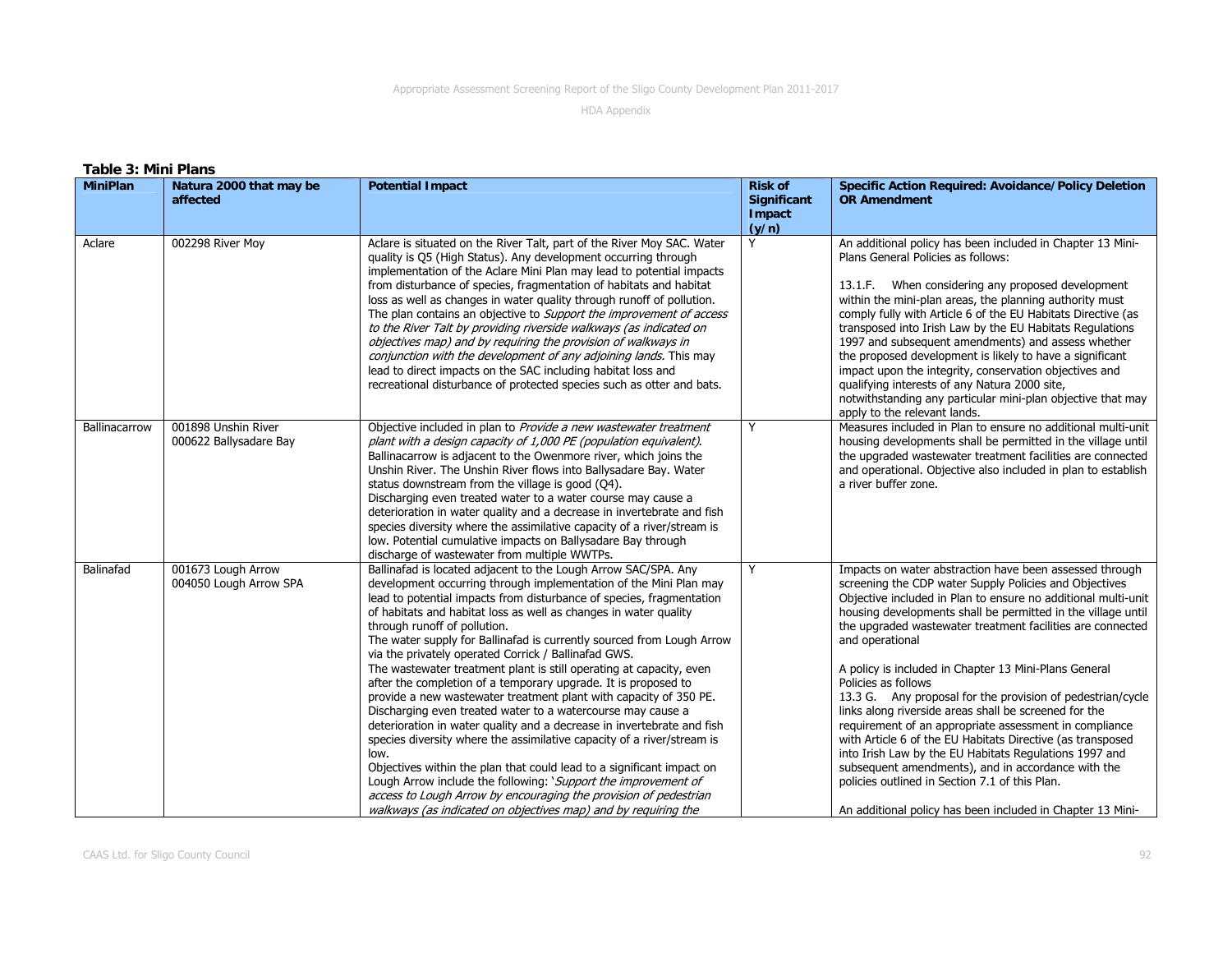| <b>Table 3: Mini Plans</b> |                                               |                                                                                                                                                                                                                                                                                                                                                                                                                                                                                                                                                                                                                                                                                                                                                                                                                                                                                                                                                                                                                                                                                                                                                                            |                                                  |                                                                                                                                                                                                                                                                                                                                                                                                                                                                                                                                                                                                                                                                                                                                                                                                                                                                                                    |
|----------------------------|-----------------------------------------------|----------------------------------------------------------------------------------------------------------------------------------------------------------------------------------------------------------------------------------------------------------------------------------------------------------------------------------------------------------------------------------------------------------------------------------------------------------------------------------------------------------------------------------------------------------------------------------------------------------------------------------------------------------------------------------------------------------------------------------------------------------------------------------------------------------------------------------------------------------------------------------------------------------------------------------------------------------------------------------------------------------------------------------------------------------------------------------------------------------------------------------------------------------------------------|--------------------------------------------------|----------------------------------------------------------------------------------------------------------------------------------------------------------------------------------------------------------------------------------------------------------------------------------------------------------------------------------------------------------------------------------------------------------------------------------------------------------------------------------------------------------------------------------------------------------------------------------------------------------------------------------------------------------------------------------------------------------------------------------------------------------------------------------------------------------------------------------------------------------------------------------------------------|
| <b>MiniPlan</b>            | Natura 2000 that may be<br>affected           | <b>Potential Impact</b>                                                                                                                                                                                                                                                                                                                                                                                                                                                                                                                                                                                                                                                                                                                                                                                                                                                                                                                                                                                                                                                                                                                                                    | <b>Risk of</b><br>Significant<br>Impact<br>(y/n) | <b>Specific Action Required: Avoidance/Policy Deletion</b><br><b>OR Amendment</b>                                                                                                                                                                                                                                                                                                                                                                                                                                                                                                                                                                                                                                                                                                                                                                                                                  |
| Aclare                     | 002298 River Moy                              | Aclare is situated on the River Talt, part of the River Moy SAC. Water<br>quality is Q5 (High Status). Any development occurring through<br>implementation of the Aclare Mini Plan may lead to potential impacts<br>from disturbance of species, fragmentation of habitats and habitat<br>loss as well as changes in water quality through runoff of pollution.<br>The plan contains an objective to <i>Support the improvement of access</i><br>to the River Talt by providing riverside walkways (as indicated on<br>objectives map) and by requiring the provision of walkways in<br>conjunction with the development of any adjoining lands. This may<br>lead to direct impacts on the SAC including habitat loss and<br>recreational disturbance of protected species such as otter and bats.                                                                                                                                                                                                                                                                                                                                                                         | Y                                                | An additional policy has been included in Chapter 13 Mini-<br>Plans General Policies as follows:<br>13.1.F. When considering any proposed development<br>within the mini-plan areas, the planning authority must<br>comply fully with Article 6 of the EU Habitats Directive (as<br>transposed into Irish Law by the EU Habitats Regulations<br>1997 and subsequent amendments) and assess whether<br>the proposed development is likely to have a significant<br>impact upon the integrity, conservation objectives and<br>qualifying interests of any Natura 2000 site,<br>notwithstanding any particular mini-plan objective that may<br>apply to the relevant lands.                                                                                                                                                                                                                           |
| Ballinacarrow              | 001898 Unshin River<br>000622 Ballysadare Bay | Objective included in plan to Provide a new wastewater treatment<br>plant with a design capacity of 1,000 PE (population equivalent).<br>Ballinacarrow is adjacent to the Owenmore river, which joins the<br>Unshin River. The Unshin River flows into Ballysadare Bay. Water<br>status downstream from the village is good (Q4).<br>Discharging even treated water to a water course may cause a<br>deterioration in water quality and a decrease in invertebrate and fish<br>species diversity where the assimilative capacity of a river/stream is<br>low. Potential cumulative impacts on Ballysadare Bay through<br>discharge of wastewater from multiple WWTPs.                                                                                                                                                                                                                                                                                                                                                                                                                                                                                                      | Y                                                | Measures included in Plan to ensure no additional multi-unit<br>housing developments shall be permitted in the village until<br>the upgraded wastewater treatment facilities are connected<br>and operational. Objective also included in plan to establish<br>a river buffer zone.                                                                                                                                                                                                                                                                                                                                                                                                                                                                                                                                                                                                                |
| Balinafad                  | 001673 Lough Arrow<br>004050 Lough Arrow SPA  | Ballinafad is located adjacent to the Lough Arrow SAC/SPA. Any<br>development occurring through implementation of the Mini Plan may<br>lead to potential impacts from disturbance of species, fragmentation<br>of habitats and habitat loss as well as changes in water quality<br>through runoff of pollution.<br>The water supply for Ballinafad is currently sourced from Lough Arrow<br>via the privately operated Corrick / Ballinafad GWS.<br>The wastewater treatment plant is still operating at capacity, even<br>after the completion of a temporary upgrade. It is proposed to<br>provide a new wastewater treatment plant with capacity of 350 PE.<br>Discharging even treated water to a watercourse may cause a<br>deterioration in water quality and a decrease in invertebrate and fish<br>species diversity where the assimilative capacity of a river/stream is<br>low.<br>Objectives within the plan that could lead to a significant impact on<br>Lough Arrow include the following: 'Support the improvement of<br>access to Lough Arrow by encouraging the provision of pedestrian<br>walkways (as indicated on objectives map) and by requiring the | Y                                                | Impacts on water abstraction have been assessed through<br>screening the CDP water Supply Policies and Objectives<br>Objective included in Plan to ensure no additional multi-unit<br>housing developments shall be permitted in the village until<br>the upgraded wastewater treatment facilities are connected<br>and operational<br>A policy is included in Chapter 13 Mini-Plans General<br>Policies as follows<br>13.3 G. Any proposal for the provision of pedestrian/cycle<br>links along riverside areas shall be screened for the<br>requirement of an appropriate assessment in compliance<br>with Article 6 of the EU Habitats Directive (as transposed<br>into Irish Law by the EU Habitats Regulations 1997 and<br>subsequent amendments), and in accordance with the<br>policies outlined in Section 7.1 of this Plan.<br>An additional policy has been included in Chapter 13 Mini- |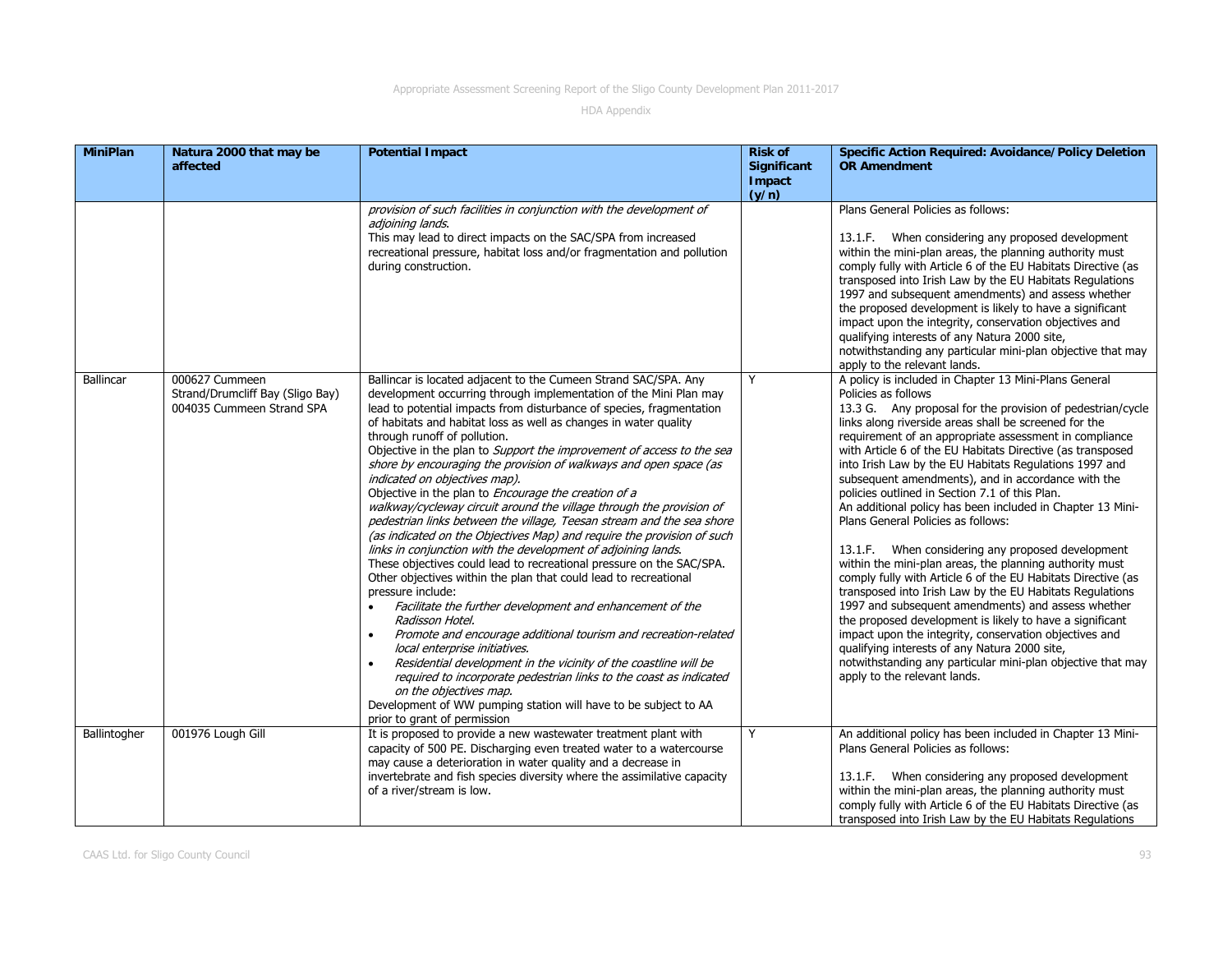| <b>MiniPlan</b>  | Natura 2000 that may be<br>affected                                             | <b>Potential Impact</b>                                                                                                                                                                                                                                                                                                                                                                                                                                                                                                                                                                                                                                                                                                                                                                                                                                                                                                                                                                                                                                                                                                                                                                                                                                                                                                                                                                                                                                                                                                | <b>Risk of</b><br><b>Significant</b><br>Impact<br>(y/n) | <b>Specific Action Required: Avoidance/Policy Deletion</b><br><b>OR Amendment</b>                                                                                                                                                                                                                                                                                                                                                                                                                                                                                                                                                                                                                                                                                                                                                                                                                                                                                                                                                                                                                                                                                         |
|------------------|---------------------------------------------------------------------------------|------------------------------------------------------------------------------------------------------------------------------------------------------------------------------------------------------------------------------------------------------------------------------------------------------------------------------------------------------------------------------------------------------------------------------------------------------------------------------------------------------------------------------------------------------------------------------------------------------------------------------------------------------------------------------------------------------------------------------------------------------------------------------------------------------------------------------------------------------------------------------------------------------------------------------------------------------------------------------------------------------------------------------------------------------------------------------------------------------------------------------------------------------------------------------------------------------------------------------------------------------------------------------------------------------------------------------------------------------------------------------------------------------------------------------------------------------------------------------------------------------------------------|---------------------------------------------------------|---------------------------------------------------------------------------------------------------------------------------------------------------------------------------------------------------------------------------------------------------------------------------------------------------------------------------------------------------------------------------------------------------------------------------------------------------------------------------------------------------------------------------------------------------------------------------------------------------------------------------------------------------------------------------------------------------------------------------------------------------------------------------------------------------------------------------------------------------------------------------------------------------------------------------------------------------------------------------------------------------------------------------------------------------------------------------------------------------------------------------------------------------------------------------|
|                  |                                                                                 | provision of such facilities in conjunction with the development of<br>adjoining lands.<br>This may lead to direct impacts on the SAC/SPA from increased<br>recreational pressure, habitat loss and/or fragmentation and pollution<br>during construction.                                                                                                                                                                                                                                                                                                                                                                                                                                                                                                                                                                                                                                                                                                                                                                                                                                                                                                                                                                                                                                                                                                                                                                                                                                                             |                                                         | Plans General Policies as follows:<br>13.1.F. When considering any proposed development<br>within the mini-plan areas, the planning authority must<br>comply fully with Article 6 of the EU Habitats Directive (as<br>transposed into Irish Law by the EU Habitats Regulations<br>1997 and subsequent amendments) and assess whether<br>the proposed development is likely to have a significant<br>impact upon the integrity, conservation objectives and<br>qualifying interests of any Natura 2000 site,<br>notwithstanding any particular mini-plan objective that may<br>apply to the relevant lands.                                                                                                                                                                                                                                                                                                                                                                                                                                                                                                                                                                |
| <b>Ballincar</b> | 000627 Cummeen<br>Strand/Drumcliff Bay (Sligo Bay)<br>004035 Cummeen Strand SPA | Ballincar is located adjacent to the Cumeen Strand SAC/SPA. Any<br>development occurring through implementation of the Mini Plan may<br>lead to potential impacts from disturbance of species, fragmentation<br>of habitats and habitat loss as well as changes in water quality<br>through runoff of pollution.<br>Objective in the plan to Support the improvement of access to the sea<br>shore by encouraging the provision of walkways and open space (as<br>indicated on objectives map).<br>Objective in the plan to Encourage the creation of a<br>walkway/cycleway circuit around the village through the provision of<br>pedestrian links between the village, Teesan stream and the sea shore<br>(as indicated on the Objectives Map) and require the provision of such<br>links in conjunction with the development of adjoining lands.<br>These objectives could lead to recreational pressure on the SAC/SPA.<br>Other objectives within the plan that could lead to recreational<br>pressure include:<br>Facilitate the further development and enhancement of the<br>$\bullet$<br>Radisson Hotel.<br>Promote and encourage additional tourism and recreation-related<br>$\bullet$<br>local enterprise initiatives.<br>Residential development in the vicinity of the coastline will be<br>$\bullet$<br>required to incorporate pedestrian links to the coast as indicated<br>on the objectives map.<br>Development of WW pumping station will have to be subject to AA<br>prior to grant of permission | Y                                                       | A policy is included in Chapter 13 Mini-Plans General<br>Policies as follows<br>13.3 G. Any proposal for the provision of pedestrian/cycle<br>links along riverside areas shall be screened for the<br>requirement of an appropriate assessment in compliance<br>with Article 6 of the EU Habitats Directive (as transposed<br>into Irish Law by the EU Habitats Regulations 1997 and<br>subsequent amendments), and in accordance with the<br>policies outlined in Section 7.1 of this Plan.<br>An additional policy has been included in Chapter 13 Mini-<br>Plans General Policies as follows:<br>13.1.F. When considering any proposed development<br>within the mini-plan areas, the planning authority must<br>comply fully with Article 6 of the EU Habitats Directive (as<br>transposed into Irish Law by the EU Habitats Regulations<br>1997 and subsequent amendments) and assess whether<br>the proposed development is likely to have a significant<br>impact upon the integrity, conservation objectives and<br>qualifying interests of any Natura 2000 site,<br>notwithstanding any particular mini-plan objective that may<br>apply to the relevant lands. |
| Ballintogher     | 001976 Lough Gill                                                               | It is proposed to provide a new wastewater treatment plant with<br>capacity of 500 PE. Discharging even treated water to a watercourse<br>may cause a deterioration in water quality and a decrease in<br>invertebrate and fish species diversity where the assimilative capacity<br>of a river/stream is low.                                                                                                                                                                                                                                                                                                                                                                                                                                                                                                                                                                                                                                                                                                                                                                                                                                                                                                                                                                                                                                                                                                                                                                                                         | Y                                                       | An additional policy has been included in Chapter 13 Mini-<br>Plans General Policies as follows:<br>13.1.F. When considering any proposed development<br>within the mini-plan areas, the planning authority must<br>comply fully with Article 6 of the EU Habitats Directive (as<br>transposed into Irish Law by the EU Habitats Regulations                                                                                                                                                                                                                                                                                                                                                                                                                                                                                                                                                                                                                                                                                                                                                                                                                              |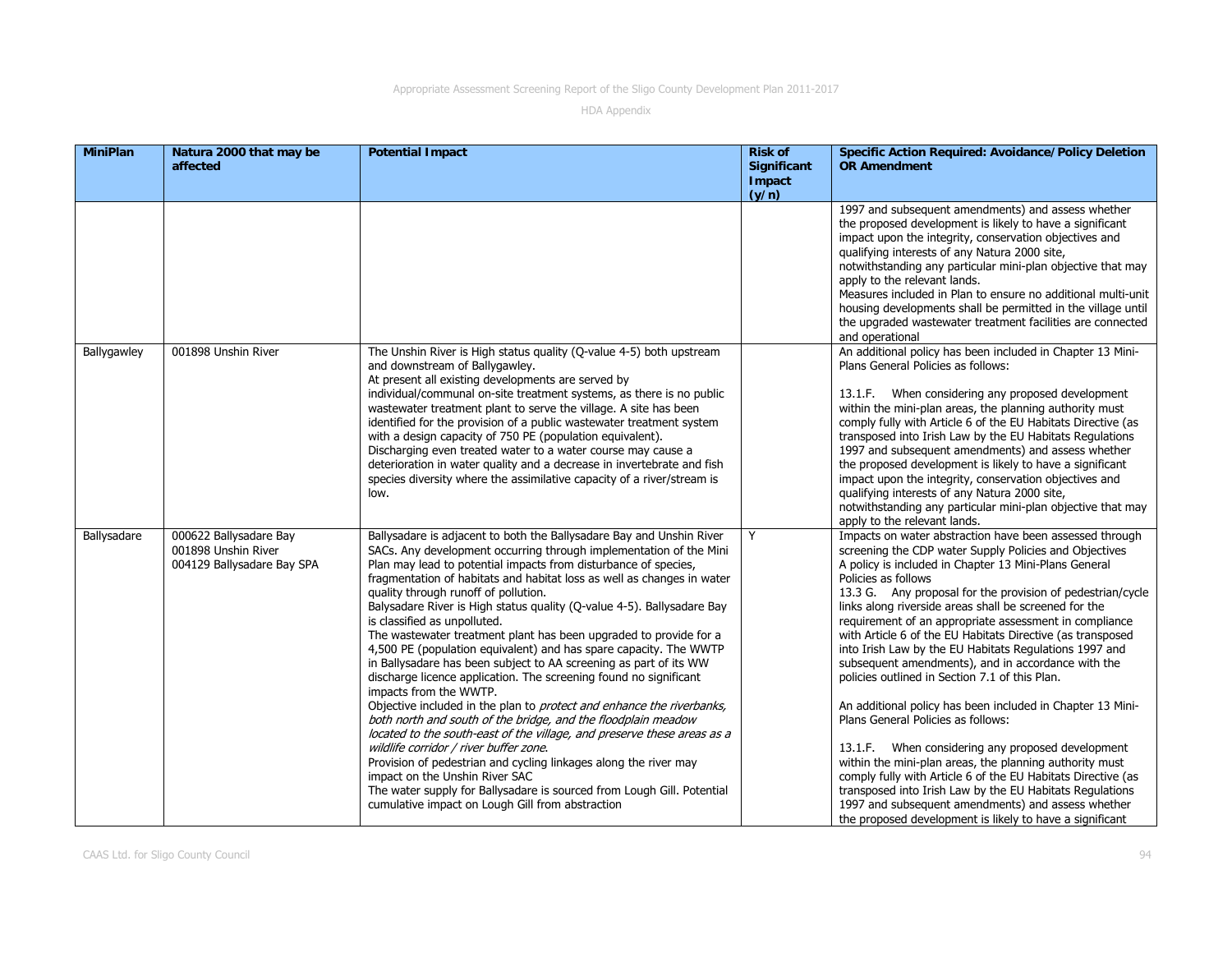| <b>MiniPlan</b> | Natura 2000 that may be<br>affected                                         | <b>Potential Impact</b>                                                                                                                                                                                                                                                                                                                                                                                                                                                                                                                                                                                                                                                                                                                                                                                                                                                                                                                                                                                                                                                                                                                                                                                                                                            | <b>Risk of</b><br><b>Significant</b><br>Impact<br>(y/n) | <b>Specific Action Required: Avoidance/Policy Deletion</b><br><b>OR Amendment</b>                                                                                                                                                                                                                                                                                                                                                                                                                                                                                                                                                                                                                                                                                                                                                                                                                                                                                                                                                                                                    |
|-----------------|-----------------------------------------------------------------------------|--------------------------------------------------------------------------------------------------------------------------------------------------------------------------------------------------------------------------------------------------------------------------------------------------------------------------------------------------------------------------------------------------------------------------------------------------------------------------------------------------------------------------------------------------------------------------------------------------------------------------------------------------------------------------------------------------------------------------------------------------------------------------------------------------------------------------------------------------------------------------------------------------------------------------------------------------------------------------------------------------------------------------------------------------------------------------------------------------------------------------------------------------------------------------------------------------------------------------------------------------------------------|---------------------------------------------------------|--------------------------------------------------------------------------------------------------------------------------------------------------------------------------------------------------------------------------------------------------------------------------------------------------------------------------------------------------------------------------------------------------------------------------------------------------------------------------------------------------------------------------------------------------------------------------------------------------------------------------------------------------------------------------------------------------------------------------------------------------------------------------------------------------------------------------------------------------------------------------------------------------------------------------------------------------------------------------------------------------------------------------------------------------------------------------------------|
|                 |                                                                             |                                                                                                                                                                                                                                                                                                                                                                                                                                                                                                                                                                                                                                                                                                                                                                                                                                                                                                                                                                                                                                                                                                                                                                                                                                                                    |                                                         | 1997 and subsequent amendments) and assess whether<br>the proposed development is likely to have a significant<br>impact upon the integrity, conservation objectives and<br>qualifying interests of any Natura 2000 site,<br>notwithstanding any particular mini-plan objective that may<br>apply to the relevant lands.<br>Measures included in Plan to ensure no additional multi-unit<br>housing developments shall be permitted in the village until<br>the upgraded wastewater treatment facilities are connected<br>and operational                                                                                                                                                                                                                                                                                                                                                                                                                                                                                                                                            |
| Ballygawley     | 001898 Unshin River                                                         | The Unshin River is High status quality (Q-value 4-5) both upstream<br>and downstream of Ballygawley.<br>At present all existing developments are served by<br>individual/communal on-site treatment systems, as there is no public<br>wastewater treatment plant to serve the village. A site has been<br>identified for the provision of a public wastewater treatment system<br>with a design capacity of 750 PE (population equivalent).<br>Discharging even treated water to a water course may cause a<br>deterioration in water quality and a decrease in invertebrate and fish<br>species diversity where the assimilative capacity of a river/stream is<br>low.                                                                                                                                                                                                                                                                                                                                                                                                                                                                                                                                                                                           |                                                         | An additional policy has been included in Chapter 13 Mini-<br>Plans General Policies as follows:<br>13.1.F. When considering any proposed development<br>within the mini-plan areas, the planning authority must<br>comply fully with Article 6 of the EU Habitats Directive (as<br>transposed into Irish Law by the EU Habitats Regulations<br>1997 and subsequent amendments) and assess whether<br>the proposed development is likely to have a significant<br>impact upon the integrity, conservation objectives and<br>qualifying interests of any Natura 2000 site,<br>notwithstanding any particular mini-plan objective that may<br>apply to the relevant lands.                                                                                                                                                                                                                                                                                                                                                                                                             |
| Ballysadare     | 000622 Ballysadare Bay<br>001898 Unshin River<br>004129 Ballysadare Bay SPA | Ballysadare is adjacent to both the Ballysadare Bay and Unshin River<br>SACs. Any development occurring through implementation of the Mini<br>Plan may lead to potential impacts from disturbance of species,<br>fragmentation of habitats and habitat loss as well as changes in water<br>quality through runoff of pollution.<br>Balysadare River is High status quality (Q-value 4-5). Ballysadare Bay<br>is classified as unpolluted.<br>The wastewater treatment plant has been upgraded to provide for a<br>4,500 PE (population equivalent) and has spare capacity. The WWTP<br>in Ballysadare has been subject to AA screening as part of its WW<br>discharge licence application. The screening found no significant<br>impacts from the WWTP.<br>Objective included in the plan to <i>protect and enhance the riverbanks</i> ,<br>both north and south of the bridge, and the floodplain meadow<br>located to the south-east of the village, and preserve these areas as a<br>wildlife corridor / river buffer zone.<br>Provision of pedestrian and cycling linkages along the river may<br>impact on the Unshin River SAC<br>The water supply for Ballysadare is sourced from Lough Gill. Potential<br>cumulative impact on Lough Gill from abstraction |                                                         | Impacts on water abstraction have been assessed through<br>screening the CDP water Supply Policies and Objectives<br>A policy is included in Chapter 13 Mini-Plans General<br>Policies as follows<br>13.3 G. Any proposal for the provision of pedestrian/cycle<br>links along riverside areas shall be screened for the<br>requirement of an appropriate assessment in compliance<br>with Article 6 of the EU Habitats Directive (as transposed<br>into Irish Law by the EU Habitats Regulations 1997 and<br>subsequent amendments), and in accordance with the<br>policies outlined in Section 7.1 of this Plan.<br>An additional policy has been included in Chapter 13 Mini-<br>Plans General Policies as follows:<br>13.1.F. When considering any proposed development<br>within the mini-plan areas, the planning authority must<br>comply fully with Article 6 of the EU Habitats Directive (as<br>transposed into Irish Law by the EU Habitats Regulations<br>1997 and subsequent amendments) and assess whether<br>the proposed development is likely to have a significant |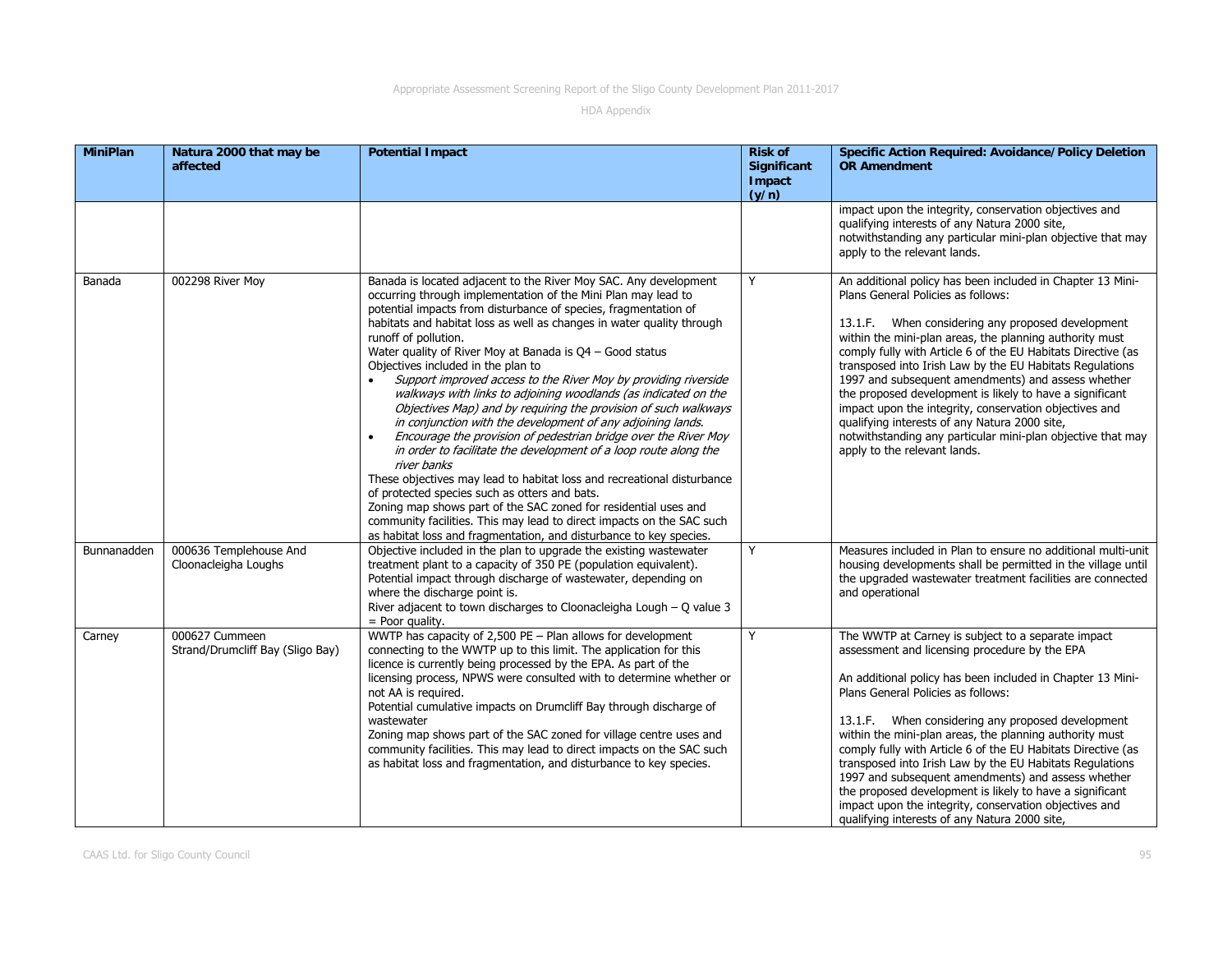| <b>MiniPlan</b> | Natura 2000 that may be<br>affected                | <b>Potential Impact</b>                                                                                                                                                                                                                                                                                                                                                                                                                                                                                                                                                                                                                                                                                                                                                                                                                                                                                                                                                                                                                                                                                                                                                              | <b>Risk of</b><br><b>Significant</b><br>Impact<br>(y/n) | <b>Specific Action Required: Avoidance/Policy Deletion</b><br><b>OR Amendment</b>                                                                                                                                                                                                                                                                                                                                                                                                                                                                                                                                                                                                |
|-----------------|----------------------------------------------------|--------------------------------------------------------------------------------------------------------------------------------------------------------------------------------------------------------------------------------------------------------------------------------------------------------------------------------------------------------------------------------------------------------------------------------------------------------------------------------------------------------------------------------------------------------------------------------------------------------------------------------------------------------------------------------------------------------------------------------------------------------------------------------------------------------------------------------------------------------------------------------------------------------------------------------------------------------------------------------------------------------------------------------------------------------------------------------------------------------------------------------------------------------------------------------------|---------------------------------------------------------|----------------------------------------------------------------------------------------------------------------------------------------------------------------------------------------------------------------------------------------------------------------------------------------------------------------------------------------------------------------------------------------------------------------------------------------------------------------------------------------------------------------------------------------------------------------------------------------------------------------------------------------------------------------------------------|
|                 |                                                    |                                                                                                                                                                                                                                                                                                                                                                                                                                                                                                                                                                                                                                                                                                                                                                                                                                                                                                                                                                                                                                                                                                                                                                                      |                                                         | impact upon the integrity, conservation objectives and<br>qualifying interests of any Natura 2000 site,<br>notwithstanding any particular mini-plan objective that may<br>apply to the relevant lands.                                                                                                                                                                                                                                                                                                                                                                                                                                                                           |
| Banada          | 002298 River Moy                                   | Banada is located adjacent to the River Moy SAC. Any development<br>occurring through implementation of the Mini Plan may lead to<br>potential impacts from disturbance of species, fragmentation of<br>habitats and habitat loss as well as changes in water quality through<br>runoff of pollution.<br>Water quality of River Moy at Banada is $Q4 -$ Good status<br>Objectives included in the plan to<br>Support improved access to the River Moy by providing riverside<br>walkways with links to adjoining woodlands (as indicated on the<br>Objectives Map) and by requiring the provision of such walkways<br>in conjunction with the development of any adjoining lands.<br>Encourage the provision of pedestrian bridge over the River Moy<br>in order to facilitate the development of a loop route along the<br>river banks<br>These objectives may lead to habitat loss and recreational disturbance<br>of protected species such as otters and bats.<br>Zoning map shows part of the SAC zoned for residential uses and<br>community facilities. This may lead to direct impacts on the SAC such<br>as habitat loss and fragmentation, and disturbance to key species. | Y                                                       | An additional policy has been included in Chapter 13 Mini-<br>Plans General Policies as follows:<br>13.1.F. When considering any proposed development<br>within the mini-plan areas, the planning authority must<br>comply fully with Article 6 of the EU Habitats Directive (as<br>transposed into Irish Law by the EU Habitats Regulations<br>1997 and subsequent amendments) and assess whether<br>the proposed development is likely to have a significant<br>impact upon the integrity, conservation objectives and<br>qualifying interests of any Natura 2000 site,<br>notwithstanding any particular mini-plan objective that may<br>apply to the relevant lands.         |
| Bunnanadden     | 000636 Templehouse And<br>Cloonacleigha Loughs     | Objective included in the plan to upgrade the existing wastewater<br>treatment plant to a capacity of 350 PE (population equivalent).<br>Potential impact through discharge of wastewater, depending on<br>where the discharge point is.<br>River adjacent to town discharges to Cloonacleigha Lough $-$ O value 3<br>= Poor quality.                                                                                                                                                                                                                                                                                                                                                                                                                                                                                                                                                                                                                                                                                                                                                                                                                                                | Y                                                       | Measures included in Plan to ensure no additional multi-unit<br>housing developments shall be permitted in the village until<br>the upgraded wastewater treatment facilities are connected<br>and operational                                                                                                                                                                                                                                                                                                                                                                                                                                                                    |
| Carney          | 000627 Cummeen<br>Strand/Drumcliff Bay (Sligo Bay) | WWTP has capacity of $2,500$ PE - Plan allows for development<br>connecting to the WWTP up to this limit. The application for this<br>licence is currently being processed by the EPA. As part of the<br>licensing process, NPWS were consulted with to determine whether or<br>not AA is required.<br>Potential cumulative impacts on Drumcliff Bay through discharge of<br>wastewater<br>Zoning map shows part of the SAC zoned for village centre uses and<br>community facilities. This may lead to direct impacts on the SAC such<br>as habitat loss and fragmentation, and disturbance to key species.                                                                                                                                                                                                                                                                                                                                                                                                                                                                                                                                                                         | Y                                                       | The WWTP at Carney is subject to a separate impact<br>assessment and licensing procedure by the EPA<br>An additional policy has been included in Chapter 13 Mini-<br>Plans General Policies as follows:<br>13.1.F. When considering any proposed development<br>within the mini-plan areas, the planning authority must<br>comply fully with Article 6 of the EU Habitats Directive (as<br>transposed into Irish Law by the EU Habitats Regulations<br>1997 and subsequent amendments) and assess whether<br>the proposed development is likely to have a significant<br>impact upon the integrity, conservation objectives and<br>qualifying interests of any Natura 2000 site, |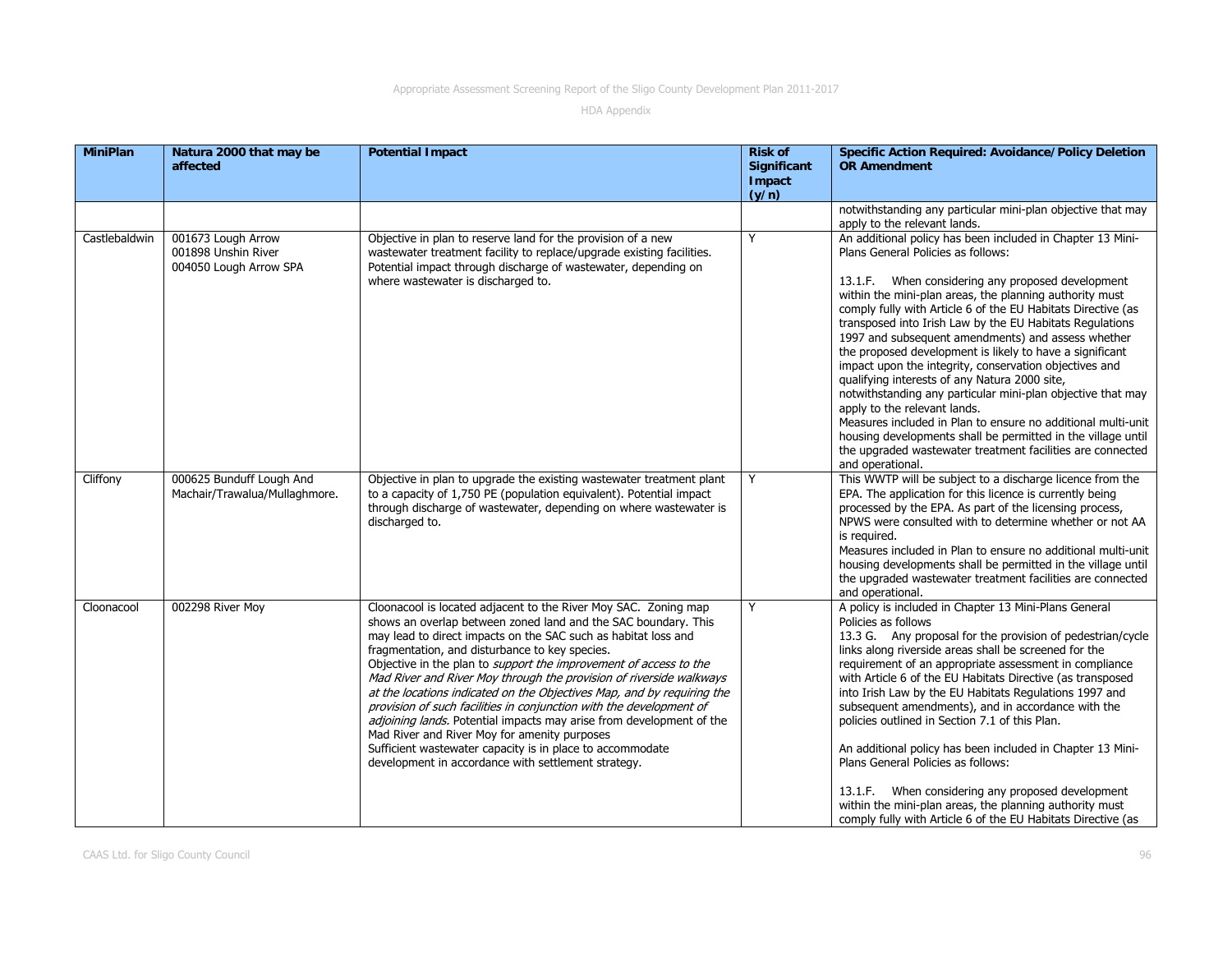| <b>MiniPlan</b> | Natura 2000 that may be<br>affected                                 | <b>Potential Impact</b>                                                                                                                                                                                                                                                                                                                                                                                                                                                                                                                                                                                                                                                                                                                                                                               | <b>Risk of</b><br><b>Significant</b><br>Impact<br>(y/n) | <b>Specific Action Required: Avoidance/Policy Deletion</b><br><b>OR Amendment</b>                                                                                                                                                                                                                                                                                                                                                                                                                                                                                                                                                                                                                                                                                                                                                                                                          |
|-----------------|---------------------------------------------------------------------|-------------------------------------------------------------------------------------------------------------------------------------------------------------------------------------------------------------------------------------------------------------------------------------------------------------------------------------------------------------------------------------------------------------------------------------------------------------------------------------------------------------------------------------------------------------------------------------------------------------------------------------------------------------------------------------------------------------------------------------------------------------------------------------------------------|---------------------------------------------------------|--------------------------------------------------------------------------------------------------------------------------------------------------------------------------------------------------------------------------------------------------------------------------------------------------------------------------------------------------------------------------------------------------------------------------------------------------------------------------------------------------------------------------------------------------------------------------------------------------------------------------------------------------------------------------------------------------------------------------------------------------------------------------------------------------------------------------------------------------------------------------------------------|
|                 |                                                                     |                                                                                                                                                                                                                                                                                                                                                                                                                                                                                                                                                                                                                                                                                                                                                                                                       |                                                         | notwithstanding any particular mini-plan objective that may<br>apply to the relevant lands.                                                                                                                                                                                                                                                                                                                                                                                                                                                                                                                                                                                                                                                                                                                                                                                                |
| Castlebaldwin   | 001673 Lough Arrow<br>001898 Unshin River<br>004050 Lough Arrow SPA | Objective in plan to reserve land for the provision of a new<br>wastewater treatment facility to replace/upgrade existing facilities.<br>Potential impact through discharge of wastewater, depending on<br>where wastewater is discharged to.                                                                                                                                                                                                                                                                                                                                                                                                                                                                                                                                                         | Y                                                       | An additional policy has been included in Chapter 13 Mini-<br>Plans General Policies as follows:<br>13.1.F. When considering any proposed development<br>within the mini-plan areas, the planning authority must<br>comply fully with Article 6 of the EU Habitats Directive (as<br>transposed into Irish Law by the EU Habitats Regulations<br>1997 and subsequent amendments) and assess whether<br>the proposed development is likely to have a significant<br>impact upon the integrity, conservation objectives and<br>qualifying interests of any Natura 2000 site,<br>notwithstanding any particular mini-plan objective that may<br>apply to the relevant lands.<br>Measures included in Plan to ensure no additional multi-unit<br>housing developments shall be permitted in the village until<br>the upgraded wastewater treatment facilities are connected<br>and operational. |
| Cliffony        | 000625 Bunduff Lough And<br>Machair/Trawalua/Mullaghmore.           | Objective in plan to upgrade the existing wastewater treatment plant<br>to a capacity of 1,750 PE (population equivalent). Potential impact<br>through discharge of wastewater, depending on where wastewater is<br>discharged to.                                                                                                                                                                                                                                                                                                                                                                                                                                                                                                                                                                    | Y                                                       | This WWTP will be subject to a discharge licence from the<br>EPA. The application for this licence is currently being<br>processed by the EPA. As part of the licensing process,<br>NPWS were consulted with to determine whether or not AA<br>is required.<br>Measures included in Plan to ensure no additional multi-unit<br>housing developments shall be permitted in the village until<br>the upgraded wastewater treatment facilities are connected<br>and operational.                                                                                                                                                                                                                                                                                                                                                                                                              |
| Cloonacool      | 002298 River Moy                                                    | Cloonacool is located adjacent to the River Moy SAC. Zoning map<br>shows an overlap between zoned land and the SAC boundary. This<br>may lead to direct impacts on the SAC such as habitat loss and<br>fragmentation, and disturbance to key species.<br>Objective in the plan to <i>support the improvement of access to the</i><br>Mad River and River Moy through the provision of riverside walkways<br>at the locations indicated on the Objectives Map, and by requiring the<br>provision of such facilities in conjunction with the development of<br>adjoining lands. Potential impacts may arise from development of the<br>Mad River and River Moy for amenity purposes<br>Sufficient wastewater capacity is in place to accommodate<br>development in accordance with settlement strategy. | Y                                                       | A policy is included in Chapter 13 Mini-Plans General<br>Policies as follows<br>13.3 G. Any proposal for the provision of pedestrian/cycle<br>links along riverside areas shall be screened for the<br>requirement of an appropriate assessment in compliance<br>with Article 6 of the EU Habitats Directive (as transposed<br>into Irish Law by the EU Habitats Regulations 1997 and<br>subsequent amendments), and in accordance with the<br>policies outlined in Section 7.1 of this Plan.<br>An additional policy has been included in Chapter 13 Mini-<br>Plans General Policies as follows:<br>13.1.F. When considering any proposed development<br>within the mini-plan areas, the planning authority must<br>comply fully with Article 6 of the EU Habitats Directive (as                                                                                                          |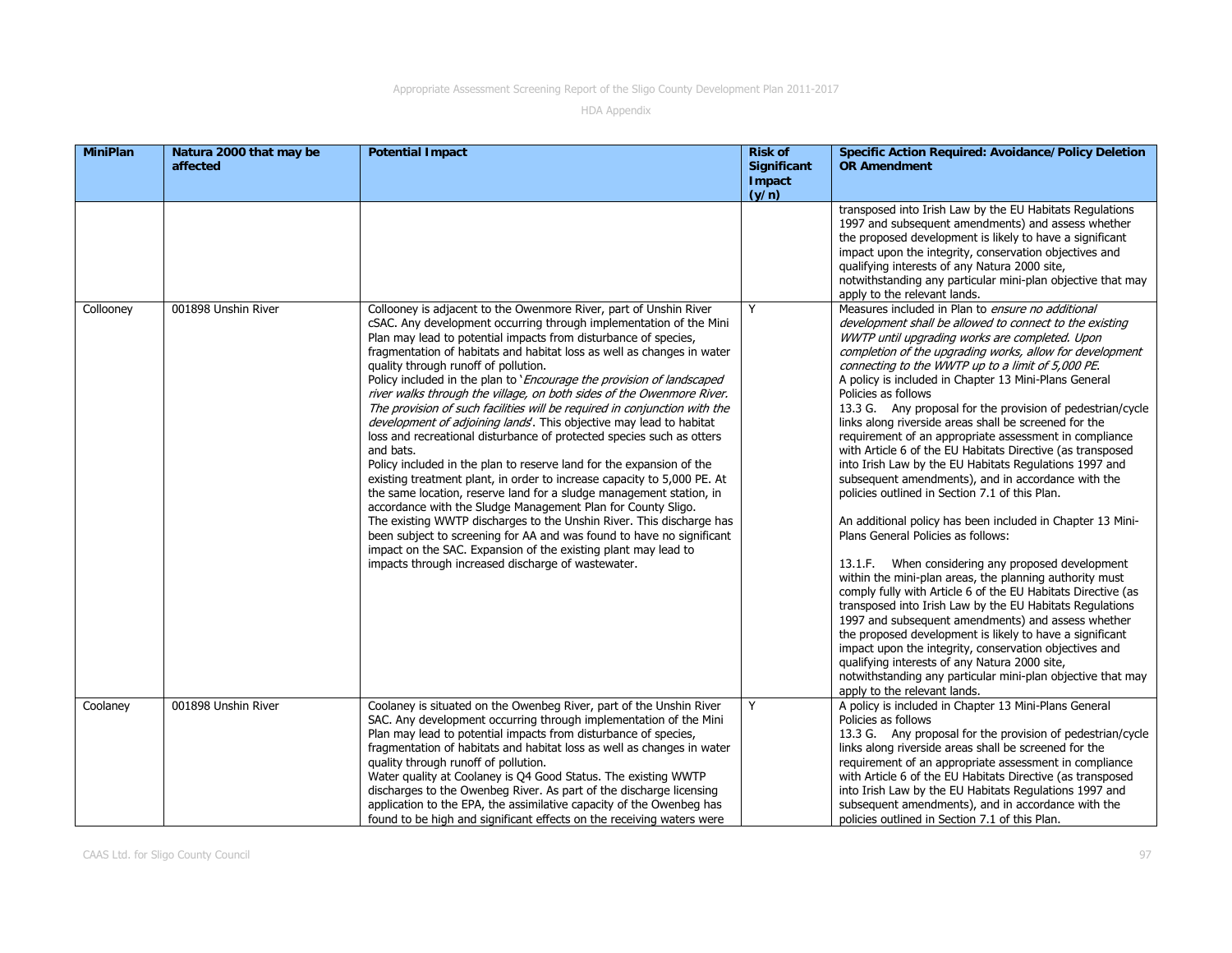| <b>MiniPlan</b> | Natura 2000 that may be<br>affected | <b>Potential Impact</b>                                                                                                                                                                                                                                                                                                                                                                                                                                                                                                                                                                                                                                                                                                                                                                                                                                                                                                                                                                                                                                                                                                                                                                                                                                                                     | <b>Risk of</b><br><b>Significant</b><br>Impact<br>(y/n) | <b>Specific Action Required: Avoidance/Policy Deletion</b><br><b>OR Amendment</b>                                                                                                                                                                                                                                                                                                                                                                                                                                                                                                                                                                                                                                                                                                                                                                                                                                                                                                                                                                                                                                                                                                                                                                                                                                                                                                                                                                            |
|-----------------|-------------------------------------|---------------------------------------------------------------------------------------------------------------------------------------------------------------------------------------------------------------------------------------------------------------------------------------------------------------------------------------------------------------------------------------------------------------------------------------------------------------------------------------------------------------------------------------------------------------------------------------------------------------------------------------------------------------------------------------------------------------------------------------------------------------------------------------------------------------------------------------------------------------------------------------------------------------------------------------------------------------------------------------------------------------------------------------------------------------------------------------------------------------------------------------------------------------------------------------------------------------------------------------------------------------------------------------------|---------------------------------------------------------|--------------------------------------------------------------------------------------------------------------------------------------------------------------------------------------------------------------------------------------------------------------------------------------------------------------------------------------------------------------------------------------------------------------------------------------------------------------------------------------------------------------------------------------------------------------------------------------------------------------------------------------------------------------------------------------------------------------------------------------------------------------------------------------------------------------------------------------------------------------------------------------------------------------------------------------------------------------------------------------------------------------------------------------------------------------------------------------------------------------------------------------------------------------------------------------------------------------------------------------------------------------------------------------------------------------------------------------------------------------------------------------------------------------------------------------------------------------|
|                 |                                     |                                                                                                                                                                                                                                                                                                                                                                                                                                                                                                                                                                                                                                                                                                                                                                                                                                                                                                                                                                                                                                                                                                                                                                                                                                                                                             |                                                         | transposed into Irish Law by the EU Habitats Regulations<br>1997 and subsequent amendments) and assess whether<br>the proposed development is likely to have a significant<br>impact upon the integrity, conservation objectives and<br>qualifying interests of any Natura 2000 site,<br>notwithstanding any particular mini-plan objective that may<br>apply to the relevant lands.                                                                                                                                                                                                                                                                                                                                                                                                                                                                                                                                                                                                                                                                                                                                                                                                                                                                                                                                                                                                                                                                         |
| Collooney       | 001898 Unshin River                 | Collooney is adjacent to the Owenmore River, part of Unshin River<br>cSAC. Any development occurring through implementation of the Mini<br>Plan may lead to potential impacts from disturbance of species,<br>fragmentation of habitats and habitat loss as well as changes in water<br>quality through runoff of pollution.<br>Policy included in the plan to 'Encourage the provision of landscaped<br>river walks through the village, on both sides of the Owenmore River.<br>The provision of such facilities will be required in conjunction with the<br>development of adjoining lands'. This objective may lead to habitat<br>loss and recreational disturbance of protected species such as otters<br>and bats.<br>Policy included in the plan to reserve land for the expansion of the<br>existing treatment plant, in order to increase capacity to 5,000 PE. At<br>the same location, reserve land for a sludge management station, in<br>accordance with the Sludge Management Plan for County Sligo.<br>The existing WWTP discharges to the Unshin River. This discharge has<br>been subject to screening for AA and was found to have no significant<br>impact on the SAC. Expansion of the existing plant may lead to<br>impacts through increased discharge of wastewater. | Y                                                       | Measures included in Plan to ensure no additional<br>development shall be allowed to connect to the existing<br>WWTP until upgrading works are completed. Upon<br>completion of the upgrading works, allow for development<br>connecting to the WWTP up to a limit of 5,000 PE.<br>A policy is included in Chapter 13 Mini-Plans General<br>Policies as follows<br>13.3 G. Any proposal for the provision of pedestrian/cycle<br>links along riverside areas shall be screened for the<br>requirement of an appropriate assessment in compliance<br>with Article 6 of the EU Habitats Directive (as transposed<br>into Irish Law by the EU Habitats Regulations 1997 and<br>subsequent amendments), and in accordance with the<br>policies outlined in Section 7.1 of this Plan.<br>An additional policy has been included in Chapter 13 Mini-<br>Plans General Policies as follows:<br>13.1.F. When considering any proposed development<br>within the mini-plan areas, the planning authority must<br>comply fully with Article 6 of the EU Habitats Directive (as<br>transposed into Irish Law by the EU Habitats Regulations<br>1997 and subsequent amendments) and assess whether<br>the proposed development is likely to have a significant<br>impact upon the integrity, conservation objectives and<br>qualifying interests of any Natura 2000 site,<br>notwithstanding any particular mini-plan objective that may<br>apply to the relevant lands. |
| Coolaney        | 001898 Unshin River                 | Coolaney is situated on the Owenbeg River, part of the Unshin River<br>SAC. Any development occurring through implementation of the Mini<br>Plan may lead to potential impacts from disturbance of species,<br>fragmentation of habitats and habitat loss as well as changes in water<br>quality through runoff of pollution.<br>Water quality at Coolaney is Q4 Good Status. The existing WWTP<br>discharges to the Owenbeg River. As part of the discharge licensing<br>application to the EPA, the assimilative capacity of the Owenbeg has<br>found to be high and significant effects on the receiving waters were                                                                                                                                                                                                                                                                                                                                                                                                                                                                                                                                                                                                                                                                     | Y                                                       | A policy is included in Chapter 13 Mini-Plans General<br>Policies as follows<br>13.3 G. Any proposal for the provision of pedestrian/cycle<br>links along riverside areas shall be screened for the<br>requirement of an appropriate assessment in compliance<br>with Article 6 of the EU Habitats Directive (as transposed<br>into Irish Law by the EU Habitats Regulations 1997 and<br>subsequent amendments), and in accordance with the<br>policies outlined in Section 7.1 of this Plan.                                                                                                                                                                                                                                                                                                                                                                                                                                                                                                                                                                                                                                                                                                                                                                                                                                                                                                                                                                |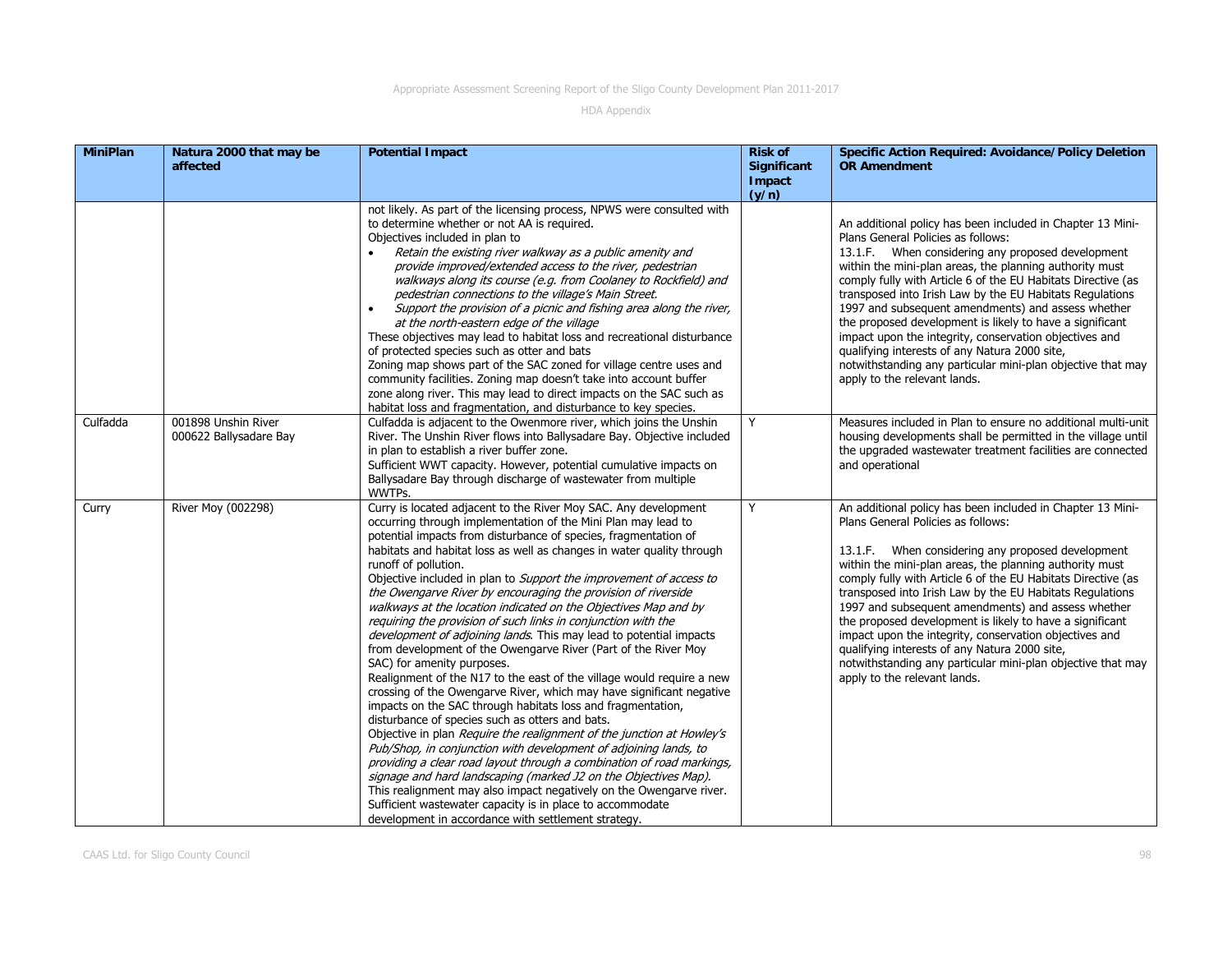| <b>MiniPlan</b> | Natura 2000 that may be<br>affected           | <b>Potential Impact</b>                                                                                                                                                                                                                                                                                                                                                                                                                                                                                                                                                                                                                                                                                                                                                                                                                                                                                                                                                                                                                                                                                                                                                                                                                                                                                                                                                                                                                                                                                      | <b>Risk of</b><br><b>Significant</b><br>Impact<br>(y/n) | <b>Specific Action Required: Avoidance/Policy Deletion</b><br><b>OR Amendment</b>                                                                                                                                                                                                                                                                                                                                                                                                                                                                                                                                                                                        |
|-----------------|-----------------------------------------------|--------------------------------------------------------------------------------------------------------------------------------------------------------------------------------------------------------------------------------------------------------------------------------------------------------------------------------------------------------------------------------------------------------------------------------------------------------------------------------------------------------------------------------------------------------------------------------------------------------------------------------------------------------------------------------------------------------------------------------------------------------------------------------------------------------------------------------------------------------------------------------------------------------------------------------------------------------------------------------------------------------------------------------------------------------------------------------------------------------------------------------------------------------------------------------------------------------------------------------------------------------------------------------------------------------------------------------------------------------------------------------------------------------------------------------------------------------------------------------------------------------------|---------------------------------------------------------|--------------------------------------------------------------------------------------------------------------------------------------------------------------------------------------------------------------------------------------------------------------------------------------------------------------------------------------------------------------------------------------------------------------------------------------------------------------------------------------------------------------------------------------------------------------------------------------------------------------------------------------------------------------------------|
|                 |                                               | not likely. As part of the licensing process, NPWS were consulted with<br>to determine whether or not AA is required.<br>Objectives included in plan to<br>Retain the existing river walkway as a public amenity and<br>provide improved/extended access to the river, pedestrian<br>walkways along its course (e.g. from Coolaney to Rockfield) and<br>pedestrian connections to the village's Main Street.<br>Support the provision of a picnic and fishing area along the river,<br>$\bullet$<br>at the north-eastern edge of the village<br>These objectives may lead to habitat loss and recreational disturbance<br>of protected species such as otter and bats<br>Zoning map shows part of the SAC zoned for village centre uses and<br>community facilities. Zoning map doesn't take into account buffer<br>zone along river. This may lead to direct impacts on the SAC such as<br>habitat loss and fragmentation, and disturbance to key species.                                                                                                                                                                                                                                                                                                                                                                                                                                                                                                                                                  |                                                         | An additional policy has been included in Chapter 13 Mini-<br>Plans General Policies as follows:<br>13.1.F. When considering any proposed development<br>within the mini-plan areas, the planning authority must<br>comply fully with Article 6 of the EU Habitats Directive (as<br>transposed into Irish Law by the EU Habitats Regulations<br>1997 and subsequent amendments) and assess whether<br>the proposed development is likely to have a significant<br>impact upon the integrity, conservation objectives and<br>qualifying interests of any Natura 2000 site,<br>notwithstanding any particular mini-plan objective that may<br>apply to the relevant lands. |
| Culfadda        | 001898 Unshin River<br>000622 Ballysadare Bay | Culfadda is adjacent to the Owenmore river, which joins the Unshin<br>River. The Unshin River flows into Ballysadare Bay. Objective included<br>in plan to establish a river buffer zone.<br>Sufficient WWT capacity. However, potential cumulative impacts on<br>Ballysadare Bay through discharge of wastewater from multiple<br>WWTPs.                                                                                                                                                                                                                                                                                                                                                                                                                                                                                                                                                                                                                                                                                                                                                                                                                                                                                                                                                                                                                                                                                                                                                                    | Y                                                       | Measures included in Plan to ensure no additional multi-unit<br>housing developments shall be permitted in the village until<br>the upgraded wastewater treatment facilities are connected<br>and operational                                                                                                                                                                                                                                                                                                                                                                                                                                                            |
| Curry           | River Moy (002298)                            | Curry is located adjacent to the River Moy SAC. Any development<br>occurring through implementation of the Mini Plan may lead to<br>potential impacts from disturbance of species, fragmentation of<br>habitats and habitat loss as well as changes in water quality through<br>runoff of pollution.<br>Objective included in plan to Support the improvement of access to<br>the Owengarve River by encouraging the provision of riverside<br>walkways at the location indicated on the Objectives Map and by<br>requiring the provision of such links in conjunction with the<br>development of adjoining lands. This may lead to potential impacts<br>from development of the Owengarve River (Part of the River Moy<br>SAC) for amenity purposes.<br>Realignment of the N17 to the east of the village would require a new<br>crossing of the Owengarve River, which may have significant negative<br>impacts on the SAC through habitats loss and fragmentation,<br>disturbance of species such as otters and bats.<br>Objective in plan Require the realignment of the junction at Howley's<br>Pub/Shop, in conjunction with development of adjoining lands, to<br>providing a clear road layout through a combination of road markings,<br>signage and hard landscaping (marked J2 on the Objectives Map).<br>This realignment may also impact negatively on the Owengarve river.<br>Sufficient wastewater capacity is in place to accommodate<br>development in accordance with settlement strategy. | Y                                                       | An additional policy has been included in Chapter 13 Mini-<br>Plans General Policies as follows:<br>13.1.F. When considering any proposed development<br>within the mini-plan areas, the planning authority must<br>comply fully with Article 6 of the EU Habitats Directive (as<br>transposed into Irish Law by the EU Habitats Regulations<br>1997 and subsequent amendments) and assess whether<br>the proposed development is likely to have a significant<br>impact upon the integrity, conservation objectives and<br>qualifying interests of any Natura 2000 site,<br>notwithstanding any particular mini-plan objective that may<br>apply to the relevant lands. |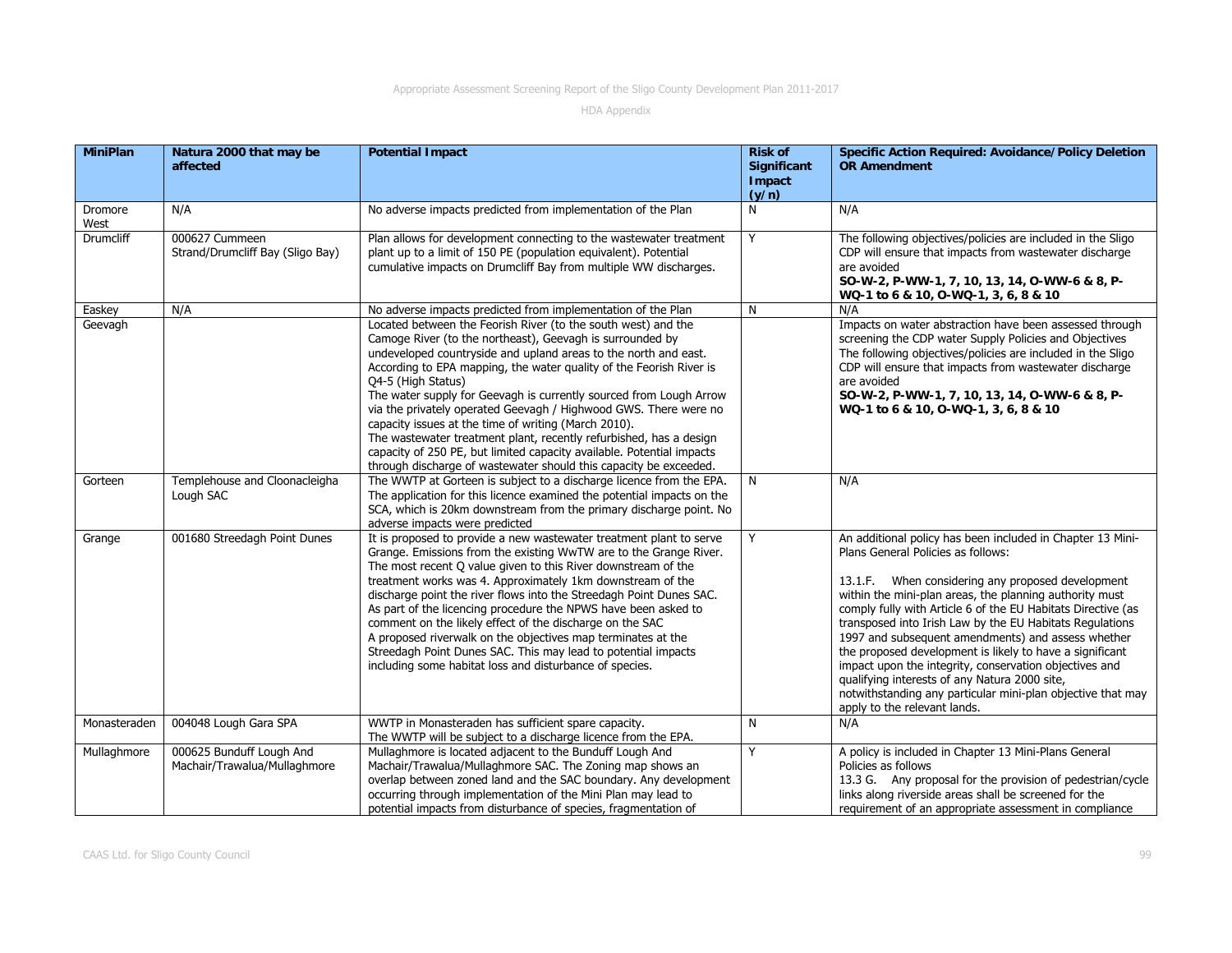| <b>MiniPlan</b>  | Natura 2000 that may be<br>affected                      | <b>Potential Impact</b>                                                                                                                                                                                                                                                                                                                                                                                                                                                                                                                                                                                                                                                                                          | <b>Risk of</b><br><b>Significant</b><br>Impact<br>(y/n) | <b>Specific Action Required: Avoidance/Policy Deletion</b><br><b>OR Amendment</b>                                                                                                                                                                                                                                                                                                                                                                                                                                                                                                                                                                                        |
|------------------|----------------------------------------------------------|------------------------------------------------------------------------------------------------------------------------------------------------------------------------------------------------------------------------------------------------------------------------------------------------------------------------------------------------------------------------------------------------------------------------------------------------------------------------------------------------------------------------------------------------------------------------------------------------------------------------------------------------------------------------------------------------------------------|---------------------------------------------------------|--------------------------------------------------------------------------------------------------------------------------------------------------------------------------------------------------------------------------------------------------------------------------------------------------------------------------------------------------------------------------------------------------------------------------------------------------------------------------------------------------------------------------------------------------------------------------------------------------------------------------------------------------------------------------|
| Dromore<br>West  | N/A                                                      | No adverse impacts predicted from implementation of the Plan                                                                                                                                                                                                                                                                                                                                                                                                                                                                                                                                                                                                                                                     | N                                                       | N/A                                                                                                                                                                                                                                                                                                                                                                                                                                                                                                                                                                                                                                                                      |
| <b>Drumcliff</b> | 000627 Cummeen<br>Strand/Drumcliff Bay (Sligo Bay)       | Plan allows for development connecting to the wastewater treatment<br>plant up to a limit of 150 PE (population equivalent). Potential<br>cumulative impacts on Drumcliff Bay from multiple WW discharges.                                                                                                                                                                                                                                                                                                                                                                                                                                                                                                       | Y                                                       | The following objectives/policies are included in the Sligo<br>CDP will ensure that impacts from wastewater discharge<br>are avoided<br>SO-W-2, P-WW-1, 7, 10, 13, 14, O-WW-6 & 8, P-<br>WQ-1 to 6 & 10, 0-WQ-1, 3, 6, 8 & 10                                                                                                                                                                                                                                                                                                                                                                                                                                            |
| Easkey           | N/A                                                      | No adverse impacts predicted from implementation of the Plan                                                                                                                                                                                                                                                                                                                                                                                                                                                                                                                                                                                                                                                     | N                                                       | N/A                                                                                                                                                                                                                                                                                                                                                                                                                                                                                                                                                                                                                                                                      |
| Geevagh          |                                                          | Located between the Feorish River (to the south west) and the<br>Camoge River (to the northeast), Geevagh is surrounded by<br>undeveloped countryside and upland areas to the north and east.<br>According to EPA mapping, the water quality of the Feorish River is<br>Q4-5 (High Status)<br>The water supply for Geevagh is currently sourced from Lough Arrow<br>via the privately operated Geevagh / Highwood GWS. There were no<br>capacity issues at the time of writing (March 2010).<br>The wastewater treatment plant, recently refurbished, has a design<br>capacity of 250 PE, but limited capacity available. Potential impacts<br>through discharge of wastewater should this capacity be exceeded. |                                                         | Impacts on water abstraction have been assessed through<br>screening the CDP water Supply Policies and Objectives<br>The following objectives/policies are included in the Sligo<br>CDP will ensure that impacts from wastewater discharge<br>are avoided<br>SO-W-2, P-WW-1, 7, 10, 13, 14, O-WW-6 & 8, P-<br>WQ-1 to 6 & 10, 0-WQ-1, 3, 6, 8 & 10                                                                                                                                                                                                                                                                                                                       |
| Gorteen          | Templehouse and Cloonacleigha<br>Lough SAC               | The WWTP at Gorteen is subject to a discharge licence from the EPA.<br>The application for this licence examined the potential impacts on the<br>SCA, which is 20km downstream from the primary discharge point. No<br>adverse impacts were predicted                                                                                                                                                                                                                                                                                                                                                                                                                                                            | N                                                       | N/A                                                                                                                                                                                                                                                                                                                                                                                                                                                                                                                                                                                                                                                                      |
| Grange           | 001680 Streedagh Point Dunes                             | It is proposed to provide a new wastewater treatment plant to serve<br>Grange. Emissions from the existing WwTW are to the Grange River.<br>The most recent Q value given to this River downstream of the<br>treatment works was 4. Approximately 1km downstream of the<br>discharge point the river flows into the Streedagh Point Dunes SAC.<br>As part of the licencing procedure the NPWS have been asked to<br>comment on the likely effect of the discharge on the SAC<br>A proposed riverwalk on the objectives map terminates at the<br>Streedagh Point Dunes SAC. This may lead to potential impacts<br>including some habitat loss and disturbance of species.                                         | Y                                                       | An additional policy has been included in Chapter 13 Mini-<br>Plans General Policies as follows:<br>13.1.F. When considering any proposed development<br>within the mini-plan areas, the planning authority must<br>comply fully with Article 6 of the EU Habitats Directive (as<br>transposed into Irish Law by the EU Habitats Regulations<br>1997 and subsequent amendments) and assess whether<br>the proposed development is likely to have a significant<br>impact upon the integrity, conservation objectives and<br>qualifying interests of any Natura 2000 site,<br>notwithstanding any particular mini-plan objective that may<br>apply to the relevant lands. |
| Monasteraden     | 004048 Lough Gara SPA                                    | WWTP in Monasteraden has sufficient spare capacity.<br>The WWTP will be subject to a discharge licence from the EPA.                                                                                                                                                                                                                                                                                                                                                                                                                                                                                                                                                                                             | N                                                       | N/A                                                                                                                                                                                                                                                                                                                                                                                                                                                                                                                                                                                                                                                                      |
| Mullaghmore      | 000625 Bunduff Lough And<br>Machair/Trawalua/Mullaghmore | Mullaghmore is located adjacent to the Bunduff Lough And<br>Machair/Trawalua/Mullaghmore SAC. The Zoning map shows an<br>overlap between zoned land and the SAC boundary. Any development<br>occurring through implementation of the Mini Plan may lead to<br>potential impacts from disturbance of species, fragmentation of                                                                                                                                                                                                                                                                                                                                                                                    | Y                                                       | A policy is included in Chapter 13 Mini-Plans General<br>Policies as follows<br>13.3 G. Any proposal for the provision of pedestrian/cycle<br>links along riverside areas shall be screened for the<br>requirement of an appropriate assessment in compliance                                                                                                                                                                                                                                                                                                                                                                                                            |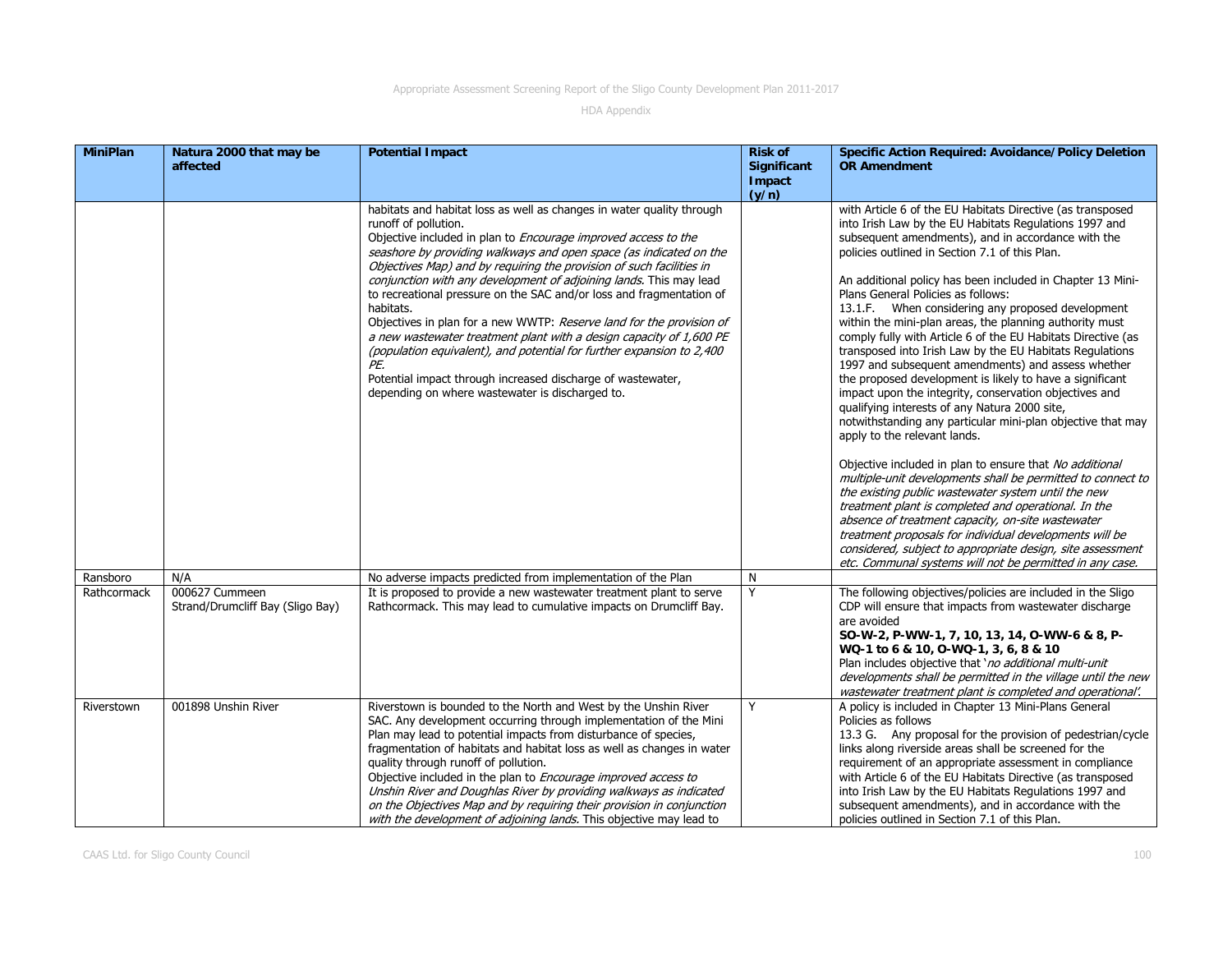| <b>MiniPlan</b> | Natura 2000 that may be<br>affected                | <b>Potential Impact</b>                                                                                                                                                                                                                                                                                                                                                                                                                                                                                                                                                                                                                                                                                                                                                                                                          | <b>Risk of</b><br><b>Significant</b><br>Impact<br>(y/n) | <b>Specific Action Required: Avoidance/Policy Deletion</b><br><b>OR Amendment</b>                                                                                                                                                                                                                                                                                                                                                                                                                                                                                                                                                                                                                                                                                                                                                                                                                                                                                                                                                                                                                                                                                                                                                                                                                                                                                                           |
|-----------------|----------------------------------------------------|----------------------------------------------------------------------------------------------------------------------------------------------------------------------------------------------------------------------------------------------------------------------------------------------------------------------------------------------------------------------------------------------------------------------------------------------------------------------------------------------------------------------------------------------------------------------------------------------------------------------------------------------------------------------------------------------------------------------------------------------------------------------------------------------------------------------------------|---------------------------------------------------------|---------------------------------------------------------------------------------------------------------------------------------------------------------------------------------------------------------------------------------------------------------------------------------------------------------------------------------------------------------------------------------------------------------------------------------------------------------------------------------------------------------------------------------------------------------------------------------------------------------------------------------------------------------------------------------------------------------------------------------------------------------------------------------------------------------------------------------------------------------------------------------------------------------------------------------------------------------------------------------------------------------------------------------------------------------------------------------------------------------------------------------------------------------------------------------------------------------------------------------------------------------------------------------------------------------------------------------------------------------------------------------------------|
|                 |                                                    | habitats and habitat loss as well as changes in water quality through<br>runoff of pollution.<br>Objective included in plan to <i>Encourage improved access to the</i><br>seashore by providing walkways and open space (as indicated on the<br>Objectives Map) and by requiring the provision of such facilities in<br>conjunction with any development of adjoining lands. This may lead<br>to recreational pressure on the SAC and/or loss and fragmentation of<br>habitats.<br>Objectives in plan for a new WWTP: Reserve land for the provision of<br>a new wastewater treatment plant with a design capacity of 1,600 PE<br>(population equivalent), and potential for further expansion to 2,400<br>PE.<br>Potential impact through increased discharge of wastewater,<br>depending on where wastewater is discharged to. |                                                         | with Article 6 of the EU Habitats Directive (as transposed<br>into Irish Law by the EU Habitats Regulations 1997 and<br>subsequent amendments), and in accordance with the<br>policies outlined in Section 7.1 of this Plan.<br>An additional policy has been included in Chapter 13 Mini-<br>Plans General Policies as follows:<br>13.1.F. When considering any proposed development<br>within the mini-plan areas, the planning authority must<br>comply fully with Article 6 of the EU Habitats Directive (as<br>transposed into Irish Law by the EU Habitats Regulations<br>1997 and subsequent amendments) and assess whether<br>the proposed development is likely to have a significant<br>impact upon the integrity, conservation objectives and<br>qualifying interests of any Natura 2000 site,<br>notwithstanding any particular mini-plan objective that may<br>apply to the relevant lands.<br>Objective included in plan to ensure that No additional<br>multiple-unit developments shall be permitted to connect to<br>the existing public wastewater system until the new<br>treatment plant is completed and operational. In the<br>absence of treatment capacity, on-site wastewater<br>treatment proposals for individual developments will be<br>considered, subject to appropriate design, site assessment<br>etc. Communal systems will not be permitted in any case. |
| Ransboro        | N/A                                                | No adverse impacts predicted from implementation of the Plan                                                                                                                                                                                                                                                                                                                                                                                                                                                                                                                                                                                                                                                                                                                                                                     | N                                                       |                                                                                                                                                                                                                                                                                                                                                                                                                                                                                                                                                                                                                                                                                                                                                                                                                                                                                                                                                                                                                                                                                                                                                                                                                                                                                                                                                                                             |
| Rathcormack     | 000627 Cummeen<br>Strand/Drumcliff Bay (Sligo Bay) | It is proposed to provide a new wastewater treatment plant to serve<br>Rathcormack. This may lead to cumulative impacts on Drumcliff Bay.                                                                                                                                                                                                                                                                                                                                                                                                                                                                                                                                                                                                                                                                                        | Y                                                       | The following objectives/policies are included in the Sligo<br>CDP will ensure that impacts from wastewater discharge<br>are avoided<br>SO-W-2, P-WW-1, 7, 10, 13, 14, O-WW-6 & 8, P-<br>WQ-1 to 6 & 10, 0-WQ-1, 3, 6, 8 & 10<br>Plan includes objective that 'no additional multi-unit<br>developments shall be permitted in the village until the new<br>wastewater treatment plant is completed and operational'.                                                                                                                                                                                                                                                                                                                                                                                                                                                                                                                                                                                                                                                                                                                                                                                                                                                                                                                                                                        |
| Riverstown      | 001898 Unshin River                                | Riverstown is bounded to the North and West by the Unshin River<br>SAC. Any development occurring through implementation of the Mini<br>Plan may lead to potential impacts from disturbance of species,<br>fragmentation of habitats and habitat loss as well as changes in water<br>quality through runoff of pollution.<br>Objective included in the plan to <i>Encourage improved access to</i><br>Unshin River and Doughlas River by providing walkways as indicated<br>on the Objectives Map and by requiring their provision in conjunction<br>with the development of adjoining lands. This objective may lead to                                                                                                                                                                                                         | Y                                                       | A policy is included in Chapter 13 Mini-Plans General<br>Policies as follows<br>13.3 G. Any proposal for the provision of pedestrian/cycle<br>links along riverside areas shall be screened for the<br>requirement of an appropriate assessment in compliance<br>with Article 6 of the EU Habitats Directive (as transposed<br>into Irish Law by the EU Habitats Regulations 1997 and<br>subsequent amendments), and in accordance with the<br>policies outlined in Section 7.1 of this Plan.                                                                                                                                                                                                                                                                                                                                                                                                                                                                                                                                                                                                                                                                                                                                                                                                                                                                                               |